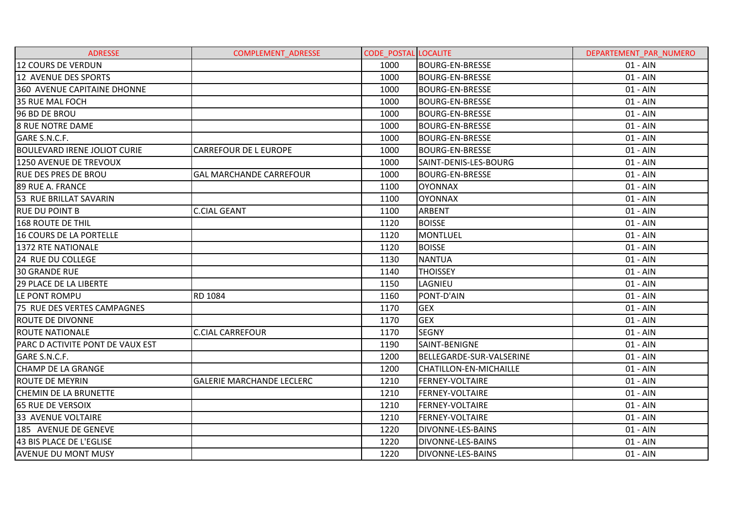| <b>ADRESSE</b>                      | <b>COMPLEMENT ADRESSE</b>        | <b>CODE POSTAL LOCALITE</b> |                          | DEPARTEMENT PAR NUMERO |
|-------------------------------------|----------------------------------|-----------------------------|--------------------------|------------------------|
| 12 COURS DE VERDUN                  |                                  | 1000                        | <b>BOURG-EN-BRESSE</b>   | $01 - AIN$             |
| 12 AVENUE DES SPORTS                |                                  | 1000                        | <b>BOURG-EN-BRESSE</b>   | $01 - AIN$             |
| 360 AVENUE CAPITAINE DHONNE         |                                  | 1000                        | <b>BOURG-EN-BRESSE</b>   | $01 - AIN$             |
| 35 RUE MAL FOCH                     |                                  | 1000                        | <b>BOURG-EN-BRESSE</b>   | $01 - AIN$             |
| 96 BD DE BROU                       |                                  | 1000                        | <b>BOURG-EN-BRESSE</b>   | $01 - AIN$             |
| <b>8 RUE NOTRE DAME</b>             |                                  | 1000                        | <b>BOURG-EN-BRESSE</b>   | $01 - AIN$             |
| GARE S.N.C.F.                       |                                  | 1000                        | <b>BOURG-EN-BRESSE</b>   | $01 - AIN$             |
| <b>BOULEVARD IRENE JOLIOT CURIE</b> | <b>CARREFOUR DE L EUROPE</b>     | 1000                        | <b>BOURG-EN-BRESSE</b>   | $01 - AIN$             |
| 1250 AVENUE DE TREVOUX              |                                  | 1000                        | SAINT-DENIS-LES-BOURG    | $01 - AIN$             |
| <b>RUE DES PRES DE BROU</b>         | <b>GAL MARCHANDE CARREFOUR</b>   | 1000                        | <b>BOURG-EN-BRESSE</b>   | $01 - AIN$             |
| 89 RUE A. FRANCE                    |                                  | 1100                        | <b>OYONNAX</b>           | $01 - AIN$             |
| 53 RUE BRILLAT SAVARIN              |                                  | 1100                        | <b>OYONNAX</b>           | $01 - AIN$             |
| <b>RUE DU POINT B</b>               | <b>C.CIAL GEANT</b>              | 1100                        | <b>ARBENT</b>            | $01 - AIN$             |
| <b>168 ROUTE DE THIL</b>            |                                  | 1120                        | <b>BOISSE</b>            | $01 - AIN$             |
| <b>16 COURS DE LA PORTELLE</b>      |                                  | 1120                        | <b>MONTLUEL</b>          | $01 - AIN$             |
| <b>1372 RTE NATIONALE</b>           |                                  | 1120                        | <b>BOISSE</b>            | $01 - AIN$             |
| 24 RUE DU COLLEGE                   |                                  | 1130                        | <b>NANTUA</b>            | $01 - AIN$             |
| <b>30 GRANDE RUE</b>                |                                  | 1140                        | <b>THOISSEY</b>          | $01 - AIN$             |
| 29 PLACE DE LA LIBERTE              |                                  | 1150                        | LAGNIEU                  | $01 - AIN$             |
| LE PONT ROMPU                       | RD 1084                          | 1160                        | PONT-D'AIN               | $01 - AIN$             |
| 75 RUE DES VERTES CAMPAGNES         |                                  | 1170                        | <b>GEX</b>               | $01 - AIN$             |
| <b>ROUTE DE DIVONNE</b>             |                                  | 1170                        | <b>GEX</b>               | $01 - AIN$             |
| <b>ROUTE NATIONALE</b>              | <b>C.CIAL CARREFOUR</b>          | 1170                        | <b>SEGNY</b>             | $01 - AIN$             |
| PARC D ACTIVITE PONT DE VAUX EST    |                                  | 1190                        | SAINT-BENIGNE            | $01 - AIN$             |
| GARE S.N.C.F.                       |                                  | 1200                        | BELLEGARDE-SUR-VALSERINE | $01 - AIN$             |
| <b>CHAMP DE LA GRANGE</b>           |                                  | 1200                        | CHATILLON-EN-MICHAILLE   | $01 - AIN$             |
| <b>ROUTE DE MEYRIN</b>              | <b>GALERIE MARCHANDE LECLERC</b> | 1210                        | FERNEY-VOLTAIRE          | 01 - AIN               |
| <b>CHEMIN DE LA BRUNETTE</b>        |                                  | 1210                        | <b>FERNEY-VOLTAIRE</b>   | $01 - AIN$             |
| <b>65 RUE DE VERSOIX</b>            |                                  | 1210                        | <b>FERNEY-VOLTAIRE</b>   | $01 - AIN$             |
| 33 AVENUE VOLTAIRE                  |                                  | 1210                        | FERNEY-VOLTAIRE          | $01 - AIN$             |
| 185 AVENUE DE GENEVE                |                                  | 1220                        | <b>DIVONNE-LES-BAINS</b> | $01 - AIN$             |
| 43 BIS PLACE DE L'EGLISE            |                                  | 1220                        | <b>DIVONNE-LES-BAINS</b> | $01 - AIN$             |
| <b>AVENUE DU MONT MUSY</b>          |                                  | 1220                        | DIVONNE-LES-BAINS        | $01 - AIN$             |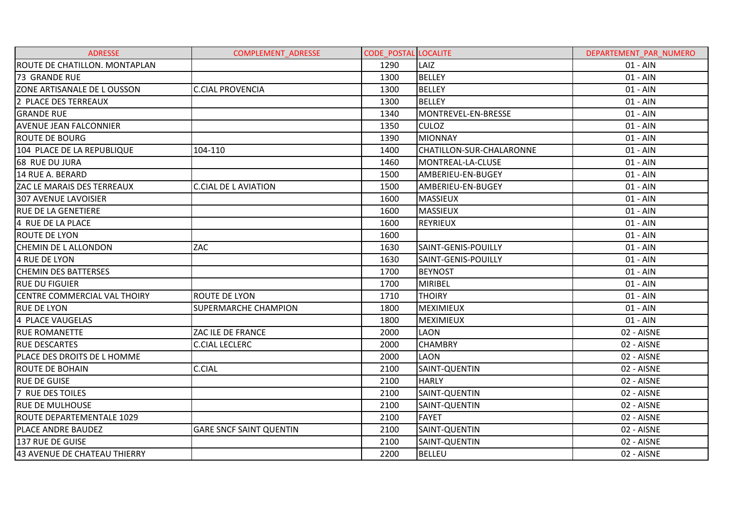| <b>ADRESSE</b>                       | <b>COMPLEMENT ADRESSE</b>      | <b>CODE POSTAL LOCALITE</b> |                           | DEPARTEMENT PAR NUMERO |
|--------------------------------------|--------------------------------|-----------------------------|---------------------------|------------------------|
| <b>ROUTE DE CHATILLON. MONTAPLAN</b> |                                | 1290                        | LAIZ                      | $01 - AIN$             |
| <b>73 GRANDE RUE</b>                 |                                | 1300                        | <b>BELLEY</b>             | $01 - AIN$             |
| ZONE ARTISANALE DE LOUSSON           | <b>C.CIAL PROVENCIA</b>        | 1300                        | <b>BELLEY</b>             | $01 - AIN$             |
| 2 PLACE DES TERREAUX                 |                                | 1300                        | <b>BELLEY</b>             | $01 - AIN$             |
| <b>GRANDE RUE</b>                    |                                | 1340                        | MONTREVEL-EN-BRESSE       | $01 - AIN$             |
| <b>AVENUE JEAN FALCONNIER</b>        |                                | 1350                        | <b>CULOZ</b>              | $01 - AIN$             |
| <b>ROUTE DE BOURG</b>                |                                | 1390                        | <b>MIONNAY</b>            | $01 - AIN$             |
| 104 PLACE DE LA REPUBLIQUE           | 104-110                        | 1400                        | ICHATILLON-SUR-CHALARONNE | $01 - AIN$             |
| 68 RUE DU JURA                       |                                | 1460                        | MONTREAL-LA-CLUSE         | $01 - AIN$             |
| 14 RUE A. BERARD                     |                                | 1500                        | AMBERIEU-EN-BUGEY         | $01 - AIN$             |
| ZAC LE MARAIS DES TERREAUX           | <b>C.CIAL DE L AVIATION</b>    | 1500                        | AMBERIEU-EN-BUGEY         | $01 - AIN$             |
| <b>307 AVENUE LAVOISIER</b>          |                                | 1600                        | <b>MASSIEUX</b>           | $01 - AIN$             |
| <b>IRUE DE LA GENETIERE</b>          |                                | 1600                        | <b>MASSIEUX</b>           | $01 - AIN$             |
| 4 RUE DE LA PLACE                    |                                | 1600                        | <b>REYRIEUX</b>           | $01 - AIN$             |
| <b>ROUTE DE LYON</b>                 |                                | 1600                        |                           | $01 - AIN$             |
| <b>CHEMIN DE L ALLONDON</b>          | ZAC                            | 1630                        | SAINT-GENIS-POUILLY       | $01 - AIN$             |
| 4 RUE DE LYON                        |                                | 1630                        | SAINT-GENIS-POUILLY       | $01 - AIN$             |
| <b>CHEMIN DES BATTERSES</b>          |                                | 1700                        | <b>BEYNOST</b>            | $01 - AIN$             |
| <b>RUE DU FIGUIER</b>                |                                | 1700                        | MIRIBEL                   | $01 - AIN$             |
| <b>CENTRE COMMERCIAL VAL THOIRY</b>  | <b>ROUTE DE LYON</b>           | 1710                        | <b>THOIRY</b>             | $01 - AIN$             |
| <b>RUE DE LYON</b>                   | <b>SUPERMARCHE CHAMPION</b>    | 1800                        | MEXIMIEUX                 | $01 - AIN$             |
| 4 PLACE VAUGELAS                     |                                | 1800                        | <b>MEXIMIEUX</b>          | $01 - AIN$             |
| <b>RUE ROMANETTE</b>                 | ZAC ILE DE FRANCE              | 2000                        | <b>LAON</b>               | 02 - AISNE             |
| <b>RUE DESCARTES</b>                 | <b>C.CIAL LECLERC</b>          | 2000                        | <b>CHAMBRY</b>            | 02 - AISNE             |
| PLACE DES DROITS DE L HOMME          |                                | 2000                        | <b>LAON</b>               | 02 - AISNE             |
| <b>ROUTE DE BOHAIN</b>               | <b>C.CIAL</b>                  | 2100                        | SAINT-QUENTIN             | 02 - AISNE             |
| <b>RUE DE GUISE</b>                  |                                | 2100                        | <b>HARLY</b>              | 02 - AISNE             |
| 7 RUE DES TOILES                     |                                | 2100                        | SAINT-QUENTIN             | 02 - AISNE             |
| <b>RUE DE MULHOUSE</b>               |                                | 2100                        | SAINT-QUENTIN             | 02 - AISNE             |
| ROUTE DEPARTEMENTALE 1029            |                                | 2100                        | <b>FAYET</b>              | 02 - AISNE             |
| PLACE ANDRE BAUDEZ                   | <b>GARE SNCF SAINT QUENTIN</b> | 2100                        | SAINT-QUENTIN             | 02 - AISNE             |
| 137 RUE DE GUISE                     |                                | 2100                        | SAINT-QUENTIN             | 02 - AISNE             |
| 43 AVENUE DE CHATEAU THIERRY         |                                | 2200                        | <b>BELLEU</b>             | 02 - AISNE             |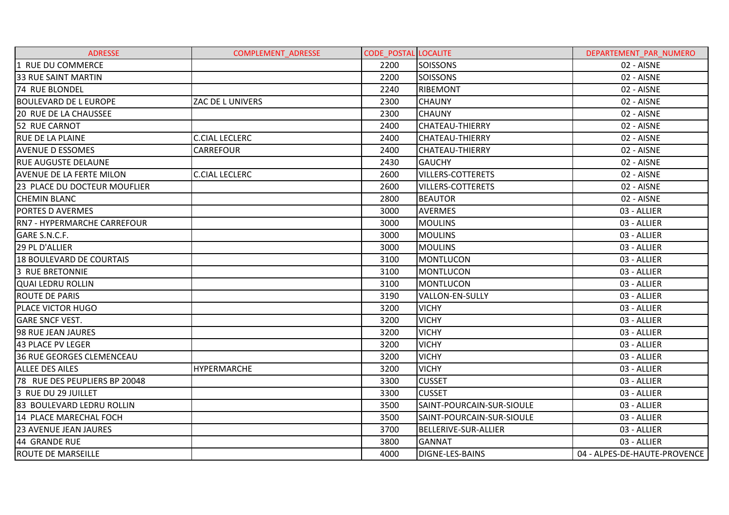| <b>ADRESSE</b>                     | <b>COMPLEMENT ADRESSE</b> | <b>CODE POSTAL LOCALITE</b> |                             | DEPARTEMENT PAR NUMERO       |
|------------------------------------|---------------------------|-----------------------------|-----------------------------|------------------------------|
| 1 RUE DU COMMERCE                  |                           | 2200                        | <b>SOISSONS</b>             | 02 - AISNE                   |
| <b>33 RUE SAINT MARTIN</b>         |                           | 2200                        | <b>SOISSONS</b>             | 02 - AISNE                   |
| 74 RUE BLONDEL                     |                           | 2240                        | <b>RIBEMONT</b>             | 02 - AISNE                   |
| <b>BOULEVARD DE L EUROPE</b>       | ZAC DE L UNIVERS          | 2300                        | <b>CHAUNY</b>               | 02 - AISNE                   |
| 20 RUE DE LA CHAUSSEE              |                           | 2300                        | <b>CHAUNY</b>               | 02 - AISNE                   |
| 52 RUE CARNOT                      |                           | 2400                        | <b>CHATEAU-THIERRY</b>      | 02 - AISNE                   |
| <b>RUE DE LA PLAINE</b>            | <b>C.CIAL LECLERC</b>     | 2400                        | <b>CHATEAU-THIERRY</b>      | 02 - AISNE                   |
| <b>AVENUE D ESSOMES</b>            | <b>CARREFOUR</b>          | 2400                        | <b>CHATEAU-THIERRY</b>      | 02 - AISNE                   |
| <b>RUE AUGUSTE DELAUNE</b>         |                           | 2430                        | <b>GAUCHY</b>               | 02 - AISNE                   |
| <b>AVENUE DE LA FERTE MILON</b>    | <b>C.CIAL LECLERC</b>     | 2600                        | <b>VILLERS-COTTERETS</b>    | 02 - AISNE                   |
| 23 PLACE DU DOCTEUR MOUFLIER       |                           | 2600                        | <b>VILLERS-COTTERETS</b>    | 02 - AISNE                   |
| <b>CHEMIN BLANC</b>                |                           | 2800                        | <b>BEAUTOR</b>              | 02 - AISNE                   |
| <b>PORTES D AVERMES</b>            |                           | 3000                        | <b>AVERMES</b>              | 03 - ALLIER                  |
| <b>RN7 - HYPERMARCHE CARREFOUR</b> |                           | 3000                        | <b>MOULINS</b>              | 03 - ALLIER                  |
| GARE S.N.C.F.                      |                           | 3000                        | <b>MOULINS</b>              | 03 - ALLIER                  |
| 29 PL D'ALLIER                     |                           | 3000                        | <b>MOULINS</b>              | 03 - ALLIER                  |
| 18 BOULEVARD DE COURTAIS           |                           | 3100                        | <b>MONTLUCON</b>            | 03 - ALLIER                  |
| <b>3 RUE BRETONNIE</b>             |                           | 3100                        | <b>MONTLUCON</b>            | 03 - ALLIER                  |
| <b>QUAI LEDRU ROLLIN</b>           |                           | 3100                        | <b>MONTLUCON</b>            | 03 - ALLIER                  |
| <b>ROUTE DE PARIS</b>              |                           | 3190                        | <b>VALLON-EN-SULLY</b>      | 03 - ALLIER                  |
| PLACE VICTOR HUGO                  |                           | 3200                        | <b>VICHY</b>                | 03 - ALLIER                  |
| <b>GARE SNCF VEST.</b>             |                           | 3200                        | <b>VICHY</b>                | 03 - ALLIER                  |
| 98 RUE JEAN JAURES                 |                           | 3200                        | <b>VICHY</b>                | 03 - ALLIER                  |
| 43 PLACE PV LEGER                  |                           | 3200                        | <b>VICHY</b>                | 03 - ALLIER                  |
| <b>36 RUE GEORGES CLEMENCEAU</b>   |                           | 3200                        | <b>VICHY</b>                | 03 - ALLIER                  |
| <b>ALLEE DES AILES</b>             | <b>HYPERMARCHE</b>        | 3200                        | <b>VICHY</b>                | 03 - ALLIER                  |
| 78 RUE DES PEUPLIERS BP 20048      |                           | 3300                        | <b>CUSSET</b>               | 03 - ALLIER                  |
| 3 RUE DU 29 JUILLET                |                           | 3300                        | <b>CUSSET</b>               | 03 - ALLIER                  |
| 83 BOULEVARD LEDRU ROLLIN          |                           | 3500                        | SAINT-POURCAIN-SUR-SIOULE   | 03 - ALLIER                  |
| 14 PLACE MARECHAL FOCH             |                           | 3500                        | SAINT-POURCAIN-SUR-SIOULE   | 03 - ALLIER                  |
| <b>23 AVENUE JEAN JAURES</b>       |                           | 3700                        | <b>BELLERIVE-SUR-ALLIER</b> | 03 - ALLIER                  |
| 44 GRANDE RUE                      |                           | 3800                        | <b>GANNAT</b>               | 03 - ALLIER                  |
| <b>ROUTE DE MARSEILLE</b>          |                           | 4000                        | <b>DIGNE-LES-BAINS</b>      | 04 - ALPES-DE-HAUTE-PROVENCE |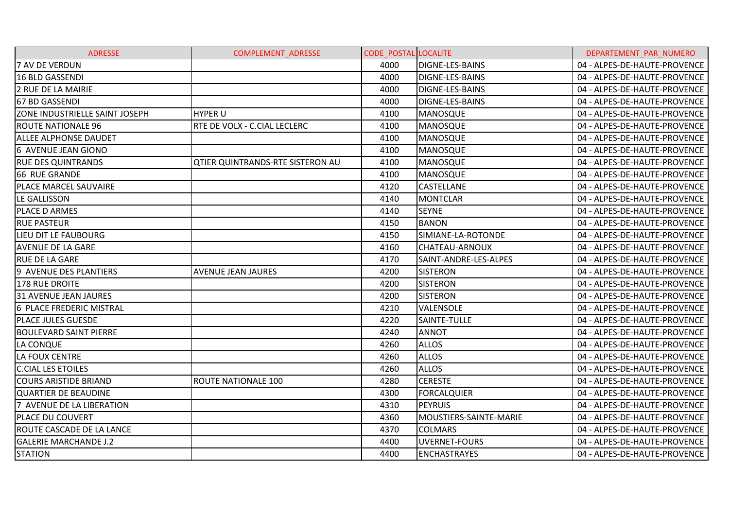| <b>ADRESSE</b>                   | <b>COMPLEMENT_ADRESSE</b>               | <b>CODE POSTAL LOCALITE</b> |                        | DEPARTEMENT PAR NUMERO       |
|----------------------------------|-----------------------------------------|-----------------------------|------------------------|------------------------------|
| 7 AV DE VERDUN                   |                                         | 4000                        | DIGNE-LES-BAINS        | 04 - ALPES-DE-HAUTE-PROVENCE |
| <b>16 BLD GASSENDI</b>           |                                         | 4000                        | <b>DIGNE-LES-BAINS</b> | 04 - ALPES-DE-HAUTE-PROVENCE |
| 2 RUE DE LA MAIRIE               |                                         | 4000                        | <b>DIGNE-LES-BAINS</b> | 04 - ALPES-DE-HAUTE-PROVENCE |
| 67 BD GASSENDI                   |                                         | 4000                        | <b>DIGNE-LES-BAINS</b> | 04 - ALPES-DE-HAUTE-PROVENCE |
| ZONE INDUSTRIELLE SAINT JOSEPH   | <b>HYPER U</b>                          | 4100                        | <b>MANOSQUE</b>        | 04 - ALPES-DE-HAUTE-PROVENCE |
| <b>ROUTE NATIONALE 96</b>        | RTE DE VOLX - C.CIAL LECLERC            | 4100                        | MANOSQUE               | 04 - ALPES-DE-HAUTE-PROVENCE |
| <b>ALLEE ALPHONSE DAUDET</b>     |                                         | 4100                        | <b>MANOSQUE</b>        | 04 - ALPES-DE-HAUTE-PROVENCE |
| 6 AVENUE JEAN GIONO              |                                         | 4100                        | MANOSQUE               | 04 - ALPES-DE-HAUTE-PROVENCE |
| <b>RUE DES QUINTRANDS</b>        | <b>QTIER QUINTRANDS-RTE SISTERON AU</b> | 4100                        | <b>MANOSQUE</b>        | 04 - ALPES-DE-HAUTE-PROVENCE |
| 66 RUE GRANDE                    |                                         | 4100                        | <b>MANOSQUE</b>        | 04 - ALPES-DE-HAUTE-PROVENCE |
| PLACE MARCEL SAUVAIRE            |                                         | 4120                        | <b>CASTELLANE</b>      | 04 - ALPES-DE-HAUTE-PROVENCE |
| LE GALLISSON                     |                                         | 4140                        | <b>MONTCLAR</b>        | 04 - ALPES-DE-HAUTE-PROVENCE |
| PLACE D ARMES                    |                                         | 4140                        | <b>SEYNE</b>           | 04 - ALPES-DE-HAUTE-PROVENCE |
| <b>RUE PASTEUR</b>               |                                         | 4150                        | <b>BANON</b>           | 04 - ALPES-DE-HAUTE-PROVENCE |
| LIEU DIT LE FAUBOURG             |                                         | 4150                        | SIMIANE-LA-ROTONDE     | 04 - ALPES-DE-HAUTE-PROVENCE |
| <b>AVENUE DE LA GARE</b>         |                                         | 4160                        | CHATEAU-ARNOUX         | 04 - ALPES-DE-HAUTE-PROVENCE |
| <b>RUE DE LA GARE</b>            |                                         | 4170                        | SAINT-ANDRE-LES-ALPES  | 04 - ALPES-DE-HAUTE-PROVENCE |
| 9 AVENUE DES PLANTIERS           | <b>AVENUE JEAN JAURES</b>               | 4200                        | <b>SISTERON</b>        | 04 - ALPES-DE-HAUTE-PROVENCE |
| <b>178 RUE DROITE</b>            |                                         | 4200                        | <b>SISTERON</b>        | 04 - ALPES-DE-HAUTE-PROVENCE |
| 31 AVENUE JEAN JAURES            |                                         | 4200                        | <b>SISTERON</b>        | 04 - ALPES-DE-HAUTE-PROVENCE |
| 6 PLACE FREDERIC MISTRAL         |                                         | 4210                        | VALENSOLE              | 04 - ALPES-DE-HAUTE-PROVENCE |
| <b>PLACE JULES GUESDE</b>        |                                         | 4220                        | SAINTE-TULLE           | 04 - ALPES-DE-HAUTE-PROVENCE |
| <b>BOULEVARD SAINT PIERRE</b>    |                                         | 4240                        | <b>ANNOT</b>           | 04 - ALPES-DE-HAUTE-PROVENCE |
| LA CONQUE                        |                                         | 4260                        | <b>ALLOS</b>           | 04 - ALPES-DE-HAUTE-PROVENCE |
| LA FOUX CENTRE                   |                                         | 4260                        | <b>ALLOS</b>           | 04 - ALPES-DE-HAUTE-PROVENCE |
| <b>C.CIAL LES ETOILES</b>        |                                         | 4260                        | <b>ALLOS</b>           | 04 - ALPES-DE-HAUTE-PROVENCE |
| <b>COURS ARISTIDE BRIAND</b>     | <b>ROUTE NATIONALE 100</b>              | 4280                        | <b>CERESTE</b>         | 04 - ALPES-DE-HAUTE-PROVENCE |
| QUARTIER DE BEAUDINE             |                                         | 4300                        | <b>FORCALQUIER</b>     | 04 - ALPES-DE-HAUTE-PROVENCE |
| 7 AVENUE DE LA LIBERATION        |                                         | 4310                        | <b>PEYRUIS</b>         | 04 - ALPES-DE-HAUTE-PROVENCE |
| <b>PLACE DU COUVERT</b>          |                                         | 4360                        | MOUSTIERS-SAINTE-MARIE | 04 - ALPES-DE-HAUTE-PROVENCE |
| <b>ROUTE CASCADE DE LA LANCE</b> |                                         | 4370                        | <b>COLMARS</b>         | 04 - ALPES-DE-HAUTE-PROVENCE |
| <b>GALERIE MARCHANDE J.2</b>     |                                         | 4400                        | UVERNET-FOURS          | 04 - ALPES-DE-HAUTE-PROVENCE |
| <b>STATION</b>                   |                                         | 4400                        | <b>ENCHASTRAYES</b>    | 04 - ALPES-DE-HAUTE-PROVENCE |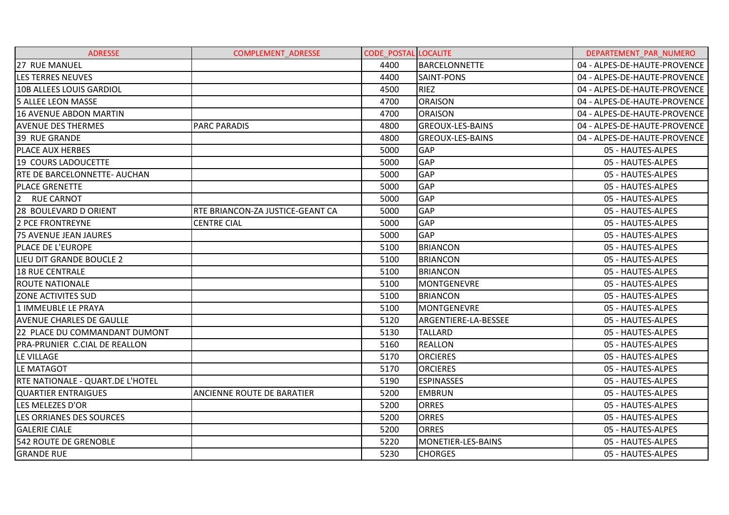| <b>ADRESSE</b>                      | <b>COMPLEMENT ADRESSE</b>        | <b>CODE POSTAL LOCALITE</b> |                         | DEPARTEMENT PAR NUMERO       |
|-------------------------------------|----------------------------------|-----------------------------|-------------------------|------------------------------|
| 27 RUE MANUEL                       |                                  | 4400                        | BARCELONNETTE           | 04 - ALPES-DE-HAUTE-PROVENCE |
| <b>LES TERRES NEUVES</b>            |                                  | 4400                        | <b>SAINT-PONS</b>       | 04 - ALPES-DE-HAUTE-PROVENCE |
| 10B ALLEES LOUIS GARDIOL            |                                  | 4500                        | <b>RIEZ</b>             | 04 - ALPES-DE-HAUTE-PROVENCE |
| <b>5 ALLEE LEON MASSE</b>           |                                  | 4700                        | <b>ORAISON</b>          | 04 - ALPES-DE-HAUTE-PROVENCE |
| <b>16 AVENUE ABDON MARTIN</b>       |                                  | 4700                        | <b>ORAISON</b>          | 04 - ALPES-DE-HAUTE-PROVENCE |
| <b>AVENUE DES THERMES</b>           | <b>PARC PARADIS</b>              | 4800                        | <b>GREOUX-LES-BAINS</b> | 04 - ALPES-DE-HAUTE-PROVENCE |
| 39 RUE GRANDE                       |                                  | 4800                        | <b>GREOUX-LES-BAINS</b> | 04 - ALPES-DE-HAUTE-PROVENCE |
| PLACE AUX HERBES                    |                                  | 5000                        | <b>GAP</b>              | 05 - HAUTES-ALPES            |
| 19 COURS LADOUCETTE                 |                                  | 5000                        | <b>GAP</b>              | 05 - HAUTES-ALPES            |
| <b>RTE DE BARCELONNETTE- AUCHAN</b> |                                  | 5000                        | GAP                     | 05 - HAUTES-ALPES            |
| <b>PLACE GRENETTE</b>               |                                  | 5000                        | GAP                     | 05 - HAUTES-ALPES            |
| 2 RUE CARNOT                        |                                  | 5000                        | <b>GAP</b>              | 05 - HAUTES-ALPES            |
| 28 BOULEVARD D ORIENT               | RTE BRIANCON-ZA JUSTICE-GEANT CA | 5000                        | <b>GAP</b>              | 05 - HAUTES-ALPES            |
| <b>2 PCE FRONTREYNE</b>             | <b>CENTRE CIAL</b>               | 5000                        | <b>GAP</b>              | 05 - HAUTES-ALPES            |
| <b>75 AVENUE JEAN JAURES</b>        |                                  | 5000                        | <b>GAP</b>              | 05 - HAUTES-ALPES            |
| PLACE DE L'EUROPE                   |                                  | 5100                        | <b>BRIANCON</b>         | 05 - HAUTES-ALPES            |
| LIEU DIT GRANDE BOUCLE 2            |                                  | 5100                        | <b>BRIANCON</b>         | 05 - HAUTES-ALPES            |
| <b>18 RUE CENTRALE</b>              |                                  | 5100                        | <b>BRIANCON</b>         | 05 - HAUTES-ALPES            |
| <b>ROUTE NATIONALE</b>              |                                  | 5100                        | <b>MONTGENEVRE</b>      | 05 - HAUTES-ALPES            |
| <b>ZONE ACTIVITES SUD</b>           |                                  | 5100                        | <b>BRIANCON</b>         | 05 - HAUTES-ALPES            |
| 1 IMMEUBLE LE PRAYA                 |                                  | 5100                        | MONTGENEVRE             | 05 - HAUTES-ALPES            |
| <b>AVENUE CHARLES DE GAULLE</b>     |                                  | 5120                        | ARGENTIERE-LA-BESSEE    | 05 - HAUTES-ALPES            |
| 22 PLACE DU COMMANDANT DUMONT       |                                  | 5130                        | <b>TALLARD</b>          | 05 - HAUTES-ALPES            |
| PRA-PRUNIER C.CIAL DE REALLON       |                                  | 5160                        | <b>REALLON</b>          | 05 - HAUTES-ALPES            |
| LE VILLAGE                          |                                  | 5170                        | <b>ORCIERES</b>         | 05 - HAUTES-ALPES            |
| LE MATAGOT                          |                                  | 5170                        | <b>ORCIERES</b>         | 05 - HAUTES-ALPES            |
| RTE NATIONALE - QUART.DE L'HOTEL    |                                  | 5190                        | <b>ESPINASSES</b>       | 05 - HAUTES-ALPES            |
| <b>QUARTIER ENTRAIGUES</b>          | ANCIENNE ROUTE DE BARATIER       | 5200                        | <b>EMBRUN</b>           | 05 - HAUTES-ALPES            |
| LES MELEZES D'OR                    |                                  | 5200                        | <b>ORRES</b>            | 05 - HAUTES-ALPES            |
| LES ORRIANES DES SOURCES            |                                  | 5200                        | <b>ORRES</b>            | 05 - HAUTES-ALPES            |
| <b>GALERIE CIALE</b>                |                                  | 5200                        | <b>ORRES</b>            | 05 - HAUTES-ALPES            |
| <b>542 ROUTE DE GRENOBLE</b>        |                                  | 5220                        | MONETIER-LES-BAINS      | 05 - HAUTES-ALPES            |
| <b>GRANDE RUE</b>                   |                                  | 5230                        | <b>CHORGES</b>          | 05 - HAUTES-ALPES            |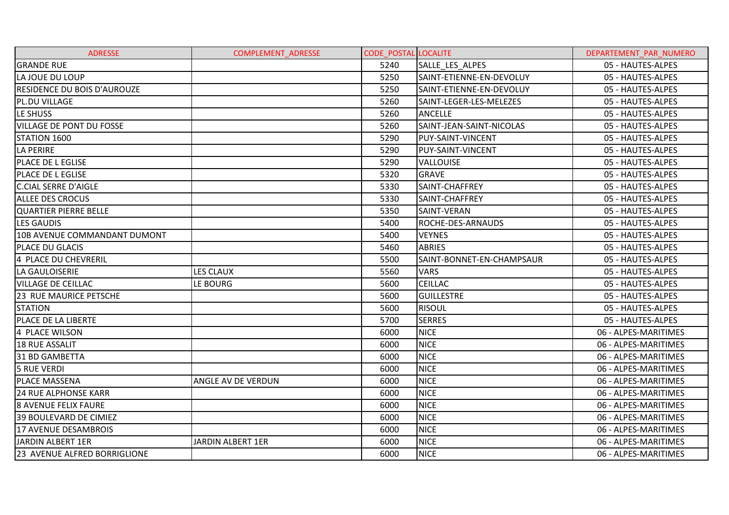| <b>ADRESSE</b>                     | <b>COMPLEMENT ADRESSE</b> | <b>CODE POSTAL LOCALITE</b> |                           | DEPARTEMENT PAR NUMERO |
|------------------------------------|---------------------------|-----------------------------|---------------------------|------------------------|
| <b>GRANDE RUE</b>                  |                           | 5240                        | SALLE LES ALPES           | 05 - HAUTES-ALPES      |
| LA JOUE DU LOUP                    |                           | 5250                        | SAINT-ETIENNE-EN-DEVOLUY  | 05 - HAUTES-ALPES      |
| <b>RESIDENCE DU BOIS D'AUROUZE</b> |                           | 5250                        | SAINT-ETIENNE-EN-DEVOLUY  | 05 - HAUTES-ALPES      |
| PL.DU VILLAGE                      |                           | 5260                        | SAINT-LEGER-LES-MELEZES   | 05 - HAUTES-ALPES      |
| LE SHUSS                           |                           | 5260                        | <b>ANCELLE</b>            | 05 - HAUTES-ALPES      |
| <b>VILLAGE DE PONT DU FOSSE</b>    |                           | 5260                        | SAINT-JEAN-SAINT-NICOLAS  | 05 - HAUTES-ALPES      |
| STATION 1600                       |                           | 5290                        | <b>PUY-SAINT-VINCENT</b>  | 05 - HAUTES-ALPES      |
| LA PERIRE                          |                           | 5290                        | PUY-SAINT-VINCENT         | 05 - HAUTES-ALPES      |
| <b>PLACE DE L EGLISE</b>           |                           | 5290                        | <b>VALLOUISE</b>          | 05 - HAUTES-ALPES      |
| <b>PLACE DE L EGLISE</b>           |                           | 5320                        | <b>GRAVE</b>              | 05 - HAUTES-ALPES      |
| <b>C.CIAL SERRE D'AIGLE</b>        |                           | 5330                        | SAINT-CHAFFREY            | 05 - HAUTES-ALPES      |
| <b>ALLEE DES CROCUS</b>            |                           | 5330                        | SAINT-CHAFFREY            | 05 - HAUTES-ALPES      |
| QUARTIER PIERRE BELLE              |                           | 5350                        | SAINT-VERAN               | 05 - HAUTES-ALPES      |
| <b>LES GAUDIS</b>                  |                           | 5400                        | <b>ROCHE-DES-ARNAUDS</b>  | 05 - HAUTES-ALPES      |
| 10B AVENUE COMMANDANT DUMONT       |                           | 5400                        | <b>VEYNES</b>             | 05 - HAUTES-ALPES      |
| PLACE DU GLACIS                    |                           | 5460                        | <b>ABRIES</b>             | 05 - HAUTES-ALPES      |
| 4 PLACE DU CHEVRERIL               |                           | 5500                        | SAINT-BONNET-EN-CHAMPSAUR | 05 - HAUTES-ALPES      |
| LA GAULOISERIE                     | <b>LES CLAUX</b>          | 5560                        | <b>VARS</b>               | 05 - HAUTES-ALPES      |
| <b>VILLAGE DE CEILLAC</b>          | LE BOURG                  | 5600                        | <b>CEILLAC</b>            | 05 - HAUTES-ALPES      |
| <b>23 RUE MAURICE PETSCHE</b>      |                           | 5600                        | <b>GUILLESTRE</b>         | 05 - HAUTES-ALPES      |
| <b>STATION</b>                     |                           | 5600                        | <b>RISOUL</b>             | 05 - HAUTES-ALPES      |
| PLACE DE LA LIBERTE                |                           | 5700                        | <b>SERRES</b>             | 05 - HAUTES-ALPES      |
| 4 PLACE WILSON                     |                           | 6000                        | <b>NICE</b>               | 06 - ALPES-MARITIMES   |
| <b>18 RUE ASSALIT</b>              |                           | 6000                        | <b>NICE</b>               | 06 - ALPES-MARITIMES   |
| 31 BD GAMBETTA                     |                           | 6000                        | <b>NICE</b>               | 06 - ALPES-MARITIMES   |
| 5 RUE VERDI                        |                           | 6000                        | <b>NICE</b>               | 06 - ALPES-MARITIMES   |
| <b>PLACE MASSENA</b>               | ANGLE AV DE VERDUN        | 6000                        | <b>NICE</b>               | 06 - ALPES-MARITIMES   |
| <b>24 RUE ALPHONSE KARR</b>        |                           | 6000                        | <b>NICE</b>               | 06 - ALPES-MARITIMES   |
| 8 AVENUE FELIX FAURE               |                           | 6000                        | <b>NICE</b>               | 06 - ALPES-MARITIMES   |
| 39 BOULEVARD DE CIMIEZ             |                           | 6000                        | <b>NICE</b>               | 06 - ALPES-MARITIMES   |
| 17 AVENUE DESAMBROIS               |                           | 6000                        | <b>NICE</b>               | 06 - ALPES-MARITIMES   |
| JARDIN ALBERT 1ER                  | JARDIN ALBERT 1ER         | 6000                        | <b>NICE</b>               | 06 - ALPES-MARITIMES   |
| 23 AVENUE ALFRED BORRIGLIONE       |                           | 6000                        | <b>NICE</b>               | 06 - ALPES-MARITIMES   |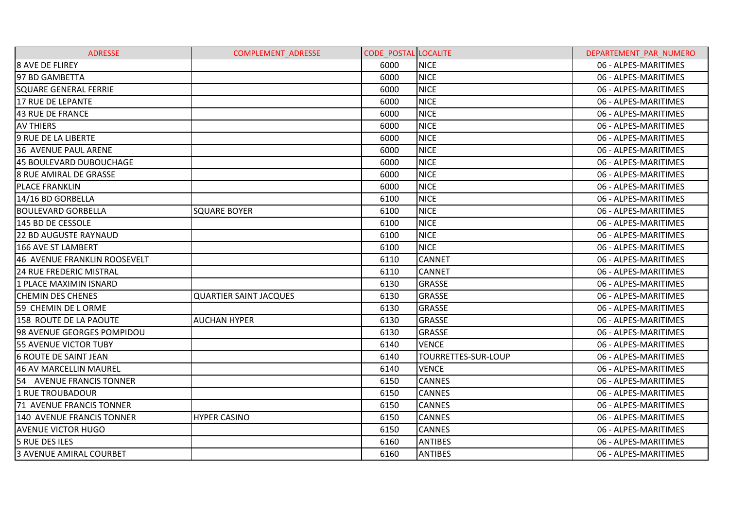| <b>ADRESSE</b>                 | <b>COMPLEMENT ADRESSE</b>     | <b>CODE POSTAL LOCALITE</b> |                            | DEPARTEMENT PAR NUMERO |
|--------------------------------|-------------------------------|-----------------------------|----------------------------|------------------------|
| <b>8 AVE DE FLIREY</b>         |                               | 6000                        | <b>NICE</b>                | 06 - ALPES-MARITIMES   |
| 97 BD GAMBETTA                 |                               | 6000                        | <b>NICE</b>                | 06 - ALPES-MARITIMES   |
| <b>SQUARE GENERAL FERRIE</b>   |                               | 6000                        | <b>NICE</b>                | 06 - ALPES-MARITIMES   |
| 17 RUE DE LEPANTE              |                               | 6000                        | <b>NICE</b>                | 06 - ALPES-MARITIMES   |
| 43 RUE DE FRANCE               |                               | 6000                        | <b>NICE</b>                | 06 - ALPES-MARITIMES   |
| <b>AV THIERS</b>               |                               | 6000                        | <b>NICE</b>                | 06 - ALPES-MARITIMES   |
| 9 RUE DE LA LIBERTE            |                               | 6000                        | <b>NICE</b>                | 06 - ALPES-MARITIMES   |
| 36 AVENUE PAUL ARENE           |                               | 6000                        | <b>NICE</b>                | 06 - ALPES-MARITIMES   |
| 45 BOULEVARD DUBOUCHAGE        |                               | 6000                        | <b>NICE</b>                | 06 - ALPES-MARITIMES   |
| <b>8 RUE AMIRAL DE GRASSE</b>  |                               | 6000                        | <b>NICE</b>                | 06 - ALPES-MARITIMES   |
| <b>PLACE FRANKLIN</b>          |                               | 6000                        | <b>NICE</b>                | 06 - ALPES-MARITIMES   |
| 14/16 BD GORBELLA              |                               | 6100                        | <b>NICE</b>                | 06 - ALPES-MARITIMES   |
| <b>BOULEVARD GORBELLA</b>      | <b>SQUARE BOYER</b>           | 6100                        | <b>NICE</b>                | 06 - ALPES-MARITIMES   |
| 145 BD DE CESSOLE              |                               | 6100                        | <b>NICE</b>                | 06 - ALPES-MARITIMES   |
| <b>22 BD AUGUSTE RAYNAUD</b>   |                               | 6100                        | <b>NICE</b>                | 06 - ALPES-MARITIMES   |
| 166 AVE ST LAMBERT             |                               | 6100                        | <b>NICE</b>                | 06 - ALPES-MARITIMES   |
| 46 AVENUE FRANKLIN ROOSEVELT   |                               | 6110                        | <b>CANNET</b>              | 06 - ALPES-MARITIMES   |
| <b>24 RUE FREDERIC MISTRAL</b> |                               | 6110                        | <b>CANNET</b>              | 06 - ALPES-MARITIMES   |
| 1 PLACE MAXIMIN ISNARD         |                               | 6130                        | <b>GRASSE</b>              | 06 - ALPES-MARITIMES   |
| <b>CHEMIN DES CHENES</b>       | <b>QUARTIER SAINT JACQUES</b> | 6130                        | <b>GRASSE</b>              | 06 - ALPES-MARITIMES   |
| 59 CHEMIN DE LORME             |                               | 6130                        | <b>GRASSE</b>              | 06 - ALPES-MARITIMES   |
| 158 ROUTE DE LA PAOUTE         | <b>AUCHAN HYPER</b>           | 6130                        | <b>GRASSE</b>              | 06 - ALPES-MARITIMES   |
| 98 AVENUE GEORGES POMPIDOU     |                               | 6130                        | <b>GRASSE</b>              | 06 - ALPES-MARITIMES   |
| <b>55 AVENUE VICTOR TUBY</b>   |                               | 6140                        | <b>VENCE</b>               | 06 - ALPES-MARITIMES   |
| <b>6 ROUTE DE SAINT JEAN</b>   |                               | 6140                        | <b>TOURRETTES-SUR-LOUP</b> | 06 - ALPES-MARITIMES   |
| 46 AV MARCELLIN MAUREL         |                               | 6140                        | <b>VENCE</b>               | 06 - ALPES-MARITIMES   |
| 54 AVENUE FRANCIS TONNER       |                               | 6150                        | <b>CANNES</b>              | 06 - ALPES-MARITIMES   |
| 1 RUE TROUBADOUR               |                               | 6150                        | <b>CANNES</b>              | 06 - ALPES-MARITIMES   |
| 71 AVENUE FRANCIS TONNER       |                               | 6150                        | <b>CANNES</b>              | 06 - ALPES-MARITIMES   |
| 140 AVENUE FRANCIS TONNER      | <b>HYPER CASINO</b>           | 6150                        | <b>CANNES</b>              | 06 - ALPES-MARITIMES   |
| <b>AVENUE VICTOR HUGO</b>      |                               | 6150                        | <b>CANNES</b>              | 06 - ALPES-MARITIMES   |
| 5 RUE DES ILES                 |                               | 6160                        | <b>ANTIBES</b>             | 06 - ALPES-MARITIMES   |
| 3 AVENUE AMIRAL COURBET        |                               | 6160                        | <b>ANTIBES</b>             | 06 - ALPES-MARITIMES   |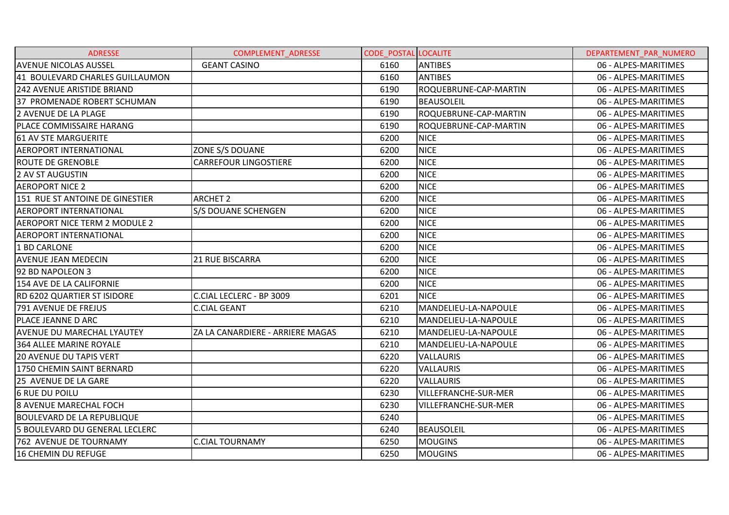| <b>ADRESSE</b>                     | <b>COMPLEMENT ADRESSE</b>        | <b>CODE POSTAL LOCALITE</b> |                             | DEPARTEMENT PAR NUMERO |
|------------------------------------|----------------------------------|-----------------------------|-----------------------------|------------------------|
| <b>AVENUE NICOLAS AUSSEL</b>       | <b>GEANT CASINO</b>              | 6160                        | <b>ANTIBES</b>              | 06 - ALPES-MARITIMES   |
| 41 BOULEVARD CHARLES GUILLAUMON    |                                  | 6160                        | <b>ANTIBES</b>              | 06 - ALPES-MARITIMES   |
| <b>242 AVENUE ARISTIDE BRIAND</b>  |                                  | 6190                        | ROQUEBRUNE-CAP-MARTIN       | 06 - ALPES-MARITIMES   |
| 37 PROMENADE ROBERT SCHUMAN        |                                  | 6190                        | <b>BEAUSOLEIL</b>           | 06 - ALPES-MARITIMES   |
| 2 AVENUE DE LA PLAGE               |                                  | 6190                        | ROQUEBRUNE-CAP-MARTIN       | 06 - ALPES-MARITIMES   |
| PLACE COMMISSAIRE HARANG           |                                  | 6190                        | ROQUEBRUNE-CAP-MARTIN       | 06 - ALPES-MARITIMES   |
| 61 AV STE MARGUERITE               |                                  | 6200                        | <b>NICE</b>                 | 06 - ALPES-MARITIMES   |
| <b>AEROPORT INTERNATIONAL</b>      | ZONE S/S DOUANE                  | 6200                        | <b>NICE</b>                 | 06 - ALPES-MARITIMES   |
| <b>ROUTE DE GRENOBLE</b>           | <b>CARREFOUR LINGOSTIERE</b>     | 6200                        | <b>NICE</b>                 | 06 - ALPES-MARITIMES   |
| <b>2 AV ST AUGUSTIN</b>            |                                  | 6200                        | <b>NICE</b>                 | 06 - ALPES-MARITIMES   |
| <b>AEROPORT NICE 2</b>             |                                  | 6200                        | <b>NICE</b>                 | 06 - ALPES-MARITIMES   |
| 151 RUE ST ANTOINE DE GINESTIER    | <b>ARCHET 2</b>                  | 6200                        | <b>NICE</b>                 | 06 - ALPES-MARITIMES   |
| <b>AEROPORT INTERNATIONAL</b>      | <b>S/S DOUANE SCHENGEN</b>       | 6200                        | <b>NICE</b>                 | 06 - ALPES-MARITIMES   |
| AEROPORT NICE TERM 2 MODULE 2      |                                  | 6200                        | <b>NICE</b>                 | 06 - ALPES-MARITIMES   |
| <b>AEROPORT INTERNATIONAL</b>      |                                  | 6200                        | <b>NICE</b>                 | 06 - ALPES-MARITIMES   |
| 1 BD CARLONE                       |                                  | 6200                        | <b>NICE</b>                 | 06 - ALPES-MARITIMES   |
| <b>AVENUE JEAN MEDECIN</b>         | <b>21 RUE BISCARRA</b>           | 6200                        | <b>NICE</b>                 | 06 - ALPES-MARITIMES   |
| 92 BD NAPOLEON 3                   |                                  | 6200                        | <b>NICE</b>                 | 06 - ALPES-MARITIMES   |
| 154 AVE DE LA CALIFORNIE           |                                  | 6200                        | <b>NICE</b>                 | 06 - ALPES-MARITIMES   |
| <b>RD 6202 QUARTIER ST ISIDORE</b> | C.CIAL LECLERC - BP 3009         | 6201                        | <b>NICE</b>                 | 06 - ALPES-MARITIMES   |
| 791 AVENUE DE FREJUS               | <b>C.CIAL GEANT</b>              | 6210                        | MANDELIEU-LA-NAPOULE        | 06 - ALPES-MARITIMES   |
| PLACE JEANNE D ARC                 |                                  | 6210                        | MANDELIEU-LA-NAPOULE        | 06 - ALPES-MARITIMES   |
| AVENUE DU MARECHAL LYAUTEY         | ZA LA CANARDIERE - ARRIERE MAGAS | 6210                        | MANDELIEU-LA-NAPOULE        | 06 - ALPES-MARITIMES   |
| 364 ALLEE MARINE ROYALE            |                                  | 6210                        | MANDELIEU-LA-NAPOULE        | 06 - ALPES-MARITIMES   |
| <b>20 AVENUE DU TAPIS VERT</b>     |                                  | 6220                        | <b>VALLAURIS</b>            | 06 - ALPES-MARITIMES   |
| 1750 CHEMIN SAINT BERNARD          |                                  | 6220                        | <b>VALLAURIS</b>            | 06 - ALPES-MARITIMES   |
| 25 AVENUE DE LA GARE               |                                  | 6220                        | <b>VALLAURIS</b>            | 06 - ALPES-MARITIMES   |
| <b>6 RUE DU POILU</b>              |                                  | 6230                        | <b>VILLEFRANCHE-SUR-MER</b> | 06 - ALPES-MARITIMES   |
| <b>8 AVENUE MARECHAL FOCH</b>      |                                  | 6230                        | <b>VILLEFRANCHE-SUR-MER</b> | 06 - ALPES-MARITIMES   |
| <b>BOULEVARD DE LA REPUBLIQUE</b>  |                                  | 6240                        |                             | 06 - ALPES-MARITIMES   |
| 5 BOULEVARD DU GENERAL LECLERC     |                                  | 6240                        | <b>BEAUSOLEIL</b>           | 06 - ALPES-MARITIMES   |
| 762 AVENUE DE TOURNAMY             | <b>C.CIAL TOURNAMY</b>           | 6250                        | <b>MOUGINS</b>              | 06 - ALPES-MARITIMES   |
| <b>16 CHEMIN DU REFUGE</b>         |                                  | 6250                        | <b>MOUGINS</b>              | 06 - ALPES-MARITIMES   |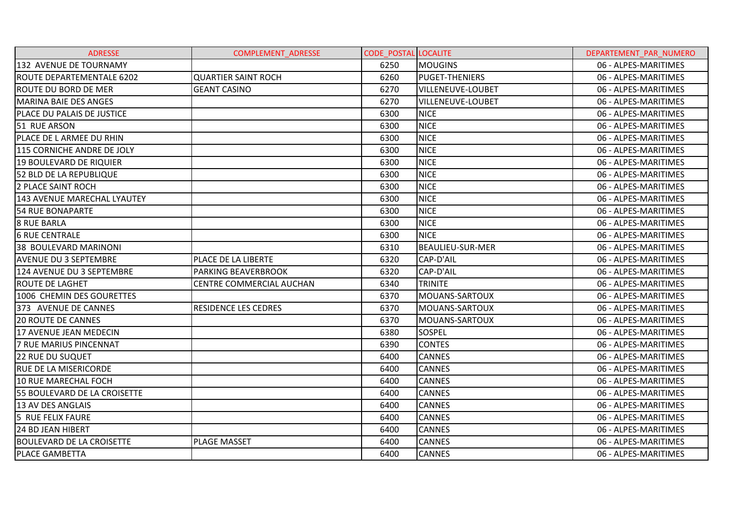| <b>ADRESSE</b>                   | <b>COMPLEMENT ADRESSE</b>       | <b>CODE POSTAL LOCALITE</b> |                          | DEPARTEMENT PAR NUMERO |
|----------------------------------|---------------------------------|-----------------------------|--------------------------|------------------------|
| 132 AVENUE DE TOURNAMY           |                                 | 6250                        | <b>MOUGINS</b>           | 06 - ALPES-MARITIMES   |
| <b>ROUTE DEPARTEMENTALE 6202</b> | <b>QUARTIER SAINT ROCH</b>      | 6260                        | <b>PUGET-THENIERS</b>    | 06 - ALPES-MARITIMES   |
| ROUTE DU BORD DE MER             | <b>GEANT CASINO</b>             | 6270                        | <b>VILLENEUVE-LOUBET</b> | 06 - ALPES-MARITIMES   |
| MARINA BAIE DES ANGES            |                                 | 6270                        | <b>VILLENEUVE-LOUBET</b> | 06 - ALPES-MARITIMES   |
| PLACE DU PALAIS DE JUSTICE       |                                 | 6300                        | <b>NICE</b>              | 06 - ALPES-MARITIMES   |
| 51 RUE ARSON                     |                                 | 6300                        | <b>NICE</b>              | 06 - ALPES-MARITIMES   |
| PLACE DE L ARMEE DU RHIN         |                                 | 6300                        | <b>NICE</b>              | 06 - ALPES-MARITIMES   |
| 115 CORNICHE ANDRE DE JOLY       |                                 | 6300                        | <b>NICE</b>              | 06 - ALPES-MARITIMES   |
| 19 BOULEVARD DE RIQUIER          |                                 | 6300                        | <b>NICE</b>              | 06 - ALPES-MARITIMES   |
| 52 BLD DE LA REPUBLIQUE          |                                 | 6300                        | <b>NICE</b>              | 06 - ALPES-MARITIMES   |
| 2 PLACE SAINT ROCH               |                                 | 6300                        | <b>NICE</b>              | 06 - ALPES-MARITIMES   |
| 143 AVENUE MARECHAL LYAUTEY      |                                 | 6300                        | <b>NICE</b>              | 06 - ALPES-MARITIMES   |
| 54 RUE BONAPARTE                 |                                 | 6300                        | <b>NICE</b>              | 06 - ALPES-MARITIMES   |
| <b>8 RUE BARLA</b>               |                                 | 6300                        | <b>NICE</b>              | 06 - ALPES-MARITIMES   |
| <b>6 RUE CENTRALE</b>            |                                 | 6300                        | <b>NICE</b>              | 06 - ALPES-MARITIMES   |
| 38 BOULEVARD MARINONI            |                                 | 6310                        | <b>BEAULIEU-SUR-MER</b>  | 06 - ALPES-MARITIMES   |
| <b>AVENUE DU 3 SEPTEMBRE</b>     | PLACE DE LA LIBERTE             | 6320                        | CAP-D'AIL                | 06 - ALPES-MARITIMES   |
| 124 AVENUE DU 3 SEPTEMBRE        | <b>PARKING BEAVERBROOK</b>      | 6320                        | CAP-D'AIL                | 06 - ALPES-MARITIMES   |
| <b>ROUTE DE LAGHET</b>           | <b>CENTRE COMMERCIAL AUCHAN</b> | 6340                        | <b>TRINITE</b>           | 06 - ALPES-MARITIMES   |
| 1006 CHEMIN DES GOURETTES        |                                 | 6370                        | MOUANS-SARTOUX           | 06 - ALPES-MARITIMES   |
| 373 AVENUE DE CANNES             | <b>RESIDENCE LES CEDRES</b>     | 6370                        | MOUANS-SARTOUX           | 06 - ALPES-MARITIMES   |
| <b>20 ROUTE DE CANNES</b>        |                                 | 6370                        | MOUANS-SARTOUX           | 06 - ALPES-MARITIMES   |
| 17 AVENUE JEAN MEDECIN           |                                 | 6380                        | <b>SOSPEL</b>            | 06 - ALPES-MARITIMES   |
| 7 RUE MARIUS PINCENNAT           |                                 | 6390                        | <b>CONTES</b>            | 06 - ALPES-MARITIMES   |
| <b>22 RUE DU SUQUET</b>          |                                 | 6400                        | <b>CANNES</b>            | 06 - ALPES-MARITIMES   |
| <b>RUE DE LA MISERICORDE</b>     |                                 | 6400                        | <b>CANNES</b>            | 06 - ALPES-MARITIMES   |
| 10 RUE MARECHAL FOCH             |                                 | 6400                        | <b>CANNES</b>            | 06 - ALPES-MARITIMES   |
| 55 BOULEVARD DE LA CROISETTE     |                                 | 6400                        | <b>CANNES</b>            | 06 - ALPES-MARITIMES   |
| 13 AV DES ANGLAIS                |                                 | 6400                        | <b>CANNES</b>            | 06 - ALPES-MARITIMES   |
| 5 RUE FELIX FAURE                |                                 | 6400                        | <b>CANNES</b>            | 06 - ALPES-MARITIMES   |
| <b>24 BD JEAN HIBERT</b>         |                                 | 6400                        | <b>CANNES</b>            | 06 - ALPES-MARITIMES   |
| <b>BOULEVARD DE LA CROISETTE</b> | <b>PLAGE MASSET</b>             | 6400                        | <b>CANNES</b>            | 06 - ALPES-MARITIMES   |
| <b>PLACE GAMBETTA</b>            |                                 | 6400                        | <b>CANNES</b>            | 06 - ALPES-MARITIMES   |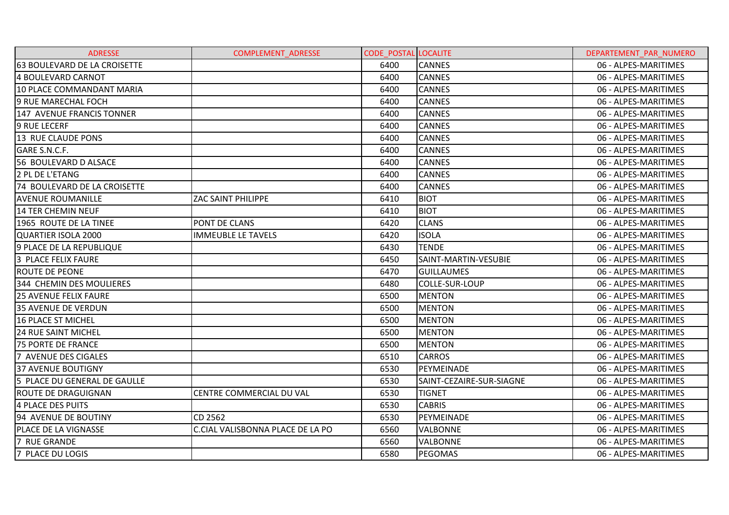| <b>ADRESSE</b>               | <b>COMPLEMENT ADRESSE</b>        | <b>CODE POSTAL LOCALITE</b> |                          | DEPARTEMENT PAR NUMERO |
|------------------------------|----------------------------------|-----------------------------|--------------------------|------------------------|
| 63 BOULEVARD DE LA CROISETTE |                                  | 6400                        | <b>CANNES</b>            | 06 - ALPES-MARITIMES   |
| 4 BOULEVARD CARNOT           |                                  | 6400                        | <b>CANNES</b>            | 06 - ALPES-MARITIMES   |
| 10 PLACE COMMANDANT MARIA    |                                  | 6400                        | <b>CANNES</b>            | 06 - ALPES-MARITIMES   |
| 9 RUE MARECHAL FOCH          |                                  | 6400                        | <b>CANNES</b>            | 06 - ALPES-MARITIMES   |
| 147 AVENUE FRANCIS TONNER    |                                  | 6400                        | <b>CANNES</b>            | 06 - ALPES-MARITIMES   |
| <b>9 RUE LECERF</b>          |                                  | 6400                        | <b>CANNES</b>            | 06 - ALPES-MARITIMES   |
| 13 RUE CLAUDE PONS           |                                  | 6400                        | <b>CANNES</b>            | 06 - ALPES-MARITIMES   |
| GARE S.N.C.F.                |                                  | 6400                        | <b>CANNES</b>            | 06 - ALPES-MARITIMES   |
| 56 BOULEVARD D ALSACE        |                                  | 6400                        | <b>CANNES</b>            | 06 - ALPES-MARITIMES   |
| 2 PL DE L'ETANG              |                                  | 6400                        | <b>CANNES</b>            | 06 - ALPES-MARITIMES   |
| 74 BOULEVARD DE LA CROISETTE |                                  | 6400                        | <b>CANNES</b>            | 06 - ALPES-MARITIMES   |
| <b>AVENUE ROUMANILLE</b>     | ZAC SAINT PHILIPPE               | 6410                        | <b>BIOT</b>              | 06 - ALPES-MARITIMES   |
| 14 TER CHEMIN NEUF           |                                  | 6410                        | <b>BIOT</b>              | 06 - ALPES-MARITIMES   |
| 1965 ROUTE DE LA TINEE       | PONT DE CLANS                    | 6420                        | <b>CLANS</b>             | 06 - ALPES-MARITIMES   |
| QUARTIER ISOLA 2000          | <b>IMMEUBLE LE TAVELS</b>        | 6420                        | <b>ISOLA</b>             | 06 - ALPES-MARITIMES   |
| 9 PLACE DE LA REPUBLIQUE     |                                  | 6430                        | <b>TENDE</b>             | 06 - ALPES-MARITIMES   |
| 3 PLACE FELIX FAURE          |                                  | 6450                        | SAINT-MARTIN-VESUBIE     | 06 - ALPES-MARITIMES   |
| <b>ROUTE DE PEONE</b>        |                                  | 6470                        | <b>GUILLAUMES</b>        | 06 - ALPES-MARITIMES   |
| 344 CHEMIN DES MOULIERES     |                                  | 6480                        | COLLE-SUR-LOUP           | 06 - ALPES-MARITIMES   |
| <b>25 AVENUE FELIX FAURE</b> |                                  | 6500                        | <b>MENTON</b>            | 06 - ALPES-MARITIMES   |
| <b>35 AVENUE DE VERDUN</b>   |                                  | 6500                        | <b>MENTON</b>            | 06 - ALPES-MARITIMES   |
| 16 PLACE ST MICHEL           |                                  | 6500                        | <b>MENTON</b>            | 06 - ALPES-MARITIMES   |
| <b>24 RUE SAINT MICHEL</b>   |                                  | 6500                        | <b>MENTON</b>            | 06 - ALPES-MARITIMES   |
| <b>75 PORTE DE FRANCE</b>    |                                  | 6500                        | <b>MENTON</b>            | 06 - ALPES-MARITIMES   |
| 7 AVENUE DES CIGALES         |                                  | 6510                        | <b>CARROS</b>            | 06 - ALPES-MARITIMES   |
| <b>37 AVENUE BOUTIGNY</b>    |                                  | 6530                        | PEYMEINADE               | 06 - ALPES-MARITIMES   |
| 5 PLACE DU GENERAL DE GAULLE |                                  | 6530                        | SAINT-CEZAIRE-SUR-SIAGNE | 06 - ALPES-MARITIMES   |
| <b>ROUTE DE DRAGUIGNAN</b>   | CENTRE COMMERCIAL DU VAL         | 6530                        | TIGNET                   | 06 - ALPES-MARITIMES   |
| 4 PLACE DES PUITS            |                                  | 6530                        | <b>CABRIS</b>            | 06 - ALPES-MARITIMES   |
| 94 AVENUE DE BOUTINY         | CD 2562                          | 6530                        | PEYMEINADE               | 06 - ALPES-MARITIMES   |
| PLACE DE LA VIGNASSE         | C.CIAL VALISBONNA PLACE DE LA PO | 6560                        | <b>VALBONNE</b>          | 06 - ALPES-MARITIMES   |
| 7 RUE GRANDE                 |                                  | 6560                        | <b>VALBONNE</b>          | 06 - ALPES-MARITIMES   |
| 7 PLACE DU LOGIS             |                                  | 6580                        | PEGOMAS                  | 06 - ALPES-MARITIMES   |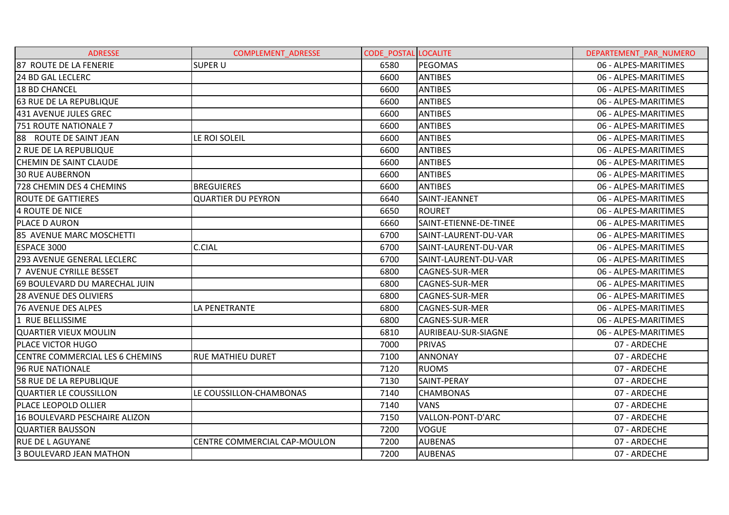| <b>ADRESSE</b>                  | <b>COMPLEMENT ADRESSE</b>    | <b>CODE POSTAL LOCALITE</b> |                        | DEPARTEMENT PAR NUMERO |
|---------------------------------|------------------------------|-----------------------------|------------------------|------------------------|
| 87 ROUTE DE LA FENERIE          | <b>SUPER U</b>               | 6580                        | PEGOMAS                | 06 - ALPES-MARITIMES   |
| 24 BD GAL LECLERC               |                              | 6600                        | <b>ANTIBES</b>         | 06 - ALPES-MARITIMES   |
| <b>18 BD CHANCEL</b>            |                              | 6600                        | <b>ANTIBES</b>         | 06 - ALPES-MARITIMES   |
| <b>63 RUE DE LA REPUBLIQUE</b>  |                              | 6600                        | <b>ANTIBES</b>         | 06 - ALPES-MARITIMES   |
| 431 AVENUE JULES GREC           |                              | 6600                        | <b>ANTIBES</b>         | 06 - ALPES-MARITIMES   |
| <b>751 ROUTE NATIONALE 7</b>    |                              | 6600                        | <b>ANTIBES</b>         | 06 - ALPES-MARITIMES   |
| 88 ROUTE DE SAINT JEAN          | LE ROI SOLEIL                | 6600                        | <b>ANTIBES</b>         | 06 - ALPES-MARITIMES   |
| 2 RUE DE LA REPUBLIQUE          |                              | 6600                        | <b>ANTIBES</b>         | 06 - ALPES-MARITIMES   |
| <b>CHEMIN DE SAINT CLAUDE</b>   |                              | 6600                        | <b>ANTIBES</b>         | 06 - ALPES-MARITIMES   |
| <b>30 RUE AUBERNON</b>          |                              | 6600                        | <b>ANTIBES</b>         | 06 - ALPES-MARITIMES   |
| 728 CHEMIN DES 4 CHEMINS        | <b>BREGUIERES</b>            | 6600                        | <b>ANTIBES</b>         | 06 - ALPES-MARITIMES   |
| <b>ROUTE DE GATTIERES</b>       | <b>QUARTIER DU PEYRON</b>    | 6640                        | SAINT-JEANNET          | 06 - ALPES-MARITIMES   |
| 4 ROUTE DE NICE                 |                              | 6650                        | <b>ROURET</b>          | 06 - ALPES-MARITIMES   |
| PLACE D AURON                   |                              | 6660                        | SAINT-ETIENNE-DE-TINEE | 06 - ALPES-MARITIMES   |
| 85 AVENUE MARC MOSCHETTI        |                              | 6700                        | SAINT-LAURENT-DU-VAR   | 06 - ALPES-MARITIMES   |
| ESPACE 3000                     | <b>C.CIAL</b>                | 6700                        | SAINT-LAURENT-DU-VAR   | 06 - ALPES-MARITIMES   |
| 293 AVENUE GENERAL LECLERC      |                              | 6700                        | SAINT-LAURENT-DU-VAR   | 06 - ALPES-MARITIMES   |
| 7 AVENUE CYRILLE BESSET         |                              | 6800                        | <b>CAGNES-SUR-MER</b>  | 06 - ALPES-MARITIMES   |
| 69 BOULEVARD DU MARECHAL JUIN   |                              | 6800                        | CAGNES-SUR-MER         | 06 - ALPES-MARITIMES   |
| <b>28 AVENUE DES OLIVIERS</b>   |                              | 6800                        | <b>CAGNES-SUR-MER</b>  | 06 - ALPES-MARITIMES   |
| <b>76 AVENUE DES ALPES</b>      | LA PENETRANTE                | 6800                        | CAGNES-SUR-MER         | 06 - ALPES-MARITIMES   |
| 1 RUE BELLISSIME                |                              | 6800                        | CAGNES-SUR-MER         | 06 - ALPES-MARITIMES   |
| <b>QUARTIER VIEUX MOULIN</b>    |                              | 6810                        | AURIBEAU-SUR-SIAGNE    | 06 - ALPES-MARITIMES   |
| PLACE VICTOR HUGO               |                              | 7000                        | <b>PRIVAS</b>          | 07 - ARDECHE           |
| CENTRE COMMERCIAL LES 6 CHEMINS | <b>RUE MATHIEU DURET</b>     | 7100                        | <b>ANNONAY</b>         | 07 - ARDECHE           |
| 96 RUE NATIONALE                |                              | 7120                        | <b>RUOMS</b>           | 07 - ARDECHE           |
| <b>58 RUE DE LA REPUBLIQUE</b>  |                              | 7130                        | SAINT-PERAY            | 07 - ARDECHE           |
| QUARTIER LE COUSSILLON          | LE COUSSILLON-CHAMBONAS      | 7140                        | <b>CHAMBONAS</b>       | 07 - ARDECHE           |
| <b>PLACE LEOPOLD OLLIER</b>     |                              | 7140                        | <b>VANS</b>            | 07 - ARDECHE           |
| 16 BOULEVARD PESCHAIRE ALIZON   |                              | 7150                        | VALLON-PONT-D'ARC      | 07 - ARDECHE           |
| <b>QUARTIER BAUSSON</b>         |                              | 7200                        | <b>VOGUE</b>           | 07 - ARDECHE           |
| <b>RUE DE LAGUYANE</b>          | CENTRE COMMERCIAL CAP-MOULON | 7200                        | <b>AUBENAS</b>         | 07 - ARDECHE           |
| 3 BOULEVARD JEAN MATHON         |                              | 7200                        | <b>AUBENAS</b>         | 07 - ARDECHE           |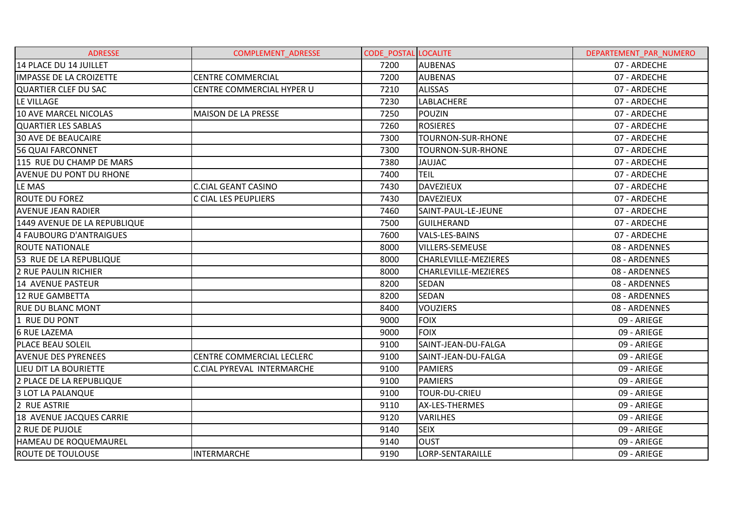| <b>ADRESSE</b>                 | <b>COMPLEMENT ADRESSE</b>         | <b>CODE POSTAL LOCALITE</b> |                             | DEPARTEMENT PAR NUMERO |
|--------------------------------|-----------------------------------|-----------------------------|-----------------------------|------------------------|
| 14 PLACE DU 14 JUILLET         |                                   | 7200                        | <b>AUBENAS</b>              | 07 - ARDECHE           |
| <b>IMPASSE DE LA CROIZETTE</b> | <b>CENTRE COMMERCIAL</b>          | 7200                        | <b>AUBENAS</b>              | 07 - ARDECHE           |
| QUARTIER CLEF DU SAC           | CENTRE COMMERCIAL HYPER U         | 7210                        | <b>ALISSAS</b>              | 07 - ARDECHE           |
| LE VILLAGE                     |                                   | 7230                        | <b>LABLACHERE</b>           | 07 - ARDECHE           |
| <b>10 AVE MARCEL NICOLAS</b>   | <b>MAISON DE LA PRESSE</b>        | 7250                        | <b>POUZIN</b>               | 07 - ARDECHE           |
| <b>QUARTIER LES SABLAS</b>     |                                   | 7260                        | <b>ROSIERES</b>             | 07 - ARDECHE           |
| <b>30 AVE DE BEAUCAIRE</b>     |                                   | 7300                        | TOURNON-SUR-RHONE           | 07 - ARDECHE           |
| 56 QUAI FARCONNET              |                                   | 7300                        | TOURNON-SUR-RHONE           | 07 - ARDECHE           |
| 115 RUE DU CHAMP DE MARS       |                                   | 7380                        | <b>JAUJAC</b>               | 07 - ARDECHE           |
| <b>AVENUE DU PONT DU RHONE</b> |                                   | 7400                        | <b>TEIL</b>                 | 07 - ARDECHE           |
| LE MAS                         | <b>C.CIAL GEANT CASINO</b>        | 7430                        | <b>DAVEZIEUX</b>            | 07 - ARDECHE           |
| <b>ROUTE DU FOREZ</b>          | C CIAL LES PEUPLIERS              | 7430                        | <b>DAVEZIEUX</b>            | 07 - ARDECHE           |
| <b>AVENUE JEAN RADIER</b>      |                                   | 7460                        | SAINT-PAUL-LE-JEUNE         | 07 - ARDECHE           |
| 1449 AVENUE DE LA REPUBLIQUE   |                                   | 7500                        | <b>GUILHERAND</b>           | 07 - ARDECHE           |
| 4 FAUBOURG D'ANTRAIGUES        |                                   | 7600                        | VALS-LES-BAINS              | 07 - ARDECHE           |
| <b>ROUTE NATIONALE</b>         |                                   | 8000                        | VILLERS-SEMEUSE             | 08 - ARDENNES          |
| 53 RUE DE LA REPUBLIQUE        |                                   | 8000                        | <b>CHARLEVILLE-MEZIERES</b> | 08 - ARDENNES          |
| 2 RUE PAULIN RICHIER           |                                   | 8000                        | CHARLEVILLE-MEZIERES        | 08 - ARDENNES          |
| 14 AVENUE PASTEUR              |                                   | 8200                        | <b>SEDAN</b>                | 08 - ARDENNES          |
| 12 RUE GAMBETTA                |                                   | 8200                        | <b>SEDAN</b>                | 08 - ARDENNES          |
| <b>RUE DU BLANC MONT</b>       |                                   | 8400                        | <b>VOUZIERS</b>             | 08 - ARDENNES          |
| 1 RUE DU PONT                  |                                   | 9000                        | <b>FOIX</b>                 | 09 - ARIEGE            |
| <b>6 RUE LAZEMA</b>            |                                   | 9000                        | <b>FOIX</b>                 | 09 - ARIEGE            |
| <b>PLACE BEAU SOLEIL</b>       |                                   | 9100                        | SAINT-JEAN-DU-FALGA         | 09 - ARIEGE            |
| <b>AVENUE DES PYRENEES</b>     | CENTRE COMMERCIAL LECLERC         | 9100                        | SAINT-JEAN-DU-FALGA         | 09 - ARIEGE            |
| LIEU DIT LA BOURIETTE          | <b>C.CIAL PYREVAL INTERMARCHE</b> | 9100                        | <b>PAMIERS</b>              | 09 - ARIEGE            |
| 2 PLACE DE LA REPUBLIQUE       |                                   | 9100                        | <b>PAMIERS</b>              | 09 - ARIEGE            |
| 3 LOT LA PALANQUE              |                                   | 9100                        | <b>TOUR-DU-CRIEU</b>        | 09 - ARIEGE            |
| 2 RUE ASTRIE                   |                                   | 9110                        | <b>AX-LES-THERMES</b>       | 09 - ARIEGE            |
| 18 AVENUE JACQUES CARRIE       |                                   | 9120                        | <b>VARILHES</b>             | 09 - ARIEGE            |
| 2 RUE DE PUJOLE                |                                   | 9140                        | <b>SEIX</b>                 | 09 - ARIEGE            |
| HAMEAU DE ROQUEMAUREL          |                                   | 9140                        | <b>OUST</b>                 | 09 - ARIEGE            |
| <b>ROUTE DE TOULOUSE</b>       | <b>INTERMARCHE</b>                | 9190                        | LORP-SENTARAILLE            | 09 - ARIEGE            |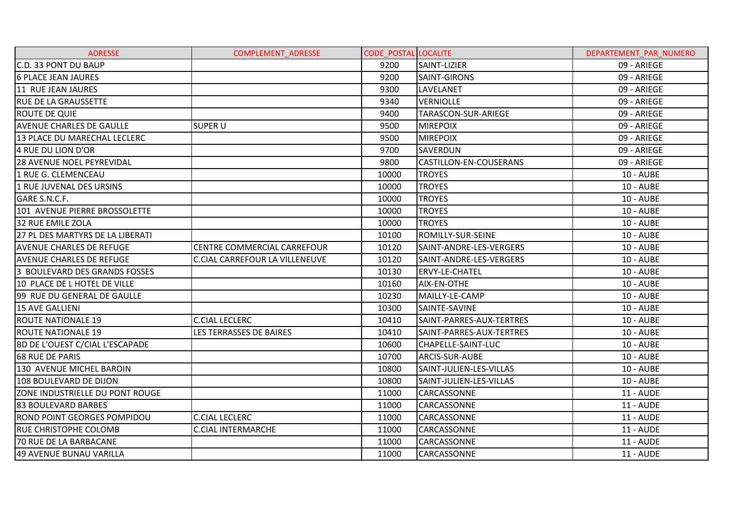| <b>ADRESSE</b>                         | <b>COMPLEMENT ADRESSE</b>             | <b>CODE POSTAL LOCALITE</b> |                               | DEPARTEMENT PAR NUMERO |
|----------------------------------------|---------------------------------------|-----------------------------|-------------------------------|------------------------|
| C.D. 33 PONT DU BAUP                   |                                       | 9200                        | SAINT-LIZIER                  | 09 - ARIEGE            |
| <b>6 PLACE JEAN JAURES</b>             |                                       | 9200                        | SAINT-GIRONS                  | 09 - ARIEGE            |
| 11 RUE JEAN JAURES                     |                                       | 9300                        | <b>LAVELANET</b>              | 09 - ARIEGE            |
| <b>RUE DE LA GRAUSSETTE</b>            |                                       | 9340                        | <b>VERNIOLLE</b>              | 09 - ARIEGE            |
| <b>ROUTE DE QUIE</b>                   |                                       | 9400                        | TARASCON-SUR-ARIEGE           | 09 - ARIEGE            |
| <b>AVENUE CHARLES DE GAULLE</b>        | <b>SUPER U</b>                        | 9500                        | <b>MIREPOIX</b>               | 09 - ARIEGE            |
| 13 PLACE DU MARECHAL LECLERC           |                                       | 9500                        | <b>MIREPOIX</b>               | 09 - ARIEGE            |
| 4 RUE DU LION D'OR                     |                                       | 9700                        | <b>SAVERDUN</b>               | 09 - ARIEGE            |
| <b>28 AVENUE NOEL PEYREVIDAL</b>       |                                       | 9800                        | <b>CASTILLON-EN-COUSERANS</b> | 09 - ARIEGE            |
| 1 RUE G. CLEMENCEAU                    |                                       | 10000                       | <b>TROYES</b>                 | 10 - AUBE              |
| 1 RUE JUVENAL DES URSINS               |                                       | 10000                       | <b>TROYES</b>                 | <b>10 - AUBE</b>       |
| GARE S.N.C.F.                          |                                       | 10000                       | <b>TROYES</b>                 | <b>10 - AUBE</b>       |
| 101 AVENUE PIERRE BROSSOLETTE          |                                       | 10000                       | <b>TROYES</b>                 | 10 - AUBE              |
| 32 RUE EMILE ZOLA                      |                                       | 10000                       | <b>TROYES</b>                 | <b>10 - AUBE</b>       |
| 27 PL DES MARTYRS DE LA LIBERATI       |                                       | 10100                       | ROMILLY-SUR-SEINE             | <b>10 - AUBE</b>       |
| <b>AVENUE CHARLES DE REFUGE</b>        | CENTRE COMMERCIAL CARREFOUR           | 10120                       | SAINT-ANDRE-LES-VERGERS       | <b>10 - AUBE</b>       |
| <b>AVENUE CHARLES DE REFUGE</b>        | <b>C.CIAL CARREFOUR LA VILLENEUVE</b> | 10120                       | SAINT-ANDRE-LES-VERGERS       | 10 - AUBE              |
| 3 BOULEVARD DES GRANDS FOSSES          |                                       | 10130                       | <b>ERVY-LE-CHATEL</b>         | <b>10 - AUBE</b>       |
| 10 PLACE DE L HOTEL DE VILLE           |                                       | 10160                       | AIX-EN-OTHE                   | <b>10 - AUBE</b>       |
| 99 RUE DU GENERAL DE GAULLE            |                                       | 10230                       | MAILLY-LE-CAMP                | <b>10 - AUBE</b>       |
| <b>15 AVE GALLIENI</b>                 |                                       | 10300                       | SAINTE-SAVINE                 | <b>10 - AUBE</b>       |
| <b>ROUTE NATIONALE 19</b>              | <b>C.CIAL LECLERC</b>                 | 10410                       | SAINT-PARRES-AUX-TERTRES      | 10 - AUBE              |
| <b>ROUTE NATIONALE 19</b>              | LES TERRASSES DE BAIRES               | 10410                       | SAINT-PARRES-AUX-TERTRES      | <b>10 - AUBE</b>       |
| <b>BD DE L'OUEST C/CIAL L'ESCAPADE</b> |                                       | 10600                       | CHAPELLE-SAINT-LUC            | <b>10 - AUBE</b>       |
| <b>68 RUE DE PARIS</b>                 |                                       | 10700                       | ARCIS-SUR-AUBE                | <b>10 - AUBE</b>       |
| 130 AVENUE MICHEL BAROIN               |                                       | 10800                       | SAINT-JULIEN-LES-VILLAS       | <b>10 - AUBE</b>       |
| 108 BOULEVARD DE DIJON                 |                                       | 10800                       | SAINT-JULIEN-LES-VILLAS       | 10 - AUBE              |
| <b>ZONE INDUSTRIELLE DU PONT ROUGE</b> |                                       | 11000                       | CARCASSONNE                   | 11 - AUDE              |
| 83 BOULEVARD BARBES                    |                                       | 11000                       | CARCASSONNE                   | <b>11 - AUDE</b>       |
| IROND POINT GEORGES POMPIDOU           | <b>C.CIAL LECLERC</b>                 | 11000                       | CARCASSONNE                   | <b>11 - AUDE</b>       |
| <b>RUE CHRISTOPHE COLOMB</b>           | <b>C.CIAL INTERMARCHE</b>             | 11000                       | CARCASSONNE                   | <b>11 - AUDE</b>       |
| <b>70 RUE DE LA BARBACANE</b>          |                                       | 11000                       | CARCASSONNE                   | <b>11 - AUDE</b>       |
| 49 AVENUE BUNAU VARILLA                |                                       | 11000                       | CARCASSONNE                   | 11 - AUDE              |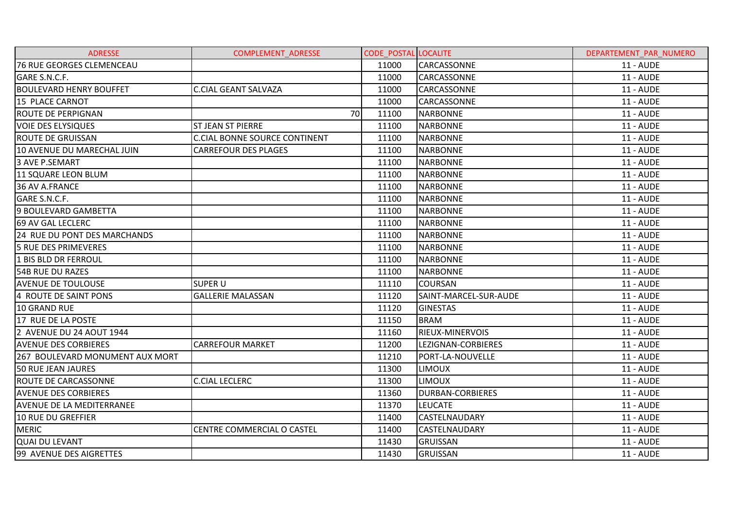| <b>ADRESSE</b>                   | <b>COMPLEMENT ADRESSE</b>            | <b>CODE POSTAL LOCALITE</b> |                         | DEPARTEMENT PAR NUMERO |
|----------------------------------|--------------------------------------|-----------------------------|-------------------------|------------------------|
| 76 RUE GEORGES CLEMENCEAU        |                                      | 11000                       | <b>CARCASSONNE</b>      | 11 - AUDE              |
| GARE S.N.C.F.                    |                                      | 11000                       | <b>CARCASSONNE</b>      | <b>11 - AUDE</b>       |
| <b>BOULEVARD HENRY BOUFFET</b>   | <b>C.CIAL GEANT SALVAZA</b>          | 11000                       | CARCASSONNE             | <b>11 - AUDE</b>       |
| 15 PLACE CARNOT                  |                                      | 11000                       | <b>CARCASSONNE</b>      | <b>11 - AUDE</b>       |
| <b>ROUTE DE PERPIGNAN</b>        | 70                                   | 11100                       | <b>NARBONNE</b>         | <b>11 - AUDE</b>       |
| <b>VOIE DES ELYSIQUES</b>        | <b>ST JEAN ST PIERRE</b>             | 11100                       | <b>NARBONNE</b>         | <b>11 - AUDE</b>       |
| <b>ROUTE DE GRUISSAN</b>         | <b>C.CIAL BONNE SOURCE CONTINENT</b> | 11100                       | <b>NARBONNE</b>         | <b>11 - AUDE</b>       |
| 10 AVENUE DU MARECHAL JUIN       | <b>CARREFOUR DES PLAGES</b>          | 11100                       | <b>NARBONNE</b>         | <b>11 - AUDE</b>       |
| 3 AVE P.SEMART                   |                                      | 11100                       | <b>NARBONNE</b>         | <b>11 - AUDE</b>       |
| 11 SQUARE LEON BLUM              |                                      | 11100                       | <b>NARBONNE</b>         | <b>11 - AUDE</b>       |
| 36 AV A.FRANCE                   |                                      | 11100                       | <b>NARBONNE</b>         | <b>11 - AUDE</b>       |
| GARE S.N.C.F.                    |                                      | 11100                       | <b>NARBONNE</b>         | <b>11 - AUDE</b>       |
| 9 BOULEVARD GAMBETTA             |                                      | 11100                       | <b>NARBONNE</b>         | <b>11 - AUDE</b>       |
| 69 AV GAL LECLERC                |                                      | 11100                       | <b>NARBONNE</b>         | <b>11 - AUDE</b>       |
| 24 RUE DU PONT DES MARCHANDS     |                                      | 11100                       | <b>NARBONNE</b>         | <b>11 - AUDE</b>       |
| 5 RUE DES PRIMEVERES             |                                      | 11100                       | <b>NARBONNE</b>         | <b>11 - AUDE</b>       |
| 1 BIS BLD DR FERROUL             |                                      | 11100                       | <b>NARBONNE</b>         | <b>11 - AUDE</b>       |
| 54B RUE DU RAZES                 |                                      | 11100                       | <b>NARBONNE</b>         | <b>11 - AUDE</b>       |
| <b>AVENUE DE TOULOUSE</b>        | SUPER U                              | 11110                       | <b>COURSAN</b>          | <b>11 - AUDE</b>       |
| 4 ROUTE DE SAINT PONS            | <b>GALLERIE MALASSAN</b>             | 11120                       | SAINT-MARCEL-SUR-AUDE   | <b>11 - AUDE</b>       |
| 10 GRAND RUE                     |                                      | 11120                       | <b>GINESTAS</b>         | <b>11 - AUDE</b>       |
| 17 RUE DE LA POSTE               |                                      | 11150                       | <b>BRAM</b>             | <b>11 - AUDE</b>       |
| 2 AVENUE DU 24 AOUT 1944         |                                      | 11160                       | <b>RIEUX-MINERVOIS</b>  | <b>11 - AUDE</b>       |
| <b>AVENUE DES CORBIERES</b>      | <b>CARREFOUR MARKET</b>              | 11200                       | LEZIGNAN-CORBIERES      | <b>11 - AUDE</b>       |
| 267 BOULEVARD MONUMENT AUX MORT  |                                      | 11210                       | PORT-LA-NOUVELLE        | <b>11 - AUDE</b>       |
| <b>50 RUE JEAN JAURES</b>        |                                      | 11300                       | <b>LIMOUX</b>           | <b>11 - AUDE</b>       |
| <b>ROUTE DE CARCASSONNE</b>      | <b>C.CIAL LECLERC</b>                | 11300                       | <b>LIMOUX</b>           | <b>11 - AUDE</b>       |
| <b>AVENUE DES CORBIERES</b>      |                                      | 11360                       | <b>DURBAN-CORBIERES</b> | <b>11 - AUDE</b>       |
| <b>AVENUE DE LA MEDITERRANEE</b> |                                      | 11370                       | <b>LEUCATE</b>          | <b>11 - AUDE</b>       |
| 10 RUE DU GREFFIER               |                                      | 11400                       | CASTELNAUDARY           | <b>11 - AUDE</b>       |
| <b>MERIC</b>                     | CENTRE COMMERCIAL O CASTEL           | 11400                       | <b>CASTELNAUDARY</b>    | <b>11 - AUDE</b>       |
| <b>QUAI DU LEVANT</b>            |                                      | 11430                       | <b>GRUISSAN</b>         | <b>11 - AUDE</b>       |
| 99 AVENUE DES AIGRETTES          |                                      | 11430                       | <b>GRUISSAN</b>         | <b>11 - AUDE</b>       |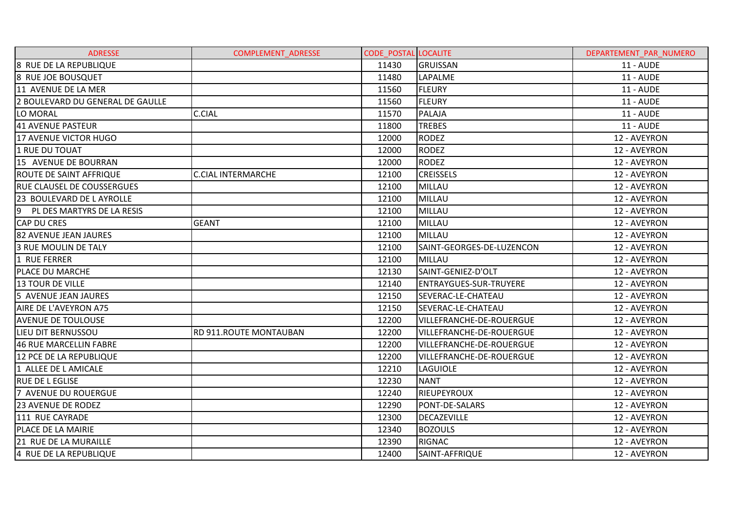| <b>ADRESSE</b>                    | <b>COMPLEMENT ADRESSE</b> | <b>CODE POSTAL LOCALITE</b> |                                 | DEPARTEMENT PAR NUMERO |
|-----------------------------------|---------------------------|-----------------------------|---------------------------------|------------------------|
| 8 RUE DE LA REPUBLIQUE            |                           | 11430                       | GRUISSAN                        | <b>11 - AUDE</b>       |
| 8 RUE JOE BOUSQUET                |                           | 11480                       | LAPALME                         | <b>11 - AUDE</b>       |
| 11 AVENUE DE LA MER               |                           | 11560                       | <b>FLEURY</b>                   | <b>11 - AUDE</b>       |
| 2 BOULEVARD DU GENERAL DE GAULLE  |                           | 11560                       | <b>FLEURY</b>                   | <b>11 - AUDE</b>       |
| LO MORAL                          | <b>C.CIAL</b>             | 11570                       | PALAJA                          | <b>11 - AUDE</b>       |
| <b>41 AVENUE PASTEUR</b>          |                           | 11800                       | <b>TREBES</b>                   | <b>11 - AUDE</b>       |
| 17 AVENUE VICTOR HUGO             |                           | 12000                       | <b>RODEZ</b>                    | 12 - AVEYRON           |
| 1 RUE DU TOUAT                    |                           | 12000                       | <b>RODEZ</b>                    | 12 - AVEYRON           |
| 15 AVENUE DE BOURRAN              |                           | 12000                       | <b>RODEZ</b>                    | 12 - AVEYRON           |
| <b>ROUTE DE SAINT AFFRIQUE</b>    | <b>C.CIAL INTERMARCHE</b> | 12100                       | <b>CREISSELS</b>                | 12 - AVEYRON           |
| <b>RUE CLAUSEL DE COUSSERGUES</b> |                           | 12100                       | MILLAU                          | 12 - AVEYRON           |
| 23 BOULEVARD DE L AYROLLE         |                           | 12100                       | MILLAU                          | 12 - AVEYRON           |
| 9 PL DES MARTYRS DE LA RESIS      |                           | 12100                       | MILLAU                          | 12 - AVEYRON           |
| <b>CAP DU CRES</b>                | <b>GEANT</b>              | 12100                       | <b>MILLAU</b>                   | 12 - AVEYRON           |
| 82 AVENUE JEAN JAURES             |                           | 12100                       | MILLAU                          | 12 - AVEYRON           |
| 3 RUE MOULIN DE TALY              |                           | 12100                       | SAINT-GEORGES-DE-LUZENCON       | 12 - AVEYRON           |
| 1 RUE FERRER                      |                           | 12100                       | MILLAU                          | 12 - AVEYRON           |
| <b>PLACE DU MARCHE</b>            |                           | 12130                       | SAINT-GENIEZ-D'OLT              | 12 - AVEYRON           |
| 13 TOUR DE VILLE                  |                           | 12140                       | <b>ENTRAYGUES-SUR-TRUYERE</b>   | 12 - AVEYRON           |
| 5 AVENUE JEAN JAURES              |                           | 12150                       | SEVERAC-LE-CHATEAU              | 12 - AVEYRON           |
| AIRE DE L'AVEYRON A75             |                           | 12150                       | SEVERAC-LE-CHATEAU              | 12 - AVEYRON           |
| <b>AVENUE DE TOULOUSE</b>         |                           | 12200                       | VILLEFRANCHE-DE-ROUERGUE        | 12 - AVEYRON           |
| LIEU DIT BERNUSSOU                | RD 911.ROUTE MONTAUBAN    | 12200                       | VILLEFRANCHE-DE-ROUERGUE        | 12 - AVEYRON           |
| 46 RUE MARCELLIN FABRE            |                           | 12200                       | VILLEFRANCHE-DE-ROUERGUE        | 12 - AVEYRON           |
| 12 PCE DE LA REPUBLIQUE           |                           | 12200                       | <b>VILLEFRANCHE-DE-ROUERGUE</b> | 12 - AVEYRON           |
| 1 ALLEE DE L AMICALE              |                           | 12210                       | <b>LAGUIOLE</b>                 | 12 - AVEYRON           |
| <b>RUE DE L EGLISE</b>            |                           | 12230                       | <b>NANT</b>                     | 12 - AVEYRON           |
| 7 AVENUE DU ROUERGUE              |                           | 12240                       | RIEUPEYROUX                     | 12 - AVEYRON           |
| 23 AVENUE DE RODEZ                |                           | 12290                       | PONT-DE-SALARS                  | 12 - AVEYRON           |
| 111 RUE CAYRADE                   |                           | 12300                       | <b>DECAZEVILLE</b>              | 12 - AVEYRON           |
| PLACE DE LA MAIRIE                |                           | 12340                       | <b>BOZOULS</b>                  | 12 - AVEYRON           |
| 21 RUE DE LA MURAILLE             |                           | 12390                       | <b>RIGNAC</b>                   | 12 - AVEYRON           |
| 4 RUE DE LA REPUBLIQUE            |                           | 12400                       | SAINT-AFFRIQUE                  | 12 - AVEYRON           |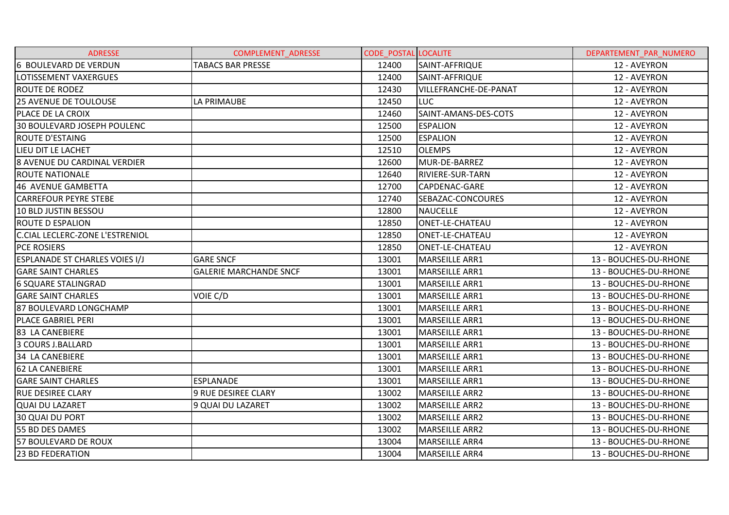| <b>ADRESSE</b>                         | <b>COMPLEMENT ADRESSE</b>     | <b>CODE POSTAL LOCALITE</b> |                         | DEPARTEMENT PAR NUMERO |
|----------------------------------------|-------------------------------|-----------------------------|-------------------------|------------------------|
| 6 BOULEVARD DE VERDUN                  | <b>TABACS BAR PRESSE</b>      | 12400                       | SAINT-AFFRIQUE          | 12 - AVEYRON           |
| LOTISSEMENT VAXERGUES                  |                               | 12400                       | SAINT-AFFRIQUE          | 12 - AVEYRON           |
| <b>ROUTE DE RODEZ</b>                  |                               | 12430                       | VILLEFRANCHE-DE-PANAT   | 12 - AVEYRON           |
| <b>25 AVENUE DE TOULOUSE</b>           | <b>LA PRIMAUBE</b>            | 12450                       | <b>LUC</b>              | 12 - AVEYRON           |
| <b>PLACE DE LA CROIX</b>               |                               | 12460                       | SAINT-AMANS-DES-COTS    | 12 - AVEYRON           |
| 30 BOULEVARD JOSEPH POULENC            |                               | 12500                       | <b>ESPALION</b>         | 12 - AVEYRON           |
| <b>ROUTE D'ESTAING</b>                 |                               | 12500                       | <b>ESPALION</b>         | 12 - AVEYRON           |
| LIEU DIT LE LACHET                     |                               | 12510                       | <b>OLEMPS</b>           | 12 - AVEYRON           |
| <b>8 AVENUE DU CARDINAL VERDIER</b>    |                               | 12600                       | MUR-DE-BARREZ           | 12 - AVEYRON           |
| <b>ROUTE NATIONALE</b>                 |                               | 12640                       | <b>RIVIERE-SUR-TARN</b> | 12 - AVEYRON           |
| 46 AVENUE GAMBETTA                     |                               | 12700                       | CAPDENAC-GARE           | 12 - AVEYRON           |
| <b>CARREFOUR PEYRE STEBE</b>           |                               | 12740                       | SEBAZAC-CONCOURES       | 12 - AVEYRON           |
| 10 BLD JUSTIN BESSOU                   |                               | 12800                       | <b>NAUCELLE</b>         | 12 - AVEYRON           |
| <b>ROUTE D ESPALION</b>                |                               | 12850                       | ONET-LE-CHATEAU         | 12 - AVEYRON           |
| <b>C.CIAL LECLERC-ZONE L'ESTRENIOL</b> |                               | 12850                       | <b>ONET-LE-CHATEAU</b>  | 12 - AVEYRON           |
| <b>PCE ROSIERS</b>                     |                               | 12850                       | ONET-LE-CHATEAU         | 12 - AVEYRON           |
| <b>ESPLANADE ST CHARLES VOIES I/J</b>  | <b>GARE SNCF</b>              | 13001                       | MARSEILLE ARR1          | 13 - BOUCHES-DU-RHONE  |
| <b>GARE SAINT CHARLES</b>              | <b>GALERIE MARCHANDE SNCF</b> | 13001                       | <b>MARSEILLE ARR1</b>   | 13 - BOUCHES-DU-RHONE  |
| <b>6 SQUARE STALINGRAD</b>             |                               | 13001                       | MARSEILLE ARR1          | 13 - BOUCHES-DU-RHONE  |
| <b>GARE SAINT CHARLES</b>              | VOIE C/D                      | 13001                       | MARSEILLE ARR1          | 13 - BOUCHES-DU-RHONE  |
| 87 BOULEVARD LONGCHAMP                 |                               | 13001                       | MARSEILLE ARR1          | 13 - BOUCHES-DU-RHONE  |
| <b>PLACE GABRIEL PERI</b>              |                               | 13001                       | <b>MARSEILLE ARR1</b>   | 13 - BOUCHES-DU-RHONE  |
| 83 LA CANEBIERE                        |                               | 13001                       | <b>MARSEILLE ARR1</b>   | 13 - BOUCHES-DU-RHONE  |
| 3 COURS J.BALLARD                      |                               | 13001                       | MARSEILLE ARR1          | 13 - BOUCHES-DU-RHONE  |
| 34 LA CANEBIERE                        |                               | 13001                       | MARSEILLE ARR1          | 13 - BOUCHES-DU-RHONE  |
| <b>62 LA CANEBIERE</b>                 |                               | 13001                       | MARSEILLE ARR1          | 13 - BOUCHES-DU-RHONE  |
| <b>GARE SAINT CHARLES</b>              | <b>ESPLANADE</b>              | 13001                       | <b>MARSEILLE ARR1</b>   | 13 - BOUCHES-DU-RHONE  |
| <b>RUE DESIREE CLARY</b>               | <b>9 RUE DESIREE CLARY</b>    | 13002                       | <b>MARSEILLE ARR2</b>   | 13 - BOUCHES-DU-RHONE  |
| <b>QUAI DU LAZARET</b>                 | 9 QUAI DU LAZARET             | 13002                       | <b>MARSEILLE ARR2</b>   | 13 - BOUCHES-DU-RHONE  |
| 30 QUAI DU PORT                        |                               | 13002                       | <b>MARSEILLE ARR2</b>   | 13 - BOUCHES-DU-RHONE  |
| 55 BD DES DAMES                        |                               | 13002                       | <b>MARSEILLE ARR2</b>   | 13 - BOUCHES-DU-RHONE  |
| 57 BOULEVARD DE ROUX                   |                               | 13004                       | MARSEILLE ARR4          | 13 - BOUCHES-DU-RHONE  |
| <b>23 BD FEDERATION</b>                |                               | 13004                       | <b>MARSEILLE ARR4</b>   | 13 - BOUCHES-DU-RHONE  |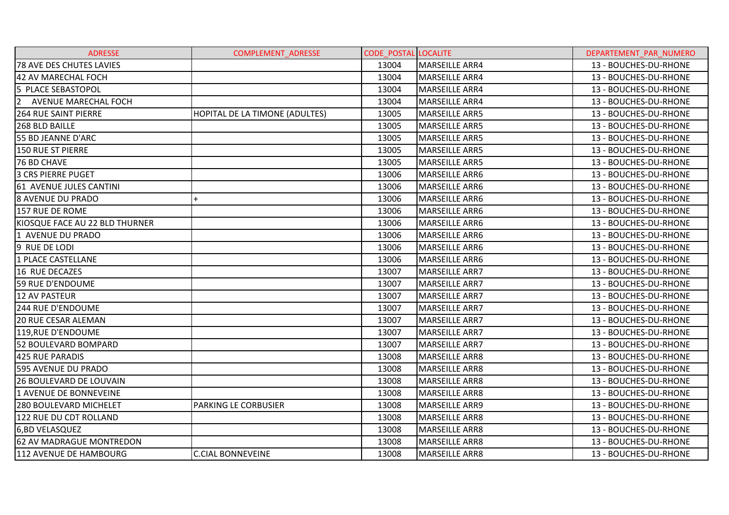| <b>ADRESSE</b>                  | <b>COMPLEMENT ADRESSE</b>      | <b>CODE POSTAL LOCALITE</b> |                       | DEPARTEMENT PAR NUMERO |
|---------------------------------|--------------------------------|-----------------------------|-----------------------|------------------------|
| 78 AVE DES CHUTES LAVIES        |                                | 13004                       | <b>MARSEILLE ARR4</b> | 13 - BOUCHES-DU-RHONE  |
| 42 AV MARECHAL FOCH             |                                | 13004                       | MARSEILLE ARR4        | 13 - BOUCHES-DU-RHONE  |
| 5 PLACE SEBASTOPOL              |                                | 13004                       | MARSEILLE ARR4        | 13 - BOUCHES-DU-RHONE  |
| 2 AVENUE MARECHAL FOCH          |                                | 13004                       | MARSEILLE ARR4        | 13 - BOUCHES-DU-RHONE  |
| <b>264 RUE SAINT PIERRE</b>     | HOPITAL DE LA TIMONE (ADULTES) | 13005                       | MARSEILLE ARR5        | 13 - BOUCHES-DU-RHONE  |
| 268 BLD BAILLE                  |                                | 13005                       | <b>MARSEILLE ARR5</b> | 13 - BOUCHES-DU-RHONE  |
| 55 BD JEANNE D'ARC              |                                | 13005                       | <b>MARSEILLE ARR5</b> | 13 - BOUCHES-DU-RHONE  |
| 150 RUE ST PIERRE               |                                | 13005                       | <b>MARSEILLE ARR5</b> | 13 - BOUCHES-DU-RHONE  |
| 76 BD CHAVE                     |                                | 13005                       | MARSEILLE ARR5        | 13 - BOUCHES-DU-RHONE  |
| <b>3 CRS PIERRE PUGET</b>       |                                | 13006                       | MARSEILLE ARR6        | 13 - BOUCHES-DU-RHONE  |
| 61 AVENUE JULES CANTINI         |                                | 13006                       | MARSEILLE ARR6        | 13 - BOUCHES-DU-RHONE  |
| I8 AVENUE DU PRADO              | $+$                            | 13006                       | <b>MARSEILLE ARR6</b> | 13 - BOUCHES-DU-RHONE  |
| 157 RUE DE ROME                 |                                | 13006                       | MARSEILLE ARR6        | 13 - BOUCHES-DU-RHONE  |
| KIOSQUE FACE AU 22 BLD THURNER  |                                | 13006                       | MARSEILLE ARR6        | 13 - BOUCHES-DU-RHONE  |
| 1 AVENUE DU PRADO               |                                | 13006                       | MARSEILLE ARR6        | 13 - BOUCHES-DU-RHONE  |
| 9 RUE DE LODI                   |                                | 13006                       | MARSEILLE ARR6        | 13 - BOUCHES-DU-RHONE  |
| 1 PLACE CASTELLANE              |                                | 13006                       | <b>MARSEILLE ARR6</b> | 13 - BOUCHES-DU-RHONE  |
| 16 RUE DECAZES                  |                                | 13007                       | <b>MARSEILLE ARR7</b> | 13 - BOUCHES-DU-RHONE  |
| 59 RUE D'ENDOUME                |                                | 13007                       | MARSEILLE ARR7        | 13 - BOUCHES-DU-RHONE  |
| <b>12 AV PASTEUR</b>            |                                | 13007                       | <b>MARSEILLE ARR7</b> | 13 - BOUCHES-DU-RHONE  |
| 244 RUE D'ENDOUME               |                                | 13007                       | <b>MARSEILLE ARR7</b> | 13 - BOUCHES-DU-RHONE  |
| <b>20 RUE CESAR ALEMAN</b>      |                                | 13007                       | <b>MARSEILLE ARR7</b> | 13 - BOUCHES-DU-RHONE  |
| 119, RUE D'ENDOUME              |                                | 13007                       | <b>MARSEILLE ARR7</b> | 13 - BOUCHES-DU-RHONE  |
| 52 BOULEVARD BOMPARD            |                                | 13007                       | <b>MARSEILLE ARR7</b> | 13 - BOUCHES-DU-RHONE  |
| 425 RUE PARADIS                 |                                | 13008                       | MARSEILLE ARR8        | 13 - BOUCHES-DU-RHONE  |
| 595 AVENUE DU PRADO             |                                | 13008                       | <b>MARSEILLE ARR8</b> | 13 - BOUCHES-DU-RHONE  |
| <b>26 BOULEVARD DE LOUVAIN</b>  |                                | 13008                       | <b>MARSEILLE ARR8</b> | 13 - BOUCHES-DU-RHONE  |
| 1 AVENUE DE BONNEVEINE          |                                | 13008                       | MARSEILLE ARR8        | 13 - BOUCHES-DU-RHONE  |
| 280 BOULEVARD MICHELET          | PARKING LE CORBUSIER           | 13008                       | MARSEILLE ARR9        | 13 - BOUCHES-DU-RHONE  |
| 122 RUE DU CDT ROLLAND          |                                | 13008                       | MARSEILLE ARR8        | 13 - BOUCHES-DU-RHONE  |
| 6,BD VELASQUEZ                  |                                | 13008                       | <b>MARSEILLE ARR8</b> | 13 - BOUCHES-DU-RHONE  |
| <b>62 AV MADRAGUE MONTREDON</b> |                                | 13008                       | MARSEILLE ARR8        | 13 - BOUCHES-DU-RHONE  |
| 112 AVENUE DE HAMBOURG          | <b>C.CIAL BONNEVEINE</b>       | 13008                       | <b>MARSEILLE ARR8</b> | 13 - BOUCHES-DU-RHONE  |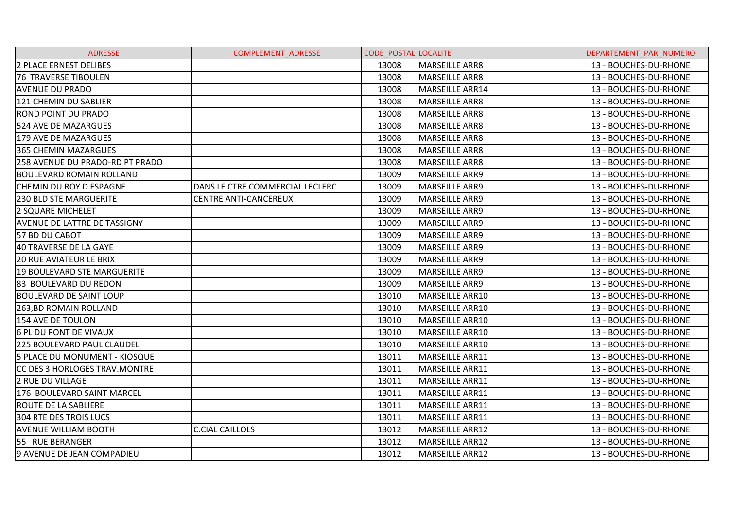| <b>ADRESSE</b>                      | <b>COMPLEMENT ADRESSE</b>       | <b>CODE POSTAL LOCALITE</b> |                        | DEPARTEMENT PAR NUMERO |
|-------------------------------------|---------------------------------|-----------------------------|------------------------|------------------------|
| 2 PLACE ERNEST DELIBES              |                                 | 13008                       | MARSEILLE ARR8         | 13 - BOUCHES-DU-RHONE  |
| <b>76 TRAVERSE TIBOULEN</b>         |                                 | 13008                       | <b>MARSEILLE ARR8</b>  | 13 - BOUCHES-DU-RHONE  |
| <b>AVENUE DU PRADO</b>              |                                 | 13008                       | MARSEILLE ARR14        | 13 - BOUCHES-DU-RHONE  |
| 121 CHEMIN DU SABLIER               |                                 | 13008                       | <b>MARSEILLE ARR8</b>  | 13 - BOUCHES-DU-RHONE  |
| <b>ROND POINT DU PRADO</b>          |                                 | 13008                       | MARSEILLE ARR8         | 13 - BOUCHES-DU-RHONE  |
| 524 AVE DE MAZARGUES                |                                 | 13008                       | MARSEILLE ARR8         | 13 - BOUCHES-DU-RHONE  |
| 179 AVE DE MAZARGUES                |                                 | 13008                       | IMARSEILLE ARR8        | 13 - BOUCHES-DU-RHONE  |
| 365 CHEMIN MAZARGUES                |                                 | 13008                       | MARSEILLE ARR8         | 13 - BOUCHES-DU-RHONE  |
| 258 AVENUE DU PRADO-RD PT PRADO     |                                 | 13008                       | <b>MARSEILLE ARR8</b>  | 13 - BOUCHES-DU-RHONE  |
| <b>BOULEVARD ROMAIN ROLLAND</b>     |                                 | 13009                       | <b>MARSEILLE ARR9</b>  | 13 - BOUCHES-DU-RHONE  |
| CHEMIN DU ROY D ESPAGNE             | DANS LE CTRE COMMERCIAL LECLERC | 13009                       | MARSEILLE ARR9         | 13 - BOUCHES-DU-RHONE  |
| 1230 BLD STE MARGUERITE             | CENTRE ANTI-CANCEREUX           | 13009                       | <b>MARSEILLE ARR9</b>  | 13 - BOUCHES-DU-RHONE  |
| 2 SQUARE MICHELET                   |                                 | 13009                       | MARSEILLE ARR9         | 13 - BOUCHES-DU-RHONE  |
| <b>AVENUE DE LATTRE DE TASSIGNY</b> |                                 | 13009                       | <b>MARSEILLE ARR9</b>  | 13 - BOUCHES-DU-RHONE  |
| 57 BD DU CABOT                      |                                 | 13009                       | <b>MARSEILLE ARR9</b>  | 13 - BOUCHES-DU-RHONE  |
| 40 TRAVERSE DE LA GAYE              |                                 | 13009                       | <b>MARSEILLE ARR9</b>  | 13 - BOUCHES-DU-RHONE  |
| 120 RUE AVIATEUR LE BRIX            |                                 | 13009                       | <b>MARSEILLE ARR9</b>  | 13 - BOUCHES-DU-RHONE  |
| 19 BOULEVARD STE MARGUERITE         |                                 | 13009                       | <b>MARSEILLE ARR9</b>  | 13 - BOUCHES-DU-RHONE  |
| 83 BOULEVARD DU REDON               |                                 | 13009                       | MARSEILLE ARR9         | 13 - BOUCHES-DU-RHONE  |
| <b>BOULEVARD DE SAINT LOUP</b>      |                                 | 13010                       | MARSEILLE ARR10        | 13 - BOUCHES-DU-RHONE  |
| 263, BD ROMAIN ROLLAND              |                                 | 13010                       | MARSEILLE ARR10        | 13 - BOUCHES-DU-RHONE  |
| l154 AVE DE TOULON                  |                                 | 13010                       | <b>MARSEILLE ARR10</b> | 13 - BOUCHES-DU-RHONE  |
| 6 PL DU PONT DE VIVAUX              |                                 | 13010                       | MARSEILLE ARR10        | 13 - BOUCHES-DU-RHONE  |
| <b>225 BOULEVARD PAUL CLAUDEL</b>   |                                 | 13010                       | MARSEILLE ARR10        | 13 - BOUCHES-DU-RHONE  |
| 5 PLACE DU MONUMENT - KIOSQUE       |                                 | 13011                       | MARSEILLE ARR11        | 13 - BOUCHES-DU-RHONE  |
| CC DES 3 HORLOGES TRAV. MONTRE      |                                 | 13011                       | MARSEILLE ARR11        | 13 - BOUCHES-DU-RHONE  |
| <b>2 RUE DU VILLAGE</b>             |                                 | 13011                       | MARSEILLE ARR11        | 13 - BOUCHES-DU-RHONE  |
| 176 BOULEVARD SAINT MARCEL          |                                 | 13011                       | MARSEILLE ARR11        | 13 - BOUCHES-DU-RHONE  |
| <b>ROUTE DE LA SABLIERE</b>         |                                 | 13011                       | MARSEILLE ARR11        | 13 - BOUCHES-DU-RHONE  |
| <b>304 RTE DES TROIS LUCS</b>       |                                 | 13011                       | MARSEILLE ARR11        | 13 - BOUCHES-DU-RHONE  |
| <b>AVENUE WILLIAM BOOTH</b>         | <b>C.CIAL CAILLOLS</b>          | 13012                       | MARSEILLE ARR12        | 13 - BOUCHES-DU-RHONE  |
| 55 RUE BERANGER                     |                                 | 13012                       | MARSEILLE ARR12        | 13 - BOUCHES-DU-RHONE  |
| 9 AVENUE DE JEAN COMPADIEU          |                                 | 13012                       | <b>MARSEILLE ARR12</b> | 13 - BOUCHES-DU-RHONE  |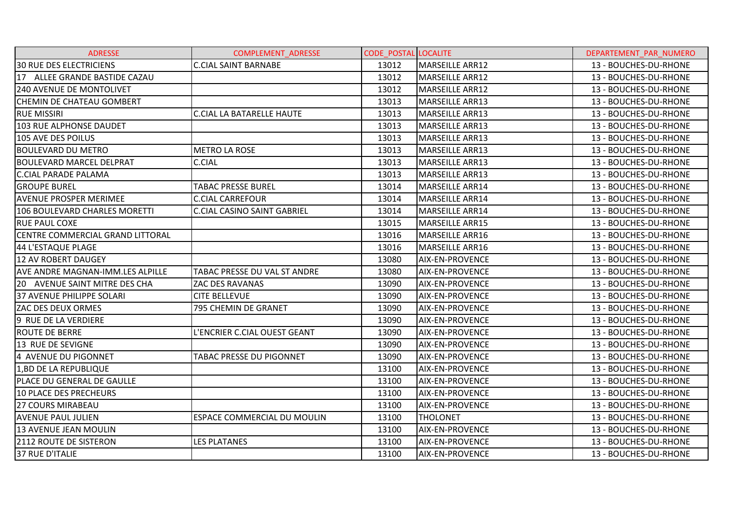| <b>ADRESSE</b>                   | <b>COMPLEMENT ADRESSE</b>          | <b>CODE POSTAL LOCALITE</b> |                        | DEPARTEMENT PAR NUMERO |
|----------------------------------|------------------------------------|-----------------------------|------------------------|------------------------|
| <b>30 RUE DES ELECTRICIENS</b>   | <b>C.CIAL SAINT BARNABE</b>        | 13012                       | MARSEILLE ARR12        | 13 - BOUCHES-DU-RHONE  |
| 17 ALLEE GRANDE BASTIDE CAZAU    |                                    | 13012                       | MARSEILLE ARR12        | 13 - BOUCHES-DU-RHONE  |
| <b>240 AVENUE DE MONTOLIVET</b>  |                                    | 13012                       | MARSEILLE ARR12        | 13 - BOUCHES-DU-RHONE  |
| CHEMIN DE CHATEAU GOMBERT        |                                    | 13013                       | MARSEILLE ARR13        | 13 - BOUCHES-DU-RHONE  |
| <b>RUE MISSIRI</b>               | <b>C.CIAL LA BATARELLE HAUTE</b>   | 13013                       | MARSEILLE ARR13        | 13 - BOUCHES-DU-RHONE  |
| 103 RUE ALPHONSE DAUDET          |                                    | 13013                       | <b>MARSEILLE ARR13</b> | 13 - BOUCHES-DU-RHONE  |
| 105 AVE DES POILUS               |                                    | 13013                       | MARSEILLE ARR13        | 13 - BOUCHES-DU-RHONE  |
| <b>BOULEVARD DU METRO</b>        | <b>METRO LA ROSE</b>               | 13013                       | MARSEILLE ARR13        | 13 - BOUCHES-DU-RHONE  |
| <b>BOULEVARD MARCEL DELPRAT</b>  | C.CIAL                             | 13013                       | MARSEILLE ARR13        | 13 - BOUCHES-DU-RHONE  |
| C.CIAL PARADE PALAMA             |                                    | 13013                       | MARSEILLE ARR13        | 13 - BOUCHES-DU-RHONE  |
| <b>GROUPE BUREL</b>              | <b>TABAC PRESSE BUREL</b>          | 13014                       | <b>MARSEILLE ARR14</b> | 13 - BOUCHES-DU-RHONE  |
| <b>AVENUE PROSPER MERIMEE</b>    | <b>C.CIAL CARREFOUR</b>            | 13014                       | MARSEILLE ARR14        | 13 - BOUCHES-DU-RHONE  |
| 106 BOULEVARD CHARLES MORETTI    | <b>C.CIAL CASINO SAINT GABRIEL</b> | 13014                       | MARSEILLE ARR14        | 13 - BOUCHES-DU-RHONE  |
| <b>RUE PAUL COXE</b>             |                                    | 13015                       | MARSEILLE ARR15        | 13 - BOUCHES-DU-RHONE  |
| CENTRE COMMERCIAL GRAND LITTORAL |                                    | 13016                       | MARSEILLE ARR16        | 13 - BOUCHES-DU-RHONE  |
| 44 L'ESTAQUE PLAGE               |                                    | 13016                       | <b>MARSEILLE ARR16</b> | 13 - BOUCHES-DU-RHONE  |
| 12 AV ROBERT DAUGEY              |                                    | 13080                       | <b>AIX-EN-PROVENCE</b> | 13 - BOUCHES-DU-RHONE  |
| AVE ANDRE MAGNAN-IMM.LES ALPILLE | TABAC PRESSE DU VAL ST ANDRE       | 13080                       | <b>AIX-EN-PROVENCE</b> | 13 - BOUCHES-DU-RHONE  |
| 20 AVENUE SAINT MITRE DES CHA    | ZAC DES RAVANAS                    | 13090                       | AIX-EN-PROVENCE        | 13 - BOUCHES-DU-RHONE  |
| 37 AVENUE PHILIPPE SOLARI        | <b>CITE BELLEVUE</b>               | 13090                       | <b>AIX-EN-PROVENCE</b> | 13 - BOUCHES-DU-RHONE  |
| <b>ZAC DES DEUX ORMES</b>        | 795 CHEMIN DE GRANET               | 13090                       | <b>AIX-EN-PROVENCE</b> | 13 - BOUCHES-DU-RHONE  |
| 9 RUE DE LA VERDIERE             |                                    | 13090                       | <b>AIX-EN-PROVENCE</b> | 13 - BOUCHES-DU-RHONE  |
| <b>ROUTE DE BERRE</b>            | L'ENCRIER C.CIAL OUEST GEANT       | 13090                       | <b>AIX-EN-PROVENCE</b> | 13 - BOUCHES-DU-RHONE  |
| 13 RUE DE SEVIGNE                |                                    | 13090                       | <b>AIX-EN-PROVENCE</b> | 13 - BOUCHES-DU-RHONE  |
| 4 AVENUE DU PIGONNET             | <b>TABAC PRESSE DU PIGONNET</b>    | 13090                       | <b>AIX-EN-PROVENCE</b> | 13 - BOUCHES-DU-RHONE  |
| 1,BD DE LA REPUBLIQUE            |                                    | 13100                       | <b>AIX-EN-PROVENCE</b> | 13 - BOUCHES-DU-RHONE  |
| PLACE DU GENERAL DE GAULLE       |                                    | 13100                       | <b>AIX-EN-PROVENCE</b> | 13 - BOUCHES-DU-RHONE  |
| 10 PLACE DES PRECHEURS           |                                    | 13100                       | <b>AIX-EN-PROVENCE</b> | 13 - BOUCHES-DU-RHONE  |
| <b>27 COURS MIRABEAU</b>         |                                    | 13100                       | <b>AIX-EN-PROVENCE</b> | 13 - BOUCHES-DU-RHONE  |
| <b>AVENUE PAUL JULIEN</b>        | ESPACE COMMERCIAL DU MOULIN        | 13100                       | <b>THOLONET</b>        | 13 - BOUCHES-DU-RHONE  |
| 13 AVENUE JEAN MOULIN            |                                    | 13100                       | <b>AIX-EN-PROVENCE</b> | 13 - BOUCHES-DU-RHONE  |
| <b>2112 ROUTE DE SISTERON</b>    | <b>LES PLATANES</b>                | 13100                       | <b>AIX-EN-PROVENCE</b> | 13 - BOUCHES-DU-RHONE  |
| 37 RUE D'ITALIE                  |                                    | 13100                       | AIX-EN-PROVENCE        | 13 - BOUCHES-DU-RHONE  |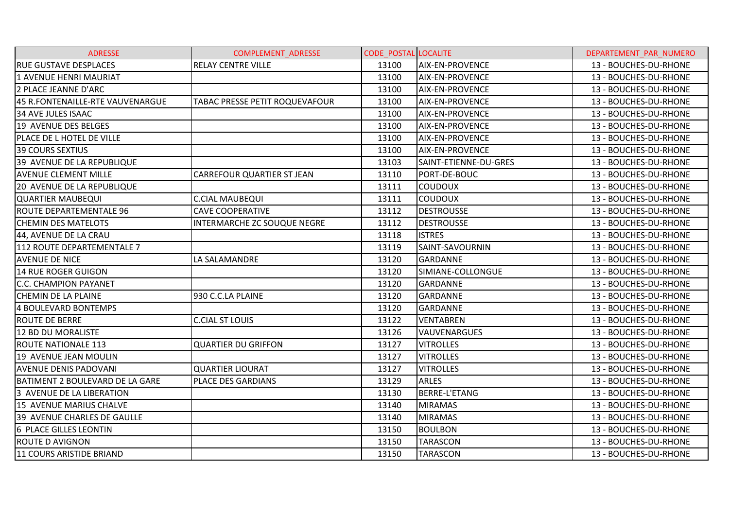| <b>ADRESSE</b>                         | COMPLEMENT_ADRESSE                 | <b>CODE_POSTAL LOCALITE</b> |                        | DEPARTEMENT_PAR_NUMERO |
|----------------------------------------|------------------------------------|-----------------------------|------------------------|------------------------|
| <b>RUE GUSTAVE DESPLACES</b>           | <b>RELAY CENTRE VILLE</b>          | 13100                       | <b>AIX-EN-PROVENCE</b> | 13 - BOUCHES-DU-RHONE  |
| 1 AVENUE HENRI MAURIAT                 |                                    | 13100                       | <b>AIX-EN-PROVENCE</b> | 13 - BOUCHES-DU-RHONE  |
| 2 PLACE JEANNE D'ARC                   |                                    | 13100                       | <b>AIX-EN-PROVENCE</b> | 13 - BOUCHES-DU-RHONE  |
| 45 R.FONTENAILLE-RTE VAUVENARGUE       | TABAC PRESSE PETIT ROQUEVAFOUR     | 13100                       | <b>AIX-EN-PROVENCE</b> | 13 - BOUCHES-DU-RHONE  |
| <b>34 AVE JULES ISAAC</b>              |                                    | 13100                       | <b>AIX-EN-PROVENCE</b> | 13 - BOUCHES-DU-RHONE  |
| 19 AVENUE DES BELGES                   |                                    | 13100                       | <b>AIX-EN-PROVENCE</b> | 13 - BOUCHES-DU-RHONE  |
| PLACE DE L HOTEL DE VILLE              |                                    | 13100                       | <b>AIX-EN-PROVENCE</b> | 13 - BOUCHES-DU-RHONE  |
| <b>39 COURS SEXTIUS</b>                |                                    | 13100                       | AIX-EN-PROVENCE        | 13 - BOUCHES-DU-RHONE  |
| 39 AVENUE DE LA REPUBLIQUE             |                                    | 13103                       | SAINT-ETIENNE-DU-GRES  | 13 - BOUCHES-DU-RHONE  |
| <b>AVENUE CLEMENT MILLE</b>            | <b>CARREFOUR QUARTIER ST JEAN</b>  | 13110                       | PORT-DE-BOUC           | 13 - BOUCHES-DU-RHONE  |
| 20 AVENUE DE LA REPUBLIQUE             |                                    | 13111                       | <b>COUDOUX</b>         | 13 - BOUCHES-DU-RHONE  |
| <b>QUARTIER MAUBEQUI</b>               | <b>C.CIAL MAUBEQUI</b>             | 13111                       | <b>COUDOUX</b>         | 13 - BOUCHES-DU-RHONE  |
| ROUTE DEPARTEMENTALE 96                | <b>CAVE COOPERATIVE</b>            | 13112                       | <b>DESTROUSSE</b>      | 13 - BOUCHES-DU-RHONE  |
| <b>CHEMIN DES MATELOTS</b>             | <b>INTERMARCHE ZC SOUQUE NEGRE</b> | 13112                       | <b>DESTROUSSE</b>      | 13 - BOUCHES-DU-RHONE  |
| 44, AVENUE DE LA CRAU                  |                                    | 13118                       | <b>ISTRES</b>          | 13 - BOUCHES-DU-RHONE  |
| 112 ROUTE DEPARTEMENTALE 7             |                                    | 13119                       | SAINT-SAVOURNIN        | 13 - BOUCHES-DU-RHONE  |
| <b>AVENUE DE NICE</b>                  | LA SALAMANDRE                      | 13120                       | <b>GARDANNE</b>        | 13 - BOUCHES-DU-RHONE  |
| <b>14 RUE ROGER GUIGON</b>             |                                    | 13120                       | SIMIANE-COLLONGUE      | 13 - BOUCHES-DU-RHONE  |
| <b>C.C. CHAMPION PAYANET</b>           |                                    | 13120                       | <b>GARDANNE</b>        | 13 - BOUCHES-DU-RHONE  |
| <b>CHEMIN DE LA PLAINE</b>             | 930 C.C.LA PLAINE                  | 13120                       | <b>GARDANNE</b>        | 13 - BOUCHES-DU-RHONE  |
| 4 BOULEVARD BONTEMPS                   |                                    | 13120                       | <b>GARDANNE</b>        | 13 - BOUCHES-DU-RHONE  |
| <b>ROUTE DE BERRE</b>                  | <b>C.CIAL ST LOUIS</b>             | 13122                       | <b>VENTABREN</b>       | 13 - BOUCHES-DU-RHONE  |
| 12 BD DU MORALISTE                     |                                    | 13126                       | <b>VAUVENARGUES</b>    | 13 - BOUCHES-DU-RHONE  |
| <b>ROUTE NATIONALE 113</b>             | <b>QUARTIER DU GRIFFON</b>         | 13127                       | <b>VITROLLES</b>       | 13 - BOUCHES-DU-RHONE  |
| 19 AVENUE JEAN MOULIN                  |                                    | 13127                       | <b>VITROLLES</b>       | 13 - BOUCHES-DU-RHONE  |
| <b>AVENUE DENIS PADOVANI</b>           | <b>QUARTIER LIOURAT</b>            | 13127                       | <b>VITROLLES</b>       | 13 - BOUCHES-DU-RHONE  |
| <b>BATIMENT 2 BOULEVARD DE LA GARE</b> | PLACE DES GARDIANS                 | 13129                       | <b>ARLES</b>           | 13 - BOUCHES-DU-RHONE  |
| 3 AVENUE DE LA LIBERATION              |                                    | 13130                       | <b>BERRE-L'ETANG</b>   | 13 - BOUCHES-DU-RHONE  |
| 15 AVENUE MARIUS CHALVE                |                                    | 13140                       | <b>MIRAMAS</b>         | 13 - BOUCHES-DU-RHONE  |
| 39 AVENUE CHARLES DE GAULLE            |                                    | 13140                       | <b>MIRAMAS</b>         | 13 - BOUCHES-DU-RHONE  |
| 6 PLACE GILLES LEONTIN                 |                                    | 13150                       | <b>BOULBON</b>         | 13 - BOUCHES-DU-RHONE  |
| <b>ROUTE D AVIGNON</b>                 |                                    | 13150                       | <b>TARASCON</b>        | 13 - BOUCHES-DU-RHONE  |
| 11 COURS ARISTIDE BRIAND               |                                    | 13150                       | <b>TARASCON</b>        | 13 - BOUCHES-DU-RHONE  |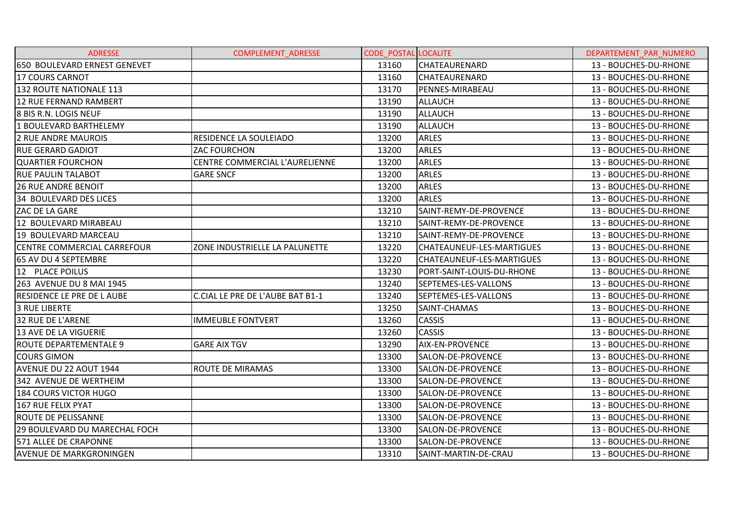| <b>ADRESSE</b>                     | <b>COMPLEMENT ADRESSE</b>        | <b>CODE POSTAL LOCALITE</b> |                           | DEPARTEMENT PAR NUMERO |
|------------------------------------|----------------------------------|-----------------------------|---------------------------|------------------------|
| 650 BOULEVARD ERNEST GENEVET       |                                  | 13160                       | <b>CHATEAURENARD</b>      | 13 - BOUCHES-DU-RHONE  |
| 17 COURS CARNOT                    |                                  | 13160                       | <b>CHATEAURENARD</b>      | 13 - BOUCHES-DU-RHONE  |
| 132 ROUTE NATIONALE 113            |                                  | 13170                       | PENNES-MIRABEAU           | 13 - BOUCHES-DU-RHONE  |
| 12 RUE FERNAND RAMBERT             |                                  | 13190                       | <b>ALLAUCH</b>            | 13 - BOUCHES-DU-RHONE  |
| <b>8 BIS R.N. LOGIS NEUF</b>       |                                  | 13190                       | <b>ALLAUCH</b>            | 13 - BOUCHES-DU-RHONE  |
| 1 BOULEVARD BARTHELEMY             |                                  | 13190                       | <b>ALLAUCH</b>            | 13 - BOUCHES-DU-RHONE  |
| <b>2 RUE ANDRE MAUROIS</b>         | RESIDENCE LA SOULEIADO           | 13200                       | <b>ARLES</b>              | 13 - BOUCHES-DU-RHONE  |
| <b>RUE GERARD GADIOT</b>           | <b>ZAC FOURCHON</b>              | 13200                       | <b>ARLES</b>              | 13 - BOUCHES-DU-RHONE  |
| <b>QUARTIER FOURCHON</b>           | CENTRE COMMERCIAL L'AURELIENNE   | 13200                       | <b>ARLES</b>              | 13 - BOUCHES-DU-RHONE  |
| <b>RUE PAULIN TALABOT</b>          | <b>GARE SNCF</b>                 | 13200                       | <b>ARLES</b>              | 13 - BOUCHES-DU-RHONE  |
| <b>26 RUE ANDRE BENOIT</b>         |                                  | 13200                       | <b>ARLES</b>              | 13 - BOUCHES-DU-RHONE  |
| 34 BOULEVARD DES LICES             |                                  | 13200                       | <b>ARLES</b>              | 13 - BOUCHES-DU-RHONE  |
| ZAC DE LA GARE                     |                                  | 13210                       | SAINT-REMY-DE-PROVENCE    | 13 - BOUCHES-DU-RHONE  |
| 12 BOULEVARD MIRABEAU              |                                  | 13210                       | SAINT-REMY-DE-PROVENCE    | 13 - BOUCHES-DU-RHONE  |
| 19 BOULEVARD MARCEAU               |                                  | 13210                       | SAINT-REMY-DE-PROVENCE    | 13 - BOUCHES-DU-RHONE  |
| <b>CENTRE COMMERCIAL CARREFOUR</b> | ZONE INDUSTRIELLE LA PALUNETTE   | 13220                       | CHATEAUNEUF-LES-MARTIGUES | 13 - BOUCHES-DU-RHONE  |
| 65 AV DU 4 SEPTEMBRE               |                                  | 13220                       | CHATEAUNEUF-LES-MARTIGUES | 13 - BOUCHES-DU-RHONE  |
| 12 PLACE POILUS                    |                                  | 13230                       | PORT-SAINT-LOUIS-DU-RHONE | 13 - BOUCHES-DU-RHONE  |
| 263 AVENUE DU 8 MAI 1945           |                                  | 13240                       | SEPTEMES-LES-VALLONS      | 13 - BOUCHES-DU-RHONE  |
| RESIDENCE LE PRE DE LAUBE          | C.CIAL LE PRE DE L'AUBE BAT B1-1 | 13240                       | SEPTEMES-LES-VALLONS      | 13 - BOUCHES-DU-RHONE  |
| <b>3 RUE LIBERTE</b>               |                                  | 13250                       | <b>SAINT-CHAMAS</b>       | 13 - BOUCHES-DU-RHONE  |
| <b>32 RUE DE L'ARENE</b>           | <b>IMMEUBLE FONTVERT</b>         | 13260                       | <b>CASSIS</b>             | 13 - BOUCHES-DU-RHONE  |
| <b>13 AVE DE LA VIGUERIE</b>       |                                  | 13260                       | <b>CASSIS</b>             | 13 - BOUCHES-DU-RHONE  |
| <b>ROUTE DEPARTEMENTALE 9</b>      | <b>GARE AIX TGV</b>              | 13290                       | AIX-EN-PROVENCE           | 13 - BOUCHES-DU-RHONE  |
| <b>COURS GIMON</b>                 |                                  | 13300                       | SALON-DE-PROVENCE         | 13 - BOUCHES-DU-RHONE  |
| AVENUE DU 22 AOUT 1944             | ROUTE DE MIRAMAS                 | 13300                       | SALON-DE-PROVENCE         | 13 - BOUCHES-DU-RHONE  |
| 342 AVENUE DE WERTHEIM             |                                  | 13300                       | SALON-DE-PROVENCE         | 13 - BOUCHES-DU-RHONE  |
| 184 COURS VICTOR HUGO              |                                  | 13300                       | SALON-DE-PROVENCE         | 13 - BOUCHES-DU-RHONE  |
| 167 RUE FELIX PYAT                 |                                  | 13300                       | SALON-DE-PROVENCE         | 13 - BOUCHES-DU-RHONE  |
| <b>ROUTE DE PELISSANNE</b>         |                                  | 13300                       | SALON-DE-PROVENCE         | 13 - BOUCHES-DU-RHONE  |
| 29 BOULEVARD DU MARECHAL FOCH      |                                  | 13300                       | SALON-DE-PROVENCE         | 13 - BOUCHES-DU-RHONE  |
| 571 ALLEE DE CRAPONNE              |                                  | 13300                       | SALON-DE-PROVENCE         | 13 - BOUCHES-DU-RHONE  |
| <b>AVENUE DE MARKGRONINGEN</b>     |                                  | 13310                       | SAINT-MARTIN-DE-CRAU      | 13 - BOUCHES-DU-RHONE  |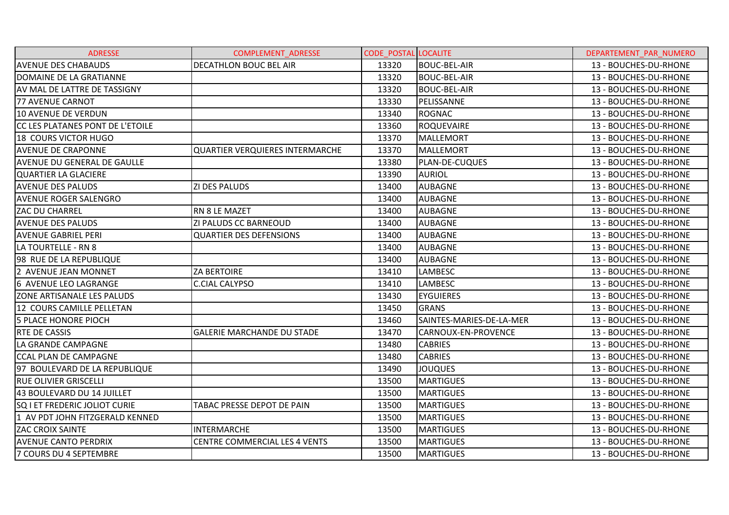| <b>ADRESSE</b>                     | <b>COMPLEMENT ADRESSE</b>              | <b>CODE POSTAL LOCALITE</b> |                          | DEPARTEMENT_PAR_NUMERO |
|------------------------------------|----------------------------------------|-----------------------------|--------------------------|------------------------|
| <b>AVENUE DES CHABAUDS</b>         | DECATHLON BOUC BEL AIR                 | 13320                       | <b>BOUC-BEL-AIR</b>      | 13 - BOUCHES-DU-RHONE  |
| DOMAINE DE LA GRATIANNE            |                                        | 13320                       | <b>BOUC-BEL-AIR</b>      | 13 - BOUCHES-DU-RHONE  |
| AV MAL DE LATTRE DE TASSIGNY       |                                        | 13320                       | <b>BOUC-BEL-AIR</b>      | 13 - BOUCHES-DU-RHONE  |
| <b>77 AVENUE CARNOT</b>            |                                        | 13330                       | PELISSANNE               | 13 - BOUCHES-DU-RHONE  |
| <b>10 AVENUE DE VERDUN</b>         |                                        | 13340                       | <b>ROGNAC</b>            | 13 - BOUCHES-DU-RHONE  |
| CC LES PLATANES PONT DE L'ETOILE   |                                        | 13360                       | <b>ROQUEVAIRE</b>        | 13 - BOUCHES-DU-RHONE  |
| 18 COURS VICTOR HUGO               |                                        | 13370                       | <b>MALLEMORT</b>         | 13 - BOUCHES-DU-RHONE  |
| <b>AVENUE DE CRAPONNE</b>          | <b>QUARTIER VERQUIERES INTERMARCHE</b> | 13370                       | <b>MALLEMORT</b>         | 13 - BOUCHES-DU-RHONE  |
| <b>AVENUE DU GENERAL DE GAULLE</b> |                                        | 13380                       | <b>PLAN-DE-CUQUES</b>    | 13 - BOUCHES-DU-RHONE  |
| <b>QUARTIER LA GLACIERE</b>        |                                        | 13390                       | <b>AURIOL</b>            | 13 - BOUCHES-DU-RHONE  |
| <b>AVENUE DES PALUDS</b>           | ZI DES PALUDS                          | 13400                       | <b>AUBAGNE</b>           | 13 - BOUCHES-DU-RHONE  |
| <b>AVENUE ROGER SALENGRO</b>       |                                        | 13400                       | <b>AUBAGNE</b>           | 13 - BOUCHES-DU-RHONE  |
| <b>ZAC DU CHARREL</b>              | RN 8 LE MAZET                          | 13400                       | <b>AUBAGNE</b>           | 13 - BOUCHES-DU-RHONE  |
| <b>AVENUE DES PALUDS</b>           | ZI PALUDS CC BARNEOUD                  | 13400                       | <b>AUBAGNE</b>           | 13 - BOUCHES-DU-RHONE  |
| <b>AVENUE GABRIEL PERI</b>         | <b>QUARTIER DES DEFENSIONS</b>         | 13400                       | <b>AUBAGNE</b>           | 13 - BOUCHES-DU-RHONE  |
| LA TOURTELLE - RN 8                |                                        | 13400                       | <b>AUBAGNE</b>           | 13 - BOUCHES-DU-RHONE  |
| 98 RUE DE LA REPUBLIQUE            |                                        | 13400                       | <b>AUBAGNE</b>           | 13 - BOUCHES-DU-RHONE  |
| 2 AVENUE JEAN MONNET               | <b>ZA BERTOIRE</b>                     | 13410                       | <b>LAMBESC</b>           | 13 - BOUCHES-DU-RHONE  |
| 6 AVENUE LEO LAGRANGE              | <b>C.CIAL CALYPSO</b>                  | 13410                       | <b>LAMBESC</b>           | 13 - BOUCHES-DU-RHONE  |
| ZONE ARTISANALE LES PALUDS         |                                        | 13430                       | <b>EYGUIERES</b>         | 13 - BOUCHES-DU-RHONE  |
| 12 COURS CAMILLE PELLETAN          |                                        | 13450                       | <b>GRANS</b>             | 13 - BOUCHES-DU-RHONE  |
| <b>5 PLACE HONORE PIOCH</b>        |                                        | 13460                       | SAINTES-MARIES-DE-LA-MER | 13 - BOUCHES-DU-RHONE  |
| <b>RTE DE CASSIS</b>               | <b>GALERIE MARCHANDE DU STADE</b>      | 13470                       | CARNOUX-EN-PROVENCE      | 13 - BOUCHES-DU-RHONE  |
| LA GRANDE CAMPAGNE                 |                                        | 13480                       | <b>CABRIES</b>           | 13 - BOUCHES-DU-RHONE  |
| <b>CCAL PLAN DE CAMPAGNE</b>       |                                        | 13480                       | <b>CABRIES</b>           | 13 - BOUCHES-DU-RHONE  |
| 97 BOULEVARD DE LA REPUBLIQUE      |                                        | 13490                       | <b>JOUQUES</b>           | 13 - BOUCHES-DU-RHONE  |
| <b>RUE OLIVIER GRISCELLI</b>       |                                        | 13500                       | <b>MARTIGUES</b>         | 13 - BOUCHES-DU-RHONE  |
| 43 BOULEVARD DU 14 JUILLET         |                                        | 13500                       | <b>MARTIGUES</b>         | 13 - BOUCHES-DU-RHONE  |
| SQ I ET FREDERIC JOLIOT CURIE      | TABAC PRESSE DEPOT DE PAIN             | 13500                       | <b>MARTIGUES</b>         | 13 - BOUCHES-DU-RHONE  |
| 1 AV PDT JOHN FITZGERALD KENNED    |                                        | 13500                       | <b>MARTIGUES</b>         | 13 - BOUCHES-DU-RHONE  |
| <b>ZAC CROIX SAINTE</b>            | <b>INTERMARCHE</b>                     | 13500                       | <b>MARTIGUES</b>         | 13 - BOUCHES-DU-RHONE  |
| <b>AVENUE CANTO PERDRIX</b>        | <b>CENTRE COMMERCIAL LES 4 VENTS</b>   | 13500                       | <b>MARTIGUES</b>         | 13 - BOUCHES-DU-RHONE  |
| 7 COURS DU 4 SEPTEMBRE             |                                        | 13500                       | <b>MARTIGUES</b>         | 13 - BOUCHES-DU-RHONE  |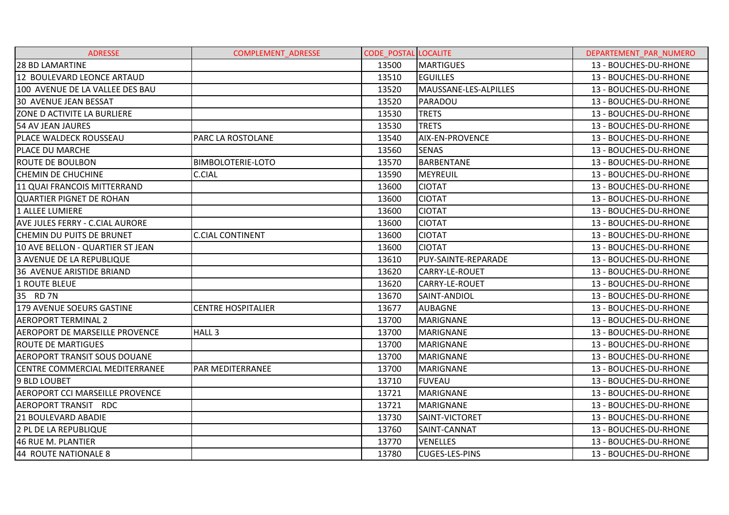| <b>ADRESSE</b>                      | <b>COMPLEMENT ADRESSE</b> | <b>CODE POSTAL LOCALITE</b> |                        | DEPARTEMENT PAR NUMERO |
|-------------------------------------|---------------------------|-----------------------------|------------------------|------------------------|
| <b>28 BD LAMARTINE</b>              |                           | 13500                       | <b>MARTIGUES</b>       | 13 - BOUCHES-DU-RHONE  |
| 12 BOULEVARD LEONCE ARTAUD          |                           | 13510                       | <b>EGUILLES</b>        | 13 - BOUCHES-DU-RHONE  |
| 100 AVENUE DE LA VALLEE DES BAU     |                           | 13520                       | MAUSSANE-LES-ALPILLES  | 13 - BOUCHES-DU-RHONE  |
| <b>30 AVENUE JEAN BESSAT</b>        |                           | 13520                       | PARADOU                | 13 - BOUCHES-DU-RHONE  |
| ZONE D ACTIVITE LA BURLIERE         |                           | 13530                       | <b>TRETS</b>           | 13 - BOUCHES-DU-RHONE  |
| 54 AV JEAN JAURES                   |                           | 13530                       | <b>TRETS</b>           | 13 - BOUCHES-DU-RHONE  |
| <b>PLACE WALDECK ROUSSEAU</b>       | <b>PARC LA ROSTOLANE</b>  | 13540                       | <b>AIX-EN-PROVENCE</b> | 13 - BOUCHES-DU-RHONE  |
| PLACE DU MARCHE                     |                           | 13560                       | <b>SENAS</b>           | 13 - BOUCHES-DU-RHONE  |
| IROUTE DE BOULBON                   | <b>BIMBOLOTERIE-LOTO</b>  | 13570                       | <b>BARBENTANE</b>      | 13 - BOUCHES-DU-RHONE  |
| <b>CHEMIN DE CHUCHINE</b>           | C.CIAL                    | 13590                       | MEYREUIL               | 13 - BOUCHES-DU-RHONE  |
| 11 QUAI FRANCOIS MITTERRAND         |                           | 13600                       | <b>CIOTAT</b>          | 13 - BOUCHES-DU-RHONE  |
| <b>QUARTIER PIGNET DE ROHAN</b>     |                           | 13600                       | <b>CIOTAT</b>          | 13 - BOUCHES-DU-RHONE  |
| 1 ALLEE LUMIERE                     |                           | 13600                       | <b>CIOTAT</b>          | 13 - BOUCHES-DU-RHONE  |
| AVE JULES FERRY - C.CIAL AURORE     |                           | 13600                       | <b>CIOTAT</b>          | 13 - BOUCHES-DU-RHONE  |
| <b>CHEMIN DU PUITS DE BRUNET</b>    | <b>C.CIAL CONTINENT</b>   | 13600                       | <b>CIOTAT</b>          | 13 - BOUCHES-DU-RHONE  |
| 10 AVE BELLON - QUARTIER ST JEAN    |                           | 13600                       | <b>CIOTAT</b>          | 13 - BOUCHES-DU-RHONE  |
| 3 AVENUE DE LA REPUBLIQUE           |                           | 13610                       | PUY-SAINTE-REPARADE    | 13 - BOUCHES-DU-RHONE  |
| 36 AVENUE ARISTIDE BRIAND           |                           | 13620                       | CARRY-LE-ROUET         | 13 - BOUCHES-DU-RHONE  |
| 1 ROUTE BLEUE                       |                           | 13620                       | CARRY-LE-ROUET         | 13 - BOUCHES-DU-RHONE  |
| 35 RD 7N                            |                           | 13670                       | SAINT-ANDIOL           | 13 - BOUCHES-DU-RHONE  |
| 179 AVENUE SOEURS GASTINE           | <b>CENTRE HOSPITALIER</b> | 13677                       | <b>AUBAGNE</b>         | 13 - BOUCHES-DU-RHONE  |
| <b>AEROPORT TERMINAL 2</b>          |                           | 13700                       | <b>MARIGNANE</b>       | 13 - BOUCHES-DU-RHONE  |
| AEROPORT DE MARSEILLE PROVENCE      | HALL <sub>3</sub>         | 13700                       | <b>MARIGNANE</b>       | 13 - BOUCHES-DU-RHONE  |
| <b>ROUTE DE MARTIGUES</b>           |                           | 13700                       | <b>MARIGNANE</b>       | 13 - BOUCHES-DU-RHONE  |
| <b>AEROPORT TRANSIT SOUS DOUANE</b> |                           | 13700                       | <b>MARIGNANE</b>       | 13 - BOUCHES-DU-RHONE  |
| CENTRE COMMERCIAL MEDITERRANEE      | PAR MEDITERRANEE          | 13700                       | <b>MARIGNANE</b>       | 13 - BOUCHES-DU-RHONE  |
| 9 BLD LOUBET                        |                           | 13710                       | <b>FUVEAU</b>          | 13 - BOUCHES-DU-RHONE  |
| AEROPORT CCI MARSEILLE PROVENCE     |                           | 13721                       | <b>MARIGNANE</b>       | 13 - BOUCHES-DU-RHONE  |
| AEROPORT TRANSIT RDC                |                           | 13721                       | <b>MARIGNANE</b>       | 13 - BOUCHES-DU-RHONE  |
| 21 BOULEVARD ABADIE                 |                           | 13730                       | SAINT-VICTORET         | 13 - BOUCHES-DU-RHONE  |
| 2 PL DE LA REPUBLIQUE               |                           | 13760                       | SAINT-CANNAT           | 13 - BOUCHES-DU-RHONE  |
| 46 RUE M. PLANTIER                  |                           | 13770                       | <b>VENELLES</b>        | 13 - BOUCHES-DU-RHONE  |
| 44 ROUTE NATIONALE 8                |                           | 13780                       | <b>CUGES-LES-PINS</b>  | 13 - BOUCHES-DU-RHONE  |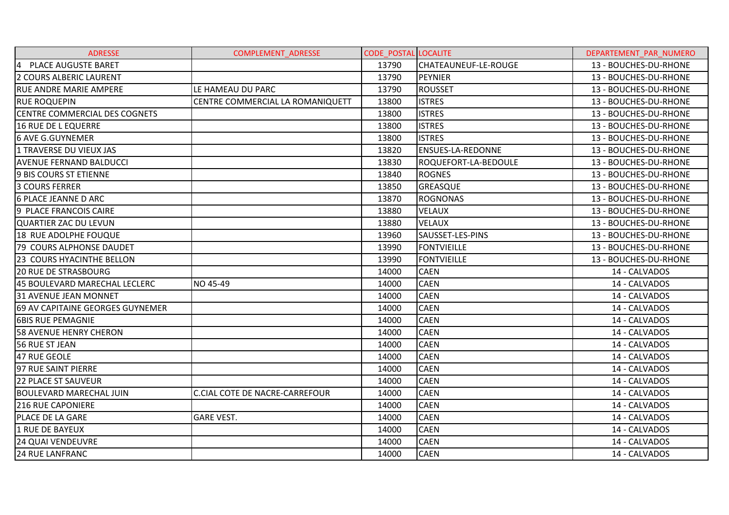| <b>ADRESSE</b>                       | COMPLEMENT_ADRESSE                    | <b>CODE POSTAL LOCALITE</b> |                          | DEPARTEMENT PAR NUMERO |
|--------------------------------------|---------------------------------------|-----------------------------|--------------------------|------------------------|
| 4 PLACE AUGUSTE BARET                |                                       | 13790                       | CHATEAUNEUF-LE-ROUGE     | 13 - BOUCHES-DU-RHONE  |
| 2 COURS ALBERIC LAURENT              |                                       | 13790                       | <b>PEYNIER</b>           | 13 - BOUCHES-DU-RHONE  |
| <b>RUE ANDRE MARIE AMPERE</b>        | LE HAMEAU DU PARC                     | 13790                       | <b>ROUSSET</b>           | 13 - BOUCHES-DU-RHONE  |
| <b>RUE ROQUEPIN</b>                  | CENTRE COMMERCIAL LA ROMANIQUETT      | 13800                       | <b>ISTRES</b>            | 13 - BOUCHES-DU-RHONE  |
| <b>CENTRE COMMERCIAL DES COGNETS</b> |                                       | 13800                       | <b>ISTRES</b>            | 13 - BOUCHES-DU-RHONE  |
| 16 RUE DE L EQUERRE                  |                                       | 13800                       | <b>ISTRES</b>            | 13 - BOUCHES-DU-RHONE  |
| <b>6 AVE G.GUYNEMER</b>              |                                       | 13800                       | <b>ISTRES</b>            | 13 - BOUCHES-DU-RHONE  |
| 1 TRAVERSE DU VIEUX JAS              |                                       | 13820                       | <b>ENSUES-LA-REDONNE</b> | 13 - BOUCHES-DU-RHONE  |
| <b>AVENUE FERNAND BALDUCCI</b>       |                                       | 13830                       | ROQUEFORT-LA-BEDOULE     | 13 - BOUCHES-DU-RHONE  |
| 9 BIS COURS ST ETIENNE               |                                       | 13840                       | <b>ROGNES</b>            | 13 - BOUCHES-DU-RHONE  |
| 3 COURS FERRER                       |                                       | 13850                       | GREASQUE                 | 13 - BOUCHES-DU-RHONE  |
| 6 PLACE JEANNE D ARC                 |                                       | 13870                       | <b>ROGNONAS</b>          | 13 - BOUCHES-DU-RHONE  |
| 9 PLACE FRANCOIS CAIRE               |                                       | 13880                       | <b>VELAUX</b>            | 13 - BOUCHES-DU-RHONE  |
| <b>QUARTIER ZAC DU LEVUN</b>         |                                       | 13880                       | <b>VELAUX</b>            | 13 - BOUCHES-DU-RHONE  |
| 18 RUE ADOLPHE FOUQUE                |                                       | 13960                       | SAUSSET-LES-PINS         | 13 - BOUCHES-DU-RHONE  |
| 79 COURS ALPHONSE DAUDET             |                                       | 13990                       | <b>FONTVIEILLE</b>       | 13 - BOUCHES-DU-RHONE  |
| <b>23 COURS HYACINTHE BELLON</b>     |                                       | 13990                       | <b>FONTVIEILLE</b>       | 13 - BOUCHES-DU-RHONE  |
| <b>20 RUE DE STRASBOURG</b>          |                                       | 14000                       | <b>CAEN</b>              | 14 - CALVADOS          |
| 45 BOULEVARD MARECHAL LECLERC        | NO 45-49                              | 14000                       | <b>CAEN</b>              | 14 - CALVADOS          |
| 31 AVENUE JEAN MONNET                |                                       | 14000                       | <b>CAEN</b>              | 14 - CALVADOS          |
| 69 AV CAPITAINE GEORGES GUYNEMER     |                                       | 14000                       | <b>CAEN</b>              | 14 - CALVADOS          |
| <b>6BIS RUE PEMAGNIE</b>             |                                       | 14000                       | <b>CAEN</b>              | 14 - CALVADOS          |
| <b>58 AVENUE HENRY CHERON</b>        |                                       | 14000                       | <b>CAEN</b>              | 14 - CALVADOS          |
| 56 RUE ST JEAN                       |                                       | 14000                       | <b>CAEN</b>              | 14 - CALVADOS          |
| 47 RUE GEOLE                         |                                       | 14000                       | <b>CAEN</b>              | 14 - CALVADOS          |
| 97 RUE SAINT PIERRE                  |                                       | 14000                       | <b>CAEN</b>              | 14 - CALVADOS          |
| 22 PLACE ST SAUVEUR                  |                                       | 14000                       | <b>CAEN</b>              | 14 - CALVADOS          |
| <b>BOULEVARD MARECHAL JUIN</b>       | <b>C.CIAL COTE DE NACRE-CARREFOUR</b> | 14000                       | <b>CAEN</b>              | 14 - CALVADOS          |
| <b>216 RUE CAPONIERE</b>             |                                       | 14000                       | <b>CAEN</b>              | 14 - CALVADOS          |
| <b>PLACE DE LA GARE</b>              | <b>GARE VEST.</b>                     | 14000                       | <b>CAEN</b>              | 14 - CALVADOS          |
| 1 RUE DE BAYEUX                      |                                       | 14000                       | <b>CAEN</b>              | 14 - CALVADOS          |
| <b>24 QUAI VENDEUVRE</b>             |                                       | 14000                       | <b>CAEN</b>              | 14 - CALVADOS          |
| <b>24 RUE LANFRANC</b>               |                                       | 14000                       | <b>CAEN</b>              | 14 - CALVADOS          |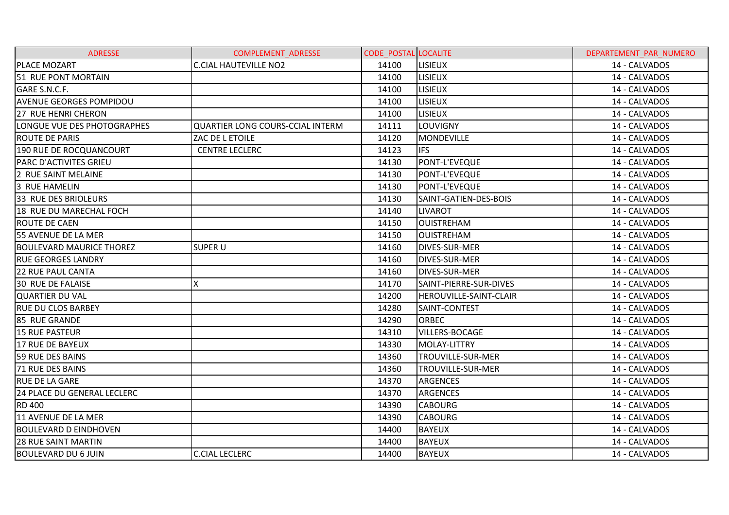| <b>ADRESSE</b>                  | <b>COMPLEMENT ADRESSE</b>               | <b>CODE POSTAL LOCALITE</b> |                        | DEPARTEMENT PAR NUMERO |
|---------------------------------|-----------------------------------------|-----------------------------|------------------------|------------------------|
| <b>PLACE MOZART</b>             | <b>C.CIAL HAUTEVILLE NO2</b>            | 14100                       | <b>LISIEUX</b>         | 14 - CALVADOS          |
| 51 RUE PONT MORTAIN             |                                         | 14100                       | <b>LISIEUX</b>         | 14 - CALVADOS          |
| GARE S.N.C.F.                   |                                         | 14100                       | <b>LISIEUX</b>         | 14 - CALVADOS          |
| <b>AVENUE GEORGES POMPIDOU</b>  |                                         | 14100                       | <b>LISIEUX</b>         | 14 - CALVADOS          |
| 27 RUE HENRI CHERON             |                                         | 14100                       | <b>LISIEUX</b>         | 14 - CALVADOS          |
| LONGUE VUE DES PHOTOGRAPHES     | <b>QUARTIER LONG COURS-CCIAL INTERM</b> | 14111                       | LOUVIGNY               | 14 - CALVADOS          |
| <b>ROUTE DE PARIS</b>           | ZAC DE L ETOILE                         | 14120                       | <b>MONDEVILLE</b>      | 14 - CALVADOS          |
| 190 RUE DE ROCQUANCOURT         | <b>CENTRE LECLERC</b>                   | 14123                       | <b>IFS</b>             | 14 - CALVADOS          |
| PARC D'ACTIVITES GRIEU          |                                         | 14130                       | PONT-L'EVEQUE          | 14 - CALVADOS          |
| 2 RUE SAINT MELAINE             |                                         | 14130                       | PONT-L'EVEQUE          | 14 - CALVADOS          |
| 3 RUE HAMELIN                   |                                         | 14130                       | PONT-L'EVEQUE          | 14 - CALVADOS          |
| 33 RUE DES BRIOLEURS            |                                         | 14130                       | SAINT-GATIEN-DES-BOIS  | 14 - CALVADOS          |
| 18 RUE DU MARECHAL FOCH         |                                         | 14140                       | <b>LIVAROT</b>         | 14 - CALVADOS          |
| <b>ROUTE DE CAEN</b>            |                                         | 14150                       | <b>OUISTREHAM</b>      | 14 - CALVADOS          |
| 55 AVENUE DE LA MER             |                                         | 14150                       | <b>OUISTREHAM</b>      | 14 - CALVADOS          |
| <b>BOULEVARD MAURICE THOREZ</b> | <b>SUPER U</b>                          | 14160                       | <b>DIVES-SUR-MER</b>   | 14 - CALVADOS          |
| <b>RUE GEORGES LANDRY</b>       |                                         | 14160                       | DIVES-SUR-MER          | 14 - CALVADOS          |
| <b>22 RUE PAUL CANTA</b>        |                                         | 14160                       | <b>DIVES-SUR-MER</b>   | 14 - CALVADOS          |
| 30 RUE DE FALAISE               | x                                       | 14170                       | SAINT-PIERRE-SUR-DIVES | 14 - CALVADOS          |
| <b>QUARTIER DU VAL</b>          |                                         | 14200                       | HEROUVILLE-SAINT-CLAIR | 14 - CALVADOS          |
| <b>RUE DU CLOS BARBEY</b>       |                                         | 14280                       | SAINT-CONTEST          | 14 - CALVADOS          |
| 85 RUE GRANDE                   |                                         | 14290                       | ORBEC                  | 14 - CALVADOS          |
| 15 RUE PASTEUR                  |                                         | 14310                       | <b>VILLERS-BOCAGE</b>  | 14 - CALVADOS          |
| 17 RUE DE BAYEUX                |                                         | 14330                       | MOLAY-LITTRY           | 14 - CALVADOS          |
| 59 RUE DES BAINS                |                                         | 14360                       | TROUVILLE-SUR-MER      | 14 - CALVADOS          |
| 71 RUE DES BAINS                |                                         | 14360                       | TROUVILLE-SUR-MER      | 14 - CALVADOS          |
| <b>RUE DE LA GARE</b>           |                                         | 14370                       | <b>ARGENCES</b>        | 14 - CALVADOS          |
| 24 PLACE DU GENERAL LECLERC     |                                         | 14370                       | <b>ARGENCES</b>        | 14 - CALVADOS          |
| <b>RD 400</b>                   |                                         | 14390                       | <b>CABOURG</b>         | 14 - CALVADOS          |
| 11 AVENUE DE LA MER             |                                         | 14390                       | <b>CABOURG</b>         | 14 - CALVADOS          |
| <b>BOULEVARD D EINDHOVEN</b>    |                                         | 14400                       | <b>BAYEUX</b>          | 14 - CALVADOS          |
| 28 RUE SAINT MARTIN             |                                         | 14400                       | <b>BAYEUX</b>          | 14 - CALVADOS          |
| <b>BOULEVARD DU 6 JUIN</b>      | <b>C.CIAL LECLERC</b>                   | 14400                       | <b>BAYEUX</b>          | 14 - CALVADOS          |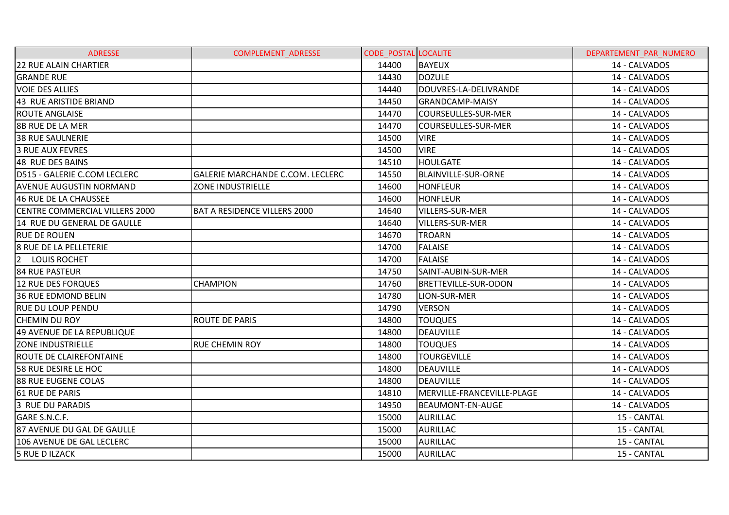| <b>ADRESSE</b>                        | <b>COMPLEMENT ADRESSE</b>               | <b>CODE POSTAL LOCALITE</b> |                            | DEPARTEMENT PAR NUMERO |
|---------------------------------------|-----------------------------------------|-----------------------------|----------------------------|------------------------|
| <b>22 RUE ALAIN CHARTIER</b>          |                                         | 14400                       | <b>BAYEUX</b>              | 14 - CALVADOS          |
| <b>GRANDE RUE</b>                     |                                         | 14430                       | <b>DOZULE</b>              | 14 - CALVADOS          |
| <b>VOIE DES ALLIES</b>                |                                         | 14440                       | DOUVRES-LA-DELIVRANDE      | 14 - CALVADOS          |
| 43 RUE ARISTIDE BRIAND                |                                         | 14450                       | <b>GRANDCAMP-MAISY</b>     | 14 - CALVADOS          |
| <b>ROUTE ANGLAISE</b>                 |                                         | 14470                       | <b>COURSEULLES-SUR-MER</b> | 14 - CALVADOS          |
| <b>8B RUE DE LA MER</b>               |                                         | 14470                       | COURSEULLES-SUR-MER        | 14 - CALVADOS          |
| <b>38 RUE SAULNERIE</b>               |                                         | 14500                       | <b>VIRE</b>                | 14 - CALVADOS          |
| 3 RUE AUX FEVRES                      |                                         | 14500                       | <b>VIRE</b>                | 14 - CALVADOS          |
| 48 RUE DES BAINS                      |                                         | 14510                       | <b>HOULGATE</b>            | 14 - CALVADOS          |
| D515 - GALERIE C.COM LECLERC          | <b>GALERIE MARCHANDE C.COM. LECLERC</b> | 14550                       | <b>BLAINVILLE-SUR-ORNE</b> | 14 - CALVADOS          |
| <b>AVENUE AUGUSTIN NORMAND</b>        | ZONE INDUSTRIELLE                       | 14600                       | <b>HONFLEUR</b>            | 14 - CALVADOS          |
| 46 RUE DE LA CHAUSSEE                 |                                         | 14600                       | <b>HONFLEUR</b>            | 14 - CALVADOS          |
| <b>CENTRE COMMERCIAL VILLERS 2000</b> | <b>BAT A RESIDENCE VILLERS 2000</b>     | 14640                       | <b>VILLERS-SUR-MER</b>     | 14 - CALVADOS          |
| 14 RUE DU GENERAL DE GAULLE           |                                         | 14640                       | VILLERS-SUR-MER            | 14 - CALVADOS          |
| <b>RUE DE ROUEN</b>                   |                                         | 14670                       | <b>TROARN</b>              | 14 - CALVADOS          |
| 8 RUE DE LA PELLETERIE                |                                         | 14700                       | <b>FALAISE</b>             | 14 - CALVADOS          |
| 2 LOUIS ROCHET                        |                                         | 14700                       | <b>FALAISE</b>             | 14 - CALVADOS          |
| <b>84 RUE PASTEUR</b>                 |                                         | 14750                       | SAINT-AUBIN-SUR-MER        | 14 - CALVADOS          |
| 12 RUE DES FORQUES                    | <b>CHAMPION</b>                         | 14760                       | BRETTEVILLE-SUR-ODON       | 14 - CALVADOS          |
| <b>36 RUE EDMOND BELIN</b>            |                                         | 14780                       | LION-SUR-MER               | 14 - CALVADOS          |
| <b>RUE DU LOUP PENDU</b>              |                                         | 14790                       | <b>VERSON</b>              | 14 - CALVADOS          |
| <b>CHEMIN DU ROY</b>                  | <b>ROUTE DE PARIS</b>                   | 14800                       | <b>TOUQUES</b>             | 14 - CALVADOS          |
| 49 AVENUE DE LA REPUBLIQUE            |                                         | 14800                       | <b>DEAUVILLE</b>           | 14 - CALVADOS          |
| <b>ZONE INDUSTRIELLE</b>              | <b>RUE CHEMIN ROY</b>                   | 14800                       | <b>TOUQUES</b>             | 14 - CALVADOS          |
| ROUTE DE CLAIREFONTAINE               |                                         | 14800                       | <b>TOURGEVILLE</b>         | 14 - CALVADOS          |
| 58 RUE DESIRE LE HOC                  |                                         | 14800                       | <b>DEAUVILLE</b>           | 14 - CALVADOS          |
| 88 RUE EUGENE COLAS                   |                                         | 14800                       | <b>DEAUVILLE</b>           | 14 - CALVADOS          |
| 61 RUE DE PARIS                       |                                         | 14810                       | MERVILLE-FRANCEVILLE-PLAGE | 14 - CALVADOS          |
| 3 RUE DU PARADIS                      |                                         | 14950                       | <b>BEAUMONT-EN-AUGE</b>    | 14 - CALVADOS          |
| GARE S.N.C.F.                         |                                         | 15000                       | <b>AURILLAC</b>            | 15 - CANTAL            |
| 87 AVENUE DU GAL DE GAULLE            |                                         | 15000                       | <b>AURILLAC</b>            | 15 - CANTAL            |
| 106 AVENUE DE GAL LECLERC             |                                         | 15000                       | <b>AURILLAC</b>            | 15 - CANTAL            |
| <b>5 RUE D ILZACK</b>                 |                                         | 15000                       | <b>AURILLAC</b>            | 15 - CANTAL            |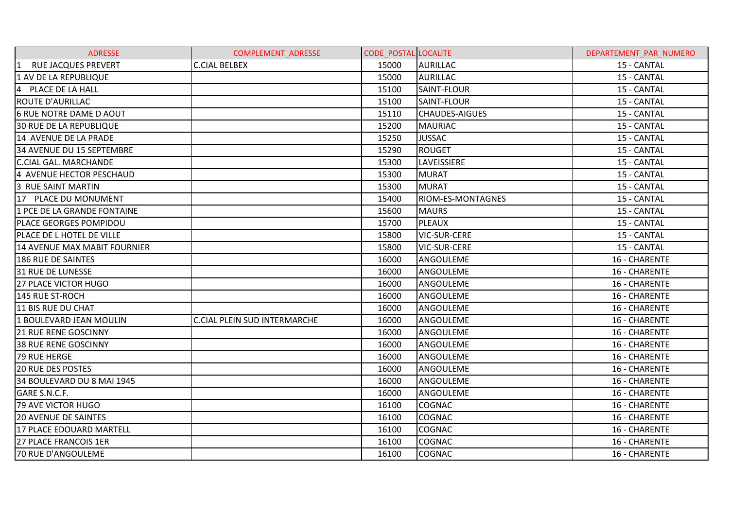| <b>ADRESSE</b>                             | <b>COMPLEMENT ADRESSE</b>           | <b>CODE POSTAL LOCALITE</b> |                          | DEPARTEMENT PAR NUMERO |
|--------------------------------------------|-------------------------------------|-----------------------------|--------------------------|------------------------|
| <b>RUE JACQUES PREVERT</b><br>$\mathbf{1}$ | <b>C.CIAL BELBEX</b>                | 15000                       | <b>AURILLAC</b>          | 15 - CANTAL            |
| 1 AV DE LA REPUBLIQUE                      |                                     | 15000                       | <b>AURILLAC</b>          | 15 - CANTAL            |
| 4 PLACE DE LA HALL                         |                                     | 15100                       | SAINT-FLOUR              | 15 - CANTAL            |
| <b>ROUTE D'AURILLAC</b>                    |                                     | 15100                       | SAINT-FLOUR              | 15 - CANTAL            |
| 6 RUE NOTRE DAME D AOUT                    |                                     | 15110                       | <b>CHAUDES-AIGUES</b>    | 15 - CANTAL            |
| <b>30 RUE DE LA REPUBLIQUE</b>             |                                     | 15200                       | <b>MAURIAC</b>           | 15 - CANTAL            |
| 14 AVENUE DE LA PRADE                      |                                     | 15250                       | <b>JUSSAC</b>            | 15 - CANTAL            |
| 34 AVENUE DU 15 SEPTEMBRE                  |                                     | 15290                       | <b>ROUGET</b>            | 15 - CANTAL            |
| <b>C.CIAL GAL. MARCHANDE</b>               |                                     | 15300                       | <b>LAVEISSIERE</b>       | 15 - CANTAL            |
| 4 AVENUE HECTOR PESCHAUD                   |                                     | 15300                       | <b>MURAT</b>             | 15 - CANTAL            |
| 3 RUE SAINT MARTIN                         |                                     | 15300                       | <b>MURAT</b>             | 15 - CANTAL            |
| 17 PLACE DU MONUMENT                       |                                     | 15400                       | <b>RIOM-ES-MONTAGNES</b> | 15 - CANTAL            |
| 1 PCE DE LA GRANDE FONTAINE                |                                     | 15600                       | <b>MAURS</b>             | 15 - CANTAL            |
| <b>PLACE GEORGES POMPIDOU</b>              |                                     | 15700                       | <b>PLEAUX</b>            | 15 - CANTAL            |
| <b>PLACE DE L HOTEL DE VILLE</b>           |                                     | 15800                       | <b>VIC-SUR-CERE</b>      | 15 - CANTAL            |
| <b>14 AVENUE MAX MABIT FOURNIER</b>        |                                     | 15800                       | <b>VIC-SUR-CERE</b>      | 15 - CANTAL            |
| 186 RUE DE SAINTES                         |                                     | 16000                       | ANGOULEME                | 16 - CHARENTE          |
| 31 RUE DE LUNESSE                          |                                     | 16000                       | ANGOULEME                | 16 - CHARENTE          |
| 27 PLACE VICTOR HUGO                       |                                     | 16000                       | ANGOULEME                | 16 - CHARENTE          |
| 145 RUE ST-ROCH                            |                                     | 16000                       | ANGOULEME                | 16 - CHARENTE          |
| 11 BIS RUE DU CHAT                         |                                     | 16000                       | ANGOULEME                | 16 - CHARENTE          |
| 1 BOULEVARD JEAN MOULIN                    | <b>C.CIAL PLEIN SUD INTERMARCHE</b> | 16000                       | ANGOULEME                | 16 - CHARENTE          |
| <b>21 RUE RENE GOSCINNY</b>                |                                     | 16000                       | ANGOULEME                | 16 - CHARENTE          |
| <b>38 RUE RENE GOSCINNY</b>                |                                     | 16000                       | ANGOULEME                | 16 - CHARENTE          |
| 79 RUE HERGE                               |                                     | 16000                       | ANGOULEME                | 16 - CHARENTE          |
| <b>20 RUE DES POSTES</b>                   |                                     | 16000                       | ANGOULEME                | 16 - CHARENTE          |
| 34 BOULEVARD DU 8 MAI 1945                 |                                     | 16000                       | ANGOULEME                | 16 - CHARENTE          |
| GARE S.N.C.F.                              |                                     | 16000                       | ANGOULEME                | 16 - CHARENTE          |
| <b>79 AVE VICTOR HUGO</b>                  |                                     | 16100                       | <b>COGNAC</b>            | 16 - CHARENTE          |
| <b>20 AVENUE DE SAINTES</b>                |                                     | 16100                       | <b>COGNAC</b>            | 16 - CHARENTE          |
| 17 PLACE EDOUARD MARTELL                   |                                     | 16100                       | <b>COGNAC</b>            | 16 - CHARENTE          |
| <b>27 PLACE FRANCOIS 1ER</b>               |                                     | 16100                       | <b>COGNAC</b>            | 16 - CHARENTE          |
| <b>70 RUE D'ANGOULEME</b>                  |                                     | 16100                       | <b>COGNAC</b>            | 16 - CHARENTE          |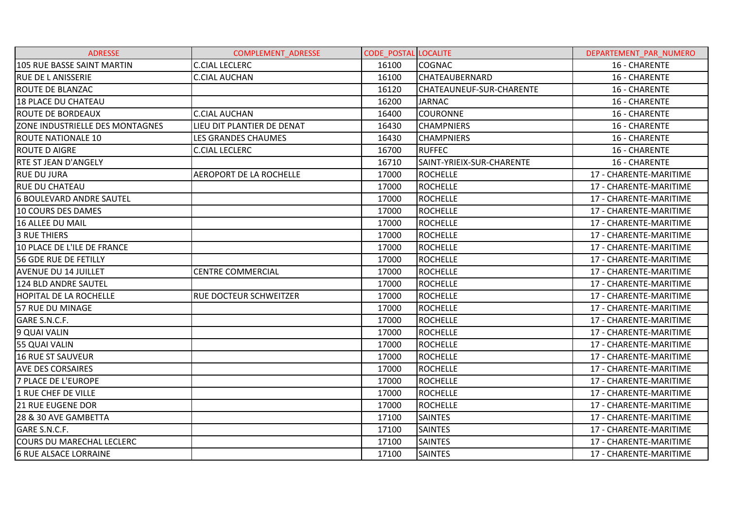| <b>ADRESSE</b>                   | <b>COMPLEMENT ADRESSE</b>  | <b>CODE POSTAL LOCALITE</b> |                           | DEPARTEMENT PAR NUMERO |
|----------------------------------|----------------------------|-----------------------------|---------------------------|------------------------|
| 105 RUE BASSE SAINT MARTIN       | <b>C.CIAL LECLERC</b>      | 16100                       | <b>COGNAC</b>             | 16 - CHARENTE          |
| <b>RUE DE LANISSERIE</b>         | <b>C.CIAL AUCHAN</b>       | 16100                       | <b>CHATEAUBERNARD</b>     | 16 - CHARENTE          |
| <b>ROUTE DE BLANZAC</b>          |                            | 16120                       | CHATEAUNEUF-SUR-CHARENTE  | 16 - CHARENTE          |
| 18 PLACE DU CHATEAU              |                            | 16200                       | <b>JARNAC</b>             | 16 - CHARENTE          |
| <b>ROUTE DE BORDEAUX</b>         | <b>C.CIAL AUCHAN</b>       | 16400                       | <b>COURONNE</b>           | 16 - CHARENTE          |
| ZONE INDUSTRIELLE DES MONTAGNES  | LIEU DIT PLANTIER DE DENAT | 16430                       | <b>CHAMPNIERS</b>         | 16 - CHARENTE          |
| <b>ROUTE NATIONALE 10</b>        | LES GRANDES CHAUMES        | 16430                       | <b>CHAMPNIERS</b>         | 16 - CHARENTE          |
| <b>ROUTE D AIGRE</b>             | <b>C.CIAL LECLERC</b>      | 16700                       | <b>RUFFEC</b>             | 16 - CHARENTE          |
| <b>RTE ST JEAN D'ANGELY</b>      |                            | 16710                       | SAINT-YRIEIX-SUR-CHARENTE | 16 - CHARENTE          |
| <b>RUE DU JURA</b>               | AEROPORT DE LA ROCHELLE    | 17000                       | <b>ROCHELLE</b>           | 17 - CHARENTE-MARITIME |
| <b>RUE DU CHATEAU</b>            |                            | 17000                       | <b>ROCHELLE</b>           | 17 - CHARENTE-MARITIME |
| <b>6 BOULEVARD ANDRE SAUTEL</b>  |                            | 17000                       | <b>ROCHELLE</b>           | 17 - CHARENTE-MARITIME |
| 10 COURS DES DAMES               |                            | 17000                       | <b>ROCHELLE</b>           | 17 - CHARENTE-MARITIME |
| 16 ALLEE DU MAIL                 |                            | 17000                       | <b>ROCHELLE</b>           | 17 - CHARENTE-MARITIME |
| <b>3 RUE THIERS</b>              |                            | 17000                       | <b>ROCHELLE</b>           | 17 - CHARENTE-MARITIME |
| 10 PLACE DE L'ILE DE FRANCE      |                            | 17000                       | <b>ROCHELLE</b>           | 17 - CHARENTE-MARITIME |
| 56 GDE RUE DE FETILLY            |                            | 17000                       | <b>ROCHELLE</b>           | 17 - CHARENTE-MARITIME |
| <b>AVENUE DU 14 JUILLET</b>      | <b>CENTRE COMMERCIAL</b>   | 17000                       | <b>ROCHELLE</b>           | 17 - CHARENTE-MARITIME |
| 124 BLD ANDRE SAUTEL             |                            | 17000                       | <b>ROCHELLE</b>           | 17 - CHARENTE-MARITIME |
| HOPITAL DE LA ROCHELLE           | RUE DOCTEUR SCHWEITZER     | 17000                       | <b>ROCHELLE</b>           | 17 - CHARENTE-MARITIME |
| 57 RUE DU MINAGE                 |                            | 17000                       | <b>ROCHELLE</b>           | 17 - CHARENTE-MARITIME |
| GARE S.N.C.F.                    |                            | 17000                       | <b>ROCHELLE</b>           | 17 - CHARENTE-MARITIME |
| 9 QUAI VALIN                     |                            | 17000                       | <b>ROCHELLE</b>           | 17 - CHARENTE-MARITIME |
| <b>55 QUAI VALIN</b>             |                            | 17000                       | <b>ROCHELLE</b>           | 17 - CHARENTE-MARITIME |
| <b>16 RUE ST SAUVEUR</b>         |                            | 17000                       | <b>ROCHELLE</b>           | 17 - CHARENTE-MARITIME |
| <b>AVE DES CORSAIRES</b>         |                            | 17000                       | <b>ROCHELLE</b>           | 17 - CHARENTE-MARITIME |
| <b>7 PLACE DE L'EUROPE</b>       |                            | 17000                       | <b>ROCHELLE</b>           | 17 - CHARENTE-MARITIME |
| 1 RUE CHEF DE VILLE              |                            | 17000                       | <b>ROCHELLE</b>           | 17 - CHARENTE-MARITIME |
| <b>21 RUE EUGENE DOR</b>         |                            | 17000                       | <b>ROCHELLE</b>           | 17 - CHARENTE-MARITIME |
| 28 & 30 AVE GAMBETTA             |                            | 17100                       | <b>SAINTES</b>            | 17 - CHARENTE-MARITIME |
| GARE S.N.C.F.                    |                            | 17100                       | <b>SAINTES</b>            | 17 - CHARENTE-MARITIME |
| <b>COURS DU MARECHAL LECLERC</b> |                            | 17100                       | <b>SAINTES</b>            | 17 - CHARENTE-MARITIME |
| <b>6 RUE ALSACE LORRAINE</b>     |                            | 17100                       | <b>SAINTES</b>            | 17 - CHARENTE-MARITIME |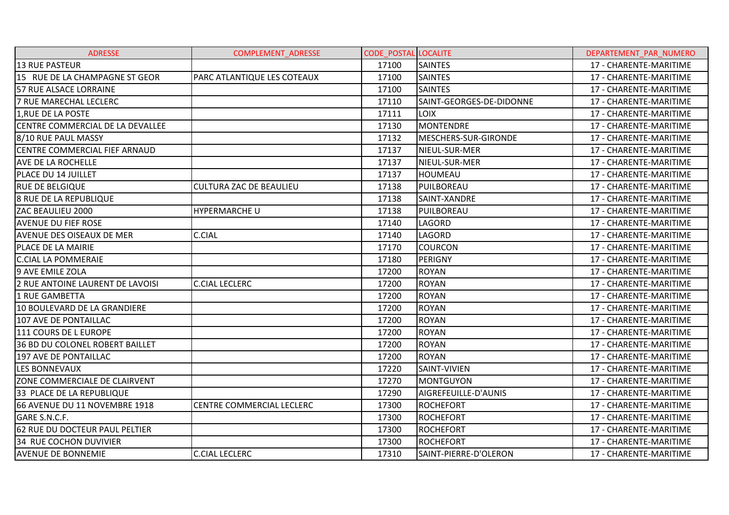| <b>ADRESSE</b>                   | <b>COMPLEMENT ADRESSE</b>      | <b>CODE POSTAL LOCALITE</b> |                          | DEPARTEMENT PAR NUMERO |
|----------------------------------|--------------------------------|-----------------------------|--------------------------|------------------------|
| <b>13 RUE PASTEUR</b>            |                                | 17100                       | <b>SAINTES</b>           | 17 - CHARENTE-MARITIME |
| 15 RUE DE LA CHAMPAGNE ST GEOR   | PARC ATLANTIQUE LES COTEAUX    | 17100                       | <b>SAINTES</b>           | 17 - CHARENTE-MARITIME |
| 57 RUE ALSACE LORRAINE           |                                | 17100                       | <b>SAINTES</b>           | 17 - CHARENTE-MARITIME |
| 7 RUE MARECHAL LECLERC           |                                | 17110                       | SAINT-GEORGES-DE-DIDONNE | 17 - CHARENTE-MARITIME |
| 1, RUE DE LA POSTE               |                                | 17111                       | <b>LOIX</b>              | 17 - CHARENTE-MARITIME |
| CENTRE COMMERCIAL DE LA DEVALLEE |                                | 17130                       | MONTENDRE                | 17 - CHARENTE-MARITIME |
| 8/10 RUE PAUL MASSY              |                                | 17132                       | MESCHERS-SUR-GIRONDE     | 17 - CHARENTE-MARITIME |
| CENTRE COMMERCIAL FIEF ARNAUD    |                                | 17137                       | NIEUL-SUR-MER            | 17 - CHARENTE-MARITIME |
| <b>AVE DE LA ROCHELLE</b>        |                                | 17137                       | NIEUL-SUR-MER            | 17 - CHARENTE-MARITIME |
| <b>PLACE DU 14 JUILLET</b>       |                                | 17137                       | <b>HOUMEAU</b>           | 17 - CHARENTE-MARITIME |
| <b>RUE DE BELGIQUE</b>           | <b>CULTURA ZAC DE BEAULIEU</b> | 17138                       | PUILBOREAU               | 17 - CHARENTE-MARITIME |
| <b>8 RUE DE LA REPUBLIQUE</b>    |                                | 17138                       | SAINT-XANDRE             | 17 - CHARENTE-MARITIME |
| ZAC BEAULIEU 2000                | <b>HYPERMARCHE U</b>           | 17138                       | PUILBOREAU               | 17 - CHARENTE-MARITIME |
| <b>AVENUE DU FIEF ROSE</b>       |                                | 17140                       | LAGORD                   | 17 - CHARENTE-MARITIME |
| <b>AVENUE DES OISEAUX DE MER</b> | <b>C.CIAL</b>                  | 17140                       | LAGORD                   | 17 - CHARENTE-MARITIME |
| PLACE DE LA MAIRIE               |                                | 17170                       | <b>COURCON</b>           | 17 - CHARENTE-MARITIME |
| <b>C.CIAL LA POMMERAIE</b>       |                                | 17180                       | PERIGNY                  | 17 - CHARENTE-MARITIME |
| 9 AVE EMILE ZOLA                 |                                | 17200                       | <b>ROYAN</b>             | 17 - CHARENTE-MARITIME |
| 2 RUE ANTOINE LAURENT DE LAVOISI | <b>C.CIAL LECLERC</b>          | 17200                       | <b>ROYAN</b>             | 17 - CHARENTE-MARITIME |
| 1 RUE GAMBETTA                   |                                | 17200                       | <b>ROYAN</b>             | 17 - CHARENTE-MARITIME |
| 10 BOULEVARD DE LA GRANDIERE     |                                | 17200                       | <b>ROYAN</b>             | 17 - CHARENTE-MARITIME |
| 107 AVE DE PONTAILLAC            |                                | 17200                       | <b>ROYAN</b>             | 17 - CHARENTE-MARITIME |
| 111 COURS DE L EUROPE            |                                | 17200                       | <b>ROYAN</b>             | 17 - CHARENTE-MARITIME |
| 36 BD DU COLONEL ROBERT BAILLET  |                                | 17200                       | <b>ROYAN</b>             | 17 - CHARENTE-MARITIME |
| 197 AVE DE PONTAILLAC            |                                | 17200                       | <b>ROYAN</b>             | 17 - CHARENTE-MARITIME |
| LES BONNEVAUX                    |                                | 17220                       | SAINT-VIVIEN             | 17 - CHARENTE-MARITIME |
| ZONE COMMERCIALE DE CLAIRVENT    |                                | 17270                       | <b>MONTGUYON</b>         | 17 - CHARENTE-MARITIME |
| 33 PLACE DE LA REPUBLIQUE        |                                | 17290                       | AIGREFEUILLE-D'AUNIS     | 17 - CHARENTE-MARITIME |
| 66 AVENUE DU 11 NOVEMBRE 1918    | CENTRE COMMERCIAL LECLERC      | 17300                       | <b>ROCHEFORT</b>         | 17 - CHARENTE-MARITIME |
| GARE S.N.C.F.                    |                                | 17300                       | <b>ROCHEFORT</b>         | 17 - CHARENTE-MARITIME |
| 62 RUE DU DOCTEUR PAUL PELTIER   |                                | 17300                       | <b>ROCHEFORT</b>         | 17 - CHARENTE-MARITIME |
| 34 RUE COCHON DUVIVIER           |                                | 17300                       | <b>ROCHEFORT</b>         | 17 - CHARENTE-MARITIME |
| <b>AVENUE DE BONNEMIE</b>        | <b>C.CIAL LECLERC</b>          | 17310                       | SAINT-PIERRE-D'OLERON    | 17 - CHARENTE-MARITIME |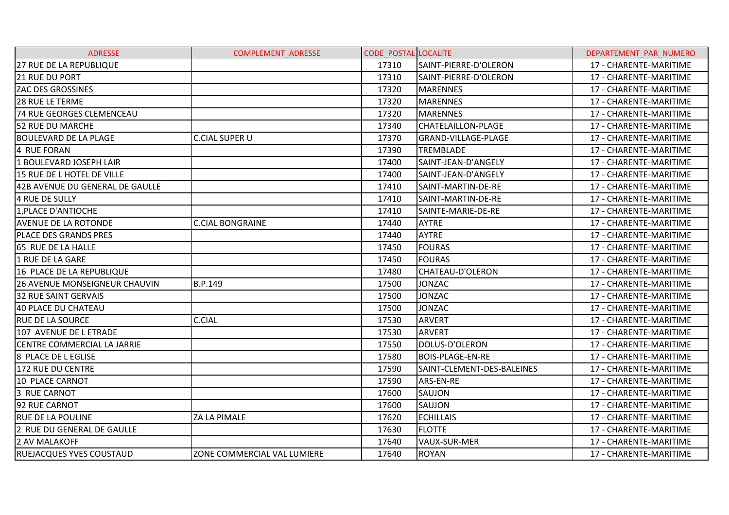| <b>ADRESSE</b>                     | <b>COMPLEMENT ADRESSE</b>   | <b>CODE POSTAL LOCALITE</b> |                            | DEPARTEMENT PAR NUMERO |
|------------------------------------|-----------------------------|-----------------------------|----------------------------|------------------------|
| 27 RUE DE LA REPUBLIQUE            |                             | 17310                       | SAINT-PIERRE-D'OLERON      | 17 - CHARENTE-MARITIME |
| <b>21 RUE DU PORT</b>              |                             | 17310                       | SAINT-PIERRE-D'OLERON      | 17 - CHARENTE-MARITIME |
| <b>ZAC DES GROSSINES</b>           |                             | 17320                       | <b>MARENNES</b>            | 17 - CHARENTE-MARITIME |
| <b>28 RUE LE TERME</b>             |                             | 17320                       | <b>MARENNES</b>            | 17 - CHARENTE-MARITIME |
| <b>74 RUE GEORGES CLEMENCEAU</b>   |                             | 17320                       | <b>MARENNES</b>            | 17 - CHARENTE-MARITIME |
| 52 RUE DU MARCHE                   |                             | 17340                       | <b>CHATELAILLON-PLAGE</b>  | 17 - CHARENTE-MARITIME |
| BOULEVARD DE LA PLAGE              | <b>C.CIAL SUPER U</b>       | 17370                       | GRAND-VILLAGE-PLAGE        | 17 - CHARENTE-MARITIME |
| 4 RUE FORAN                        |                             | 17390                       | <b>TREMBLADE</b>           | 17 - CHARENTE-MARITIME |
| 1 BOULEVARD JOSEPH LAIR            |                             | 17400                       | SAINT-JEAN-D'ANGELY        | 17 - CHARENTE-MARITIME |
| 15 RUE DE L HOTEL DE VILLE         |                             | 17400                       | SAINT-JEAN-D'ANGELY        | 17 - CHARENTE-MARITIME |
| 42B AVENUE DU GENERAL DE GAULLE    |                             | 17410                       | SAINT-MARTIN-DE-RE         | 17 - CHARENTE-MARITIME |
| 4 RUE DE SULLY                     |                             | 17410                       | SAINT-MARTIN-DE-RE         | 17 - CHARENTE-MARITIME |
| 1, PLACE D'ANTIOCHE                |                             | 17410                       | SAINTE-MARIE-DE-RE         | 17 - CHARENTE-MARITIME |
| <b>AVENUE DE LA ROTONDE</b>        | <b>C.CIAL BONGRAINE</b>     | 17440                       | <b>AYTRE</b>               | 17 - CHARENTE-MARITIME |
| <b>PLACE DES GRANDS PRES</b>       |                             | 17440                       | <b>AYTRE</b>               | 17 - CHARENTE-MARITIME |
| 65 RUE DE LA HALLE                 |                             | 17450                       | <b>FOURAS</b>              | 17 - CHARENTE-MARITIME |
| 1 RUE DE LA GARE                   |                             | 17450                       | <b>FOURAS</b>              | 17 - CHARENTE-MARITIME |
| 16 PLACE DE LA REPUBLIQUE          |                             | 17480                       | CHATEAU-D'OLERON           | 17 - CHARENTE-MARITIME |
| 26 AVENUE MONSEIGNEUR CHAUVIN      | B.P.149                     | 17500                       | <b>JONZAC</b>              | 17 - CHARENTE-MARITIME |
| 32 RUE SAINT GERVAIS               |                             | 17500                       | <b>JONZAC</b>              | 17 - CHARENTE-MARITIME |
| 40 PLACE DU CHATEAU                |                             | 17500                       | <b>JONZAC</b>              | 17 - CHARENTE-MARITIME |
| <b>RUE DE LA SOURCE</b>            | <b>C.CIAL</b>               | 17530                       | <b>ARVERT</b>              | 17 - CHARENTE-MARITIME |
| 107 AVENUE DE L ETRADE             |                             | 17530                       | <b>ARVERT</b>              | 17 - CHARENTE-MARITIME |
| <b>CENTRE COMMERCIAL LA JARRIE</b> |                             | 17550                       | DOLUS-D'OLERON             | 17 - CHARENTE-MARITIME |
| 8 PLACE DE L EGLISE                |                             | 17580                       | <b>BOIS-PLAGE-EN-RE</b>    | 17 - CHARENTE-MARITIME |
| 172 RUE DU CENTRE                  |                             | 17590                       | SAINT-CLEMENT-DES-BALEINES | 17 - CHARENTE-MARITIME |
| <b>10 PLACE CARNOT</b>             |                             | 17590                       | ARS-EN-RE                  | 17 - CHARENTE-MARITIME |
| 3 RUE CARNOT                       |                             | 17600                       | <b>SAUJON</b>              | 17 - CHARENTE-MARITIME |
| 92 RUE CARNOT                      |                             | 17600                       | SAUJON                     | 17 - CHARENTE-MARITIME |
| <b>RUE DE LA POULINE</b>           | ZA LA PIMALE                | 17620                       | <b>ECHILLAIS</b>           | 17 - CHARENTE-MARITIME |
| 2 RUE DU GENERAL DE GAULLE         |                             | 17630                       | <b>FLOTTE</b>              | 17 - CHARENTE-MARITIME |
| 2 AV MALAKOFF                      |                             | 17640                       | VAUX-SUR-MER               | 17 - CHARENTE-MARITIME |
| RUEJACQUES YVES COUSTAUD           | ZONE COMMERCIAL VAL LUMIERE | 17640                       | <b>ROYAN</b>               | 17 - CHARENTE-MARITIME |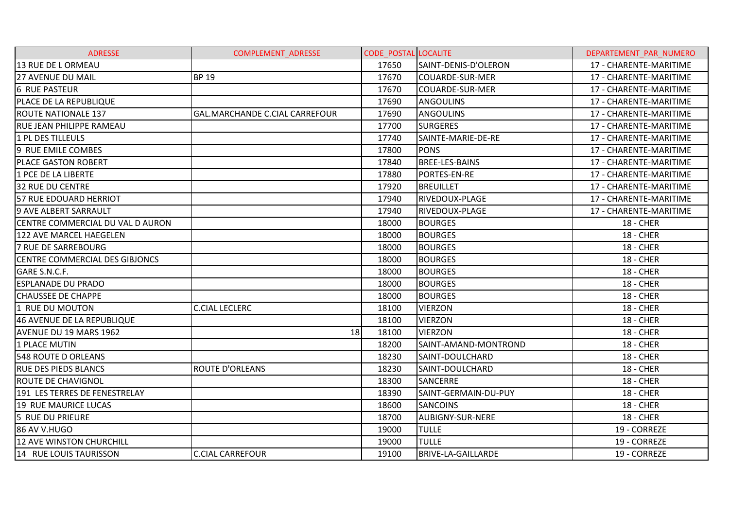| <b>ADRESSE</b>                   | <b>COMPLEMENT ADRESSE</b>      | <b>CODE POSTAL LOCALITE</b> |                         | DEPARTEMENT PAR NUMERO |
|----------------------------------|--------------------------------|-----------------------------|-------------------------|------------------------|
| 13 RUE DE L ORMEAU               |                                | 17650                       | SAINT-DENIS-D'OLERON    | 17 - CHARENTE-MARITIME |
| <b>27 AVENUE DU MAIL</b>         | <b>BP 19</b>                   | 17670                       | <b>COUARDE-SUR-MER</b>  | 17 - CHARENTE-MARITIME |
| <b>6 RUE PASTEUR</b>             |                                | 17670                       | <b>COUARDE-SUR-MER</b>  | 17 - CHARENTE-MARITIME |
| PLACE DE LA REPUBLIQUE           |                                | 17690                       | <b>ANGOULINS</b>        | 17 - CHARENTE-MARITIME |
| <b>ROUTE NATIONALE 137</b>       | GAL.MARCHANDE C.CIAL CARREFOUR | 17690                       | <b>ANGOULINS</b>        | 17 - CHARENTE-MARITIME |
| <b>RUE JEAN PHILIPPE RAMEAU</b>  |                                | 17700                       | <b>SURGERES</b>         | 17 - CHARENTE-MARITIME |
| 1 PL DES TILLEULS                |                                | 17740                       | SAINTE-MARIE-DE-RE      | 17 - CHARENTE-MARITIME |
| 9 RUE EMILE COMBES               |                                | 17800                       | <b>PONS</b>             | 17 - CHARENTE-MARITIME |
| <b>PLACE GASTON ROBERT</b>       |                                | 17840                       | BREE-LES-BAINS          | 17 - CHARENTE-MARITIME |
| 1 PCE DE LA LIBERTE              |                                | 17880                       | <b>PORTES-EN-RE</b>     | 17 - CHARENTE-MARITIME |
| <b>32 RUE DU CENTRE</b>          |                                | 17920                       | <b>BREUILLET</b>        | 17 - CHARENTE-MARITIME |
| 57 RUE EDOUARD HERRIOT           |                                | 17940                       | RIVEDOUX-PLAGE          | 17 - CHARENTE-MARITIME |
| 9 AVE ALBERT SARRAULT            |                                | 17940                       | RIVEDOUX-PLAGE          | 17 - CHARENTE-MARITIME |
| CENTRE COMMERCIAL DU VAL D AURON |                                | 18000                       | <b>BOURGES</b>          | <b>18 - CHER</b>       |
| 122 AVE MARCEL HAEGELEN          |                                | 18000                       | <b>BOURGES</b>          | <b>18 - CHER</b>       |
| 7 RUE DE SARREBOURG              |                                | 18000                       | <b>BOURGES</b>          | <b>18 - CHER</b>       |
| CENTRE COMMERCIAL DES GIBJONCS   |                                | 18000                       | <b>BOURGES</b>          | <b>18 - CHER</b>       |
| GARE S.N.C.F.                    |                                | 18000                       | <b>BOURGES</b>          | <b>18 - CHER</b>       |
| <b>ESPLANADE DU PRADO</b>        |                                | 18000                       | <b>BOURGES</b>          | <b>18 - CHER</b>       |
| <b>CHAUSSEE DE CHAPPE</b>        |                                | 18000                       | <b>BOURGES</b>          | <b>18 - CHER</b>       |
| 1 RUE DU MOUTON                  | <b>C.CIAL LECLERC</b>          | 18100                       | <b>VIERZON</b>          | <b>18 - CHER</b>       |
| 46 AVENUE DE LA REPUBLIQUE       |                                | 18100                       | <b>VIERZON</b>          | <b>18 - CHER</b>       |
| <b>AVENUE DU 19 MARS 1962</b>    | 18                             | 18100                       | <b>VIERZON</b>          | <b>18 - CHER</b>       |
| 1 PLACE MUTIN                    |                                | 18200                       | SAINT-AMAND-MONTROND    | <b>18 - CHER</b>       |
| <b>548 ROUTE D ORLEANS</b>       |                                | 18230                       | SAINT-DOULCHARD         | <b>18 - CHER</b>       |
| <b>RUE DES PIEDS BLANCS</b>      | <b>ROUTE D'ORLEANS</b>         | 18230                       | SAINT-DOULCHARD         | <b>18 - CHER</b>       |
| <b>ROUTE DE CHAVIGNOL</b>        |                                | 18300                       | SANCERRE                | <b>18 - CHER</b>       |
| 191 LES TERRES DE FENESTRELAY    |                                | 18390                       | SAINT-GERMAIN-DU-PUY    | <b>18 - CHER</b>       |
| 19 RUE MAURICE LUCAS             |                                | 18600                       | <b>SANCOINS</b>         | <b>18 - CHER</b>       |
| 5 RUE DU PRIEURE                 |                                | 18700                       | <b>AUBIGNY-SUR-NERE</b> | <b>18 - CHER</b>       |
| 86 AV V.HUGO                     |                                | 19000                       | <b>TULLE</b>            | 19 - CORREZE           |
| <b>12 AVE WINSTON CHURCHILL</b>  |                                | 19000                       | <b>TULLE</b>            | 19 - CORREZE           |
| 14 RUE LOUIS TAURISSON           | <b>C.CIAL CARREFOUR</b>        | 19100                       | BRIVE-LA-GAILLARDE      | 19 - CORREZE           |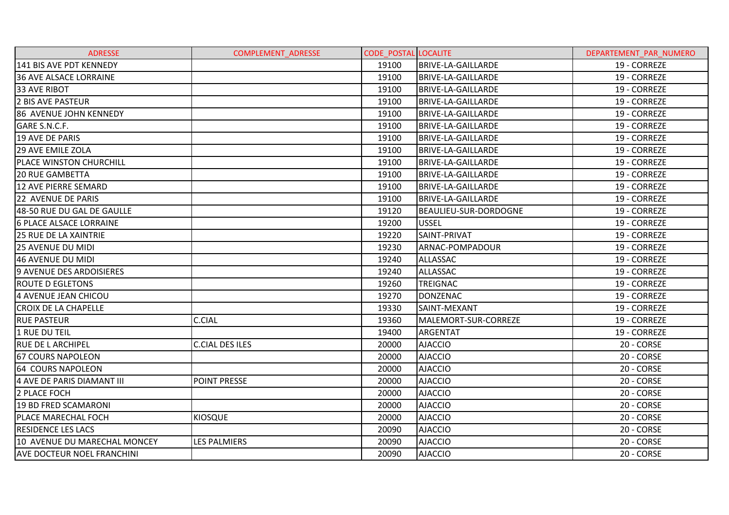| <b>ADRESSE</b>                    | COMPLEMENT_ADRESSE  | <b>CODE POSTAL LOCALITE</b> |                           | DEPARTEMENT PAR NUMERO |
|-----------------------------------|---------------------|-----------------------------|---------------------------|------------------------|
| 141 BIS AVE PDT KENNEDY           |                     | 19100                       | <b>BRIVE-LA-GAILLARDE</b> | 19 - CORREZE           |
| <b>36 AVE ALSACE LORRAINE</b>     |                     | 19100                       | BRIVE-LA-GAILLARDE        | 19 - CORREZE           |
| 33 AVE RIBOT                      |                     | 19100                       | <b>BRIVE-LA-GAILLARDE</b> | 19 - CORREZE           |
| <b>2 BIS AVE PASTEUR</b>          |                     | 19100                       | BRIVE-LA-GAILLARDE        | 19 - CORREZE           |
| 86 AVENUE JOHN KENNEDY            |                     | 19100                       | <b>BRIVE-LA-GAILLARDE</b> | 19 - CORREZE           |
| GARE S.N.C.F.                     |                     | 19100                       | <b>BRIVE-LA-GAILLARDE</b> | 19 - CORREZE           |
| 19 AVE DE PARIS                   |                     | 19100                       | <b>BRIVE-LA-GAILLARDE</b> | 19 - CORREZE           |
| 29 AVE EMILE ZOLA                 |                     | 19100                       | <b>BRIVE-LA-GAILLARDE</b> | 19 - CORREZE           |
| <b>PLACE WINSTON CHURCHILL</b>    |                     | 19100                       | <b>BRIVE-LA-GAILLARDE</b> | 19 - CORREZE           |
| <b>20 RUE GAMBETTA</b>            |                     | 19100                       | <b>BRIVE-LA-GAILLARDE</b> | 19 - CORREZE           |
| <b>12 AVE PIERRE SEMARD</b>       |                     | 19100                       | BRIVE-LA-GAILLARDE        | 19 - CORREZE           |
| 22 AVENUE DE PARIS                |                     | 19100                       | <b>BRIVE-LA-GAILLARDE</b> | 19 - CORREZE           |
| 48-50 RUE DU GAL DE GAULLE        |                     | 19120                       | BEAULIEU-SUR-DORDOGNE     | 19 - CORREZE           |
| <b>6 PLACE ALSACE LORRAINE</b>    |                     | 19200                       | <b>USSEL</b>              | 19 - CORREZE           |
| <b>25 RUE DE LA XAINTRIE</b>      |                     | 19220                       | SAINT-PRIVAT              | 19 - CORREZE           |
| <b>25 AVENUE DU MIDI</b>          |                     | 19230                       | ARNAC-POMPADOUR           | 19 - CORREZE           |
| 46 AVENUE DU MIDI                 |                     | 19240                       | ALLASSAC                  | 19 - CORREZE           |
| 9 AVENUE DES ARDOISIERES          |                     | 19240                       | ALLASSAC                  | 19 - CORREZE           |
| <b>ROUTE D EGLETONS</b>           |                     | 19260                       | <b>TREIGNAC</b>           | 19 - CORREZE           |
| 4 AVENUE JEAN CHICOU              |                     | 19270                       | <b>DONZENAC</b>           | 19 - CORREZE           |
| <b>CROIX DE LA CHAPELLE</b>       |                     | 19330                       | SAINT-MEXANT              | 19 - CORREZE           |
| <b>RUE PASTEUR</b>                | <b>C.CIAL</b>       | 19360                       | MALEMORT-SUR-CORREZE      | 19 - CORREZE           |
| 1 RUE DU TEIL                     |                     | 19400                       | <b>ARGENTAT</b>           | 19 - CORREZE           |
| <b>RUE DE LARCHIPEL</b>           | IC.CIAL DES ILES    | 20000                       | <b>AJACCIO</b>            | 20 - CORSE             |
| <b>67 COURS NAPOLEON</b>          |                     | 20000                       | <b>AJACCIO</b>            | 20 - CORSE             |
| <b>64 COURS NAPOLEON</b>          |                     | 20000                       | <b>AJACCIO</b>            | 20 - CORSE             |
| 4 AVE DE PARIS DIAMANT III        | <b>POINT PRESSE</b> | 20000                       | <b>AJACCIO</b>            | 20 - CORSE             |
| 2 PLACE FOCH                      |                     | 20000                       | <b>AJACCIO</b>            | 20 - CORSE             |
| <b>19 BD FRED SCAMARONI</b>       |                     | 20000                       | <b>AJACCIO</b>            | 20 - CORSE             |
| PLACE MARECHAL FOCH               | <b>KIOSQUE</b>      | 20000                       | <b>AJACCIO</b>            | 20 - CORSE             |
| <b>RESIDENCE LES LACS</b>         |                     | 20090                       | <b>AJACCIO</b>            | 20 - CORSE             |
| 10 AVENUE DU MARECHAL MONCEY      | <b>LES PALMIERS</b> | 20090                       | <b>AJACCIO</b>            | 20 - CORSE             |
| <b>AVE DOCTEUR NOEL FRANCHINI</b> |                     | 20090                       | <b>AJACCIO</b>            | 20 - CORSE             |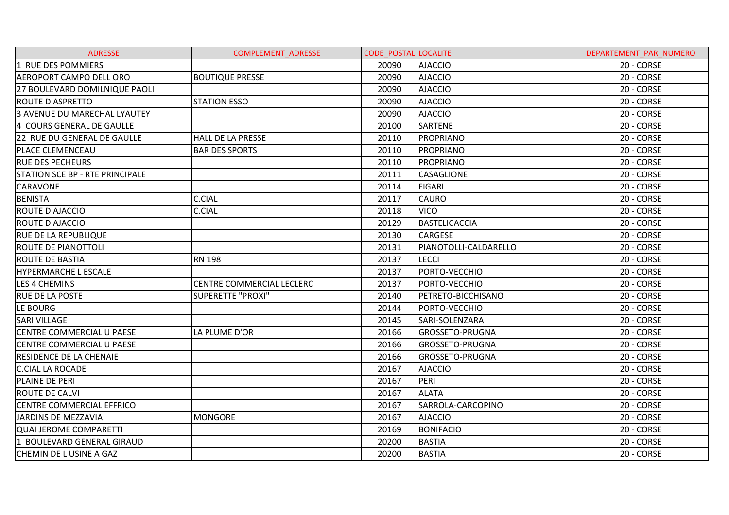| <b>ADRESSE</b>                         | <b>COMPLEMENT ADRESSE</b>        | <b>CODE POSTAL LOCALITE</b> |                       | DEPARTEMENT PAR NUMERO |
|----------------------------------------|----------------------------------|-----------------------------|-----------------------|------------------------|
| 1 RUE DES POMMIERS                     |                                  | 20090                       | <b>AJACCIO</b>        | 20 - CORSE             |
| <b>AEROPORT CAMPO DELL ORO</b>         | <b>BOUTIQUE PRESSE</b>           | 20090                       | <b>AJACCIO</b>        | 20 - CORSE             |
| 27 BOULEVARD DOMILNIQUE PAOLI          |                                  | 20090                       | <b>AJACCIO</b>        | 20 - CORSE             |
| <b>ROUTE D ASPRETTO</b>                | <b>STATION ESSO</b>              | 20090                       | <b>AJACCIO</b>        | 20 - CORSE             |
| 3 AVENUE DU MARECHAL LYAUTEY           |                                  | 20090                       | <b>AJACCIO</b>        | 20 - CORSE             |
| 4 COURS GENERAL DE GAULLE              |                                  | 20100                       | SARTENE               | 20 - CORSE             |
| 22 RUE DU GENERAL DE GAULLE            | <b>HALL DE LA PRESSE</b>         | 20110                       | <b>PROPRIANO</b>      | 20 - CORSE             |
| <b>PLACE CLEMENCEAU</b>                | <b>BAR DES SPORTS</b>            | 20110                       | <b>PROPRIANO</b>      | 20 - CORSE             |
| <b>RUE DES PECHEURS</b>                |                                  | 20110                       | PROPRIANO             | 20 - CORSE             |
| <b>STATION SCE BP - RTE PRINCIPALE</b> |                                  | 20111                       | <b>CASAGLIONE</b>     | 20 - CORSE             |
| <b>CARAVONE</b>                        |                                  | 20114                       | <b>FIGARI</b>         | 20 - CORSE             |
| <b>BENISTA</b>                         | <b>C.CIAL</b>                    | 20117                       | <b>CAURO</b>          | 20 - CORSE             |
| <b>ROUTE D AJACCIO</b>                 | <b>C.CIAL</b>                    | 20118                       | <b>VICO</b>           | 20 - CORSE             |
| <b>ROUTE D AJACCIO</b>                 |                                  | 20129                       | <b>BASTELICACCIA</b>  | 20 - CORSE             |
| <b>RUE DE LA REPUBLIQUE</b>            |                                  | 20130                       | <b>CARGESE</b>        | 20 - CORSE             |
| <b>ROUTE DE PIANOTTOLI</b>             |                                  | 20131                       | PIANOTOLLI-CALDARELLO | 20 - CORSE             |
| ROUTE DE BASTIA                        | <b>RN 198</b>                    | 20137                       | <b>LECCI</b>          | 20 - CORSE             |
| <b>HYPERMARCHE L ESCALE</b>            |                                  | 20137                       | PORTO-VECCHIO         | 20 - CORSE             |
| LES 4 CHEMINS                          | <b>CENTRE COMMERCIAL LECLERC</b> | 20137                       | PORTO-VECCHIO         | 20 - CORSE             |
| <b>RUE DE LA POSTE</b>                 | <b>SUPERETTE "PROXI"</b>         | 20140                       | PETRETO-BICCHISANO    | 20 - CORSE             |
| LE BOURG                               |                                  | 20144                       | PORTO-VECCHIO         | 20 - CORSE             |
| <b>SARI VILLAGE</b>                    |                                  | 20145                       | SARI-SOLENZARA        | 20 - CORSE             |
| CENTRE COMMERCIAL U PAESE              | LA PLUME D'OR                    | 20166                       | GROSSETO-PRUGNA       | 20 - CORSE             |
| CENTRE COMMERCIAL U PAESE              |                                  | 20166                       | GROSSETO-PRUGNA       | 20 - CORSE             |
| RESIDENCE DE LA CHENAIE                |                                  | 20166                       | GROSSETO-PRUGNA       | 20 - CORSE             |
| <b>C.CIAL LA ROCADE</b>                |                                  | 20167                       | <b>AJACCIO</b>        | 20 - CORSE             |
| PLAINE DE PERI                         |                                  | 20167                       | PERI                  | 20 - CORSE             |
| <b>ROUTE DE CALVI</b>                  |                                  | 20167                       | <b>ALATA</b>          | 20 - CORSE             |
| CENTRE COMMERCIAL EFFRICO              |                                  | 20167                       | SARROLA-CARCOPINO     | 20 - CORSE             |
| JARDINS DE MEZZAVIA                    | <b>MONGORE</b>                   | 20167                       | <b>AJACCIO</b>        | 20 - CORSE             |
| <b>QUAI JEROME COMPARETTI</b>          |                                  | 20169                       | <b>BONIFACIO</b>      | 20 - CORSE             |
| 1 BOULEVARD GENERAL GIRAUD             |                                  | 20200                       | <b>BASTIA</b>         | 20 - CORSE             |
| CHEMIN DE L USINE A GAZ                |                                  | 20200                       | <b>BASTIA</b>         | 20 - CORSE             |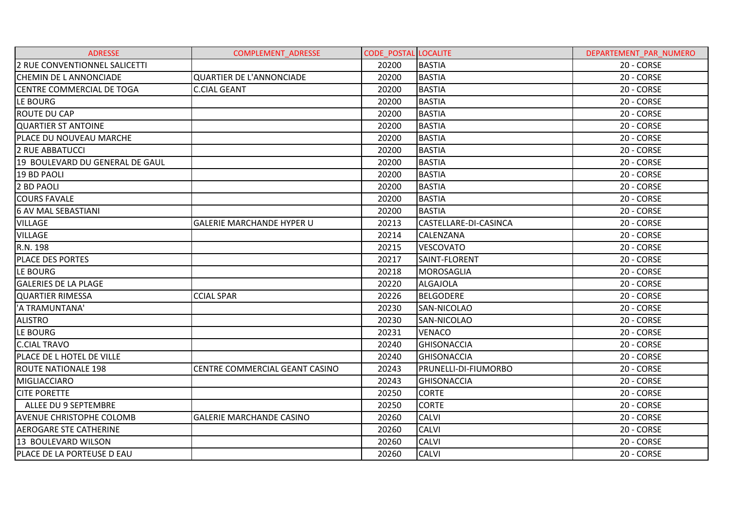| <b>ADRESSE</b>                  | <b>COMPLEMENT ADRESSE</b>        | <b>CODE POSTAL LOCALITE</b> |                             | DEPARTEMENT PAR NUMERO |
|---------------------------------|----------------------------------|-----------------------------|-----------------------------|------------------------|
| 2 RUE CONVENTIONNEL SALICETTI   |                                  | 20200                       | <b>BASTIA</b>               | 20 - CORSE             |
| CHEMIN DE L ANNONCIADE          | <b>QUARTIER DE L'ANNONCIADE</b>  | 20200                       | <b>BASTIA</b>               | 20 - CORSE             |
| CENTRE COMMERCIAL DE TOGA       | <b>C.CIAL GEANT</b>              | 20200                       | <b>BASTIA</b>               | 20 - CORSE             |
| LE BOURG                        |                                  | 20200                       | <b>BASTIA</b>               | 20 - CORSE             |
| <b>ROUTE DU CAP</b>             |                                  | 20200                       | <b>BASTIA</b>               | 20 - CORSE             |
| <b>QUARTIER ST ANTOINE</b>      |                                  | 20200                       | <b>BASTIA</b>               | 20 - CORSE             |
| PLACE DU NOUVEAU MARCHE         |                                  | 20200                       | <b>BASTIA</b>               | 20 - CORSE             |
| 2 RUE ABBATUCCI                 |                                  | 20200                       | <b>BASTIA</b>               | 20 - CORSE             |
| 19 BOULEVARD DU GENERAL DE GAUL |                                  | 20200                       | <b>BASTIA</b>               | 20 - CORSE             |
| 19 BD PAOLI                     |                                  | 20200                       | <b>BASTIA</b>               | 20 - CORSE             |
| 2 BD PAOLI                      |                                  | 20200                       | <b>BASTIA</b>               | 20 - CORSE             |
| <b>COURS FAVALE</b>             |                                  | 20200                       | <b>BASTIA</b>               | 20 - CORSE             |
| <b>6 AV MAL SEBASTIANI</b>      |                                  | 20200                       | <b>BASTIA</b>               | 20 - CORSE             |
| <b>VILLAGE</b>                  | <b>GALERIE MARCHANDE HYPER U</b> | 20213                       | CASTELLARE-DI-CASINCA       | 20 - CORSE             |
| <b>VILLAGE</b>                  |                                  | 20214                       | CALENZANA                   | 20 - CORSE             |
| R.N. 198                        |                                  | 20215                       | <b>VESCOVATO</b>            | 20 - CORSE             |
| PLACE DES PORTES                |                                  | 20217                       | SAINT-FLORENT               | 20 - CORSE             |
| LE BOURG                        |                                  | 20218                       | <b>MOROSAGLIA</b>           | 20 - CORSE             |
| <b>GALERIES DE LA PLAGE</b>     |                                  | 20220                       | <b>ALGAJOLA</b>             | 20 - CORSE             |
| <b>QUARTIER RIMESSA</b>         | <b>CCIAL SPAR</b>                | 20226                       | <b>BELGODERE</b>            | 20 - CORSE             |
| 'A TRAMUNTANA'                  |                                  | 20230                       | <b>SAN-NICOLAO</b>          | 20 - CORSE             |
| <b>ALISTRO</b>                  |                                  | 20230                       | SAN-NICOLAO                 | 20 - CORSE             |
| LE BOURG                        |                                  | 20231                       | <b>VENACO</b>               | 20 - CORSE             |
| <b>C.CIAL TRAVO</b>             |                                  | 20240                       | GHISONACCIA                 | 20 - CORSE             |
| PLACE DE L HOTEL DE VILLE       |                                  | 20240                       | <b>GHISONACCIA</b>          | 20 - CORSE             |
| <b>ROUTE NATIONALE 198</b>      | CENTRE COMMERCIAL GEANT CASINO   | 20243                       | <b>PRUNELLI-DI-FIUMORBO</b> | 20 - CORSE             |
| <b>MIGLIACCIARO</b>             |                                  | 20243                       | <b>GHISONACCIA</b>          | 20 - CORSE             |
| <b>CITE PORETTE</b>             |                                  | 20250                       | <b>CORTE</b>                | 20 - CORSE             |
| ALLEE DU 9 SEPTEMBRE            |                                  | 20250                       | <b>CORTE</b>                | 20 - CORSE             |
| <b>AVENUE CHRISTOPHE COLOMB</b> | <b>GALERIE MARCHANDE CASINO</b>  | 20260                       | <b>CALVI</b>                | 20 - CORSE             |
| <b>AEROGARE STE CATHERINE</b>   |                                  | 20260                       | <b>CALVI</b>                | 20 - CORSE             |
| 13 BOULEVARD WILSON             |                                  | 20260                       | <b>CALVI</b>                | 20 - CORSE             |
| PLACE DE LA PORTEUSE D EAU      |                                  | 20260                       | <b>CALVI</b>                | 20 - CORSE             |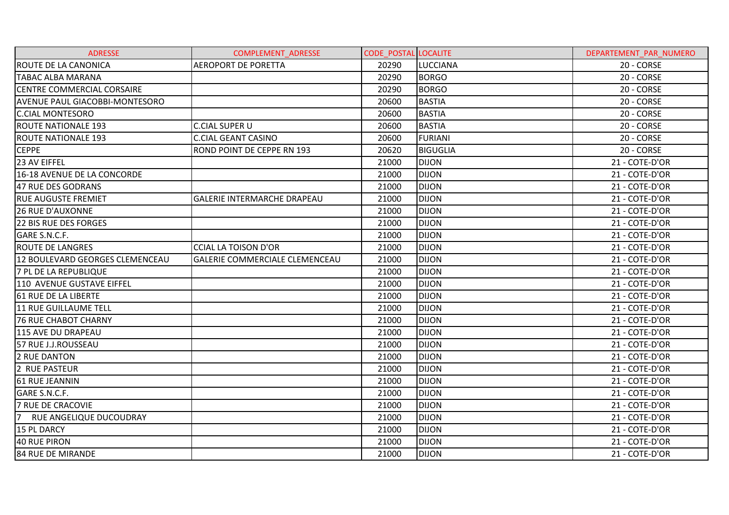| <b>ADRESSE</b>                        | <b>COMPLEMENT ADRESSE</b>          | <b>CODE POSTAL LOCALITE</b> |                 | DEPARTEMENT PAR NUMERO |
|---------------------------------------|------------------------------------|-----------------------------|-----------------|------------------------|
| <b>ROUTE DE LA CANONICA</b>           | <b>AEROPORT DE PORETTA</b>         | 20290                       | <b>LUCCIANA</b> | 20 - CORSE             |
| <b>TABAC ALBA MARANA</b>              |                                    | 20290                       | <b>BORGO</b>    | 20 - CORSE             |
| <b>CENTRE COMMERCIAL CORSAIRE</b>     |                                    | 20290                       | <b>BORGO</b>    | 20 - CORSE             |
| <b>AVENUE PAUL GIACOBBI-MONTESORO</b> |                                    | 20600                       | <b>BASTIA</b>   | 20 - CORSE             |
| <b>C.CIAL MONTESORO</b>               |                                    | 20600                       | <b>BASTIA</b>   | 20 - CORSE             |
| <b>ROUTE NATIONALE 193</b>            | <b>C.CIAL SUPER U</b>              | 20600                       | <b>BASTIA</b>   | 20 - CORSE             |
| ROUTE NATIONALE 193                   | <b>C.CIAL GEANT CASINO</b>         | 20600                       | <b>FURIANI</b>  | 20 - CORSE             |
| <b>CEPPE</b>                          | ROND POINT DE CEPPE RN 193         | 20620                       | <b>BIGUGLIA</b> | 20 - CORSE             |
| 23 AV EIFFEL                          |                                    | 21000                       | <b>DIJON</b>    | 21 - COTE-D'OR         |
| 16-18 AVENUE DE LA CONCORDE           |                                    | 21000                       | <b>DIJON</b>    | 21 - COTE-D'OR         |
| 47 RUE DES GODRANS                    |                                    | 21000                       | <b>DIJON</b>    | 21 - COTE-D'OR         |
| <b>RUE AUGUSTE FREMIET</b>            | <b>GALERIE INTERMARCHE DRAPEAU</b> | 21000                       | <b>DIJON</b>    | 21 - COTE-D'OR         |
| <b>26 RUE D'AUXONNE</b>               |                                    | 21000                       | <b>DIJON</b>    | 21 - COTE-D'OR         |
| 22 BIS RUE DES FORGES                 |                                    | 21000                       | <b>DIJON</b>    | 21 - COTE-D'OR         |
| GARE S.N.C.F.                         |                                    | 21000                       | <b>DIJON</b>    | 21 - COTE-D'OR         |
| <b>ROUTE DE LANGRES</b>               | <b>CCIAL LA TOISON D'OR</b>        | 21000                       | <b>DIJON</b>    | 21 - COTE-D'OR         |
| 12 BOULEVARD GEORGES CLEMENCEAU       | GALERIE COMMERCIALE CLEMENCEAU     | 21000                       | <b>DIJON</b>    | 21 - COTE-D'OR         |
| 7 PL DE LA REPUBLIQUE                 |                                    | 21000                       | <b>DIJON</b>    | 21 - COTE-D'OR         |
| 110 AVENUE GUSTAVE EIFFEL             |                                    | 21000                       | <b>DIJON</b>    | 21 - COTE-D'OR         |
| 61 RUE DE LA LIBERTE                  |                                    | 21000                       | <b>DIJON</b>    | 21 - COTE-D'OR         |
| 11 RUE GUILLAUME TELL                 |                                    | 21000                       | <b>DIJON</b>    | 21 - COTE-D'OR         |
| <b>76 RUE CHABOT CHARNY</b>           |                                    | 21000                       | <b>DIJON</b>    | 21 - COTE-D'OR         |
| 115 AVE DU DRAPEAU                    |                                    | 21000                       | <b>DIJON</b>    | 21 - COTE-D'OR         |
| 57 RUE J.J.ROUSSEAU                   |                                    | 21000                       | <b>DIJON</b>    | 21 - COTE-D'OR         |
| 2 RUE DANTON                          |                                    | 21000                       | <b>DIJON</b>    | 21 - COTE-D'OR         |
| 2 RUE PASTEUR                         |                                    | 21000                       | <b>DIJON</b>    | 21 - COTE-D'OR         |
| <b>61 RUE JEANNIN</b>                 |                                    | 21000                       | <b>DIJON</b>    | 21 - COTE-D'OR         |
| GARE S.N.C.F.                         |                                    | 21000                       | <b>DIJON</b>    | 21 - COTE-D'OR         |
| <b>7 RUE DE CRACOVIE</b>              |                                    | 21000                       | <b>DIJON</b>    | 21 - COTE-D'OR         |
| 7 RUE ANGELIQUE DUCOUDRAY             |                                    | 21000                       | <b>DIJON</b>    | 21 - COTE-D'OR         |
| 15 PL DARCY                           |                                    | 21000                       | <b>DIJON</b>    | 21 - COTE-D'OR         |
| 40 RUE PIRON                          |                                    | 21000                       | <b>DIJON</b>    | 21 - COTE-D'OR         |
| <b>84 RUE DE MIRANDE</b>              |                                    | 21000                       | <b>DIJON</b>    | 21 - COTE-D'OR         |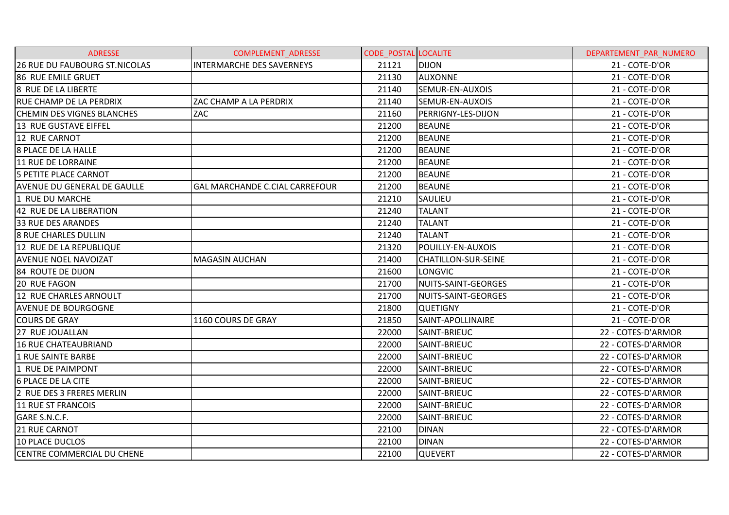| <b>ADRESSE</b>                     | <b>COMPLEMENT ADRESSE</b>             | <b>CODE POSTAL LOCALITE</b> |                            | DEPARTEMENT PAR NUMERO |
|------------------------------------|---------------------------------------|-----------------------------|----------------------------|------------------------|
| 26 RUE DU FAUBOURG ST.NICOLAS      | <b>INTERMARCHE DES SAVERNEYS</b>      | 21121                       | <b>DIJON</b>               | 21 - COTE-D'OR         |
| <b>86 RUE EMILE GRUET</b>          |                                       | 21130                       | <b>AUXONNE</b>             | 21 - COTE-D'OR         |
| 8 RUE DE LA LIBERTE                |                                       | 21140                       | SEMUR-EN-AUXOIS            | 21 - COTE-D'OR         |
| <b>RUE CHAMP DE LA PERDRIX</b>     | ZAC CHAMP A LA PERDRIX                | 21140                       | SEMUR-EN-AUXOIS            | 21 - COTE-D'OR         |
| <b>CHEMIN DES VIGNES BLANCHES</b>  | ZAC                                   | 21160                       | PERRIGNY-LES-DIJON         | 21 - COTE-D'OR         |
| 13 RUE GUSTAVE EIFFEL              |                                       | 21200                       | <b>BEAUNE</b>              | 21 - COTE-D'OR         |
| 12 RUE CARNOT                      |                                       | 21200                       | <b>BEAUNE</b>              | 21 - COTE-D'OR         |
| 8 PLACE DE LA HALLE                |                                       | 21200                       | <b>BEAUNE</b>              | 21 - COTE-D'OR         |
| 11 RUE DE LORRAINE                 |                                       | 21200                       | <b>BEAUNE</b>              | 21 - COTE-D'OR         |
| 5 PETITE PLACE CARNOT              |                                       | 21200                       | <b>BEAUNE</b>              | 21 - COTE-D'OR         |
| <b>AVENUE DU GENERAL DE GAULLE</b> | <b>GAL MARCHANDE C.CIAL CARREFOUR</b> | 21200                       | <b>BEAUNE</b>              | 21 - COTE-D'OR         |
| 1 RUE DU MARCHE                    |                                       | 21210                       | SAULIEU                    | 21 - COTE-D'OR         |
| 42 RUE DE LA LIBERATION            |                                       | 21240                       | <b>TALANT</b>              | 21 - COTE-D'OR         |
| 33 RUE DES ARANDES                 |                                       | 21240                       | <b>TALANT</b>              | 21 - COTE-D'OR         |
| <b>8 RUE CHARLES DULLIN</b>        |                                       | 21240                       | <b>TALANT</b>              | 21 - COTE-D'OR         |
| 12 RUE DE LA REPUBLIQUE            |                                       | 21320                       | POUILLY-EN-AUXOIS          | 21 - COTE-D'OR         |
| <b>AVENUE NOEL NAVOIZAT</b>        | <b>MAGASIN AUCHAN</b>                 | 21400                       | <b>CHATILLON-SUR-SEINE</b> | 21 - COTE-D'OR         |
| 84 ROUTE DE DIJON                  |                                       | 21600                       | <b>LONGVIC</b>             | 21 - COTE-D'OR         |
| 20 RUE FAGON                       |                                       | 21700                       | NUITS-SAINT-GEORGES        | 21 - COTE-D'OR         |
| 12 RUE CHARLES ARNOULT             |                                       | 21700                       | NUITS-SAINT-GEORGES        | 21 - COTE-D'OR         |
| <b>AVENUE DE BOURGOGNE</b>         |                                       | 21800                       | <b>QUETIGNY</b>            | 21 - COTE-D'OR         |
| <b>COURS DE GRAY</b>               | 1160 COURS DE GRAY                    | 21850                       | SAINT-APOLLINAIRE          | 21 - COTE-D'OR         |
| 27 RUE JOUALLAN                    |                                       | 22000                       | SAINT-BRIEUC               | 22 - COTES-D'ARMOR     |
| 16 RUE CHATEAUBRIAND               |                                       | 22000                       | SAINT-BRIEUC               | 22 - COTES-D'ARMOR     |
| 1 RUE SAINTE BARBE                 |                                       | 22000                       | SAINT-BRIEUC               | 22 - COTES-D'ARMOR     |
| 1 RUE DE PAIMPONT                  |                                       | 22000                       | SAINT-BRIEUC               | 22 - COTES-D'ARMOR     |
| <b>6 PLACE DE LA CITE</b>          |                                       | 22000                       | <b>SAINT-BRIEUC</b>        | 22 - COTES-D'ARMOR     |
| 2 RUE DES 3 FRERES MERLIN          |                                       | 22000                       | SAINT-BRIEUC               | 22 - COTES-D'ARMOR     |
| 11 RUE ST FRANCOIS                 |                                       | 22000                       | SAINT-BRIEUC               | 22 - COTES-D'ARMOR     |
| GARE S.N.C.F.                      |                                       | 22000                       | SAINT-BRIEUC               | 22 - COTES-D'ARMOR     |
| 21 RUE CARNOT                      |                                       | 22100                       | <b>DINAN</b>               | 22 - COTES-D'ARMOR     |
| 10 PLACE DUCLOS                    |                                       | 22100                       | <b>DINAN</b>               | 22 - COTES-D'ARMOR     |
| <b>CENTRE COMMERCIAL DU CHENE</b>  |                                       | 22100                       | <b>QUEVERT</b>             | 22 - COTES-D'ARMOR     |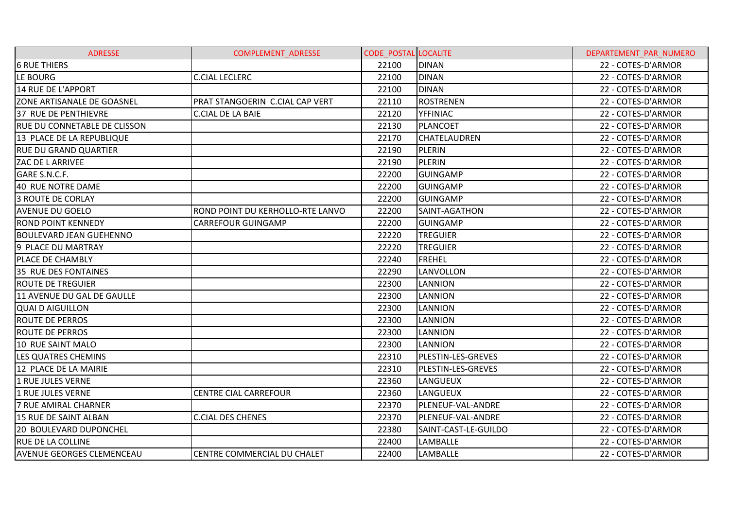| <b>ADRESSE</b>                   | COMPLEMENT_ADRESSE               | CODE POSTAL LOCALITE |                      | DEPARTEMENT_PAR_NUMERO |
|----------------------------------|----------------------------------|----------------------|----------------------|------------------------|
| <b>6 RUE THIERS</b>              |                                  | 22100                | <b>DINAN</b>         | 22 - COTES-D'ARMOR     |
| LE BOURG                         | <b>C.CIAL LECLERC</b>            | 22100                | <b>DINAN</b>         | 22 - COTES-D'ARMOR     |
| 14 RUE DE L'APPORT               |                                  | 22100                | <b>DINAN</b>         | 22 - COTES-D'ARMOR     |
| ZONE ARTISANALE DE GOASNEL       | PRAT STANGOERIN C.CIAL CAP VERT  | 22110                | <b>ROSTRENEN</b>     | 22 - COTES-D'ARMOR     |
| 37 RUE DE PENTHIEVRE             | <b>C.CIAL DE LA BAIE</b>         | 22120                | <b>YFFINIAC</b>      | 22 - COTES-D'ARMOR     |
| RUE DU CONNETABLE DE CLISSON     |                                  | 22130                | <b>PLANCOET</b>      | 22 - COTES-D'ARMOR     |
| 13 PLACE DE LA REPUBLIQUE        |                                  | 22170                | <b>CHATELAUDREN</b>  | 22 - COTES-D'ARMOR     |
| <b>RUE DU GRAND QUARTIER</b>     |                                  | 22190                | <b>PLERIN</b>        | 22 - COTES-D'ARMOR     |
| <b>ZAC DE L ARRIVEE</b>          |                                  | 22190                | <b>PLERIN</b>        | 22 - COTES-D'ARMOR     |
| GARE S.N.C.F.                    |                                  | 22200                | <b>GUINGAMP</b>      | 22 - COTES-D'ARMOR     |
| 40 RUE NOTRE DAME                |                                  | 22200                | <b>GUINGAMP</b>      | 22 - COTES-D'ARMOR     |
| <b>3 ROUTE DE CORLAY</b>         |                                  | 22200                | <b>GUINGAMP</b>      | 22 - COTES-D'ARMOR     |
| <b>AVENUE DU GOELO</b>           | ROND POINT DU KERHOLLO-RTE LANVO | 22200                | SAINT-AGATHON        | 22 - COTES-D'ARMOR     |
| <b>ROND POINT KENNEDY</b>        | <b>CARREFOUR GUINGAMP</b>        | 22200                | <b>GUINGAMP</b>      | 22 - COTES-D'ARMOR     |
| <b>BOULEVARD JEAN GUEHENNO</b>   |                                  | 22220                | <b>TREGUIER</b>      | 22 - COTES-D'ARMOR     |
| 9 PLACE DU MARTRAY               |                                  | 22220                | <b>TREGUIER</b>      | 22 - COTES-D'ARMOR     |
| PLACE DE CHAMBLY                 |                                  | 22240                | FREHEL               | 22 - COTES-D'ARMOR     |
| 35 RUE DES FONTAINES             |                                  | 22290                | <b>LANVOLLON</b>     | 22 - COTES-D'ARMOR     |
| <b>ROUTE DE TREGUIER</b>         |                                  | 22300                | <b>LANNION</b>       | 22 - COTES-D'ARMOR     |
| 11 AVENUE DU GAL DE GAULLE       |                                  | 22300                | <b>LANNION</b>       | 22 - COTES-D'ARMOR     |
| <b>QUAI D AIGUILLON</b>          |                                  | 22300                | <b>LANNION</b>       | 22 - COTES-D'ARMOR     |
| <b>ROUTE DE PERROS</b>           |                                  | 22300                | <b>LANNION</b>       | 22 - COTES-D'ARMOR     |
| <b>ROUTE DE PERROS</b>           |                                  | 22300                | <b>LANNION</b>       | 22 - COTES-D'ARMOR     |
| 10 RUE SAINT MALO                |                                  | 22300                | <b>LANNION</b>       | 22 - COTES-D'ARMOR     |
| LES QUATRES CHEMINS              |                                  | 22310                | PLESTIN-LES-GREVES   | 22 - COTES-D'ARMOR     |
| 12 PLACE DE LA MAIRIE            |                                  | 22310                | PLESTIN-LES-GREVES   | 22 - COTES-D'ARMOR     |
| 1 RUE JULES VERNE                |                                  | 22360                | LANGUEUX             | 22 - COTES-D'ARMOR     |
| 1 RUE JULES VERNE                | <b>CENTRE CIAL CARREFOUR</b>     | 22360                | LANGUEUX             | 22 - COTES-D'ARMOR     |
| 7 RUE AMIRAL CHARNER             |                                  | 22370                | PLENEUF-VAL-ANDRE    | 22 - COTES-D'ARMOR     |
| 15 RUE DE SAINT ALBAN            | <b>C.CIAL DES CHENES</b>         | 22370                | PLENEUF-VAL-ANDRE    | 22 - COTES-D'ARMOR     |
| 20 BOULEVARD DUPONCHEL           |                                  | 22380                | SAINT-CAST-LE-GUILDO | 22 - COTES-D'ARMOR     |
| <b>RUE DE LA COLLINE</b>         |                                  | 22400                | LAMBALLE             | 22 - COTES-D'ARMOR     |
| <b>AVENUE GEORGES CLEMENCEAU</b> | CENTRE COMMERCIAL DU CHALET      | 22400                | LAMBALLE             | 22 - COTES-D'ARMOR     |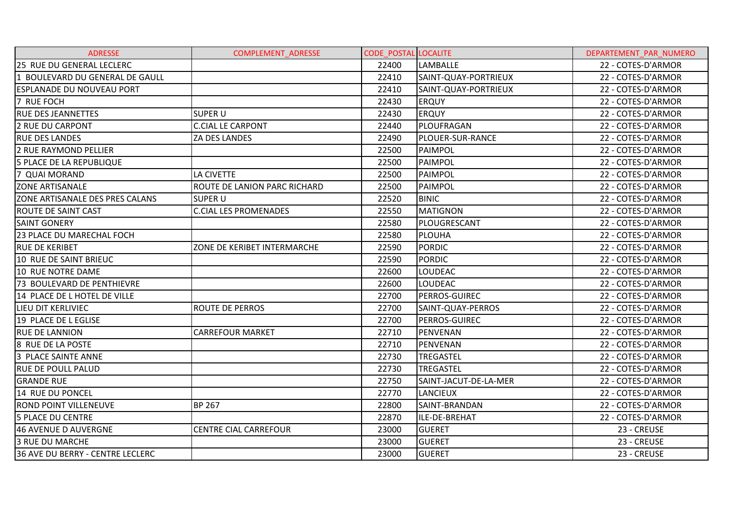| <b>ADRESSE</b>                   | COMPLEMENT_ADRESSE           | <b>CODE POSTAL LOCALITE</b> |                       | DEPARTEMENT_PAR_NUMERO |
|----------------------------------|------------------------------|-----------------------------|-----------------------|------------------------|
| 25 RUE DU GENERAL LECLERC        |                              | 22400                       | <b>LAMBALLE</b>       | 22 - COTES-D'ARMOR     |
| 1 BOULEVARD DU GENERAL DE GAULL  |                              | 22410                       | SAINT-QUAY-PORTRIEUX  | 22 - COTES-D'ARMOR     |
| <b>ESPLANADE DU NOUVEAU PORT</b> |                              | 22410                       | SAINT-QUAY-PORTRIEUX  | 22 - COTES-D'ARMOR     |
| 7 RUE FOCH                       |                              | 22430                       | <b>ERQUY</b>          | 22 - COTES-D'ARMOR     |
| <b>RUE DES JEANNETTES</b>        | <b>SUPER U</b>               | 22430                       | <b>ERQUY</b>          | 22 - COTES-D'ARMOR     |
| <b>2 RUE DU CARPONT</b>          | <b>C.CIAL LE CARPONT</b>     | 22440                       | PLOUFRAGAN            | 22 - COTES-D'ARMOR     |
| <b>RUE DES LANDES</b>            | ZA DES LANDES                | 22490                       | PLOUER-SUR-RANCE      | 22 - COTES-D'ARMOR     |
| 2 RUE RAYMOND PELLIER            |                              | 22500                       | PAIMPOL               | 22 - COTES-D'ARMOR     |
| 5 PLACE DE LA REPUBLIQUE         |                              | 22500                       | PAIMPOL               | 22 - COTES-D'ARMOR     |
| 7 QUAI MORAND                    | <b>LA CIVETTE</b>            | 22500                       | PAIMPOL               | 22 - COTES-D'ARMOR     |
| <b>ZONE ARTISANALE</b>           | ROUTE DE LANION PARC RICHARD | 22500                       | PAIMPOL               | 22 - COTES-D'ARMOR     |
| ZONE ARTISANALE DES PRES CALANS  | SUPER U                      | 22520                       | <b>BINIC</b>          | 22 - COTES-D'ARMOR     |
| <b>ROUTE DE SAINT CAST</b>       | <b>C.CIAL LES PROMENADES</b> | 22550                       | <b>MATIGNON</b>       | 22 - COTES-D'ARMOR     |
| <b>SAINT GONERY</b>              |                              | 22580                       | PLOUGRESCANT          | 22 - COTES-D'ARMOR     |
| 23 PLACE DU MARECHAL FOCH        |                              | 22580                       | PLOUHA                | 22 - COTES-D'ARMOR     |
| <b>RUE DE KERIBET</b>            | ZONE DE KERIBET INTERMARCHE  | 22590                       | <b>PORDIC</b>         | 22 - COTES-D'ARMOR     |
| 10 RUE DE SAINT BRIEUC           |                              | 22590                       | <b>PORDIC</b>         | 22 - COTES-D'ARMOR     |
| 10 RUE NOTRE DAME                |                              | 22600                       | LOUDEAC               | 22 - COTES-D'ARMOR     |
| 73 BOULEVARD DE PENTHIEVRE       |                              | 22600                       | <b>LOUDEAC</b>        | 22 - COTES-D'ARMOR     |
| 14 PLACE DE L HOTEL DE VILLE     |                              | 22700                       | PERROS-GUIREC         | 22 - COTES-D'ARMOR     |
| LIEU DIT KERLIVIEC               | ROUTE DE PERROS              | 22700                       | SAINT-QUAY-PERROS     | 22 - COTES-D'ARMOR     |
| 19 PLACE DE L EGLISE             |                              | 22700                       | <b>PERROS-GUIREC</b>  | 22 - COTES-D'ARMOR     |
| <b>RUE DE LANNION</b>            | <b>CARREFOUR MARKET</b>      | 22710                       | PENVENAN              | 22 - COTES-D'ARMOR     |
| 8 RUE DE LA POSTE                |                              | 22710                       | PENVENAN              | 22 - COTES-D'ARMOR     |
| 3 PLACE SAINTE ANNE              |                              | 22730                       | <b>TREGASTEL</b>      | 22 - COTES-D'ARMOR     |
| <b>RUE DE POULL PALUD</b>        |                              | 22730                       | <b>TREGASTEL</b>      | 22 - COTES-D'ARMOR     |
| <b>GRANDE RUE</b>                |                              | 22750                       | SAINT-JACUT-DE-LA-MER | 22 - COTES-D'ARMOR     |
| 14 RUE DU PONCEL                 |                              | 22770                       | <b>LANCIEUX</b>       | 22 - COTES-D'ARMOR     |
| <b>ROND POINT VILLENEUVE</b>     | <b>BP 267</b>                | 22800                       | SAINT-BRANDAN         | 22 - COTES-D'ARMOR     |
| <b>5 PLACE DU CENTRE</b>         |                              | 22870                       | ILE-DE-BREHAT         | 22 - COTES-D'ARMOR     |
| 46 AVENUE D AUVERGNE             | <b>CENTRE CIAL CARREFOUR</b> | 23000                       | <b>GUERET</b>         | 23 - CREUSE            |
| <b>3 RUE DU MARCHE</b>           |                              | 23000                       | <b>GUERET</b>         | 23 - CREUSE            |
| 36 AVE DU BERRY - CENTRE LECLERC |                              | 23000                       | <b>GUERET</b>         | 23 - CREUSE            |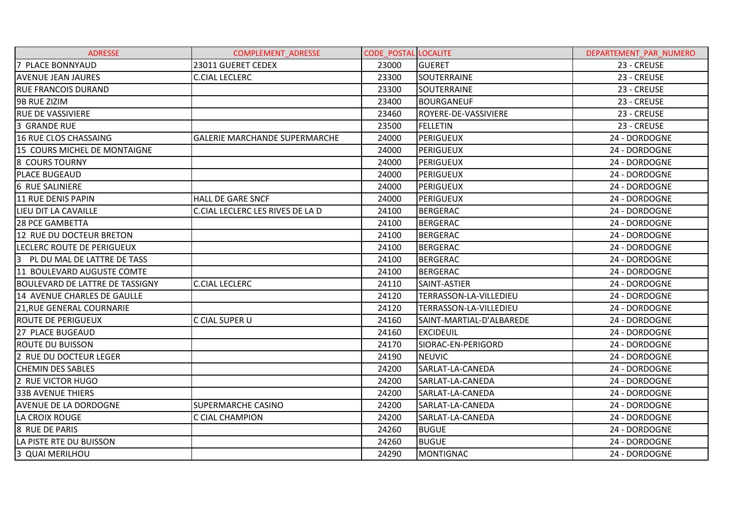| <b>ADRESSE</b>                         | COMPLEMENT_ADRESSE                   | <b>CODE POSTAL LOCALITE</b> |                          | DEPARTEMENT PAR NUMERO |
|----------------------------------------|--------------------------------------|-----------------------------|--------------------------|------------------------|
| 7 PLACE BONNYAUD                       | 23011 GUERET CEDEX                   | 23000                       | <b>GUERET</b>            | 23 - CREUSE            |
| <b>AVENUE JEAN JAURES</b>              | <b>C.CIAL LECLERC</b>                | 23300                       | SOUTERRAINE              | 23 - CREUSE            |
| <b>RUE FRANCOIS DURAND</b>             |                                      | 23300                       | SOUTERRAINE              | 23 - CREUSE            |
| 9B RUE ZIZIM                           |                                      | 23400                       | <b>BOURGANEUF</b>        | 23 - CREUSE            |
| <b>RUE DE VASSIVIERE</b>               |                                      | 23460                       | ROYERE-DE-VASSIVIERE     | 23 - CREUSE            |
| 3 GRANDE RUE                           |                                      | 23500                       | FELLETIN                 | 23 - CREUSE            |
| 16 RUE CLOS CHASSAING                  | <b>GALERIE MARCHANDE SUPERMARCHE</b> | 24000                       | <b>PERIGUEUX</b>         | 24 - DORDOGNE          |
| 15 COURS MICHEL DE MONTAIGNE           |                                      | 24000                       | PERIGUEUX                | 24 - DORDOGNE          |
| <b>8 COURS TOURNY</b>                  |                                      | 24000                       | PERIGUEUX                | 24 - DORDOGNE          |
| <b>PLACE BUGEAUD</b>                   |                                      | 24000                       | PERIGUEUX                | 24 - DORDOGNE          |
| <b>6 RUE SALINIERE</b>                 |                                      | 24000                       | PERIGUEUX                | 24 - DORDOGNE          |
| 11 RUE DENIS PAPIN                     | <b>HALL DE GARE SNCF</b>             | 24000                       | <b>PERIGUEUX</b>         | 24 - DORDOGNE          |
| LIEU DIT LA CAVAILLE                   | C.CIAL LECLERC LES RIVES DE LA D     | 24100                       | <b>BERGERAC</b>          | 24 - DORDOGNE          |
| <b>28 PCE GAMBETTA</b>                 |                                      | 24100                       | <b>BERGERAC</b>          | 24 - DORDOGNE          |
| 12 RUE DU DOCTEUR BRETON               |                                      | 24100                       | <b>BERGERAC</b>          | 24 - DORDOGNE          |
| LECLERC ROUTE DE PERIGUEUX             |                                      | 24100                       | <b>BERGERAC</b>          | 24 - DORDOGNE          |
| 3<br>PL DU MAL DE LATTRE DE TASS       |                                      | 24100                       | <b>BERGERAC</b>          | 24 - DORDOGNE          |
| 11 BOULEVARD AUGUSTE COMTE             |                                      | 24100                       | <b>BERGERAC</b>          | 24 - DORDOGNE          |
| <b>BOULEVARD DE LATTRE DE TASSIGNY</b> | <b>C.CIAL LECLERC</b>                | 24110                       | SAINT-ASTIER             | 24 - DORDOGNE          |
| 14 AVENUE CHARLES DE GAULLE            |                                      | 24120                       | TERRASSON-LA-VILLEDIEU   | 24 - DORDOGNE          |
| <b>21, RUE GENERAL COURNARIE</b>       |                                      | 24120                       | TERRASSON-LA-VILLEDIEU   | 24 - DORDOGNE          |
| <b>ROUTE DE PERIGUEUX</b>              | C CIAL SUPER U                       | 24160                       | SAINT-MARTIAL-D'ALBAREDE | 24 - DORDOGNE          |
| 27 PLACE BUGEAUD                       |                                      | 24160                       | <b>EXCIDEUIL</b>         | 24 - DORDOGNE          |
| <b>ROUTE DU BUISSON</b>                |                                      | 24170                       | SIORAC-EN-PERIGORD       | 24 - DORDOGNE          |
| 2 RUE DU DOCTEUR LEGER                 |                                      | 24190                       | <b>NEUVIC</b>            | 24 - DORDOGNE          |
| <b>CHEMIN DES SABLES</b>               |                                      | 24200                       | SARLAT-LA-CANEDA         | 24 - DORDOGNE          |
| 2 RUE VICTOR HUGO                      |                                      | 24200                       | SARLAT-LA-CANEDA         | 24 - DORDOGNE          |
| <b>33B AVENUE THIERS</b>               |                                      | 24200                       | SARLAT-LA-CANEDA         | 24 - DORDOGNE          |
| <b>AVENUE DE LA DORDOGNE</b>           | <b>SUPERMARCHE CASINO</b>            | 24200                       | SARLAT-LA-CANEDA         | 24 - DORDOGNE          |
| LA CROIX ROUGE                         | C CIAL CHAMPION                      | 24200                       | SARLAT-LA-CANEDA         | 24 - DORDOGNE          |
| 8 RUE DE PARIS                         |                                      | 24260                       | <b>BUGUE</b>             | 24 - DORDOGNE          |
| LA PISTE RTE DU BUISSON                |                                      | 24260                       | <b>BUGUE</b>             | 24 - DORDOGNE          |
| 3 QUAI MERILHOU                        |                                      | 24290                       | <b>MONTIGNAC</b>         | 24 - DORDOGNE          |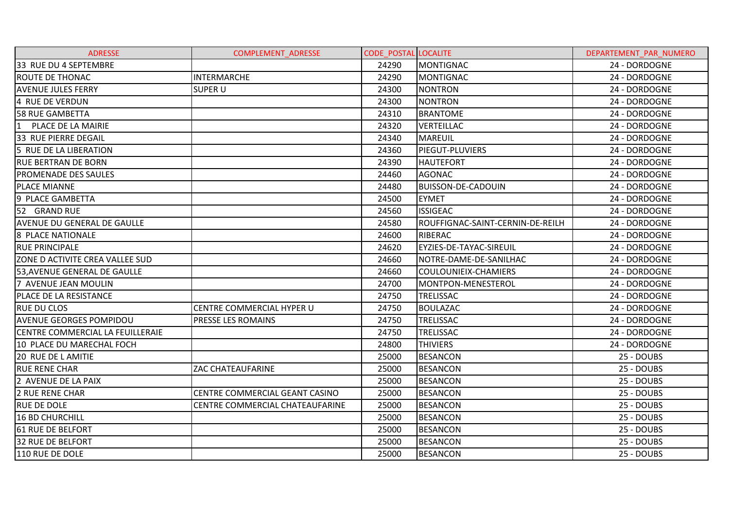| <b>ADRESSE</b>                     | COMPLEMENT_ADRESSE              | <b>CODE POSTAL LOCALITE</b> |                                  | DEPARTEMENT PAR NUMERO |
|------------------------------------|---------------------------------|-----------------------------|----------------------------------|------------------------|
| 33 RUE DU 4 SEPTEMBRE              |                                 | 24290                       | <b>MONTIGNAC</b>                 | 24 - DORDOGNE          |
| <b>ROUTE DE THONAC</b>             | <b>INTERMARCHE</b>              | 24290                       | <b>MONTIGNAC</b>                 | 24 - DORDOGNE          |
| <b>AVENUE JULES FERRY</b>          | <b>SUPER U</b>                  | 24300                       | <b>NONTRON</b>                   | 24 - DORDOGNE          |
| 4 RUE DE VERDUN                    |                                 | 24300                       | <b>NONTRON</b>                   | 24 - DORDOGNE          |
| 58 RUE GAMBETTA                    |                                 | 24310                       | <b>BRANTOME</b>                  | 24 - DORDOGNE          |
| PLACE DE LA MAIRIE<br>11           |                                 | 24320                       | VERTEILLAC                       | 24 - DORDOGNE          |
| 33 RUE PIERRE DEGAIL               |                                 | 24340                       | <b>MAREUIL</b>                   | 24 - DORDOGNE          |
| 5 RUE DE LA LIBERATION             |                                 | 24360                       | PIEGUT-PLUVIERS                  | 24 - DORDOGNE          |
| <b>RUE BERTRAN DE BORN</b>         |                                 | 24390                       | <b>HAUTEFORT</b>                 | 24 - DORDOGNE          |
| <b>PROMENADE DES SAULES</b>        |                                 | 24460                       | <b>AGONAC</b>                    | 24 - DORDOGNE          |
| <b>PLACE MIANNE</b>                |                                 | 24480                       | <b>BUISSON-DE-CADOUIN</b>        | 24 - DORDOGNE          |
| 9 PLACE GAMBETTA                   |                                 | 24500                       | <b>EYMET</b>                     | 24 - DORDOGNE          |
| 52 GRAND RUE                       |                                 | 24560                       | <b>ISSIGEAC</b>                  | 24 - DORDOGNE          |
| <b>AVENUE DU GENERAL DE GAULLE</b> |                                 | 24580                       | ROUFFIGNAC-SAINT-CERNIN-DE-REILH | 24 - DORDOGNE          |
| 8 PLACE NATIONALE                  |                                 | 24600                       | RIBERAC                          | 24 - DORDOGNE          |
| <b>RUE PRINCIPALE</b>              |                                 | 24620                       | EYZIES-DE-TAYAC-SIREUIL          | 24 - DORDOGNE          |
| ZONE D ACTIVITE CREA VALLEE SUD    |                                 | 24660                       | NOTRE-DAME-DE-SANILHAC           | 24 - DORDOGNE          |
| 53, AVENUE GENERAL DE GAULLE       |                                 | 24660                       | COULOUNIEIX-CHAMIERS             | 24 - DORDOGNE          |
| 7 AVENUE JEAN MOULIN               |                                 | 24700                       | MONTPON-MENESTEROL               | 24 - DORDOGNE          |
| PLACE DE LA RESISTANCE             |                                 | 24750                       | TRELISSAC                        | 24 - DORDOGNE          |
| <b>RUE DU CLOS</b>                 | CENTRE COMMERCIAL HYPER U       | 24750                       | <b>BOULAZAC</b>                  | 24 - DORDOGNE          |
| <b>AVENUE GEORGES POMPIDOU</b>     | PRESSE LES ROMAINS              | 24750                       | <b>TRELISSAC</b>                 | 24 - DORDOGNE          |
| CENTRE COMMERCIAL LA FEUILLERAIE   |                                 | 24750                       | <b>TRELISSAC</b>                 | 24 - DORDOGNE          |
| 10 PLACE DU MARECHAL FOCH          |                                 | 24800                       | <b>THIVIERS</b>                  | 24 - DORDOGNE          |
| 20 RUE DE LAMITIE                  |                                 | 25000                       | <b>BESANCON</b>                  | 25 - DOUBS             |
| <b>RUE RENE CHAR</b>               | ZAC CHATEAUFARINE               | 25000                       | <b>BESANCON</b>                  | 25 - DOUBS             |
| 2 AVENUE DE LA PAIX                |                                 | 25000                       | <b>BESANCON</b>                  | 25 - DOUBS             |
| <b>2 RUE RENE CHAR</b>             | CENTRE COMMERCIAL GEANT CASINO  | 25000                       | <b>BESANCON</b>                  | 25 - DOUBS             |
| <b>RUE DE DOLE</b>                 | CENTRE COMMERCIAL CHATEAUFARINE | 25000                       | <b>BESANCON</b>                  | 25 - DOUBS             |
| <b>16 BD CHURCHILL</b>             |                                 | 25000                       | <b>BESANCON</b>                  | 25 - DOUBS             |
| 61 RUE DE BELFORT                  |                                 | 25000                       | <b>BESANCON</b>                  | 25 - DOUBS             |
| <b>32 RUE DE BELFORT</b>           |                                 | 25000                       | <b>BESANCON</b>                  | 25 - DOUBS             |
| 110 RUE DE DOLE                    |                                 | 25000                       | <b>BESANCON</b>                  | 25 - DOUBS             |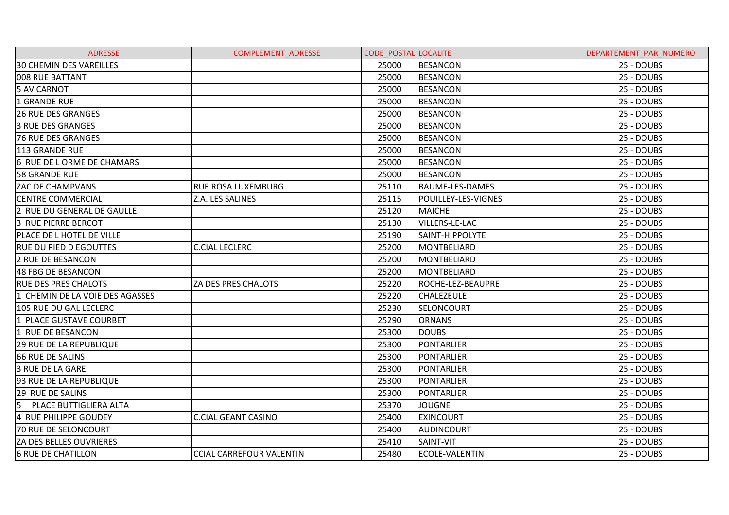| <b>ADRESSE</b>                   | <b>COMPLEMENT ADRESSE</b>       | <b>CODE POSTAL LOCALITE</b> |                        | DEPARTEMENT PAR NUMERO |
|----------------------------------|---------------------------------|-----------------------------|------------------------|------------------------|
| <b>30 CHEMIN DES VAREILLES</b>   |                                 | 25000                       | <b>BESANCON</b>        | 25 - DOUBS             |
| 008 RUE BATTANT                  |                                 | 25000                       | <b>BESANCON</b>        | 25 - DOUBS             |
| <b>5 AV CARNOT</b>               |                                 | 25000                       | <b>BESANCON</b>        | 25 - DOUBS             |
| <b>1 GRANDE RUE</b>              |                                 | 25000                       | <b>BESANCON</b>        | 25 - DOUBS             |
| <b>26 RUE DES GRANGES</b>        |                                 | 25000                       | <b>BESANCON</b>        | 25 - DOUBS             |
| <b>3 RUE DES GRANGES</b>         |                                 | 25000                       | <b>BESANCON</b>        | 25 - DOUBS             |
| <b>76 RUE DES GRANGES</b>        |                                 | 25000                       | <b>BESANCON</b>        | 25 - DOUBS             |
| 113 GRANDE RUE                   |                                 | 25000                       | <b>BESANCON</b>        | 25 - DOUBS             |
| 6 RUE DE L ORME DE CHAMARS       |                                 | 25000                       | <b>BESANCON</b>        | 25 - DOUBS             |
| <b>58 GRANDE RUE</b>             |                                 | 25000                       | <b>BESANCON</b>        | 25 - DOUBS             |
| <b>ZAC DE CHAMPVANS</b>          | RUE ROSA LUXEMBURG              | 25110                       | <b>BAUME-LES-DAMES</b> | 25 - DOUBS             |
| <b>CENTRE COMMERCIAL</b>         | Z.A. LES SALINES                | 25115                       | POUILLEY-LES-VIGNES    | 25 - DOUBS             |
| 2 RUE DU GENERAL DE GAULLE       |                                 | 25120                       | <b>MAICHE</b>          | 25 - DOUBS             |
| 3 RUE PIERRE BERCOT              |                                 | 25130                       | <b>VILLERS-LE-LAC</b>  | 25 - DOUBS             |
| <b>PLACE DE L HOTEL DE VILLE</b> |                                 | 25190                       | <b>SAINT-HIPPOLYTE</b> | 25 - DOUBS             |
| <b>RUE DU PIED D EGOUTTES</b>    | <b>C.CIAL LECLERC</b>           | 25200                       | MONTBELIARD            | 25 - DOUBS             |
| <b>2 RUE DE BESANCON</b>         |                                 | 25200                       | <b>MONTBELIARD</b>     | 25 - DOUBS             |
| 48 FBG DE BESANCON               |                                 | 25200                       | <b>MONTBELIARD</b>     | 25 - DOUBS             |
| <b>RUE DES PRES CHALOTS</b>      | ZA DES PRES CHALOTS             | 25220                       | ROCHE-LEZ-BEAUPRE      | 25 - DOUBS             |
| 1 CHEMIN DE LA VOIE DES AGASSES  |                                 | 25220                       | <b>CHALEZEULE</b>      | 25 - DOUBS             |
| 105 RUE DU GAL LECLERC           |                                 | 25230                       | <b>SELONCOURT</b>      | 25 - DOUBS             |
| 1 PLACE GUSTAVE COURBET          |                                 | 25290                       | <b>ORNANS</b>          | 25 - DOUBS             |
| 1 RUE DE BESANCON                |                                 | 25300                       | <b>DOUBS</b>           | 25 - DOUBS             |
| <b>29 RUE DE LA REPUBLIQUE</b>   |                                 | 25300                       | PONTARLIER             | 25 - DOUBS             |
| <b>66 RUE DE SALINS</b>          |                                 | 25300                       | PONTARLIER             | 25 - DOUBS             |
| 3 RUE DE LA GARE                 |                                 | 25300                       | PONTARLIER             | 25 - DOUBS             |
| 93 RUE DE LA REPUBLIQUE          |                                 | 25300                       | PONTARLIER             | 25 - DOUBS             |
| 29 RUE DE SALINS                 |                                 | 25300                       | <b>PONTARLIER</b>      | 25 - DOUBS             |
| 5 PLACE BUTTIGLIERA ALTA         |                                 | 25370                       | <b>JOUGNE</b>          | 25 - DOUBS             |
| 4 RUE PHILIPPE GOUDEY            | <b>C.CIAL GEANT CASINO</b>      | 25400                       | <b>EXINCOURT</b>       | 25 - DOUBS             |
| 70 RUE DE SELONCOURT             |                                 | 25400                       | <b>AUDINCOURT</b>      | 25 - DOUBS             |
| ZA DES BELLES OUVRIERES          |                                 | 25410                       | SAINT-VIT              | 25 - DOUBS             |
| <b>6 RUE DE CHATILLON</b>        | <b>CCIAL CARREFOUR VALENTIN</b> | 25480                       | ECOLE-VALENTIN         | 25 - DOUBS             |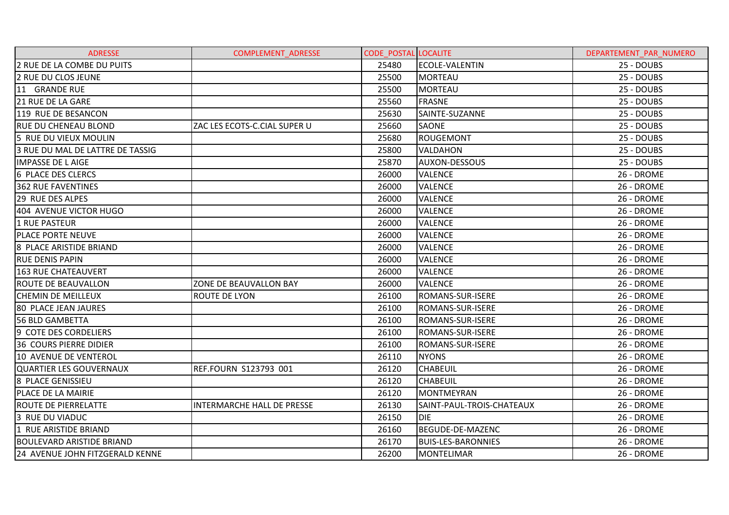| <b>ADRESSE</b>                   | <b>COMPLEMENT ADRESSE</b>         | <b>CODE POSTAL LOCALITE</b> |                           | DEPARTEMENT PAR NUMERO |
|----------------------------------|-----------------------------------|-----------------------------|---------------------------|------------------------|
| 2 RUE DE LA COMBE DU PUITS       |                                   | 25480                       | <b>ECOLE-VALENTIN</b>     | 25 - DOUBS             |
| <b>2 RUE DU CLOS JEUNE</b>       |                                   | 25500                       | <b>MORTEAU</b>            | 25 - DOUBS             |
| 11 GRANDE RUE                    |                                   | 25500                       | <b>MORTEAU</b>            | 25 - DOUBS             |
| 21 RUE DE LA GARE                |                                   | 25560                       | <b>FRASNE</b>             | 25 - DOUBS             |
| 119 RUE DE BESANCON              |                                   | 25630                       | SAINTE-SUZANNE            | 25 - DOUBS             |
| <b>RUE DU CHENEAU BLOND</b>      | ZAC LES ECOTS-C.CIAL SUPER U      | 25660                       | SAONE                     | 25 - DOUBS             |
| 5 RUE DU VIEUX MOULIN            |                                   | 25680                       | <b>ROUGEMONT</b>          | 25 - DOUBS             |
| 3 RUE DU MAL DE LATTRE DE TASSIG |                                   | 25800                       | <b>VALDAHON</b>           | 25 - DOUBS             |
| <b>IMPASSE DE LAIGE</b>          |                                   | 25870                       | <b>AUXON-DESSOUS</b>      | 25 - DOUBS             |
| <b>6 PLACE DES CLERCS</b>        |                                   | 26000                       | <b>VALENCE</b>            | 26 - DROME             |
| <b>362 RUE FAVENTINES</b>        |                                   | 26000                       | <b>VALENCE</b>            | 26 - DROME             |
| 29 RUE DES ALPES                 |                                   | 26000                       | <b>VALENCE</b>            | 26 - DROME             |
| 404 AVENUE VICTOR HUGO           |                                   | 26000                       | <b>VALENCE</b>            | 26 - DROME             |
| 1 RUE PASTEUR                    |                                   | 26000                       | <b>VALENCE</b>            | 26 - DROME             |
| <b>PLACE PORTE NEUVE</b>         |                                   | 26000                       | <b>VALENCE</b>            | 26 - DROME             |
| 8 PLACE ARISTIDE BRIAND          |                                   | 26000                       | <b>VALENCE</b>            | 26 - DROME             |
| <b>RUE DENIS PAPIN</b>           |                                   | 26000                       | <b>VALENCE</b>            | 26 - DROME             |
| <b>163 RUE CHATEAUVERT</b>       |                                   | 26000                       | <b>VALENCE</b>            | 26 - DROME             |
| <b>ROUTE DE BEAUVALLON</b>       | ZONE DE BEAUVALLON BAY            | 26000                       | <b>VALENCE</b>            | 26 - DROME             |
| <b>CHEMIN DE MEILLEUX</b>        | ROUTE DE LYON                     | 26100                       | ROMANS-SUR-ISERE          | 26 - DROME             |
| <b>80 PLACE JEAN JAURES</b>      |                                   | 26100                       | ROMANS-SUR-ISERE          | 26 - DROME             |
| <b>56 BLD GAMBETTA</b>           |                                   | 26100                       | <b>ROMANS-SUR-ISERE</b>   | 26 - DROME             |
| <b>9 COTE DES CORDELIERS</b>     |                                   | 26100                       | ROMANS-SUR-ISERE          | 26 - DROME             |
| <b>36 COURS PIERRE DIDIER</b>    |                                   | 26100                       | ROMANS-SUR-ISERE          | 26 - DROME             |
| 10 AVENUE DE VENTEROL            |                                   | 26110                       | <b>NYONS</b>              | 26 - DROME             |
| <b>QUARTIER LES GOUVERNAUX</b>   | <b>REF.FOURN S123793 001</b>      | 26120                       | <b>CHABEUIL</b>           | 26 - DROME             |
| 8 PLACE GENISSIEU                |                                   | 26120                       | <b>CHABEUIL</b>           | 26 - DROME             |
| PLACE DE LA MAIRIE               |                                   | 26120                       | MONTMEYRAN                | 26 - DROME             |
| <b>ROUTE DE PIERRELATTE</b>      | <b>INTERMARCHE HALL DE PRESSE</b> | 26130                       | SAINT-PAUL-TROIS-CHATEAUX | 26 - DROME             |
| 3 RUE DU VIADUC                  |                                   | 26150                       | DIE                       | 26 - DROME             |
| 1 RUE ARISTIDE BRIAND            |                                   | 26160                       | BEGUDE-DE-MAZENC          | 26 - DROME             |
| <b>BOULEVARD ARISTIDE BRIAND</b> |                                   | 26170                       | <b>BUIS-LES-BARONNIES</b> | 26 - DROME             |
| 24 AVENUE JOHN FITZGERALD KENNE  |                                   | 26200                       | <b>MONTELIMAR</b>         | 26 - DROME             |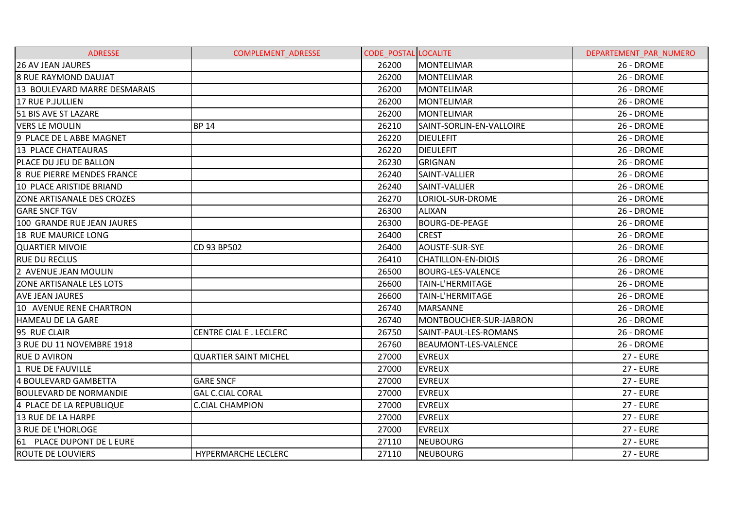| <b>ADRESSE</b>                  | <b>COMPLEMENT ADRESSE</b>     | <b>CODE POSTAL LOCALITE</b> |                           | DEPARTEMENT PAR NUMERO |
|---------------------------------|-------------------------------|-----------------------------|---------------------------|------------------------|
| <b>26 AV JEAN JAURES</b>        |                               | 26200                       | <b>MONTELIMAR</b>         | 26 - DROME             |
| <b>8 RUE RAYMOND DAUJAT</b>     |                               | 26200                       | <b>MONTELIMAR</b>         | 26 - DROME             |
| 13 BOULEVARD MARRE DESMARAIS    |                               | 26200                       | MONTELIMAR                | 26 - DROME             |
| 17 RUE P.JULLIEN                |                               | 26200                       | MONTELIMAR                | 26 - DROME             |
| 51 BIS AVE ST LAZARE            |                               | 26200                       | <b>MONTELIMAR</b>         | 26 - DROME             |
| <b>VERS LE MOULIN</b>           | <b>BP 14</b>                  | 26210                       | SAINT-SORLIN-EN-VALLOIRE  | 26 - DROME             |
| 9 PLACE DE L ABBE MAGNET        |                               | 26220                       | <b>DIEULEFIT</b>          | 26 - DROME             |
| <b>13 PLACE CHATEAURAS</b>      |                               | 26220                       | <b>DIEULEFIT</b>          | 26 - DROME             |
| PLACE DU JEU DE BALLON          |                               | 26230                       | <b>GRIGNAN</b>            | 26 - DROME             |
| 8 RUE PIERRE MENDES FRANCE      |                               | 26240                       | SAINT-VALLIER             | 26 - DROME             |
| 10 PLACE ARISTIDE BRIAND        |                               | 26240                       | SAINT-VALLIER             | 26 - DROME             |
| ZONE ARTISANALE DES CROZES      |                               | 26270                       | LORIOL-SUR-DROME          | 26 - DROME             |
| <b>GARE SNCF TGV</b>            |                               | 26300                       | <b>ALIXAN</b>             | 26 - DROME             |
| 100 GRANDE RUE JEAN JAURES      |                               | 26300                       | <b>BOURG-DE-PEAGE</b>     | 26 - DROME             |
| <b>18 RUE MAURICE LONG</b>      |                               | 26400                       | <b>CREST</b>              | 26 - DROME             |
| <b>QUARTIER MIVOIE</b>          | CD 93 BP502                   | 26400                       | AOUSTE-SUR-SYE            | 26 - DROME             |
| <b>RUE DU RECLUS</b>            |                               | 26410                       | <b>CHATILLON-EN-DIOIS</b> | 26 - DROME             |
| 2 AVENUE JEAN MOULIN            |                               | 26500                       | <b>BOURG-LES-VALENCE</b>  | 26 - DROME             |
| <b>ZONE ARTISANALE LES LOTS</b> |                               | 26600                       | <b>TAIN-L'HERMITAGE</b>   | 26 - DROME             |
| <b>AVE JEAN JAURES</b>          |                               | 26600                       | TAIN-L'HERMITAGE          | 26 - DROME             |
| 10 AVENUE RENE CHARTRON         |                               | 26740                       | <b>MARSANNE</b>           | 26 - DROME             |
| HAMEAU DE LA GARE               |                               | 26740                       | MONTBOUCHER-SUR-JABRON    | 26 - DROME             |
| 95 RUE CLAIR                    | <b>CENTRE CIAL E. LECLERC</b> | 26750                       | SAINT-PAUL-LES-ROMANS     | 26 - DROME             |
| 3 RUE DU 11 NOVEMBRE 1918       |                               | 26760                       | BEAUMONT-LES-VALENCE      | 26 - DROME             |
| <b>RUE D AVIRON</b>             | <b>QUARTIER SAINT MICHEL</b>  | 27000                       | <b>EVREUX</b>             | <b>27 - EURE</b>       |
| 1 RUE DE FAUVILLE               |                               | 27000                       | <b>EVREUX</b>             | <b>27 - EURE</b>       |
| 4 BOULEVARD GAMBETTA            | <b>GARE SNCF</b>              | 27000                       | <b>EVREUX</b>             | <b>27 - EURE</b>       |
| <b>BOULEVARD DE NORMANDIE</b>   | <b>GAL C.CIAL CORAL</b>       | 27000                       | <b>EVREUX</b>             | <b>27 - EURE</b>       |
| 4 PLACE DE LA REPUBLIQUE        | <b>C.CIAL CHAMPION</b>        | 27000                       | <b>EVREUX</b>             | <b>27 - EURE</b>       |
| 13 RUE DE LA HARPE              |                               | 27000                       | <b>EVREUX</b>             | <b>27 - EURE</b>       |
| 3 RUE DE L'HORLOGE              |                               | 27000                       | <b>EVREUX</b>             | <b>27 - EURE</b>       |
| 61 PLACE DUPONT DE L EURE       |                               | 27110                       | <b>NEUBOURG</b>           | <b>27 - EURE</b>       |
| <b>ROUTE DE LOUVIERS</b>        | <b>HYPERMARCHE LECLERC</b>    | 27110                       | <b>NEUBOURG</b>           | <b>27 - EURE</b>       |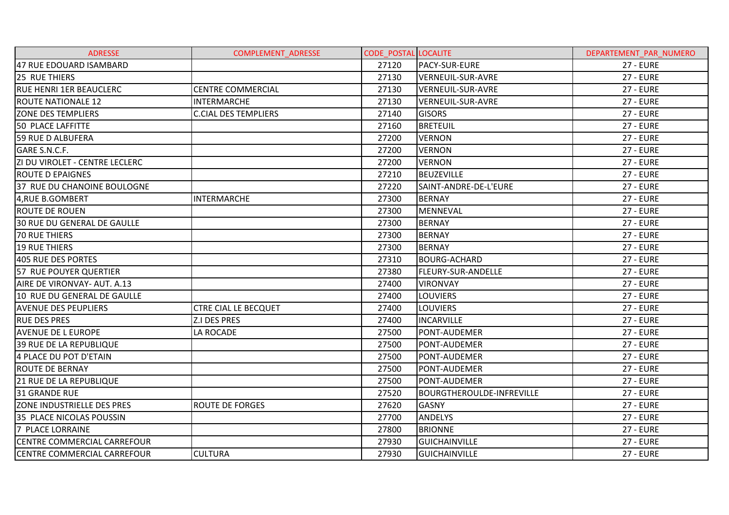| <b>ADRESSE</b>                     | COMPLEMENT_ADRESSE          | <b>CODE POSTAL LOCALITE</b> |                                  | DEPARTEMENT PAR NUMERO |
|------------------------------------|-----------------------------|-----------------------------|----------------------------------|------------------------|
| 47 RUE EDOUARD ISAMBARD            |                             | 27120                       | PACY-SUR-EURE                    | <b>27 - EURE</b>       |
| 25 RUE THIERS                      |                             | 27130                       | <b>VERNEUIL-SUR-AVRE</b>         | <b>27 - EURE</b>       |
| <b>RUE HENRI 1ER BEAUCLERC</b>     | <b>CENTRE COMMERCIAL</b>    | 27130                       | <b>VERNEUIL-SUR-AVRE</b>         | <b>27 - EURE</b>       |
| <b>ROUTE NATIONALE 12</b>          | <b>INTERMARCHE</b>          | 27130                       | VERNEUIL-SUR-AVRE                | <b>27 - EURE</b>       |
| <b>ZONE DES TEMPLIERS</b>          | <b>C.CIAL DES TEMPLIERS</b> | 27140                       | <b>GISORS</b>                    | <b>27 - EURE</b>       |
| 50 PLACE LAFFITTE                  |                             | 27160                       | <b>BRETEUIL</b>                  | <b>27 - EURE</b>       |
| 59 RUE D ALBUFERA                  |                             | 27200                       | <b>VERNON</b>                    | <b>27 - EURE</b>       |
| GARE S.N.C.F.                      |                             | 27200                       | <b>VERNON</b>                    | <b>27 - EURE</b>       |
| ZI DU VIROLET - CENTRE LECLERC     |                             | 27200                       | <b>VERNON</b>                    | <b>27 - EURE</b>       |
| <b>ROUTE D EPAIGNES</b>            |                             | 27210                       | <b>BEUZEVILLE</b>                | <b>27 - EURE</b>       |
| 37 RUE DU CHANOINE BOULOGNE        |                             | 27220                       | SAINT-ANDRE-DE-L'EURE            | <b>27 - EURE</b>       |
| 4, RUE B.GOMBERT                   | <b>INTERMARCHE</b>          | 27300                       | <b>BERNAY</b>                    | <b>27 - EURE</b>       |
| <b>ROUTE DE ROUEN</b>              |                             | 27300                       | MENNEVAL                         | <b>27 - EURE</b>       |
| 30 RUE DU GENERAL DE GAULLE        |                             | 27300                       | <b>BERNAY</b>                    | <b>27 - EURE</b>       |
| <b>70 RUE THIERS</b>               |                             | 27300                       | <b>BERNAY</b>                    | <b>27 - EURE</b>       |
| <b>19 RUE THIERS</b>               |                             | 27300                       | <b>BERNAY</b>                    | <b>27 - EURE</b>       |
| 405 RUE DES PORTES                 |                             | 27310                       | <b>BOURG-ACHARD</b>              | <b>27 - EURE</b>       |
| 57 RUE POUYER QUERTIER             |                             | 27380                       | <b>FLEURY-SUR-ANDELLE</b>        | <b>27 - EURE</b>       |
| AIRE DE VIRONVAY- AUT. A.13        |                             | 27400                       | <b>VIRONVAY</b>                  | <b>27 - EURE</b>       |
| 10 RUE DU GENERAL DE GAULLE        |                             | 27400                       | <b>LOUVIERS</b>                  | <b>27 - EURE</b>       |
| <b>AVENUE DES PEUPLIERS</b>        | <b>CTRE CIAL LE BECQUET</b> | 27400                       | <b>LOUVIERS</b>                  | <b>27 - EURE</b>       |
| <b>RUE DES PRES</b>                | Z.I DES PRES                | 27400                       | <b>INCARVILLE</b>                | <b>27 - EURE</b>       |
| <b>AVENUE DE L EUROPE</b>          | LA ROCADE                   | 27500                       | PONT-AUDEMER                     | <b>27 - EURE</b>       |
| <b>39 RUE DE LA REPUBLIQUE</b>     |                             | 27500                       | PONT-AUDEMER                     | <b>27 - EURE</b>       |
| 4 PLACE DU POT D'ETAIN             |                             | 27500                       | PONT-AUDEMER                     | <b>27 - EURE</b>       |
| <b>ROUTE DE BERNAY</b>             |                             | 27500                       | PONT-AUDEMER                     | <b>27 - EURE</b>       |
| <b>21 RUE DE LA REPUBLIQUE</b>     |                             | 27500                       | PONT-AUDEMER                     | <b>27 - EURE</b>       |
| 31 GRANDE RUE                      |                             | 27520                       | <b>BOURGTHEROULDE-INFREVILLE</b> | <b>27 - EURE</b>       |
| <b>ZONE INDUSTRIELLE DES PRES</b>  | <b>ROUTE DE FORGES</b>      | 27620                       | <b>GASNY</b>                     | <b>27 - EURE</b>       |
| 35 PLACE NICOLAS POUSSIN           |                             | 27700                       | <b>ANDELYS</b>                   | <b>27 - EURE</b>       |
| <b>7 PLACE LORRAINE</b>            |                             | 27800                       | <b>BRIONNE</b>                   | <b>27 - EURE</b>       |
| CENTRE COMMERCIAL CARREFOUR        |                             | 27930                       | <b>GUICHAINVILLE</b>             | <b>27 - EURE</b>       |
| <b>CENTRE COMMERCIAL CARREFOUR</b> | <b>CULTURA</b>              | 27930                       | <b>GUICHAINVILLE</b>             | <b>27 - EURE</b>       |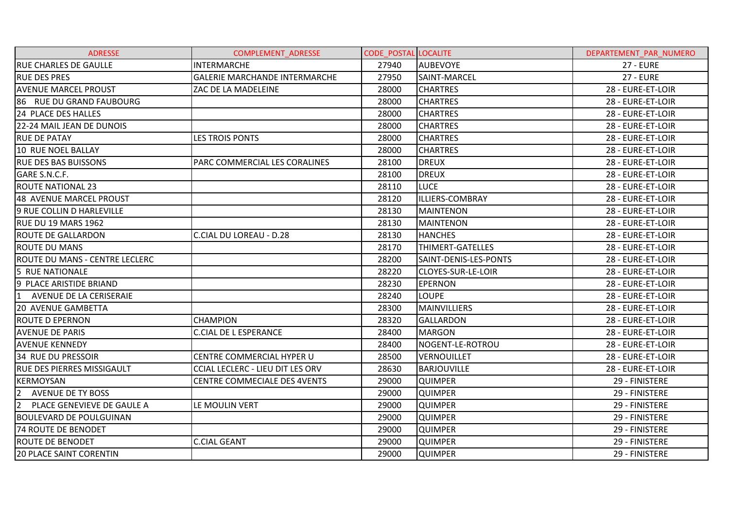| <b>ADRESSE</b>                               | COMPLEMENT_ADRESSE                      | <b>CODE POSTAL LOCALITE</b> |                           | DEPARTEMENT PAR NUMERO |
|----------------------------------------------|-----------------------------------------|-----------------------------|---------------------------|------------------------|
| <b>RUE CHARLES DE GAULLE</b>                 | <b>INTERMARCHE</b>                      | 27940                       | <b>AUBEVOYE</b>           | <b>27 - EURE</b>       |
| <b>RUE DES PRES</b>                          | <b>GALERIE MARCHANDE INTERMARCHE</b>    | 27950                       | SAINT-MARCEL              | <b>27 - EURE</b>       |
| <b>AVENUE MARCEL PROUST</b>                  | ZAC DE LA MADELEINE                     | 28000                       | <b>CHARTRES</b>           | 28 - EURE-ET-LOIR      |
| 86 RUE DU GRAND FAUBOURG                     |                                         | 28000                       | <b>CHARTRES</b>           | 28 - EURE-ET-LOIR      |
| <b>24 PLACE DES HALLES</b>                   |                                         | 28000                       | <b>CHARTRES</b>           | 28 - EURE-ET-LOIR      |
| 22-24 MAIL JEAN DE DUNOIS                    |                                         | 28000                       | <b>CHARTRES</b>           | 28 - EURE-ET-LOIR      |
| <b>RUE DE PATAY</b>                          | <b>LES TROIS PONTS</b>                  | 28000                       | <b>CHARTRES</b>           | 28 - EURE-ET-LOIR      |
| 10 RUE NOEL BALLAY                           |                                         | 28000                       | <b>CHARTRES</b>           | 28 - EURE-ET-LOIR      |
| <b>RUE DES BAS BUISSONS</b>                  | PARC COMMERCIAL LES CORALINES           | 28100                       | <b>DREUX</b>              | 28 - EURE-ET-LOIR      |
| GARE S.N.C.F.                                |                                         | 28100                       | <b>DREUX</b>              | 28 - EURE-ET-LOIR      |
| <b>ROUTE NATIONAL 23</b>                     |                                         | 28110                       | <b>LUCE</b>               | 28 - EURE-ET-LOIR      |
| 48 AVENUE MARCEL PROUST                      |                                         | 28120                       | <b>ILLIERS-COMBRAY</b>    | 28 - EURE-ET-LOIR      |
| 9 RUE COLLIN D HARLEVILLE                    |                                         | 28130                       | <b>MAINTENON</b>          | 28 - EURE-ET-LOIR      |
| RUE DU 19 MARS 1962                          |                                         | 28130                       | <b>MAINTENON</b>          | 28 - EURE-ET-LOIR      |
| <b>ROUTE DE GALLARDON</b>                    | <b>C.CIAL DU LOREAU - D.28</b>          | 28130                       | <b>HANCHES</b>            | 28 - EURE-ET-LOIR      |
| <b>ROUTE DU MANS</b>                         |                                         | 28170                       | THIMERT-GATELLES          | 28 - EURE-ET-LOIR      |
| ROUTE DU MANS - CENTRE LECLERC               |                                         | 28200                       | SAINT-DENIS-LES-PONTS     | 28 - EURE-ET-LOIR      |
| 5 RUE NATIONALE                              |                                         | 28220                       | <b>CLOYES-SUR-LE-LOIR</b> | 28 - EURE-ET-LOIR      |
| 9 PLACE ARISTIDE BRIAND                      |                                         | 28230                       | <b>EPERNON</b>            | 28 - EURE-ET-LOIR      |
| $\mathbf{1}$<br>AVENUE DE LA CERISERAIE      |                                         | 28240                       | <b>LOUPE</b>              | 28 - EURE-ET-LOIR      |
| <b>20 AVENUE GAMBETTA</b>                    |                                         | 28300                       | <b>MAINVILLIERS</b>       | 28 - EURE-ET-LOIR      |
| <b>ROUTE D EPERNON</b>                       | <b>CHAMPION</b>                         | 28320                       | <b>GALLARDON</b>          | 28 - EURE-ET-LOIR      |
| <b>AVENUE DE PARIS</b>                       | <b>C.CIAL DE L ESPERANCE</b>            | 28400                       | <b>MARGON</b>             | 28 - EURE-ET-LOIR      |
| <b>AVENUE KENNEDY</b>                        |                                         | 28400                       | NOGENT-LE-ROTROU          | 28 - EURE-ET-LOIR      |
| 34 RUE DU PRESSOIR                           | CENTRE COMMERCIAL HYPER U               | 28500                       | <b>VERNOUILLET</b>        | 28 - EURE-ET-LOIR      |
| <b>RUE DES PIERRES MISSIGAULT</b>            | <b>CCIAL LECLERC - LIEU DIT LES ORV</b> | 28630                       | <b>BARJOUVILLE</b>        | 28 - EURE-ET-LOIR      |
| KERMOYSAN                                    | CENTRE COMMECIALE DES 4VENTS            | 29000                       | <b>QUIMPER</b>            | 29 - FINISTERE         |
| $\overline{2}$<br><b>AVENUE DE TY BOSS</b>   |                                         | 29000                       | <b>QUIMPER</b>            | 29 - FINISTERE         |
| PLACE GENEVIEVE DE GAULE A<br>$\overline{2}$ | LE MOULIN VERT                          | 29000                       | <b>QUIMPER</b>            | 29 - FINISTERE         |
| <b>BOULEVARD DE POULGUINAN</b>               |                                         | 29000                       | <b>QUIMPER</b>            | 29 - FINISTERE         |
| 74 ROUTE DE BENODET                          |                                         | 29000                       | <b>QUIMPER</b>            | 29 - FINISTERE         |
| <b>ROUTE DE BENODET</b>                      | <b>C.CIAL GEANT</b>                     | 29000                       | <b>QUIMPER</b>            | 29 - FINISTERE         |
| <b>20 PLACE SAINT CORENTIN</b>               |                                         | 29000                       | <b>QUIMPER</b>            | 29 - FINISTERE         |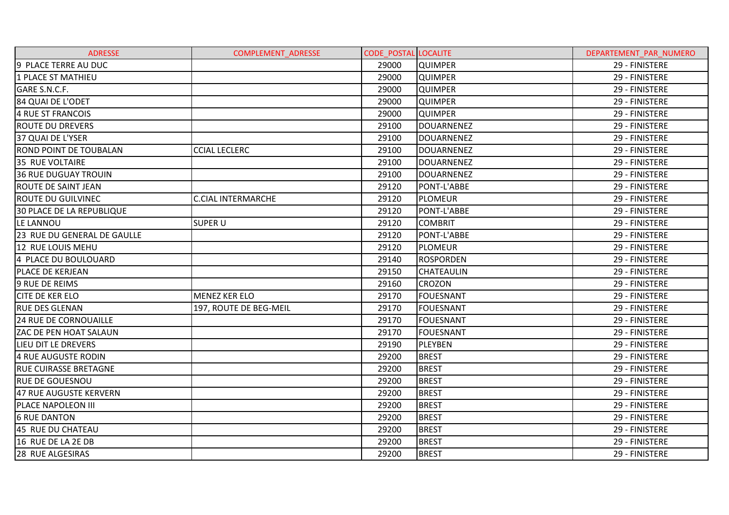| <b>ADRESSE</b>                   | <b>COMPLEMENT ADRESSE</b> | <b>CODE POSTAL LOCALITE</b> |                   | DEPARTEMENT PAR NUMERO |
|----------------------------------|---------------------------|-----------------------------|-------------------|------------------------|
| 9 PLACE TERRE AU DUC             |                           | 29000                       | <b>QUIMPER</b>    | 29 - FINISTERE         |
| 1 PLACE ST MATHIEU               |                           | 29000                       | <b>QUIMPER</b>    | 29 - FINISTERE         |
| GARE S.N.C.F.                    |                           | 29000                       | <b>QUIMPER</b>    | 29 - FINISTERE         |
| 84 QUAI DE L'ODET                |                           | 29000                       | <b>QUIMPER</b>    | 29 - FINISTERE         |
| 4 RUE ST FRANCOIS                |                           | 29000                       | <b>QUIMPER</b>    | 29 - FINISTERE         |
| <b>ROUTE DU DREVERS</b>          |                           | 29100                       | <b>DOUARNENEZ</b> | 29 - FINISTERE         |
| 37 QUAI DE L'YSER                |                           | 29100                       | <b>DOUARNENEZ</b> | 29 - FINISTERE         |
| <b>ROND POINT DE TOUBALAN</b>    | <b>CCIAL LECLERC</b>      | 29100                       | <b>DOUARNENEZ</b> | 29 - FINISTERE         |
| 35 RUE VOLTAIRE                  |                           | 29100                       | <b>DOUARNENEZ</b> | 29 - FINISTERE         |
| <b>36 RUE DUGUAY TROUIN</b>      |                           | 29100                       | <b>DOUARNENEZ</b> | 29 - FINISTERE         |
| ROUTE DE SAINT JEAN              |                           | 29120                       | PONT-L'ABBE       | 29 - FINISTERE         |
| <b>ROUTE DU GUILVINEC</b>        | <b>C.CIAL INTERMARCHE</b> | 29120                       | <b>PLOMEUR</b>    | 29 - FINISTERE         |
| <b>30 PLACE DE LA REPUBLIQUE</b> |                           | 29120                       | PONT-L'ABBE       | 29 - FINISTERE         |
| LE LANNOU                        | <b>SUPER U</b>            | 29120                       | <b>COMBRIT</b>    | 29 - FINISTERE         |
| 23 RUE DU GENERAL DE GAULLE      |                           | 29120                       | PONT-L'ABBE       | 29 - FINISTERE         |
| 12 RUE LOUIS MEHU                |                           | 29120                       | <b>PLOMEUR</b>    | 29 - FINISTERE         |
| 4 PLACE DU BOULOUARD             |                           | 29140                       | <b>ROSPORDEN</b>  | 29 - FINISTERE         |
| PLACE DE KERJEAN                 |                           | 29150                       | <b>CHATEAULIN</b> | 29 - FINISTERE         |
| 9 RUE DE REIMS                   |                           | 29160                       | CROZON            | 29 - FINISTERE         |
| <b>CITE DE KER ELO</b>           | <b>MENEZ KER ELO</b>      | 29170                       | <b>FOUESNANT</b>  | 29 - FINISTERE         |
| <b>RUE DES GLENAN</b>            | 197, ROUTE DE BEG-MEIL    | 29170                       | <b>FOUESNANT</b>  | 29 - FINISTERE         |
| 24 RUE DE CORNOUAILLE            |                           | 29170                       | <b>FOUESNANT</b>  | 29 - FINISTERE         |
| ZAC DE PEN HOAT SALAUN           |                           | 29170                       | <b>FOUESNANT</b>  | 29 - FINISTERE         |
| LIEU DIT LE DREVERS              |                           | 29190                       | <b>PLEYBEN</b>    | 29 - FINISTERE         |
| 4 RUE AUGUSTE RODIN              |                           | 29200                       | <b>BREST</b>      | 29 - FINISTERE         |
| <b>RUE CUIRASSE BRETAGNE</b>     |                           | 29200                       | <b>BREST</b>      | 29 - FINISTERE         |
| <b>RUE DE GOUESNOU</b>           |                           | 29200                       | <b>BREST</b>      | 29 - FINISTERE         |
| 47 RUE AUGUSTE KERVERN           |                           | 29200                       | <b>BREST</b>      | 29 - FINISTERE         |
| PLACE NAPOLEON III               |                           | 29200                       | <b>BREST</b>      | 29 - FINISTERE         |
| <b>6 RUE DANTON</b>              |                           | 29200                       | <b>BREST</b>      | 29 - FINISTERE         |
| 45 RUE DU CHATEAU                |                           | 29200                       | <b>BREST</b>      | 29 - FINISTERE         |
| 16 RUE DE LA 2E DB               |                           | 29200                       | <b>BREST</b>      | 29 - FINISTERE         |
| 28 RUE ALGESIRAS                 |                           | 29200                       | <b>BREST</b>      | 29 - FINISTERE         |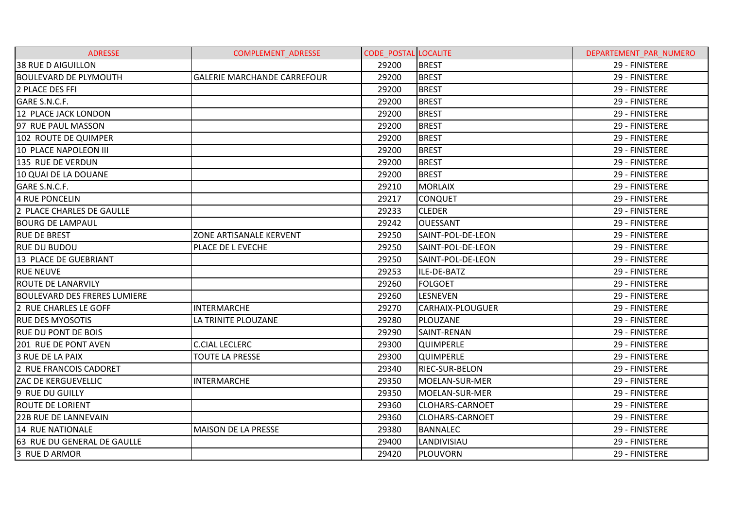| <b>ADRESSE</b>                      | <b>COMPLEMENT ADRESSE</b>          | <b>CODE POSTAL LOCALITE</b> |                         | DEPARTEMENT PAR NUMERO |
|-------------------------------------|------------------------------------|-----------------------------|-------------------------|------------------------|
| <b>38 RUE D AIGUILLON</b>           |                                    | 29200                       | <b>BREST</b>            | 29 - FINISTERE         |
| <b>BOULEVARD DE PLYMOUTH</b>        | <b>GALERIE MARCHANDE CARREFOUR</b> | 29200                       | <b>BREST</b>            | 29 - FINISTERE         |
| 2 PLACE DES FFI                     |                                    | 29200                       | <b>BREST</b>            | 29 - FINISTERE         |
| GARE S.N.C.F.                       |                                    | 29200                       | <b>BREST</b>            | 29 - FINISTERE         |
| 12 PLACE JACK LONDON                |                                    | 29200                       | <b>BREST</b>            | 29 - FINISTERE         |
| 97 RUE PAUL MASSON                  |                                    | 29200                       | <b>BREST</b>            | 29 - FINISTERE         |
| 102 ROUTE DE QUIMPER                |                                    | 29200                       | <b>BREST</b>            | 29 - FINISTERE         |
| <b>10 PLACE NAPOLEON III</b>        |                                    | 29200                       | <b>BREST</b>            | 29 - FINISTERE         |
| 135 RUE DE VERDUN                   |                                    | 29200                       | <b>BREST</b>            | 29 - FINISTERE         |
| 10 QUAI DE LA DOUANE                |                                    | 29200                       | <b>BREST</b>            | 29 - FINISTERE         |
| GARE S.N.C.F.                       |                                    | 29210                       | <b>MORLAIX</b>          | 29 - FINISTERE         |
| 4 RUE PONCELIN                      |                                    | 29217                       | <b>CONQUET</b>          | 29 - FINISTERE         |
| 2 PLACE CHARLES DE GAULLE           |                                    | 29233                       | <b>CLEDER</b>           | 29 - FINISTERE         |
| <b>BOURG DE LAMPAUL</b>             |                                    | 29242                       | <b>OUESSANT</b>         | 29 - FINISTERE         |
| <b>RUE DE BREST</b>                 | ZONE ARTISANALE KERVENT            | 29250                       | SAINT-POL-DE-LEON       | 29 - FINISTERE         |
| <b>RUE DU BUDOU</b>                 | PLACE DE L EVECHE                  | 29250                       | SAINT-POL-DE-LEON       | 29 - FINISTERE         |
| 13 PLACE DE GUEBRIANT               |                                    | 29250                       | SAINT-POL-DE-LEON       | 29 - FINISTERE         |
| <b>RUE NEUVE</b>                    |                                    | 29253                       | ILE-DE-BATZ             | 29 - FINISTERE         |
| <b>ROUTE DE LANARVILY</b>           |                                    | 29260                       | <b>FOLGOET</b>          | 29 - FINISTERE         |
| <b>BOULEVARD DES FRERES LUMIERE</b> |                                    | 29260                       | <b>LESNEVEN</b>         | 29 - FINISTERE         |
| 2 RUE CHARLES LE GOFF               | <b>INTERMARCHE</b>                 | 29270                       | <b>CARHAIX-PLOUGUER</b> | 29 - FINISTERE         |
| <b>RUE DES MYOSOTIS</b>             | LA TRINITE PLOUZANE                | 29280                       | PLOUZANE                | 29 - FINISTERE         |
| <b>RUE DU PONT DE BOIS</b>          |                                    | 29290                       | <b>SAINT-RENAN</b>      | 29 - FINISTERE         |
| 201 RUE DE PONT AVEN                | <b>C.CIAL LECLERC</b>              | 29300                       | <b>QUIMPERLE</b>        | 29 - FINISTERE         |
| 3 RUE DE LA PAIX                    | <b>TOUTE LA PRESSE</b>             | 29300                       | <b>QUIMPERLE</b>        | 29 - FINISTERE         |
| 2 RUE FRANCOIS CADORET              |                                    | 29340                       | RIEC-SUR-BELON          | 29 - FINISTERE         |
| <b>ZAC DE KERGUEVELLIC</b>          | <b>INTERMARCHE</b>                 | 29350                       | MOELAN-SUR-MER          | 29 - FINISTERE         |
| 9 RUE DU GUILLY                     |                                    | 29350                       | MOELAN-SUR-MER          | 29 - FINISTERE         |
| <b>ROUTE DE LORIENT</b>             |                                    | 29360                       | <b>CLOHARS-CARNOET</b>  | 29 - FINISTERE         |
| <b>22B RUE DE LANNEVAIN</b>         |                                    | 29360                       | <b>CLOHARS-CARNOET</b>  | 29 - FINISTERE         |
| 14 RUE NATIONALE                    | <b>MAISON DE LA PRESSE</b>         | 29380                       | <b>BANNALEC</b>         | 29 - FINISTERE         |
| 63 RUE DU GENERAL DE GAULLE         |                                    | 29400                       | LANDIVISIAU             | 29 - FINISTERE         |
| 3 RUE D ARMOR                       |                                    | 29420                       | PLOUVORN                | 29 - FINISTERE         |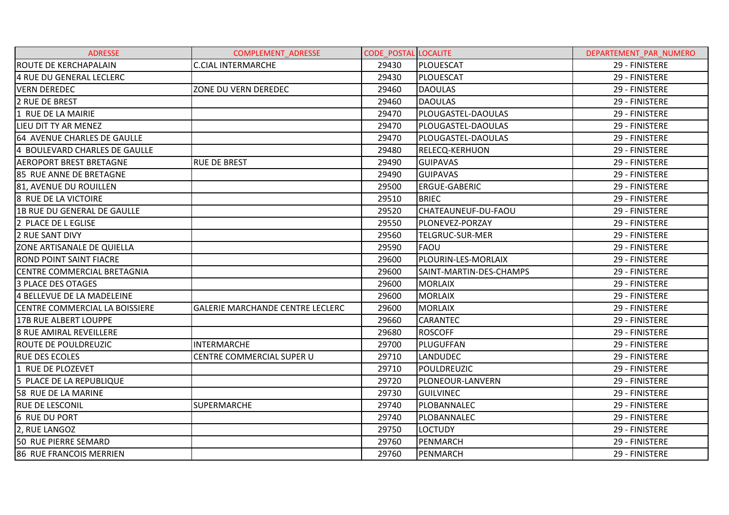| <b>ADRESSE</b>                 | <b>COMPLEMENT ADRESSE</b>               | <b>CODE POSTAL LOCALITE</b> |                         | DEPARTEMENT PAR NUMERO |
|--------------------------------|-----------------------------------------|-----------------------------|-------------------------|------------------------|
| <b>ROUTE DE KERCHAPALAIN</b>   | <b>C.CIAL INTERMARCHE</b>               | 29430                       | PLOUESCAT               | 29 - FINISTERE         |
| 4 RUE DU GENERAL LECLERC       |                                         | 29430                       | <b>PLOUESCAT</b>        | 29 - FINISTERE         |
| <b>VERN DEREDEC</b>            | ZONE DU VERN DEREDEC                    | 29460                       | <b>DAOULAS</b>          | 29 - FINISTERE         |
| 2 RUE DE BREST                 |                                         | 29460                       | <b>DAOULAS</b>          | 29 - FINISTERE         |
| 1 RUE DE LA MAIRIE             |                                         | 29470                       | PLOUGASTEL-DAOULAS      | 29 - FINISTERE         |
| LIEU DIT TY AR MENEZ           |                                         | 29470                       | PLOUGASTEL-DAOULAS      | 29 - FINISTERE         |
| 64 AVENUE CHARLES DE GAULLE    |                                         | 29470                       | PLOUGASTEL-DAOULAS      | 29 - FINISTERE         |
| 4 BOULEVARD CHARLES DE GAULLE  |                                         | 29480                       | <b>RELECQ-KERHUON</b>   | 29 - FINISTERE         |
| <b>AEROPORT BREST BRETAGNE</b> | <b>RUE DE BREST</b>                     | 29490                       | <b>GUIPAVAS</b>         | 29 - FINISTERE         |
| 85 RUE ANNE DE BRETAGNE        |                                         | 29490                       | <b>GUIPAVAS</b>         | 29 - FINISTERE         |
| 81, AVENUE DU ROUILLEN         |                                         | 29500                       | <b>ERGUE-GABERIC</b>    | 29 - FINISTERE         |
| <b>8 RUE DE LA VICTOIRE</b>    |                                         | 29510                       | <b>BRIEC</b>            | 29 - FINISTERE         |
| 1B RUE DU GENERAL DE GAULLE    |                                         | 29520                       | CHATEAUNEUF-DU-FAOU     | 29 - FINISTERE         |
| 2 PLACE DE L EGLISE            |                                         | 29550                       | PLONEVEZ-PORZAY         | 29 - FINISTERE         |
| <b>2 RUE SANT DIVY</b>         |                                         | 29560                       | <b>TELGRUC-SUR-MER</b>  | 29 - FINISTERE         |
| ZONE ARTISANALE DE QUIELLA     |                                         | 29590                       | <b>FAOU</b>             | 29 - FINISTERE         |
| <b>ROND POINT SAINT FIACRE</b> |                                         | 29600                       | PLOURIN-LES-MORLAIX     | 29 - FINISTERE         |
| CENTRE COMMERCIAL BRETAGNIA    |                                         | 29600                       | SAINT-MARTIN-DES-CHAMPS | 29 - FINISTERE         |
| 3 PLACE DES OTAGES             |                                         | 29600                       | <b>MORLAIX</b>          | 29 - FINISTERE         |
| 4 BELLEVUE DE LA MADELEINE     |                                         | 29600                       | <b>MORLAIX</b>          | 29 - FINISTERE         |
| CENTRE COMMERCIAL LA BOISSIERE | <b>GALERIE MARCHANDE CENTRE LECLERC</b> | 29600                       | <b>MORLAIX</b>          | 29 - FINISTERE         |
| 17B RUE ALBERT LOUPPE          |                                         | 29660                       | <b>CARANTEC</b>         | 29 - FINISTERE         |
| <b>8 RUE AMIRAL REVEILLERE</b> |                                         | 29680                       | <b>ROSCOFF</b>          | 29 - FINISTERE         |
| ROUTE DE POULDREUZIC           | <b>INTERMARCHE</b>                      | 29700                       | PLUGUFFAN               | 29 - FINISTERE         |
| <b>RUE DES ECOLES</b>          | CENTRE COMMERCIAL SUPER U               | 29710                       | <b>LANDUDEC</b>         | 29 - FINISTERE         |
| 1 RUE DE PLOZEVET              |                                         | 29710                       | POULDREUZIC             | 29 - FINISTERE         |
| 5 PLACE DE LA REPUBLIQUE       |                                         | 29720                       | PLONEOUR-LANVERN        | 29 - FINISTERE         |
| 58 RUE DE LA MARINE            |                                         | 29730                       | <b>GUILVINEC</b>        | 29 - FINISTERE         |
| <b>RUE DE LESCONIL</b>         | <b>SUPERMARCHE</b>                      | 29740                       | PLOBANNALEC             | 29 - FINISTERE         |
| <b>6 RUE DU PORT</b>           |                                         | 29740                       | PLOBANNALEC             | 29 - FINISTERE         |
| 2, RUE LANGOZ                  |                                         | 29750                       | <b>LOCTUDY</b>          | 29 - FINISTERE         |
| <b>50 RUE PIERRE SEMARD</b>    |                                         | 29760                       | PENMARCH                | 29 - FINISTERE         |
| <b>86 RUE FRANCOIS MERRIEN</b> |                                         | 29760                       | PENMARCH                | 29 - FINISTERE         |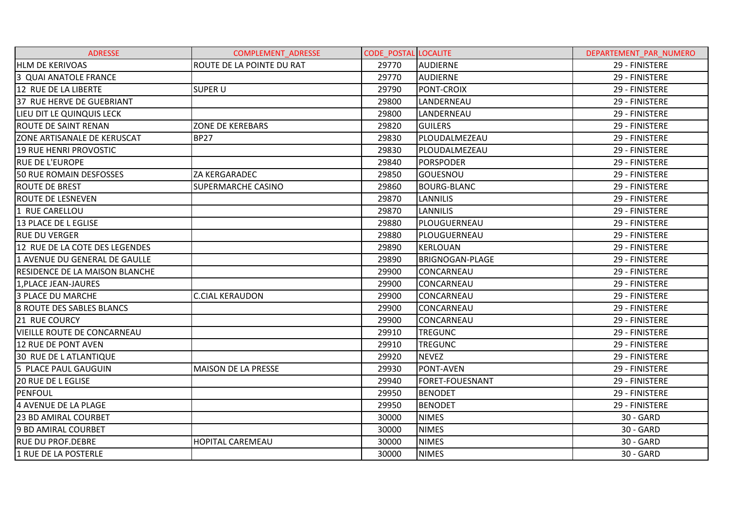| <b>ADRESSE</b>                        | <b>COMPLEMENT ADRESSE</b>  | <b>CODE POSTAL LOCALITE</b> |                        | DEPARTEMENT PAR NUMERO |
|---------------------------------------|----------------------------|-----------------------------|------------------------|------------------------|
| <b>HLM DE KERIVOAS</b>                | ROUTE DE LA POINTE DU RAT  | 29770                       | AUDIERNE               | 29 - FINISTERE         |
| 3 QUAI ANATOLE FRANCE                 |                            | 29770                       | <b>AUDIERNE</b>        | 29 - FINISTERE         |
| 12 RUE DE LA LIBERTE                  | <b>SUPER U</b>             | 29790                       | <b>PONT-CROIX</b>      | 29 - FINISTERE         |
| 37 RUE HERVE DE GUEBRIANT             |                            | 29800                       | LANDERNEAU             | 29 - FINISTERE         |
| LIEU DIT LE QUINQUIS LECK             |                            | 29800                       | LANDERNEAU             | 29 - FINISTERE         |
| ROUTE DE SAINT RENAN                  | <b>ZONE DE KEREBARS</b>    | 29820                       | <b>GUILERS</b>         | 29 - FINISTERE         |
| <b>ZONE ARTISANALE DE KERUSCAT</b>    | <b>BP27</b>                | 29830                       | PLOUDALMEZEAU          | 29 - FINISTERE         |
| 19 RUE HENRI PROVOSTIC                |                            | 29830                       | PLOUDALMEZEAU          | 29 - FINISTERE         |
| <b>RUE DE L'EUROPE</b>                |                            | 29840                       | <b>PORSPODER</b>       | 29 - FINISTERE         |
| 50 RUE ROMAIN DESFOSSES               | ZA KERGARADEC              | 29850                       | GOUESNOU               | 29 - FINISTERE         |
| <b>ROUTE DE BREST</b>                 | <b>SUPERMARCHE CASINO</b>  | 29860                       | <b>BOURG-BLANC</b>     | 29 - FINISTERE         |
| <b>ROUTE DE LESNEVEN</b>              |                            | 29870                       | <b>LANNILIS</b>        | 29 - FINISTERE         |
| 1 RUE CARELLOU                        |                            | 29870                       | <b>LANNILIS</b>        | 29 - FINISTERE         |
| 13 PLACE DE L EGLISE                  |                            | 29880                       | PLOUGUERNEAU           | 29 - FINISTERE         |
| <b>RUE DU VERGER</b>                  |                            | 29880                       | PLOUGUERNEAU           | 29 - FINISTERE         |
| 12 RUE DE LA COTE DES LEGENDES        |                            | 29890                       | <b>KERLOUAN</b>        | 29 - FINISTERE         |
| 1 AVENUE DU GENERAL DE GAULLE         |                            | 29890                       | <b>BRIGNOGAN-PLAGE</b> | 29 - FINISTERE         |
| <b>RESIDENCE DE LA MAISON BLANCHE</b> |                            | 29900                       | CONCARNEAU             | 29 - FINISTERE         |
| 1, PLACE JEAN-JAURES                  |                            | 29900                       | CONCARNEAU             | 29 - FINISTERE         |
| <b>3 PLACE DU MARCHE</b>              | <b>C.CIAL KERAUDON</b>     | 29900                       | CONCARNEAU             | 29 - FINISTERE         |
| <b>8 ROUTE DES SABLES BLANCS</b>      |                            | 29900                       | CONCARNEAU             | 29 - FINISTERE         |
| 21 RUE COURCY                         |                            | 29900                       | CONCARNEAU             | 29 - FINISTERE         |
| <b>VIEILLE ROUTE DE CONCARNEAU</b>    |                            | 29910                       | <b>TREGUNC</b>         | 29 - FINISTERE         |
| 12 RUE DE PONT AVEN                   |                            | 29910                       | <b>TREGUNC</b>         | 29 - FINISTERE         |
| <b>30 RUE DE L ATLANTIQUE</b>         |                            | 29920                       | <b>NEVEZ</b>           | 29 - FINISTERE         |
| 5 PLACE PAUL GAUGUIN                  | <b>MAISON DE LA PRESSE</b> | 29930                       | PONT-AVEN              | 29 - FINISTERE         |
| <b>20 RUE DE L EGLISE</b>             |                            | 29940                       | <b>FORET-FOUESNANT</b> | 29 - FINISTERE         |
| PENFOUL                               |                            | 29950                       | <b>BENODET</b>         | 29 - FINISTERE         |
| 4 AVENUE DE LA PLAGE                  |                            | 29950                       | <b>BENODET</b>         | 29 - FINISTERE         |
| <b>23 BD AMIRAL COURBET</b>           |                            | 30000                       | <b>NIMES</b>           | 30 - GARD              |
| 9 BD AMIRAL COURBET                   |                            | 30000                       | <b>NIMES</b>           | 30 - GARD              |
| <b>RUE DU PROF.DEBRE</b>              | <b>HOPITAL CAREMEAU</b>    | 30000                       | <b>NIMES</b>           | 30 - GARD              |
| 1 RUE DE LA POSTERLE                  |                            | 30000                       | <b>NIMES</b>           | 30 - GARD              |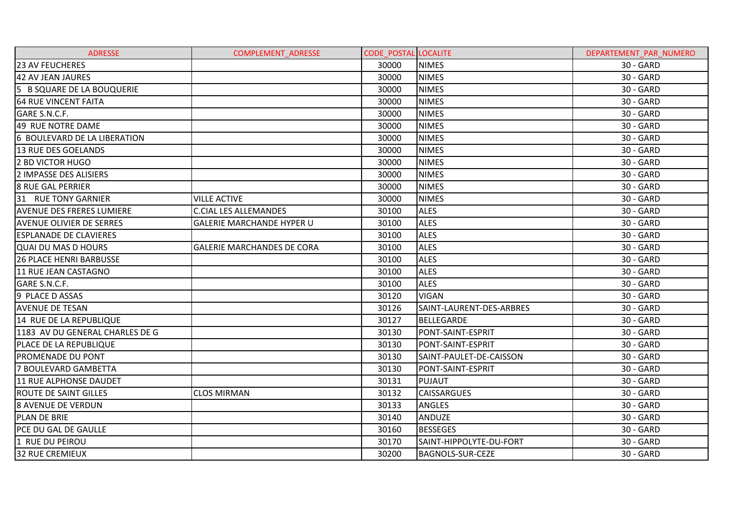| <b>ADRESSE</b>                   | <b>COMPLEMENT ADRESSE</b>         | <b>CODE POSTAL LOCALITE</b> |                          | DEPARTEMENT PAR NUMERO |
|----------------------------------|-----------------------------------|-----------------------------|--------------------------|------------------------|
| <b>23 AV FEUCHERES</b>           |                                   | 30000                       | <b>NIMES</b>             | 30 - GARD              |
| 42 AV JEAN JAURES                |                                   | 30000                       | <b>NIMES</b>             | 30 - GARD              |
| 5 B SQUARE DE LA BOUQUERIE       |                                   | 30000                       | <b>NIMES</b>             | 30 - GARD              |
| <b>64 RUE VINCENT FAITA</b>      |                                   | 30000                       | <b>NIMES</b>             | 30 - GARD              |
| GARE S.N.C.F.                    |                                   | 30000                       | <b>NIMES</b>             | 30 - GARD              |
| 49 RUE NOTRE DAME                |                                   | 30000                       | <b>NIMES</b>             | 30 - GARD              |
| 6 BOULEVARD DE LA LIBERATION     |                                   | 30000                       | <b>NIMES</b>             | 30 - GARD              |
| 13 RUE DES GOELANDS              |                                   | 30000                       | <b>NIMES</b>             | 30 - GARD              |
| 2 BD VICTOR HUGO                 |                                   | 30000                       | <b>NIMES</b>             | 30 - GARD              |
| 2 IMPASSE DES ALISIERS           |                                   | 30000                       | <b>NIMES</b>             | 30 - GARD              |
| 8 RUE GAL PERRIER                |                                   | 30000                       | <b>NIMES</b>             | 30 - GARD              |
| 31 RUE TONY GARNIER              | <b>VILLE ACTIVE</b>               | 30000                       | <b>NIMES</b>             | 30 - GARD              |
| <b>AVENUE DES FRERES LUMIERE</b> | <b>C.CIAL LES ALLEMANDES</b>      | 30100                       | <b>ALES</b>              | 30 - GARD              |
| <b>AVENUE OLIVIER DE SERRES</b>  | <b>GALERIE MARCHANDE HYPER U</b>  | 30100                       | <b>ALES</b>              | 30 - GARD              |
| <b>ESPLANADE DE CLAVIERES</b>    |                                   | 30100                       | <b>ALES</b>              | 30 - GARD              |
| <b>QUAI DU MAS D HOURS</b>       | <b>GALERIE MARCHANDES DE CORA</b> | 30100                       | <b>ALES</b>              | 30 - GARD              |
| <b>26 PLACE HENRI BARBUSSE</b>   |                                   | 30100                       | <b>ALES</b>              | 30 - GARD              |
| 11 RUE JEAN CASTAGNO             |                                   | 30100                       | <b>ALES</b>              | 30 - GARD              |
| GARE S.N.C.F.                    |                                   | 30100                       | <b>ALES</b>              | 30 - GARD              |
| 9 PLACE D ASSAS                  |                                   | 30120                       | <b>VIGAN</b>             | 30 - GARD              |
| <b>AVENUE DE TESAN</b>           |                                   | 30126                       | SAINT-LAURENT-DES-ARBRES | 30 - GARD              |
| 14 RUE DE LA REPUBLIQUE          |                                   | 30127                       | <b>BELLEGARDE</b>        | 30 - GARD              |
| 1183 AV DU GENERAL CHARLES DE G  |                                   | 30130                       | PONT-SAINT-ESPRIT        | 30 - GARD              |
| PLACE DE LA REPUBLIQUE           |                                   | 30130                       | PONT-SAINT-ESPRIT        | 30 - GARD              |
| <b>PROMENADE DU PONT</b>         |                                   | 30130                       | SAINT-PAULET-DE-CAISSON  | 30 - GARD              |
| 7 BOULEVARD GAMBETTA             |                                   | 30130                       | PONT-SAINT-ESPRIT        | 30 - GARD              |
| 11 RUE ALPHONSE DAUDET           |                                   | 30131                       | <b>PUJAUT</b>            | 30 - GARD              |
| <b>ROUTE DE SAINT GILLES</b>     | <b>CLOS MIRMAN</b>                | 30132                       | <b>CAISSARGUES</b>       | 30 - GARD              |
| <b>8 AVENUE DE VERDUN</b>        |                                   | 30133                       | <b>ANGLES</b>            | 30 - GARD              |
| PLAN DE BRIE                     |                                   | 30140                       | <b>ANDUZE</b>            | 30 - GARD              |
| PCE DU GAL DE GAULLE             |                                   | 30160                       | <b>BESSEGES</b>          | 30 - GARD              |
| 1 RUE DU PEIROU                  |                                   | 30170                       | SAINT-HIPPOLYTE-DU-FORT  | 30 - GARD              |
| <b>32 RUE CREMIEUX</b>           |                                   | 30200                       | <b>BAGNOLS-SUR-CEZE</b>  | 30 - GARD              |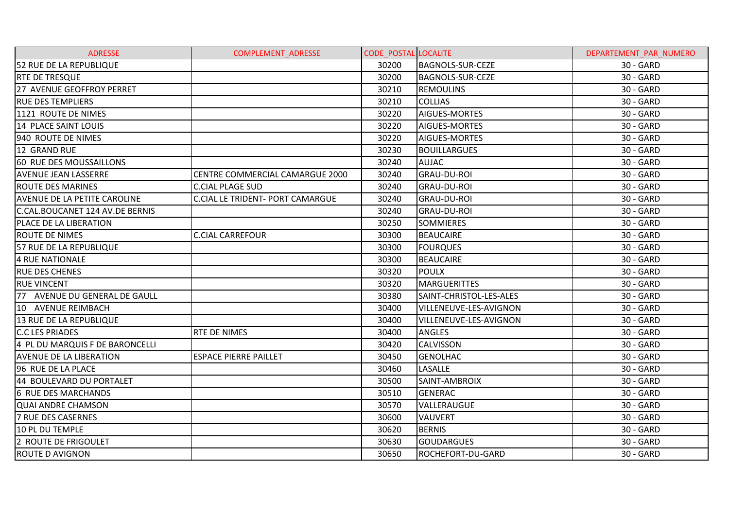| <b>ADRESSE</b>                      | COMPLEMENT_ADRESSE                      | <b>CODE POSTAL LOCALITE</b> |                          | DEPARTEMENT_PAR_NUMERO |
|-------------------------------------|-----------------------------------------|-----------------------------|--------------------------|------------------------|
| 52 RUE DE LA REPUBLIQUE             |                                         | 30200                       | <b>BAGNOLS-SUR-CEZE</b>  | 30 - GARD              |
| <b>RTE DE TRESQUE</b>               |                                         | 30200                       | <b>BAGNOLS-SUR-CEZE</b>  | 30 - GARD              |
| 27 AVENUE GEOFFROY PERRET           |                                         | 30210                       | <b>REMOULINS</b>         | 30 - GARD              |
| <b>RUE DES TEMPLIERS</b>            |                                         | 30210                       | <b>COLLIAS</b>           | 30 - GARD              |
| 1121 ROUTE DE NIMES                 |                                         | 30220                       | <b>AIGUES-MORTES</b>     | 30 - GARD              |
| 14 PLACE SAINT LOUIS                |                                         | 30220                       | <b>AIGUES-MORTES</b>     | 30 - GARD              |
| 940 ROUTE DE NIMES                  |                                         | 30220                       | <b>AIGUES-MORTES</b>     | 30 - GARD              |
| 12 GRAND RUE                        |                                         | 30230                       | <b>BOUILLARGUES</b>      | 30 - GARD              |
| 60 RUE DES MOUSSAILLONS             |                                         | 30240                       | <b>AUJAC</b>             | 30 - GARD              |
| <b>AVENUE JEAN LASSERRE</b>         | CENTRE COMMERCIAL CAMARGUE 2000         | 30240                       | <b>GRAU-DU-ROI</b>       | 30 - GARD              |
| <b>ROUTE DES MARINES</b>            | <b>C.CIAL PLAGE SUD</b>                 | 30240                       | <b>GRAU-DU-ROI</b>       | 30 - GARD              |
| <b>AVENUE DE LA PETITE CAROLINE</b> | <b>C.CIAL LE TRIDENT- PORT CAMARGUE</b> | 30240                       | <b>GRAU-DU-ROI</b>       | 30 - GARD              |
| C.CAL.BOUCANET 124 AV.DE BERNIS     |                                         | 30240                       | <b>GRAU-DU-ROI</b>       | 30 - GARD              |
| PLACE DE LA LIBERATION              |                                         | 30250                       | <b>SOMMIERES</b>         | 30 - GARD              |
| <b>ROUTE DE NIMES</b>               | <b>C.CIAL CARREFOUR</b>                 | 30300                       | <b>BEAUCAIRE</b>         | 30 - GARD              |
| 57 RUE DE LA REPUBLIQUE             |                                         | 30300                       | <b>FOURQUES</b>          | 30 - GARD              |
| 4 RUE NATIONALE                     |                                         | 30300                       | <b>BEAUCAIRE</b>         | 30 - GARD              |
| <b>RUE DES CHENES</b>               |                                         | 30320                       | <b>POULX</b>             | 30 - GARD              |
| <b>RUE VINCENT</b>                  |                                         | 30320                       | <b>MARGUERITTES</b>      | 30 - GARD              |
| 77 AVENUE DU GENERAL DE GAULL       |                                         | 30380                       | SAINT-CHRISTOL-LES-ALES  | 30 - GARD              |
| 10 AVENUE REIMBACH                  |                                         | 30400                       | VILLENEUVE-LES-AVIGNON   | 30 - GARD              |
| 13 RUE DE LA REPUBLIQUE             |                                         | 30400                       | VILLENEUVE-LES-AVIGNON   | 30 - GARD              |
| <b>C.C LES PRIADES</b>              | <b>RTE DE NIMES</b>                     | 30400                       | <b>ANGLES</b>            | 30 - GARD              |
| 4 PL DU MARQUIS F DE BARONCELLI     |                                         | 30420                       | <b>CALVISSON</b>         | 30 - GARD              |
| <b>AVENUE DE LA LIBERATION</b>      | <b>ESPACE PIERRE PAILLET</b>            | 30450                       | <b>GENOLHAC</b>          | 30 - GARD              |
| 96 RUE DE LA PLACE                  |                                         | 30460                       | <b>LASALLE</b>           | 30 - GARD              |
| 44 BOULEVARD DU PORTALET            |                                         | 30500                       | SAINT-AMBROIX            | 30 - GARD              |
| 6 RUE DES MARCHANDS                 |                                         | 30510                       | <b>GENERAC</b>           | 30 - GARD              |
| <b>QUAI ANDRE CHAMSON</b>           |                                         | 30570                       | VALLERAUGUE              | 30 - GARD              |
| 7 RUE DES CASERNES                  |                                         | 30600                       | <b>VAUVERT</b>           | 30 - GARD              |
| 10 PL DU TEMPLE                     |                                         | 30620                       | <b>BERNIS</b>            | 30 - GARD              |
| 2 ROUTE DE FRIGOULET                |                                         | 30630                       | <b>GOUDARGUES</b>        | 30 - GARD              |
| <b>ROUTE D AVIGNON</b>              |                                         | 30650                       | <b>ROCHEFORT-DU-GARD</b> | 30 - GARD              |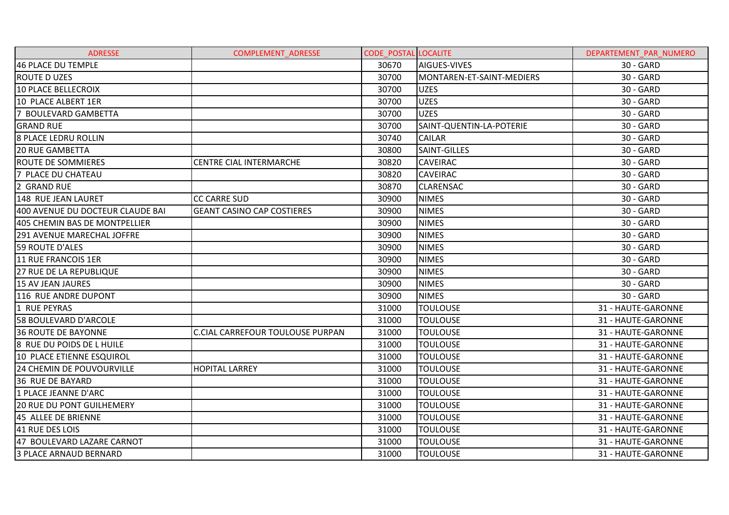| <b>ADRESSE</b>                    | <b>COMPLEMENT ADRESSE</b>               | <b>CODE POSTAL LOCALITE</b> |                           | DEPARTEMENT PAR NUMERO |
|-----------------------------------|-----------------------------------------|-----------------------------|---------------------------|------------------------|
| 46 PLACE DU TEMPLE                |                                         | 30670                       | AIGUES-VIVES              | 30 - GARD              |
| <b>ROUTE D UZES</b>               |                                         | 30700                       | MONTAREN-ET-SAINT-MEDIERS | 30 - GARD              |
| 10 PLACE BELLECROIX               |                                         | 30700                       | <b>UZES</b>               | 30 - GARD              |
| 10 PLACE ALBERT 1ER               |                                         | 30700                       | <b>UZES</b>               | 30 - GARD              |
| 7 BOULEVARD GAMBETTA              |                                         | 30700                       | <b>UZES</b>               | 30 - GARD              |
| <b>GRAND RUE</b>                  |                                         | 30700                       | SAINT-QUENTIN-LA-POTERIE  | 30 - GARD              |
| <b>8 PLACE LEDRU ROLLIN</b>       |                                         | 30740                       | <b>CAILAR</b>             | 30 - GARD              |
| <b>20 RUE GAMBETTA</b>            |                                         | 30800                       | SAINT-GILLES              | 30 - GARD              |
| <b>ROUTE DE SOMMIERES</b>         | <b>CENTRE CIAL INTERMARCHE</b>          | 30820                       | <b>CAVEIRAC</b>           | 30 - GARD              |
| 7 PLACE DU CHATEAU                |                                         | 30820                       | CAVEIRAC                  | 30 - GARD              |
| 2 GRAND RUE                       |                                         | 30870                       | <b>CLARENSAC</b>          | 30 - GARD              |
| 148 RUE JEAN LAURET               | <b>CC CARRE SUD</b>                     | 30900                       | <b>NIMES</b>              | 30 - GARD              |
| 400 AVENUE DU DOCTEUR CLAUDE BAI  | <b>GEANT CASINO CAP COSTIERES</b>       | 30900                       | <b>NIMES</b>              | 30 - GARD              |
| 405 CHEMIN BAS DE MONTPELLIER     |                                         | 30900                       | <b>NIMES</b>              | 30 - GARD              |
| <b>291 AVENUE MARECHAL JOFFRE</b> |                                         | 30900                       | <b>NIMES</b>              | 30 - GARD              |
| 59 ROUTE D'ALES                   |                                         | 30900                       | <b>NIMES</b>              | 30 - GARD              |
| 11 RUE FRANCOIS 1ER               |                                         | 30900                       | <b>NIMES</b>              | 30 - GARD              |
| <b>27 RUE DE LA REPUBLIQUE</b>    |                                         | 30900                       | <b>NIMES</b>              | 30 - GARD              |
| 15 AV JEAN JAURES                 |                                         | 30900                       | <b>NIMES</b>              | 30 - GARD              |
| 116 RUE ANDRE DUPONT              |                                         | 30900                       | <b>NIMES</b>              | 30 - GARD              |
| 1 RUE PEYRAS                      |                                         | 31000                       | <b>TOULOUSE</b>           | 31 - HAUTE-GARONNE     |
| <b>58 BOULEVARD D'ARCOLE</b>      |                                         | 31000                       | <b>TOULOUSE</b>           | 31 - HAUTE-GARONNE     |
| <b>36 ROUTE DE BAYONNE</b>        | <b>C.CIAL CARREFOUR TOULOUSE PURPAN</b> | 31000                       | <b>TOULOUSE</b>           | 31 - HAUTE-GARONNE     |
| 8 RUE DU POIDS DE L HUILE         |                                         | 31000                       | <b>TOULOUSE</b>           | 31 - HAUTE-GARONNE     |
| 10 PLACE ETIENNE ESQUIROL         |                                         | 31000                       | <b>TOULOUSE</b>           | 31 - HAUTE-GARONNE     |
| <b>24 CHEMIN DE POUVOURVILLE</b>  | <b>HOPITAL LARREY</b>                   | 31000                       | <b>TOULOUSE</b>           | 31 - HAUTE-GARONNE     |
| <b>36 RUE DE BAYARD</b>           |                                         | 31000                       | <b>TOULOUSE</b>           | 31 - HAUTE-GARONNE     |
| 1 PLACE JEANNE D'ARC              |                                         | 31000                       | <b>TOULOUSE</b>           | 31 - HAUTE-GARONNE     |
| <b>20 RUE DU PONT GUILHEMERY</b>  |                                         | 31000                       | <b>TOULOUSE</b>           | 31 - HAUTE-GARONNE     |
| 45 ALLEE DE BRIENNE               |                                         | 31000                       | <b>TOULOUSE</b>           | 31 - HAUTE-GARONNE     |
| 41 RUE DES LOIS                   |                                         | 31000                       | <b>TOULOUSE</b>           | 31 - HAUTE-GARONNE     |
| 47 BOULEVARD LAZARE CARNOT        |                                         | 31000                       | <b>TOULOUSE</b>           | 31 - HAUTE-GARONNE     |
| <b>3 PLACE ARNAUD BERNARD</b>     |                                         | 31000                       | <b>TOULOUSE</b>           | 31 - HAUTE-GARONNE     |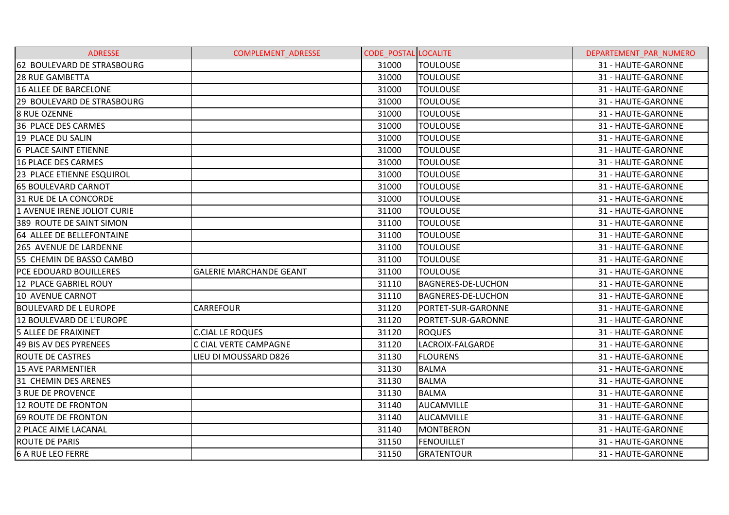| <b>ADRESSE</b>                   | <b>COMPLEMENT ADRESSE</b>      | <b>CODE POSTAL LOCALITE</b> |                           | DEPARTEMENT PAR NUMERO |
|----------------------------------|--------------------------------|-----------------------------|---------------------------|------------------------|
| 62 BOULEVARD DE STRASBOURG       |                                | 31000                       | <b>TOULOUSE</b>           | 31 - HAUTE-GARONNE     |
| <b>28 RUE GAMBETTA</b>           |                                | 31000                       | <b>TOULOUSE</b>           | 31 - HAUTE-GARONNE     |
| 16 ALLEE DE BARCELONE            |                                | 31000                       | <b>TOULOUSE</b>           | 31 - HAUTE-GARONNE     |
| 29 BOULEVARD DE STRASBOURG       |                                | 31000                       | <b>TOULOUSE</b>           | 31 - HAUTE-GARONNE     |
| I8 RUE OZENNE                    |                                | 31000                       | <b>TOULOUSE</b>           | 31 - HAUTE-GARONNE     |
| 36 PLACE DES CARMES              |                                | 31000                       | <b>TOULOUSE</b>           | 31 - HAUTE-GARONNE     |
| 19 PLACE DU SALIN                |                                | 31000                       | TOULOUSE                  | 31 - HAUTE-GARONNE     |
| <b>6 PLACE SAINT ETIENNE</b>     |                                | 31000                       | <b>TOULOUSE</b>           | 31 - HAUTE-GARONNE     |
| 16 PLACE DES CARMES              |                                | 31000                       | TOULOUSE                  | 31 - HAUTE-GARONNE     |
| <b>23 PLACE ETIENNE ESQUIROL</b> |                                | 31000                       | <b>TOULOUSE</b>           | 31 - HAUTE-GARONNE     |
| <b>65 BOULEVARD CARNOT</b>       |                                | 31000                       | <b>TOULOUSE</b>           | 31 - HAUTE-GARONNE     |
| 31 RUE DE LA CONCORDE            |                                | 31000                       | TOULOUSE                  | 31 - HAUTE-GARONNE     |
| 1 AVENUE IRENE JOLIOT CURIE      |                                | 31100                       | <b>TOULOUSE</b>           | 31 - HAUTE-GARONNE     |
| 389 ROUTE DE SAINT SIMON         |                                | 31100                       | <b>TOULOUSE</b>           | 31 - HAUTE-GARONNE     |
| 64 ALLEE DE BELLEFONTAINE        |                                | 31100                       | <b>TOULOUSE</b>           | 31 - HAUTE-GARONNE     |
| <b>265 AVENUE DE LARDENNE</b>    |                                | 31100                       | <b>TOULOUSE</b>           | 31 - HAUTE-GARONNE     |
| 55 CHEMIN DE BASSO CAMBO         |                                | 31100                       | <b>TOULOUSE</b>           | 31 - HAUTE-GARONNE     |
| <b>PCE EDOUARD BOUILLERES</b>    | <b>GALERIE MARCHANDE GEANT</b> | 31100                       | TOULOUSE                  | 31 - HAUTE-GARONNE     |
| 12 PLACE GABRIEL ROUY            |                                | 31110                       | <b>BAGNERES-DE-LUCHON</b> | 31 - HAUTE-GARONNE     |
| 10 AVENUE CARNOT                 |                                | 31110                       | <b>BAGNERES-DE-LUCHON</b> | 31 - HAUTE-GARONNE     |
| <b>BOULEVARD DE L EUROPE</b>     | <b>CARREFOUR</b>               | 31120                       | PORTET-SUR-GARONNE        | 31 - HAUTE-GARONNE     |
| 12 BOULEVARD DE L'EUROPE         |                                | 31120                       | PORTET-SUR-GARONNE        | 31 - HAUTE-GARONNE     |
| <b>5 ALLEE DE FRAIXINET</b>      | <b>C.CIAL LE ROQUES</b>        | 31120                       | <b>ROQUES</b>             | 31 - HAUTE-GARONNE     |
| 49 BIS AV DES PYRENEES           | C CIAL VERTE CAMPAGNE          | 31120                       | LACROIX-FALGARDE          | 31 - HAUTE-GARONNE     |
| <b>ROUTE DE CASTRES</b>          | LIEU DI MOUSSARD D826          | 31130                       | <b>FLOURENS</b>           | 31 - HAUTE-GARONNE     |
| <b>15 AVE PARMENTIER</b>         |                                | 31130                       | <b>BALMA</b>              | 31 - HAUTE-GARONNE     |
| 31 CHEMIN DES ARENES             |                                | 31130                       | IBALMA                    | 31 - HAUTE-GARONNE     |
| <b>3 RUE DE PROVENCE</b>         |                                | 31130                       | <b>BALMA</b>              | 31 - HAUTE-GARONNE     |
| 12 ROUTE DE FRONTON              |                                | 31140                       | <b>AUCAMVILLE</b>         | 31 - HAUTE-GARONNE     |
| 69 ROUTE DE FRONTON              |                                | 31140                       | <b>AUCAMVILLE</b>         | 31 - HAUTE-GARONNE     |
| 2 PLACE AIME LACANAL             |                                | 31140                       | <b>MONTBERON</b>          | 31 - HAUTE-GARONNE     |
| <b>ROUTE DE PARIS</b>            |                                | 31150                       | <b>FENOUILLET</b>         | 31 - HAUTE-GARONNE     |
| <b>6 A RUE LEO FERRE</b>         |                                | 31150                       | <b>GRATENTOUR</b>         | 31 - HAUTE-GARONNE     |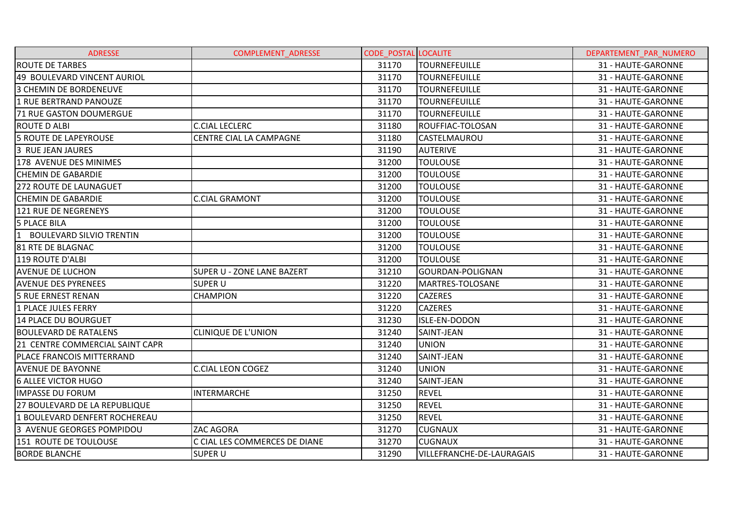| <b>ADRESSE</b>                  | <b>COMPLEMENT ADRESSE</b>      | <b>CODE POSTAL LOCALITE</b> |                           | DEPARTEMENT PAR NUMERO |
|---------------------------------|--------------------------------|-----------------------------|---------------------------|------------------------|
| <b>ROUTE DE TARBES</b>          |                                | 31170                       | <b>TOURNEFEUILLE</b>      | 31 - HAUTE-GARONNE     |
| 49 BOULEVARD VINCENT AURIOL     |                                | 31170                       | TOURNEFEUILLE             | 31 - HAUTE-GARONNE     |
| 3 CHEMIN DE BORDENEUVE          |                                | 31170                       | <b>TOURNEFEUILLE</b>      | 31 - HAUTE-GARONNE     |
| 1 RUE BERTRAND PANOUZE          |                                | 31170                       | TOURNEFEUILLE             | 31 - HAUTE-GARONNE     |
| <b>71 RUE GASTON DOUMERGUE</b>  |                                | 31170                       | <b>TOURNEFEUILLE</b>      | 31 - HAUTE-GARONNE     |
| <b>ROUTE D ALBI</b>             | <b>C.CIAL LECLERC</b>          | 31180                       | ROUFFIAC-TOLOSAN          | 31 - HAUTE-GARONNE     |
| <b>5 ROUTE DE LAPEYROUSE</b>    | <b>CENTRE CIAL LA CAMPAGNE</b> | 31180                       | <b>CASTELMAUROU</b>       | 31 - HAUTE-GARONNE     |
| 3 RUE JEAN JAURES               |                                | 31190                       | <b>AUTERIVE</b>           | 31 - HAUTE-GARONNE     |
| 178 AVENUE DES MINIMES          |                                | 31200                       | <b>TOULOUSE</b>           | 31 - HAUTE-GARONNE     |
| <b>CHEMIN DE GABARDIE</b>       |                                | 31200                       | <b>TOULOUSE</b>           | 31 - HAUTE-GARONNE     |
| <b>272 ROUTE DE LAUNAGUET</b>   |                                | 31200                       | <b>TOULOUSE</b>           | 31 - HAUTE-GARONNE     |
| <b>CHEMIN DE GABARDIE</b>       | <b>C.CIAL GRAMONT</b>          | 31200                       | TOULOUSE                  | 31 - HAUTE-GARONNE     |
| 121 RUE DE NEGRENEYS            |                                | 31200                       | <b>TOULOUSE</b>           | 31 - HAUTE-GARONNE     |
| <b>5 PLACE BILA</b>             |                                | 31200                       | <b>TOULOUSE</b>           | 31 - HAUTE-GARONNE     |
| 1 BOULEVARD SILVIO TRENTIN      |                                | 31200                       | <b>TOULOUSE</b>           | 31 - HAUTE-GARONNE     |
| 81 RTE DE BLAGNAC               |                                | 31200                       | <b>TOULOUSE</b>           | 31 - HAUTE-GARONNE     |
| 119 ROUTE D'ALBI                |                                | 31200                       | TOULOUSE                  | 31 - HAUTE-GARONNE     |
| <b>AVENUE DE LUCHON</b>         | SUPER U - ZONE LANE BAZERT     | 31210                       | GOURDAN-POLIGNAN          | 31 - HAUTE-GARONNE     |
| <b>AVENUE DES PYRENEES</b>      | <b>SUPER U</b>                 | 31220                       | MARTRES-TOLOSANE          | 31 - HAUTE-GARONNE     |
| <b>5 RUE ERNEST RENAN</b>       | <b>CHAMPION</b>                | 31220                       | <b>CAZERES</b>            | 31 - HAUTE-GARONNE     |
| 1 PLACE JULES FERRY             |                                | 31220                       | <b>CAZERES</b>            | 31 - HAUTE-GARONNE     |
| 14 PLACE DU BOURGUET            |                                | 31230                       | <b>ISLE-EN-DODON</b>      | 31 - HAUTE-GARONNE     |
| <b>BOULEVARD DE RATALENS</b>    | <b>CLINIQUE DE L'UNION</b>     | 31240                       | SAINT-JEAN                | 31 - HAUTE-GARONNE     |
| 21 CENTRE COMMERCIAL SAINT CAPR |                                | 31240                       | <b>UNION</b>              | 31 - HAUTE-GARONNE     |
| PLACE FRANCOIS MITTERRAND       |                                | 31240                       | SAINT-JEAN                | 31 - HAUTE-GARONNE     |
| <b>AVENUE DE BAYONNE</b>        | <b>C.CIAL LEON COGEZ</b>       | 31240                       | <b>UNION</b>              | 31 - HAUTE-GARONNE     |
| <b>6 ALLEE VICTOR HUGO</b>      |                                | 31240                       | SAINT-JEAN                | 31 - HAUTE-GARONNE     |
| <b>IMPASSE DU FORUM</b>         | <b>INTERMARCHE</b>             | 31250                       | <b>REVEL</b>              | 31 - HAUTE-GARONNE     |
| 27 BOULEVARD DE LA REPUBLIQUE   |                                | 31250                       | <b>REVEL</b>              | 31 - HAUTE-GARONNE     |
| 1 BOULEVARD DENFERT ROCHEREAU   |                                | 31250                       | <b>REVEL</b>              | 31 - HAUTE-GARONNE     |
| 3 AVENUE GEORGES POMPIDOU       | ZAC AGORA                      | 31270                       | <b>CUGNAUX</b>            | 31 - HAUTE-GARONNE     |
| 151 ROUTE DE TOULOUSE           | C CIAL LES COMMERCES DE DIANE  | 31270                       | <b>CUGNAUX</b>            | 31 - HAUTE-GARONNE     |
| <b>BORDE BLANCHE</b>            | <b>SUPER U</b>                 | 31290                       | VILLEFRANCHE-DE-LAURAGAIS | 31 - HAUTE-GARONNE     |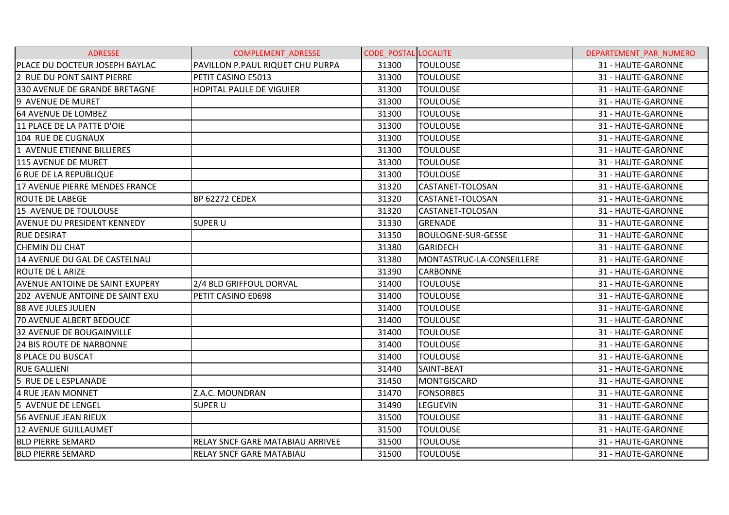| <b>ADRESSE</b>                         | <b>COMPLEMENT ADRESSE</b>               | <b>CODE POSTAL LOCALITE</b> |                           | DEPARTEMENT PAR NUMERO |
|----------------------------------------|-----------------------------------------|-----------------------------|---------------------------|------------------------|
| PLACE DU DOCTEUR JOSEPH BAYLAC         | PAVILLON P.PAUL RIQUET CHU PURPA        | 31300                       | <b>TOULOUSE</b>           | 31 - HAUTE-GARONNE     |
| 2 RUE DU PONT SAINT PIERRE             | PETIT CASINO E5013                      | 31300                       | <b>TOULOUSE</b>           | 31 - HAUTE-GARONNE     |
| 330 AVENUE DE GRANDE BRETAGNE          | <b>HOPITAL PAULE DE VIGUIER</b>         | 31300                       | <b>TOULOUSE</b>           | 31 - HAUTE-GARONNE     |
| 9 AVENUE DE MURET                      |                                         | 31300                       | <b>TOULOUSE</b>           | 31 - HAUTE-GARONNE     |
| 164 AVENUE DE LOMBEZ                   |                                         | 31300                       | <b>TOULOUSE</b>           | 31 - HAUTE-GARONNE     |
| 11 PLACE DE LA PATTE D'OIE             |                                         | 31300                       | <b>TOULOUSE</b>           | 31 - HAUTE-GARONNE     |
| 104 RUE DE CUGNAUX                     |                                         | 31300                       | <b>TOULOUSE</b>           | 31 - HAUTE-GARONNE     |
| 1 AVENUE ETIENNE BILLIERES             |                                         | 31300                       | <b>TOULOUSE</b>           | 31 - HAUTE-GARONNE     |
| 115 AVENUE DE MURET                    |                                         | 31300                       | <b>TOULOUSE</b>           | 31 - HAUTE-GARONNE     |
| <b>6 RUE DE LA REPUBLIQUE</b>          |                                         | 31300                       | <b>TOULOUSE</b>           | 31 - HAUTE-GARONNE     |
| 17 AVENUE PIERRE MENDES FRANCE         |                                         | 31320                       | CASTANET-TOLOSAN          | 31 - HAUTE-GARONNE     |
| <b>ROUTE DE LABEGE</b>                 | <b>BP 62272 CEDEX</b>                   | 31320                       | CASTANET-TOLOSAN          | 31 - HAUTE-GARONNE     |
| 15 AVENUE DE TOULOUSE                  |                                         | 31320                       | CASTANET-TOLOSAN          | 31 - HAUTE-GARONNE     |
| <b>AVENUE DU PRESIDENT KENNEDY</b>     | <b>SUPER U</b>                          | 31330                       | <b>GRENADE</b>            | 31 - HAUTE-GARONNE     |
| <b>RUE DESIRAT</b>                     |                                         | 31350                       | <b>BOULOGNE-SUR-GESSE</b> | 31 - HAUTE-GARONNE     |
| <b>CHEMIN DU CHAT</b>                  |                                         | 31380                       | <b>GARIDECH</b>           | 31 - HAUTE-GARONNE     |
| 14 AVENUE DU GAL DE CASTELNAU          |                                         | 31380                       | MONTASTRUC-LA-CONSEILLERE | 31 - HAUTE-GARONNE     |
| <b>ROUTE DE LARIZE</b>                 |                                         | 31390                       | <b>CARBONNE</b>           | 31 - HAUTE-GARONNE     |
| <b>AVENUE ANTOINE DE SAINT EXUPERY</b> | 2/4 BLD GRIFFOUL DORVAL                 | 31400                       | <b>TOULOUSE</b>           | 31 - HAUTE-GARONNE     |
| 202 AVENUE ANTOINE DE SAINT EXU        | PETIT CASINO E0698                      | 31400                       | <b>TOULOUSE</b>           | 31 - HAUTE-GARONNE     |
| <b>88 AVE JULES JULIEN</b>             |                                         | 31400                       | <b>TOULOUSE</b>           | 31 - HAUTE-GARONNE     |
| <b>70 AVENUE ALBERT BEDOUCE</b>        |                                         | 31400                       | <b>TOULOUSE</b>           | 31 - HAUTE-GARONNE     |
| <b>32 AVENUE DE BOUGAINVILLE</b>       |                                         | 31400                       | <b>TOULOUSE</b>           | 31 - HAUTE-GARONNE     |
| <b>24 BIS ROUTE DE NARBONNE</b>        |                                         | 31400                       | <b>TOULOUSE</b>           | 31 - HAUTE-GARONNE     |
| <b>8 PLACE DU BUSCAT</b>               |                                         | 31400                       | <b>TOULOUSE</b>           | 31 - HAUTE-GARONNE     |
| <b>RUE GALLIENI</b>                    |                                         | 31440                       | SAINT-BEAT                | 31 - HAUTE-GARONNE     |
| 5 RUE DE L ESPLANADE                   |                                         | 31450                       | MONTGISCARD               | 31 - HAUTE-GARONNE     |
| 4 RUE JEAN MONNET                      | Z.A.C. MOUNDRAN                         | 31470                       | <b>FONSORBES</b>          | 31 - HAUTE-GARONNE     |
| 5 AVENUE DE LENGEL                     | <b>SUPER U</b>                          | 31490                       | <b>LEGUEVIN</b>           | 31 - HAUTE-GARONNE     |
| <b>56 AVENUE JEAN RIEUX</b>            |                                         | 31500                       | <b>TOULOUSE</b>           | 31 - HAUTE-GARONNE     |
| <b>12 AVENUE GUILLAUMET</b>            |                                         | 31500                       | <b>TOULOUSE</b>           | 31 - HAUTE-GARONNE     |
| <b>BLD PIERRE SEMARD</b>               | <b>RELAY SNCF GARE MATABIAU ARRIVEE</b> | 31500                       | <b>TOULOUSE</b>           | 31 - HAUTE-GARONNE     |
| <b>BLD PIERRE SEMARD</b>               | <b>RELAY SNCF GARE MATABIAU</b>         | 31500                       | <b>TOULOUSE</b>           | 31 - HAUTE-GARONNE     |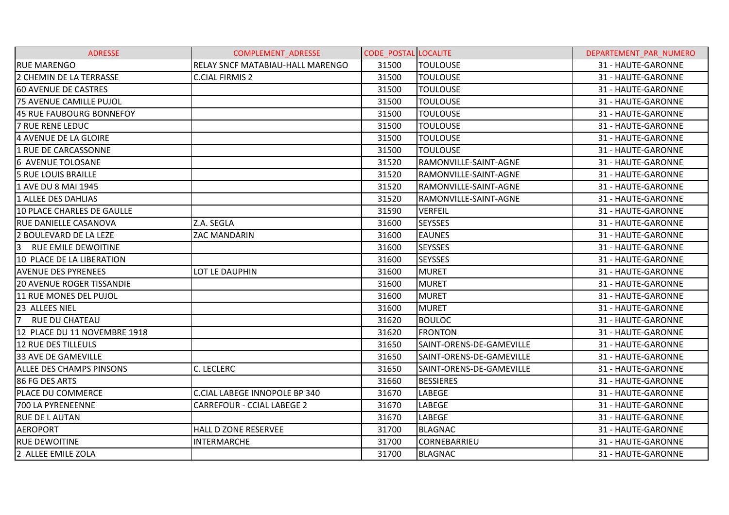| <b>ADRESSE</b>                   | <b>COMPLEMENT ADRESSE</b>         | <b>CODE POSTAL LOCALITE</b> |                          | DEPARTEMENT PAR NUMERO |
|----------------------------------|-----------------------------------|-----------------------------|--------------------------|------------------------|
| <b>RUE MARENGO</b>               | RELAY SNCF MATABIAU-HALL MARENGO  | 31500                       | <b>TOULOUSE</b>          | 31 - HAUTE-GARONNE     |
| 2 CHEMIN DE LA TERRASSE          | <b>C.CIAL FIRMIS 2</b>            | 31500                       | <b>TOULOUSE</b>          | 31 - HAUTE-GARONNE     |
| <b>60 AVENUE DE CASTRES</b>      |                                   | 31500                       | <b>TOULOUSE</b>          | 31 - HAUTE-GARONNE     |
| 75 AVENUE CAMILLE PUJOL          |                                   | 31500                       | <b>TOULOUSE</b>          | 31 - HAUTE-GARONNE     |
| 45 RUE FAUBOURG BONNEFOY         |                                   | 31500                       | <b>TOULOUSE</b>          | 31 - HAUTE-GARONNE     |
| <b>7 RUE RENE LEDUC</b>          |                                   | 31500                       | TOULOUSE                 | 31 - HAUTE-GARONNE     |
| 4 AVENUE DE LA GLOIRE            |                                   | 31500                       | <b>TOULOUSE</b>          | 31 - HAUTE-GARONNE     |
| 1 RUE DE CARCASSONNE             |                                   | 31500                       | <b>TOULOUSE</b>          | 31 - HAUTE-GARONNE     |
| <b>6 AVENUE TOLOSANE</b>         |                                   | 31520                       | RAMONVILLE-SAINT-AGNE    | 31 - HAUTE-GARONNE     |
| <b>5 RUE LOUIS BRAILLE</b>       |                                   | 31520                       | RAMONVILLE-SAINT-AGNE    | 31 - HAUTE-GARONNE     |
| 1 AVE DU 8 MAI 1945              |                                   | 31520                       | RAMONVILLE-SAINT-AGNE    | 31 - HAUTE-GARONNE     |
| 1 ALLEE DES DAHLIAS              |                                   | 31520                       | IRAMONVILLE-SAINT-AGNE   | 31 - HAUTE-GARONNE     |
| 10 PLACE CHARLES DE GAULLE       |                                   | 31590                       | <b>VERFEIL</b>           | 31 - HAUTE-GARONNE     |
| <b>RUE DANIELLE CASANOVA</b>     | Z.A. SEGLA                        | 31600                       | <b>SEYSSES</b>           | 31 - HAUTE-GARONNE     |
| 2 BOULEVARD DE LA LEZE           | ZAC MANDARIN                      | 31600                       | <b>EAUNES</b>            | 31 - HAUTE-GARONNE     |
| 3 RUE EMILE DEWOITINE            |                                   | 31600                       | <b>SEYSSES</b>           | 31 - HAUTE-GARONNE     |
| 10 PLACE DE LA LIBERATION        |                                   | 31600                       | <b>SEYSSES</b>           | 31 - HAUTE-GARONNE     |
| <b>AVENUE DES PYRENEES</b>       | LOT LE DAUPHIN                    | 31600                       | <b>MURET</b>             | 31 - HAUTE-GARONNE     |
| <b>20 AVENUE ROGER TISSANDIE</b> |                                   | 31600                       | <b>MURET</b>             | 31 - HAUTE-GARONNE     |
| 11 RUE MONES DEL PUJOL           |                                   | 31600                       | <b>MURET</b>             | 31 - HAUTE-GARONNE     |
| 23 ALLEES NIEL                   |                                   | 31600                       | <b>MURET</b>             | 31 - HAUTE-GARONNE     |
| 7<br>RUE DU CHATEAU              |                                   | 31620                       | <b>BOULOC</b>            | 31 - HAUTE-GARONNE     |
| 12 PLACE DU 11 NOVEMBRE 1918     |                                   | 31620                       | <b>FRONTON</b>           | 31 - HAUTE-GARONNE     |
| 12 RUE DES TILLEULS              |                                   | 31650                       | SAINT-ORENS-DE-GAMEVILLE | 31 - HAUTE-GARONNE     |
| <b>33 AVE DE GAMEVILLE</b>       |                                   | 31650                       | SAINT-ORENS-DE-GAMEVILLE | 31 - HAUTE-GARONNE     |
| <b>ALLEE DES CHAMPS PINSONS</b>  | C. LECLERC                        | 31650                       | SAINT-ORENS-DE-GAMEVILLE | 31 - HAUTE-GARONNE     |
| 86 FG DES ARTS                   |                                   | 31660                       | <b>BESSIERES</b>         | 31 - HAUTE-GARONNE     |
| <b>PLACE DU COMMERCE</b>         | C.CIAL LABEGE INNOPOLE BP 340     | 31670                       | LABEGE                   | 31 - HAUTE-GARONNE     |
| 700 LA PYRENEENNE                | <b>CARREFOUR - CCIAL LABEGE 2</b> | 31670                       | <b>LABEGE</b>            | 31 - HAUTE-GARONNE     |
| <b>RUE DE LAUTAN</b>             |                                   | 31670                       | LABEGE                   | 31 - HAUTE-GARONNE     |
| <b>AEROPORT</b>                  | <b>HALL D ZONE RESERVEE</b>       | 31700                       | <b>BLAGNAC</b>           | 31 - HAUTE-GARONNE     |
| <b>RUE DEWOITINE</b>             | <b>INTERMARCHE</b>                | 31700                       | <b>CORNEBARRIEU</b>      | 31 - HAUTE-GARONNE     |
| 2 ALLEE EMILE ZOLA               |                                   | 31700                       | <b>BLAGNAC</b>           | 31 - HAUTE-GARONNE     |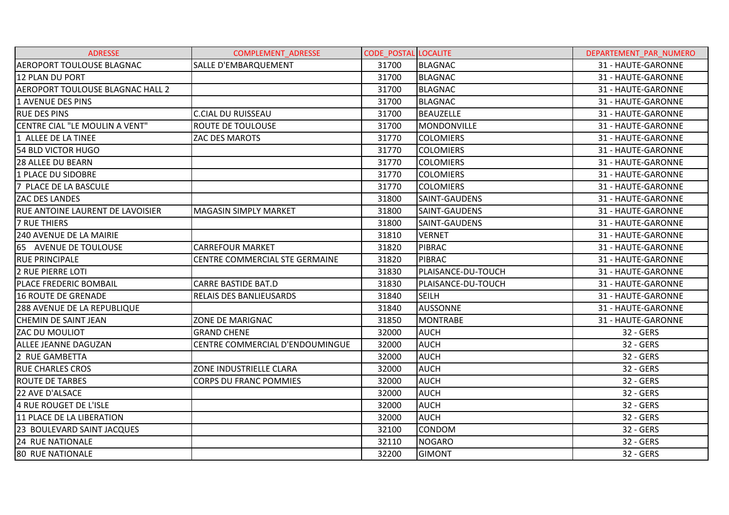| <b>ADRESSE</b>                          | <b>COMPLEMENT ADRESSE</b>       | <b>CODE POSTAL LOCALITE</b> |                    | DEPARTEMENT PAR NUMERO |
|-----------------------------------------|---------------------------------|-----------------------------|--------------------|------------------------|
| <b>AEROPORT TOULOUSE BLAGNAC</b>        | SALLE D'EMBARQUEMENT            | 31700                       | <b>BLAGNAC</b>     | 31 - HAUTE-GARONNE     |
| 12 PLAN DU PORT                         |                                 | 31700                       | <b>BLAGNAC</b>     | 31 - HAUTE-GARONNE     |
| <b>AEROPORT TOULOUSE BLAGNAC HALL 2</b> |                                 | 31700                       | <b>BLAGNAC</b>     | 31 - HAUTE-GARONNE     |
| 1 AVENUE DES PINS                       |                                 | 31700                       | <b>BLAGNAC</b>     | 31 - HAUTE-GARONNE     |
| <b>RUE DES PINS</b>                     | <b>C.CIAL DU RUISSEAU</b>       | 31700                       | <b>BEAUZELLE</b>   | 31 - HAUTE-GARONNE     |
| CENTRE CIAL "LE MOULIN A VENT"          | ROUTE DE TOULOUSE               | 31700                       | <b>MONDONVILLE</b> | 31 - HAUTE-GARONNE     |
| 1 ALLEE DE LA TINEE                     | ZAC DES MAROTS                  | 31770                       | <b>COLOMIERS</b>   | 31 - HAUTE-GARONNE     |
| 54 BLD VICTOR HUGO                      |                                 | 31770                       | <b>COLOMIERS</b>   | 31 - HAUTE-GARONNE     |
| <b>28 ALLEE DU BEARN</b>                |                                 | 31770                       | <b>COLOMIERS</b>   | 31 - HAUTE-GARONNE     |
| 1 PLACE DU SIDOBRE                      |                                 | 31770                       | <b>COLOMIERS</b>   | 31 - HAUTE-GARONNE     |
| 7 PLACE DE LA BASCULE                   |                                 | 31770                       | <b>COLOMIERS</b>   | 31 - HAUTE-GARONNE     |
| <b>ZAC DES LANDES</b>                   |                                 | 31800                       | SAINT-GAUDENS      | 31 - HAUTE-GARONNE     |
| <b>RUE ANTOINE LAURENT DE LAVOISIER</b> | <b>MAGASIN SIMPLY MARKET</b>    | 31800                       | SAINT-GAUDENS      | 31 - HAUTE-GARONNE     |
| <b>7 RUE THIERS</b>                     |                                 | 31800                       | SAINT-GAUDENS      | 31 - HAUTE-GARONNE     |
| <b>240 AVENUE DE LA MAIRIE</b>          |                                 | 31810                       | <b>VERNET</b>      | 31 - HAUTE-GARONNE     |
| 65 AVENUE DE TOULOUSE                   | <b>CARREFOUR MARKET</b>         | 31820                       | PIBRAC             | 31 - HAUTE-GARONNE     |
| <b>RUE PRINCIPALE</b>                   | CENTRE COMMERCIAL STE GERMAINE  | 31820                       | PIBRAC             | 31 - HAUTE-GARONNE     |
| 2 RUE PIERRE LOTI                       |                                 | 31830                       | PLAISANCE-DU-TOUCH | 31 - HAUTE-GARONNE     |
| PLACE FREDERIC BOMBAIL                  | <b>CARRE BASTIDE BAT.D</b>      | 31830                       | PLAISANCE-DU-TOUCH | 31 - HAUTE-GARONNE     |
| 16 ROUTE DE GRENADE                     | <b>RELAIS DES BANLIEUSARDS</b>  | 31840                       | <b>SEILH</b>       | 31 - HAUTE-GARONNE     |
| 288 AVENUE DE LA REPUBLIQUE             |                                 | 31840                       | <b>AUSSONNE</b>    | 31 - HAUTE-GARONNE     |
| <b>CHEMIN DE SAINT JEAN</b>             | <b>ZONE DE MARIGNAC</b>         | 31850                       | <b>MONTRABE</b>    | 31 - HAUTE-GARONNE     |
| ZAC DU MOULIOT                          | <b>GRAND CHENE</b>              | 32000                       | <b>AUCH</b>        | 32 - GERS              |
| ALLEE JEANNE DAGUZAN                    | CENTRE COMMERCIAL D'ENDOUMINGUE | 32000                       | <b>AUCH</b>        | 32 - GERS              |
| 2 RUE GAMBETTA                          |                                 | 32000                       | <b>AUCH</b>        | 32 - GERS              |
| <b>RUE CHARLES CROS</b>                 | ZONE INDUSTRIELLE CLARA         | 32000                       | <b>AUCH</b>        | 32 - GERS              |
| <b>ROUTE DE TARBES</b>                  | <b>CORPS DU FRANC POMMIES</b>   | 32000                       | <b>AUCH</b>        | 32 - GERS              |
| 22 AVE D'ALSACE                         |                                 | 32000                       | <b>AUCH</b>        | 32 - GERS              |
| 4 RUE ROUGET DE L'ISLE                  |                                 | 32000                       | <b>AUCH</b>        | 32 - GERS              |
| 11 PLACE DE LA LIBERATION               |                                 | 32000                       | <b>AUCH</b>        | 32 - GERS              |
| 23 BOULEVARD SAINT JACQUES              |                                 | 32100                       | CONDOM             | 32 - GERS              |
| <b>24 RUE NATIONALE</b>                 |                                 | 32110                       | <b>NOGARO</b>      | 32 - GERS              |
| <b>80 RUE NATIONALE</b>                 |                                 | 32200                       | <b>GIMONT</b>      | 32 - GERS              |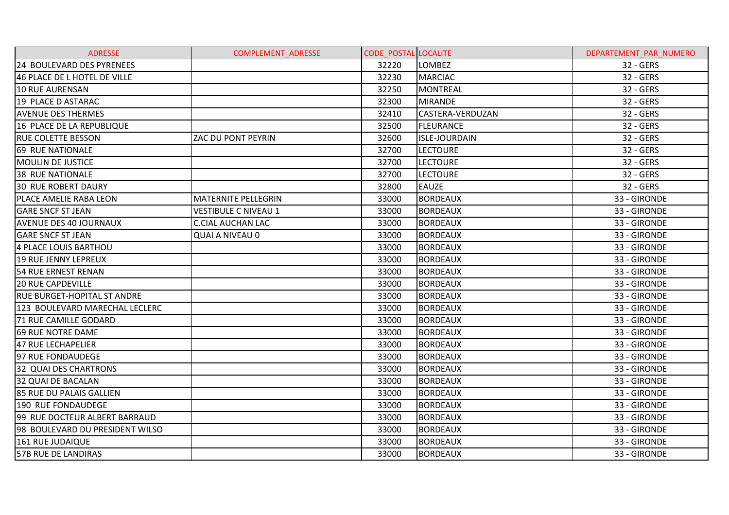| <b>ADRESSE</b>                     | <b>COMPLEMENT ADRESSE</b>   | <b>CODE POSTAL LOCALITE</b> |                      | DEPARTEMENT PAR NUMERO |
|------------------------------------|-----------------------------|-----------------------------|----------------------|------------------------|
| 24 BOULEVARD DES PYRENEES          |                             | 32220                       | LOMBEZ               | 32 - GERS              |
| 46 PLACE DE L HOTEL DE VILLE       |                             | 32230                       | <b>MARCIAC</b>       | 32 - GERS              |
| 10 RUE AURENSAN                    |                             | 32250                       | <b>MONTREAL</b>      | 32 - GERS              |
| 19 PLACE D ASTARAC                 |                             | 32300                       | <b>MIRANDE</b>       | 32 - GERS              |
| <b>AVENUE DES THERMES</b>          |                             | 32410                       | CASTERA-VERDUZAN     | 32 - GERS              |
| 16 PLACE DE LA REPUBLIQUE          |                             | 32500                       | <b>FLEURANCE</b>     | 32 - GERS              |
| <b>RUE COLETTE BESSON</b>          | ZAC DU PONT PEYRIN          | 32600                       | <b>ISLE-JOURDAIN</b> | 32 - GERS              |
| 69 RUE NATIONALE                   |                             | 32700                       | <b>LECTOURE</b>      | 32 - GERS              |
| <b>MOULIN DE JUSTICE</b>           |                             | 32700                       | <b>LECTOURE</b>      | 32 - GERS              |
| <b>38 RUE NATIONALE</b>            |                             | 32700                       | <b>LECTOURE</b>      | 32 - GERS              |
| <b>30 RUE ROBERT DAURY</b>         |                             | 32800                       | <b>EAUZE</b>         | 32 - GERS              |
| <b>PLACE AMELIE RABA LEON</b>      | <b>MATERNITE PELLEGRIN</b>  | 33000                       | <b>BORDEAUX</b>      | 33 - GIRONDE           |
| <b>GARE SNCF ST JEAN</b>           | <b>VESTIBULE C NIVEAU 1</b> | 33000                       | <b>BORDEAUX</b>      | 33 - GIRONDE           |
| <b>AVENUE DES 40 JOURNAUX</b>      | <b>C.CIAL AUCHAN LAC</b>    | 33000                       | <b>BORDEAUX</b>      | 33 - GIRONDE           |
| <b>GARE SNCF ST JEAN</b>           | <b>QUAI A NIVEAU 0</b>      | 33000                       | <b>BORDEAUX</b>      | 33 - GIRONDE           |
| 4 PLACE LOUIS BARTHOU              |                             | 33000                       | <b>BORDEAUX</b>      | 33 - GIRONDE           |
| 19 RUE JENNY LEPREUX               |                             | 33000                       | <b>BORDEAUX</b>      | 33 - GIRONDE           |
| 54 RUE ERNEST RENAN                |                             | 33000                       | <b>BORDEAUX</b>      | 33 - GIRONDE           |
| <b>20 RUE CAPDEVILLE</b>           |                             | 33000                       | <b>BORDEAUX</b>      | 33 - GIRONDE           |
| <b>RUE BURGET-HOPITAL ST ANDRE</b> |                             | 33000                       | <b>BORDEAUX</b>      | 33 - GIRONDE           |
| 123 BOULEVARD MARECHAL LECLERC     |                             | 33000                       | <b>BORDEAUX</b>      | 33 - GIRONDE           |
| 71 RUE CAMILLE GODARD              |                             | 33000                       | <b>BORDEAUX</b>      | 33 - GIRONDE           |
| 69 RUE NOTRE DAME                  |                             | 33000                       | <b>BORDEAUX</b>      | 33 - GIRONDE           |
| 47 RUE LECHAPELIER                 |                             | 33000                       | <b>BORDEAUX</b>      | 33 - GIRONDE           |
| 97 RUE FONDAUDEGE                  |                             | 33000                       | <b>BORDEAUX</b>      | 33 - GIRONDE           |
| 32 QUAI DES CHARTRONS              |                             | 33000                       | <b>BORDEAUX</b>      | 33 - GIRONDE           |
| 32 QUAI DE BACALAN                 |                             | 33000                       | <b>BORDEAUX</b>      | 33 - GIRONDE           |
| <b>85 RUE DU PALAIS GALLIEN</b>    |                             | 33000                       | <b>BORDEAUX</b>      | 33 - GIRONDE           |
| 190 RUE FONDAUDEGE                 |                             | 33000                       | <b>BORDEAUX</b>      | 33 - GIRONDE           |
| 99 RUE DOCTEUR ALBERT BARRAUD      |                             | 33000                       | <b>BORDEAUX</b>      | 33 - GIRONDE           |
| 98 BOULEVARD DU PRESIDENT WILSO    |                             | 33000                       | <b>BORDEAUX</b>      | 33 - GIRONDE           |
| 161 RUE JUDAIQUE                   |                             | 33000                       | <b>BORDEAUX</b>      | 33 - GIRONDE           |
| 57B RUE DE LANDIRAS                |                             | 33000                       | <b>BORDEAUX</b>      | 33 - GIRONDE           |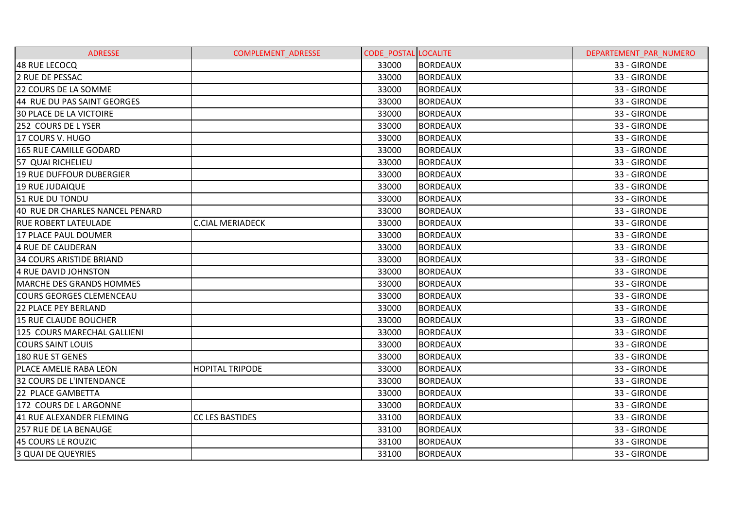| <b>ADRESSE</b>                  | COMPLEMENT_ADRESSE      | <b>CODE POSTAL LOCALITE</b> |                 | DEPARTEMENT PAR NUMERO |
|---------------------------------|-------------------------|-----------------------------|-----------------|------------------------|
| 48 RUE LECOCQ                   |                         | 33000                       | <b>BORDEAUX</b> | 33 - GIRONDE           |
| <b>2 RUE DE PESSAC</b>          |                         | 33000                       | <b>BORDEAUX</b> | 33 - GIRONDE           |
| 22 COURS DE LA SOMME            |                         | 33000                       | <b>BORDEAUX</b> | 33 - GIRONDE           |
| 44 RUE DU PAS SAINT GEORGES     |                         | 33000                       | <b>BORDEAUX</b> | 33 - GIRONDE           |
| <b>30 PLACE DE LA VICTOIRE</b>  |                         | 33000                       | <b>BORDEAUX</b> | 33 - GIRONDE           |
| 252 COURS DE LYSER              |                         | 33000                       | <b>BORDEAUX</b> | 33 - GIRONDE           |
| 17 COURS V. HUGO                |                         | 33000                       | <b>BORDEAUX</b> | 33 - GIRONDE           |
| <b>165 RUE CAMILLE GODARD</b>   |                         | 33000                       | <b>BORDEAUX</b> | 33 - GIRONDE           |
| 57 QUAI RICHELIEU               |                         | 33000                       | <b>BORDEAUX</b> | 33 - GIRONDE           |
| 19 RUE DUFFOUR DUBERGIER        |                         | 33000                       | <b>BORDEAUX</b> | 33 - GIRONDE           |
| 19 RUE JUDAIQUE                 |                         | 33000                       | <b>BORDEAUX</b> | 33 - GIRONDE           |
| 51 RUE DU TONDU                 |                         | 33000                       | <b>BORDEAUX</b> | 33 - GIRONDE           |
| 40 RUE DR CHARLES NANCEL PENARD |                         | 33000                       | <b>BORDEAUX</b> | 33 - GIRONDE           |
| <b>RUE ROBERT LATEULADE</b>     | <b>C.CIAL MERIADECK</b> | 33000                       | <b>BORDEAUX</b> | 33 - GIRONDE           |
| 17 PLACE PAUL DOUMER            |                         | 33000                       | <b>BORDEAUX</b> | 33 - GIRONDE           |
| <b>4 RUE DE CAUDERAN</b>        |                         | 33000                       | <b>BORDEAUX</b> | 33 - GIRONDE           |
| <b>34 COURS ARISTIDE BRIAND</b> |                         | 33000                       | <b>BORDEAUX</b> | 33 - GIRONDE           |
| 4 RUE DAVID JOHNSTON            |                         | 33000                       | <b>BORDEAUX</b> | 33 - GIRONDE           |
| MARCHE DES GRANDS HOMMES        |                         | 33000                       | <b>BORDEAUX</b> | 33 - GIRONDE           |
| <b>COURS GEORGES CLEMENCEAU</b> |                         | 33000                       | <b>BORDEAUX</b> | 33 - GIRONDE           |
| <b>22 PLACE PEY BERLAND</b>     |                         | 33000                       | <b>BORDEAUX</b> | 33 - GIRONDE           |
| 15 RUE CLAUDE BOUCHER           |                         | 33000                       | <b>BORDEAUX</b> | 33 - GIRONDE           |
| 125 COURS MARECHAL GALLIENI     |                         | 33000                       | <b>BORDEAUX</b> | 33 - GIRONDE           |
| <b>COURS SAINT LOUIS</b>        |                         | 33000                       | <b>BORDEAUX</b> | 33 - GIRONDE           |
| 180 RUE ST GENES                |                         | 33000                       | <b>BORDEAUX</b> | 33 - GIRONDE           |
| PLACE AMELIE RABA LEON          | <b>HOPITAL TRIPODE</b>  | 33000                       | <b>BORDEAUX</b> | 33 - GIRONDE           |
| 32 COURS DE L'INTENDANCE        |                         | 33000                       | <b>BORDEAUX</b> | 33 - GIRONDE           |
| <b>22 PLACE GAMBETTA</b>        |                         | 33000                       | <b>BORDEAUX</b> | 33 - GIRONDE           |
| 172 COURS DE LARGONNE           |                         | 33000                       | <b>BORDEAUX</b> | 33 - GIRONDE           |
| 41 RUE ALEXANDER FLEMING        | <b>CC LES BASTIDES</b>  | 33100                       | <b>BORDEAUX</b> | 33 - GIRONDE           |
| 257 RUE DE LA BENAUGE           |                         | 33100                       | <b>BORDEAUX</b> | 33 - GIRONDE           |
| 45 COURS LE ROUZIC              |                         | 33100                       | <b>BORDEAUX</b> | 33 - GIRONDE           |
| <b>3 QUAI DE QUEYRIES</b>       |                         | 33100                       | <b>BORDEAUX</b> | 33 - GIRONDE           |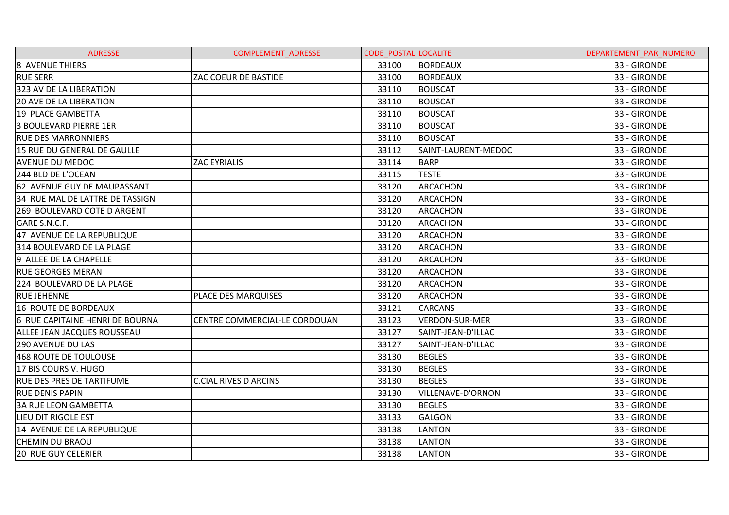| <b>ADRESSE</b>                   | <b>COMPLEMENT ADRESSE</b>     | <b>CODE POSTAL LOCALITE</b> |                       | DEPARTEMENT PAR NUMERO |
|----------------------------------|-------------------------------|-----------------------------|-----------------------|------------------------|
| <b>8 AVENUE THIERS</b>           |                               | 33100                       | <b>BORDEAUX</b>       | 33 - GIRONDE           |
| <b>RUE SERR</b>                  | ZAC COEUR DE BASTIDE          | 33100                       | <b>BORDEAUX</b>       | 33 - GIRONDE           |
| 323 AV DE LA LIBERATION          |                               | 33110                       | <b>BOUSCAT</b>        | 33 - GIRONDE           |
| <b>20 AVE DE LA LIBERATION</b>   |                               | 33110                       | <b>BOUSCAT</b>        | 33 - GIRONDE           |
| 19 PLACE GAMBETTA                |                               | 33110                       | <b>BOUSCAT</b>        | 33 - GIRONDE           |
| 3 BOULEVARD PIERRE 1ER           |                               | 33110                       | <b>BOUSCAT</b>        | 33 - GIRONDE           |
| <b>RUE DES MARRONNIERS</b>       |                               | 33110                       | <b>BOUSCAT</b>        | 33 - GIRONDE           |
| 15 RUE DU GENERAL DE GAULLE      |                               | 33112                       | SAINT-LAURENT-MEDOC   | 33 - GIRONDE           |
| <b>AVENUE DU MEDOC</b>           | <b>ZAC EYRIALIS</b>           | 33114                       | <b>BARP</b>           | 33 - GIRONDE           |
| 244 BLD DE L'OCEAN               |                               | 33115                       | <b>TESTE</b>          | 33 - GIRONDE           |
| 62 AVENUE GUY DE MAUPASSANT      |                               | 33120                       | <b>ARCACHON</b>       | 33 - GIRONDE           |
| 34 RUE MAL DE LATTRE DE TASSIGN  |                               | 33120                       | ARCACHON              | 33 - GIRONDE           |
| 269 BOULEVARD COTE D ARGENT      |                               | 33120                       | <b>ARCACHON</b>       | 33 - GIRONDE           |
| GARE S.N.C.F.                    |                               | 33120                       | <b>ARCACHON</b>       | 33 - GIRONDE           |
| 47 AVENUE DE LA REPUBLIQUE       |                               | 33120                       | <b>ARCACHON</b>       | 33 - GIRONDE           |
| 314 BOULEVARD DE LA PLAGE        |                               | 33120                       | <b>ARCACHON</b>       | 33 - GIRONDE           |
| 9 ALLEE DE LA CHAPELLE           |                               | 33120                       | <b>ARCACHON</b>       | 33 - GIRONDE           |
| <b>RUE GEORGES MERAN</b>         |                               | 33120                       | <b>ARCACHON</b>       | 33 - GIRONDE           |
| 224 BOULEVARD DE LA PLAGE        |                               | 33120                       | <b>ARCACHON</b>       | 33 - GIRONDE           |
| <b>RUE JEHENNE</b>               | PLACE DES MARQUISES           | 33120                       | <b>ARCACHON</b>       | 33 - GIRONDE           |
| 16 ROUTE DE BORDEAUX             |                               | 33121                       | <b>CARCANS</b>        | 33 - GIRONDE           |
| 6 RUE CAPITAINE HENRI DE BOURNA  | CENTRE COMMERCIAL-LE CORDOUAN | 33123                       | <b>VERDON-SUR-MER</b> | 33 - GIRONDE           |
| ALLEE JEAN JACQUES ROUSSEAU      |                               | 33127                       | SAINT-JEAN-D'ILLAC    | 33 - GIRONDE           |
| 290 AVENUE DU LAS                |                               | 33127                       | SAINT-JEAN-D'ILLAC    | 33 - GIRONDE           |
| 468 ROUTE DE TOULOUSE            |                               | 33130                       | <b>BEGLES</b>         | 33 - GIRONDE           |
| 17 BIS COURS V. HUGO             |                               | 33130                       | <b>BEGLES</b>         | 33 - GIRONDE           |
| <b>RUE DES PRES DE TARTIFUME</b> | <b>C.CIAL RIVES D ARCINS</b>  | 33130                       | <b>BEGLES</b>         | 33 - GIRONDE           |
| <b>RUE DENIS PAPIN</b>           |                               | 33130                       | VILLENAVE-D'ORNON     | 33 - GIRONDE           |
| <b>3A RUE LEON GAMBETTA</b>      |                               | 33130                       | <b>BEGLES</b>         | 33 - GIRONDE           |
| LIEU DIT RIGOLE EST              |                               | 33133                       | <b>GALGON</b>         | 33 - GIRONDE           |
| 14 AVENUE DE LA REPUBLIQUE       |                               | 33138                       | <b>LANTON</b>         | 33 - GIRONDE           |
| <b>CHEMIN DU BRAOU</b>           |                               | 33138                       | <b>LANTON</b>         | 33 - GIRONDE           |
| <b>20 RUE GUY CELERIER</b>       |                               | 33138                       | <b>LANTON</b>         | 33 - GIRONDE           |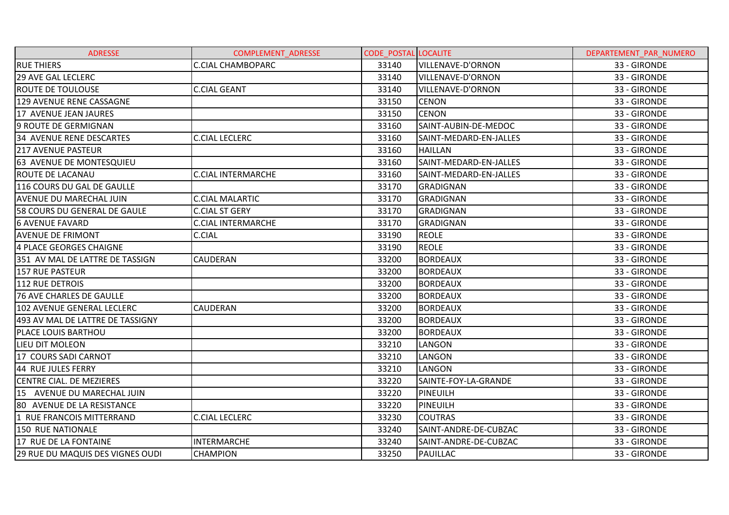| <b>ADRESSE</b>                   | <b>COMPLEMENT ADRESSE</b> | <b>CODE POSTAL LOCALITE</b> |                          | DEPARTEMENT PAR NUMERO |
|----------------------------------|---------------------------|-----------------------------|--------------------------|------------------------|
| <b>RUE THIERS</b>                | <b>C.CIAL CHAMBOPARC</b>  | 33140                       | VILLENAVE-D'ORNON        | 33 - GIRONDE           |
| <b>29 AVE GAL LECLERC</b>        |                           | 33140                       | <b>VILLENAVE-D'ORNON</b> | 33 - GIRONDE           |
| <b>ROUTE DE TOULOUSE</b>         | <b>C.CIAL GEANT</b>       | 33140                       | VILLENAVE-D'ORNON        | 33 - GIRONDE           |
| 129 AVENUE RENE CASSAGNE         |                           | 33150                       | <b>CENON</b>             | 33 - GIRONDE           |
| 17 AVENUE JEAN JAURES            |                           | 33150                       | <b>CENON</b>             | 33 - GIRONDE           |
| 9 ROUTE DE GERMIGNAN             |                           | 33160                       | SAINT-AUBIN-DE-MEDOC     | 33 - GIRONDE           |
| 34 AVENUE RENE DESCARTES         | <b>C.CIAL LECLERC</b>     | 33160                       | SAINT-MEDARD-EN-JALLES   | 33 - GIRONDE           |
| <b>217 AVENUE PASTEUR</b>        |                           | 33160                       | <b>HAILLAN</b>           | 33 - GIRONDE           |
| <b>63 AVENUE DE MONTESQUIEU</b>  |                           | 33160                       | SAINT-MEDARD-EN-JALLES   | 33 - GIRONDE           |
| <b>ROUTE DE LACANAU</b>          | <b>C.CIAL INTERMARCHE</b> | 33160                       | SAINT-MEDARD-EN-JALLES   | 33 - GIRONDE           |
| 116 COURS DU GAL DE GAULLE       |                           | 33170                       | GRADIGNAN                | 33 - GIRONDE           |
| <b>AVENUE DU MARECHAL JUIN</b>   | <b>C.CIAL MALARTIC</b>    | 33170                       | <b>GRADIGNAN</b>         | 33 - GIRONDE           |
| 58 COURS DU GENERAL DE GAULE     | <b>C.CIAL ST GERY</b>     | 33170                       | <b>GRADIGNAN</b>         | 33 - GIRONDE           |
| <b>6 AVENUE FAVARD</b>           | <b>C.CIAL INTERMARCHE</b> | 33170                       | <b>GRADIGNAN</b>         | 33 - GIRONDE           |
| <b>AVENUE DE FRIMONT</b>         | C.CIAL                    | 33190                       | <b>REOLE</b>             | 33 - GIRONDE           |
| 4 PLACE GEORGES CHAIGNE          |                           | 33190                       | <b>REOLE</b>             | 33 - GIRONDE           |
| 351 AV MAL DE LATTRE DE TASSIGN  | CAUDERAN                  | 33200                       | <b>BORDEAUX</b>          | 33 - GIRONDE           |
| <b>157 RUE PASTEUR</b>           |                           | 33200                       | <b>BORDEAUX</b>          | 33 - GIRONDE           |
| 112 RUE DETROIS                  |                           | 33200                       | <b>BORDEAUX</b>          | 33 - GIRONDE           |
| <b>76 AVE CHARLES DE GAULLE</b>  |                           | 33200                       | <b>BORDEAUX</b>          | 33 - GIRONDE           |
| 102 AVENUE GENERAL LECLERC       | <b>CAUDERAN</b>           | 33200                       | <b>BORDEAUX</b>          | 33 - GIRONDE           |
| 493 AV MAL DE LATTRE DE TASSIGNY |                           | 33200                       | <b>BORDEAUX</b>          | 33 - GIRONDE           |
| PLACE LOUIS BARTHOU              |                           | 33200                       | <b>BORDEAUX</b>          | 33 - GIRONDE           |
| LIEU DIT MOLEON                  |                           | 33210                       | LANGON                   | 33 - GIRONDE           |
| 17 COURS SADI CARNOT             |                           | 33210                       | LANGON                   | 33 - GIRONDE           |
| 44 RUE JULES FERRY               |                           | 33210                       | <b>LANGON</b>            | 33 - GIRONDE           |
| CENTRE CIAL. DE MEZIERES         |                           | 33220                       | SAINTE-FOY-LA-GRANDE     | 33 - GIRONDE           |
| 15 AVENUE DU MARECHAL JUIN       |                           | 33220                       | <b>PINEUILH</b>          | 33 - GIRONDE           |
| 80 AVENUE DE LA RESISTANCE       |                           | 33220                       | <b>PINEUILH</b>          | 33 - GIRONDE           |
| 1 RUE FRANCOIS MITTERRAND        | <b>C.CIAL LECLERC</b>     | 33230                       | <b>COUTRAS</b>           | 33 - GIRONDE           |
| <b>150 RUE NATIONALE</b>         |                           | 33240                       | SAINT-ANDRE-DE-CUBZAC    | 33 - GIRONDE           |
| 17 RUE DE LA FONTAINE            | <b>INTERMARCHE</b>        | 33240                       | SAINT-ANDRE-DE-CUBZAC    | 33 - GIRONDE           |
| 29 RUE DU MAQUIS DES VIGNES OUDI | <b>CHAMPION</b>           | 33250                       | <b>PAUILLAC</b>          | 33 - GIRONDE           |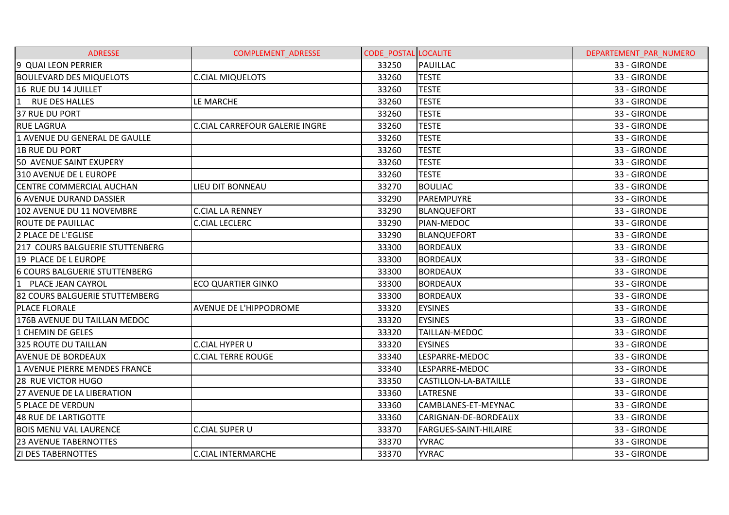| <b>ADRESSE</b>                       | COMPLEMENT_ADRESSE                    | <b>CODE POSTAL LOCALITE</b> |                              | DEPARTEMENT_PAR_NUMERO |
|--------------------------------------|---------------------------------------|-----------------------------|------------------------------|------------------------|
| 9 QUAI LEON PERRIER                  |                                       | 33250                       | PAUILLAC                     | 33 - GIRONDE           |
| <b>BOULEVARD DES MIQUELOTS</b>       | <b>C.CIAL MIQUELOTS</b>               | 33260                       | <b>TESTE</b>                 | 33 - GIRONDE           |
| 16 RUE DU 14 JUILLET                 |                                       | 33260                       | <b>TESTE</b>                 | 33 - GIRONDE           |
| 1 RUE DES HALLES                     | LE MARCHE                             | 33260                       | <b>TESTE</b>                 | 33 - GIRONDE           |
| 37 RUE DU PORT                       |                                       | 33260                       | <b>TESTE</b>                 | 33 - GIRONDE           |
| <b>RUE LAGRUA</b>                    | <b>C.CIAL CARREFOUR GALERIE INGRE</b> | 33260                       | <b>TESTE</b>                 | 33 - GIRONDE           |
| 1 AVENUE DU GENERAL DE GAULLE        |                                       | 33260                       | <b>TESTE</b>                 | 33 - GIRONDE           |
| <b>1B RUE DU PORT</b>                |                                       | 33260                       | <b>TESTE</b>                 | 33 - GIRONDE           |
| 50 AVENUE SAINT EXUPERY              |                                       | 33260                       | <b>TESTE</b>                 | 33 - GIRONDE           |
| 310 AVENUE DE L EUROPE               |                                       | 33260                       | <b>TESTE</b>                 | 33 - GIRONDE           |
| <b>CENTRE COMMERCIAL AUCHAN</b>      | LIEU DIT BONNEAU                      | 33270                       | <b>BOULIAC</b>               | 33 - GIRONDE           |
| <b>6 AVENUE DURAND DASSIER</b>       |                                       | 33290                       | PAREMPUYRE                   | 33 - GIRONDE           |
| 102 AVENUE DU 11 NOVEMBRE            | <b>C.CIAL LA RENNEY</b>               | 33290                       | BLANQUEFORT                  | 33 - GIRONDE           |
| <b>ROUTE DE PAUILLAC</b>             | <b>C.CIAL LECLERC</b>                 | 33290                       | PIAN-MEDOC                   | 33 - GIRONDE           |
| 2 PLACE DE L'EGLISE                  |                                       | 33290                       | <b>BLANQUEFORT</b>           | 33 - GIRONDE           |
| 217 COURS BALGUERIE STUTTENBERG      |                                       | 33300                       | <b>BORDEAUX</b>              | 33 - GIRONDE           |
| 19 PLACE DE L EUROPE                 |                                       | 33300                       | <b>BORDEAUX</b>              | 33 - GIRONDE           |
| <b>6 COURS BALGUERIE STUTTENBERG</b> |                                       | 33300                       | <b>BORDEAUX</b>              | 33 - GIRONDE           |
| 11<br>PLACE JEAN CAYROL              | <b>ECO QUARTIER GINKO</b>             | 33300                       | <b>BORDEAUX</b>              | 33 - GIRONDE           |
| 82 COURS BALGUERIE STUTTEMBERG       |                                       | 33300                       | <b>BORDEAUX</b>              | 33 - GIRONDE           |
| PLACE FLORALE                        | AVENUE DE L'HIPPODROME                | 33320                       | <b>EYSINES</b>               | 33 - GIRONDE           |
| 176B AVENUE DU TAILLAN MEDOC         |                                       | 33320                       | <b>EYSINES</b>               | 33 - GIRONDE           |
| 1 CHEMIN DE GELES                    |                                       | 33320                       | <b>TAILLAN-MEDOC</b>         | 33 - GIRONDE           |
| <b>325 ROUTE DU TAILLAN</b>          | <b>C.CIAL HYPER U</b>                 | 33320                       | <b>EYSINES</b>               | 33 - GIRONDE           |
| <b>AVENUE DE BORDEAUX</b>            | <b>C.CIAL TERRE ROUGE</b>             | 33340                       | LESPARRE-MEDOC               | 33 - GIRONDE           |
| 1 AVENUE PIERRE MENDES FRANCE        |                                       | 33340                       | LESPARRE-MEDOC               | 33 - GIRONDE           |
| <b>28 RUE VICTOR HUGO</b>            |                                       | 33350                       | CASTILLON-LA-BATAILLE        | 33 - GIRONDE           |
| <b>27 AVENUE DE LA LIBERATION</b>    |                                       | 33360                       | <b>LATRESNE</b>              | 33 - GIRONDE           |
| <b>5 PLACE DE VERDUN</b>             |                                       | 33360                       | CAMBLANES-ET-MEYNAC          | 33 - GIRONDE           |
| 48 RUE DE LARTIGOTTE                 |                                       | 33360                       | CARIGNAN-DE-BORDEAUX         | 33 - GIRONDE           |
| <b>BOIS MENU VAL LAURENCE</b>        | <b>C.CIAL SUPER U</b>                 | 33370                       | <b>FARGUES-SAINT-HILAIRE</b> | 33 - GIRONDE           |
| <b>23 AVENUE TABERNOTTES</b>         |                                       | 33370                       | <b>YVRAC</b>                 | 33 - GIRONDE           |
| <b>ZI DES TABERNOTTES</b>            | <b>C.CIAL INTERMARCHE</b>             | 33370                       | <b>YVRAC</b>                 | 33 - GIRONDE           |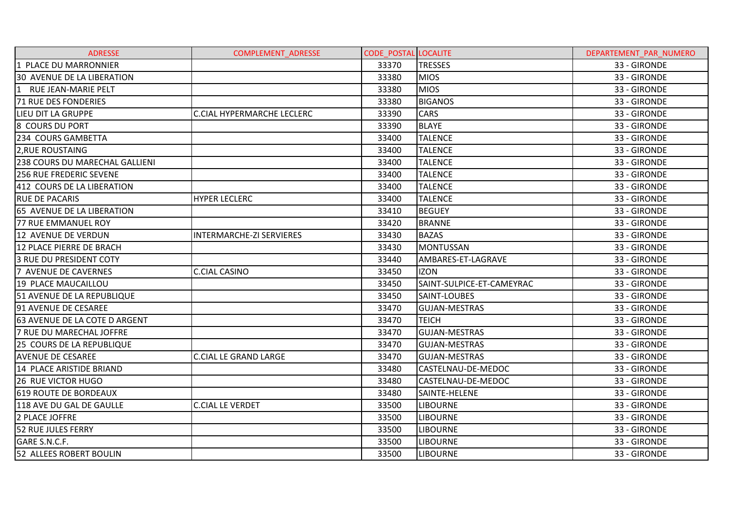| <b>ADRESSE</b>                       | <b>COMPLEMENT ADRESSE</b>         | <b>CODE POSTAL LOCALITE</b> |                           | DEPARTEMENT PAR NUMERO |
|--------------------------------------|-----------------------------------|-----------------------------|---------------------------|------------------------|
| 1 PLACE DU MARRONNIER                |                                   | 33370                       | <b>TRESSES</b>            | 33 - GIRONDE           |
| <b>30 AVENUE DE LA LIBERATION</b>    |                                   | 33380                       | <b>MIOS</b>               | 33 - GIRONDE           |
| RUE JEAN-MARIE PELT                  |                                   | 33380                       | <b>MIOS</b>               | 33 - GIRONDE           |
| 71 RUE DES FONDERIES                 |                                   | 33380                       | <b>BIGANOS</b>            | 33 - GIRONDE           |
| <b>LIEU DIT LA GRUPPE</b>            | <b>C.CIAL HYPERMARCHE LECLERC</b> | 33390                       | <b>CARS</b>               | 33 - GIRONDE           |
| 8 COURS DU PORT                      |                                   | 33390                       | <b>BLAYE</b>              | 33 - GIRONDE           |
| 234 COURS GAMBETTA                   |                                   | 33400                       | <b>TALENCE</b>            | 33 - GIRONDE           |
| 2, RUE ROUSTAING                     |                                   | 33400                       | <b>TALENCE</b>            | 33 - GIRONDE           |
| 238 COURS DU MARECHAL GALLIENI       |                                   | 33400                       | <b>TALENCE</b>            | 33 - GIRONDE           |
| <b>256 RUE FREDERIC SEVENE</b>       |                                   | 33400                       | <b>TALENCE</b>            | 33 - GIRONDE           |
| 412 COURS DE LA LIBERATION           |                                   | 33400                       | <b>TALENCE</b>            | 33 - GIRONDE           |
| <b>RUE DE PACARIS</b>                | <b>HYPER LECLERC</b>              | 33400                       | <b>TALENCE</b>            | 33 - GIRONDE           |
| 65 AVENUE DE LA LIBERATION           |                                   | 33410                       | <b>BEGUEY</b>             | 33 - GIRONDE           |
| 77 RUE EMMANUEL ROY                  |                                   | 33420                       | <b>BRANNE</b>             | 33 - GIRONDE           |
| 12 AVENUE DE VERDUN                  | <b>INTERMARCHE-ZI SERVIERES</b>   | 33430                       | <b>BAZAS</b>              | 33 - GIRONDE           |
| 12 PLACE PIERRE DE BRACH             |                                   | 33430                       | <b>MONTUSSAN</b>          | 33 - GIRONDE           |
| <b>3 RUE DU PRESIDENT COTY</b>       |                                   | 33440                       | AMBARES-ET-LAGRAVE        | 33 - GIRONDE           |
| 7 AVENUE DE CAVERNES                 | <b>C.CIAL CASINO</b>              | 33450                       | <b>IZON</b>               | 33 - GIRONDE           |
| 19 PLACE MAUCAILLOU                  |                                   | 33450                       | SAINT-SULPICE-ET-CAMEYRAC | 33 - GIRONDE           |
| <b>51 AVENUE DE LA REPUBLIQUE</b>    |                                   | 33450                       | SAINT-LOUBES              | 33 - GIRONDE           |
| 91 AVENUE DE CESAREE                 |                                   | 33470                       | <b>GUJAN-MESTRAS</b>      | 33 - GIRONDE           |
| <b>63 AVENUE DE LA COTE D ARGENT</b> |                                   | 33470                       | TEICH                     | 33 - GIRONDE           |
| <b>7 RUE DU MARECHAL JOFFRE</b>      |                                   | 33470                       | <b>GUJAN-MESTRAS</b>      | 33 - GIRONDE           |
| 25 COURS DE LA REPUBLIQUE            |                                   | 33470                       | <b>GUJAN-MESTRAS</b>      | 33 - GIRONDE           |
| <b>AVENUE DE CESAREE</b>             | <b>C.CIAL LE GRAND LARGE</b>      | 33470                       | <b>GUJAN-MESTRAS</b>      | 33 - GIRONDE           |
| 14 PLACE ARISTIDE BRIAND             |                                   | 33480                       | CASTELNAU-DE-MEDOC        | 33 - GIRONDE           |
| 26 RUE VICTOR HUGO                   |                                   | 33480                       | CASTELNAU-DE-MEDOC        | 33 - GIRONDE           |
| <b>619 ROUTE DE BORDEAUX</b>         |                                   | 33480                       | SAINTE-HELENE             | 33 - GIRONDE           |
| 118 AVE DU GAL DE GAULLE             | <b>C.CIAL LE VERDET</b>           | 33500                       | <b>LIBOURNE</b>           | 33 - GIRONDE           |
| 2 PLACE JOFFRE                       |                                   | 33500                       | <b>LIBOURNE</b>           | 33 - GIRONDE           |
| 52 RUE JULES FERRY                   |                                   | 33500                       | <b>LIBOURNE</b>           | 33 - GIRONDE           |
| GARE S.N.C.F.                        |                                   | 33500                       | <b>LIBOURNE</b>           | 33 - GIRONDE           |
| <b>52 ALLEES ROBERT BOULIN</b>       |                                   | 33500                       | <b>LIBOURNE</b>           | 33 - GIRONDE           |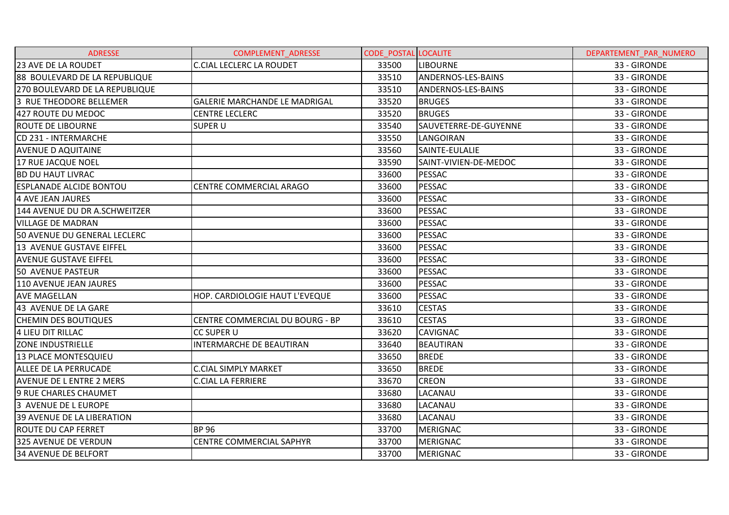| <b>ADRESSE</b>                 | <b>COMPLEMENT ADRESSE</b>            | <b>CODE POSTAL LOCALITE</b> |                       | DEPARTEMENT PAR NUMERO |
|--------------------------------|--------------------------------------|-----------------------------|-----------------------|------------------------|
| 23 AVE DE LA ROUDET            | <b>C.CIAL LECLERC LA ROUDET</b>      | 33500                       | ILIBOURNE             | 33 - GIRONDE           |
| 88 BOULEVARD DE LA REPUBLIQUE  |                                      | 33510                       | ANDERNOS-LES-BAINS    | 33 - GIRONDE           |
| 270 BOULEVARD DE LA REPUBLIQUE |                                      | 33510                       | ANDERNOS-LES-BAINS    | 33 - GIRONDE           |
| 3 RUE THEODORE BELLEMER        | <b>GALERIE MARCHANDE LE MADRIGAL</b> | 33520                       | <b>BRUGES</b>         | 33 - GIRONDE           |
| 427 ROUTE DU MEDOC             | <b>CENTRE LECLERC</b>                | 33520                       | <b>BRUGES</b>         | 33 - GIRONDE           |
| ROUTE DE LIBOURNE              | SUPER U                              | 33540                       | SAUVETERRE-DE-GUYENNE | 33 - GIRONDE           |
| CD 231 - INTERMARCHE           |                                      | 33550                       | LANGOIRAN             | 33 - GIRONDE           |
| <b>AVENUE D AQUITAINE</b>      |                                      | 33560                       | SAINTE-EULALIE        | 33 - GIRONDE           |
| 17 RUE JACQUE NOEL             |                                      | 33590                       | SAINT-VIVIEN-DE-MEDOC | 33 - GIRONDE           |
| <b>BD DU HAUT LIVRAC</b>       |                                      | 33600                       | PESSAC                | 33 - GIRONDE           |
| <b>ESPLANADE ALCIDE BONTOU</b> | CENTRE COMMERCIAL ARAGO              | 33600                       | <b>PESSAC</b>         | 33 - GIRONDE           |
| 4 AVE JEAN JAURES              |                                      | 33600                       | <b>PESSAC</b>         | 33 - GIRONDE           |
| 144 AVENUE DU DR A.SCHWEITZER  |                                      | 33600                       | PESSAC                | 33 - GIRONDE           |
| <b>VILLAGE DE MADRAN</b>       |                                      | 33600                       | PESSAC                | 33 - GIRONDE           |
| 50 AVENUE DU GENERAL LECLERC   |                                      | 33600                       | PESSAC                | 33 - GIRONDE           |
| 13 AVENUE GUSTAVE EIFFEL       |                                      | 33600                       | <b>PESSAC</b>         | 33 - GIRONDE           |
| <b>AVENUE GUSTAVE EIFFEL</b>   |                                      | 33600                       | <b>PESSAC</b>         | 33 - GIRONDE           |
| <b>50 AVENUE PASTEUR</b>       |                                      | 33600                       | <b>PESSAC</b>         | 33 - GIRONDE           |
| 110 AVENUE JEAN JAURES         |                                      | 33600                       | <b>PESSAC</b>         | 33 - GIRONDE           |
| <b>AVE MAGELLAN</b>            | HOP. CARDIOLOGIE HAUT L'EVEQUE       | 33600                       | PESSAC                | 33 - GIRONDE           |
| 43 AVENUE DE LA GARE           |                                      | 33610                       | <b>CESTAS</b>         | 33 - GIRONDE           |
| <b>CHEMIN DES BOUTIQUES</b>    | CENTRE COMMERCIAL DU BOURG - BP      | 33610                       | <b>CESTAS</b>         | 33 - GIRONDE           |
| 4 LIEU DIT RILLAC              | <b>CC SUPER U</b>                    | 33620                       | <b>CAVIGNAC</b>       | 33 - GIRONDE           |
| <b>ZONE INDUSTRIELLE</b>       | INTERMARCHE DE BEAUTIRAN             | 33640                       | BEAUTIRAN             | 33 - GIRONDE           |
| 13 PLACE MONTESQUIEU           |                                      | 33650                       | <b>BREDE</b>          | 33 - GIRONDE           |
| ALLEE DE LA PERRUCADE          | <b>C.CIAL SIMPLY MARKET</b>          | 33650                       | <b>BREDE</b>          | 33 - GIRONDE           |
| AVENUE DE L ENTRE 2 MERS       | <b>C.CIAL LA FERRIERE</b>            | 33670                       | <b>CREON</b>          | 33 - GIRONDE           |
| 9 RUE CHARLES CHAUMET          |                                      | 33680                       | LACANAU               | 33 - GIRONDE           |
| 3 AVENUE DE L EUROPE           |                                      | 33680                       | LACANAU               | 33 - GIRONDE           |
| 39 AVENUE DE LA LIBERATION     |                                      | 33680                       | LACANAU               | 33 - GIRONDE           |
| <b>ROUTE DU CAP FERRET</b>     | <b>BP 96</b>                         | 33700                       | MERIGNAC              | 33 - GIRONDE           |
| 325 AVENUE DE VERDUN           | CENTRE COMMERCIAL SAPHYR             | 33700                       | <b>MERIGNAC</b>       | 33 - GIRONDE           |
| <b>34 AVENUE DE BELFORT</b>    |                                      | 33700                       | <b>MERIGNAC</b>       | 33 - GIRONDE           |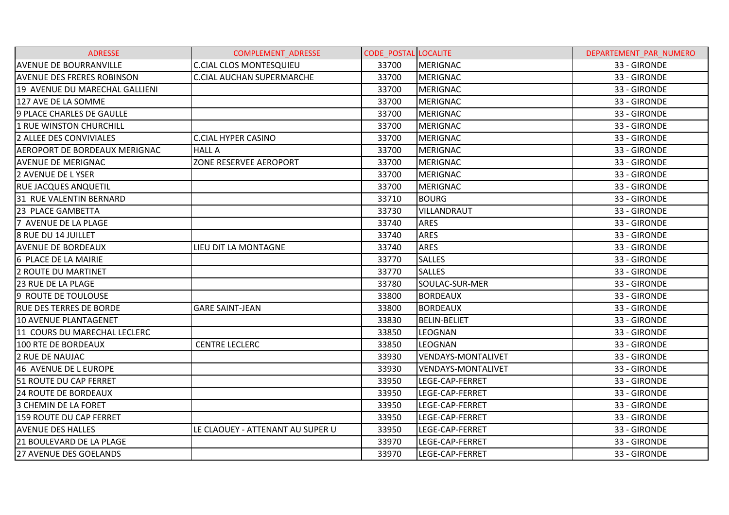| <b>ADRESSE</b>                    | <b>COMPLEMENT ADRESSE</b>        | <b>CODE POSTAL LOCALITE</b> |                           | DEPARTEMENT PAR NUMERO |
|-----------------------------------|----------------------------------|-----------------------------|---------------------------|------------------------|
| <b>AVENUE DE BOURRANVILLE</b>     | <b>C.CIAL CLOS MONTESQUIEU</b>   | 33700                       | <b>MERIGNAC</b>           | 33 - GIRONDE           |
| <b>AVENUE DES FRERES ROBINSON</b> | <b>C.CIAL AUCHAN SUPERMARCHE</b> | 33700                       | <b>MERIGNAC</b>           | 33 - GIRONDE           |
| 19 AVENUE DU MARECHAL GALLIENI    |                                  | 33700                       | <b>MERIGNAC</b>           | 33 - GIRONDE           |
| 127 AVE DE LA SOMME               |                                  | 33700                       | <b>MERIGNAC</b>           | 33 - GIRONDE           |
| 9 PLACE CHARLES DE GAULLE         |                                  | 33700                       | <b>MERIGNAC</b>           | 33 - GIRONDE           |
| 1 RUE WINSTON CHURCHILL           |                                  | 33700                       | <b>MERIGNAC</b>           | 33 - GIRONDE           |
| 2 ALLEE DES CONVIVIALES           | <b>C.CIAL HYPER CASINO</b>       | 33700                       | <b>MERIGNAC</b>           | 33 - GIRONDE           |
| AEROPORT DE BORDEAUX MERIGNAC     | <b>HALL A</b>                    | 33700                       | <b>MERIGNAC</b>           | 33 - GIRONDE           |
| <b>AVENUE DE MERIGNAC</b>         | ZONE RESERVEE AEROPORT           | 33700                       | <b>MERIGNAC</b>           | 33 - GIRONDE           |
| 2 AVENUE DE LYSER                 |                                  | 33700                       | <b>MERIGNAC</b>           | 33 - GIRONDE           |
| RUE JACQUES ANQUETIL              |                                  | 33700                       | <b>MERIGNAC</b>           | 33 - GIRONDE           |
| 31 RUE VALENTIN BERNARD           |                                  | 33710                       | <b>BOURG</b>              | 33 - GIRONDE           |
| 23 PLACE GAMBETTA                 |                                  | 33730                       | VILLANDRAUT               | 33 - GIRONDE           |
| 7 AVENUE DE LA PLAGE              |                                  | 33740                       | <b>ARES</b>               | 33 - GIRONDE           |
| <b>8 RUE DU 14 JUILLET</b>        |                                  | 33740                       | <b>ARES</b>               | 33 - GIRONDE           |
| <b>AVENUE DE BORDEAUX</b>         | LIEU DIT LA MONTAGNE             | 33740                       | <b>ARES</b>               | 33 - GIRONDE           |
| 6 PLACE DE LA MAIRIE              |                                  | 33770                       | <b>SALLES</b>             | 33 - GIRONDE           |
| 2 ROUTE DU MARTINET               |                                  | 33770                       | <b>SALLES</b>             | 33 - GIRONDE           |
| <b>23 RUE DE LA PLAGE</b>         |                                  | 33780                       | SOULAC-SUR-MER            | 33 - GIRONDE           |
| 19 ROUTE DE TOULOUSE              |                                  | 33800                       | <b>BORDEAUX</b>           | 33 - GIRONDE           |
| <b>RUE DES TERRES DE BORDE</b>    | <b>GARE SAINT-JEAN</b>           | 33800                       | <b>BORDEAUX</b>           | 33 - GIRONDE           |
| 10 AVENUE PLANTAGENET             |                                  | 33830                       | <b>BELIN-BELIET</b>       | 33 - GIRONDE           |
| 11 COURS DU MARECHAL LECLERC      |                                  | 33850                       | LEOGNAN                   | 33 - GIRONDE           |
| 100 RTE DE BORDEAUX               | <b>CENTRE LECLERC</b>            | 33850                       | <b>LEOGNAN</b>            | 33 - GIRONDE           |
| <b>2 RUE DE NAUJAC</b>            |                                  | 33930                       | <b>VENDAYS-MONTALIVET</b> | 33 - GIRONDE           |
| 46 AVENUE DE L EUROPE             |                                  | 33930                       | <b>VENDAYS-MONTALIVET</b> | 33 - GIRONDE           |
| 51 ROUTE DU CAP FERRET            |                                  | 33950                       | LEGE-CAP-FERRET           | 33 - GIRONDE           |
| <b>24 ROUTE DE BORDEAUX</b>       |                                  | 33950                       | LEGE-CAP-FERRET           | 33 - GIRONDE           |
| 3 CHEMIN DE LA FORET              |                                  | 33950                       | LEGE-CAP-FERRET           | 33 - GIRONDE           |
| 159 ROUTE DU CAP FERRET           |                                  | 33950                       | LEGE-CAP-FERRET           | 33 - GIRONDE           |
| <b>AVENUE DES HALLES</b>          | LE CLAOUEY - ATTENANT AU SUPER U | 33950                       | LEGE-CAP-FERRET           | 33 - GIRONDE           |
| 21 BOULEVARD DE LA PLAGE          |                                  | 33970                       | LEGE-CAP-FERRET           | 33 - GIRONDE           |
| 27 AVENUE DES GOELANDS            |                                  | 33970                       | LEGE-CAP-FERRET           | 33 - GIRONDE           |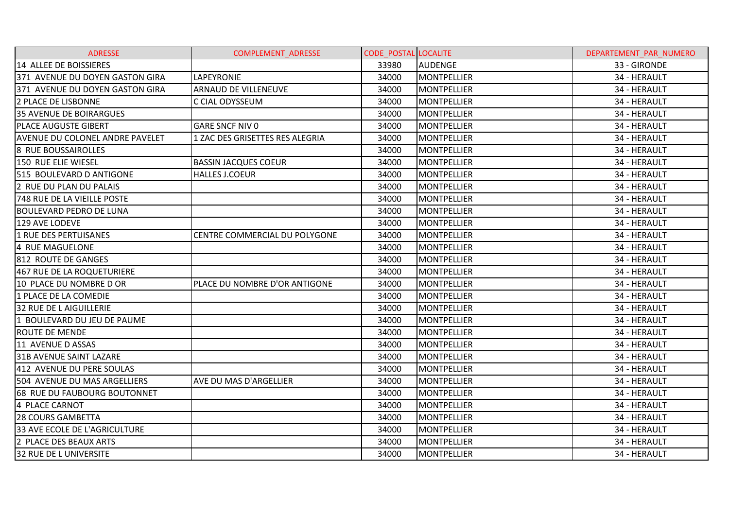| <b>ADRESSE</b>                         | COMPLEMENT_ADRESSE              | <b>CODE POSTAL LOCALITE</b> |                    | DEPARTEMENT_PAR_NUMERO |
|----------------------------------------|---------------------------------|-----------------------------|--------------------|------------------------|
| 14 ALLEE DE BOISSIERES                 |                                 | 33980                       | <b>AUDENGE</b>     | 33 - GIRONDE           |
| 371 AVENUE DU DOYEN GASTON GIRA        | <b>LAPEYRONIE</b>               | 34000                       | MONTPELLIER        | 34 - HERAULT           |
| 371 AVENUE DU DOYEN GASTON GIRA        | <b>ARNAUD DE VILLENEUVE</b>     | 34000                       | <b>MONTPELLIER</b> | 34 - HERAULT           |
| 2 PLACE DE LISBONNE                    | C CIAL ODYSSEUM                 | 34000                       | <b>MONTPELLIER</b> | 34 - HERAULT           |
| <b>35 AVENUE DE BOIRARGUES</b>         |                                 | 34000                       | <b>MONTPELLIER</b> | 34 - HERAULT           |
| <b>PLACE AUGUSTE GIBERT</b>            | <b>GARE SNCF NIV 0</b>          | 34000                       | <b>MONTPELLIER</b> | 34 - HERAULT           |
| <b>AVENUE DU COLONEL ANDRE PAVELET</b> | 1 ZAC DES GRISETTES RES ALEGRIA | 34000                       | <b>MONTPELLIER</b> | 34 - HERAULT           |
| 8 RUE BOUSSAIROLLES                    |                                 | 34000                       | <b>MONTPELLIER</b> | 34 - HERAULT           |
| 150 RUE ELIE WIESEL                    | <b>BASSIN JACQUES COEUR</b>     | 34000                       | <b>MONTPELLIER</b> | 34 - HERAULT           |
| 515 BOULEVARD D ANTIGONE               | <b>HALLES J.COEUR</b>           | 34000                       | <b>MONTPELLIER</b> | 34 - HERAULT           |
| 2 RUE DU PLAN DU PALAIS                |                                 | 34000                       | <b>MONTPELLIER</b> | 34 - HERAULT           |
| <b>748 RUE DE LA VIEILLE POSTE</b>     |                                 | 34000                       | <b>MONTPELLIER</b> | 34 - HERAULT           |
| <b>BOULEVARD PEDRO DE LUNA</b>         |                                 | 34000                       | MONTPELLIER        | 34 - HERAULT           |
| 129 AVE LODEVE                         |                                 | 34000                       | <b>MONTPELLIER</b> | 34 - HERAULT           |
| <b>1 RUE DES PERTUISANES</b>           | CENTRE COMMERCIAL DU POLYGONE   | 34000                       | <b>MONTPELLIER</b> | 34 - HERAULT           |
| 4 RUE MAGUELONE                        |                                 | 34000                       | <b>MONTPELLIER</b> | 34 - HERAULT           |
| 812 ROUTE DE GANGES                    |                                 | 34000                       | <b>MONTPELLIER</b> | 34 - HERAULT           |
| 467 RUE DE LA ROQUETURIERE             |                                 | 34000                       | <b>MONTPELLIER</b> | 34 - HERAULT           |
| 10 PLACE DU NOMBRE D OR                | PLACE DU NOMBRE D'OR ANTIGONE   | 34000                       | <b>MONTPELLIER</b> | 34 - HERAULT           |
| 1 PLACE DE LA COMEDIE                  |                                 | 34000                       | <b>MONTPELLIER</b> | 34 - HERAULT           |
| <b>32 RUE DE L AIGUILLERIE</b>         |                                 | 34000                       | <b>MONTPELLIER</b> | 34 - HERAULT           |
| 1 BOULEVARD DU JEU DE PAUME            |                                 | 34000                       | <b>MONTPELLIER</b> | 34 - HERAULT           |
| <b>ROUTE DE MENDE</b>                  |                                 | 34000                       | MONTPELLIER        | 34 - HERAULT           |
| 11 AVENUE D ASSAS                      |                                 | 34000                       | <b>MONTPELLIER</b> | 34 - HERAULT           |
| <b>31B AVENUE SAINT LAZARE</b>         |                                 | 34000                       | <b>MONTPELLIER</b> | 34 - HERAULT           |
| 412 AVENUE DU PERE SOULAS              |                                 | 34000                       | <b>MONTPELLIER</b> | 34 - HERAULT           |
| 504 AVENUE DU MAS ARGELLIERS           | AVE DU MAS D'ARGELLIER          | 34000                       | <b>MONTPELLIER</b> | 34 - HERAULT           |
| <b>68 RUE DU FAUBOURG BOUTONNET</b>    |                                 | 34000                       | <b>MONTPELLIER</b> | 34 - HERAULT           |
| 4 PLACE CARNOT                         |                                 | 34000                       | <b>MONTPELLIER</b> | 34 - HERAULT           |
| <b>28 COURS GAMBETTA</b>               |                                 | 34000                       | <b>MONTPELLIER</b> | 34 - HERAULT           |
| 33 AVE ECOLE DE L'AGRICULTURE          |                                 | 34000                       | <b>MONTPELLIER</b> | 34 - HERAULT           |
| 2 PLACE DES BEAUX ARTS                 |                                 | 34000                       | <b>MONTPELLIER</b> | 34 - HERAULT           |
| <b>32 RUE DE L UNIVERSITE</b>          |                                 | 34000                       | MONTPELLIER        | 34 - HERAULT           |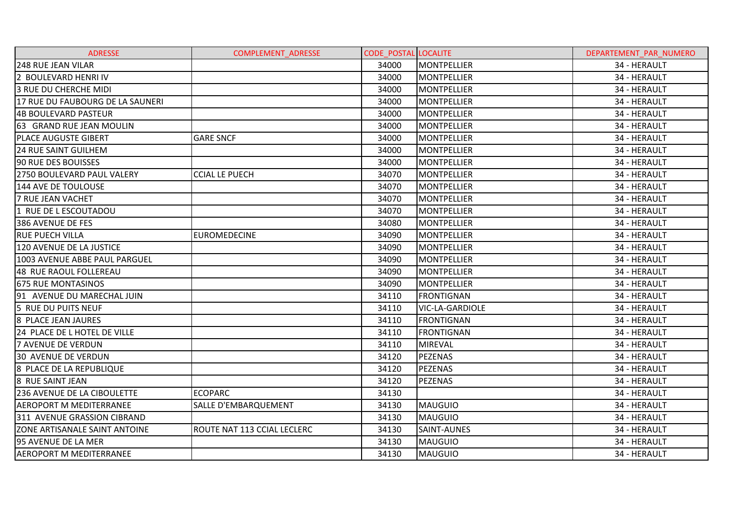| <b>ADRESSE</b>                     | <b>COMPLEMENT ADRESSE</b>   | <b>CODE POSTAL LOCALITE</b> |                        | DEPARTEMENT PAR NUMERO |
|------------------------------------|-----------------------------|-----------------------------|------------------------|------------------------|
| <b>248 RUE JEAN VILAR</b>          |                             | 34000                       | <b>MONTPELLIER</b>     | 34 - HERAULT           |
| 2 BOULEVARD HENRI IV               |                             | 34000                       | <b>MONTPELLIER</b>     | 34 - HERAULT           |
| 3 RUE DU CHERCHE MIDI              |                             | 34000                       | <b>MONTPELLIER</b>     | 34 - HERAULT           |
| 17 RUE DU FAUBOURG DE LA SAUNERI   |                             | 34000                       | <b>MONTPELLIER</b>     | 34 - HERAULT           |
| 4B BOULEVARD PASTEUR               |                             | 34000                       | <b>MONTPELLIER</b>     | 34 - HERAULT           |
| 63 GRAND RUE JEAN MOULIN           |                             | 34000                       | <b>MONTPELLIER</b>     | 34 - HERAULT           |
| <b>PLACE AUGUSTE GIBERT</b>        | <b>GARE SNCF</b>            | 34000                       | <b>MONTPELLIER</b>     | 34 - HERAULT           |
| <b>24 RUE SAINT GUILHEM</b>        |                             | 34000                       | <b>MONTPELLIER</b>     | 34 - HERAULT           |
| 90 RUE DES BOUISSES                |                             | 34000                       | <b>MONTPELLIER</b>     | 34 - HERAULT           |
| 2750 BOULEVARD PAUL VALERY         | <b>CCIAL LE PUECH</b>       | 34070                       | <b>MONTPELLIER</b>     | 34 - HERAULT           |
| 144 AVE DE TOULOUSE                |                             | 34070                       | <b>MONTPELLIER</b>     | 34 - HERAULT           |
| <b>7 RUE JEAN VACHET</b>           |                             | 34070                       | <b>MONTPELLIER</b>     | 34 - HERAULT           |
| 1 RUE DE L ESCOUTADOU              |                             | 34070                       | <b>MONTPELLIER</b>     | 34 - HERAULT           |
| 386 AVENUE DE FES                  |                             | 34080                       | MONTPELLIER            | 34 - HERAULT           |
| <b>RUE PUECH VILLA</b>             | <b>EUROMEDECINE</b>         | 34090                       | <b>MONTPELLIER</b>     | 34 - HERAULT           |
| 120 AVENUE DE LA JUSTICE           |                             | 34090                       | <b>MONTPELLIER</b>     | 34 - HERAULT           |
| 1003 AVENUE ABBE PAUL PARGUEL      |                             | 34090                       | <b>MONTPELLIER</b>     | 34 - HERAULT           |
| 48 RUE RAOUL FOLLEREAU             |                             | 34090                       | <b>MONTPELLIER</b>     | 34 - HERAULT           |
| 675 RUE MONTASINOS                 |                             | 34090                       | <b>MONTPELLIER</b>     | 34 - HERAULT           |
| 91 AVENUE DU MARECHAL JUIN         |                             | 34110                       | <b>FRONTIGNAN</b>      | 34 - HERAULT           |
| 5 RUE DU PUITS NEUF                |                             | 34110                       | <b>VIC-LA-GARDIOLE</b> | 34 - HERAULT           |
| 8 PLACE JEAN JAURES                |                             | 34110                       | <b>FRONTIGNAN</b>      | 34 - HERAULT           |
| 24 PLACE DE L HOTEL DE VILLE       |                             | 34110                       | <b>FRONTIGNAN</b>      | 34 - HERAULT           |
| <b>7 AVENUE DE VERDUN</b>          |                             | 34110                       | <b>MIREVAL</b>         | 34 - HERAULT           |
| <b>30 AVENUE DE VERDUN</b>         |                             | 34120                       | <b>PEZENAS</b>         | 34 - HERAULT           |
| 8 PLACE DE LA REPUBLIQUE           |                             | 34120                       | <b>PEZENAS</b>         | 34 - HERAULT           |
| 8 RUE SAINT JEAN                   |                             | 34120                       | <b>PEZENAS</b>         | 34 - HERAULT           |
| <b>236 AVENUE DE LA CIBOULETTE</b> | ECOPARC                     | 34130                       |                        | 34 - HERAULT           |
| <b>AEROPORT M MEDITERRANEE</b>     | <b>SALLE D'EMBARQUEMENT</b> | 34130                       | <b>MAUGUIO</b>         | 34 - HERAULT           |
| 311 AVENUE GRASSION CIBRAND        |                             | 34130                       | <b>MAUGUIO</b>         | 34 - HERAULT           |
| ZONE ARTISANALE SAINT ANTOINE      | ROUTE NAT 113 CCIAL LECLERC | 34130                       | SAINT-AUNES            | 34 - HERAULT           |
| 95 AVENUE DE LA MER                |                             | 34130                       | <b>MAUGUIO</b>         | 34 - HERAULT           |
| <b>AEROPORT M MEDITERRANEE</b>     |                             | 34130                       | <b>MAUGUIO</b>         | 34 - HERAULT           |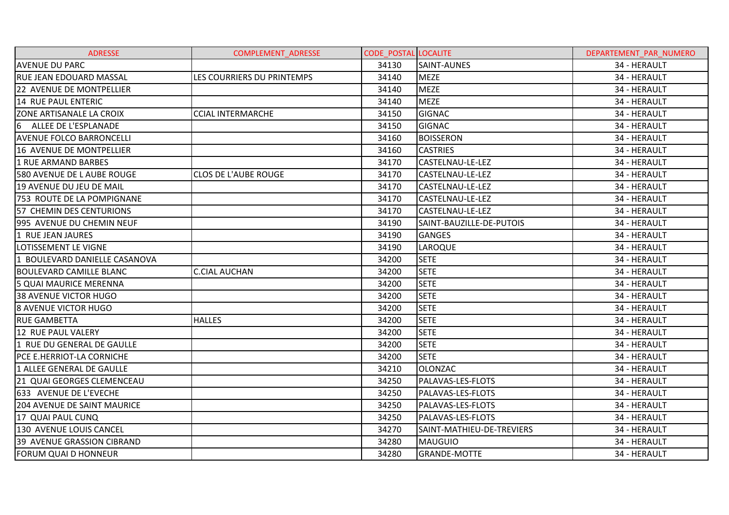| <b>ADRESSE</b>                     | <b>COMPLEMENT ADRESSE</b>   | <b>CODE POSTAL LOCALITE</b> |                           | DEPARTEMENT PAR NUMERO |
|------------------------------------|-----------------------------|-----------------------------|---------------------------|------------------------|
| <b>AVENUE DU PARC</b>              |                             | 34130                       | <b>SAINT-AUNES</b>        | 34 - HERAULT           |
| <b>RUE JEAN EDOUARD MASSAL</b>     | LES COURRIERS DU PRINTEMPS  | 34140                       | <b>MEZE</b>               | 34 - HERAULT           |
| 22 AVENUE DE MONTPELLIER           |                             | 34140                       | <b>MEZE</b>               | 34 - HERAULT           |
| 14 RUE PAUL ENTERIC                |                             | 34140                       | <b>MEZE</b>               | 34 - HERAULT           |
| ZONE ARTISANALE LA CROIX           | <b>CCIAL INTERMARCHE</b>    | 34150                       | <b>GIGNAC</b>             | 34 - HERAULT           |
| 6 ALLEE DE L'ESPLANADE             |                             | 34150                       | <b>GIGNAC</b>             | 34 - HERAULT           |
| <b>AVENUE FOLCO BARRONCELLI</b>    |                             | 34160                       | <b>BOISSERON</b>          | 34 - HERAULT           |
| 16 AVENUE DE MONTPELLIER           |                             | 34160                       | <b>CASTRIES</b>           | 34 - HERAULT           |
| 1 RUE ARMAND BARBES                |                             | 34170                       | CASTELNAU-LE-LEZ          | 34 - HERAULT           |
| 580 AVENUE DE L AUBE ROUGE         | <b>CLOS DE L'AUBE ROUGE</b> | 34170                       | CASTELNAU-LE-LEZ          | 34 - HERAULT           |
| 19 AVENUE DU JEU DE MAIL           |                             | 34170                       | CASTELNAU-LE-LEZ          | 34 - HERAULT           |
| 753 ROUTE DE LA POMPIGNANE         |                             | 34170                       | CASTELNAU-LE-LEZ          | 34 - HERAULT           |
| 57 CHEMIN DES CENTURIONS           |                             | 34170                       | CASTELNAU-LE-LEZ          | 34 - HERAULT           |
| 995 AVENUE DU CHEMIN NEUF          |                             | 34190                       | SAINT-BAUZILLE-DE-PUTOIS  | 34 - HERAULT           |
| 1 RUE JEAN JAURES                  |                             | 34190                       | <b>GANGES</b>             | 34 - HERAULT           |
| LOTISSEMENT LE VIGNE               |                             | 34190                       | <b>LAROQUE</b>            | 34 - HERAULT           |
| 1 BOULEVARD DANIELLE CASANOVA      |                             | 34200                       | <b>SETE</b>               | 34 - HERAULT           |
| <b>BOULEVARD CAMILLE BLANC</b>     | <b>C.CIAL AUCHAN</b>        | 34200                       | <b>SETE</b>               | 34 - HERAULT           |
| 5 QUAI MAURICE MERENNA             |                             | 34200                       | <b>SETE</b>               | 34 - HERAULT           |
| <b>38 AVENUE VICTOR HUGO</b>       |                             | 34200                       | <b>SETE</b>               | 34 - HERAULT           |
| <b>8 AVENUE VICTOR HUGO</b>        |                             | 34200                       | <b>SETE</b>               | 34 - HERAULT           |
| <b>RUE GAMBETTA</b>                | <b>HALLES</b>               | 34200                       | <b>SETE</b>               | 34 - HERAULT           |
| 12 RUE PAUL VALERY                 |                             | 34200                       | <b>SETE</b>               | 34 - HERAULT           |
| 1 RUE DU GENERAL DE GAULLE         |                             | 34200                       | <b>SETE</b>               | 34 - HERAULT           |
| <b>PCE E.HERRIOT-LA CORNICHE</b>   |                             | 34200                       | <b>SETE</b>               | 34 - HERAULT           |
| 1 ALLEE GENERAL DE GAULLE          |                             | 34210                       | <b>OLONZAC</b>            | 34 - HERAULT           |
| 21 QUAI GEORGES CLEMENCEAU         |                             | 34250                       | PALAVAS-LES-FLOTS         | 34 - HERAULT           |
| 633 AVENUE DE L'EVECHE             |                             | 34250                       | PALAVAS-LES-FLOTS         | 34 - HERAULT           |
| <b>204 AVENUE DE SAINT MAURICE</b> |                             | 34250                       | PALAVAS-LES-FLOTS         | 34 - HERAULT           |
| 17 QUAI PAUL CUNQ                  |                             | 34250                       | PALAVAS-LES-FLOTS         | 34 - HERAULT           |
| 130 AVENUE LOUIS CANCEL            |                             | 34270                       | SAINT-MATHIEU-DE-TREVIERS | 34 - HERAULT           |
| 39 AVENUE GRASSION CIBRAND         |                             | 34280                       | <b>MAUGUIO</b>            | 34 - HERAULT           |
| <b>FORUM QUAI D HONNEUR</b>        |                             | 34280                       | <b>GRANDE-MOTTE</b>       | 34 - HERAULT           |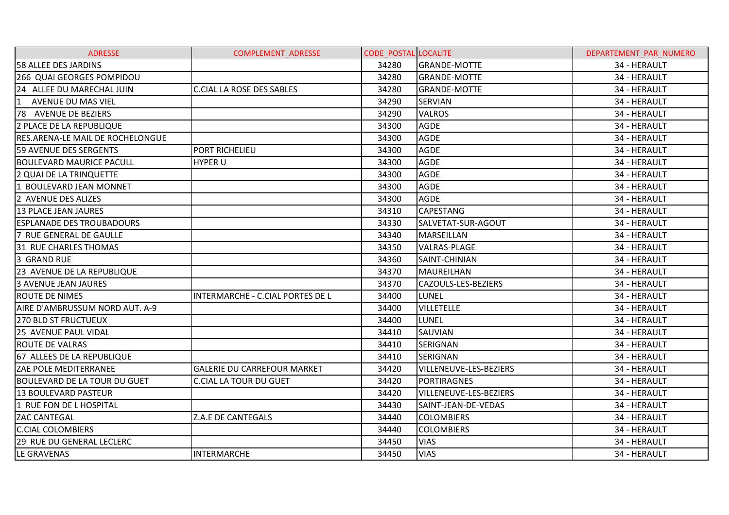| <b>ADRESSE</b>                   | <b>COMPLEMENT ADRESSE</b>          | <b>CODE POSTAL LOCALITE</b> |                        | DEPARTEMENT PAR NUMERO |
|----------------------------------|------------------------------------|-----------------------------|------------------------|------------------------|
| 58 ALLEE DES JARDINS             |                                    | 34280                       | <b>GRANDE-MOTTE</b>    | 34 - HERAULT           |
| 266 QUAI GEORGES POMPIDOU        |                                    | 34280                       | <b>GRANDE-MOTTE</b>    | 34 - HERAULT           |
| 24 ALLEE DU MARECHAL JUIN        | <b>C.CIAL LA ROSE DES SABLES</b>   | 34280                       | <b>GRANDE-MOTTE</b>    | 34 - HERAULT           |
| AVENUE DU MAS VIEL<br>1          |                                    | 34290                       | <b>SERVIAN</b>         | 34 - HERAULT           |
| 78 AVENUE DE BEZIERS             |                                    | 34290                       | <b>VALROS</b>          | 34 - HERAULT           |
| 2 PLACE DE LA REPUBLIQUE         |                                    | 34300                       | <b>AGDE</b>            | 34 - HERAULT           |
| RES.ARENA-LE MAIL DE ROCHELONGUE |                                    | 34300                       | <b>AGDE</b>            | 34 - HERAULT           |
| 59 AVENUE DES SERGENTS           | PORT RICHELIEU                     | 34300                       | <b>AGDE</b>            | 34 - HERAULT           |
| <b>BOULEVARD MAURICE PACULL</b>  | <b>HYPER U</b>                     | 34300                       | <b>AGDE</b>            | 34 - HERAULT           |
| 2 QUAI DE LA TRINQUETTE          |                                    | 34300                       | <b>AGDE</b>            | 34 - HERAULT           |
| 1 BOULEVARD JEAN MONNET          |                                    | 34300                       | <b>AGDE</b>            | 34 - HERAULT           |
| 2 AVENUE DES ALIZES              |                                    | 34300                       | <b>AGDE</b>            | 34 - HERAULT           |
| <b>13 PLACE JEAN JAURES</b>      |                                    | 34310                       | <b>CAPESTANG</b>       | 34 - HERAULT           |
| <b>ESPLANADE DES TROUBADOURS</b> |                                    | 34330                       | SALVETAT-SUR-AGOUT     | 34 - HERAULT           |
| 7 RUE GENERAL DE GAULLE          |                                    | 34340                       | <b>MARSEILLAN</b>      | 34 - HERAULT           |
| 31 RUE CHARLES THOMAS            |                                    | 34350                       | <b>VALRAS-PLAGE</b>    | 34 - HERAULT           |
| 3 GRAND RUE                      |                                    | 34360                       | SAINT-CHINIAN          | 34 - HERAULT           |
| 23 AVENUE DE LA REPUBLIQUE       |                                    | 34370                       | <b>MAUREILHAN</b>      | 34 - HERAULT           |
| <b>3 AVENUE JEAN JAURES</b>      |                                    | 34370                       | CAZOULS-LES-BEZIERS    | 34 - HERAULT           |
| <b>ROUTE DE NIMES</b>            | INTERMARCHE - C.CIAL PORTES DE L   | 34400                       | <b>LUNEL</b>           | 34 - HERAULT           |
| AIRE D'AMBRUSSUM NORD AUT. A-9   |                                    | 34400                       | <b>VILLETELLE</b>      | 34 - HERAULT           |
| <b>270 BLD ST FRUCTUEUX</b>      |                                    | 34400                       | <b>LUNEL</b>           | 34 - HERAULT           |
| <b>25 AVENUE PAUL VIDAL</b>      |                                    | 34410                       | SAUVIAN                | 34 - HERAULT           |
| <b>ROUTE DE VALRAS</b>           |                                    | 34410                       | <b>SERIGNAN</b>        | 34 - HERAULT           |
| 67 ALLEES DE LA REPUBLIQUE       |                                    | 34410                       | <b>SERIGNAN</b>        | 34 - HERAULT           |
| ZAE POLE MEDITERRANEE            | <b>GALERIE DU CARREFOUR MARKET</b> | 34420                       | VILLENEUVE-LES-BEZIERS | 34 - HERAULT           |
| BOULEVARD DE LA TOUR DU GUET     | <b>C.CIAL LA TOUR DU GUET</b>      | 34420                       | <b>PORTIRAGNES</b>     | 34 - HERAULT           |
| <b>13 BOULEVARD PASTEUR</b>      |                                    | 34420                       | VILLENEUVE-LES-BEZIERS | 34 - HERAULT           |
| 1 RUE FON DE L HOSPITAL          |                                    | 34430                       | SAINT-JEAN-DE-VEDAS    | 34 - HERAULT           |
| <b>ZAC CANTEGAL</b>              | Z.A.E DE CANTEGALS                 | 34440                       | <b>COLOMBIERS</b>      | 34 - HERAULT           |
| <b>C.CIAL COLOMBIERS</b>         |                                    | 34440                       | <b>COLOMBIERS</b>      | 34 - HERAULT           |
| <b>29 RUE DU GENERAL LECLERC</b> |                                    | 34450                       | <b>VIAS</b>            | 34 - HERAULT           |
| LE GRAVENAS                      | <b>INTERMARCHE</b>                 | 34450                       | <b>VIAS</b>            | 34 - HERAULT           |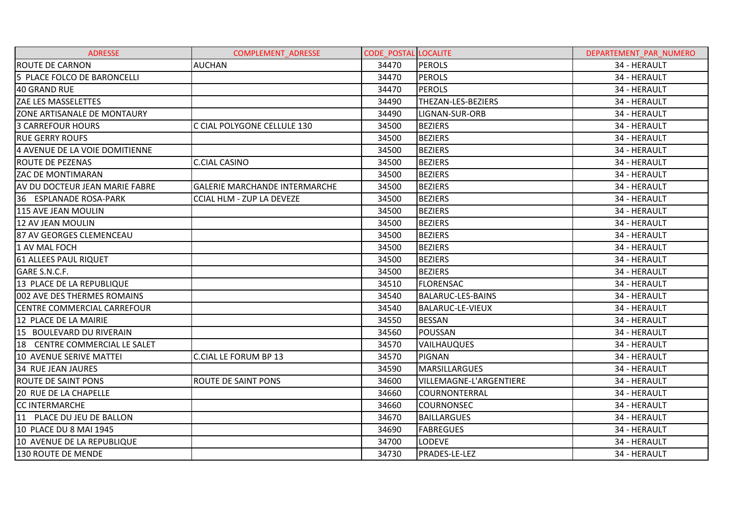| <b>ADRESSE</b>                     | <b>COMPLEMENT ADRESSE</b>            | <b>CODE POSTAL LOCALITE</b> |                                | DEPARTEMENT PAR NUMERO |
|------------------------------------|--------------------------------------|-----------------------------|--------------------------------|------------------------|
| <b>ROUTE DE CARNON</b>             | <b>AUCHAN</b>                        | 34470                       | <b>PEROLS</b>                  | 34 - HERAULT           |
| 5 PLACE FOLCO DE BARONCELLI        |                                      | 34470                       | <b>PEROLS</b>                  | 34 - HERAULT           |
| 40 GRAND RUE                       |                                      | 34470                       | <b>PEROLS</b>                  | 34 - HERAULT           |
| <b>ZAE LES MASSELETTES</b>         |                                      | 34490                       | THEZAN-LES-BEZIERS             | 34 - HERAULT           |
| ZONE ARTISANALE DE MONTAURY        |                                      | 34490                       | LIGNAN-SUR-ORB                 | 34 - HERAULT           |
| <b>3 CARREFOUR HOURS</b>           | C CIAL POLYGONE CELLULE 130          | 34500                       | <b>BEZIERS</b>                 | 34 - HERAULT           |
| <b>RUE GERRY ROUFS</b>             |                                      | 34500                       | <b>BEZIERS</b>                 | 34 - HERAULT           |
| 4 AVENUE DE LA VOIE DOMITIENNE     |                                      | 34500                       | <b>BEZIERS</b>                 | 34 - HERAULT           |
| <b>ROUTE DE PEZENAS</b>            | <b>C.CIAL CASINO</b>                 | 34500                       | <b>BEZIERS</b>                 | 34 - HERAULT           |
| <b>ZAC DE MONTIMARAN</b>           |                                      | 34500                       | <b>BEZIERS</b>                 | 34 - HERAULT           |
| AV DU DOCTEUR JEAN MARIE FABRE     | <b>GALERIE MARCHANDE INTERMARCHE</b> | 34500                       | <b>BEZIERS</b>                 | 34 - HERAULT           |
| 36 ESPLANADE ROSA-PARK             | <b>CCIAL HLM - ZUP LA DEVEZE</b>     | 34500                       | <b>BEZIERS</b>                 | 34 - HERAULT           |
| 115 AVE JEAN MOULIN                |                                      | 34500                       | <b>BEZIERS</b>                 | 34 - HERAULT           |
| 12 AV JEAN MOULIN                  |                                      | 34500                       | <b>BEZIERS</b>                 | 34 - HERAULT           |
| l87 AV GEORGES CLEMENCEAU          |                                      | 34500                       | <b>BEZIERS</b>                 | 34 - HERAULT           |
| 1 AV MAL FOCH                      |                                      | 34500                       | <b>BEZIERS</b>                 | 34 - HERAULT           |
| 61 ALLEES PAUL RIQUET              |                                      | 34500                       | <b>BEZIERS</b>                 | 34 - HERAULT           |
| GARE S.N.C.F.                      |                                      | 34500                       | <b>BEZIERS</b>                 | 34 - HERAULT           |
| 13 PLACE DE LA REPUBLIQUE          |                                      | 34510                       | <b>FLORENSAC</b>               | 34 - HERAULT           |
| 002 AVE DES THERMES ROMAINS        |                                      | 34540                       | <b>BALARUC-LES-BAINS</b>       | 34 - HERAULT           |
| <b>CENTRE COMMERCIAL CARREFOUR</b> |                                      | 34540                       | <b>BALARUC-LE-VIEUX</b>        | 34 - HERAULT           |
| 12 PLACE DE LA MAIRIE              |                                      | 34550                       | <b>BESSAN</b>                  | 34 - HERAULT           |
| 15 BOULEVARD DU RIVERAIN           |                                      | 34560                       | POUSSAN                        | 34 - HERAULT           |
| 18 CENTRE COMMERCIAL LE SALET      |                                      | 34570                       | <b>VAILHAUQUES</b>             | 34 - HERAULT           |
| 10 AVENUE SERIVE MATTEI            | <b>C.CIAL LE FORUM BP 13</b>         | 34570                       | <b>PIGNAN</b>                  | 34 - HERAULT           |
| <b>34 RUE JEAN JAURES</b>          |                                      | 34590                       | <b>MARSILLARGUES</b>           | 34 - HERAULT           |
| <b>ROUTE DE SAINT PONS</b>         | <b>ROUTE DE SAINT PONS</b>           | 34600                       | <b>VILLEMAGNE-L'ARGENTIERE</b> | 34 - HERAULT           |
| <b>20 RUE DE LA CHAPELLE</b>       |                                      | 34660                       | <b>COURNONTERRAL</b>           | 34 - HERAULT           |
| <b>CC INTERMARCHE</b>              |                                      | 34660                       | <b>COURNONSEC</b>              | 34 - HERAULT           |
| 11 PLACE DU JEU DE BALLON          |                                      | 34670                       | <b>BAILLARGUES</b>             | 34 - HERAULT           |
| 10 PLACE DU 8 MAI 1945             |                                      | 34690                       | <b>FABREGUES</b>               | 34 - HERAULT           |
| 10 AVENUE DE LA REPUBLIQUE         |                                      | 34700                       | <b>LODEVE</b>                  | 34 - HERAULT           |
| 130 ROUTE DE MENDE                 |                                      | 34730                       | PRADES-LE-LEZ                  | 34 - HERAULT           |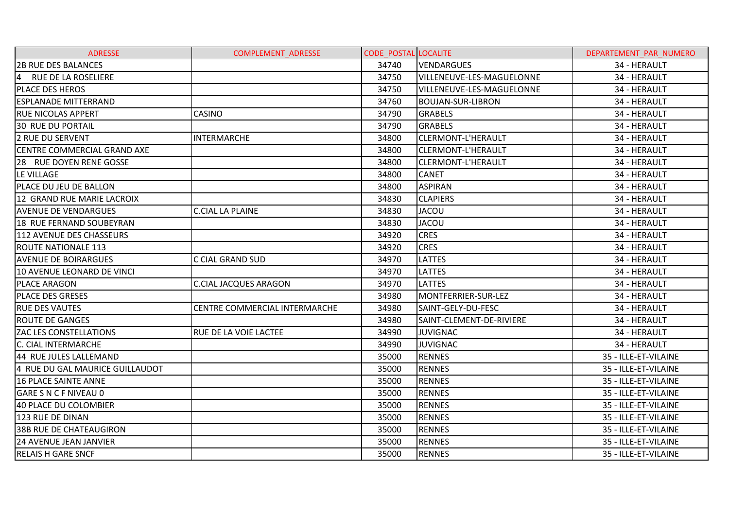| <b>ADRESSE</b>                  | <b>COMPLEMENT ADRESSE</b>     | <b>CODE POSTAL LOCALITE</b> |                           | DEPARTEMENT PAR NUMERO |
|---------------------------------|-------------------------------|-----------------------------|---------------------------|------------------------|
| <b>2B RUE DES BALANCES</b>      |                               | 34740                       | VENDARGUES                | 34 - HERAULT           |
| 4 RUE DE LA ROSELIERE           |                               | 34750                       | VILLENEUVE-LES-MAGUELONNE | 34 - HERAULT           |
| <b>PLACE DES HEROS</b>          |                               | 34750                       | VILLENEUVE-LES-MAGUELONNE | 34 - HERAULT           |
| <b>ESPLANADE MITTERRAND</b>     |                               | 34760                       | <b>BOUJAN-SUR-LIBRON</b>  | 34 - HERAULT           |
| <b>RUE NICOLAS APPERT</b>       | <b>CASINO</b>                 | 34790                       | <b>GRABELS</b>            | 34 - HERAULT           |
| <b>30 RUE DU PORTAIL</b>        |                               | 34790                       | <b>GRABELS</b>            | 34 - HERAULT           |
| <b>2 RUE DU SERVENT</b>         | <b>INTERMARCHE</b>            | 34800                       | CLERMONT-L'HERAULT        | 34 - HERAULT           |
| CENTRE COMMERCIAL GRAND AXE     |                               | 34800                       | CLERMONT-L'HERAULT        | 34 - HERAULT           |
| 28 RUE DOYEN RENE GOSSE         |                               | 34800                       | CLERMONT-L'HERAULT        | 34 - HERAULT           |
| LE VILLAGE                      |                               | 34800                       | <b>CANET</b>              | 34 - HERAULT           |
| PLACE DU JEU DE BALLON          |                               | 34800                       | <b>ASPIRAN</b>            | 34 - HERAULT           |
| 12 GRAND RUE MARIE LACROIX      |                               | 34830                       | <b>CLAPIERS</b>           | 34 - HERAULT           |
| <b>AVENUE DE VENDARGUES</b>     | <b>C.CIAL LA PLAINE</b>       | 34830                       | <b>JACOU</b>              | 34 - HERAULT           |
| 18 RUE FERNAND SOUBEYRAN        |                               | 34830                       | <b>JACOU</b>              | 34 - HERAULT           |
| 112 AVENUE DES CHASSEURS        |                               | 34920                       | <b>CRES</b>               | 34 - HERAULT           |
| <b>ROUTE NATIONALE 113</b>      |                               | 34920                       | <b>CRES</b>               | 34 - HERAULT           |
| <b>AVENUE DE BOIRARGUES</b>     | C CIAL GRAND SUD              | 34970                       | <b>LATTES</b>             | 34 - HERAULT           |
| 10 AVENUE LEONARD DE VINCI      |                               | 34970                       | <b>LATTES</b>             | 34 - HERAULT           |
| <b>PLACE ARAGON</b>             | <b>C.CIAL JACQUES ARAGON</b>  | 34970                       | <b>LATTES</b>             | 34 - HERAULT           |
| IPLACE DES GRESES               |                               | 34980                       | MONTFERRIER-SUR-LEZ       | 34 - HERAULT           |
| <b>RUE DES VAUTES</b>           | CENTRE COMMERCIAL INTERMARCHE | 34980                       | SAINT-GELY-DU-FESC        | 34 - HERAULT           |
| <b>ROUTE DE GANGES</b>          |                               | 34980                       | SAINT-CLEMENT-DE-RIVIERE  | 34 - HERAULT           |
| <b>ZAC LES CONSTELLATIONS</b>   | RUE DE LA VOIE LACTEE         | 34990                       | <b>JUVIGNAC</b>           | 34 - HERAULT           |
| C. CIAL INTERMARCHE             |                               | 34990                       | <b>JUVIGNAC</b>           | 34 - HERAULT           |
| 44 RUE JULES LALLEMAND          |                               | 35000                       | <b>RENNES</b>             | 35 - ILLE-ET-VILAINE   |
| 4 RUE DU GAL MAURICE GUILLAUDOT |                               | 35000                       | <b>RENNES</b>             | 35 - ILLE-ET-VILAINE   |
| <b>16 PLACE SAINTE ANNE</b>     |                               | 35000                       | <b>RENNES</b>             | 35 - ILLE-ET-VILAINE   |
| GARE S N C F NIVEAU 0           |                               | 35000                       | <b>RENNES</b>             | 35 - ILLE-ET-VILAINE   |
| 40 PLACE DU COLOMBIER           |                               | 35000                       | <b>RENNES</b>             | 35 - ILLE-ET-VILAINE   |
| 123 RUE DE DINAN                |                               | 35000                       | <b>RENNES</b>             | 35 - ILLE-ET-VILAINE   |
| <b>38B RUE DE CHATEAUGIRON</b>  |                               | 35000                       | <b>RENNES</b>             | 35 - ILLE-ET-VILAINE   |
| <b>24 AVENUE JEAN JANVIER</b>   |                               | 35000                       | <b>RENNES</b>             | 35 - ILLE-ET-VILAINE   |
| <b>RELAIS H GARE SNCF</b>       |                               | 35000                       | <b>RENNES</b>             | 35 - ILLE-ET-VILAINE   |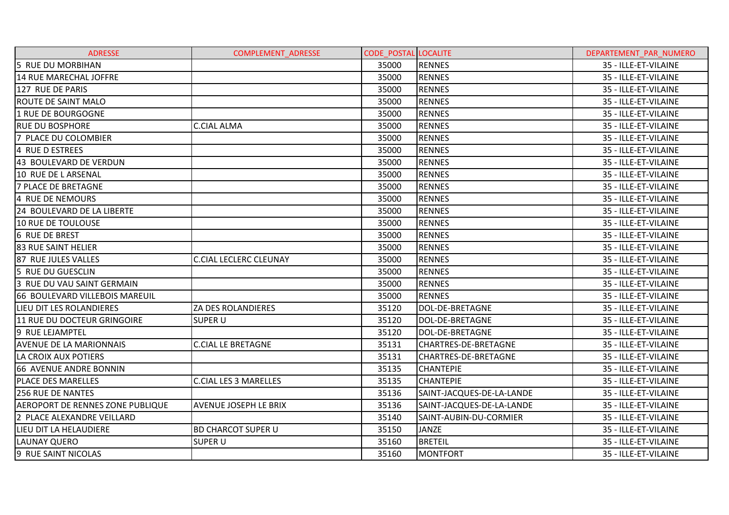| <b>ADRESSE</b>                   | <b>COMPLEMENT ADRESSE</b>     | <b>CODE POSTAL LOCALITE</b> |                             | DEPARTEMENT PAR NUMERO |
|----------------------------------|-------------------------------|-----------------------------|-----------------------------|------------------------|
| 5 RUE DU MORBIHAN                |                               | 35000                       | <b>RENNES</b>               | 35 - ILLE-ET-VILAINE   |
| 14 RUE MARECHAL JOFFRE           |                               | 35000                       | <b>RENNES</b>               | 35 - ILLE-ET-VILAINE   |
| 127 RUE DE PARIS                 |                               | 35000                       | <b>RENNES</b>               | 35 - ILLE-ET-VILAINE   |
| <b>ROUTE DE SAINT MALO</b>       |                               | 35000                       | <b>RENNES</b>               | 35 - ILLE-ET-VILAINE   |
| 1 RUE DE BOURGOGNE               |                               | 35000                       | <b>RENNES</b>               | 35 - ILLE-ET-VILAINE   |
| <b>RUE DU BOSPHORE</b>           | <b>C.CIAL ALMA</b>            | 35000                       | <b>RENNES</b>               | 35 - ILLE-ET-VILAINE   |
| 7 PLACE DU COLOMBIER             |                               | 35000                       | <b>RENNES</b>               | 35 - ILLE-ET-VILAINE   |
| 4 RUE D ESTREES                  |                               | 35000                       | <b>RENNES</b>               | 35 - ILLE-ET-VILAINE   |
| 43 BOULEVARD DE VERDUN           |                               | 35000                       | <b>RENNES</b>               | 35 - ILLE-ET-VILAINE   |
| 10 RUE DE L ARSENAL              |                               | 35000                       | <b>RENNES</b>               | 35 - ILLE-ET-VILAINE   |
| <b>7 PLACE DE BRETAGNE</b>       |                               | 35000                       | <b>RENNES</b>               | 35 - ILLE-ET-VILAINE   |
| 14 RUE DE NEMOURS                |                               | 35000                       | <b>RENNES</b>               | 35 - ILLE-ET-VILAINE   |
| 24 BOULEVARD DE LA LIBERTE       |                               | 35000                       | <b>RENNES</b>               | 35 - ILLE-ET-VILAINE   |
| 10 RUE DE TOULOUSE               |                               | 35000                       | <b>RENNES</b>               | 35 - ILLE-ET-VILAINE   |
| 6 RUE DE BREST                   |                               | 35000                       | <b>RENNES</b>               | 35 - ILLE-ET-VILAINE   |
| <b>83 RUE SAINT HELIER</b>       |                               | 35000                       | <b>RENNES</b>               | 35 - ILLE-ET-VILAINE   |
| 87 RUE JULES VALLES              | <b>C.CIAL LECLERC CLEUNAY</b> | 35000                       | <b>RENNES</b>               | 35 - ILLE-ET-VILAINE   |
| 5 RUE DU GUESCLIN                |                               | 35000                       | <b>RENNES</b>               | 35 - ILLE-ET-VILAINE   |
| 3 RUE DU VAU SAINT GERMAIN       |                               | 35000                       | <b>RENNES</b>               | 35 - ILLE-ET-VILAINE   |
| 66 BOULEVARD VILLEBOIS MAREUIL   |                               | 35000                       | <b>RENNES</b>               | 35 - ILLE-ET-VILAINE   |
| LIEU DIT LES ROLANDIERES         | ZA DES ROLANDIERES            | 35120                       | DOL-DE-BRETAGNE             | 35 - ILLE-ET-VILAINE   |
| 11 RUE DU DOCTEUR GRINGOIRE      | <b>SUPER U</b>                | 35120                       | DOL-DE-BRETAGNE             | 35 - ILLE-ET-VILAINE   |
| 9 RUE LEJAMPTEL                  |                               | 35120                       | DOL-DE-BRETAGNE             | 35 - ILLE-ET-VILAINE   |
| <b>AVENUE DE LA MARIONNAIS</b>   | <b>C.CIAL LE BRETAGNE</b>     | 35131                       | CHARTRES-DE-BRETAGNE        | 35 - ILLE-ET-VILAINE   |
| LA CROIX AUX POTIERS             |                               | 35131                       | <b>CHARTRES-DE-BRETAGNE</b> | 35 - ILLE-ET-VILAINE   |
| 66 AVENUE ANDRE BONNIN           |                               | 35135                       | <b>CHANTEPIE</b>            | 35 - ILLE-ET-VILAINE   |
| <b>PLACE DES MARELLES</b>        | <b>C.CIAL LES 3 MARELLES</b>  | 35135                       | <b>CHANTEPIE</b>            | 35 - ILLE-ET-VILAINE   |
| <b>256 RUE DE NANTES</b>         |                               | 35136                       | SAINT-JACQUES-DE-LA-LANDE   | 35 - ILLE-ET-VILAINE   |
| AEROPORT DE RENNES ZONE PUBLIQUE | <b>AVENUE JOSEPH LE BRIX</b>  | 35136                       | SAINT-JACQUES-DE-LA-LANDE   | 35 - ILLE-ET-VILAINE   |
| 2 PLACE ALEXANDRE VEILLARD       |                               | 35140                       | SAINT-AUBIN-DU-CORMIER      | 35 - ILLE-ET-VILAINE   |
| LIEU DIT LA HELAUDIERE           | <b>BD CHARCOT SUPER U</b>     | 35150                       | <b>JANZE</b>                | 35 - ILLE-ET-VILAINE   |
| <b>LAUNAY QUERO</b>              | <b>SUPER U</b>                | 35160                       | <b>BRETEIL</b>              | 35 - ILLE-ET-VILAINE   |
| 9 RUE SAINT NICOLAS              |                               | 35160                       | MONTFORT                    | 35 - ILLE-ET-VILAINE   |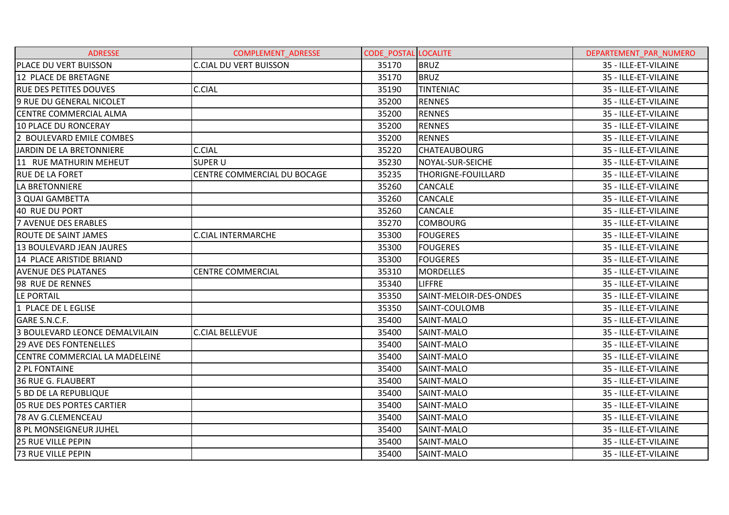| <b>ADRESSE</b>                        | <b>COMPLEMENT ADRESSE</b>     | <b>CODE POSTAL LOCALITE</b> |                        | DEPARTEMENT PAR NUMERO |
|---------------------------------------|-------------------------------|-----------------------------|------------------------|------------------------|
| PLACE DU VERT BUISSON                 | <b>C.CIAL DU VERT BUISSON</b> | 35170                       | <b>BRUZ</b>            | 35 - ILLE-ET-VILAINE   |
| 12 PLACE DE BRETAGNE                  |                               | 35170                       | <b>BRUZ</b>            | 35 - ILLE-ET-VILAINE   |
| <b>RUE DES PETITES DOUVES</b>         | <b>C.CIAL</b>                 | 35190                       | <b>TINTENIAC</b>       | 35 - ILLE-ET-VILAINE   |
| 9 RUE DU GENERAL NICOLET              |                               | 35200                       | <b>RENNES</b>          | 35 - ILLE-ET-VILAINE   |
| <b>CENTRE COMMERCIAL ALMA</b>         |                               | 35200                       | <b>RENNES</b>          | 35 - ILLE-ET-VILAINE   |
| 10 PLACE DU RONCERAY                  |                               | 35200                       | <b>RENNES</b>          | 35 - ILLE-ET-VILAINE   |
| 2 BOULEVARD EMILE COMBES              |                               | 35200                       | <b>RENNES</b>          | 35 - ILLE-ET-VILAINE   |
| JARDIN DE LA BRETONNIERE              | C.CIAL                        | 35220                       | <b>CHATEAUBOURG</b>    | 35 - ILLE-ET-VILAINE   |
| 11 RUE MATHURIN MEHEUT                | <b>SUPER U</b>                | 35230                       | NOYAL-SUR-SEICHE       | 35 - ILLE-ET-VILAINE   |
| <b>RUE DE LA FORET</b>                | CENTRE COMMERCIAL DU BOCAGE   | 35235                       | THORIGNE-FOUILLARD     | 35 - ILLE-ET-VILAINE   |
| LA BRETONNIERE                        |                               | 35260                       | <b>CANCALE</b>         | 35 - ILLE-ET-VILAINE   |
| <b>3 QUAI GAMBETTA</b>                |                               | 35260                       | <b>CANCALE</b>         | 35 - ILLE-ET-VILAINE   |
| 40 RUE DU PORT                        |                               | 35260                       | <b>CANCALE</b>         | 35 - ILLE-ET-VILAINE   |
| 7 AVENUE DES ERABLES                  |                               | 35270                       | <b>COMBOURG</b>        | 35 - ILLE-ET-VILAINE   |
| ROUTE DE SAINT JAMES                  | <b>C.CIAL INTERMARCHE</b>     | 35300                       | <b>FOUGERES</b>        | 35 - ILLE-ET-VILAINE   |
| 13 BOULEVARD JEAN JAURES              |                               | 35300                       | <b>FOUGERES</b>        | 35 - ILLE-ET-VILAINE   |
| 14 PLACE ARISTIDE BRIAND              |                               | 35300                       | <b>FOUGERES</b>        | 35 - ILLE-ET-VILAINE   |
| <b>AVENUE DES PLATANES</b>            | <b>CENTRE COMMERCIAL</b>      | 35310                       | <b>MORDELLES</b>       | 35 - ILLE-ET-VILAINE   |
| 98 RUE DE RENNES                      |                               | 35340                       | <b>LIFFRE</b>          | 35 - ILLE-ET-VILAINE   |
| LE PORTAIL                            |                               | 35350                       | SAINT-MELOIR-DES-ONDES | 35 - ILLE-ET-VILAINE   |
| 1 PLACE DE L EGLISE                   |                               | 35350                       | <b>SAINT-COULOMB</b>   | 35 - ILLE-ET-VILAINE   |
| GARE S.N.C.F.                         |                               | 35400                       | SAINT-MALO             | 35 - ILLE-ET-VILAINE   |
| 3 BOULEVARD LEONCE DEMALVILAIN        | <b>C.CIAL BELLEVUE</b>        | 35400                       | SAINT-MALO             | 35 - ILLE-ET-VILAINE   |
| <b>29 AVE DES FONTENELLES</b>         |                               | 35400                       | SAINT-MALO             | 35 - ILLE-ET-VILAINE   |
| <b>CENTRE COMMERCIAL LA MADELEINE</b> |                               | 35400                       | SAINT-MALO             | 35 - ILLE-ET-VILAINE   |
| 2 PL FONTAINE                         |                               | 35400                       | SAINT-MALO             | 35 - ILLE-ET-VILAINE   |
| <b>36 RUE G. FLAUBERT</b>             |                               | 35400                       | SAINT-MALO             | 35 - ILLE-ET-VILAINE   |
| <b>5 BD DE LA REPUBLIQUE</b>          |                               | 35400                       | SAINT-MALO             | 35 - ILLE-ET-VILAINE   |
| 05 RUE DES PORTES CARTIER             |                               | 35400                       | SAINT-MALO             | 35 - ILLE-ET-VILAINE   |
| 78 AV G.CLEMENCEAU                    |                               | 35400                       | SAINT-MALO             | 35 - ILLE-ET-VILAINE   |
| <b>8 PL MONSEIGNEUR JUHEL</b>         |                               | 35400                       | SAINT-MALO             | 35 - ILLE-ET-VILAINE   |
| <b>25 RUE VILLE PEPIN</b>             |                               | 35400                       | SAINT-MALO             | 35 - ILLE-ET-VILAINE   |
| <b>73 RUE VILLE PEPIN</b>             |                               | 35400                       | SAINT-MALO             | 35 - ILLE-ET-VILAINE   |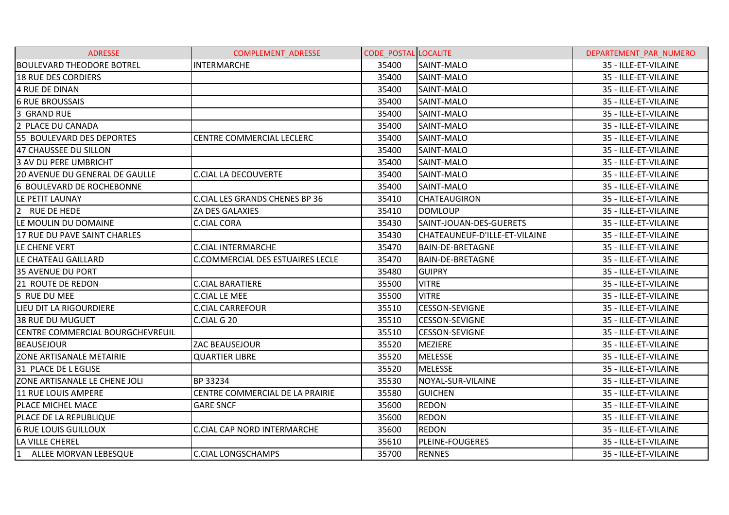| <b>ADRESSE</b>                        | <b>COMPLEMENT ADRESSE</b>               | <b>CODE POSTAL LOCALITE</b> |                               | DEPARTEMENT PAR NUMERO |
|---------------------------------------|-----------------------------------------|-----------------------------|-------------------------------|------------------------|
| <b>BOULEVARD THEODORE BOTREL</b>      | <b>INTERMARCHE</b>                      | 35400                       | SAINT-MALO                    | 35 - ILLE-ET-VILAINE   |
| <b>18 RUE DES CORDIERS</b>            |                                         | 35400                       | SAINT-MALO                    | 35 - ILLE-ET-VILAINE   |
| 4 RUE DE DINAN                        |                                         | 35400                       | SAINT-MALO                    | 35 - ILLE-ET-VILAINE   |
| <b>6 RUE BROUSSAIS</b>                |                                         | 35400                       | SAINT-MALO                    | 35 - ILLE-ET-VILAINE   |
| 3 GRAND RUE                           |                                         | 35400                       | SAINT-MALO                    | 35 - ILLE-ET-VILAINE   |
| 2 PLACE DU CANADA                     |                                         | 35400                       | SAINT-MALO                    | 35 - ILLE-ET-VILAINE   |
| 55 BOULEVARD DES DEPORTES             | <b>CENTRE COMMERCIAL LECLERC</b>        | 35400                       | SAINT-MALO                    | 35 - ILLE-ET-VILAINE   |
| 47 CHAUSSEE DU SILLON                 |                                         | 35400                       | SAINT-MALO                    | 35 - ILLE-ET-VILAINE   |
| 3 AV DU PERE UMBRICHT                 |                                         | 35400                       | SAINT-MALO                    | 35 - ILLE-ET-VILAINE   |
| <b>20 AVENUE DU GENERAL DE GAULLE</b> | C.CIAL LA DECOUVERTE                    | 35400                       | SAINT-MALO                    | 35 - ILLE-ET-VILAINE   |
| 6 BOULEVARD DE ROCHEBONNE             |                                         | 35400                       | SAINT-MALO                    | 35 - ILLE-ET-VILAINE   |
| LE PETIT LAUNAY                       | <b>C.CIAL LES GRANDS CHENES BP 36</b>   | 35410                       | <b>CHATEAUGIRON</b>           | 35 - ILLE-ET-VILAINE   |
| 2 RUE DE HEDE                         | ZA DES GALAXIES                         | 35410                       | <b>DOMLOUP</b>                | 35 - ILLE-ET-VILAINE   |
| LE MOULIN DU DOMAINE                  | <b>C.CIAL CORA</b>                      | 35430                       | SAINT-JOUAN-DES-GUERETS       | 35 - ILLE-ET-VILAINE   |
| 17 RUE DU PAVE SAINT CHARLES          |                                         | 35430                       | CHATEAUNEUF-D'ILLE-ET-VILAINE | 35 - ILLE-ET-VILAINE   |
| LE CHENE VERT                         | <b>C.CIAL INTERMARCHE</b>               | 35470                       | <b>BAIN-DE-BRETAGNE</b>       | 35 - ILLE-ET-VILAINE   |
| LE CHATEAU GAILLARD                   | <b>C.COMMERCIAL DES ESTUAIRES LECLE</b> | 35470                       | <b>BAIN-DE-BRETAGNE</b>       | 35 - ILLE-ET-VILAINE   |
| <b>35 AVENUE DU PORT</b>              |                                         | 35480                       | <b>GUIPRY</b>                 | 35 - ILLE-ET-VILAINE   |
| 21 ROUTE DE REDON                     | <b>C.CIAL BARATIERE</b>                 | 35500                       | <b>VITRE</b>                  | 35 - ILLE-ET-VILAINE   |
| 5 RUE DU MEE                          | <b>C.CIAL LE MEE</b>                    | 35500                       | <b>VITRE</b>                  | 35 - ILLE-ET-VILAINE   |
| LIEU DIT LA RIGOURDIERE               | <b>C.CIAL CARREFOUR</b>                 | 35510                       | <b>CESSON-SEVIGNE</b>         | 35 - ILLE-ET-VILAINE   |
| <b>38 RUE DU MUGUET</b>               | C.CIAL G 20                             | 35510                       | <b>CESSON-SEVIGNE</b>         | 35 - ILLE-ET-VILAINE   |
| CENTRE COMMERCIAL BOURGCHEVREUIL      |                                         | 35510                       | <b>CESSON-SEVIGNE</b>         | 35 - ILLE-ET-VILAINE   |
| <b>BEAUSEJOUR</b>                     | ZAC BEAUSEJOUR                          | 35520                       | <b>MEZIERE</b>                | 35 - ILLE-ET-VILAINE   |
| ZONE ARTISANALE METAIRIE              | <b>QUARTIER LIBRE</b>                   | 35520                       | <b>MELESSE</b>                | 35 - ILLE-ET-VILAINE   |
| 31 PLACE DE L EGLISE                  |                                         | 35520                       | <b>MELESSE</b>                | 35 - ILLE-ET-VILAINE   |
| ZONE ARTISANALE LE CHENE JOLI         | BP 33234                                | 35530                       | NOYAL-SUR-VILAINE             | 35 - ILLE-ET-VILAINE   |
| 11 RUE LOUIS AMPERE                   | CENTRE COMMERCIAL DE LA PRAIRIE         | 35580                       | <b>GUICHEN</b>                | 35 - ILLE-ET-VILAINE   |
| PLACE MICHEL MACE                     | <b>GARE SNCF</b>                        | 35600                       | <b>REDON</b>                  | 35 - ILLE-ET-VILAINE   |
| PLACE DE LA REPUBLIQUE                |                                         | 35600                       | <b>REDON</b>                  | 35 - ILLE-ET-VILAINE   |
| <b>6 RUE LOUIS GUILLOUX</b>           | C.CIAL CAP NORD INTERMARCHE             | 35600                       | <b>REDON</b>                  | 35 - ILLE-ET-VILAINE   |
| LA VILLE CHEREL                       |                                         | 35610                       | <b>PLEINE-FOUGERES</b>        | 35 - ILLE-ET-VILAINE   |
| ALLEE MORVAN LEBESQUE                 | C.CIAL LONGSCHAMPS                      | 35700                       | <b>RENNES</b>                 | 35 - ILLE-ET-VILAINE   |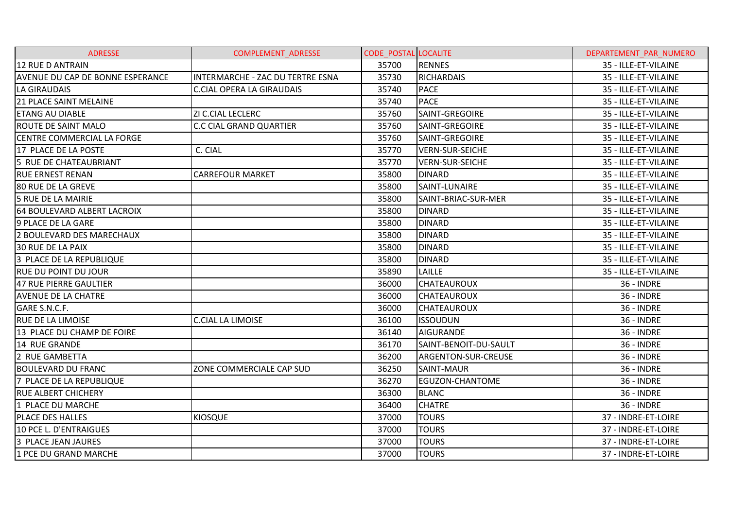| <b>ADRESSE</b>                   | <b>COMPLEMENT ADRESSE</b>               | <b>CODE POSTAL LOCALITE</b> |                        | DEPARTEMENT PAR NUMERO |
|----------------------------------|-----------------------------------------|-----------------------------|------------------------|------------------------|
| 12 RUE D ANTRAIN                 |                                         | 35700                       | <b>RENNES</b>          | 35 - ILLE-ET-VILAINE   |
| AVENUE DU CAP DE BONNE ESPERANCE | <b>INTERMARCHE - ZAC DU TERTRE ESNA</b> | 35730                       | <b>RICHARDAIS</b>      | 35 - ILLE-ET-VILAINE   |
| LA GIRAUDAIS                     | <b>C.CIAL OPERA LA GIRAUDAIS</b>        | 35740                       | <b>PACE</b>            | 35 - ILLE-ET-VILAINE   |
| 21 PLACE SAINT MELAINE           |                                         | 35740                       | <b>PACE</b>            | 35 - ILLE-ET-VILAINE   |
| <b>ETANG AU DIABLE</b>           | ZI C.CIAL LECLERC                       | 35760                       | SAINT-GREGOIRE         | 35 - ILLE-ET-VILAINE   |
| <b>ROUTE DE SAINT MALO</b>       | C.C CIAL GRAND QUARTIER                 | 35760                       | SAINT-GREGOIRE         | 35 - ILLE-ET-VILAINE   |
| CENTRE COMMERCIAL LA FORGE       |                                         | 35760                       | SAINT-GREGOIRE         | 35 - ILLE-ET-VILAINE   |
| 17 PLACE DE LA POSTE             | C. CIAL                                 | 35770                       | VERN-SUR-SEICHE        | 35 - ILLE-ET-VILAINE   |
| 5 RUE DE CHATEAUBRIANT           |                                         | 35770                       | VERN-SUR-SEICHE        | 35 - ILLE-ET-VILAINE   |
| <b>RUE ERNEST RENAN</b>          | <b>CARREFOUR MARKET</b>                 | 35800                       | <b>DINARD</b>          | 35 - ILLE-ET-VILAINE   |
| <b>80 RUE DE LA GREVE</b>        |                                         | 35800                       | SAINT-LUNAIRE          | 35 - ILLE-ET-VILAINE   |
| 5 RUE DE LA MAIRIE               |                                         | 35800                       | SAINT-BRIAC-SUR-MER    | 35 - ILLE-ET-VILAINE   |
| 64 BOULEVARD ALBERT LACROIX      |                                         | 35800                       | <b>DINARD</b>          | 35 - ILLE-ET-VILAINE   |
| 9 PLACE DE LA GARE               |                                         | 35800                       | <b>DINARD</b>          | 35 - ILLE-ET-VILAINE   |
| 2 BOULEVARD DES MARECHAUX        |                                         | 35800                       | <b>DINARD</b>          | 35 - ILLE-ET-VILAINE   |
| <b>30 RUE DE LA PAIX</b>         |                                         | 35800                       | <b>DINARD</b>          | 35 - ILLE-ET-VILAINE   |
| 3 PLACE DE LA REPUBLIQUE         |                                         | 35800                       | <b>DINARD</b>          | 35 - ILLE-ET-VILAINE   |
| <b>RUE DU POINT DU JOUR</b>      |                                         | 35890                       | <b>LAILLE</b>          | 35 - ILLE-ET-VILAINE   |
| 47 RUE PIERRE GAULTIER           |                                         | 36000                       | <b>CHATEAUROUX</b>     | <b>36 - INDRE</b>      |
| <b>AVENUE DE LA CHATRE</b>       |                                         | 36000                       | <b>CHATEAUROUX</b>     | <b>36 - INDRE</b>      |
| GARE S.N.C.F.                    |                                         | 36000                       | <b>CHATEAUROUX</b>     | <b>36 - INDRE</b>      |
| <b>RUE DE LA LIMOISE</b>         | <b>C.CIAL LA LIMOISE</b>                | 36100                       | <b>ISSOUDUN</b>        | <b>36 - INDRE</b>      |
| 13 PLACE DU CHAMP DE FOIRE       |                                         | 36140                       | AIGURANDE              | <b>36 - INDRE</b>      |
| 14 RUE GRANDE                    |                                         | 36170                       | SAINT-BENOIT-DU-SAULT  | <b>36 - INDRE</b>      |
| 2 RUE GAMBETTA                   |                                         | 36200                       | ARGENTON-SUR-CREUSE    | <b>36 - INDRE</b>      |
| <b>BOULEVARD DU FRANC</b>        | ZONE COMMERCIALE CAP SUD                | 36250                       | <b>SAINT-MAUR</b>      | <b>36 - INDRE</b>      |
| 7 PLACE DE LA REPUBLIQUE         |                                         | 36270                       | <b>EGUZON-CHANTOME</b> | <b>36 - INDRE</b>      |
| <b>RUE ALBERT CHICHERY</b>       |                                         | 36300                       | <b>BLANC</b>           | <b>36 - INDRE</b>      |
| 1 PLACE DU MARCHE                |                                         | 36400                       | <b>CHATRE</b>          | <b>36 - INDRE</b>      |
| PLACE DES HALLES                 | <b>KIOSQUE</b>                          | 37000                       | <b>TOURS</b>           | 37 - INDRE-ET-LOIRE    |
| 10 PCE L. D'ENTRAIGUES           |                                         | 37000                       | <b>TOURS</b>           | 37 - INDRE-ET-LOIRE    |
| 3 PLACE JEAN JAURES              |                                         | 37000                       | <b>TOURS</b>           | 37 - INDRE-ET-LOIRE    |
| 1 PCE DU GRAND MARCHE            |                                         | 37000                       | <b>TOURS</b>           | 37 - INDRE-ET-LOIRE    |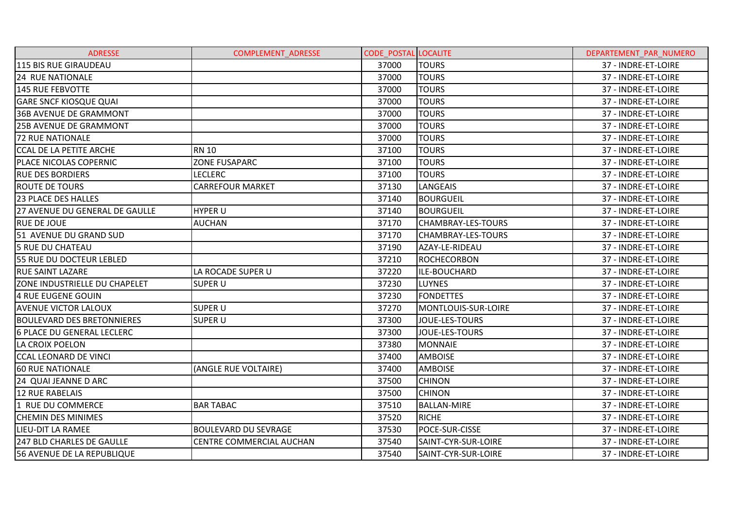| <b>ADRESSE</b>                    | <b>COMPLEMENT ADRESSE</b>   | <b>CODE POSTAL LOCALITE</b> |                           | DEPARTEMENT PAR NUMERO |
|-----------------------------------|-----------------------------|-----------------------------|---------------------------|------------------------|
| 115 BIS RUE GIRAUDEAU             |                             | 37000                       | <b>TOURS</b>              | 37 - INDRE-ET-LOIRE    |
| <b>24 RUE NATIONALE</b>           |                             | 37000                       | <b>TOURS</b>              | 37 - INDRE-ET-LOIRE    |
| 145 RUE FEBVOTTE                  |                             | 37000                       | <b>TOURS</b>              | 37 - INDRE-ET-LOIRE    |
| <b>GARE SNCF KIOSQUE QUAI</b>     |                             | 37000                       | <b>TOURS</b>              | 37 - INDRE-ET-LOIRE    |
| <b>36B AVENUE DE GRAMMONT</b>     |                             | 37000                       | <b>TOURS</b>              | 37 - INDRE-ET-LOIRE    |
| <b>25B AVENUE DE GRAMMONT</b>     |                             | 37000                       | <b>TOURS</b>              | 37 - INDRE-ET-LOIRE    |
| <b>72 RUE NATIONALE</b>           |                             | 37000                       | TOURS                     | 37 - INDRE-ET-LOIRE    |
| <b>CCAL DE LA PETITE ARCHE</b>    | <b>RN 10</b>                | 37100                       | <b>TOURS</b>              | 37 - INDRE-ET-LOIRE    |
| PLACE NICOLAS COPERNIC            | <b>ZONE FUSAPARC</b>        | 37100                       | <b>TOURS</b>              | 37 - INDRE-ET-LOIRE    |
| <b>RUE DES BORDIERS</b>           | <b>LECLERC</b>              | 37100                       | <b>TOURS</b>              | 37 - INDRE-ET-LOIRE    |
| <b>ROUTE DE TOURS</b>             | <b>CARREFOUR MARKET</b>     | 37130                       | LANGEAIS                  | 37 - INDRE-ET-LOIRE    |
| <b>23 PLACE DES HALLES</b>        |                             | 37140                       | <b>BOURGUEIL</b>          | 37 - INDRE-ET-LOIRE    |
| 27 AVENUE DU GENERAL DE GAULLE    | <b>HYPER U</b>              | 37140                       | <b>BOURGUEIL</b>          | 37 - INDRE-ET-LOIRE    |
| <b>RUE DE JOUE</b>                | <b>AUCHAN</b>               | 37170                       | <b>CHAMBRAY-LES-TOURS</b> | 37 - INDRE-ET-LOIRE    |
| 51 AVENUE DU GRAND SUD            |                             | 37170                       | <b>CHAMBRAY-LES-TOURS</b> | 37 - INDRE-ET-LOIRE    |
| <b>5 RUE DU CHATEAU</b>           |                             | 37190                       | AZAY-LE-RIDEAU            | 37 - INDRE-ET-LOIRE    |
| <b>55 RUE DU DOCTEUR LEBLED</b>   |                             | 37210                       | <b>ROCHECORBON</b>        | 37 - INDRE-ET-LOIRE    |
| <b>RUE SAINT LAZARE</b>           | LA ROCADE SUPER U           | 37220                       | ILE-BOUCHARD              | 37 - INDRE-ET-LOIRE    |
| ZONE INDUSTRIELLE DU CHAPELET     | <b>SUPER U</b>              | 37230                       | <b>LUYNES</b>             | 37 - INDRE-ET-LOIRE    |
| 4 RUE EUGENE GOUIN                |                             | 37230                       | <b>FONDETTES</b>          | 37 - INDRE-ET-LOIRE    |
| <b>AVENUE VICTOR LALOUX</b>       | <b>SUPER U</b>              | 37270                       | MONTLOUIS-SUR-LOIRE       | 37 - INDRE-ET-LOIRE    |
| <b>BOULEVARD DES BRETONNIERES</b> | <b>SUPER U</b>              | 37300                       | <b>JOUE-LES-TOURS</b>     | 37 - INDRE-ET-LOIRE    |
| <b>6 PLACE DU GENERAL LECLERC</b> |                             | 37300                       | JOUE-LES-TOURS            | 37 - INDRE-ET-LOIRE    |
| LA CROIX POELON                   |                             | 37380                       | <b>MONNAIE</b>            | 37 - INDRE-ET-LOIRE    |
| <b>CCAL LEONARD DE VINCI</b>      |                             | 37400                       | <b>AMBOISE</b>            | 37 - INDRE-ET-LOIRE    |
| <b>60 RUE NATIONALE</b>           | (ANGLE RUE VOLTAIRE)        | 37400                       | <b>AMBOISE</b>            | 37 - INDRE-ET-LOIRE    |
| 24 QUAI JEANNE D ARC              |                             | 37500                       | <b>CHINON</b>             | 37 - INDRE-ET-LOIRE    |
| <b>12 RUE RABELAIS</b>            |                             | 37500                       | <b>CHINON</b>             | 37 - INDRE-ET-LOIRE    |
| 1 RUE DU COMMERCE                 | <b>BAR TABAC</b>            | 37510                       | <b>BALLAN-MIRE</b>        | 37 - INDRE-ET-LOIRE    |
| <b>CHEMIN DES MINIMES</b>         |                             | 37520                       | <b>RICHE</b>              | 37 - INDRE-ET-LOIRE    |
| LIEU-DIT LA RAMEE                 | <b>BOULEVARD DU SEVRAGE</b> | 37530                       | POCE-SUR-CISSE            | 37 - INDRE-ET-LOIRE    |
| <b>247 BLD CHARLES DE GAULLE</b>  | CENTRE COMMERCIAL AUCHAN    | 37540                       | SAINT-CYR-SUR-LOIRE       | 37 - INDRE-ET-LOIRE    |
| 56 AVENUE DE LA REPUBLIQUE        |                             | 37540                       | SAINT-CYR-SUR-LOIRE       | 37 - INDRE-ET-LOIRE    |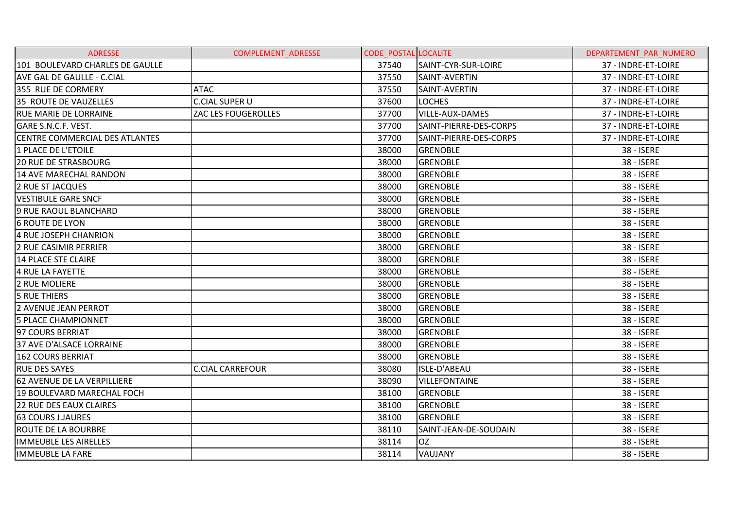| <b>ADRESSE</b>                        | <b>COMPLEMENT ADRESSE</b> | <b>CODE POSTAL LOCALITE</b> |                        | DEPARTEMENT PAR NUMERO |
|---------------------------------------|---------------------------|-----------------------------|------------------------|------------------------|
| 101 BOULEVARD CHARLES DE GAULLE       |                           | 37540                       | SAINT-CYR-SUR-LOIRE    | 37 - INDRE-ET-LOIRE    |
| <b>AVE GAL DE GAULLE - C.CIAL</b>     |                           | 37550                       | SAINT-AVERTIN          | 37 - INDRE-ET-LOIRE    |
| 355 RUE DE CORMERY                    | ATAC                      | 37550                       | SAINT-AVERTIN          | 37 - INDRE-ET-LOIRE    |
| 35 ROUTE DE VAUZELLES                 | <b>C.CIAL SUPER U</b>     | 37600                       | <b>LOCHES</b>          | 37 - INDRE-ET-LOIRE    |
| <b>RUE MARIE DE LORRAINE</b>          | ZAC LES FOUGEROLLES       | 37700                       | <b>VILLE-AUX-DAMES</b> | 37 - INDRE-ET-LOIRE    |
| GARE S.N.C.F. VEST.                   |                           | 37700                       | SAINT-PIERRE-DES-CORPS | 37 - INDRE-ET-LOIRE    |
| <b>CENTRE COMMERCIAL DES ATLANTES</b> |                           | 37700                       | SAINT-PIERRE-DES-CORPS | 37 - INDRE-ET-LOIRE    |
| 1 PLACE DE L'ETOILE                   |                           | 38000                       | <b>GRENOBLE</b>        | 38 - ISERE             |
| <b>20 RUE DE STRASBOURG</b>           |                           | 38000                       | <b>GRENOBLE</b>        | 38 - ISERE             |
| 14 AVE MARECHAL RANDON                |                           | 38000                       | <b>GRENOBLE</b>        | 38 - ISERE             |
| 2 RUE ST JACQUES                      |                           | 38000                       | <b>GRENOBLE</b>        | 38 - ISERE             |
| <b>VESTIBULE GARE SNCF</b>            |                           | 38000                       | <b>GRENOBLE</b>        | 38 - ISERE             |
| 9 RUE RAOUL BLANCHARD                 |                           | 38000                       | <b>GRENOBLE</b>        | 38 - ISERE             |
| <b>6 ROUTE DE LYON</b>                |                           | 38000                       | <b>GRENOBLE</b>        | 38 - ISERE             |
| 4 RUE JOSEPH CHANRION                 |                           | 38000                       | <b>GRENOBLE</b>        | 38 - ISERE             |
| 2 RUE CASIMIR PERRIER                 |                           | 38000                       | <b>GRENOBLE</b>        | 38 - ISERE             |
| 14 PLACE STE CLAIRE                   |                           | 38000                       | <b>GRENOBLE</b>        | 38 - ISERE             |
| 4 RUE LA FAYETTE                      |                           | 38000                       | <b>GRENOBLE</b>        | 38 - ISERE             |
| 2 RUE MOLIERE                         |                           | 38000                       | <b>GRENOBLE</b>        | 38 - ISERE             |
| <b>5 RUE THIERS</b>                   |                           | 38000                       | <b>GRENOBLE</b>        | 38 - ISERE             |
| 2 AVENUE JEAN PERROT                  |                           | 38000                       | <b>GRENOBLE</b>        | 38 - ISERE             |
| <b>5 PLACE CHAMPIONNET</b>            |                           | 38000                       | <b>GRENOBLE</b>        | 38 - ISERE             |
| 97 COURS BERRIAT                      |                           | 38000                       | <b>GRENOBLE</b>        | 38 - ISERE             |
| 37 AVE D'ALSACE LORRAINE              |                           | 38000                       | <b>GRENOBLE</b>        | 38 - ISERE             |
| 162 COURS BERRIAT                     |                           | 38000                       | <b>GRENOBLE</b>        | 38 - ISERE             |
| <b>RUE DES SAYES</b>                  | <b>C.CIAL CARREFOUR</b>   | 38080                       | <b>ISLE-D'ABEAU</b>    | 38 - ISERE             |
| <b>62 AVENUE DE LA VERPILLIERE</b>    |                           | 38090                       | <b>VILLEFONTAINE</b>   | 38 - ISERE             |
| 19 BOULEVARD MARECHAL FOCH            |                           | 38100                       | <b>GRENOBLE</b>        | 38 - ISERE             |
| <b>22 RUE DES EAUX CLAIRES</b>        |                           | 38100                       | <b>GRENOBLE</b>        | 38 - ISERE             |
| <b>63 COURS J.JAURES</b>              |                           | 38100                       | <b>GRENOBLE</b>        | 38 - ISERE             |
| <b>ROUTE DE LA BOURBRE</b>            |                           | 38110                       | SAINT-JEAN-DE-SOUDAIN  | 38 - ISERE             |
| <b>IMMEUBLE LES AIRELLES</b>          |                           | 38114                       | <b>OZ</b>              | 38 - ISERE             |
| <b>IMMEUBLE LA FARE</b>               |                           | 38114                       | VAUJANY                | 38 - ISERE             |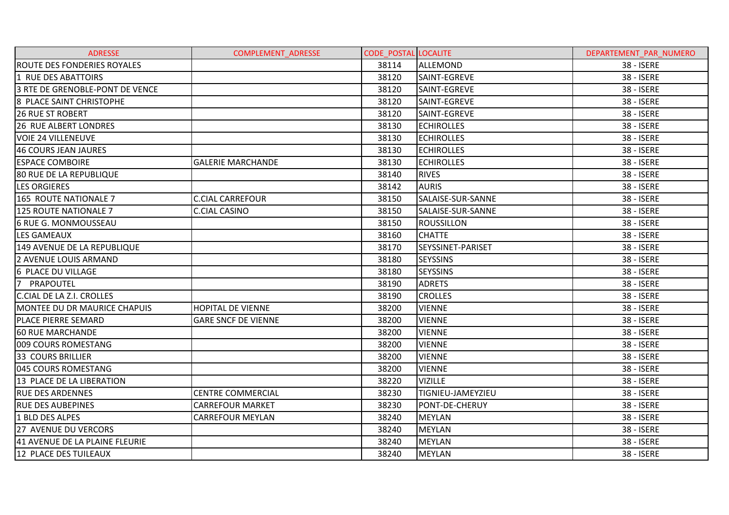| <b>ADRESSE</b>                     | COMPLEMENT_ADRESSE         | <b>CODE POSTAL LOCALITE</b> |                   | DEPARTEMENT PAR NUMERO |
|------------------------------------|----------------------------|-----------------------------|-------------------|------------------------|
| <b>ROUTE DES FONDERIES ROYALES</b> |                            | 38114                       | ALLEMOND          | 38 - ISERE             |
| 1 RUE DES ABATTOIRS                |                            | 38120                       | SAINT-EGREVE      | 38 - ISERE             |
| 3 RTE DE GRENOBLE-PONT DE VENCE    |                            | 38120                       | SAINT-EGREVE      | 38 - ISERE             |
| 8 PLACE SAINT CHRISTOPHE           |                            | 38120                       | SAINT-EGREVE      | 38 - ISERE             |
| <b>26 RUE ST ROBERT</b>            |                            | 38120                       | SAINT-EGREVE      | 38 - ISERE             |
| <b>26 RUE ALBERT LONDRES</b>       |                            | 38130                       | <b>ECHIROLLES</b> | 38 - ISERE             |
| <b>VOIE 24 VILLENEUVE</b>          |                            | 38130                       | <b>ECHIROLLES</b> | 38 - ISERE             |
| 46 COURS JEAN JAURES               |                            | 38130                       | <b>ECHIROLLES</b> | 38 - ISERE             |
| <b>ESPACE COMBOIRE</b>             | <b>GALERIE MARCHANDE</b>   | 38130                       | <b>ECHIROLLES</b> | 38 - ISERE             |
| <b>80 RUE DE LA REPUBLIQUE</b>     |                            | 38140                       | <b>RIVES</b>      | 38 - ISERE             |
| <b>LES ORGIERES</b>                |                            | 38142                       | <b>AURIS</b>      | 38 - ISERE             |
| 165 ROUTE NATIONALE 7              | <b>C.CIAL CARREFOUR</b>    | 38150                       | SALAISE-SUR-SANNE | 38 - ISERE             |
| 125 ROUTE NATIONALE 7              | <b>C.CIAL CASINO</b>       | 38150                       | SALAISE-SUR-SANNE | 38 - ISERE             |
| 6 RUE G. MONMOUSSEAU               |                            | 38150                       | <b>ROUSSILLON</b> | 38 - ISERE             |
| <b>LES GAMEAUX</b>                 |                            | 38160                       | <b>CHATTE</b>     | 38 - ISERE             |
| 149 AVENUE DE LA REPUBLIQUE        |                            | 38170                       | SEYSSINET-PARISET | 38 - ISERE             |
| 2 AVENUE LOUIS ARMAND              |                            | 38180                       | <b>SEYSSINS</b>   | 38 - ISERE             |
| 6 PLACE DU VILLAGE                 |                            | 38180                       | <b>SEYSSINS</b>   | 38 - ISERE             |
| <b>7</b><br>PRAPOUTEL              |                            | 38190                       | <b>ADRETS</b>     | 38 - ISERE             |
| C.CIAL DE LA Z.I. CROLLES          |                            | 38190                       | <b>CROLLES</b>    | 38 - ISERE             |
| MONTEE DU DR MAURICE CHAPUIS       | <b>HOPITAL DE VIENNE</b>   | 38200                       | <b>VIENNE</b>     | 38 - ISERE             |
| PLACE PIERRE SEMARD                | <b>GARE SNCF DE VIENNE</b> | 38200                       | <b>VIENNE</b>     | 38 - ISERE             |
| <b>60 RUE MARCHANDE</b>            |                            | 38200                       | <b>VIENNE</b>     | 38 - ISERE             |
| 009 COURS ROMESTANG                |                            | 38200                       | <b>VIENNE</b>     | 38 - ISERE             |
| <b>33 COURS BRILLIER</b>           |                            | 38200                       | <b>VIENNE</b>     | 38 - ISERE             |
| 045 COURS ROMESTANG                |                            | 38200                       | <b>VIENNE</b>     | 38 - ISERE             |
| 13 PLACE DE LA LIBERATION          |                            | 38220                       | <b>VIZILLE</b>    | 38 - ISERE             |
| <b>RUE DES ARDENNES</b>            | <b>CENTRE COMMERCIAL</b>   | 38230                       | TIGNIEU-JAMEYZIEU | 38 - ISERE             |
| <b>RUE DES AUBEPINES</b>           | <b>CARREFOUR MARKET</b>    | 38230                       | PONT-DE-CHERUY    | 38 - ISERE             |
| 1 BLD DES ALPES                    | <b>CARREFOUR MEYLAN</b>    | 38240                       | <b>MEYLAN</b>     | 38 - ISERE             |
| 27 AVENUE DU VERCORS               |                            | 38240                       | <b>MEYLAN</b>     | 38 - ISERE             |
| 41 AVENUE DE LA PLAINE FLEURIE     |                            | 38240                       | <b>MEYLAN</b>     | 38 - ISERE             |
| 12 PLACE DES TUILEAUX              |                            | 38240                       | <b>MEYLAN</b>     | 38 - ISERE             |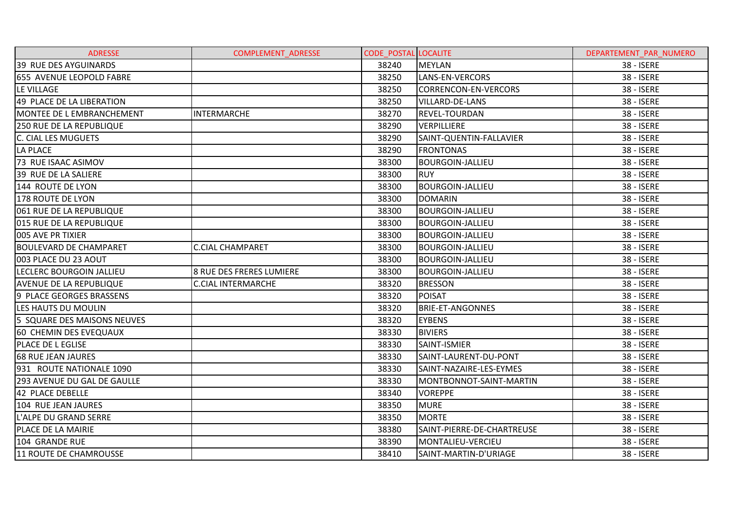| <b>ADRESSE</b>                 | <b>COMPLEMENT ADRESSE</b> | <b>CODE POSTAL LOCALITE</b> |                            | DEPARTEMENT PAR NUMERO |
|--------------------------------|---------------------------|-----------------------------|----------------------------|------------------------|
| 39 RUE DES AYGUINARDS          |                           | 38240                       | <b>MEYLAN</b>              | 38 - ISERE             |
| 655 AVENUE LEOPOLD FABRE       |                           | 38250                       | LANS-EN-VERCORS            | 38 - ISERE             |
| LE VILLAGE                     |                           | 38250                       | CORRENCON-EN-VERCORS       | 38 - ISERE             |
| 49 PLACE DE LA LIBERATION      |                           | 38250                       | <b>VILLARD-DE-LANS</b>     | 38 - ISERE             |
| MONTEE DE L EMBRANCHEMENT      | <b>INTERMARCHE</b>        | 38270                       | <b>REVEL-TOURDAN</b>       | 38 - ISERE             |
| 250 RUE DE LA REPUBLIQUE       |                           | 38290                       | VERPILLIERE                | 38 - ISERE             |
| C. CIAL LES MUGUETS            |                           | 38290                       | SAINT-QUENTIN-FALLAVIER    | 38 - ISERE             |
| <b>LA PLACE</b>                |                           | 38290                       | <b>FRONTONAS</b>           | 38 - ISERE             |
| 73 RUE ISAAC ASIMOV            |                           | 38300                       | <b>BOURGOIN-JALLIEU</b>    | 38 - ISERE             |
| 39 RUE DE LA SALIERE           |                           | 38300                       | <b>RUY</b>                 | 38 - ISERE             |
| 144 ROUTE DE LYON              |                           | 38300                       | <b>BOURGOIN-JALLIEU</b>    | 38 - ISERE             |
| 178 ROUTE DE LYON              |                           | 38300                       | <b>DOMARIN</b>             | 38 - ISERE             |
| 061 RUE DE LA REPUBLIQUE       |                           | 38300                       | <b>BOURGOIN-JALLIEU</b>    | 38 - ISERE             |
| 015 RUE DE LA REPUBLIQUE       |                           | 38300                       | <b>BOURGOIN-JALLIEU</b>    | 38 - ISERE             |
| 005 AVE PR TIXIER              |                           | 38300                       | <b>BOURGOIN-JALLIEU</b>    | 38 - ISERE             |
| <b>BOULEVARD DE CHAMPARET</b>  | <b>C.CIAL CHAMPARET</b>   | 38300                       | <b>BOURGOIN-JALLIEU</b>    | 38 - ISERE             |
| 003 PLACE DU 23 AOUT           |                           | 38300                       | <b>BOURGOIN-JALLIEU</b>    | 38 - ISERE             |
| LECLERC BOURGOIN JALLIEU       | 8 RUE DES FRERES LUMIERE  | 38300                       | <b>BOURGOIN-JALLIEU</b>    | 38 - ISERE             |
| <b>AVENUE DE LA REPUBLIQUE</b> | <b>C.CIAL INTERMARCHE</b> | 38320                       | <b>BRESSON</b>             | 38 - ISERE             |
| 9 PLACE GEORGES BRASSENS       |                           | 38320                       | <b>POISAT</b>              | 38 - ISERE             |
| LES HAUTS DU MOULIN            |                           | 38320                       | <b>BRIE-ET-ANGONNES</b>    | 38 - ISERE             |
| 5 SQUARE DES MAISONS NEUVES    |                           | 38320                       | <b>EYBENS</b>              | 38 - ISERE             |
| 60 CHEMIN DES EVEQUAUX         |                           | 38330                       | <b>BIVIERS</b>             | 38 - ISERE             |
| PLACE DE L EGLISE              |                           | 38330                       | SAINT-ISMIER               | 38 - ISERE             |
| <b>68 RUE JEAN JAURES</b>      |                           | 38330                       | SAINT-LAURENT-DU-PONT      | 38 - ISERE             |
| 931 ROUTE NATIONALE 1090       |                           | 38330                       | SAINT-NAZAIRE-LES-EYMES    | 38 - ISERE             |
| 293 AVENUE DU GAL DE GAULLE    |                           | 38330                       | MONTBONNOT-SAINT-MARTIN    | 38 - ISERE             |
| 42 PLACE DEBELLE               |                           | 38340                       | <b>VOREPPE</b>             | 38 - ISERE             |
| 104 RUE JEAN JAURES            |                           | 38350                       | <b>MURE</b>                | 38 - ISERE             |
| L'ALPE DU GRAND SERRE          |                           | 38350                       | <b>MORTE</b>               | 38 - ISERE             |
| PLACE DE LA MAIRIE             |                           | 38380                       | SAINT-PIERRE-DE-CHARTREUSE | 38 - ISERE             |
| 104 GRANDE RUE                 |                           | 38390                       | MONTALIEU-VERCIEU          | 38 - ISERE             |
| 11 ROUTE DE CHAMROUSSE         |                           | 38410                       | SAINT-MARTIN-D'URIAGE      | 38 - ISERE             |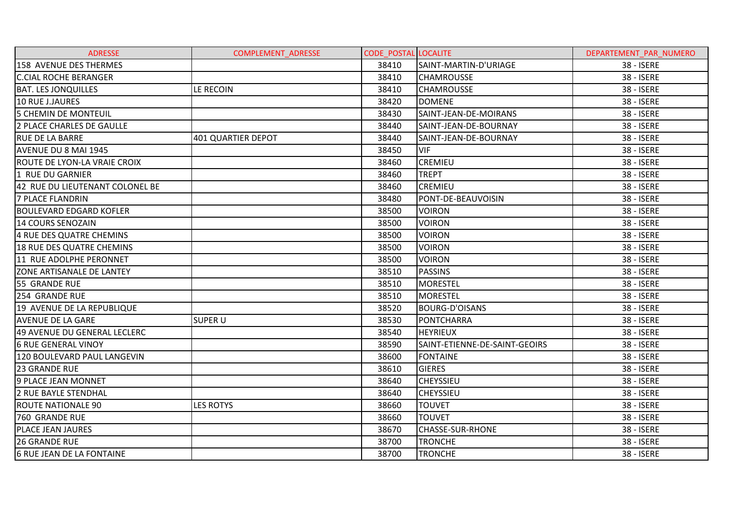| <b>ADRESSE</b>                      | <b>COMPLEMENT ADRESSE</b> | <b>CODE POSTAL LOCALITE</b> |                               | DEPARTEMENT PAR NUMERO |
|-------------------------------------|---------------------------|-----------------------------|-------------------------------|------------------------|
| 158 AVENUE DES THERMES              |                           | 38410                       | SAINT-MARTIN-D'URIAGE         | 38 - ISERE             |
| <b>C.CIAL ROCHE BERANGER</b>        |                           | 38410                       | <b>CHAMROUSSE</b>             | 38 - ISERE             |
| <b>BAT. LES JONQUILLES</b>          | LE RECOIN                 | 38410                       | <b>CHAMROUSSE</b>             | <b>38 - ISERE</b>      |
| 10 RUE J.JAURES                     |                           | 38420                       | <b>DOMENE</b>                 | 38 - ISERE             |
| 5 CHEMIN DE MONTEUIL                |                           | 38430                       | SAINT-JEAN-DE-MOIRANS         | 38 - ISERE             |
| 2 PLACE CHARLES DE GAULLE           |                           | 38440                       | SAINT-JEAN-DE-BOURNAY         | 38 - ISERE             |
| <b>RUE DE LA BARRE</b>              | 401 QUARTIER DEPOT        | 38440                       | SAINT-JEAN-DE-BOURNAY         | 38 - ISERE             |
| AVENUE DU 8 MAI 1945                |                           | 38450                       | <b>VIF</b>                    | 38 - ISERE             |
| <b>ROUTE DE LYON-LA VRAIE CROIX</b> |                           | 38460                       | <b>CREMIEU</b>                | 38 - ISERE             |
| 1 RUE DU GARNIER                    |                           | 38460                       | <b>TREPT</b>                  | 38 - ISERE             |
| 42 RUE DU LIEUTENANT COLONEL BE     |                           | 38460                       | <b>CREMIEU</b>                | 38 - ISERE             |
| 7 PLACE FLANDRIN                    |                           | 38480                       | PONT-DE-BEAUVOISIN            | 38 - ISERE             |
| <b>BOULEVARD EDGARD KOFLER</b>      |                           | 38500                       | <b>VOIRON</b>                 | 38 - ISERE             |
| 14 COURS SENOZAIN                   |                           | 38500                       | <b>VOIRON</b>                 | 38 - ISERE             |
| 4 RUE DES QUATRE CHEMINS            |                           | 38500                       | <b>VOIRON</b>                 | 38 - ISERE             |
| 18 RUE DES QUATRE CHEMINS           |                           | 38500                       | <b>VOIRON</b>                 | <b>38 - ISERE</b>      |
| 11 RUE ADOLPHE PERONNET             |                           | 38500                       | <b>VOIRON</b>                 | 38 - ISERE             |
| <b>ZONE ARTISANALE DE LANTEY</b>    |                           | 38510                       | <b>PASSINS</b>                | <b>38 - ISERE</b>      |
| 55 GRANDE RUE                       |                           | 38510                       | <b>MORESTEL</b>               | 38 - ISERE             |
| 254 GRANDE RUE                      |                           | 38510                       | <b>MORESTEL</b>               | 38 - ISERE             |
| 19 AVENUE DE LA REPUBLIQUE          |                           | 38520                       | <b>BOURG-D'OISANS</b>         | 38 - ISERE             |
| <b>AVENUE DE LA GARE</b>            | <b>SUPER U</b>            | 38530                       | <b>PONTCHARRA</b>             | 38 - ISERE             |
| 49 AVENUE DU GENERAL LECLERC        |                           | 38540                       | <b>HEYRIEUX</b>               | 38 - ISERE             |
| <b>6 RUE GENERAL VINOY</b>          |                           | 38590                       | SAINT-ETIENNE-DE-SAINT-GEOIRS | 38 - ISERE             |
| 120 BOULEVARD PAUL LANGEVIN         |                           | 38600                       | <b>FONTAINE</b>               | 38 - ISERE             |
| 23 GRANDE RUE                       |                           | 38610                       | <b>GIERES</b>                 | 38 - ISERE             |
| 9 PLACE JEAN MONNET                 |                           | 38640                       | <b>CHEYSSIEU</b>              | 38 - ISERE             |
| 2 RUE BAYLE STENDHAL                |                           | 38640                       | <b>CHEYSSIEU</b>              | 38 - ISERE             |
| <b>ROUTE NATIONALE 90</b>           | <b>LES ROTYS</b>          | 38660                       | <b>TOUVET</b>                 | 38 - ISERE             |
| <b>760 GRANDE RUE</b>               |                           | 38660                       | <b>TOUVET</b>                 | 38 - ISERE             |
| PLACE JEAN JAURES                   |                           | 38670                       | <b>CHASSE-SUR-RHONE</b>       | 38 - ISERE             |
| <b>26 GRANDE RUE</b>                |                           | 38700                       | <b>TRONCHE</b>                | 38 - ISERE             |
| <b>6 RUE JEAN DE LA FONTAINE</b>    |                           | 38700                       | <b>TRONCHE</b>                | 38 - ISERE             |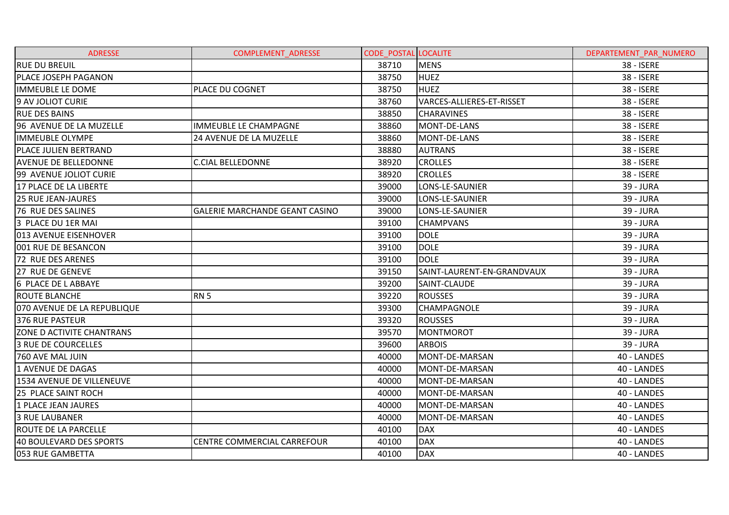| <b>ADRESSE</b>               | <b>COMPLEMENT ADRESSE</b>             | <b>CODE POSTAL LOCALITE</b> |                            | DEPARTEMENT PAR NUMERO |
|------------------------------|---------------------------------------|-----------------------------|----------------------------|------------------------|
| <b>RUE DU BREUIL</b>         |                                       | 38710                       | <b>MENS</b>                | 38 - ISERE             |
| <b>PLACE JOSEPH PAGANON</b>  |                                       | 38750                       | <b>HUEZ</b>                | 38 - ISERE             |
| <b>IMMEUBLE LE DOME</b>      | PLACE DU COGNET                       | 38750                       | <b>HUEZ</b>                | 38 - ISERE             |
| 9 AV JOLIOT CURIE            |                                       | 38760                       | VARCES-ALLIERES-ET-RISSET  | 38 - ISERE             |
| <b>RUE DES BAINS</b>         |                                       | 38850                       | <b>CHARAVINES</b>          | 38 - ISERE             |
| 96 AVENUE DE LA MUZELLE      | <b>IMMEUBLE LE CHAMPAGNE</b>          | 38860                       | MONT-DE-LANS               | 38 - ISERE             |
| <b>IMMEUBLE OLYMPE</b>       | 24 AVENUE DE LA MUZELLE               | 38860                       | MONT-DE-LANS               | 38 - ISERE             |
| <b>PLACE JULIEN BERTRAND</b> |                                       | 38880                       | <b>AUTRANS</b>             | 38 - ISERE             |
| <b>AVENUE DE BELLEDONNE</b>  | <b>C.CIAL BELLEDONNE</b>              | 38920                       | <b>CROLLES</b>             | 38 - ISERE             |
| 99 AVENUE JOLIOT CURIE       |                                       | 38920                       | <b>CROLLES</b>             | 38 - ISERE             |
| 17 PLACE DE LA LIBERTE       |                                       | 39000                       | LONS-LE-SAUNIER            | 39 - JURA              |
| <b>25 RUE JEAN-JAURES</b>    |                                       | 39000                       | LONS-LE-SAUNIER            | 39 - JURA              |
| 76 RUE DES SALINES           | <b>GALERIE MARCHANDE GEANT CASINO</b> | 39000                       | LONS-LE-SAUNIER            | 39 - JURA              |
| 3 PLACE DU 1ER MAI           |                                       | 39100                       | <b>CHAMPVANS</b>           | 39 - JURA              |
| 013 AVENUE EISENHOVER        |                                       | 39100                       | <b>DOLE</b>                | 39 - JURA              |
| 001 RUE DE BESANCON          |                                       | 39100                       | <b>DOLE</b>                | 39 - JURA              |
| 72 RUE DES ARENES            |                                       | 39100                       | <b>DOLE</b>                | 39 - JURA              |
| 27 RUE DE GENEVE             |                                       | 39150                       | SAINT-LAURENT-EN-GRANDVAUX | 39 - JURA              |
| 6 PLACE DE L ABBAYE          |                                       | 39200                       | SAINT-CLAUDE               | 39 - JURA              |
| <b>ROUTE BLANCHE</b>         | <b>RN 5</b>                           | 39220                       | <b>ROUSSES</b>             | 39 - JURA              |
| 070 AVENUE DE LA REPUBLIQUE  |                                       | 39300                       | <b>CHAMPAGNOLE</b>         | 39 - JURA              |
| 376 RUE PASTEUR              |                                       | 39320                       | <b>ROUSSES</b>             | 39 - JURA              |
| ZONE D ACTIVITE CHANTRANS    |                                       | 39570                       | <b>MONTMOROT</b>           | 39 - JURA              |
| <b>3 RUE DE COURCELLES</b>   |                                       | 39600                       | <b>ARBOIS</b>              | 39 - JURA              |
| 760 AVE MAL JUIN             |                                       | 40000                       | MONT-DE-MARSAN             | 40 - LANDES            |
| 1 AVENUE DE DAGAS            |                                       | 40000                       | MONT-DE-MARSAN             | 40 - LANDES            |
| 1534 AVENUE DE VILLENEUVE    |                                       | 40000                       | MONT-DE-MARSAN             | 40 - LANDES            |
| 25 PLACE SAINT ROCH          |                                       | 40000                       | MONT-DE-MARSAN             | 40 - LANDES            |
| 1 PLACE JEAN JAURES          |                                       | 40000                       | MONT-DE-MARSAN             | 40 - LANDES            |
| <b>3 RUE LAUBANER</b>        |                                       | 40000                       | MONT-DE-MARSAN             | 40 - LANDES            |
| <b>ROUTE DE LA PARCELLE</b>  |                                       | 40100                       | <b>DAX</b>                 | 40 - LANDES            |
| 40 BOULEVARD DES SPORTS      | CENTRE COMMERCIAL CARREFOUR           | 40100                       | <b>DAX</b>                 | 40 - LANDES            |
| 053 RUE GAMBETTA             |                                       | 40100                       | <b>DAX</b>                 | 40 - LANDES            |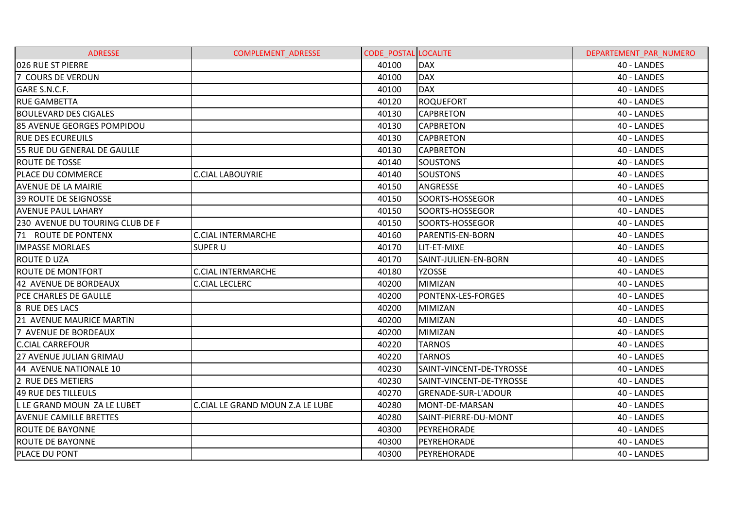| <b>ADRESSE</b>                  | COMPLEMENT_ADRESSE               | <b>CODE POSTAL LOCALITE</b> |                          | DEPARTEMENT PAR NUMERO |
|---------------------------------|----------------------------------|-----------------------------|--------------------------|------------------------|
| 026 RUE ST PIERRE               |                                  | 40100                       | <b>DAX</b>               | 40 - LANDES            |
| 7 COURS DE VERDUN               |                                  | 40100                       | <b>DAX</b>               | 40 - LANDES            |
| GARE S.N.C.F.                   |                                  | 40100                       | <b>DAX</b>               | 40 - LANDES            |
| <b>RUE GAMBETTA</b>             |                                  | 40120                       | <b>ROQUEFORT</b>         | 40 - LANDES            |
| <b>BOULEVARD DES CIGALES</b>    |                                  | 40130                       | <b>CAPBRETON</b>         | 40 - LANDES            |
| 85 AVENUE GEORGES POMPIDOU      |                                  | 40130                       | <b>CAPBRETON</b>         | 40 - LANDES            |
| <b>RUE DES ECUREUILS</b>        |                                  | 40130                       | <b>CAPBRETON</b>         | 40 - LANDES            |
| 55 RUE DU GENERAL DE GAULLE     |                                  | 40130                       | <b>CAPBRETON</b>         | 40 - LANDES            |
| <b>ROUTE DE TOSSE</b>           |                                  | 40140                       | <b>SOUSTONS</b>          | 40 - LANDES            |
| <b>PLACE DU COMMERCE</b>        | <b>C.CIAL LABOUYRIE</b>          | 40140                       | <b>SOUSTONS</b>          | 40 - LANDES            |
| <b>AVENUE DE LA MAIRIE</b>      |                                  | 40150                       | ANGRESSE                 | 40 - LANDES            |
| 39 ROUTE DE SEIGNOSSE           |                                  | 40150                       | SOORTS-HOSSEGOR          | 40 - LANDES            |
| <b>AVENUE PAUL LAHARY</b>       |                                  | 40150                       | SOORTS-HOSSEGOR          | 40 - LANDES            |
| 230 AVENUE DU TOURING CLUB DE F |                                  | 40150                       | SOORTS-HOSSEGOR          | 40 - LANDES            |
| 71 ROUTE DE PONTENX             | <b>C.CIAL INTERMARCHE</b>        | 40160                       | <b>PARENTIS-EN-BORN</b>  | 40 - LANDES            |
| <b>IMPASSE MORLAES</b>          | <b>SUPER U</b>                   | 40170                       | LIT-ET-MIXE              | 40 - LANDES            |
| <b>ROUTE D UZA</b>              |                                  | 40170                       | SAINT-JULIEN-EN-BORN     | 40 - LANDES            |
| <b>ROUTE DE MONTFORT</b>        | <b>C.CIAL INTERMARCHE</b>        | 40180                       | <b>YZOSSE</b>            | 40 - LANDES            |
| 42 AVENUE DE BORDEAUX           | <b>C.CIAL LECLERC</b>            | 40200                       | <b>MIMIZAN</b>           | 40 - LANDES            |
| <b>PCE CHARLES DE GAULLE</b>    |                                  | 40200                       | PONTENX-LES-FORGES       | 40 - LANDES            |
| 8 RUE DES LACS                  |                                  | 40200                       | <b>MIMIZAN</b>           | 40 - LANDES            |
| 21 AVENUE MAURICE MARTIN        |                                  | 40200                       | <b>MIMIZAN</b>           | 40 - LANDES            |
| 7 AVENUE DE BORDEAUX            |                                  | 40200                       | <b>MIMIZAN</b>           | 40 - LANDES            |
| <b>C.CIAL CARREFOUR</b>         |                                  | 40220                       | <b>TARNOS</b>            | 40 - LANDES            |
| 27 AVENUE JULIAN GRIMAU         |                                  | 40220                       | <b>TARNOS</b>            | 40 - LANDES            |
| 44 AVENUE NATIONALE 10          |                                  | 40230                       | SAINT-VINCENT-DE-TYROSSE | 40 - LANDES            |
| 2 RUE DES METIERS               |                                  | 40230                       | SAINT-VINCENT-DE-TYROSSE | 40 - LANDES            |
| 49 RUE DES TILLEULS             |                                  | 40270                       | GRENADE-SUR-L'ADOUR      | 40 - LANDES            |
| L LE GRAND MOUN ZA LE LUBET     | C.CIAL LE GRAND MOUN Z.A LE LUBE | 40280                       | MONT-DE-MARSAN           | 40 - LANDES            |
| <b>AVENUE CAMILLE BRETTES</b>   |                                  | 40280                       | SAINT-PIERRE-DU-MONT     | 40 - LANDES            |
| <b>ROUTE DE BAYONNE</b>         |                                  | 40300                       | PEYREHORADE              | 40 - LANDES            |
| <b>ROUTE DE BAYONNE</b>         |                                  | 40300                       | PEYREHORADE              | 40 - LANDES            |
| PLACE DU PONT                   |                                  | 40300                       | PEYREHORADE              | 40 - LANDES            |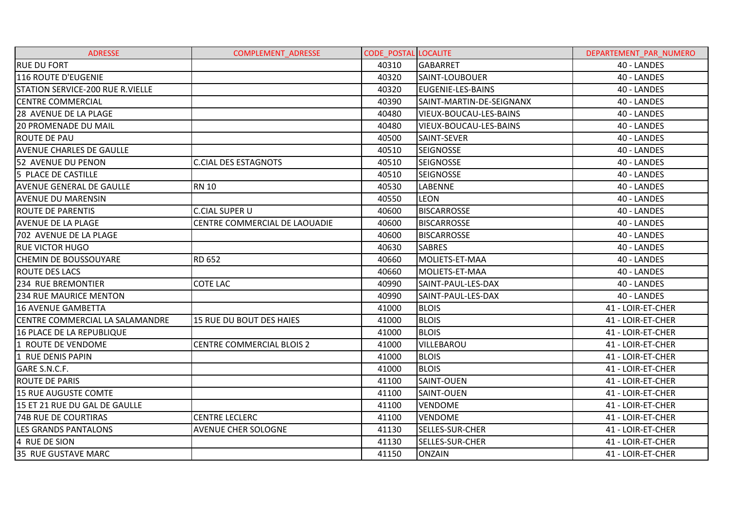| <b>ADRESSE</b>                   | COMPLEMENT_ADRESSE               | <b>CODE POSTAL LOCALITE</b> |                          | DEPARTEMENT PAR NUMERO |
|----------------------------------|----------------------------------|-----------------------------|--------------------------|------------------------|
| <b>RUE DU FORT</b>               |                                  | 40310                       | <b>GABARRET</b>          | 40 - LANDES            |
| 116 ROUTE D'EUGENIE              |                                  | 40320                       | SAINT-LOUBOUER           | 40 - LANDES            |
| STATION SERVICE-200 RUE R.VIELLE |                                  | 40320                       | <b>EUGENIE-LES-BAINS</b> | 40 - LANDES            |
| <b>CENTRE COMMERCIAL</b>         |                                  | 40390                       | SAINT-MARTIN-DE-SEIGNANX | 40 - LANDES            |
| 28 AVENUE DE LA PLAGE            |                                  | 40480                       | VIEUX-BOUCAU-LES-BAINS   | 40 - LANDES            |
| <b>20 PROMENADE DU MAIL</b>      |                                  | 40480                       | VIEUX-BOUCAU-LES-BAINS   | 40 - LANDES            |
| ROUTE DE PAU                     |                                  | 40500                       | SAINT-SEVER              | 40 - LANDES            |
| <b>AVENUE CHARLES DE GAULLE</b>  |                                  | 40510                       | <b>SEIGNOSSE</b>         | 40 - LANDES            |
| 52 AVENUE DU PENON               | <b>C.CIAL DES ESTAGNOTS</b>      | 40510                       | <b>SEIGNOSSE</b>         | 40 - LANDES            |
| 5 PLACE DE CASTILLE              |                                  | 40510                       | <b>SEIGNOSSE</b>         | 40 - LANDES            |
| <b>AVENUE GENERAL DE GAULLE</b>  | <b>RN 10</b>                     | 40530                       | LABENNE                  | 40 - LANDES            |
| <b>AVENUE DU MARENSIN</b>        |                                  | 40550                       | LEON                     | 40 - LANDES            |
| <b>ROUTE DE PARENTIS</b>         | <b>C.CIAL SUPER U</b>            | 40600                       | <b>BISCARROSSE</b>       | 40 - LANDES            |
| <b>AVENUE DE LA PLAGE</b>        | CENTRE COMMERCIAL DE LAOUADIE    | 40600                       | <b>BISCARROSSE</b>       | 40 - LANDES            |
| 702 AVENUE DE LA PLAGE           |                                  | 40600                       | <b>BISCARROSSE</b>       | 40 - LANDES            |
| <b>RUE VICTOR HUGO</b>           |                                  | 40630                       | <b>SABRES</b>            | 40 - LANDES            |
| <b>CHEMIN DE BOUSSOUYARE</b>     | RD 652                           | 40660                       | MOLIETS-ET-MAA           | 40 - LANDES            |
| <b>ROUTE DES LACS</b>            |                                  | 40660                       | MOLIETS-ET-MAA           | 40 - LANDES            |
| 234 RUE BREMONTIER               | <b>COTE LAC</b>                  | 40990                       | SAINT-PAUL-LES-DAX       | 40 - LANDES            |
| <b>234 RUE MAURICE MENTON</b>    |                                  | 40990                       | SAINT-PAUL-LES-DAX       | 40 - LANDES            |
| <b>16 AVENUE GAMBETTA</b>        |                                  | 41000                       | <b>BLOIS</b>             | 41 - LOIR-ET-CHER      |
| CENTRE COMMERCIAL LA SALAMANDRE  | 15 RUE DU BOUT DES HAIES         | 41000                       | <b>BLOIS</b>             | 41 - LOIR-ET-CHER      |
| 16 PLACE DE LA REPUBLIQUE        |                                  | 41000                       | <b>BLOIS</b>             | 41 - LOIR-ET-CHER      |
| 1 ROUTE DE VENDOME               | <b>CENTRE COMMERCIAL BLOIS 2</b> | 41000                       | VILLEBAROU               | 41 - LOIR-ET-CHER      |
| 1 RUE DENIS PAPIN                |                                  | 41000                       | <b>BLOIS</b>             | 41 - LOIR-ET-CHER      |
| GARE S.N.C.F.                    |                                  | 41000                       | <b>BLOIS</b>             | 41 - LOIR-ET-CHER      |
| <b>ROUTE DE PARIS</b>            |                                  | 41100                       | SAINT-OUEN               | 41 - LOIR-ET-CHER      |
| <b>15 RUE AUGUSTE COMTE</b>      |                                  | 41100                       | SAINT-OUEN               | 41 - LOIR-ET-CHER      |
| 15 ET 21 RUE DU GAL DE GAULLE    |                                  | 41100                       | <b>VENDOME</b>           | 41 - LOIR-ET-CHER      |
| <b>74B RUE DE COURTIRAS</b>      | <b>CENTRE LECLERC</b>            | 41100                       | <b>VENDOME</b>           | 41 - LOIR-ET-CHER      |
| <b>LES GRANDS PANTALONS</b>      | <b>AVENUE CHER SOLOGNE</b>       | 41130                       | SELLES-SUR-CHER          | 41 - LOIR-ET-CHER      |
| 4 RUE DE SION                    |                                  | 41130                       | SELLES-SUR-CHER          | 41 - LOIR-ET-CHER      |
| 35 RUE GUSTAVE MARC              |                                  | 41150                       | <b>ONZAIN</b>            | 41 - LOIR-ET-CHER      |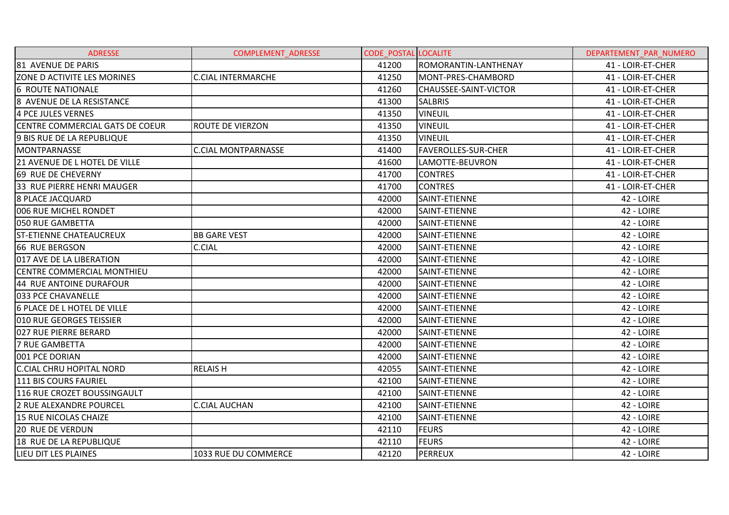| <b>ADRESSE</b>                         | <b>COMPLEMENT ADRESSE</b>  | <b>CODE POSTAL LOCALITE</b> |                            | DEPARTEMENT PAR NUMERO |
|----------------------------------------|----------------------------|-----------------------------|----------------------------|------------------------|
| 81 AVENUE DE PARIS                     |                            | 41200                       | ROMORANTIN-LANTHENAY       | 41 - LOIR-ET-CHER      |
| ZONE D ACTIVITE LES MORINES            | <b>C.CIAL INTERMARCHE</b>  | 41250                       | MONT-PRES-CHAMBORD         | 41 - LOIR-ET-CHER      |
| <b>6 ROUTE NATIONALE</b>               |                            | 41260                       | CHAUSSEE-SAINT-VICTOR      | 41 - LOIR-ET-CHER      |
| 8 AVENUE DE LA RESISTANCE              |                            | 41300                       | <b>SALBRIS</b>             | 41 - LOIR-ET-CHER      |
| 4 PCE JULES VERNES                     |                            | 41350                       | <b>VINEUIL</b>             | 41 - LOIR-ET-CHER      |
| <b>CENTRE COMMERCIAL GATS DE COEUR</b> | <b>ROUTE DE VIERZON</b>    | 41350                       | <b>VINEUIL</b>             | 41 - LOIR-ET-CHER      |
| <b>9 BIS RUE DE LA REPUBLIQUE</b>      |                            | 41350                       | <b>VINEUIL</b>             | 41 - LOIR-ET-CHER      |
| MONTPARNASSE                           | <b>C.CIAL MONTPARNASSE</b> | 41400                       | <b>FAVEROLLES-SUR-CHER</b> | 41 - LOIR-ET-CHER      |
| 21 AVENUE DE L HOTEL DE VILLE          |                            | 41600                       | LAMOTTE-BEUVRON            | 41 - LOIR-ET-CHER      |
| 69 RUE DE CHEVERNY                     |                            | 41700                       | <b>CONTRES</b>             | 41 - LOIR-ET-CHER      |
| 33 RUE PIERRE HENRI MAUGER             |                            | 41700                       | <b>CONTRES</b>             | 41 - LOIR-ET-CHER      |
| <b>8 PLACE JACQUARD</b>                |                            | 42000                       | SAINT-ETIENNE              | 42 - LOIRE             |
| 006 RUE MICHEL RONDET                  |                            | 42000                       | SAINT-ETIENNE              | 42 - LOIRE             |
| 050 RUE GAMBETTA                       |                            | 42000                       | SAINT-ETIENNE              | 42 - LOIRE             |
| <b>ST-ETIENNE CHATEAUCREUX</b>         | <b>BB GARE VEST</b>        | 42000                       | SAINT-ETIENNE              | 42 - LOIRE             |
| 66 RUE BERGSON                         | <b>C.CIAL</b>              | 42000                       | SAINT-ETIENNE              | 42 - LOIRE             |
| 017 AVE DE LA LIBERATION               |                            | 42000                       | SAINT-ETIENNE              | 42 - LOIRE             |
| <b>CENTRE COMMERCIAL MONTHIEU</b>      |                            | 42000                       | SAINT-ETIENNE              | 42 - LOIRE             |
| 44 RUE ANTOINE DURAFOUR                |                            | 42000                       | SAINT-ETIENNE              | 42 - LOIRE             |
| 033 PCE CHAVANELLE                     |                            | 42000                       | SAINT-ETIENNE              | 42 - LOIRE             |
| <b>6 PLACE DE L HOTEL DE VILLE</b>     |                            | 42000                       | SAINT-ETIENNE              | 42 - LOIRE             |
| <b>010 RUE GEORGES TEISSIER</b>        |                            | 42000                       | SAINT-ETIENNE              | 42 - LOIRE             |
| 027 RUE PIERRE BERARD                  |                            | 42000                       | SAINT-ETIENNE              | 42 - LOIRE             |
| <b>7 RUE GAMBETTA</b>                  |                            | 42000                       | SAINT-ETIENNE              | 42 - LOIRE             |
| 001 PCE DORIAN                         |                            | 42000                       | SAINT-ETIENNE              | 42 - LOIRE             |
| <b>C.CIAL CHRU HOPITAL NORD</b>        | <b>RELAISH</b>             | 42055                       | SAINT-ETIENNE              | 42 - LOIRE             |
| 111 BIS COURS FAURIEL                  |                            | 42100                       | SAINT-ETIENNE              | 42 - LOIRE             |
| 116 RUE CROZET BOUSSINGAULT            |                            | 42100                       | SAINT-ETIENNE              | 42 - LOIRE             |
| 2 RUE ALEXANDRE POURCEL                | <b>C.CIAL AUCHAN</b>       | 42100                       | SAINT-ETIENNE              | 42 - LOIRE             |
| 15 RUE NICOLAS CHAIZE                  |                            | 42100                       | SAINT-ETIENNE              | 42 - LOIRE             |
| <b>20 RUE DE VERDUN</b>                |                            | 42110                       | <b>FEURS</b>               | 42 - LOIRE             |
| 18 RUE DE LA REPUBLIQUE                |                            | 42110                       | <b>FEURS</b>               | 42 - LOIRE             |
| <b>LIEU DIT LES PLAINES</b>            | 1033 RUE DU COMMERCE       | 42120                       | PERREUX                    | 42 - LOIRE             |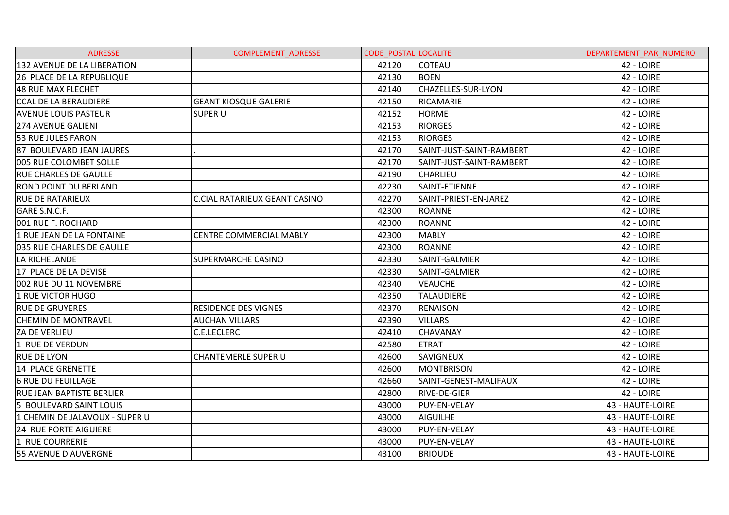| <b>ADRESSE</b>                   | <b>COMPLEMENT ADRESSE</b>            | <b>CODE POSTAL LOCALITE</b> |                           | DEPARTEMENT PAR NUMERO |
|----------------------------------|--------------------------------------|-----------------------------|---------------------------|------------------------|
| 132 AVENUE DE LA LIBERATION      |                                      | 42120                       | <b>COTEAU</b>             | 42 - LOIRE             |
| 26 PLACE DE LA REPUBLIQUE        |                                      | 42130                       | <b>BOEN</b>               | 42 - LOIRE             |
| 48 RUE MAX FLECHET               |                                      | 42140                       | <b>CHAZELLES-SUR-LYON</b> | 42 - LOIRE             |
| <b>CCAL DE LA BERAUDIERE</b>     | <b>GEANT KIOSQUE GALERIE</b>         | 42150                       | RICAMARIE                 | 42 - LOIRE             |
| <b>AVENUE LOUIS PASTEUR</b>      | <b>SUPER U</b>                       | 42152                       | <b>HORME</b>              | 42 - LOIRE             |
| <b>274 AVENUE GALIENI</b>        |                                      | 42153                       | <b>RIORGES</b>            | 42 - LOIRE             |
| 53 RUE JULES FARON               |                                      | 42153                       | <b>RIORGES</b>            | 42 - LOIRE             |
| 87 BOULEVARD JEAN JAURES         |                                      | 42170                       | SAINT-JUST-SAINT-RAMBERT  | 42 - LOIRE             |
| 005 RUE COLOMBET SOLLE           |                                      | 42170                       | SAINT-JUST-SAINT-RAMBERT  | 42 - LOIRE             |
| <b>RUE CHARLES DE GAULLE</b>     |                                      | 42190                       | <b>CHARLIEU</b>           | 42 - LOIRE             |
| <b>ROND POINT DU BERLAND</b>     |                                      | 42230                       | SAINT-ETIENNE             | 42 - LOIRE             |
| <b>RUE DE RATARIEUX</b>          | <b>C.CIAL RATARIEUX GEANT CASINO</b> | 42270                       | SAINT-PRIEST-EN-JAREZ     | 42 - LOIRE             |
| GARE S.N.C.F.                    |                                      | 42300                       | <b>ROANNE</b>             | 42 - LOIRE             |
| 001 RUE F. ROCHARD               |                                      | 42300                       | <b>ROANNE</b>             | 42 - LOIRE             |
| 1 RUE JEAN DE LA FONTAINE        | <b>CENTRE COMMERCIAL MABLY</b>       | 42300                       | <b>MABLY</b>              | 42 - LOIRE             |
| 035 RUE CHARLES DE GAULLE        |                                      | 42300                       | <b>ROANNE</b>             | 42 - LOIRE             |
| LA RICHELANDE                    | <b>SUPERMARCHE CASINO</b>            | 42330                       | SAINT-GALMIER             | 42 - LOIRE             |
| 17 PLACE DE LA DEVISE            |                                      | 42330                       | SAINT-GALMIER             | 42 - LOIRE             |
| 002 RUE DU 11 NOVEMBRE           |                                      | 42340                       | <b>VEAUCHE</b>            | 42 - LOIRE             |
| 1 RUE VICTOR HUGO                |                                      | 42350                       | <b>TALAUDIERE</b>         | 42 - LOIRE             |
| <b>RUE DE GRUYERES</b>           | <b>RESIDENCE DES VIGNES</b>          | 42370                       | <b>RENAISON</b>           | 42 - LOIRE             |
| <b>CHEMIN DE MONTRAVEL</b>       | <b>AUCHAN VILLARS</b>                | 42390                       | <b>VILLARS</b>            | 42 - LOIRE             |
| ZA DE VERLIEU                    | <b>C.E.LECLERC</b>                   | 42410                       | <b>CHAVANAY</b>           | 42 - LOIRE             |
| 1 RUE DE VERDUN                  |                                      | 42580                       | <b>ETRAT</b>              | 42 - LOIRE             |
| <b>RUE DE LYON</b>               | <b>CHANTEMERLE SUPER U</b>           | 42600                       | <b>SAVIGNEUX</b>          | 42 - LOIRE             |
| 14 PLACE GRENETTE                |                                      | 42600                       | <b>MONTBRISON</b>         | 42 - LOIRE             |
| <b>6 RUE DU FEUILLAGE</b>        |                                      | 42660                       | SAINT-GENEST-MALIFAUX     | 42 - LOIRE             |
| <b>RUE JEAN BAPTISTE BERLIER</b> |                                      | 42800                       | <b>RIVE-DE-GIER</b>       | 42 - LOIRE             |
| 5 BOULEVARD SAINT LOUIS          |                                      | 43000                       | PUY-EN-VELAY              | 43 - HAUTE-LOIRE       |
| 1 CHEMIN DE JALAVOUX - SUPER U   |                                      | 43000                       | <b>AIGUILHE</b>           | 43 - HAUTE-LOIRE       |
| <b>24 RUE PORTE AIGUIERE</b>     |                                      | 43000                       | PUY-EN-VELAY              | 43 - HAUTE-LOIRE       |
| 1 RUE COURRERIE                  |                                      | 43000                       | PUY-EN-VELAY              | 43 - HAUTE-LOIRE       |
| <b>55 AVENUE D AUVERGNE</b>      |                                      | 43100                       | <b>BRIOUDE</b>            | 43 - HAUTE-LOIRE       |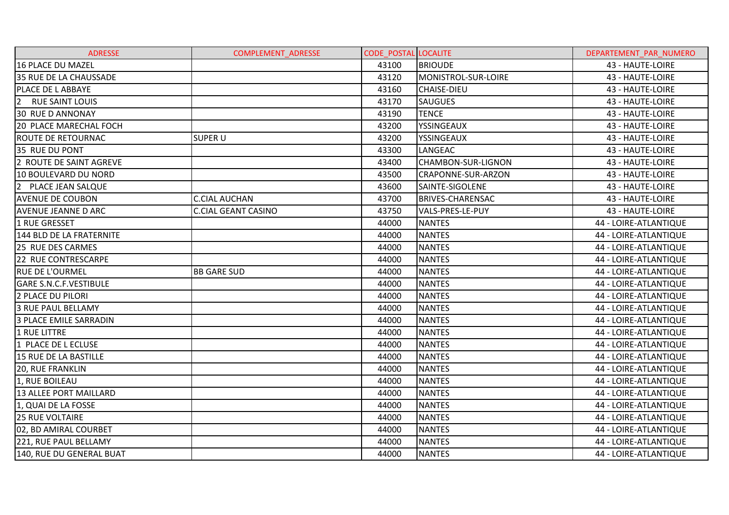| <b>ADRESSE</b>                       | <b>COMPLEMENT ADRESSE</b>  | <b>CODE POSTAL LOCALITE</b> |                           | DEPARTEMENT PAR NUMERO |
|--------------------------------------|----------------------------|-----------------------------|---------------------------|------------------------|
| 16 PLACE DU MAZEL                    |                            | 43100                       | <b>BRIOUDE</b>            | 43 - HAUTE-LOIRE       |
| 35 RUE DE LA CHAUSSADE               |                            | 43120                       | MONISTROL-SUR-LOIRE       | 43 - HAUTE-LOIRE       |
| PLACE DE L ABBAYE                    |                            | 43160                       | <b>CHAISE-DIEU</b>        | 43 - HAUTE-LOIRE       |
| $\overline{2}$<br>RUE SAINT LOUIS    |                            | 43170                       | <b>SAUGUES</b>            | 43 - HAUTE-LOIRE       |
| <b>30 RUE D ANNONAY</b>              |                            | 43190                       | <b>TENCE</b>              | 43 - HAUTE-LOIRE       |
| 20 PLACE MARECHAL FOCH               |                            | 43200                       | YSSINGEAUX                | 43 - HAUTE-LOIRE       |
| <b>ROUTE DE RETOURNAC</b>            | <b>SUPER U</b>             | 43200                       | YSSINGEAUX                | 43 - HAUTE-LOIRE       |
| 35 RUE DU PONT                       |                            | 43300                       | LANGEAC                   | 43 - HAUTE-LOIRE       |
| 2 ROUTE DE SAINT AGREVE              |                            | 43400                       | <b>CHAMBON-SUR-LIGNON</b> | 43 - HAUTE-LOIRE       |
| 10 BOULEVARD DU NORD                 |                            | 43500                       | CRAPONNE-SUR-ARZON        | 43 - HAUTE-LOIRE       |
| <b>2</b><br><b>PLACE JEAN SALQUE</b> |                            | 43600                       | SAINTE-SIGOLENE           | 43 - HAUTE-LOIRE       |
| <b>AVENUE DE COUBON</b>              | <b>C.CIAL AUCHAN</b>       | 43700                       | <b>BRIVES-CHARENSAC</b>   | 43 - HAUTE-LOIRE       |
| <b>AVENUE JEANNE D ARC</b>           | <b>C.CIAL GEANT CASINO</b> | 43750                       | VALS-PRES-LE-PUY          | 43 - HAUTE-LOIRE       |
| 1 RUE GRESSET                        |                            | 44000                       | <b>NANTES</b>             | 44 - LOIRE-ATLANTIQUE  |
| 144 BLD DE LA FRATERNITE             |                            | 44000                       | <b>NANTES</b>             | 44 - LOIRE-ATLANTIQUE  |
| 25 RUE DES CARMES                    |                            | 44000                       | <b>NANTES</b>             | 44 - LOIRE-ATLANTIQUE  |
| 22 RUE CONTRESCARPE                  |                            | 44000                       | <b>NANTES</b>             | 44 - LOIRE-ATLANTIQUE  |
| <b>RUE DE L'OURMEL</b>               | <b>BB GARE SUD</b>         | 44000                       | <b>NANTES</b>             | 44 - LOIRE-ATLANTIQUE  |
| <b>GARE S.N.C.F.VESTIBULE</b>        |                            | 44000                       | <b>NANTES</b>             | 44 - LOIRE-ATLANTIQUE  |
| <b>2 PLACE DU PILORI</b>             |                            | 44000                       | <b>NANTES</b>             | 44 - LOIRE-ATLANTIQUE  |
| <b>3 RUE PAUL BELLAMY</b>            |                            | 44000                       | <b>NANTES</b>             | 44 - LOIRE-ATLANTIQUE  |
| <b>3 PLACE EMILE SARRADIN</b>        |                            | 44000                       | <b>NANTES</b>             | 44 - LOIRE-ATLANTIQUE  |
| 1 RUE LITTRE                         |                            | 44000                       | <b>NANTES</b>             | 44 - LOIRE-ATLANTIQUE  |
| 1 PLACE DE L ECLUSE                  |                            | 44000                       | <b>NANTES</b>             | 44 - LOIRE-ATLANTIQUE  |
| 15 RUE DE LA BASTILLE                |                            | 44000                       | <b>NANTES</b>             | 44 - LOIRE-ATLANTIQUE  |
| <b>20, RUE FRANKLIN</b>              |                            | 44000                       | <b>NANTES</b>             | 44 - LOIRE-ATLANTIQUE  |
| 1, RUE BOILEAU                       |                            | 44000                       | <b>NANTES</b>             | 44 - LOIRE-ATLANTIQUE  |
| <b>13 ALLEE PORT MAILLARD</b>        |                            | 44000                       | <b>NANTES</b>             | 44 - LOIRE-ATLANTIQUE  |
| 1, QUAI DE LA FOSSE                  |                            | 44000                       | <b>NANTES</b>             | 44 - LOIRE-ATLANTIQUE  |
| <b>25 RUE VOLTAIRE</b>               |                            | 44000                       | <b>NANTES</b>             | 44 - LOIRE-ATLANTIQUE  |
| 02, BD AMIRAL COURBET                |                            | 44000                       | <b>NANTES</b>             | 44 - LOIRE-ATLANTIQUE  |
| 221, RUE PAUL BELLAMY                |                            | 44000                       | <b>NANTES</b>             | 44 - LOIRE-ATLANTIQUE  |
| 140, RUE DU GENERAL BUAT             |                            | 44000                       | <b>NANTES</b>             | 44 - LOIRE-ATLANTIQUE  |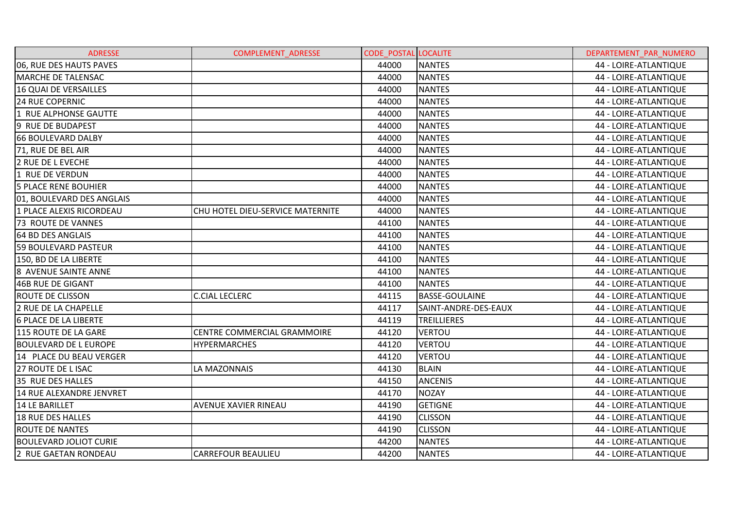| <b>ADRESSE</b>                | <b>COMPLEMENT ADRESSE</b>        | <b>CODE POSTAL LOCALITE</b> |                       | DEPARTEMENT PAR NUMERO |
|-------------------------------|----------------------------------|-----------------------------|-----------------------|------------------------|
| 06, RUE DES HAUTS PAVES       |                                  | 44000                       | <b>NANTES</b>         | 44 - LOIRE-ATLANTIQUE  |
| <b>MARCHE DE TALENSAC</b>     |                                  | 44000                       | <b>NANTES</b>         | 44 - LOIRE-ATLANTIQUE  |
| 16 QUAI DE VERSAILLES         |                                  | 44000                       | <b>NANTES</b>         | 44 - LOIRE-ATLANTIQUE  |
| <b>24 RUE COPERNIC</b>        |                                  | 44000                       | <b>NANTES</b>         | 44 - LOIRE-ATLANTIQUE  |
| 1 RUE ALPHONSE GAUTTE         |                                  | 44000                       | <b>NANTES</b>         | 44 - LOIRE-ATLANTIQUE  |
| 9 RUE DE BUDAPEST             |                                  | 44000                       | <b>NANTES</b>         | 44 - LOIRE-ATLANTIQUE  |
| <b>66 BOULEVARD DALBY</b>     |                                  | 44000                       | <b>NANTES</b>         | 44 - LOIRE-ATLANTIQUE  |
| 71, RUE DE BEL AIR            |                                  | 44000                       | <b>NANTES</b>         | 44 - LOIRE-ATLANTIQUE  |
| 2 RUE DE L EVECHE             |                                  | 44000                       | <b>NANTES</b>         | 44 - LOIRE-ATLANTIQUE  |
| 1 RUE DE VERDUN               |                                  | 44000                       | <b>NANTES</b>         | 44 - LOIRE-ATLANTIQUE  |
| <b>5 PLACE RENE BOUHIER</b>   |                                  | 44000                       | <b>NANTES</b>         | 44 - LOIRE-ATLANTIQUE  |
| 01, BOULEVARD DES ANGLAIS     |                                  | 44000                       | <b>NANTES</b>         | 44 - LOIRE-ATLANTIQUE  |
| 1 PLACE ALEXIS RICORDEAU      | CHU HOTEL DIEU-SERVICE MATERNITE | 44000                       | <b>NANTES</b>         | 44 - LOIRE-ATLANTIQUE  |
| <b>73 ROUTE DE VANNES</b>     |                                  | 44100                       | <b>NANTES</b>         | 44 - LOIRE-ATLANTIQUE  |
| 64 BD DES ANGLAIS             |                                  | 44100                       | <b>NANTES</b>         | 44 - LOIRE-ATLANTIQUE  |
| <b>59 BOULEVARD PASTEUR</b>   |                                  | 44100                       | <b>NANTES</b>         | 44 - LOIRE-ATLANTIQUE  |
| 150, BD DE LA LIBERTE         |                                  | 44100                       | <b>NANTES</b>         | 44 - LOIRE-ATLANTIQUE  |
| 8 AVENUE SAINTE ANNE          |                                  | 44100                       | <b>NANTES</b>         | 44 - LOIRE-ATLANTIQUE  |
| 46B RUE DE GIGANT             |                                  | 44100                       | <b>NANTES</b>         | 44 - LOIRE-ATLANTIQUE  |
| <b>ROUTE DE CLISSON</b>       | <b>C.CIAL LECLERC</b>            | 44115                       | <b>BASSE-GOULAINE</b> | 44 - LOIRE-ATLANTIQUE  |
| 2 RUE DE LA CHAPELLE          |                                  | 44117                       | SAINT-ANDRE-DES-EAUX  | 44 - LOIRE-ATLANTIQUE  |
| <b>6 PLACE DE LA LIBERTE</b>  |                                  | 44119                       | TREILLIERES           | 44 - LOIRE-ATLANTIQUE  |
| 115 ROUTE DE LA GARE          | CENTRE COMMERCIAL GRAMMOIRE      | 44120                       | <b>VERTOU</b>         | 44 - LOIRE-ATLANTIQUE  |
| <b>BOULEVARD DE L EUROPE</b>  | <b>HYPERMARCHES</b>              | 44120                       | <b>VERTOU</b>         | 44 - LOIRE-ATLANTIQUE  |
| 14 PLACE DU BEAU VERGER       |                                  | 44120                       | <b>VERTOU</b>         | 44 - LOIRE-ATLANTIQUE  |
| 27 ROUTE DE L ISAC            | LA MAZONNAIS                     | 44130                       | <b>BLAIN</b>          | 44 - LOIRE-ATLANTIQUE  |
| 35 RUE DES HALLES             |                                  | 44150                       | <b>ANCENIS</b>        | 44 - LOIRE-ATLANTIQUE  |
| 14 RUE ALEXANDRE JENVRET      |                                  | 44170                       | <b>NOZAY</b>          | 44 - LOIRE-ATLANTIQUE  |
| <b>14 LE BARILLET</b>         | <b>AVENUE XAVIER RINEAU</b>      | 44190                       | <b>GETIGNE</b>        | 44 - LOIRE-ATLANTIQUE  |
| 18 RUE DES HALLES             |                                  | 44190                       | <b>CLISSON</b>        | 44 - LOIRE-ATLANTIQUE  |
| <b>ROUTE DE NANTES</b>        |                                  | 44190                       | <b>CLISSON</b>        | 44 - LOIRE-ATLANTIQUE  |
| <b>BOULEVARD JOLIOT CURIE</b> |                                  | 44200                       | <b>NANTES</b>         | 44 - LOIRE-ATLANTIQUE  |
| 2 RUE GAETAN RONDEAU          | <b>CARREFOUR BEAULIEU</b>        | 44200                       | <b>NANTES</b>         | 44 - LOIRE-ATLANTIQUE  |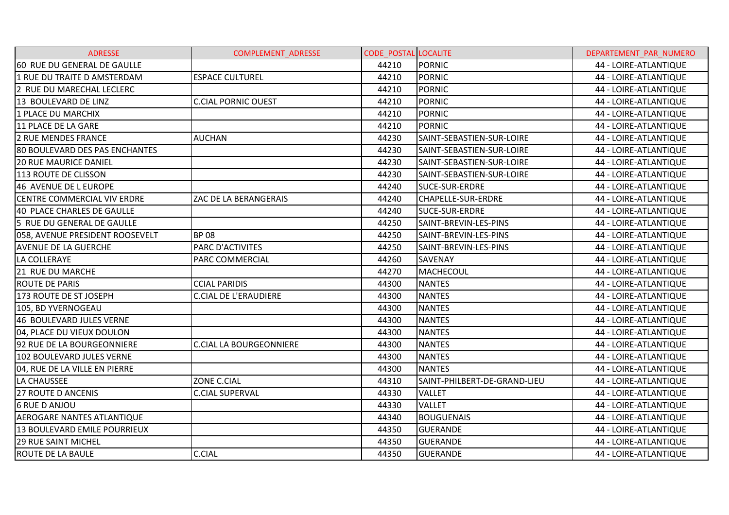| <b>ADRESSE</b>                        | <b>COMPLEMENT ADRESSE</b>      | <b>CODE POSTAL LOCALITE</b> |                              | DEPARTEMENT PAR NUMERO |
|---------------------------------------|--------------------------------|-----------------------------|------------------------------|------------------------|
| 60 RUE DU GENERAL DE GAULLE           |                                | 44210                       | <b>PORNIC</b>                | 44 - LOIRE-ATLANTIQUE  |
| 1 RUE DU TRAITE D AMSTERDAM           | <b>ESPACE CULTUREL</b>         | 44210                       | <b>PORNIC</b>                | 44 - LOIRE-ATLANTIQUE  |
| 2 RUE DU MARECHAL LECLERC             |                                | 44210                       | <b>PORNIC</b>                | 44 - LOIRE-ATLANTIQUE  |
| 13 BOULEVARD DE LINZ                  | <b>C.CIAL PORNIC OUEST</b>     | 44210                       | <b>PORNIC</b>                | 44 - LOIRE-ATLANTIQUE  |
| 1 PLACE DU MARCHIX                    |                                | 44210                       | <b>PORNIC</b>                | 44 - LOIRE-ATLANTIQUE  |
| 11 PLACE DE LA GARE                   |                                | 44210                       | <b>PORNIC</b>                | 44 - LOIRE-ATLANTIQUE  |
| <b>2 RUE MENDES FRANCE</b>            | <b>AUCHAN</b>                  | 44230                       | SAINT-SEBASTIEN-SUR-LOIRE    | 44 - LOIRE-ATLANTIQUE  |
| <b>80 BOULEVARD DES PAS ENCHANTES</b> |                                | 44230                       | SAINT-SEBASTIEN-SUR-LOIRE    | 44 - LOIRE-ATLANTIQUE  |
| <b>20 RUE MAURICE DANIEL</b>          |                                | 44230                       | SAINT-SEBASTIEN-SUR-LOIRE    | 44 - LOIRE-ATLANTIQUE  |
| 113 ROUTE DE CLISSON                  |                                | 44230                       | SAINT-SEBASTIEN-SUR-LOIRE    | 44 - LOIRE-ATLANTIQUE  |
| 46 AVENUE DE L EUROPE                 |                                | 44240                       | <b>SUCE-SUR-ERDRE</b>        | 44 - LOIRE-ATLANTIQUE  |
| <b>CENTRE COMMERCIAL VIV ERDRE</b>    | ZAC DE LA BERANGERAIS          | 44240                       | <b>CHAPELLE-SUR-ERDRE</b>    | 44 - LOIRE-ATLANTIQUE  |
| 40 PLACE CHARLES DE GAULLE            |                                | 44240                       | SUCE-SUR-ERDRE               | 44 - LOIRE-ATLANTIQUE  |
| 5 RUE DU GENERAL DE GAULLE            |                                | 44250                       | SAINT-BREVIN-LES-PINS        | 44 - LOIRE-ATLANTIQUE  |
| 058, AVENUE PRESIDENT ROOSEVELT       | <b>BP08</b>                    | 44250                       | SAINT-BREVIN-LES-PINS        | 44 - LOIRE-ATLANTIQUE  |
| <b>AVENUE DE LA GUERCHE</b>           | PARC D'ACTIVITES               | 44250                       | SAINT-BREVIN-LES-PINS        | 44 - LOIRE-ATLANTIQUE  |
| LA COLLERAYE                          | PARC COMMERCIAL                | 44260                       | <b>SAVENAY</b>               | 44 - LOIRE-ATLANTIQUE  |
| 21 RUE DU MARCHE                      |                                | 44270                       | MACHECOUL                    | 44 - LOIRE-ATLANTIQUE  |
| <b>ROUTE DE PARIS</b>                 | <b>CCIAL PARIDIS</b>           | 44300                       | <b>NANTES</b>                | 44 - LOIRE-ATLANTIQUE  |
| 173 ROUTE DE ST JOSEPH                | <b>C.CIAL DE L'ERAUDIERE</b>   | 44300                       | <b>NANTES</b>                | 44 - LOIRE-ATLANTIQUE  |
| 105, BD YVERNOGEAU                    |                                | 44300                       | <b>NANTES</b>                | 44 - LOIRE-ATLANTIQUE  |
| 46 BOULEVARD JULES VERNE              |                                | 44300                       | <b>NANTES</b>                | 44 - LOIRE-ATLANTIQUE  |
| 04, PLACE DU VIEUX DOULON             |                                | 44300                       | <b>NANTES</b>                | 44 - LOIRE-ATLANTIQUE  |
| 92 RUE DE LA BOURGEONNIERE            | <b>C.CIAL LA BOURGEONNIERE</b> | 44300                       | <b>NANTES</b>                | 44 - LOIRE-ATLANTIQUE  |
| 102 BOULEVARD JULES VERNE             |                                | 44300                       | <b>NANTES</b>                | 44 - LOIRE-ATLANTIQUE  |
| 04, RUE DE LA VILLE EN PIERRE         |                                | 44300                       | <b>NANTES</b>                | 44 - LOIRE-ATLANTIQUE  |
| LA CHAUSSEE                           | ZONE C.CIAL                    | 44310                       | SAINT-PHILBERT-DE-GRAND-LIEU | 44 - LOIRE-ATLANTIQUE  |
| <b>27 ROUTE D ANCENIS</b>             | <b>C.CIAL SUPERVAL</b>         | 44330                       | <b>VALLET</b>                | 44 - LOIRE-ATLANTIQUE  |
| <b>6 RUE D ANJOU</b>                  |                                | 44330                       | <b>VALLET</b>                | 44 - LOIRE-ATLANTIQUE  |
| <b>AEROGARE NANTES ATLANTIQUE</b>     |                                | 44340                       | <b>BOUGUENAIS</b>            | 44 - LOIRE-ATLANTIQUE  |
| 13 BOULEVARD EMILE POURRIEUX          |                                | 44350                       | <b>GUERANDE</b>              | 44 - LOIRE-ATLANTIQUE  |
| <b>29 RUE SAINT MICHEL</b>            |                                | 44350                       | <b>GUERANDE</b>              | 44 - LOIRE-ATLANTIQUE  |
| ROUTE DE LA BAULE                     | <b>C.CIAL</b>                  | 44350                       | <b>GUERANDE</b>              | 44 - LOIRE-ATLANTIQUE  |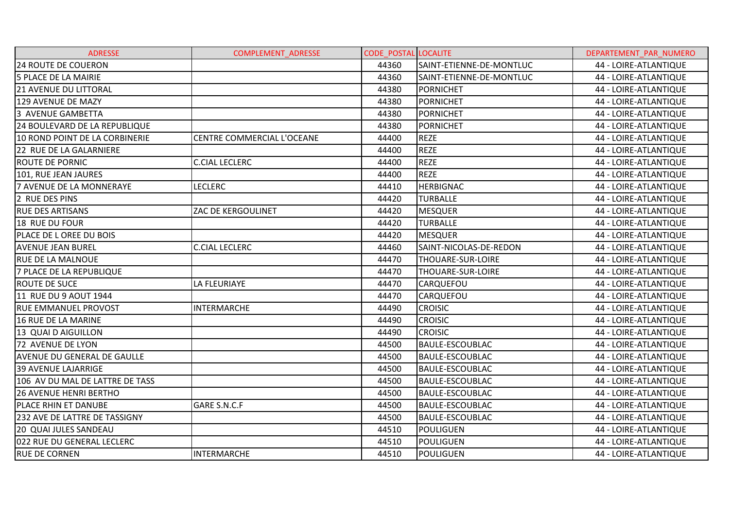| <b>ADRESSE</b>                       | <b>COMPLEMENT ADRESSE</b>  | <b>CODE_POSTAL LOCALITE</b> |                          | DEPARTEMENT PAR NUMERO |
|--------------------------------------|----------------------------|-----------------------------|--------------------------|------------------------|
| 24 ROUTE DE COUERON                  |                            | 44360                       | SAINT-ETIENNE-DE-MONTLUC | 44 - LOIRE-ATLANTIQUE  |
| 5 PLACE DE LA MAIRIE                 |                            | 44360                       | SAINT-ETIENNE-DE-MONTLUC | 44 - LOIRE-ATLANTIQUE  |
| <b>21 AVENUE DU LITTORAL</b>         |                            | 44380                       | <b>PORNICHET</b>         | 44 - LOIRE-ATLANTIQUE  |
| 129 AVENUE DE MAZY                   |                            | 44380                       | <b>PORNICHET</b>         | 44 - LOIRE-ATLANTIQUE  |
| 3 AVENUE GAMBETTA                    |                            | 44380                       | <b>PORNICHET</b>         | 44 - LOIRE-ATLANTIQUE  |
| 24 BOULEVARD DE LA REPUBLIQUE        |                            | 44380                       | <b>PORNICHET</b>         | 44 - LOIRE-ATLANTIQUE  |
| 10 ROND POINT DE LA CORBINERIE       | CENTRE COMMERCIAL L'OCEANE | 44400                       | <b>REZE</b>              | 44 - LOIRE-ATLANTIQUE  |
| <b>22 RUE DE LA GALARNIERE</b>       |                            | 44400                       | <b>REZE</b>              | 44 - LOIRE-ATLANTIQUE  |
| <b>ROUTE DE PORNIC</b>               | <b>C.CIAL LECLERC</b>      | 44400                       | <b>REZE</b>              | 44 - LOIRE-ATLANTIQUE  |
| 101, RUE JEAN JAURES                 |                            | 44400                       | <b>REZE</b>              | 44 - LOIRE-ATLANTIQUE  |
| 7 AVENUE DE LA MONNERAYE             | <b>LECLERC</b>             | 44410                       | <b>HERBIGNAC</b>         | 44 - LOIRE-ATLANTIQUE  |
| 2 RUE DES PINS                       |                            | 44420                       | TURBALLE                 | 44 - LOIRE-ATLANTIQUE  |
| <b>RUE DES ARTISANS</b>              | ZAC DE KERGOULINET         | 44420                       | <b>MESQUER</b>           | 44 - LOIRE-ATLANTIQUE  |
| 18 RUE DU FOUR                       |                            | 44420                       | TURBALLE                 | 44 - LOIRE-ATLANTIQUE  |
| PLACE DE L OREE DU BOIS              |                            | 44420                       | <b>MESQUER</b>           | 44 - LOIRE-ATLANTIQUE  |
| <b>AVENUE JEAN BUREL</b>             | <b>C.CIAL LECLERC</b>      | 44460                       | SAINT-NICOLAS-DE-REDON   | 44 - LOIRE-ATLANTIQUE  |
| <b>RUE DE LA MALNOUE</b>             |                            | 44470                       | THOUARE-SUR-LOIRE        | 44 - LOIRE-ATLANTIQUE  |
| 7 PLACE DE LA REPUBLIQUE             |                            | 44470                       | THOUARE-SUR-LOIRE        | 44 - LOIRE-ATLANTIQUE  |
| <b>ROUTE DE SUCE</b>                 | LA FLEURIAYE               | 44470                       | <b>CARQUEFOU</b>         | 44 - LOIRE-ATLANTIQUE  |
| 11 RUE DU 9 AOUT 1944                |                            | 44470                       | <b>CARQUEFOU</b>         | 44 - LOIRE-ATLANTIQUE  |
| RUE EMMANUEL PROVOST                 | <b>INTERMARCHE</b>         | 44490                       | <b>CROISIC</b>           | 44 - LOIRE-ATLANTIQUE  |
| 16 RUE DE LA MARINE                  |                            | 44490                       | <b>CROISIC</b>           | 44 - LOIRE-ATLANTIQUE  |
| 13 QUAI D AIGUILLON                  |                            | 44490                       | <b>CROISIC</b>           | 44 - LOIRE-ATLANTIQUE  |
| 72 AVENUE DE LYON                    |                            | 44500                       | <b>BAULE-ESCOUBLAC</b>   | 44 - LOIRE-ATLANTIQUE  |
| AVENUE DU GENERAL DE GAULLE          |                            | 44500                       | <b>BAULE-ESCOUBLAC</b>   | 44 - LOIRE-ATLANTIQUE  |
| <b>39 AVENUE LAJARRIGE</b>           |                            | 44500                       | <b>BAULE-ESCOUBLAC</b>   | 44 - LOIRE-ATLANTIQUE  |
| 106 AV DU MAL DE LATTRE DE TASS      |                            | 44500                       | <b>BAULE-ESCOUBLAC</b>   | 44 - LOIRE-ATLANTIQUE  |
| <b>26 AVENUE HENRI BERTHO</b>        |                            | 44500                       | <b>BAULE-ESCOUBLAC</b>   | 44 - LOIRE-ATLANTIQUE  |
| PLACE RHIN ET DANUBE                 | GARE S.N.C.F               | 44500                       | <b>BAULE-ESCOUBLAC</b>   | 44 - LOIRE-ATLANTIQUE  |
| <b>232 AVE DE LATTRE DE TASSIGNY</b> |                            | 44500                       | <b>BAULE-ESCOUBLAC</b>   | 44 - LOIRE-ATLANTIQUE  |
| 20 QUAI JULES SANDEAU                |                            | 44510                       | POULIGUEN                | 44 - LOIRE-ATLANTIQUE  |
| 022 RUE DU GENERAL LECLERC           |                            | 44510                       | <b>POULIGUEN</b>         | 44 - LOIRE-ATLANTIQUE  |
| <b>RUE DE CORNEN</b>                 | <b>INTERMARCHE</b>         | 44510                       | POULIGUEN                | 44 - LOIRE-ATLANTIQUE  |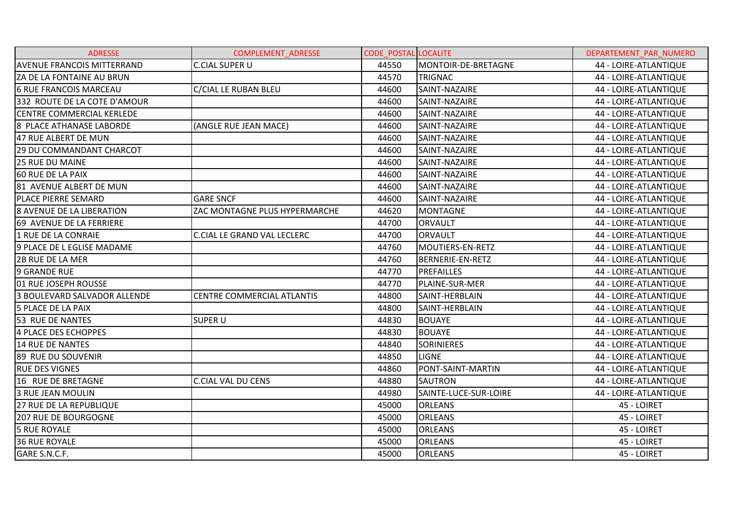| <b>ADRESSE</b>                    | <b>COMPLEMENT ADRESSE</b>          | <b>CODE POSTAL LOCALITE</b> |                         | DEPARTEMENT PAR NUMERO |
|-----------------------------------|------------------------------------|-----------------------------|-------------------------|------------------------|
| <b>AVENUE FRANCOIS MITTERRAND</b> | <b>C.CIAL SUPER U</b>              | 44550                       | MONTOIR-DE-BRETAGNE     | 44 - LOIRE-ATLANTIQUE  |
| ZA DE LA FONTAINE AU BRUN         |                                    | 44570                       | <b>TRIGNAC</b>          | 44 - LOIRE-ATLANTIQUE  |
| <b>6 RUE FRANCOIS MARCEAU</b>     | C/CIAL LE RUBAN BLEU               | 44600                       | SAINT-NAZAIRE           | 44 - LOIRE-ATLANTIQUE  |
| 332 ROUTE DE LA COTE D'AMOUR      |                                    | 44600                       | SAINT-NAZAIRE           | 44 - LOIRE-ATLANTIQUE  |
| <b>CENTRE COMMERCIAL KERLEDE</b>  |                                    | 44600                       | SAINT-NAZAIRE           | 44 - LOIRE-ATLANTIQUE  |
| 8 PLACE ATHANASE LABORDE          | (ANGLE RUE JEAN MACE)              | 44600                       | SAINT-NAZAIRE           | 44 - LOIRE-ATLANTIQUE  |
| 47 RUE ALBERT DE MUN              |                                    | 44600                       | SAINT-NAZAIRE           | 44 - LOIRE-ATLANTIQUE  |
| <b>29 DU COMMANDANT CHARCOT</b>   |                                    | 44600                       | SAINT-NAZAIRE           | 44 - LOIRE-ATLANTIQUE  |
| <b>25 RUE DU MAINE</b>            |                                    | 44600                       | SAINT-NAZAIRE           | 44 - LOIRE-ATLANTIQUE  |
| <b>60 RUE DE LA PAIX</b>          |                                    | 44600                       | SAINT-NAZAIRE           | 44 - LOIRE-ATLANTIQUE  |
| 81 AVENUE ALBERT DE MUN           |                                    | 44600                       | SAINT-NAZAIRE           | 44 - LOIRE-ATLANTIQUE  |
| <b>PLACE PIERRE SEMARD</b>        | <b>GARE SNCF</b>                   | 44600                       | SAINT-NAZAIRE           | 44 - LOIRE-ATLANTIQUE  |
| <b>8 AVENUE DE LA LIBERATION</b>  | ZAC MONTAGNE PLUS HYPERMARCHE      | 44620                       | <b>MONTAGNE</b>         | 44 - LOIRE-ATLANTIQUE  |
| 69 AVENUE DE LA FERRIERE          |                                    | 44700                       | <b>ORVAULT</b>          | 44 - LOIRE-ATLANTIQUE  |
| 1 RUE DE LA CONRAIE               | <b>C.CIAL LE GRAND VAL LECLERC</b> | 44700                       | <b>ORVAULT</b>          | 44 - LOIRE-ATLANTIQUE  |
| 9 PLACE DE L EGLISE MADAME        |                                    | 44760                       | MOUTIERS-EN-RETZ        | 44 - LOIRE-ATLANTIQUE  |
| 2B RUE DE LA MER                  |                                    | 44760                       | <b>BERNERIE-EN-RETZ</b> | 44 - LOIRE-ATLANTIQUE  |
| <b>9 GRANDE RUE</b>               |                                    | 44770                       | <b>PREFAILLES</b>       | 44 - LOIRE-ATLANTIQUE  |
| 01 RUE JOSEPH ROUSSE              |                                    | 44770                       | PLAINE-SUR-MER          | 44 - LOIRE-ATLANTIQUE  |
| 3 BOULEVARD SALVADOR ALLENDE      | <b>CENTRE COMMERCIAL ATLANTIS</b>  | 44800                       | SAINT-HERBLAIN          | 44 - LOIRE-ATLANTIQUE  |
| 5 PLACE DE LA PAIX                |                                    | 44800                       | SAINT-HERBLAIN          | 44 - LOIRE-ATLANTIQUE  |
| 53 RUE DE NANTES                  | <b>SUPER U</b>                     | 44830                       | <b>BOUAYE</b>           | 44 - LOIRE-ATLANTIQUE  |
| 4 PLACE DES ECHOPPES              |                                    | 44830                       | <b>BOUAYE</b>           | 44 - LOIRE-ATLANTIQUE  |
| 14 RUE DE NANTES                  |                                    | 44840                       | <b>SORINIERES</b>       | 44 - LOIRE-ATLANTIQUE  |
| 89 RUE DU SOUVENIR                |                                    | 44850                       | <b>LIGNE</b>            | 44 - LOIRE-ATLANTIQUE  |
| <b>RUE DES VIGNES</b>             |                                    | 44860                       | PONT-SAINT-MARTIN       | 44 - LOIRE-ATLANTIQUE  |
| 16 RUE DE BRETAGNE                | <b>C.CIAL VAL DU CENS</b>          | 44880                       | <b>SAUTRON</b>          | 44 - LOIRE-ATLANTIQUE  |
| <b>3 RUE JEAN MOULIN</b>          |                                    | 44980                       | SAINTE-LUCE-SUR-LOIRE   | 44 - LOIRE-ATLANTIQUE  |
| <b>27 RUE DE LA REPUBLIQUE</b>    |                                    | 45000                       | <b>ORLEANS</b>          | 45 - LOIRET            |
| <b>207 RUE DE BOURGOGNE</b>       |                                    | 45000                       | <b>ORLEANS</b>          | 45 - LOIRET            |
| <b>5 RUE ROYALE</b>               |                                    | 45000                       | <b>ORLEANS</b>          | 45 - LOIRET            |
| <b>36 RUE ROYALE</b>              |                                    | 45000                       | <b>ORLEANS</b>          | 45 - LOIRET            |
| GARE S.N.C.F.                     |                                    | 45000                       | <b>ORLEANS</b>          | 45 - LOIRET            |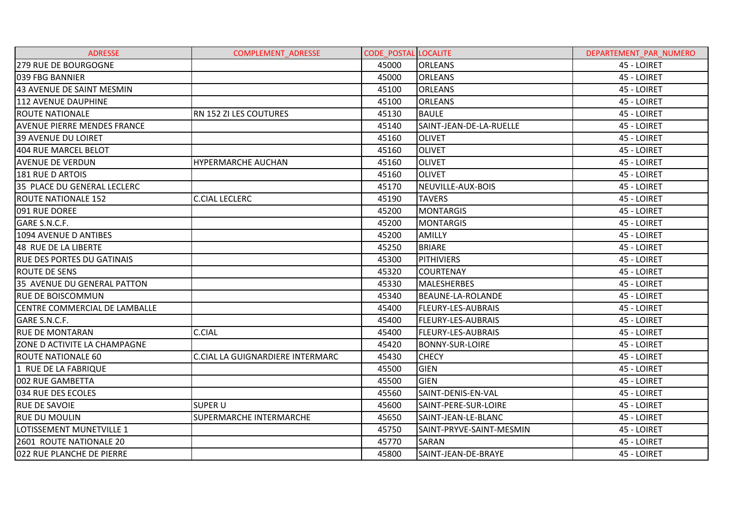| <b>ADRESSE</b>                     | <b>COMPLEMENT ADRESSE</b>               | <b>CODE POSTAL LOCALITE</b> |                           | DEPARTEMENT PAR NUMERO |
|------------------------------------|-----------------------------------------|-----------------------------|---------------------------|------------------------|
| 279 RUE DE BOURGOGNE               |                                         | 45000                       | <b>ORLEANS</b>            | 45 - LOIRET            |
| 039 FBG BANNIER                    |                                         | 45000                       | <b>ORLEANS</b>            | 45 - LOIRET            |
| 43 AVENUE DE SAINT MESMIN          |                                         | 45100                       | <b>ORLEANS</b>            | 45 - LOIRET            |
| 112 AVENUE DAUPHINE                |                                         | 45100                       | <b>ORLEANS</b>            | 45 - LOIRET            |
| <b>ROUTE NATIONALE</b>             | RN 152 ZI LES COUTURES                  | 45130                       | <b>BAULE</b>              | 45 - LOIRET            |
| <b>AVENUE PIERRE MENDES FRANCE</b> |                                         | 45140                       | SAINT-JEAN-DE-LA-RUELLE   | 45 - LOIRET            |
| <b>39 AVENUE DU LOIRET</b>         |                                         | 45160                       | <b>OLIVET</b>             | 45 - LOIRET            |
| 404 RUE MARCEL BELOT               |                                         | 45160                       | <b>OLIVET</b>             | 45 - LOIRET            |
| <b>AVENUE DE VERDUN</b>            | <b>HYPERMARCHE AUCHAN</b>               | 45160                       | <b>OLIVET</b>             | 45 - LOIRET            |
| 181 RUE D ARTOIS                   |                                         | 45160                       | <b>OLIVET</b>             | 45 - LOIRET            |
| 35 PLACE DU GENERAL LECLERC        |                                         | 45170                       | NEUVILLE-AUX-BOIS         | 45 - LOIRET            |
| <b>ROUTE NATIONALE 152</b>         | <b>C.CIAL LECLERC</b>                   | 45190                       | <b>TAVERS</b>             | 45 - LOIRET            |
| 091 RUE DOREE                      |                                         | 45200                       | <b>MONTARGIS</b>          | 45 - LOIRET            |
| GARE S.N.C.F.                      |                                         | 45200                       | <b>MONTARGIS</b>          | 45 - LOIRET            |
| 1094 AVENUE D ANTIBES              |                                         | 45200                       | AMILLY                    | 45 - LOIRET            |
| 48 RUE DE LA LIBERTE               |                                         | 45250                       | <b>BRIARE</b>             | 45 - LOIRET            |
| <b>RUE DES PORTES DU GATINAIS</b>  |                                         | 45300                       | <b>PITHIVIERS</b>         | 45 - LOIRET            |
| <b>ROUTE DE SENS</b>               |                                         | 45320                       | <b>COURTENAY</b>          | 45 - LOIRET            |
| 35 AVENUE DU GENERAL PATTON        |                                         | 45330                       | <b>MALESHERBES</b>        | 45 - LOIRET            |
| <b>RUE DE BOISCOMMUN</b>           |                                         | 45340                       | BEAUNE-LA-ROLANDE         | 45 - LOIRET            |
| CENTRE COMMERCIAL DE LAMBALLE      |                                         | 45400                       | <b>FLEURY-LES-AUBRAIS</b> | 45 - LOIRET            |
| GARE S.N.C.F.                      |                                         | 45400                       | <b>FLEURY-LES-AUBRAIS</b> | 45 - LOIRET            |
| <b>RUE DE MONTARAN</b>             | <b>C.CIAL</b>                           | 45400                       | <b>FLEURY-LES-AUBRAIS</b> | 45 - LOIRET            |
| ZONE D ACTIVITE LA CHAMPAGNE       |                                         | 45420                       | <b>BONNY-SUR-LOIRE</b>    | 45 - LOIRET            |
| <b>ROUTE NATIONALE 60</b>          | <b>C.CIAL LA GUIGNARDIERE INTERMARC</b> | 45430                       | <b>CHECY</b>              | 45 - LOIRET            |
| 1 RUE DE LA FABRIQUE               |                                         | 45500                       | <b>GIEN</b>               | 45 - LOIRET            |
| 002 RUE GAMBETTA                   |                                         | 45500                       | <b>GIEN</b>               | 45 - LOIRET            |
| 034 RUE DES ECOLES                 |                                         | 45560                       | SAINT-DENIS-EN-VAL        | 45 - LOIRET            |
| <b>RUE DE SAVOIE</b>               | <b>SUPER U</b>                          | 45600                       | SAINT-PERE-SUR-LOIRE      | 45 - LOIRET            |
| <b>RUE DU MOULIN</b>               | <b>SUPERMARCHE INTERMARCHE</b>          | 45650                       | SAINT-JEAN-LE-BLANC       | 45 - LOIRET            |
| LOTISSEMENT MUNETVILLE 1           |                                         | 45750                       | SAINT-PRYVE-SAINT-MESMIN  | 45 - LOIRET            |
| 2601 ROUTE NATIONALE 20            |                                         | 45770                       | SARAN                     | 45 - LOIRET            |
| 022 RUE PLANCHE DE PIERRE          |                                         | 45800                       | SAINT-JEAN-DE-BRAYE       | 45 - LOIRET            |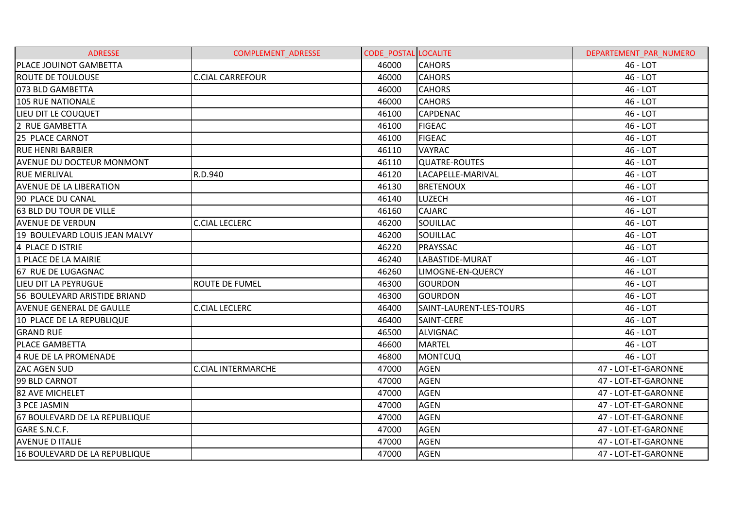| <b>ADRESSE</b>                   | <b>COMPLEMENT ADRESSE</b> | <b>CODE POSTAL LOCALITE</b> |                         | DEPARTEMENT PAR NUMERO |
|----------------------------------|---------------------------|-----------------------------|-------------------------|------------------------|
| <b>PLACE JOUINOT GAMBETTA</b>    |                           | 46000                       | <b>CAHORS</b>           | 46 - LOT               |
| <b>ROUTE DE TOULOUSE</b>         | <b>C.CIAL CARREFOUR</b>   | 46000                       | <b>CAHORS</b>           | 46 - LOT               |
| 073 BLD GAMBETTA                 |                           | 46000                       | <b>CAHORS</b>           | 46 - LOT               |
| 105 RUE NATIONALE                |                           | 46000                       | <b>CAHORS</b>           | 46 - LOT               |
| LIEU DIT LE COUQUET              |                           | 46100                       | <b>CAPDENAC</b>         | 46 - LOT               |
| 2 RUE GAMBETTA                   |                           | 46100                       | <b>FIGEAC</b>           | 46 - LOT               |
| 25 PLACE CARNOT                  |                           | 46100                       | <b>FIGEAC</b>           | 46 - LOT               |
| <b>RUE HENRI BARBIER</b>         |                           | 46110                       | <b>VAYRAC</b>           | 46 - LOT               |
| <b>AVENUE DU DOCTEUR MONMONT</b> |                           | 46110                       | <b>QUATRE-ROUTES</b>    | 46 - LOT               |
| <b>RUE MERLIVAL</b>              | R.D.940                   | 46120                       | LACAPELLE-MARIVAL       | 46 - LOT               |
| <b>AVENUE DE LA LIBERATION</b>   |                           | 46130                       | <b>BRETENOUX</b>        | 46 - LOT               |
| 90 PLACE DU CANAL                |                           | 46140                       | LUZECH                  | 46 - LOT               |
| 63 BLD DU TOUR DE VILLE          |                           | 46160                       | <b>CAJARC</b>           | 46 - LOT               |
| <b>AVENUE DE VERDUN</b>          | <b>C.CIAL LECLERC</b>     | 46200                       | SOUILLAC                | 46 - LOT               |
| 19 BOULEVARD LOUIS JEAN MALVY    |                           | 46200                       | SOUILLAC                | 46 - LOT               |
| 4 PLACE D ISTRIE                 |                           | 46220                       | PRAYSSAC                | 46 - LOT               |
| 1 PLACE DE LA MAIRIE             |                           | 46240                       | LABASTIDE-MURAT         | 46 - LOT               |
| 67 RUE DE LUGAGNAC               |                           | 46260                       | LIMOGNE-EN-QUERCY       | 46 - LOT               |
| LIEU DIT LA PEYRUGUE             | <b>ROUTE DE FUMEL</b>     | 46300                       | <b>GOURDON</b>          | 46 - LOT               |
| 56 BOULEVARD ARISTIDE BRIAND     |                           | 46300                       | <b>GOURDON</b>          | 46 - LOT               |
| <b>AVENUE GENERAL DE GAULLE</b>  | <b>C.CIAL LECLERC</b>     | 46400                       | SAINT-LAURENT-LES-TOURS | 46 - LOT               |
| 10 PLACE DE LA REPUBLIQUE        |                           | 46400                       | SAINT-CERE              | 46 - LOT               |
| <b>GRAND RUE</b>                 |                           | 46500                       | <b>ALVIGNAC</b>         | 46 - LOT               |
| <b>PLACE GAMBETTA</b>            |                           | 46600                       | <b>MARTEL</b>           | 46 - LOT               |
| 4 RUE DE LA PROMENADE            |                           | 46800                       | <b>MONTCUQ</b>          | 46 - LOT               |
| <b>ZAC AGEN SUD</b>              | <b>C.CIAL INTERMARCHE</b> | 47000                       | <b>AGEN</b>             | 47 - LOT-ET-GARONNE    |
| 99 BLD CARNOT                    |                           | 47000                       | <b>AGEN</b>             | 47 - LOT-ET-GARONNE    |
| <b>82 AVE MICHELET</b>           |                           | 47000                       | <b>AGEN</b>             | 47 - LOT-ET-GARONNE    |
| <b>3 PCE JASMIN</b>              |                           | 47000                       | <b>AGEN</b>             | 47 - LOT-ET-GARONNE    |
| 67 BOULEVARD DE LA REPUBLIQUE    |                           | 47000                       | <b>AGEN</b>             | 47 - LOT-ET-GARONNE    |
| GARE S.N.C.F.                    |                           | 47000                       | <b>AGEN</b>             | 47 - LOT-ET-GARONNE    |
| <b>AVENUE D ITALIE</b>           |                           | 47000                       | <b>AGEN</b>             | 47 - LOT-ET-GARONNE    |
| 16 BOULEVARD DE LA REPUBLIQUE    |                           | 47000                       | <b>AGEN</b>             | 47 - LOT-ET-GARONNE    |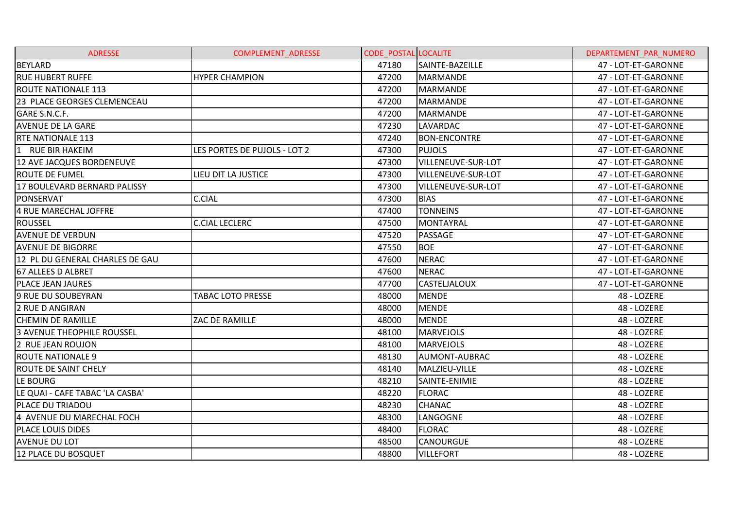| <b>ADRESSE</b>                  | <b>COMPLEMENT ADRESSE</b>    | <b>CODE POSTAL LOCALITE</b> |                     | DEPARTEMENT PAR NUMERO |
|---------------------------------|------------------------------|-----------------------------|---------------------|------------------------|
| <b>BEYLARD</b>                  |                              | 47180                       | SAINTE-BAZEILLE     | 47 - LOT-ET-GARONNE    |
| <b>RUE HUBERT RUFFE</b>         | <b>HYPER CHAMPION</b>        | 47200                       | <b>MARMANDE</b>     | 47 - LOT-ET-GARONNE    |
| <b>ROUTE NATIONALE 113</b>      |                              | 47200                       | <b>MARMANDE</b>     | 47 - LOT-ET-GARONNE    |
| 23 PLACE GEORGES CLEMENCEAU     |                              | 47200                       | <b>MARMANDE</b>     | 47 - LOT-ET-GARONNE    |
| GARE S.N.C.F.                   |                              | 47200                       | <b>MARMANDE</b>     | 47 - LOT-ET-GARONNE    |
| <b>AVENUE DE LA GARE</b>        |                              | 47230                       | LAVARDAC            | 47 - LOT-ET-GARONNE    |
| <b>RTE NATIONALE 113</b>        |                              | 47240                       | <b>BON-ENCONTRE</b> | 47 - LOT-ET-GARONNE    |
| 1 RUE BIR HAKEIM                | LES PORTES DE PUJOLS - LOT 2 | 47300                       | <b>PUJOLS</b>       | 47 - LOT-ET-GARONNE    |
| 12 AVE JACQUES BORDENEUVE       |                              | 47300                       | VILLENEUVE-SUR-LOT  | 47 - LOT-ET-GARONNE    |
| ROUTE DE FUMEL                  | LIEU DIT LA JUSTICE          | 47300                       | VILLENEUVE-SUR-LOT  | 47 - LOT-ET-GARONNE    |
| 17 BOULEVARD BERNARD PALISSY    |                              | 47300                       | VILLENEUVE-SUR-LOT  | 47 - LOT-ET-GARONNE    |
| PONSERVAT                       | <b>C.CIAL</b>                | 47300                       | <b>BIAS</b>         | 47 - LOT-ET-GARONNE    |
| 4 RUE MARECHAL JOFFRE           |                              | 47400                       | <b>TONNEINS</b>     | 47 - LOT-ET-GARONNE    |
| <b>ROUSSEL</b>                  | <b>C.CIAL LECLERC</b>        | 47500                       | MONTAYRAL           | 47 - LOT-ET-GARONNE    |
| <b>AVENUE DE VERDUN</b>         |                              | 47520                       | PASSAGE             | 47 - LOT-ET-GARONNE    |
| <b>AVENUE DE BIGORRE</b>        |                              | 47550                       | <b>BOE</b>          | 47 - LOT-ET-GARONNE    |
| 12 PL DU GENERAL CHARLES DE GAU |                              | 47600                       | <b>NERAC</b>        | 47 - LOT-ET-GARONNE    |
| <b>67 ALLEES D ALBRET</b>       |                              | 47600                       | <b>NERAC</b>        | 47 - LOT-ET-GARONNE    |
| <b>PLACE JEAN JAURES</b>        |                              | 47700                       | <b>CASTELJALOUX</b> | 47 - LOT-ET-GARONNE    |
| 9 RUE DU SOUBEYRAN              | <b>TABAC LOTO PRESSE</b>     | 48000                       | <b>MENDE</b>        | 48 - LOZERE            |
| 2 RUE D ANGIRAN                 |                              | 48000                       | <b>MENDE</b>        | 48 - LOZERE            |
| <b>CHEMIN DE RAMILLE</b>        | ZAC DE RAMILLE               | 48000                       | <b>MENDE</b>        | 48 - LOZERE            |
| 3 AVENUE THEOPHILE ROUSSEL      |                              | 48100                       | <b>MARVEJOLS</b>    | 48 - LOZERE            |
| 2 RUE JEAN ROUJON               |                              | 48100                       | <b>MARVEJOLS</b>    | 48 - LOZERE            |
| <b>ROUTE NATIONALE 9</b>        |                              | 48130                       | AUMONT-AUBRAC       | 48 - LOZERE            |
| <b>ROUTE DE SAINT CHELY</b>     |                              | 48140                       | MALZIEU-VILLE       | 48 - LOZERE            |
| LE BOURG                        |                              | 48210                       | SAINTE-ENIMIE       | 48 - LOZERE            |
| LE QUAI - CAFE TABAC 'LA CASBA' |                              | 48220                       | <b>FLORAC</b>       | 48 - LOZERE            |
| <b>PLACE DU TRIADOU</b>         |                              | 48230                       | <b>CHANAC</b>       | 48 - LOZERE            |
| 4 AVENUE DU MARECHAL FOCH       |                              | 48300                       | LANGOGNE            | 48 - LOZERE            |
| PLACE LOUIS DIDES               |                              | 48400                       | <b>FLORAC</b>       | 48 - LOZERE            |
| <b>AVENUE DU LOT</b>            |                              | 48500                       | <b>CANOURGUE</b>    | 48 - LOZERE            |
| 12 PLACE DU BOSQUET             |                              | 48800                       | <b>VILLEFORT</b>    | 48 - LOZERE            |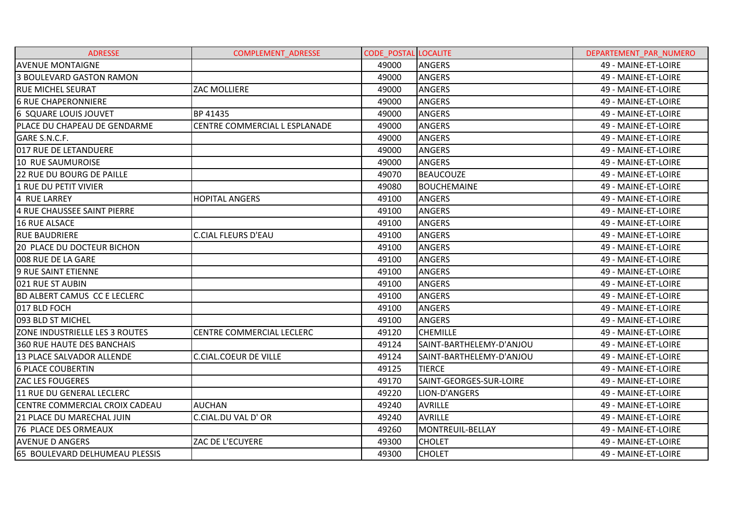| <b>ADRESSE</b>                      | <b>COMPLEMENT ADRESSE</b>        | <b>CODE POSTAL LOCALITE</b> |                          | DEPARTEMENT PAR NUMERO |
|-------------------------------------|----------------------------------|-----------------------------|--------------------------|------------------------|
| <b>AVENUE MONTAIGNE</b>             |                                  | 49000                       | <b>ANGERS</b>            | 49 - MAINE-ET-LOIRE    |
| 3 BOULEVARD GASTON RAMON            |                                  | 49000                       | <b>ANGERS</b>            | 49 - MAINE-ET-LOIRE    |
| <b>RUE MICHEL SEURAT</b>            | <b>ZAC MOLLIERE</b>              | 49000                       | <b>ANGERS</b>            | 49 - MAINE-ET-LOIRE    |
| <b>6 RUE CHAPERONNIERE</b>          |                                  | 49000                       | <b>ANGERS</b>            | 49 - MAINE-ET-LOIRE    |
| 6 SQUARE LOUIS JOUVET               | BP 41435                         | 49000                       | <b>ANGERS</b>            | 49 - MAINE-ET-LOIRE    |
| PLACE DU CHAPEAU DE GENDARME        | CENTRE COMMERCIAL L ESPLANADE    | 49000                       | <b>ANGERS</b>            | 49 - MAINE-ET-LOIRE    |
| GARE S.N.C.F.                       |                                  | 49000                       | <b>ANGERS</b>            | 49 - MAINE-ET-LOIRE    |
| 017 RUE DE LETANDUERE               |                                  | 49000                       | <b>ANGERS</b>            | 49 - MAINE-ET-LOIRE    |
| 10 RUE SAUMUROISE                   |                                  | 49000                       | <b>ANGERS</b>            | 49 - MAINE-ET-LOIRE    |
| <b>22 RUE DU BOURG DE PAILLE</b>    |                                  | 49070                       | <b>BEAUCOUZE</b>         | 49 - MAINE-ET-LOIRE    |
| 1 RUE DU PETIT VIVIER               |                                  | 49080                       | <b>BOUCHEMAINE</b>       | 49 - MAINE-ET-LOIRE    |
| 4 RUE LARREY                        | <b>HOPITAL ANGERS</b>            | 49100                       | <b>ANGERS</b>            | 49 - MAINE-ET-LOIRE    |
| 4 RUE CHAUSSEE SAINT PIERRE         |                                  | 49100                       | <b>ANGERS</b>            | 49 - MAINE-ET-LOIRE    |
| <b>16 RUE ALSACE</b>                |                                  | 49100                       | <b>ANGERS</b>            | 49 - MAINE-ET-LOIRE    |
| <b>RUE BAUDRIERE</b>                | <b>C.CIAL FLEURS D'EAU</b>       | 49100                       | <b>ANGERS</b>            | 49 - MAINE-ET-LOIRE    |
| 20 PLACE DU DOCTEUR BICHON          |                                  | 49100                       | <b>ANGERS</b>            | 49 - MAINE-ET-LOIRE    |
| 008 RUE DE LA GARE                  |                                  | 49100                       | <b>ANGERS</b>            | 49 - MAINE-ET-LOIRE    |
| 9 RUE SAINT ETIENNE                 |                                  | 49100                       | <b>ANGERS</b>            | 49 - MAINE-ET-LOIRE    |
| 021 RUE ST AUBIN                    |                                  | 49100                       | <b>ANGERS</b>            | 49 - MAINE-ET-LOIRE    |
| <b>BD ALBERT CAMUS CC E LECLERC</b> |                                  | 49100                       | <b>ANGERS</b>            | 49 - MAINE-ET-LOIRE    |
| 017 BLD FOCH                        |                                  | 49100                       | <b>ANGERS</b>            | 49 - MAINE-ET-LOIRE    |
| 093 BLD ST MICHEL                   |                                  | 49100                       | <b>ANGERS</b>            | 49 - MAINE-ET-LOIRE    |
| ZONE INDUSTRIELLE LES 3 ROUTES      | <b>CENTRE COMMERCIAL LECLERC</b> | 49120                       | <b>CHEMILLE</b>          | 49 - MAINE-ET-LOIRE    |
| <b>360 RUE HAUTE DES BANCHAIS</b>   |                                  | 49124                       | SAINT-BARTHELEMY-D'ANJOU | 49 - MAINE-ET-LOIRE    |
| 13 PLACE SALVADOR ALLENDE           | <b>C.CIAL.COEUR DE VILLE</b>     | 49124                       | SAINT-BARTHELEMY-D'ANJOU | 49 - MAINE-ET-LOIRE    |
| <b>6 PLACE COUBERTIN</b>            |                                  | 49125                       | <b>TIERCE</b>            | 49 - MAINE-ET-LOIRE    |
| <b>ZAC LES FOUGERES</b>             |                                  | 49170                       | SAINT-GEORGES-SUR-LOIRE  | 49 - MAINE-ET-LOIRE    |
| 11 RUE DU GENERAL LECLERC           |                                  | 49220                       | LION-D'ANGERS            | 49 - MAINE-ET-LOIRE    |
| CENTRE COMMERCIAL CROIX CADEAU      | <b>AUCHAN</b>                    | 49240                       | <b>AVRILLE</b>           | 49 - MAINE-ET-LOIRE    |
| <b>21 PLACE DU MARECHAL JUIN</b>    | C.CIAL.DU VAL D' OR              | 49240                       | <b>AVRILLE</b>           | 49 - MAINE-ET-LOIRE    |
| <b>76 PLACE DES ORMEAUX</b>         |                                  | 49260                       | MONTREUIL-BELLAY         | 49 - MAINE-ET-LOIRE    |
| <b>AVENUE D ANGERS</b>              | ZAC DE L'ECUYERE                 | 49300                       | <b>CHOLET</b>            | 49 - MAINE-ET-LOIRE    |
| 65 BOULEVARD DELHUMEAU PLESSIS      |                                  | 49300                       | <b>CHOLET</b>            | 49 - MAINE-ET-LOIRE    |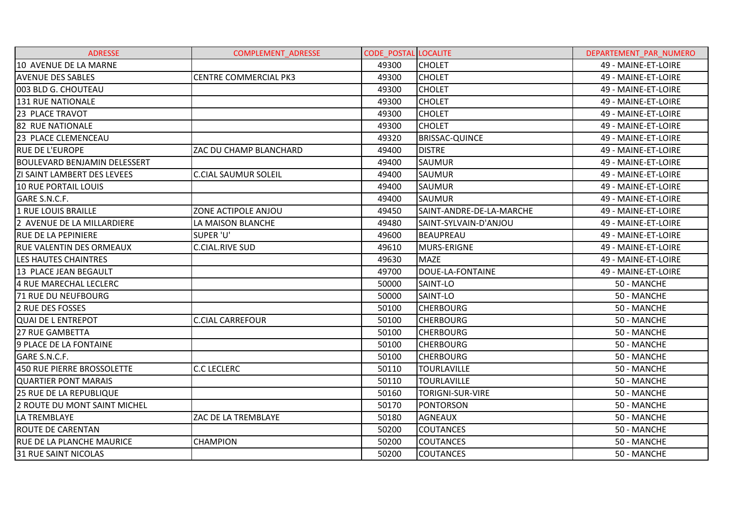| <b>ADRESSE</b>                      | <b>COMPLEMENT ADRESSE</b>    | <b>CODE POSTAL LOCALITE</b> |                          | DEPARTEMENT PAR NUMERO |
|-------------------------------------|------------------------------|-----------------------------|--------------------------|------------------------|
| 10 AVENUE DE LA MARNE               |                              | 49300                       | <b>CHOLET</b>            | 49 - MAINE-ET-LOIRE    |
| <b>AVENUE DES SABLES</b>            | <b>CENTRE COMMERCIAL PK3</b> | 49300                       | <b>CHOLET</b>            | 49 - MAINE-ET-LOIRE    |
| 003 BLD G. CHOUTEAU                 |                              | 49300                       | <b>CHOLET</b>            | 49 - MAINE-ET-LOIRE    |
| 131 RUE NATIONALE                   |                              | 49300                       | <b>CHOLET</b>            | 49 - MAINE-ET-LOIRE    |
| 23 PLACE TRAVOT                     |                              | 49300                       | <b>CHOLET</b>            | 49 - MAINE-ET-LOIRE    |
| <b>82 RUE NATIONALE</b>             |                              | 49300                       | <b>CHOLET</b>            | 49 - MAINE-ET-LOIRE    |
| 23 PLACE CLEMENCEAU                 |                              | 49320                       | <b>BRISSAC-QUINCE</b>    | 49 - MAINE-ET-LOIRE    |
| <b>RUE DE L'EUROPE</b>              | ZAC DU CHAMP BLANCHARD       | 49400                       | <b>DISTRE</b>            | 49 - MAINE-ET-LOIRE    |
| <b>BOULEVARD BENJAMIN DELESSERT</b> |                              | 49400                       | <b>SAUMUR</b>            | 49 - MAINE-ET-LOIRE    |
| ZI SAINT LAMBERT DES LEVEES         | <b>C.CIAL SAUMUR SOLEIL</b>  | 49400                       | <b>SAUMUR</b>            | 49 - MAINE-ET-LOIRE    |
| 10 RUE PORTAIL LOUIS                |                              | 49400                       | <b>SAUMUR</b>            | 49 - MAINE-ET-LOIRE    |
| GARE S.N.C.F.                       |                              | 49400                       | <b>SAUMUR</b>            | 49 - MAINE-ET-LOIRE    |
| 1 RUE LOUIS BRAILLE                 | ZONE ACTIPOLE ANJOU          | 49450                       | SAINT-ANDRE-DE-LA-MARCHE | 49 - MAINE-ET-LOIRE    |
| 2 AVENUE DE LA MILLARDIERE          | LA MAISON BLANCHE            | 49480                       | SAINT-SYLVAIN-D'ANJOU    | 49 - MAINE-ET-LOIRE    |
| <b>RUE DE LA PEPINIERE</b>          | SUPER 'U'                    | 49600                       | <b>BEAUPREAU</b>         | 49 - MAINE-ET-LOIRE    |
| <b>RUE VALENTIN DES ORMEAUX</b>     | <b>C.CIAL.RIVE SUD</b>       | 49610                       | MURS-ERIGNE              | 49 - MAINE-ET-LOIRE    |
| LES HAUTES CHAINTRES                |                              | 49630                       | <b>MAZE</b>              | 49 - MAINE-ET-LOIRE    |
| 13 PLACE JEAN BEGAULT               |                              | 49700                       | DOUE-LA-FONTAINE         | 49 - MAINE-ET-LOIRE    |
| 4 RUE MARECHAL LECLERC              |                              | 50000                       | SAINT-LO                 | 50 - MANCHE            |
| 71 RUE DU NEUFBOURG                 |                              | 50000                       | SAINT-LO                 | 50 - MANCHE            |
| 2 RUE DES FOSSES                    |                              | 50100                       | <b>CHERBOURG</b>         | 50 - MANCHE            |
| <b>QUAI DE L ENTREPOT</b>           | <b>C.CIAL CARREFOUR</b>      | 50100                       | <b>CHERBOURG</b>         | 50 - MANCHE            |
| 27 RUE GAMBETTA                     |                              | 50100                       | <b>CHERBOURG</b>         | 50 - MANCHE            |
| 9 PLACE DE LA FONTAINE              |                              | 50100                       | <b>CHERBOURG</b>         | 50 - MANCHE            |
| GARE S.N.C.F.                       |                              | 50100                       | <b>CHERBOURG</b>         | 50 - MANCHE            |
| 450 RUE PIERRE BROSSOLETTE          | <b>C.C LECLERC</b>           | 50110                       | <b>TOURLAVILLE</b>       | 50 - MANCHE            |
| <b>QUARTIER PONT MARAIS</b>         |                              | 50110                       | <b>TOURLAVILLE</b>       | 50 - MANCHE            |
| <b>25 RUE DE LA REPUBLIQUE</b>      |                              | 50160                       | <b>TORIGNI-SUR-VIRE</b>  | 50 - MANCHE            |
| 2 ROUTE DU MONT SAINT MICHEL        |                              | 50170                       | PONTORSON                | 50 - MANCHE            |
| LA TREMBLAYE                        | ZAC DE LA TREMBLAYE          | 50180                       | <b>AGNEAUX</b>           | 50 - MANCHE            |
| ROUTE DE CARENTAN                   |                              | 50200                       | <b>COUTANCES</b>         | 50 - MANCHE            |
| <b>RUE DE LA PLANCHE MAURICE</b>    | <b>CHAMPION</b>              | 50200                       | <b>COUTANCES</b>         | 50 - MANCHE            |
| <b>31 RUE SAINT NICOLAS</b>         |                              | 50200                       | <b>COUTANCES</b>         | 50 - MANCHE            |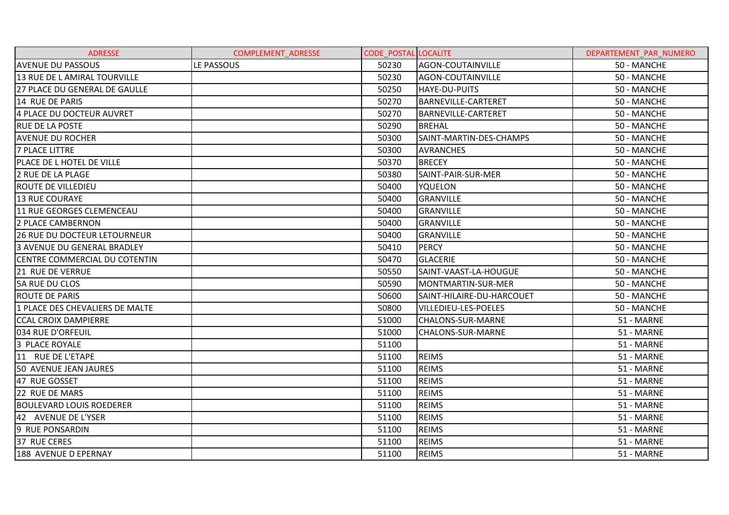| <b>ADRESSE</b>                       | <b>COMPLEMENT ADRESSE</b> | <b>CODE POSTAL LOCALITE</b> |                             | DEPARTEMENT PAR NUMERO |
|--------------------------------------|---------------------------|-----------------------------|-----------------------------|------------------------|
| <b>AVENUE DU PASSOUS</b>             | LE PASSOUS                | 50230                       | AGON-COUTAINVILLE           | 50 - MANCHE            |
| 13 RUE DE L AMIRAL TOURVILLE         |                           | 50230                       | AGON-COUTAINVILLE           | 50 - MANCHE            |
| 27 PLACE DU GENERAL DE GAULLE        |                           | 50250                       | HAYE-DU-PUITS               | 50 - MANCHE            |
| 14 RUE DE PARIS                      |                           | 50270                       | <b>BARNEVILLE-CARTERET</b>  | 50 - MANCHE            |
| 4 PLACE DU DOCTEUR AUVRET            |                           | 50270                       | <b>BARNEVILLE-CARTERET</b>  | 50 - MANCHE            |
| <b>RUE DE LA POSTE</b>               |                           | 50290                       | <b>BREHAL</b>               | 50 - MANCHE            |
| <b>AVENUE DU ROCHER</b>              |                           | 50300                       | SAINT-MARTIN-DES-CHAMPS     | 50 - MANCHE            |
| <b>7 PLACE LITTRE</b>                |                           | 50300                       | <b>AVRANCHES</b>            | 50 - MANCHE            |
| PLACE DE L HOTEL DE VILLE            |                           | 50370                       | <b>BRECEY</b>               | 50 - MANCHE            |
| 2 RUE DE LA PLAGE                    |                           | 50380                       | SAINT-PAIR-SUR-MER          | 50 - MANCHE            |
| <b>ROUTE DE VILLEDIEU</b>            |                           | 50400                       | <b>YQUELON</b>              | 50 - MANCHE            |
| <b>13 RUE COURAYE</b>                |                           | 50400                       | <b>GRANVILLE</b>            | 50 - MANCHE            |
| 11 RUE GEORGES CLEMENCEAU            |                           | 50400                       | <b>GRANVILLE</b>            | 50 - MANCHE            |
| <b>2 PLACE CAMBERNON</b>             |                           | 50400                       | <b>GRANVILLE</b>            | 50 - MANCHE            |
| 126 RUE DU DOCTEUR LETOURNEUR        |                           | 50400                       | <b>GRANVILLE</b>            | 50 - MANCHE            |
| <b>3 AVENUE DU GENERAL BRADLEY</b>   |                           | 50410                       | PERCY                       | 50 - MANCHE            |
| <b>CENTRE COMMERCIAL DU COTENTIN</b> |                           | 50470                       | <b>GLACERIE</b>             | 50 - MANCHE            |
| 21 RUE DE VERRUE                     |                           | 50550                       | SAINT-VAAST-LA-HOUGUE       | 50 - MANCHE            |
| 5A RUE DU CLOS                       |                           | 50590                       | MONTMARTIN-SUR-MER          | 50 - MANCHE            |
| <b>ROUTE DE PARIS</b>                |                           | 50600                       | SAINT-HILAIRE-DU-HARCOUET   | 50 - MANCHE            |
| 1 PLACE DES CHEVALIERS DE MALTE      |                           | 50800                       | <b>VILLEDIEU-LES-POELES</b> | 50 - MANCHE            |
| <b>CCAL CROIX DAMPIERRE</b>          |                           | 51000                       | <b>CHALONS-SUR-MARNE</b>    | 51 - MARNE             |
| 034 RUE D'ORFEUIL                    |                           | 51000                       | <b>CHALONS-SUR-MARNE</b>    | 51 - MARNE             |
| 3 PLACE ROYALE                       |                           | 51100                       |                             | 51 - MARNE             |
| 11 RUE DE L'ETAPE                    |                           | 51100                       | <b>REIMS</b>                | 51 - MARNE             |
| 50 AVENUE JEAN JAURES                |                           | 51100                       | <b>REIMS</b>                | 51 - MARNE             |
| 47 RUE GOSSET                        |                           | 51100                       | <b>REIMS</b>                | 51 - MARNE             |
| 22 RUE DE MARS                       |                           | 51100                       | <b>REIMS</b>                | 51 - MARNE             |
| <b>BOULEVARD LOUIS ROEDERER</b>      |                           | 51100                       | <b>REIMS</b>                | 51 - MARNE             |
| 42 AVENUE DE L'YSER                  |                           | 51100                       | <b>REIMS</b>                | 51 - MARNE             |
| 9 RUE PONSARDIN                      |                           | 51100                       | <b>REIMS</b>                | 51 - MARNE             |
| 37 RUE CERES                         |                           | 51100                       | <b>REIMS</b>                | 51 - MARNE             |
| 188 AVENUE D EPERNAY                 |                           | 51100                       | <b>REIMS</b>                | 51 - MARNE             |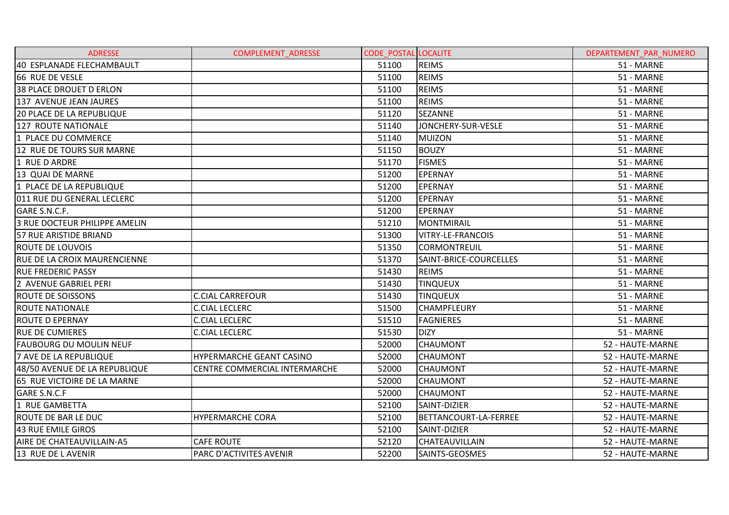| <b>ADRESSE</b>                      | <b>COMPLEMENT ADRESSE</b>       | <b>CODE POSTAL LOCALITE</b> |                        | DEPARTEMENT PAR NUMERO |
|-------------------------------------|---------------------------------|-----------------------------|------------------------|------------------------|
| 40 ESPLANADE FLECHAMBAULT           |                                 | 51100                       | <b>REIMS</b>           | 51 - MARNE             |
| 66 RUE DE VESLE                     |                                 | 51100                       | <b>REIMS</b>           | 51 - MARNE             |
| <b>38 PLACE DROUET D ERLON</b>      |                                 | 51100                       | <b>REIMS</b>           | 51 - MARNE             |
| 137 AVENUE JEAN JAURES              |                                 | 51100                       | <b>REIMS</b>           | 51 - MARNE             |
| <b>20 PLACE DE LA REPUBLIQUE</b>    |                                 | 51120                       | <b>SEZANNE</b>         | 51 - MARNE             |
| 127 ROUTE NATIONALE                 |                                 | 51140                       | JONCHERY-SUR-VESLE     | 51 - MARNE             |
| 1 PLACE DU COMMERCE                 |                                 | 51140                       | <b>MUIZON</b>          | 51 - MARNE             |
| 12 RUE DE TOURS SUR MARNE           |                                 | 51150                       | <b>BOUZY</b>           | 51 - MARNE             |
| 1 RUE D ARDRE                       |                                 | 51170                       | <b>FISMES</b>          | 51 - MARNE             |
| 13 QUAI DE MARNE                    |                                 | 51200                       | <b>EPERNAY</b>         | 51 - MARNE             |
| 1 PLACE DE LA REPUBLIQUE            |                                 | 51200                       | EPERNAY                | 51 - MARNE             |
| 011 RUE DU GENERAL LECLERC          |                                 | 51200                       | <b>EPERNAY</b>         | 51 - MARNE             |
| GARE S.N.C.F.                       |                                 | 51200                       | <b>EPERNAY</b>         | 51 - MARNE             |
| 3 RUE DOCTEUR PHILIPPE AMELIN       |                                 | 51210                       | <b>MONTMIRAIL</b>      | 51 - MARNE             |
| 57 RUE ARISTIDE BRIAND              |                                 | 51300                       | VITRY-LE-FRANCOIS      | 51 - MARNE             |
| <b>ROUTE DE LOUVOIS</b>             |                                 | 51350                       | <b>CORMONTREUIL</b>    | 51 - MARNE             |
| <b>RUE DE LA CROIX MAURENCIENNE</b> |                                 | 51370                       | SAINT-BRICE-COURCELLES | 51 - MARNE             |
| <b>RUE FREDERIC PASSY</b>           |                                 | 51430                       | <b>REIMS</b>           | 51 - MARNE             |
| 2 AVENUE GABRIEL PERI               |                                 | 51430                       | <b>TINQUEUX</b>        | 51 - MARNE             |
| <b>ROUTE DE SOISSONS</b>            | <b>C.CIAL CARREFOUR</b>         | 51430                       | <b>TINQUEUX</b>        | 51 - MARNE             |
| <b>ROUTE NATIONALE</b>              | <b>C.CIAL LECLERC</b>           | 51500                       | <b>CHAMPFLEURY</b>     | 51 - MARNE             |
| <b>ROUTE D EPERNAY</b>              | <b>C.CIAL LECLERC</b>           | 51510                       | <b>FAGNIERES</b>       | 51 - MARNE             |
| <b>RUE DE CUMIERES</b>              | <b>C.CIAL LECLERC</b>           | 51530                       | <b>DIZY</b>            | 51 - MARNE             |
| <b>FAUBOURG DU MOULIN NEUF</b>      |                                 | 52000                       | <b>CHAUMONT</b>        | 52 - HAUTE-MARNE       |
| 7 AVE DE LA REPUBLIQUE              | <b>HYPERMARCHE GEANT CASINO</b> | 52000                       | <b>CHAUMONT</b>        | 52 - HAUTE-MARNE       |
| 48/50 AVENUE DE LA REPUBLIQUE       | CENTRE COMMERCIAL INTERMARCHE   | 52000                       | <b>CHAUMONT</b>        | 52 - HAUTE-MARNE       |
| 65 RUE VICTOIRE DE LA MARNE         |                                 | 52000                       | CHAUMONT               | 52 - HAUTE-MARNE       |
| <b>GARE S.N.C.F</b>                 |                                 | 52000                       | <b>CHAUMONT</b>        | 52 - HAUTE-MARNE       |
| 1 RUE GAMBETTA                      |                                 | 52100                       | SAINT-DIZIER           | 52 - HAUTE-MARNE       |
| <b>ROUTE DE BAR LE DUC</b>          | <b>HYPERMARCHE CORA</b>         | 52100                       | BETTANCOURT-LA-FERREE  | 52 - HAUTE-MARNE       |
| 43 RUE EMILE GIROS                  |                                 | 52100                       | SAINT-DIZIER           | 52 - HAUTE-MARNE       |
| AIRE DE CHATEAUVILLAIN-A5           | <b>CAFE ROUTE</b>               | 52120                       | CHATEAUVILLAIN         | 52 - HAUTE-MARNE       |
| 13 RUE DE L AVENIR                  | PARC D'ACTIVITES AVENIR         | 52200                       | SAINTS-GEOSMES         | 52 - HAUTE-MARNE       |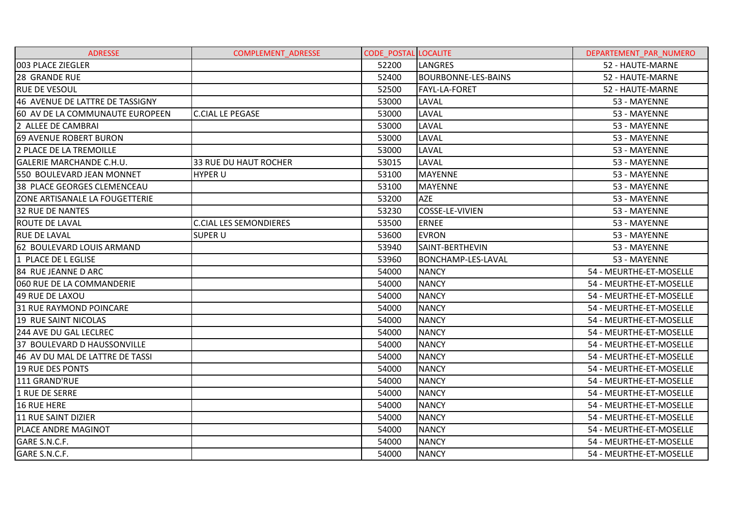| <b>ADRESSE</b>                        | COMPLEMENT_ADRESSE            | <b>CODE POSTAL LOCALITE</b> |                            | DEPARTEMENT PAR NUMERO  |
|---------------------------------------|-------------------------------|-----------------------------|----------------------------|-------------------------|
| 003 PLACE ZIEGLER                     |                               | 52200                       | <b>LANGRES</b>             | 52 - HAUTE-MARNE        |
| 28 GRANDE RUE                         |                               | 52400                       | <b>BOURBONNE-LES-BAINS</b> | 52 - HAUTE-MARNE        |
| <b>RUE DE VESOUL</b>                  |                               | 52500                       | <b>FAYL-LA-FORET</b>       | 52 - HAUTE-MARNE        |
| 46 AVENUE DE LATTRE DE TASSIGNY       |                               | 53000                       | LAVAL                      | 53 - MAYENNE            |
| 60 AV DE LA COMMUNAUTE EUROPEEN       | <b>C.CIAL LE PEGASE</b>       | 53000                       | LAVAL                      | 53 - MAYENNE            |
| 2 ALLEE DE CAMBRAI                    |                               | 53000                       | LAVAL                      | 53 - MAYENNE            |
| 69 AVENUE ROBERT BURON                |                               | 53000                       | LAVAL                      | 53 - MAYENNE            |
| 2 PLACE DE LA TREMOILLE               |                               | 53000                       | LAVAL                      | 53 - MAYENNE            |
| <b>GALERIE MARCHANDE C.H.U.</b>       | 33 RUE DU HAUT ROCHER         | 53015                       | <b>LAVAL</b>               | 53 - MAYENNE            |
| 550 BOULEVARD JEAN MONNET             | <b>HYPER U</b>                | 53100                       | <b>MAYENNE</b>             | 53 - MAYENNE            |
| 38 PLACE GEORGES CLEMENCEAU           |                               | 53100                       | <b>MAYENNE</b>             | 53 - MAYENNE            |
| <b>ZONE ARTISANALE LA FOUGETTERIE</b> |                               | 53200                       | <b>AZE</b>                 | 53 - MAYENNE            |
| 32 RUE DE NANTES                      |                               | 53230                       | COSSE-LE-VIVIEN            | 53 - MAYENNE            |
| <b>ROUTE DE LAVAL</b>                 | <b>C.CIAL LES SEMONDIERES</b> | 53500                       | <b>ERNEE</b>               | 53 - MAYENNE            |
| <b>RUE DE LAVAL</b>                   | <b>SUPER U</b>                | 53600                       | <b>EVRON</b>               | 53 - MAYENNE            |
| 62 BOULEVARD LOUIS ARMAND             |                               | 53940                       | SAINT-BERTHEVIN            | 53 - MAYENNE            |
| 1 PLACE DE L EGLISE                   |                               | 53960                       | <b>BONCHAMP-LES-LAVAL</b>  | 53 - MAYENNE            |
| 84 RUE JEANNE D ARC                   |                               | 54000                       | <b>NANCY</b>               | 54 - MEURTHE-ET-MOSELLE |
| 060 RUE DE LA COMMANDERIE             |                               | 54000                       | <b>NANCY</b>               | 54 - MEURTHE-ET-MOSELLE |
| 49 RUE DE LAXOU                       |                               | 54000                       | <b>NANCY</b>               | 54 - MEURTHE-ET-MOSELLE |
| 31 RUE RAYMOND POINCARE               |                               | 54000                       | <b>NANCY</b>               | 54 - MEURTHE-ET-MOSELLE |
| 19 RUE SAINT NICOLAS                  |                               | 54000                       | <b>NANCY</b>               | 54 - MEURTHE-ET-MOSELLE |
| 244 AVE DU GAL LECLREC                |                               | 54000                       | <b>NANCY</b>               | 54 - MEURTHE-ET-MOSELLE |
| 37 BOULEVARD D HAUSSONVILLE           |                               | 54000                       | <b>NANCY</b>               | 54 - MEURTHE-ET-MOSELLE |
| 46 AV DU MAL DE LATTRE DE TASSI       |                               | 54000                       | <b>NANCY</b>               | 54 - MEURTHE-ET-MOSELLE |
| <b>19 RUE DES PONTS</b>               |                               | 54000                       | <b>NANCY</b>               | 54 - MEURTHE-ET-MOSELLE |
| 111 GRAND'RUE                         |                               | 54000                       | <b>NANCY</b>               | 54 - MEURTHE-ET-MOSELLE |
| 1 RUE DE SERRE                        |                               | 54000                       | <b>NANCY</b>               | 54 - MEURTHE-ET-MOSELLE |
| 16 RUE HERE                           |                               | 54000                       | <b>NANCY</b>               | 54 - MEURTHE-ET-MOSELLE |
| 11 RUE SAINT DIZIER                   |                               | 54000                       | <b>NANCY</b>               | 54 - MEURTHE-ET-MOSELLE |
| <b>PLACE ANDRE MAGINOT</b>            |                               | 54000                       | <b>NANCY</b>               | 54 - MEURTHE-ET-MOSELLE |
| GARE S.N.C.F.                         |                               | 54000                       | <b>NANCY</b>               | 54 - MEURTHE-ET-MOSELLE |
| GARE S.N.C.F.                         |                               | 54000                       | <b>NANCY</b>               | 54 - MEURTHE-ET-MOSELLE |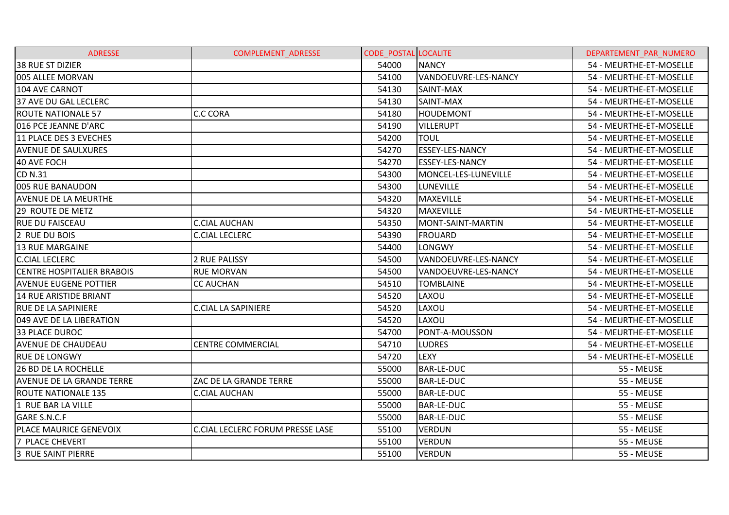| <b>ADRESSE</b>                    | <b>COMPLEMENT ADRESSE</b>               | <b>CODE POSTAL LOCALITE</b> |                        | DEPARTEMENT PAR NUMERO  |
|-----------------------------------|-----------------------------------------|-----------------------------|------------------------|-------------------------|
| <b>38 RUE ST DIZIER</b>           |                                         | 54000                       | <b>NANCY</b>           | 54 - MEURTHE-ET-MOSELLE |
| 005 ALLEE MORVAN                  |                                         | 54100                       | VANDOEUVRE-LES-NANCY   | 54 - MEURTHE-ET-MOSELLE |
| 104 AVE CARNOT                    |                                         | 54130                       | SAINT-MAX              | 54 - MEURTHE-ET-MOSELLE |
| 37 AVE DU GAL LECLERC             |                                         | 54130                       | SAINT-MAX              | 54 - MEURTHE-ET-MOSELLE |
| <b>ROUTE NATIONALE 57</b>         | <b>C.C CORA</b>                         | 54180                       | <b>HOUDEMONT</b>       | 54 - MEURTHE-ET-MOSELLE |
| 016 PCE JEANNE D'ARC              |                                         | 54190                       | <b>VILLERUPT</b>       | 54 - MEURTHE-ET-MOSELLE |
| 11 PLACE DES 3 EVECHES            |                                         | 54200                       | TOUL                   | 54 - MEURTHE-ET-MOSELLE |
| <b>AVENUE DE SAULXURES</b>        |                                         | 54270                       | <b>ESSEY-LES-NANCY</b> | 54 - MEURTHE-ET-MOSELLE |
| 40 AVE FOCH                       |                                         | 54270                       | <b>ESSEY-LES-NANCY</b> | 54 - MEURTHE-ET-MOSELLE |
| <b>CD N.31</b>                    |                                         | 54300                       | MONCEL-LES-LUNEVILLE   | 54 - MEURTHE-ET-MOSELLE |
| 005 RUE BANAUDON                  |                                         | 54300                       | <b>LUNEVILLE</b>       | 54 - MEURTHE-ET-MOSELLE |
| <b>AVENUE DE LA MEURTHE</b>       |                                         | 54320                       | <b>MAXEVILLE</b>       | 54 - MEURTHE-ET-MOSELLE |
| 29 ROUTE DE METZ                  |                                         | 54320                       | <b>MAXEVILLE</b>       | 54 - MEURTHE-ET-MOSELLE |
| <b>RUE DU FAISCEAU</b>            | <b>C.CIAL AUCHAN</b>                    | 54350                       | MONT-SAINT-MARTIN      | 54 - MEURTHE-ET-MOSELLE |
| 2 RUE DU BOIS                     | <b>C.CIAL LECLERC</b>                   | 54390                       | <b>FROUARD</b>         | 54 - MEURTHE-ET-MOSELLE |
| <b>13 RUE MARGAINE</b>            |                                         | 54400                       | <b>LONGWY</b>          | 54 - MEURTHE-ET-MOSELLE |
| <b>C.CIAL LECLERC</b>             | <b>2 RUE PALISSY</b>                    | 54500                       | VANDOEUVRE-LES-NANCY   | 54 - MEURTHE-ET-MOSELLE |
| <b>CENTRE HOSPITALIER BRABOIS</b> | <b>RUE MORVAN</b>                       | 54500                       | VANDOEUVRE-LES-NANCY   | 54 - MEURTHE-ET-MOSELLE |
| <b>AVENUE EUGENE POTTIER</b>      | <b>CC AUCHAN</b>                        | 54510                       | <b>TOMBLAINE</b>       | 54 - MEURTHE-ET-MOSELLE |
| 14 RUE ARISTIDE BRIANT            |                                         | 54520                       | LAXOU                  | 54 - MEURTHE-ET-MOSELLE |
| <b>RUE DE LA SAPINIERE</b>        | <b>C.CIAL LA SAPINIERE</b>              | 54520                       | LAXOU                  | 54 - MEURTHE-ET-MOSELLE |
| 049 AVE DE LA LIBERATION          |                                         | 54520                       | LAXOU                  | 54 - MEURTHE-ET-MOSELLE |
| <b>33 PLACE DUROC</b>             |                                         | 54700                       | PONT-A-MOUSSON         | 54 - MEURTHE-ET-MOSELLE |
| <b>AVENUE DE CHAUDEAU</b>         | <b>CENTRE COMMERCIAL</b>                | 54710                       | <b>LUDRES</b>          | 54 - MEURTHE-ET-MOSELLE |
| <b>RUE DE LONGWY</b>              |                                         | 54720                       | <b>LEXY</b>            | 54 - MEURTHE-ET-MOSELLE |
| 26 BD DE LA ROCHELLE              |                                         | 55000                       | <b>BAR-LE-DUC</b>      | 55 - MEUSE              |
| <b>AVENUE DE LA GRANDE TERRE</b>  | ZAC DE LA GRANDE TERRE                  | 55000                       | <b>BAR-LE-DUC</b>      | 55 - MEUSE              |
| <b>ROUTE NATIONALE 135</b>        | <b>C.CIAL AUCHAN</b>                    | 55000                       | <b>BAR-LE-DUC</b>      | 55 - MEUSE              |
| 1 RUE BAR LA VILLE                |                                         | 55000                       | <b>BAR-LE-DUC</b>      | 55 - MEUSE              |
| GARE S.N.C.F                      |                                         | 55000                       | <b>BAR-LE-DUC</b>      | 55 - MEUSE              |
| PLACE MAURICE GENEVOIX            | <b>C.CIAL LECLERC FORUM PRESSE LASE</b> | 55100                       | <b>VERDUN</b>          | 55 - MEUSE              |
| 7 PLACE CHEVERT                   |                                         | 55100                       | <b>VERDUN</b>          | 55 - MEUSE              |
| 3 RUE SAINT PIERRE                |                                         | 55100                       | <b>VERDUN</b>          | 55 - MEUSE              |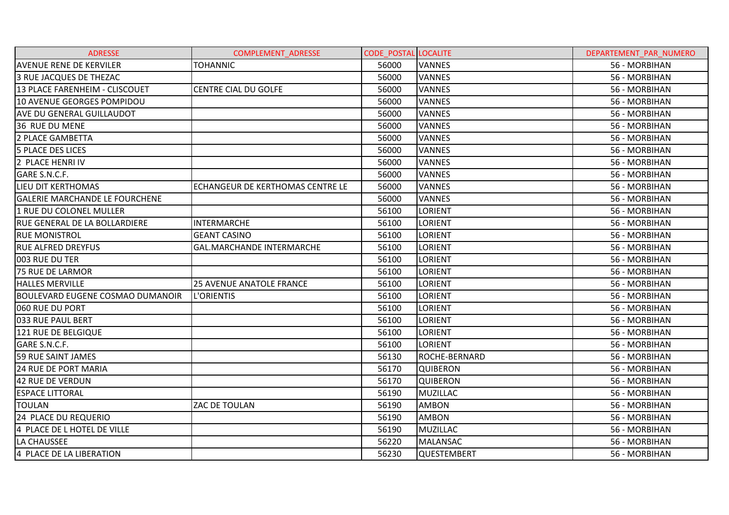| <b>ADRESSE</b>                          | COMPLEMENT_ADRESSE               | <b>CODE POSTAL LOCALITE</b> |                 | DEPARTEMENT_PAR_NUMERO |
|-----------------------------------------|----------------------------------|-----------------------------|-----------------|------------------------|
| <b>AVENUE RENE DE KERVILER</b>          | <b>TOHANNIC</b>                  | 56000                       | <b>VANNES</b>   | 56 - MORBIHAN          |
| 3 RUE JACQUES DE THEZAC                 |                                  | 56000                       | <b>VANNES</b>   | 56 - MORBIHAN          |
| 13 PLACE FARENHEIM - CLISCOUET          | <b>CENTRE CIAL DU GOLFE</b>      | 56000                       | <b>VANNES</b>   | 56 - MORBIHAN          |
| 10 AVENUE GEORGES POMPIDOU              |                                  | 56000                       | <b>VANNES</b>   | 56 - MORBIHAN          |
| <b>AVE DU GENERAL GUILLAUDOT</b>        |                                  | 56000                       | <b>VANNES</b>   | 56 - MORBIHAN          |
| <b>36 RUE DU MENE</b>                   |                                  | 56000                       | <b>VANNES</b>   | 56 - MORBIHAN          |
| 2 PLACE GAMBETTA                        |                                  | 56000                       | <b>VANNES</b>   | 56 - MORBIHAN          |
| <b>5 PLACE DES LICES</b>                |                                  | 56000                       | <b>VANNES</b>   | 56 - MORBIHAN          |
| 2 PLACE HENRI IV                        |                                  | 56000                       | <b>VANNES</b>   | 56 - MORBIHAN          |
| GARE S.N.C.F.                           |                                  | 56000                       | <b>VANNES</b>   | 56 - MORBIHAN          |
| LIEU DIT KERTHOMAS                      | ECHANGEUR DE KERTHOMAS CENTRE LE | 56000                       | <b>VANNES</b>   | 56 - MORBIHAN          |
| <b>GALERIE MARCHANDE LE FOURCHENE</b>   |                                  | 56000                       | <b>VANNES</b>   | 56 - MORBIHAN          |
| 1 RUE DU COLONEL MULLER                 |                                  | 56100                       | <b>LORIENT</b>  | 56 - MORBIHAN          |
| <b>RUE GENERAL DE LA BOLLARDIERE</b>    | INTERMARCHE                      | 56100                       | <b>LORIENT</b>  | 56 - MORBIHAN          |
| <b>RUE MONISTROL</b>                    | <b>GEANT CASINO</b>              | 56100                       | <b>LORIENT</b>  | 56 - MORBIHAN          |
| <b>RUE ALFRED DREYFUS</b>               | GAL.MARCHANDE INTERMARCHE        | 56100                       | <b>LORIENT</b>  | 56 - MORBIHAN          |
| 003 RUE DU TER                          |                                  | 56100                       | <b>LORIENT</b>  | 56 - MORBIHAN          |
| <b>75 RUE DE LARMOR</b>                 |                                  | 56100                       | <b>LORIENT</b>  | 56 - MORBIHAN          |
| <b>HALLES MERVILLE</b>                  | <b>25 AVENUE ANATOLE FRANCE</b>  | 56100                       | <b>LORIENT</b>  | 56 - MORBIHAN          |
| <b>BOULEVARD EUGENE COSMAO DUMANOIR</b> | L'ORIENTIS                       | 56100                       | <b>LORIENT</b>  | 56 - MORBIHAN          |
| 060 RUE DU PORT                         |                                  | 56100                       | <b>LORIENT</b>  | 56 - MORBIHAN          |
| 033 RUE PAUL BERT                       |                                  | 56100                       | <b>LORIENT</b>  | 56 - MORBIHAN          |
| 121 RUE DE BELGIQUE                     |                                  | 56100                       | <b>LORIENT</b>  | 56 - MORBIHAN          |
| GARE S.N.C.F.                           |                                  | 56100                       | <b>LORIENT</b>  | 56 - MORBIHAN          |
| <b>59 RUE SAINT JAMES</b>               |                                  | 56130                       | ROCHE-BERNARD   | 56 - MORBIHAN          |
| <b>24 RUE DE PORT MARIA</b>             |                                  | 56170                       | <b>QUIBERON</b> | 56 - MORBIHAN          |
| 42 RUE DE VERDUN                        |                                  | 56170                       | <b>QUIBERON</b> | 56 - MORBIHAN          |
| <b>ESPACE LITTORAL</b>                  |                                  | 56190                       | <b>MUZILLAC</b> | 56 - MORBIHAN          |
| <b>TOULAN</b>                           | ZAC DE TOULAN                    | 56190                       | <b>AMBON</b>    | 56 - MORBIHAN          |
| 24 PLACE DU REQUERIO                    |                                  | 56190                       | <b>AMBON</b>    | 56 - MORBIHAN          |
| 4 PLACE DE L HOTEL DE VILLE             |                                  | 56190                       | <b>MUZILLAC</b> | 56 - MORBIHAN          |
| LA CHAUSSEE                             |                                  | 56220                       | <b>MALANSAC</b> | 56 - MORBIHAN          |
| 4 PLACE DE LA LIBERATION                |                                  | 56230                       | QUESTEMBERT     | 56 - MORBIHAN          |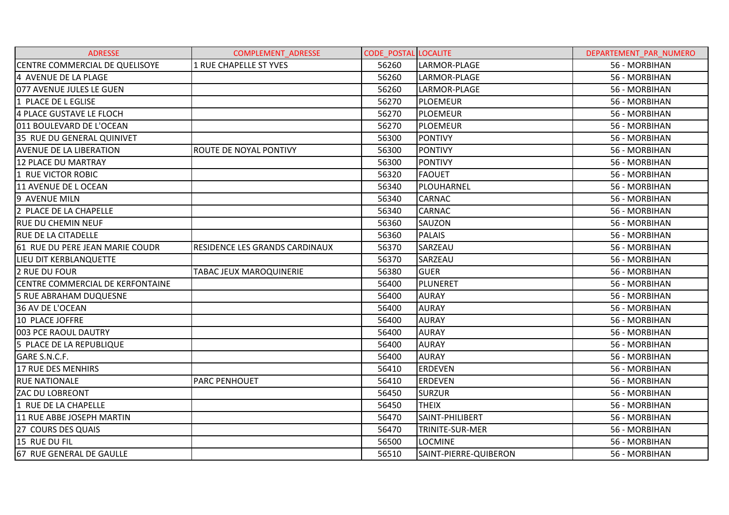| <b>ADRESSE</b>                   | COMPLEMENT_ADRESSE             | <b>CODE POSTAL LOCALITE</b> |                       | DEPARTEMENT PAR NUMERO |
|----------------------------------|--------------------------------|-----------------------------|-----------------------|------------------------|
| CENTRE COMMERCIAL DE QUELISOYE   | <b>1 RUE CHAPELLE ST YVES</b>  | 56260                       | LARMOR-PLAGE          | 56 - MORBIHAN          |
| 4 AVENUE DE LA PLAGE             |                                | 56260                       | LARMOR-PLAGE          | 56 - MORBIHAN          |
| 077 AVENUE JULES LE GUEN         |                                | 56260                       | LARMOR-PLAGE          | 56 - MORBIHAN          |
| 1 PLACE DE L EGLISE              |                                | 56270                       | <b>PLOEMEUR</b>       | 56 - MORBIHAN          |
| 4 PLACE GUSTAVE LE FLOCH         |                                | 56270                       | <b>PLOEMEUR</b>       | 56 - MORBIHAN          |
| 011 BOULEVARD DE L'OCEAN         |                                | 56270                       | <b>PLOEMEUR</b>       | 56 - MORBIHAN          |
| 35 RUE DU GENERAL QUINIVET       |                                | 56300                       | <b>PONTIVY</b>        | 56 - MORBIHAN          |
| <b>AVENUE DE LA LIBERATION</b>   | ROUTE DE NOYAL PONTIVY         | 56300                       | <b>PONTIVY</b>        | 56 - MORBIHAN          |
| 12 PLACE DU MARTRAY              |                                | 56300                       | <b>PONTIVY</b>        | 56 - MORBIHAN          |
| 1 RUE VICTOR ROBIC               |                                | 56320                       | <b>FAOUET</b>         | 56 - MORBIHAN          |
| 11 AVENUE DE L OCEAN             |                                | 56340                       | PLOUHARNEL            | 56 - MORBIHAN          |
| 9 AVENUE MILN                    |                                | 56340                       | <b>CARNAC</b>         | 56 - MORBIHAN          |
| 2 PLACE DE LA CHAPELLE           |                                | 56340                       | <b>CARNAC</b>         | 56 - MORBIHAN          |
| <b>RUE DU CHEMIN NEUF</b>        |                                | 56360                       | SAUZON                | 56 - MORBIHAN          |
| <b>RUE DE LA CITADELLE</b>       |                                | 56360                       | <b>PALAIS</b>         | 56 - MORBIHAN          |
| 61 RUE DU PERE JEAN MARIE COUDR  | RESIDENCE LES GRANDS CARDINAUX | 56370                       | SARZEAU               | 56 - MORBIHAN          |
| LIEU DIT KERBLANQUETTE           |                                | 56370                       | SARZEAU               | 56 - MORBIHAN          |
| 2 RUE DU FOUR                    | TABAC JEUX MAROQUINERIE        | 56380                       | <b>GUER</b>           | 56 - MORBIHAN          |
| CENTRE COMMERCIAL DE KERFONTAINE |                                | 56400                       | PLUNERET              | 56 - MORBIHAN          |
| <b>5 RUE ABRAHAM DUQUESNE</b>    |                                | 56400                       | <b>AURAY</b>          | 56 - MORBIHAN          |
| 36 AV DE L'OCEAN                 |                                | 56400                       | <b>AURAY</b>          | 56 - MORBIHAN          |
| 10 PLACE JOFFRE                  |                                | 56400                       | <b>AURAY</b>          | 56 - MORBIHAN          |
| 003 PCE RAOUL DAUTRY             |                                | 56400                       | <b>AURAY</b>          | 56 - MORBIHAN          |
| 5 PLACE DE LA REPUBLIQUE         |                                | 56400                       | <b>AURAY</b>          | 56 - MORBIHAN          |
| GARE S.N.C.F.                    |                                | 56400                       | <b>AURAY</b>          | 56 - MORBIHAN          |
| 17 RUE DES MENHIRS               |                                | 56410                       | <b>ERDEVEN</b>        | 56 - MORBIHAN          |
| <b>RUE NATIONALE</b>             | PARC PENHOUET                  | 56410                       | <b>ERDEVEN</b>        | 56 - MORBIHAN          |
| <b>ZAC DU LOBREONT</b>           |                                | 56450                       | <b>SURZUR</b>         | 56 - MORBIHAN          |
| 1 RUE DE LA CHAPELLE             |                                | 56450                       | <b>THEIX</b>          | 56 - MORBIHAN          |
| 11 RUE ABBE JOSEPH MARTIN        |                                | 56470                       | SAINT-PHILIBERT       | 56 - MORBIHAN          |
| 27 COURS DES QUAIS               |                                | 56470                       | TRINITE-SUR-MER       | 56 - MORBIHAN          |
| 15 RUE DU FIL                    |                                | 56500                       | <b>LOCMINE</b>        | 56 - MORBIHAN          |
| 67 RUE GENERAL DE GAULLE         |                                | 56510                       | SAINT-PIERRE-QUIBERON | 56 - MORBIHAN          |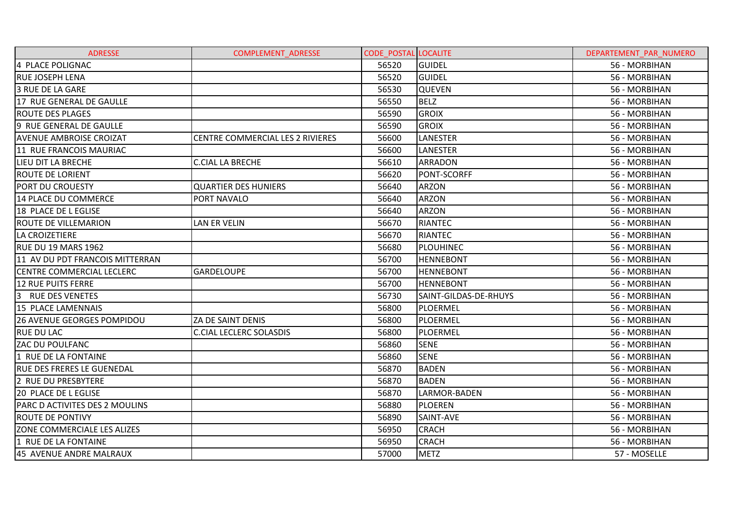| <b>ADRESSE</b>                    | <b>COMPLEMENT ADRESSE</b>               | <b>CODE POSTAL LOCALITE</b> |                       | DEPARTEMENT PAR NUMERO |
|-----------------------------------|-----------------------------------------|-----------------------------|-----------------------|------------------------|
| 4 PLACE POLIGNAC                  |                                         | 56520                       | <b>GUIDEL</b>         | 56 - MORBIHAN          |
| <b>RUE JOSEPH LENA</b>            |                                         | 56520                       | <b>GUIDEL</b>         | 56 - MORBIHAN          |
| <b>3 RUE DE LA GARE</b>           |                                         | 56530                       | <b>QUEVEN</b>         | 56 - MORBIHAN          |
| 17 RUE GENERAL DE GAULLE          |                                         | 56550                       | <b>BELZ</b>           | 56 - MORBIHAN          |
| <b>ROUTE DES PLAGES</b>           |                                         | 56590                       | <b>GROIX</b>          | 56 - MORBIHAN          |
| 9 RUE GENERAL DE GAULLE           |                                         | 56590                       | <b>GROIX</b>          | 56 - MORBIHAN          |
| <b>AVENUE AMBROISE CROIZAT</b>    | <b>CENTRE COMMERCIAL LES 2 RIVIERES</b> | 56600                       | <b>LANESTER</b>       | 56 - MORBIHAN          |
| 11 RUE FRANCOIS MAURIAC           |                                         | 56600                       | LANESTER              | 56 - MORBIHAN          |
| LIEU DIT LA BRECHE                | <b>C.CIAL LA BRECHE</b>                 | 56610                       | <b>ARRADON</b>        | 56 - MORBIHAN          |
| <b>ROUTE DE LORIENT</b>           |                                         | 56620                       | <b>PONT-SCORFF</b>    | 56 - MORBIHAN          |
| PORT DU CROUESTY                  | <b>QUARTIER DES HUNIERS</b>             | 56640                       | <b>ARZON</b>          | 56 - MORBIHAN          |
| 14 PLACE DU COMMERCE              | PORT NAVALO                             | 56640                       | <b>ARZON</b>          | 56 - MORBIHAN          |
| 18 PLACE DE L EGLISE              |                                         | 56640                       | <b>ARZON</b>          | 56 - MORBIHAN          |
| <b>ROUTE DE VILLEMARION</b>       | <b>LAN ER VELIN</b>                     | 56670                       | <b>RIANTEC</b>        | 56 - MORBIHAN          |
| <b>LA CROIZETIERE</b>             |                                         | 56670                       | <b>RIANTEC</b>        | 56 - MORBIHAN          |
| RUE DU 19 MARS 1962               |                                         | 56680                       | <b>PLOUHINEC</b>      | 56 - MORBIHAN          |
| 11 AV DU PDT FRANCOIS MITTERRAN   |                                         | 56700                       | <b>HENNEBONT</b>      | 56 - MORBIHAN          |
| <b>CENTRE COMMERCIAL LECLERC</b>  | <b>GARDELOUPE</b>                       | 56700                       | <b>HENNEBONT</b>      | 56 - MORBIHAN          |
| 12 RUE PUITS FERRE                |                                         | 56700                       | <b>HENNEBONT</b>      | 56 - MORBIHAN          |
| 3 RUE DES VENETES                 |                                         | 56730                       | SAINT-GILDAS-DE-RHUYS | 56 - MORBIHAN          |
| 15 PLACE LAMENNAIS                |                                         | 56800                       | PLOERMEL              | 56 - MORBIHAN          |
| <b>26 AVENUE GEORGES POMPIDOU</b> | ZA DE SAINT DENIS                       | 56800                       | PLOERMEL              | 56 - MORBIHAN          |
| <b>RUE DU LAC</b>                 | <b>C.CIAL LECLERC SOLASDIS</b>          | 56800                       | PLOERMEL              | 56 - MORBIHAN          |
| <b>ZAC DU POULFANC</b>            |                                         | 56860                       | <b>SENE</b>           | 56 - MORBIHAN          |
| 1 RUE DE LA FONTAINE              |                                         | 56860                       | <b>SENE</b>           | 56 - MORBIHAN          |
| <b>RUE DES FRERES LE GUENEDAL</b> |                                         | 56870                       | <b>BADEN</b>          | 56 - MORBIHAN          |
| 2 RUE DU PRESBYTERE               |                                         | 56870                       | <b>BADEN</b>          | 56 - MORBIHAN          |
| <b>20 PLACE DE L EGLISE</b>       |                                         | 56870                       | LARMOR-BADEN          | 56 - MORBIHAN          |
| PARC D ACTIVITES DES 2 MOULINS    |                                         | 56880                       | <b>PLOEREN</b>        | 56 - MORBIHAN          |
| <b>ROUTE DE PONTIVY</b>           |                                         | 56890                       | SAINT-AVE             | 56 - MORBIHAN          |
| ZONE COMMERCIALE LES ALIZES       |                                         | 56950                       | <b>CRACH</b>          | 56 - MORBIHAN          |
| 1 RUE DE LA FONTAINE              |                                         | 56950                       | <b>CRACH</b>          | 56 - MORBIHAN          |
| 45 AVENUE ANDRE MALRAUX           |                                         | 57000                       | <b>METZ</b>           | 57 - MOSELLE           |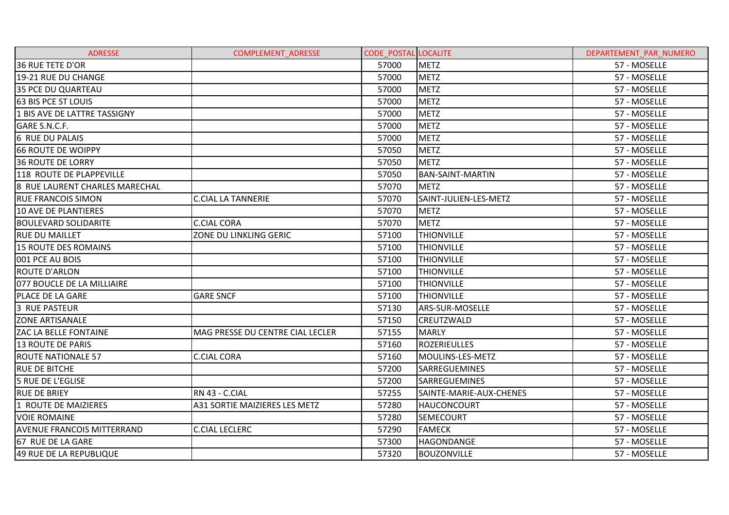| <b>ADRESSE</b>                    | <b>COMPLEMENT ADRESSE</b>        | <b>CODE POSTAL LOCALITE</b> |                         | DEPARTEMENT PAR NUMERO |
|-----------------------------------|----------------------------------|-----------------------------|-------------------------|------------------------|
| <b>36 RUE TETE D'OR</b>           |                                  | 57000                       | <b>METZ</b>             | 57 - MOSELLE           |
| 19-21 RUE DU CHANGE               |                                  | 57000                       | <b>METZ</b>             | 57 - MOSELLE           |
| <b>35 PCE DU QUARTEAU</b>         |                                  | 57000                       | <b>METZ</b>             | 57 - MOSELLE           |
| <b>63 BIS PCE ST LOUIS</b>        |                                  | 57000                       | <b>METZ</b>             | 57 - MOSELLE           |
| 1 BIS AVE DE LATTRE TASSIGNY      |                                  | 57000                       | <b>METZ</b>             | 57 - MOSELLE           |
| GARE S.N.C.F.                     |                                  | 57000                       | <b>METZ</b>             | 57 - MOSELLE           |
| 6 RUE DU PALAIS                   |                                  | 57000                       | <b>METZ</b>             | 57 - MOSELLE           |
| <b>66 ROUTE DE WOIPPY</b>         |                                  | 57050                       | <b>METZ</b>             | 57 - MOSELLE           |
| <b>36 ROUTE DE LORRY</b>          |                                  | 57050                       | <b>METZ</b>             | 57 - MOSELLE           |
| 118 ROUTE DE PLAPPEVILLE          |                                  | 57050                       | <b>BAN-SAINT-MARTIN</b> | 57 - MOSELLE           |
| 8 RUE LAURENT CHARLES MARECHAL    |                                  | 57070                       | <b>METZ</b>             | 57 - MOSELLE           |
| <b>RUE FRANCOIS SIMON</b>         | <b>C.CIAL LA TANNERIE</b>        | 57070                       | SAINT-JULIEN-LES-METZ   | 57 - MOSELLE           |
| 10 AVE DE PLANTIERES              |                                  | 57070                       | <b>METZ</b>             | 57 - MOSELLE           |
| <b>BOULEVARD SOLIDARITE</b>       | <b>C.CIAL CORA</b>               | 57070                       | <b>METZ</b>             | 57 - MOSELLE           |
| <b>RUE DU MAILLET</b>             | ZONE DU LINKLING GERIC           | 57100                       | <b>THIONVILLE</b>       | 57 - MOSELLE           |
| 15 ROUTE DES ROMAINS              |                                  | 57100                       | <b>THIONVILLE</b>       | 57 - MOSELLE           |
| 001 PCE AU BOIS                   |                                  | 57100                       | <b>THIONVILLE</b>       | 57 - MOSELLE           |
| <b>ROUTE D'ARLON</b>              |                                  | 57100                       | <b>THIONVILLE</b>       | 57 - MOSELLE           |
| 077 BOUCLE DE LA MILLIAIRE        |                                  | 57100                       | <b>THIONVILLE</b>       | 57 - MOSELLE           |
| PLACE DE LA GARE                  | <b>GARE SNCF</b>                 | 57100                       | <b>THIONVILLE</b>       | 57 - MOSELLE           |
| <b>3 RUE PASTEUR</b>              |                                  | 57130                       | ARS-SUR-MOSELLE         | 57 - MOSELLE           |
| <b>ZONE ARTISANALE</b>            |                                  | 57150                       | CREUTZWALD              | 57 - MOSELLE           |
| <b>ZAC LA BELLE FONTAINE</b>      | MAG PRESSE DU CENTRE CIAL LECLER | 57155                       | <b>MARLY</b>            | 57 - MOSELLE           |
| 13 ROUTE DE PARIS                 |                                  | 57160                       | <b>ROZERIEULLES</b>     | 57 - MOSELLE           |
| <b>ROUTE NATIONALE 57</b>         | <b>C.CIAL CORA</b>               | 57160                       | MOULINS-LES-METZ        | 57 - MOSELLE           |
| <b>RUE DE BITCHE</b>              |                                  | 57200                       | SARREGUEMINES           | 57 - MOSELLE           |
| <b>5 RUE DE L'EGLISE</b>          |                                  | 57200                       | <b>SARREGUEMINES</b>    | 57 - MOSELLE           |
| <b>RUE DE BRIEY</b>               | RN 43 - C.CIAL                   | 57255                       | SAINTE-MARIE-AUX-CHENES | 57 - MOSELLE           |
| 1 ROUTE DE MAIZIERES              | A31 SORTIE MAIZIERES LES METZ    | 57280                       | <b>HAUCONCOURT</b>      | 57 - MOSELLE           |
| <b>VOIE ROMAINE</b>               |                                  | 57280                       | <b>SEMECOURT</b>        | 57 - MOSELLE           |
| <b>AVENUE FRANCOIS MITTERRAND</b> | <b>C.CIAL LECLERC</b>            | 57290                       | <b>FAMECK</b>           | 57 - MOSELLE           |
| 67 RUE DE LA GARE                 |                                  | 57300                       | <b>HAGONDANGE</b>       | 57 - MOSELLE           |
| 49 RUE DE LA REPUBLIQUE           |                                  | 57320                       | <b>BOUZONVILLE</b>      | 57 - MOSELLE           |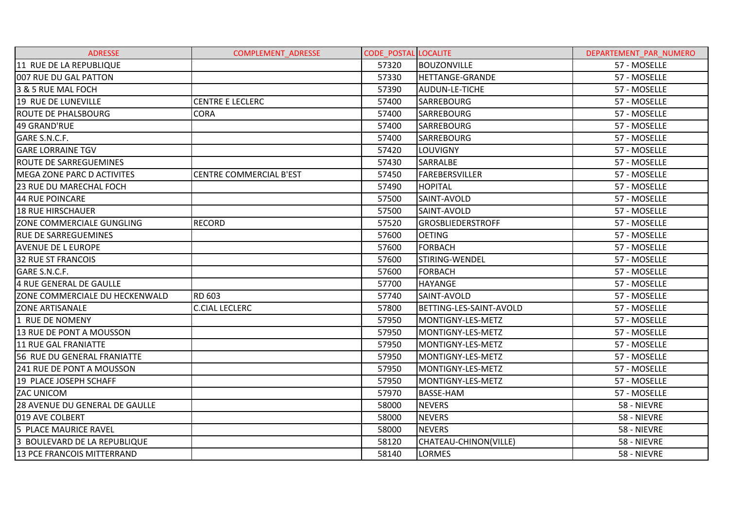| <b>ADRESSE</b>                     | COMPLEMENT_ADRESSE             | <b>CODE POSTAL LOCALITE</b> |                          | DEPARTEMENT PAR NUMERO |
|------------------------------------|--------------------------------|-----------------------------|--------------------------|------------------------|
| 11 RUE DE LA REPUBLIQUE            |                                | 57320                       | <b>BOUZONVILLE</b>       | 57 - MOSELLE           |
| 007 RUE DU GAL PATTON              |                                | 57330                       | <b>HETTANGE-GRANDE</b>   | 57 - MOSELLE           |
| 3 & 5 RUE MAL FOCH                 |                                | 57390                       | AUDUN-LE-TICHE           | 57 - MOSELLE           |
| 19 RUE DE LUNEVILLE                | <b>CENTRE E LECLERC</b>        | 57400                       | <b>SARREBOURG</b>        | 57 - MOSELLE           |
| <b>ROUTE DE PHALSBOURG</b>         | <b>CORA</b>                    | 57400                       | <b>SARREBOURG</b>        | 57 - MOSELLE           |
| 49 GRAND'RUE                       |                                | 57400                       | <b>SARREBOURG</b>        | 57 - MOSELLE           |
| GARE S.N.C.F.                      |                                | 57400                       | <b>SARREBOURG</b>        | 57 - MOSELLE           |
| <b>GARE LORRAINE TGV</b>           |                                | 57420                       | <b>LOUVIGNY</b>          | 57 - MOSELLE           |
| <b>ROUTE DE SARREGUEMINES</b>      |                                | 57430                       | SARRALBE                 | 57 - MOSELLE           |
| <b>IMEGA ZONE PARC D ACTIVITES</b> | <b>CENTRE COMMERCIAL B'EST</b> | 57450                       | FAREBERSVILLER           | 57 - MOSELLE           |
| 23 RUE DU MARECHAL FOCH            |                                | 57490                       | <b>HOPITAL</b>           | 57 - MOSELLE           |
| 44 RUE POINCARE                    |                                | 57500                       | SAINT-AVOLD              | 57 - MOSELLE           |
| <b>18 RUE HIRSCHAUER</b>           |                                | 57500                       | SAINT-AVOLD              | 57 - MOSELLE           |
| <b>ZONE COMMERCIALE GUNGLING</b>   | <b>RECORD</b>                  | 57520                       | <b>GROSBLIEDERSTROFF</b> | 57 - MOSELLE           |
| <b>RUE DE SARREGUEMINES</b>        |                                | 57600                       | <b>OETING</b>            | 57 - MOSELLE           |
| <b>AVENUE DE L EUROPE</b>          |                                | 57600                       | <b>FORBACH</b>           | 57 - MOSELLE           |
| <b>32 RUE ST FRANCOIS</b>          |                                | 57600                       | STIRING-WENDEL           | 57 - MOSELLE           |
| GARE S.N.C.F.                      |                                | 57600                       | <b>FORBACH</b>           | 57 - MOSELLE           |
| 4 RUE GENERAL DE GAULLE            |                                | 57700                       | <b>HAYANGE</b>           | 57 - MOSELLE           |
| ZONE COMMERCIALE DU HECKENWALD     | RD 603                         | 57740                       | SAINT-AVOLD              | 57 - MOSELLE           |
| <b>ZONE ARTISANALE</b>             | <b>C.CIAL LECLERC</b>          | 57800                       | BETTING-LES-SAINT-AVOLD  | 57 - MOSELLE           |
| 1 RUE DE NOMENY                    |                                | 57950                       | MONTIGNY-LES-METZ        | 57 - MOSELLE           |
| 13 RUE DE PONT A MOUSSON           |                                | 57950                       | MONTIGNY-LES-METZ        | 57 - MOSELLE           |
| 11 RUE GAL FRANIATTE               |                                | 57950                       | MONTIGNY-LES-METZ        | 57 - MOSELLE           |
| 56 RUE DU GENERAL FRANIATTE        |                                | 57950                       | MONTIGNY-LES-METZ        | 57 - MOSELLE           |
| 241 RUE DE PONT A MOUSSON          |                                | 57950                       | MONTIGNY-LES-METZ        | 57 - MOSELLE           |
| 19 PLACE JOSEPH SCHAFF             |                                | 57950                       | MONTIGNY-LES-METZ        | 57 - MOSELLE           |
| <b>ZAC UNICOM</b>                  |                                | 57970                       | <b>BASSE-HAM</b>         | 57 - MOSELLE           |
| 28 AVENUE DU GENERAL DE GAULLE     |                                | 58000                       | <b>NEVERS</b>            | 58 - NIEVRE            |
| 019 AVE COLBERT                    |                                | 58000                       | <b>NEVERS</b>            | 58 - NIEVRE            |
| 5 PLACE MAURICE RAVEL              |                                | 58000                       | <b>NEVERS</b>            | 58 - NIEVRE            |
| 3 BOULEVARD DE LA REPUBLIQUE       |                                | 58120                       | CHATEAU-CHINON(VILLE)    | 58 - NIEVRE            |
| <b>13 PCE FRANCOIS MITTERRAND</b>  |                                | 58140                       | <b>LORMES</b>            | 58 - NIEVRE            |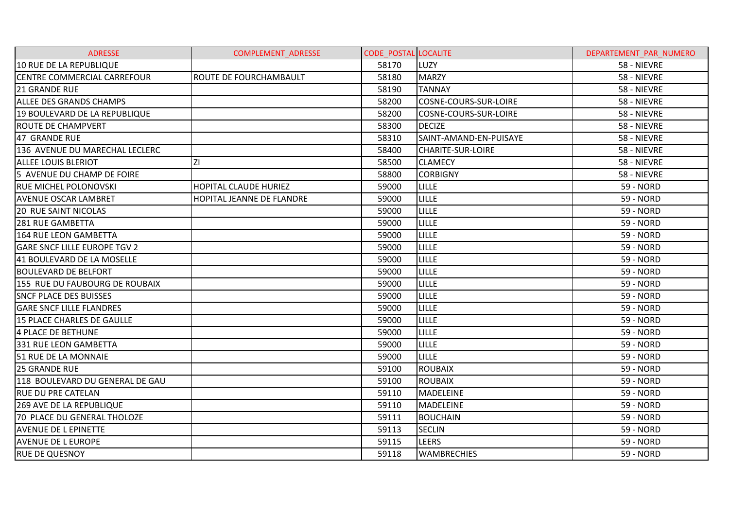| <b>ADRESSE</b>                      | <b>COMPLEMENT ADRESSE</b> | <b>CODE POSTAL LOCALITE</b> |                        | DEPARTEMENT PAR NUMERO |
|-------------------------------------|---------------------------|-----------------------------|------------------------|------------------------|
| 10 RUE DE LA REPUBLIQUE             |                           | 58170                       | LUZY                   | 58 - NIEVRE            |
| <b>CENTRE COMMERCIAL CARREFOUR</b>  | ROUTE DE FOURCHAMBAULT    | 58180                       | <b>MARZY</b>           | 58 - NIEVRE            |
| <b>21 GRANDE RUE</b>                |                           | 58190                       | <b>TANNAY</b>          | 58 - NIEVRE            |
| <b>ALLEE DES GRANDS CHAMPS</b>      |                           | 58200                       | COSNE-COURS-SUR-LOIRE  | 58 - NIEVRE            |
| 19 BOULEVARD DE LA REPUBLIQUE       |                           | 58200                       | COSNE-COURS-SUR-LOIRE  | 58 - NIEVRE            |
| ROUTE DE CHAMPVERT                  |                           | 58300                       | <b>DECIZE</b>          | 58 - NIEVRE            |
| 47 GRANDE RUE                       |                           | 58310                       | SAINT-AMAND-EN-PUISAYE | 58 - NIEVRE            |
| 136 AVENUE DU MARECHAL LECLERC      |                           | 58400                       | CHARITE-SUR-LOIRE      | 58 - NIEVRE            |
| <b>ALLEE LOUIS BLERIOT</b>          | ΖI                        | 58500                       | <b>CLAMECY</b>         | 58 - NIEVRE            |
| 5 AVENUE DU CHAMP DE FOIRE          |                           | 58800                       | <b>CORBIGNY</b>        | 58 - NIEVRE            |
| <b>RUE MICHEL POLONOVSKI</b>        | HOPITAL CLAUDE HURIEZ     | 59000                       | <b>LILLE</b>           | 59 - NORD              |
| <b>AVENUE OSCAR LAMBRET</b>         | HOPITAL JEANNE DE FLANDRE | 59000                       | <b>LILLE</b>           | 59 - NORD              |
| <b>20 RUE SAINT NICOLAS</b>         |                           | 59000                       | <b>LILLE</b>           | 59 - NORD              |
| <b>281 RUE GAMBETTA</b>             |                           | 59000                       | <b>LILLE</b>           | <b>59 - NORD</b>       |
| 164 RUE LEON GAMBETTA               |                           | 59000                       | LILLE                  | 59 - NORD              |
| <b>GARE SNCF LILLE EUROPE TGV 2</b> |                           | 59000                       | <b>LILLE</b>           | 59 - NORD              |
| 41 BOULEVARD DE LA MOSELLE          |                           | 59000                       | <b>LILLE</b>           | 59 - NORD              |
| <b>BOULEVARD DE BELFORT</b>         |                           | 59000                       | LILLE                  | <b>59 - NORD</b>       |
| 155 RUE DU FAUBOURG DE ROUBAIX      |                           | 59000                       | <b>LILLE</b>           | 59 - NORD              |
| <b>SNCF PLACE DES BUISSES</b>       |                           | 59000                       | <b>LILLE</b>           | <b>59 - NORD</b>       |
| <b>GARE SNCF LILLE FLANDRES</b>     |                           | 59000                       | <b>LILLE</b>           | 59 - NORD              |
| 15 PLACE CHARLES DE GAULLE          |                           | 59000                       | <b>LILLE</b>           | 59 - NORD              |
| 4 PLACE DE BETHUNE                  |                           | 59000                       | LILLE                  | 59 - NORD              |
| 331 RUE LEON GAMBETTA               |                           | 59000                       | <b>LILLE</b>           | <b>59 - NORD</b>       |
| 51 RUE DE LA MONNAIE                |                           | 59000                       | <b>LILLE</b>           | 59 - NORD              |
| 25 GRANDE RUE                       |                           | 59100                       | <b>ROUBAIX</b>         | <b>59 - NORD</b>       |
| 118 BOULEVARD DU GENERAL DE GAU     |                           | 59100                       | <b>ROUBAIX</b>         | 59 - NORD              |
| <b>RUE DU PRE CATELAN</b>           |                           | 59110                       | <b>MADELEINE</b>       | <b>59 - NORD</b>       |
| 269 AVE DE LA REPUBLIQUE            |                           | 59110                       | <b>MADELEINE</b>       | <b>59 - NORD</b>       |
| 70 PLACE DU GENERAL THOLOZE         |                           | 59111                       | <b>BOUCHAIN</b>        | <b>59 - NORD</b>       |
| <b>AVENUE DE L EPINETTE</b>         |                           | 59113                       | <b>SECLIN</b>          | 59 - NORD              |
| <b>AVENUE DE L EUROPE</b>           |                           | 59115                       | <b>LEERS</b>           | 59 - NORD              |
| <b>RUE DE QUESNOY</b>               |                           | 59118                       | <b>WAMBRECHIES</b>     | <b>59 - NORD</b>       |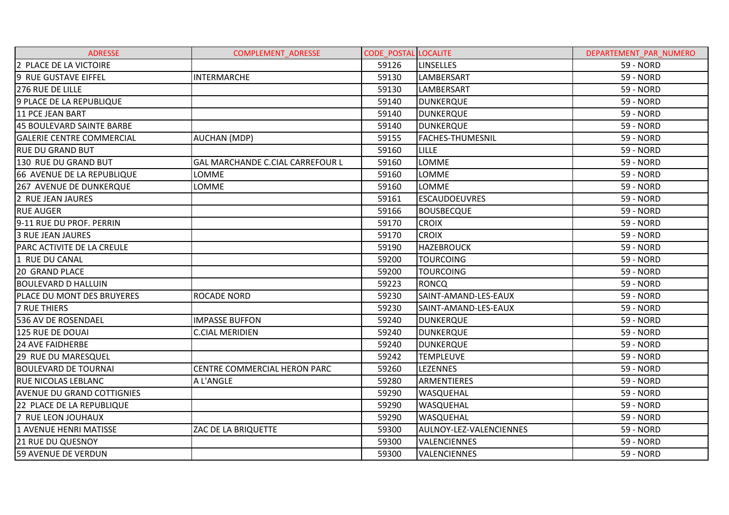| <b>ADRESSE</b>                    | <b>COMPLEMENT ADRESSE</b>        | <b>CODE POSTAL LOCALITE</b> |                         | DEPARTEMENT PAR NUMERO |
|-----------------------------------|----------------------------------|-----------------------------|-------------------------|------------------------|
| 2 PLACE DE LA VICTOIRE            |                                  | 59126                       | <b>LINSELLES</b>        | 59 - NORD              |
| 9 RUE GUSTAVE EIFFEL              | <b>INTERMARCHE</b>               | 59130                       | LAMBERSART              | <b>59 - NORD</b>       |
| 276 RUE DE LILLE                  |                                  | 59130                       | LAMBERSART              | 59 - NORD              |
| 9 PLACE DE LA REPUBLIQUE          |                                  | 59140                       | <b>DUNKERQUE</b>        | 59 - NORD              |
| <b>11 PCE JEAN BART</b>           |                                  | 59140                       | <b>DUNKERQUE</b>        | 59 - NORD              |
| 45 BOULEVARD SAINTE BARBE         |                                  | 59140                       | <b>DUNKERQUE</b>        | 59 - NORD              |
| <b>GALERIE CENTRE COMMERCIAL</b>  | <b>AUCHAN (MDP)</b>              | 59155                       | <b>FACHES-THUMESNIL</b> | 59 - NORD              |
| <b>RUE DU GRAND BUT</b>           |                                  | 59160                       | <b>LILLE</b>            | 59 - NORD              |
| 130 RUE DU GRAND BUT              | GAL MARCHANDE C.CIAL CARREFOUR L | 59160                       | <b>LOMME</b>            | 59 - NORD              |
| 66 AVENUE DE LA REPUBLIQUE        | LOMME                            | 59160                       | <b>LOMME</b>            | <b>59 - NORD</b>       |
| 267 AVENUE DE DUNKERQUE           | LOMME                            | 59160                       | <b>LOMME</b>            | 59 - NORD              |
| 2 RUE JEAN JAURES                 |                                  | 59161                       | <b>ESCAUDOEUVRES</b>    | 59 - NORD              |
| <b>RUE AUGER</b>                  |                                  | 59166                       | <b>BOUSBECQUE</b>       | 59 - NORD              |
| 9-11 RUE DU PROF. PERRIN          |                                  | 59170                       | <b>CROIX</b>            | 59 - NORD              |
| <b>3 RUE JEAN JAURES</b>          |                                  | 59170                       | <b>CROIX</b>            | <b>59 - NORD</b>       |
| PARC ACTIVITE DE LA CREULE        |                                  | 59190                       | <b>HAZEBROUCK</b>       | 59 - NORD              |
| 1 RUE DU CANAL                    |                                  | 59200                       | <b>TOURCOING</b>        | 59 - NORD              |
| <b>20 GRAND PLACE</b>             |                                  | 59200                       | <b>TOURCOING</b>        | 59 - NORD              |
| <b>BOULEVARD D HALLUIN</b>        |                                  | 59223                       | <b>RONCQ</b>            | 59 - NORD              |
| <b>PLACE DU MONT DES BRUYERES</b> | <b>ROCADE NORD</b>               | 59230                       | SAINT-AMAND-LES-EAUX    | 59 - NORD              |
| <b>7 RUE THIERS</b>               |                                  | 59230                       | SAINT-AMAND-LES-EAUX    | 59 - NORD              |
| 536 AV DE ROSENDAEL               | <b>IMPASSE BUFFON</b>            | 59240                       | <b>DUNKERQUE</b>        | 59 - NORD              |
| 125 RUE DE DOUAI                  | <b>C.CIAL MERIDIEN</b>           | 59240                       | <b>DUNKERQUE</b>        | <b>59 - NORD</b>       |
| <b>24 AVE FAIDHERBE</b>           |                                  | 59240                       | <b>DUNKERQUE</b>        | 59 - NORD              |
| 29 RUE DU MARESQUEL               |                                  | 59242                       | <b>TEMPLEUVE</b>        | 59 - NORD              |
| <b>BOULEVARD DE TOURNAI</b>       | CENTRE COMMERCIAL HERON PARC     | 59260                       | <b>LEZENNES</b>         | 59 - NORD              |
| <b>RUE NICOLAS LEBLANC</b>        | A L'ANGLE                        | 59280                       | ARMENTIERES             | 59 - NORD              |
| <b>AVENUE DU GRAND COTTIGNIES</b> |                                  | 59290                       | WASQUEHAL               | <b>59 - NORD</b>       |
| 22 PLACE DE LA REPUBLIQUE         |                                  | 59290                       | WASQUEHAL               | 59 - NORD              |
| 7 RUE LEON JOUHAUX                |                                  | 59290                       | WASQUEHAL               | 59 - NORD              |
| 1 AVENUE HENRI MATISSE            | ZAC DE LA BRIQUETTE              | 59300                       | AULNOY-LEZ-VALENCIENNES | 59 - NORD              |
| <b>21 RUE DU QUESNOY</b>          |                                  | 59300                       | <b>VALENCIENNES</b>     | 59 - NORD              |
| 59 AVENUE DE VERDUN               |                                  | 59300                       | VALENCIENNES            | <b>59 - NORD</b>       |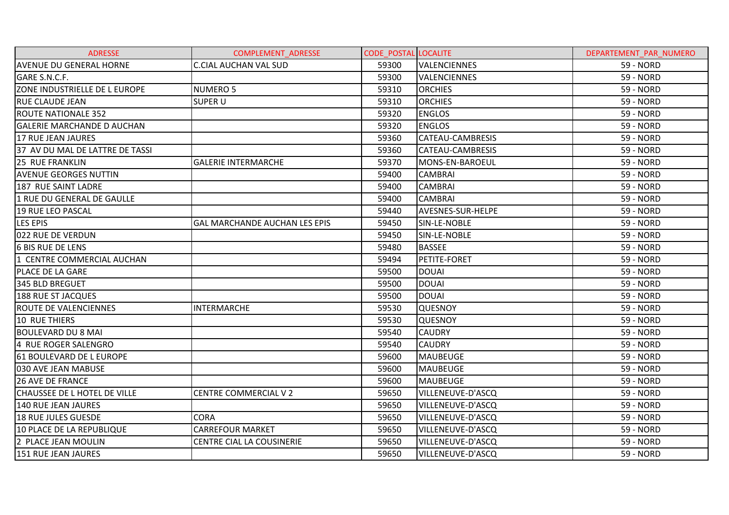| <b>ADRESSE</b>                    | <b>COMPLEMENT ADRESSE</b>            | <b>CODE POSTAL LOCALITE</b> |                         | DEPARTEMENT PAR NUMERO |
|-----------------------------------|--------------------------------------|-----------------------------|-------------------------|------------------------|
| <b>AVENUE DU GENERAL HORNE</b>    | <b>C.CIAL AUCHAN VAL SUD</b>         | 59300                       | <b>VALENCIENNES</b>     | 59 - NORD              |
| GARE S.N.C.F.                     |                                      | 59300                       | <b>VALENCIENNES</b>     | <b>59 - NORD</b>       |
| ZONE INDUSTRIELLE DE L EUROPE     | <b>NUMERO 5</b>                      | 59310                       | <b>ORCHIES</b>          | 59 - NORD              |
| <b>RUE CLAUDE JEAN</b>            | <b>SUPER U</b>                       | 59310                       | <b>ORCHIES</b>          | 59 - NORD              |
| <b>ROUTE NATIONALE 352</b>        |                                      | 59320                       | <b>ENGLOS</b>           | 59 - NORD              |
| <b>GALERIE MARCHANDE D AUCHAN</b> |                                      | 59320                       | <b>ENGLOS</b>           | 59 - NORD              |
| <b>17 RUE JEAN JAURES</b>         |                                      | 59360                       | <b>CATEAU-CAMBRESIS</b> | <b>59 - NORD</b>       |
| 37 AV DU MAL DE LATTRE DE TASSI   |                                      | 59360                       | <b>CATEAU-CAMBRESIS</b> | 59 - NORD              |
| 25 RUE FRANKLIN                   | <b>GALERIE INTERMARCHE</b>           | 59370                       | MONS-EN-BAROEUL         | 59 - NORD              |
| <b>AVENUE GEORGES NUTTIN</b>      |                                      | 59400                       | <b>CAMBRAI</b>          | <b>59 - NORD</b>       |
| 187 RUE SAINT LADRE               |                                      | 59400                       | <b>CAMBRAI</b>          | 59 - NORD              |
| 1 RUE DU GENERAL DE GAULLE        |                                      | 59400                       | <b>CAMBRAI</b>          | 59 - NORD              |
| <b>19 RUE LEO PASCAL</b>          |                                      | 59440                       | AVESNES-SUR-HELPE       | 59 - NORD              |
| <b>LES EPIS</b>                   | <b>GAL MARCHANDE AUCHAN LES EPIS</b> | 59450                       | SIN-LE-NOBLE            | 59 - NORD              |
| 022 RUE DE VERDUN                 |                                      | 59450                       | SIN-LE-NOBLE            | 59 - NORD              |
| <b>6 BIS RUE DE LENS</b>          |                                      | 59480                       | <b>BASSEE</b>           | 59 - NORD              |
| 1 CENTRE COMMERCIAL AUCHAN        |                                      | 59494                       | PETITE-FORET            | 59 - NORD              |
| <b>PLACE DE LA GARE</b>           |                                      | 59500                       | <b>DOUAI</b>            | <b>59 - NORD</b>       |
| 345 BLD BREGUET                   |                                      | 59500                       | <b>DOUAI</b>            | 59 - NORD              |
| <b>188 RUE ST JACQUES</b>         |                                      | 59500                       | <b>DOUAI</b>            | 59 - NORD              |
| ROUTE DE VALENCIENNES             | <b>INTERMARCHE</b>                   | 59530                       | <b>QUESNOY</b>          | 59 - NORD              |
| <b>10 RUE THIERS</b>              |                                      | 59530                       | <b>QUESNOY</b>          | 59 - NORD              |
| BOULEVARD DU 8 MAI                |                                      | 59540                       | <b>CAUDRY</b>           | <b>59 - NORD</b>       |
| 4 RUE ROGER SALENGRO              |                                      | 59540                       | <b>CAUDRY</b>           | 59 - NORD              |
| 61 BOULEVARD DE L EUROPE          |                                      | 59600                       | <b>MAUBEUGE</b>         | 59 - NORD              |
| 030 AVE JEAN MABUSE               |                                      | 59600                       | <b>MAUBEUGE</b>         | 59 - NORD              |
| <b>26 AVE DE FRANCE</b>           |                                      | 59600                       | <b>MAUBEUGE</b>         | 59 - NORD              |
| CHAUSSEE DE L HOTEL DE VILLE      | <b>CENTRE COMMERCIAL V 2</b>         | 59650                       | VILLENEUVE-D'ASCQ       | 59 - NORD              |
| <b>140 RUE JEAN JAURES</b>        |                                      | 59650                       | VILLENEUVE-D'ASCQ       | 59 - NORD              |
| <b>18 RUE JULES GUESDE</b>        | <b>CORA</b>                          | 59650                       | VILLENEUVE-D'ASCQ       | 59 - NORD              |
| 10 PLACE DE LA REPUBLIQUE         | <b>CARREFOUR MARKET</b>              | 59650                       | VILLENEUVE-D'ASCQ       | <b>59 - NORD</b>       |
| 2 PLACE JEAN MOULIN               | <b>CENTRE CIAL LA COUSINERIE</b>     | 59650                       | VILLENEUVE-D'ASCQ       | 59 - NORD              |
| <b>151 RUE JEAN JAURES</b>        |                                      | 59650                       | VILLENEUVE-D'ASCQ       | <b>59 - NORD</b>       |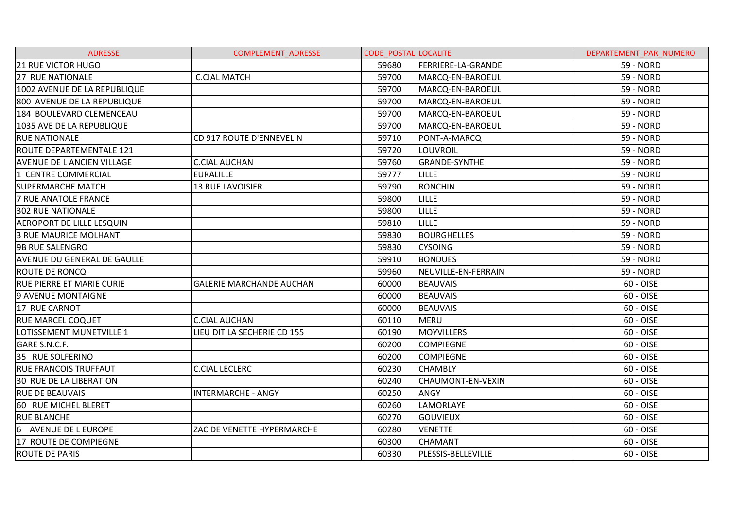| <b>ADRESSE</b>                    | <b>COMPLEMENT ADRESSE</b>       | <b>CODE POSTAL LOCALITE</b> |                      | DEPARTEMENT PAR NUMERO |
|-----------------------------------|---------------------------------|-----------------------------|----------------------|------------------------|
| 21 RUE VICTOR HUGO                |                                 | 59680                       | FERRIERE-LA-GRANDE   | 59 - NORD              |
| <b>27 RUE NATIONALE</b>           | <b>C.CIAL MATCH</b>             | 59700                       | MARCQ-EN-BAROEUL     | 59 - NORD              |
| 1002 AVENUE DE LA REPUBLIQUE      |                                 | 59700                       | MARCQ-EN-BAROEUL     | <b>59 - NORD</b>       |
| 800 AVENUE DE LA REPUBLIQUE       |                                 | 59700                       | MARCQ-EN-BAROEUL     | <b>59 - NORD</b>       |
| 184 BOULEVARD CLEMENCEAU          |                                 | 59700                       | MARCQ-EN-BAROEUL     | <b>59 - NORD</b>       |
| 1035 AVE DE LA REPUBLIQUE         |                                 | 59700                       | MARCQ-EN-BAROEUL     | 59 - NORD              |
| <b>RUE NATIONALE</b>              | CD 917 ROUTE D'ENNEVELIN        | 59710                       | PONT-A-MARCQ         | <b>59 - NORD</b>       |
| <b>ROUTE DEPARTEMENTALE 121</b>   |                                 | 59720                       | LOUVROIL             | 59 - NORD              |
| <b>AVENUE DE L ANCIEN VILLAGE</b> | <b>C.CIAL AUCHAN</b>            | 59760                       | <b>GRANDE-SYNTHE</b> | 59 - NORD              |
| 1 CENTRE COMMERCIAL               | <b>EURALILLE</b>                | 59777                       | <b>LILLE</b>         | <b>59 - NORD</b>       |
| <b>SUPERMARCHE MATCH</b>          | 13 RUE LAVOISIER                | 59790                       | <b>RONCHIN</b>       | 59 - NORD              |
| <b>7 RUE ANATOLE FRANCE</b>       |                                 | 59800                       | <b>LILLE</b>         | <b>59 - NORD</b>       |
| <b>302 RUE NATIONALE</b>          |                                 | 59800                       | <b>LILLE</b>         | 59 - NORD              |
| AEROPORT DE LILLE LESQUIN         |                                 | 59810                       | <b>LILLE</b>         | <b>59 - NORD</b>       |
| 3 RUE MAURICE MOLHANT             |                                 | 59830                       | <b>BOURGHELLES</b>   | <b>59 - NORD</b>       |
| <b>9B RUE SALENGRO</b>            |                                 | 59830                       | <b>CYSOING</b>       | 59 - NORD              |
| AVENUE DU GENERAL DE GAULLE       |                                 | 59910                       | <b>BONDUES</b>       | 59 - NORD              |
| <b>ROUTE DE RONCQ</b>             |                                 | 59960                       | NEUVILLE-EN-FERRAIN  | 59 - NORD              |
| <b>RUE PIERRE ET MARIE CURIE</b>  | <b>GALERIE MARCHANDE AUCHAN</b> | 60000                       | <b>BEAUVAIS</b>      | 60 - OISE              |
| 9 AVENUE MONTAIGNE                |                                 | 60000                       | <b>BEAUVAIS</b>      | 60 - OISE              |
| 17 RUE CARNOT                     |                                 | 60000                       | <b>BEAUVAIS</b>      | 60 - OISE              |
| <b>RUE MARCEL COQUET</b>          | <b>C.CIAL AUCHAN</b>            | 60110                       | <b>MERU</b>          | 60 - OISE              |
| LOTISSEMENT MUNETVILLE 1          | LIEU DIT LA SECHERIE CD 155     | 60190                       | <b>MOYVILLERS</b>    | 60 - OISE              |
| GARE S.N.C.F.                     |                                 | 60200                       | <b>COMPIEGNE</b>     | 60 - OISE              |
| 35 RUE SOLFERINO                  |                                 | 60200                       | <b>COMPIEGNE</b>     | 60 - OISE              |
| <b>RUE FRANCOIS TRUFFAUT</b>      | <b>C.CIAL LECLERC</b>           | 60230                       | <b>CHAMBLY</b>       | 60 - OISE              |
| <b>30 RUE DE LA LIBERATION</b>    |                                 | 60240                       | CHAUMONT-EN-VEXIN    | 60 - OISE              |
| <b>RUE DE BEAUVAIS</b>            | <b>INTERMARCHE - ANGY</b>       | 60250                       | ANGY                 | 60 - OISE              |
| 60 RUE MICHEL BLERET              |                                 | 60260                       | LAMORLAYE            | 60 - OISE              |
| <b>RUE BLANCHE</b>                |                                 | 60270                       | <b>GOUVIEUX</b>      | 60 - OISE              |
| 6 AVENUE DE L EUROPE              | ZAC DE VENETTE HYPERMARCHE      | 60280                       | <b>VENETTE</b>       | 60 - OISE              |
| 17 ROUTE DE COMPIEGNE             |                                 | 60300                       | <b>CHAMANT</b>       | 60 - OISE              |
| <b>ROUTE DE PARIS</b>             |                                 | 60330                       | PLESSIS-BELLEVILLE   | 60 - OISE              |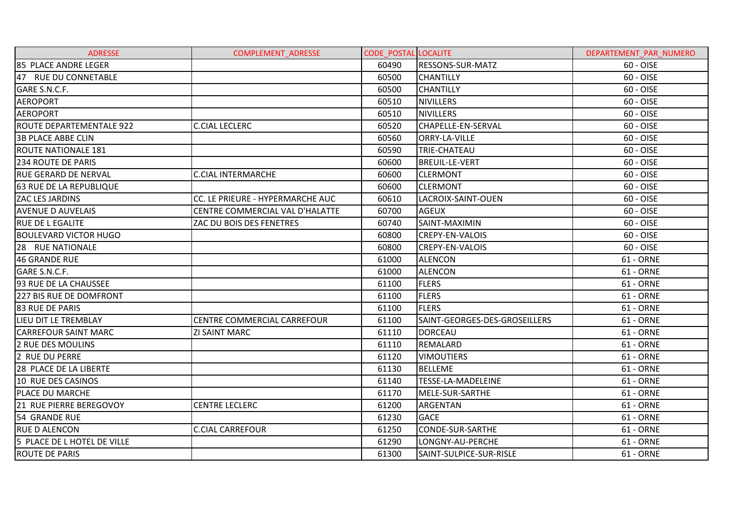| <b>ADRESSE</b>                  | <b>COMPLEMENT ADRESSE</b>        | <b>CODE POSTAL LOCALITE</b> |                               | DEPARTEMENT PAR NUMERO |
|---------------------------------|----------------------------------|-----------------------------|-------------------------------|------------------------|
| 85 PLACE ANDRE LEGER            |                                  | 60490                       | <b>RESSONS-SUR-MATZ</b>       | 60 - OISE              |
| 47 RUE DU CONNETABLE            |                                  | 60500                       | <b>CHANTILLY</b>              | 60 - OISE              |
| GARE S.N.C.F.                   |                                  | 60500                       | <b>CHANTILLY</b>              | 60 - OISE              |
| <b>AEROPORT</b>                 |                                  | 60510                       | <b>NIVILLERS</b>              | 60 - OISE              |
| <b>AEROPORT</b>                 |                                  | 60510                       | NIVILLERS                     | 60 - OISE              |
| <b>ROUTE DEPARTEMENTALE 922</b> | <b>C.CIAL LECLERC</b>            | 60520                       | <b>CHAPELLE-EN-SERVAL</b>     | 60 - OISE              |
| <b>3B PLACE ABBE CLIN</b>       |                                  | 60560                       | <b>ORRY-LA-VILLE</b>          | 60 - OISE              |
| <b>ROUTE NATIONALE 181</b>      |                                  | 60590                       | TRIE-CHATEAU                  | 60 - OISE              |
| 234 ROUTE DE PARIS              |                                  | 60600                       | <b>BREUIL-LE-VERT</b>         | 60 - OISE              |
| <b>RUE GERARD DE NERVAL</b>     | <b>C.CIAL INTERMARCHE</b>        | 60600                       | <b>CLERMONT</b>               | 60 - OISE              |
| <b>63 RUE DE LA REPUBLIQUE</b>  |                                  | 60600                       | <b>CLERMONT</b>               | 60 - OISE              |
| <b>ZAC LES JARDINS</b>          | CC. LE PRIEURE - HYPERMARCHE AUC | 60610                       | LACROIX-SAINT-OUEN            | 60 - OISE              |
| <b>AVENUE D AUVELAIS</b>        | CENTRE COMMERCIAL VAL D'HALATTE  | 60700                       | <b>AGEUX</b>                  | 60 - OISE              |
| <b>RUE DE L EGALITE</b>         | ZAC DU BOIS DES FENETRES         | 60740                       | SAINT-MAXIMIN                 | 60 - OISE              |
| <b>BOULEVARD VICTOR HUGO</b>    |                                  | 60800                       | <b>CREPY-EN-VALOIS</b>        | 60 - OISE              |
| 28 RUE NATIONALE                |                                  | 60800                       | <b>CREPY-EN-VALOIS</b>        | 60 - OISE              |
| <b>46 GRANDE RUE</b>            |                                  | 61000                       | <b>ALENCON</b>                | 61 - ORNE              |
| GARE S.N.C.F.                   |                                  | 61000                       | <b>ALENCON</b>                | 61 - ORNE              |
| 93 RUE DE LA CHAUSSEE           |                                  | 61100                       | <b>FLERS</b>                  | 61 - ORNE              |
| 227 BIS RUE DE DOMFRONT         |                                  | 61100                       | <b>FLERS</b>                  | 61 - ORNE              |
| 83 RUE DE PARIS                 |                                  | 61100                       | <b>FLERS</b>                  | 61 - ORNE              |
| LIEU DIT LE TREMBLAY            | CENTRE COMMERCIAL CARREFOUR      | 61100                       | SAINT-GEORGES-DES-GROSEILLERS | 61 - ORNE              |
| <b>CARREFOUR SAINT MARC</b>     | <b>ZI SAINT MARC</b>             | 61110                       | <b>DORCEAU</b>                | 61 - ORNE              |
| 2 RUE DES MOULINS               |                                  | 61110                       | REMALARD                      | 61 - ORNE              |
| 2 RUE DU PERRE                  |                                  | 61120                       | <b>VIMOUTIERS</b>             | 61 - ORNE              |
| 28 PLACE DE LA LIBERTE          |                                  | 61130                       | <b>BELLEME</b>                | 61 - ORNE              |
| 10 RUE DES CASINOS              |                                  | 61140                       | TESSE-LA-MADELEINE            | 61 - ORNE              |
| PLACE DU MARCHE                 |                                  | 61170                       | MELE-SUR-SARTHE               | 61 - ORNE              |
| 21 RUE PIERRE BEREGOVOY         | <b>CENTRE LECLERC</b>            | 61200                       | ARGENTAN                      | 61 - ORNE              |
| 54 GRANDE RUE                   |                                  | 61230                       | <b>GACE</b>                   | 61 - ORNE              |
| <b>RUE D ALENCON</b>            | <b>C.CIAL CARREFOUR</b>          | 61250                       | <b>CONDE-SUR-SARTHE</b>       | 61 - ORNE              |
| 5 PLACE DE L HOTEL DE VILLE     |                                  | 61290                       | LONGNY-AU-PERCHE              | 61 - ORNE              |
| <b>ROUTE DE PARIS</b>           |                                  | 61300                       | SAINT-SULPICE-SUR-RISLE       | 61 - ORNE              |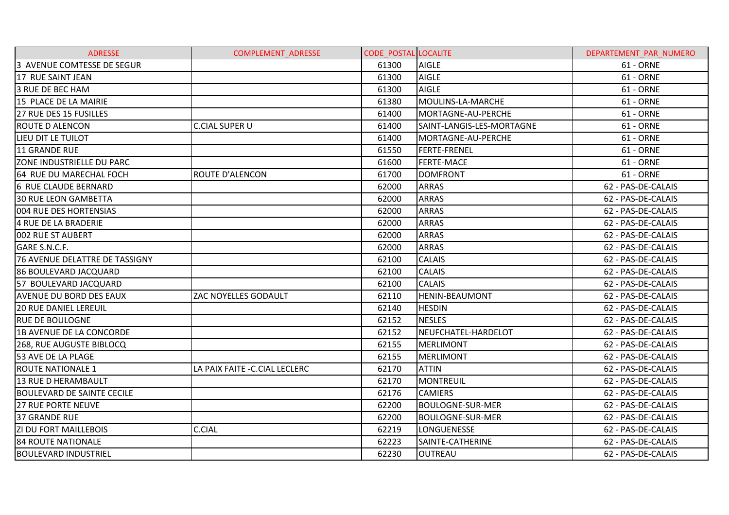| <b>ADRESSE</b>                    | <b>COMPLEMENT ADRESSE</b>      | <b>CODE POSTAL LOCALITE</b> |                           | DEPARTEMENT PAR NUMERO |
|-----------------------------------|--------------------------------|-----------------------------|---------------------------|------------------------|
| 3 AVENUE COMTESSE DE SEGUR        |                                | 61300                       | <b>AIGLE</b>              | 61 - ORNE              |
| 17 RUE SAINT JEAN                 |                                | 61300                       | <b>AIGLE</b>              | 61 - ORNE              |
| 3 RUE DE BEC HAM                  |                                | 61300                       | <b>AIGLE</b>              | 61 - ORNE              |
| 15 PLACE DE LA MAIRIE             |                                | 61380                       | MOULINS-LA-MARCHE         | 61 - ORNE              |
| 27 RUE DES 15 FUSILLES            |                                | 61400                       | MORTAGNE-AU-PERCHE        | 61 - ORNE              |
| <b>ROUTE D ALENCON</b>            | <b>C.CIAL SUPER U</b>          | 61400                       | SAINT-LANGIS-LES-MORTAGNE | 61 - ORNE              |
| LIEU DIT LE TUILOT                |                                | 61400                       | MORTAGNE-AU-PERCHE        | 61 - ORNE              |
| <b>11 GRANDE RUE</b>              |                                | 61550                       | <b>FERTE-FRENEL</b>       | 61 - ORNE              |
| <b>ZONE INDUSTRIELLE DU PARC</b>  |                                | 61600                       | <b>FERTE-MACE</b>         | 61 - ORNE              |
| 64 RUE DU MARECHAL FOCH           | <b>ROUTE D'ALENCON</b>         | 61700                       | <b>DOMFRONT</b>           | 61 - ORNE              |
| 6 RUE CLAUDE BERNARD              |                                | 62000                       | <b>ARRAS</b>              | 62 - PAS-DE-CALAIS     |
| <b>30 RUE LEON GAMBETTA</b>       |                                | 62000                       | <b>ARRAS</b>              | 62 - PAS-DE-CALAIS     |
| <b>004 RUE DES HORTENSIAS</b>     |                                | 62000                       | <b>ARRAS</b>              | 62 - PAS-DE-CALAIS     |
| 4 RUE DE LA BRADERIE              |                                | 62000                       | <b>ARRAS</b>              | 62 - PAS-DE-CALAIS     |
| 002 RUE ST AUBERT                 |                                | 62000                       | <b>ARRAS</b>              | 62 - PAS-DE-CALAIS     |
| GARE S.N.C.F.                     |                                | 62000                       | <b>ARRAS</b>              | 62 - PAS-DE-CALAIS     |
| 76 AVENUE DELATTRE DE TASSIGNY    |                                | 62100                       | <b>CALAIS</b>             | 62 - PAS-DE-CALAIS     |
| <b>86 BOULEVARD JACQUARD</b>      |                                | 62100                       | <b>CALAIS</b>             | 62 - PAS-DE-CALAIS     |
| 57 BOULEVARD JACQUARD             |                                | 62100                       | <b>CALAIS</b>             | 62 - PAS-DE-CALAIS     |
| <b>AVENUE DU BORD DES EAUX</b>    | ZAC NOYELLES GODAULT           | 62110                       | <b>HENIN-BEAUMONT</b>     | 62 - PAS-DE-CALAIS     |
| <b>20 RUE DANIEL LEREUIL</b>      |                                | 62140                       | <b>HESDIN</b>             | 62 - PAS-DE-CALAIS     |
| <b>RUE DE BOULOGNE</b>            |                                | 62152                       | <b>NESLES</b>             | 62 - PAS-DE-CALAIS     |
| <b>1B AVENUE DE LA CONCORDE</b>   |                                | 62152                       | NEUFCHATEL-HARDELOT       | 62 - PAS-DE-CALAIS     |
| 268, RUE AUGUSTE BIBLOCQ          |                                | 62155                       | MERLIMONT                 | 62 - PAS-DE-CALAIS     |
| 53 AVE DE LA PLAGE                |                                | 62155                       | <b>MERLIMONT</b>          | 62 - PAS-DE-CALAIS     |
| <b>ROUTE NATIONALE 1</b>          | LA PAIX FAITE - C.CIAL LECLERC | 62170                       | <b>ATTIN</b>              | 62 - PAS-DE-CALAIS     |
| 13 RUE D HERAMBAULT               |                                | 62170                       | <b>MONTREUIL</b>          | 62 - PAS-DE-CALAIS     |
| <b>BOULEVARD DE SAINTE CECILE</b> |                                | 62176                       | <b>CAMIERS</b>            | 62 - PAS-DE-CALAIS     |
| <b>27 RUE PORTE NEUVE</b>         |                                | 62200                       | <b>BOULOGNE-SUR-MER</b>   | 62 - PAS-DE-CALAIS     |
| <b>37 GRANDE RUE</b>              |                                | 62200                       | <b>BOULOGNE-SUR-MER</b>   | 62 - PAS-DE-CALAIS     |
| <b>ZI DU FORT MAILLEBOIS</b>      | <b>C.CIAL</b>                  | 62219                       | LONGUENESSE               | 62 - PAS-DE-CALAIS     |
| 84 ROUTE NATIONALE                |                                | 62223                       | SAINTE-CATHERINE          | 62 - PAS-DE-CALAIS     |
| <b>BOULEVARD INDUSTRIEL</b>       |                                | 62230                       | <b>OUTREAU</b>            | 62 - PAS-DE-CALAIS     |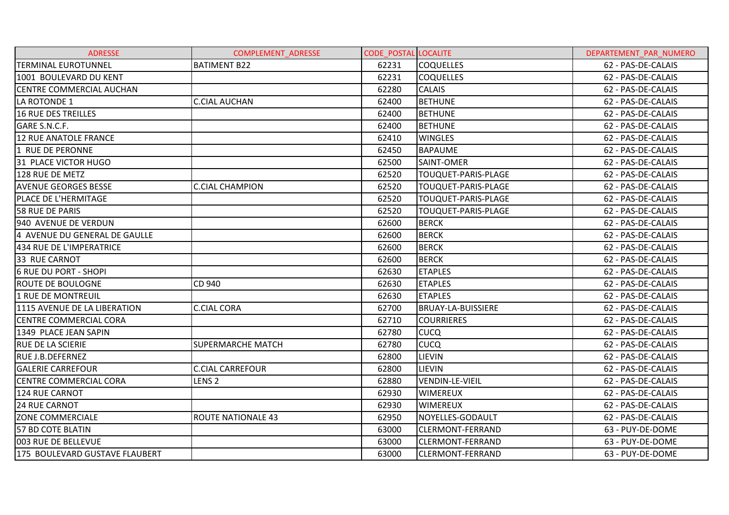| <b>ADRESSE</b>                 | COMPLEMENT_ADRESSE        | <b>CODE_POSTAL LOCALITE</b> |                            | DEPARTEMENT_PAR_NUMERO |
|--------------------------------|---------------------------|-----------------------------|----------------------------|------------------------|
| <b>TERMINAL EUROTUNNEL</b>     | <b>BATIMENT B22</b>       | 62231                       | <b>COQUELLES</b>           | 62 - PAS-DE-CALAIS     |
| 1001 BOULEVARD DU KENT         |                           | 62231                       | <b>COQUELLES</b>           | 62 - PAS-DE-CALAIS     |
| CENTRE COMMERCIAL AUCHAN       |                           | 62280                       | <b>CALAIS</b>              | 62 - PAS-DE-CALAIS     |
| LA ROTONDE 1                   | <b>C.CIAL AUCHAN</b>      | 62400                       | <b>BETHUNE</b>             | 62 - PAS-DE-CALAIS     |
| 16 RUE DES TREILLES            |                           | 62400                       | <b>BETHUNE</b>             | 62 - PAS-DE-CALAIS     |
| GARE S.N.C.F.                  |                           | 62400                       | <b>BETHUNE</b>             | 62 - PAS-DE-CALAIS     |
| 12 RUE ANATOLE FRANCE          |                           | 62410                       | <b>WINGLES</b>             | 62 - PAS-DE-CALAIS     |
| 1 RUE DE PERONNE               |                           | 62450                       | <b>BAPAUME</b>             | 62 - PAS-DE-CALAIS     |
| 31 PLACE VICTOR HUGO           |                           | 62500                       | SAINT-OMER                 | 62 - PAS-DE-CALAIS     |
| 128 RUE DE METZ                |                           | 62520                       | TOUQUET-PARIS-PLAGE        | 62 - PAS-DE-CALAIS     |
| <b>AVENUE GEORGES BESSE</b>    | <b>C.CIAL CHAMPION</b>    | 62520                       | TOUQUET-PARIS-PLAGE        | 62 - PAS-DE-CALAIS     |
| PLACE DE L'HERMITAGE           |                           | 62520                       | TOUQUET-PARIS-PLAGE        | 62 - PAS-DE-CALAIS     |
| 58 RUE DE PARIS                |                           | 62520                       | <b>TOUQUET-PARIS-PLAGE</b> | 62 - PAS-DE-CALAIS     |
| 940 AVENUE DE VERDUN           |                           | 62600                       | <b>BERCK</b>               | 62 - PAS-DE-CALAIS     |
| 4 AVENUE DU GENERAL DE GAULLE  |                           | 62600                       | <b>BERCK</b>               | 62 - PAS-DE-CALAIS     |
| 434 RUE DE L'IMPERATRICE       |                           | 62600                       | <b>BERCK</b>               | 62 - PAS-DE-CALAIS     |
| 33 RUE CARNOT                  |                           | 62600                       | <b>BERCK</b>               | 62 - PAS-DE-CALAIS     |
| <b>6 RUE DU PORT - SHOPI</b>   |                           | 62630                       | <b>ETAPLES</b>             | 62 - PAS-DE-CALAIS     |
| <b>ROUTE DE BOULOGNE</b>       | CD 940                    | 62630                       | <b>ETAPLES</b>             | 62 - PAS-DE-CALAIS     |
| 1 RUE DE MONTREUIL             |                           | 62630                       | <b>ETAPLES</b>             | 62 - PAS-DE-CALAIS     |
| 1115 AVENUE DE LA LIBERATION   | <b>C.CIAL CORA</b>        | 62700                       | <b>BRUAY-LA-BUISSIERE</b>  | 62 - PAS-DE-CALAIS     |
| <b>CENTRE COMMERCIAL CORA</b>  |                           | 62710                       | <b>COURRIERES</b>          | 62 - PAS-DE-CALAIS     |
| 1349 PLACE JEAN SAPIN          |                           | 62780                       | <b>CUCQ</b>                | 62 - PAS-DE-CALAIS     |
| <b>RUE DE LA SCIERIE</b>       | <b>SUPERMARCHE MATCH</b>  | 62780                       | <b>CUCQ</b>                | 62 - PAS-DE-CALAIS     |
| <b>RUE J.B.DEFERNEZ</b>        |                           | 62800                       | <b>LIEVIN</b>              | 62 - PAS-DE-CALAIS     |
| <b>GALERIE CARREFOUR</b>       | <b>C.CIAL CARREFOUR</b>   | 62800                       | LIEVIN                     | 62 - PAS-DE-CALAIS     |
| <b>CENTRE COMMERCIAL CORA</b>  | LENS <sub>2</sub>         | 62880                       | <b>VENDIN-LE-VIEIL</b>     | 62 - PAS-DE-CALAIS     |
| 124 RUE CARNOT                 |                           | 62930                       | <b>WIMEREUX</b>            | 62 - PAS-DE-CALAIS     |
| 24 RUE CARNOT                  |                           | 62930                       | <b>WIMEREUX</b>            | 62 - PAS-DE-CALAIS     |
| <b>ZONE COMMERCIALE</b>        | <b>ROUTE NATIONALE 43</b> | 62950                       | NOYELLES-GODAULT           | 62 - PAS-DE-CALAIS     |
| 57 BD COTE BLATIN              |                           | 63000                       | <b>CLERMONT-FERRAND</b>    | 63 - PUY-DE-DOME       |
| 003 RUE DE BELLEVUE            |                           | 63000                       | <b>CLERMONT-FERRAND</b>    | 63 - PUY-DE-DOME       |
| 175 BOULEVARD GUSTAVE FLAUBERT |                           | 63000                       | <b>CLERMONT-FERRAND</b>    | 63 - PUY-DE-DOME       |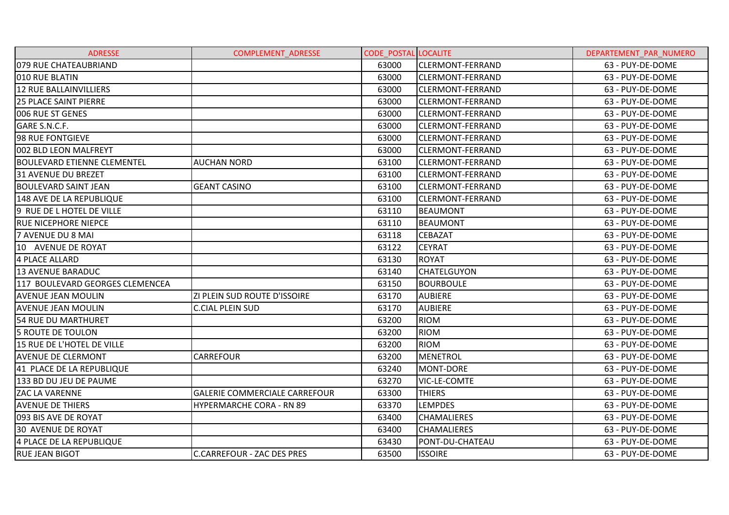| <b>ADRESSE</b>                  | <b>COMPLEMENT ADRESSE</b>            | <b>CODE POSTAL LOCALITE</b> |                         | DEPARTEMENT PAR NUMERO |
|---------------------------------|--------------------------------------|-----------------------------|-------------------------|------------------------|
| 079 RUE CHATEAUBRIAND           |                                      | 63000                       | <b>CLERMONT-FERRAND</b> | 63 - PUY-DE-DOME       |
| 010 RUE BLATIN                  |                                      | 63000                       | <b>CLERMONT-FERRAND</b> | 63 - PUY-DE-DOME       |
| <b>12 RUE BALLAINVILLIERS</b>   |                                      | 63000                       | <b>CLERMONT-FERRAND</b> | 63 - PUY-DE-DOME       |
| <b>25 PLACE SAINT PIERRE</b>    |                                      | 63000                       | <b>CLERMONT-FERRAND</b> | 63 - PUY-DE-DOME       |
| <b>006 RUE ST GENES</b>         |                                      | 63000                       | <b>CLERMONT-FERRAND</b> | 63 - PUY-DE-DOME       |
| GARE S.N.C.F.                   |                                      | 63000                       | <b>CLERMONT-FERRAND</b> | 63 - PUY-DE-DOME       |
| 98 RUE FONTGIEVE                |                                      | 63000                       | <b>CLERMONT-FERRAND</b> | 63 - PUY-DE-DOME       |
| 002 BLD LEON MALFREYT           |                                      | 63000                       | <b>CLERMONT-FERRAND</b> | 63 - PUY-DE-DOME       |
| BOULEVARD ETIENNE CLEMENTEL     | <b>AUCHAN NORD</b>                   | 63100                       | <b>CLERMONT-FERRAND</b> | 63 - PUY-DE-DOME       |
| 31 AVENUE DU BREZET             |                                      | 63100                       | <b>CLERMONT-FERRAND</b> | 63 - PUY-DE-DOME       |
| <b>BOULEVARD SAINT JEAN</b>     | <b>GEANT CASINO</b>                  | 63100                       | CLERMONT-FERRAND        | 63 - PUY-DE-DOME       |
| 148 AVE DE LA REPUBLIQUE        |                                      | 63100                       | <b>CLERMONT-FERRAND</b> | 63 - PUY-DE-DOME       |
| 9 RUE DE L HOTEL DE VILLE       |                                      | 63110                       | BEAUMONT                | 63 - PUY-DE-DOME       |
| <b>RUE NICEPHORE NIEPCE</b>     |                                      | 63110                       | <b>BEAUMONT</b>         | 63 - PUY-DE-DOME       |
| 7 AVENUE DU 8 MAI               |                                      | 63118                       | <b>CEBAZAT</b>          | 63 - PUY-DE-DOME       |
| 10 AVENUE DE ROYAT              |                                      | 63122                       | <b>CEYRAT</b>           | 63 - PUY-DE-DOME       |
| 4 PLACE ALLARD                  |                                      | 63130                       | <b>ROYAT</b>            | 63 - PUY-DE-DOME       |
| <b>13 AVENUE BARADUC</b>        |                                      | 63140                       | <b>CHATELGUYON</b>      | 63 - PUY-DE-DOME       |
| 117 BOULEVARD GEORGES CLEMENCEA |                                      | 63150                       | <b>BOURBOULE</b>        | 63 - PUY-DE-DOME       |
| <b>AVENUE JEAN MOULIN</b>       | ZI PLEIN SUD ROUTE D'ISSOIRE         | 63170                       | <b>AUBIERE</b>          | 63 - PUY-DE-DOME       |
| <b>AVENUE JEAN MOULIN</b>       | <b>C.CIAL PLEIN SUD</b>              | 63170                       | <b>AUBIERE</b>          | 63 - PUY-DE-DOME       |
| 54 RUE DU MARTHURET             |                                      | 63200                       | <b>RIOM</b>             | 63 - PUY-DE-DOME       |
| 5 ROUTE DE TOULON               |                                      | 63200                       | <b>RIOM</b>             | 63 - PUY-DE-DOME       |
| 15 RUE DE L'HOTEL DE VILLE      |                                      | 63200                       | <b>RIOM</b>             | 63 - PUY-DE-DOME       |
| <b>AVENUE DE CLERMONT</b>       | <b>CARREFOUR</b>                     | 63200                       | <b>MENETROL</b>         | 63 - PUY-DE-DOME       |
| 41 PLACE DE LA REPUBLIQUE       |                                      | 63240                       | MONT-DORE               | 63 - PUY-DE-DOME       |
| 133 BD DU JEU DE PAUME          |                                      | 63270                       | VIC-LE-COMTE            | 63 - PUY-DE-DOME       |
| ZAC LA VARENNE                  | <b>GALERIE COMMERCIALE CARREFOUR</b> | 63300                       | <b>THIERS</b>           | 63 - PUY-DE-DOME       |
| <b>AVENUE DE THIERS</b>         | <b>HYPERMARCHE CORA - RN 89</b>      | 63370                       | <b>LEMPDES</b>          | 63 - PUY-DE-DOME       |
| 093 BIS AVE DE ROYAT            |                                      | 63400                       | <b>CHAMALIERES</b>      | 63 - PUY-DE-DOME       |
| <b>30 AVENUE DE ROYAT</b>       |                                      | 63400                       | <b>CHAMALIERES</b>      | 63 - PUY-DE-DOME       |
| 4 PLACE DE LA REPUBLIQUE        |                                      | 63430                       | PONT-DU-CHATEAU         | 63 - PUY-DE-DOME       |
| <b>RUE JEAN BIGOT</b>           | C.CARREFOUR - ZAC DES PRES           | 63500                       | <b>ISSOIRE</b>          | 63 - PUY-DE-DOME       |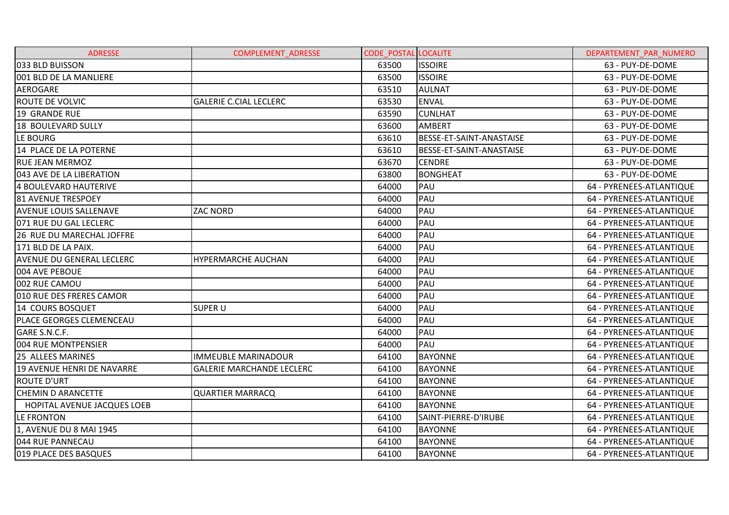| <b>ADRESSE</b>                   | <b>COMPLEMENT ADRESSE</b>        | <b>CODE POSTAL LOCALITE</b> |                          | DEPARTEMENT PAR NUMERO   |
|----------------------------------|----------------------------------|-----------------------------|--------------------------|--------------------------|
| 033 BLD BUISSON                  |                                  | 63500                       | <b>ISSOIRE</b>           | 63 - PUY-DE-DOME         |
| 001 BLD DE LA MANLIERE           |                                  | 63500                       | <b>ISSOIRE</b>           | 63 - PUY-DE-DOME         |
| <b>AEROGARE</b>                  |                                  | 63510                       | <b>AULNAT</b>            | 63 - PUY-DE-DOME         |
| <b>ROUTE DE VOLVIC</b>           | <b>GALERIE C.CIAL LECLERC</b>    | 63530                       | <b>ENVAL</b>             | 63 - PUY-DE-DOME         |
| 19 GRANDE RUE                    |                                  | 63590                       | <b>CUNLHAT</b>           | 63 - PUY-DE-DOME         |
| 18 BOULEVARD SULLY               |                                  | 63600                       | AMBERT                   | 63 - PUY-DE-DOME         |
| LE BOURG                         |                                  | 63610                       | BESSE-ET-SAINT-ANASTAISE | 63 - PUY-DE-DOME         |
| 14 PLACE DE LA POTERNE           |                                  | 63610                       | BESSE-ET-SAINT-ANASTAISE | 63 - PUY-DE-DOME         |
| <b>RUE JEAN MERMOZ</b>           |                                  | 63670                       | <b>CENDRE</b>            | 63 - PUY-DE-DOME         |
| 043 AVE DE LA LIBERATION         |                                  | 63800                       | <b>BONGHEAT</b>          | 63 - PUY-DE-DOME         |
| <b>4 BOULEVARD HAUTERIVE</b>     |                                  | 64000                       | PAU                      | 64 - PYRENEES-ATLANTIQUE |
| <b>81 AVENUE TRESPOEY</b>        |                                  | 64000                       | PAU                      | 64 - PYRENEES-ATLANTIQUE |
| <b>AVENUE LOUIS SALLENAVE</b>    | <b>ZAC NORD</b>                  | 64000                       | PAU                      | 64 - PYRENEES-ATLANTIQUE |
| 071 RUE DU GAL LECLERC           |                                  | 64000                       | PAU                      | 64 - PYRENEES-ATLANTIQUE |
| 26 RUE DU MARECHAL JOFFRE        |                                  | 64000                       | PAU                      | 64 - PYRENEES-ATLANTIQUE |
| 171 BLD DE LA PAIX.              |                                  | 64000                       | PAU                      | 64 - PYRENEES-ATLANTIQUE |
| <b>AVENUE DU GENERAL LECLERC</b> | HYPERMARCHE AUCHAN               | 64000                       | PAU                      | 64 - PYRENEES-ATLANTIQUE |
| 004 AVE PEBOUE                   |                                  | 64000                       | PAU                      | 64 - PYRENEES-ATLANTIQUE |
| 002 RUE CAMOU                    |                                  | 64000                       | PAU                      | 64 - PYRENEES-ATLANTIQUE |
| 010 RUE DES FRERES CAMOR         |                                  | 64000                       | PAU                      | 64 - PYRENEES-ATLANTIQUE |
| 14 COURS BOSQUET                 | <b>SUPER U</b>                   | 64000                       | PAU                      | 64 - PYRENEES-ATLANTIQUE |
| PLACE GEORGES CLEMENCEAU         |                                  | 64000                       | PAU                      | 64 - PYRENEES-ATLANTIQUE |
| GARE S.N.C.F.                    |                                  | 64000                       | PAU                      | 64 - PYRENEES-ATLANTIQUE |
| 004 RUE MONTPENSIER              |                                  | 64000                       | PAU                      | 64 - PYRENEES-ATLANTIQUE |
| 25 ALLEES MARINES                | <b>IMMEUBLE MARINADOUR</b>       | 64100                       | <b>BAYONNE</b>           | 64 - PYRENEES-ATLANTIQUE |
| 19 AVENUE HENRI DE NAVARRE       | <b>GALERIE MARCHANDE LECLERC</b> | 64100                       | <b>BAYONNE</b>           | 64 - PYRENEES-ATLANTIQUE |
| <b>ROUTE D'URT</b>               |                                  | 64100                       | <b>BAYONNE</b>           | 64 - PYRENEES-ATLANTIQUE |
| <b>CHEMIN D ARANCETTE</b>        | <b>QUARTIER MARRACQ</b>          | 64100                       | <b>BAYONNE</b>           | 64 - PYRENEES-ATLANTIQUE |
| HOPITAL AVENUE JACQUES LOEB      |                                  | 64100                       | <b>BAYONNE</b>           | 64 - PYRENEES-ATLANTIQUE |
| LE FRONTON                       |                                  | 64100                       | SAINT-PIERRE-D'IRUBE     | 64 - PYRENEES-ATLANTIQUE |
| 1, AVENUE DU 8 MAI 1945          |                                  | 64100                       | <b>BAYONNE</b>           | 64 - PYRENEES-ATLANTIQUE |
| 044 RUE PANNECAU                 |                                  | 64100                       | <b>BAYONNE</b>           | 64 - PYRENEES-ATLANTIQUE |
| 019 PLACE DES BASQUES            |                                  | 64100                       | <b>BAYONNE</b>           | 64 - PYRENEES-ATLANTIQUE |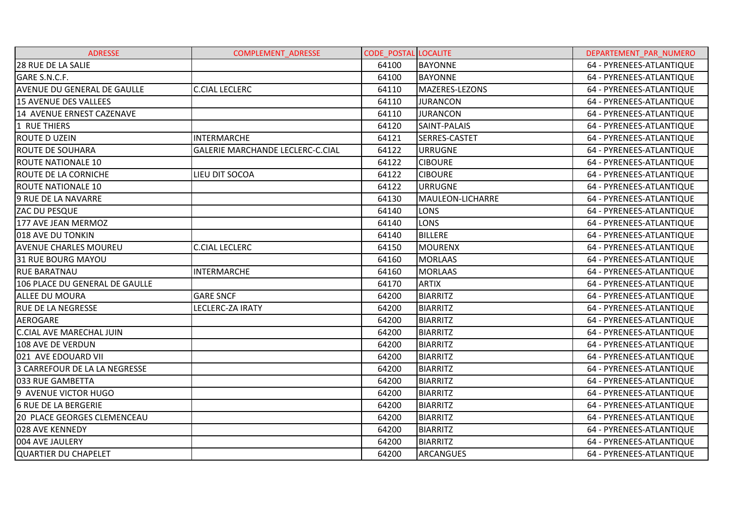| <b>ADRESSE</b>                     | <b>COMPLEMENT ADRESSE</b>               | <b>CODE POSTAL LOCALITE</b> |                      | DEPARTEMENT PAR NUMERO   |
|------------------------------------|-----------------------------------------|-----------------------------|----------------------|--------------------------|
| 28 RUE DE LA SALIE                 |                                         | 64100                       | <b>BAYONNE</b>       | 64 - PYRENEES-ATLANTIQUE |
| GARE S.N.C.F.                      |                                         | 64100                       | <b>BAYONNE</b>       | 64 - PYRENEES-ATLANTIQUE |
| <b>AVENUE DU GENERAL DE GAULLE</b> | <b>C.CIAL LECLERC</b>                   | 64110                       | MAZERES-LEZONS       | 64 - PYRENEES-ATLANTIQUE |
| <b>15 AVENUE DES VALLEES</b>       |                                         | 64110                       | <b>JURANCON</b>      | 64 - PYRENEES-ATLANTIQUE |
| 14 AVENUE ERNEST CAZENAVE          |                                         | 64110                       | <b>JURANCON</b>      | 64 - PYRENEES-ATLANTIQUE |
| 1 RUE THIERS                       |                                         | 64120                       | SAINT-PALAIS         | 64 - PYRENEES-ATLANTIQUE |
| ROUTE D UZEIN                      | <b>INTERMARCHE</b>                      | 64121                       | <b>SERRES-CASTET</b> | 64 - PYRENEES-ATLANTIQUE |
| <b>ROUTE DE SOUHARA</b>            | <b>GALERIE MARCHANDE LECLERC-C.CIAL</b> | 64122                       | <b>URRUGNE</b>       | 64 - PYRENEES-ATLANTIQUE |
| <b>ROUTE NATIONALE 10</b>          |                                         | 64122                       | <b>CIBOURE</b>       | 64 - PYRENEES-ATLANTIQUE |
| ROUTE DE LA CORNICHE               | LIEU DIT SOCOA                          | 64122                       | <b>CIBOURE</b>       | 64 - PYRENEES-ATLANTIQUE |
| <b>ROUTE NATIONALE 10</b>          |                                         | 64122                       | <b>URRUGNE</b>       | 64 - PYRENEES-ATLANTIQUE |
| 9 RUE DE LA NAVARRE                |                                         | 64130                       | MAULEON-LICHARRE     | 64 - PYRENEES-ATLANTIQUE |
| ZAC DU PESQUE                      |                                         | 64140                       | <b>LONS</b>          | 64 - PYRENEES-ATLANTIQUE |
| 177 AVE JEAN MERMOZ                |                                         | 64140                       | <b>LONS</b>          | 64 - PYRENEES-ATLANTIQUE |
| 018 AVE DU TONKIN                  |                                         | 64140                       | <b>BILLERE</b>       | 64 - PYRENEES-ATLANTIQUE |
| <b>AVENUE CHARLES MOUREU</b>       | <b>C.CIAL LECLERC</b>                   | 64150                       | <b>MOURENX</b>       | 64 - PYRENEES-ATLANTIQUE |
| 31 RUE BOURG MAYOU                 |                                         | 64160                       | <b>MORLAAS</b>       | 64 - PYRENEES-ATLANTIQUE |
| <b>RUE BARATNAU</b>                | <b>INTERMARCHE</b>                      | 64160                       | <b>MORLAAS</b>       | 64 - PYRENEES-ATLANTIQUE |
| 106 PLACE DU GENERAL DE GAULLE     |                                         | 64170                       | <b>ARTIX</b>         | 64 - PYRENEES-ATLANTIQUE |
| ALLEE DU MOURA                     | <b>GARE SNCF</b>                        | 64200                       | <b>BIARRITZ</b>      | 64 - PYRENEES-ATLANTIQUE |
| <b>RUE DE LA NEGRESSE</b>          | LECLERC-ZA IRATY                        | 64200                       | <b>BIARRITZ</b>      | 64 - PYRENEES-ATLANTIQUE |
| AEROGARE                           |                                         | 64200                       | <b>BIARRITZ</b>      | 64 - PYRENEES-ATLANTIQUE |
| <b>C.CIAL AVE MARECHAL JUIN</b>    |                                         | 64200                       | <b>BIARRITZ</b>      | 64 - PYRENEES-ATLANTIQUE |
| 108 AVE DE VERDUN                  |                                         | 64200                       | <b>BIARRITZ</b>      | 64 - PYRENEES-ATLANTIQUE |
| 021 AVE EDOUARD VII                |                                         | 64200                       | <b>BIARRITZ</b>      | 64 - PYRENEES-ATLANTIQUE |
| 3 CARREFOUR DE LA LA NEGRESSE      |                                         | 64200                       | <b>BIARRITZ</b>      | 64 - PYRENEES-ATLANTIQUE |
| 033 RUE GAMBETTA                   |                                         | 64200                       | <b>BIARRITZ</b>      | 64 - PYRENEES-ATLANTIQUE |
| 9 AVENUE VICTOR HUGO               |                                         | 64200                       | <b>BIARRITZ</b>      | 64 - PYRENEES-ATLANTIQUE |
| 6 RUE DE LA BERGERIE               |                                         | 64200                       | <b>BIARRITZ</b>      | 64 - PYRENEES-ATLANTIQUE |
| <b>20 PLACE GEORGES CLEMENCEAU</b> |                                         | 64200                       | <b>BIARRITZ</b>      | 64 - PYRENEES-ATLANTIQUE |
| 028 AVE KENNEDY                    |                                         | 64200                       | <b>BIARRITZ</b>      | 64 - PYRENEES-ATLANTIQUE |
| 004 AVE JAULERY                    |                                         | 64200                       | <b>BIARRITZ</b>      | 64 - PYRENEES-ATLANTIQUE |
| QUARTIER DU CHAPELET               |                                         | 64200                       | <b>ARCANGUES</b>     | 64 - PYRENEES-ATLANTIQUE |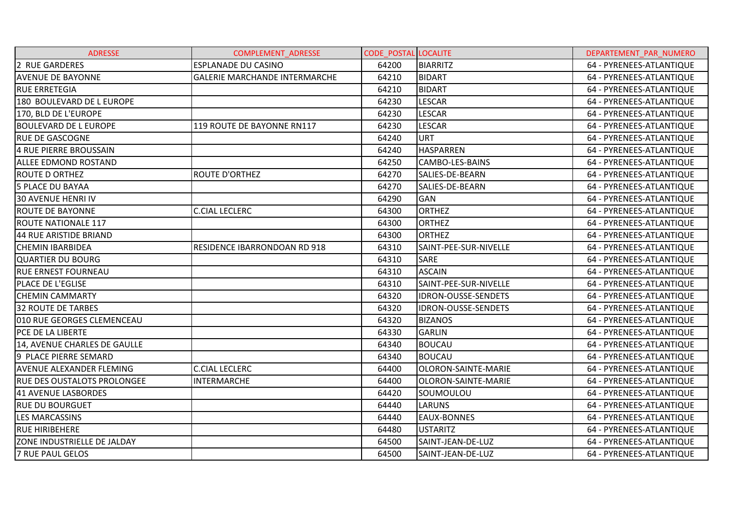| <b>ADRESSE</b>                  | <b>COMPLEMENT ADRESSE</b>            | <b>CODE POSTAL LOCALITE</b> |                            | DEPARTEMENT PAR NUMERO   |
|---------------------------------|--------------------------------------|-----------------------------|----------------------------|--------------------------|
| 2 RUE GARDERES                  | <b>ESPLANADE DU CASINO</b>           | 64200                       | <b>BIARRITZ</b>            | 64 - PYRENEES-ATLANTIQUE |
| <b>AVENUE DE BAYONNE</b>        | <b>GALERIE MARCHANDE INTERMARCHE</b> | 64210                       | <b>BIDART</b>              | 64 - PYRENEES-ATLANTIQUE |
| <b>RUE ERRETEGIA</b>            |                                      | 64210                       | <b>BIDART</b>              | 64 - PYRENEES-ATLANTIQUE |
| 180 BOULEVARD DE L EUROPE       |                                      | 64230                       | <b>LESCAR</b>              | 64 - PYRENEES-ATLANTIQUE |
| 170, BLD DE L'EUROPE            |                                      | 64230                       | <b>LESCAR</b>              | 64 - PYRENEES-ATLANTIQUE |
| <b>BOULEVARD DE L EUROPE</b>    | 119 ROUTE DE BAYONNE RN117           | 64230                       | <b>LESCAR</b>              | 64 - PYRENEES-ATLANTIQUE |
| <b>RUE DE GASCOGNE</b>          |                                      | 64240                       | <b>URT</b>                 | 64 - PYRENEES-ATLANTIQUE |
| 4 RUE PIERRE BROUSSAIN          |                                      | 64240                       | <b>HASPARREN</b>           | 64 - PYRENEES-ATLANTIQUE |
| <b>ALLEE EDMOND ROSTAND</b>     |                                      | 64250                       | CAMBO-LES-BAINS            | 64 - PYRENEES-ATLANTIQUE |
| <b>ROUTE D ORTHEZ</b>           | <b>ROUTE D'ORTHEZ</b>                | 64270                       | SALIES-DE-BEARN            | 64 - PYRENEES-ATLANTIQUE |
| 5 PLACE DU BAYAA                |                                      | 64270                       | SALIES-DE-BEARN            | 64 - PYRENEES-ATLANTIQUE |
| <b>30 AVENUE HENRI IV</b>       |                                      | 64290                       | <b>GAN</b>                 | 64 - PYRENEES-ATLANTIQUE |
| <b>ROUTE DE BAYONNE</b>         | <b>C.CIAL LECLERC</b>                | 64300                       | <b>ORTHEZ</b>              | 64 - PYRENEES-ATLANTIQUE |
| <b>ROUTE NATIONALE 117</b>      |                                      | 64300                       | <b>ORTHEZ</b>              | 64 - PYRENEES-ATLANTIQUE |
| 44 RUE ARISTIDE BRIAND          |                                      | 64300                       | <b>ORTHEZ</b>              | 64 - PYRENEES-ATLANTIQUE |
| <b>CHEMIN IBARBIDEA</b>         | RESIDENCE IBARRONDOAN RD 918         | 64310                       | SAINT-PEE-SUR-NIVELLE      | 64 - PYRENEES-ATLANTIQUE |
| <b>QUARTIER DU BOURG</b>        |                                      | 64310                       | <b>SARE</b>                | 64 - PYRENEES-ATLANTIQUE |
| <b>RUE ERNEST FOURNEAU</b>      |                                      | 64310                       | <b>ASCAIN</b>              | 64 - PYRENEES-ATLANTIQUE |
| <b>PLACE DE L'EGLISE</b>        |                                      | 64310                       | SAINT-PEE-SUR-NIVELLE      | 64 - PYRENEES-ATLANTIQUE |
| <b>CHEMIN CAMMARTY</b>          |                                      | 64320                       | <b>IDRON-OUSSE-SENDETS</b> | 64 - PYRENEES-ATLANTIQUE |
| <b>32 ROUTE DE TARBES</b>       |                                      | 64320                       | IDRON-OUSSE-SENDETS        | 64 - PYRENEES-ATLANTIQUE |
| 010 RUE GEORGES CLEMENCEAU      |                                      | 64320                       | <b>BIZANOS</b>             | 64 - PYRENEES-ATLANTIQUE |
| PCE DE LA LIBERTE               |                                      | 64330                       | <b>GARLIN</b>              | 64 - PYRENEES-ATLANTIQUE |
| 14, AVENUE CHARLES DE GAULLE    |                                      | 64340                       | <b>BOUCAU</b>              | 64 - PYRENEES-ATLANTIQUE |
| 9 PLACE PIERRE SEMARD           |                                      | 64340                       | <b>BOUCAU</b>              | 64 - PYRENEES-ATLANTIQUE |
| <b>AVENUE ALEXANDER FLEMING</b> | <b>C.CIAL LECLERC</b>                | 64400                       | OLORON-SAINTE-MARIE        | 64 - PYRENEES-ATLANTIQUE |
| RUE DES OUSTALOTS PROLONGEE     | <b>INTERMARCHE</b>                   | 64400                       | OLORON-SAINTE-MARIE        | 64 - PYRENEES-ATLANTIQUE |
| 41 AVENUE LASBORDES             |                                      | 64420                       | SOUMOULOU                  | 64 - PYRENEES-ATLANTIQUE |
| <b>RUE DU BOURGUET</b>          |                                      | 64440                       | <b>LARUNS</b>              | 64 - PYRENEES-ATLANTIQUE |
| <b>LES MARCASSINS</b>           |                                      | 64440                       | <b>EAUX-BONNES</b>         | 64 - PYRENEES-ATLANTIQUE |
| <b>RUE HIRIBEHERE</b>           |                                      | 64480                       | <b>USTARITZ</b>            | 64 - PYRENEES-ATLANTIQUE |
| ZONE INDUSTRIELLE DE JALDAY     |                                      | 64500                       | SAINT-JEAN-DE-LUZ          | 64 - PYRENEES-ATLANTIQUE |
| <b>7 RUE PAUL GELOS</b>         |                                      | 64500                       | SAINT-JEAN-DE-LUZ          | 64 - PYRENEES-ATLANTIQUE |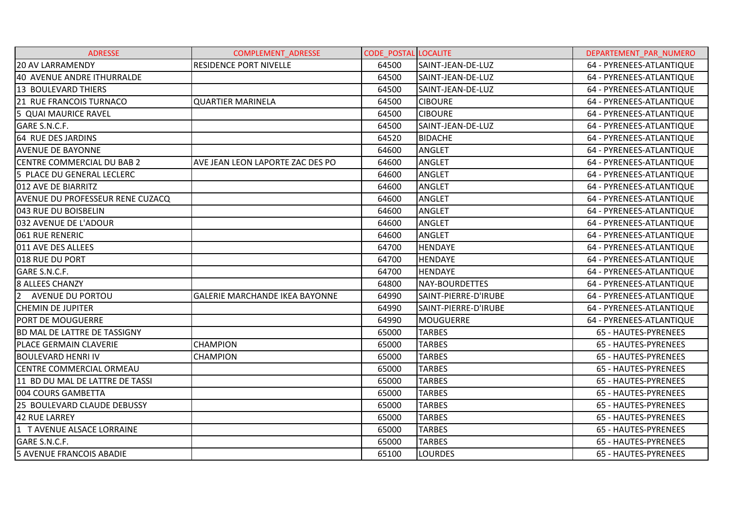| <b>ADRESSE</b>                          | <b>COMPLEMENT ADRESSE</b>             | <b>CODE POSTAL LOCALITE</b> |                      | DEPARTEMENT PAR NUMERO   |
|-----------------------------------------|---------------------------------------|-----------------------------|----------------------|--------------------------|
| <b>20 AV LARRAMENDY</b>                 | <b>RESIDENCE PORT NIVELLE</b>         | 64500                       | SAINT-JEAN-DE-LUZ    | 64 - PYRENEES-ATLANTIQUE |
| 40 AVENUE ANDRE ITHURRALDE              |                                       | 64500                       | SAINT-JEAN-DE-LUZ    | 64 - PYRENEES-ATLANTIQUE |
| 13 BOULEVARD THIERS                     |                                       | 64500                       | SAINT-JEAN-DE-LUZ    | 64 - PYRENEES-ATLANTIQUE |
| 21 RUE FRANCOIS TURNACO                 | <b>QUARTIER MARINELA</b>              | 64500                       | <b>CIBOURE</b>       | 64 - PYRENEES-ATLANTIQUE |
| 5 QUAI MAURICE RAVEL                    |                                       | 64500                       | <b>CIBOURE</b>       | 64 - PYRENEES-ATLANTIQUE |
| GARE S.N.C.F.                           |                                       | 64500                       | SAINT-JEAN-DE-LUZ    | 64 - PYRENEES-ATLANTIQUE |
| 64 RUE DES JARDINS                      |                                       | 64520                       | <b>BIDACHE</b>       | 64 - PYRENEES-ATLANTIQUE |
| <b>AVENUE DE BAYONNE</b>                |                                       | 64600                       | <b>ANGLET</b>        | 64 - PYRENEES-ATLANTIQUE |
| <b>CENTRE COMMERCIAL DU BAB 2</b>       | AVE JEAN LEON LAPORTE ZAC DES PO      | 64600                       | <b>ANGLET</b>        | 64 - PYRENEES-ATLANTIQUE |
| 5 PLACE DU GENERAL LECLERC              |                                       | 64600                       | <b>ANGLET</b>        | 64 - PYRENEES-ATLANTIQUE |
| 012 AVE DE BIARRITZ                     |                                       | 64600                       | <b>ANGLET</b>        | 64 - PYRENEES-ATLANTIQUE |
| <b>AVENUE DU PROFESSEUR RENE CUZACQ</b> |                                       | 64600                       | <b>ANGLET</b>        | 64 - PYRENEES-ATLANTIQUE |
| 043 RUE DU BOISBELIN                    |                                       | 64600                       | ANGLET               | 64 - PYRENEES-ATLANTIQUE |
| 032 AVENUE DE L'ADOUR                   |                                       | 64600                       | ANGLET               | 64 - PYRENEES-ATLANTIQUE |
| 061 RUE RENERIC                         |                                       | 64600                       | <b>ANGLET</b>        | 64 - PYRENEES-ATLANTIQUE |
| 011 AVE DES ALLEES                      |                                       | 64700                       | <b>HENDAYE</b>       | 64 - PYRENEES-ATLANTIQUE |
| 018 RUE DU PORT                         |                                       | 64700                       | <b>HENDAYE</b>       | 64 - PYRENEES-ATLANTIQUE |
| GARE S.N.C.F.                           |                                       | 64700                       | <b>HENDAYE</b>       | 64 - PYRENEES-ATLANTIQUE |
| <b>8 ALLEES CHANZY</b>                  |                                       | 64800                       | NAY-BOURDETTES       | 64 - PYRENEES-ATLANTIQUE |
| <b>AVENUE DU PORTOU</b>                 | <b>GALERIE MARCHANDE IKEA BAYONNE</b> | 64990                       | SAINT-PIERRE-D'IRUBE | 64 - PYRENEES-ATLANTIQUE |
| <b>CHEMIN DE JUPITER</b>                |                                       | 64990                       | SAINT-PIERRE-D'IRUBE | 64 - PYRENEES-ATLANTIQUE |
| <b>PORT DE MOUGUERRE</b>                |                                       | 64990                       | MOUGUERRE            | 64 - PYRENEES-ATLANTIQUE |
| BD MAL DE LATTRE DE TASSIGNY            |                                       | 65000                       | <b>TARBES</b>        | 65 - HAUTES-PYRENEES     |
| PLACE GERMAIN CLAVERIE                  | <b>CHAMPION</b>                       | 65000                       | <b>TARBES</b>        | 65 - HAUTES-PYRENEES     |
| <b>BOULEVARD HENRI IV</b>               | <b>CHAMPION</b>                       | 65000                       | <b>TARBES</b>        | 65 - HAUTES-PYRENEES     |
| CENTRE COMMERCIAL ORMEAU                |                                       | 65000                       | <b>TARBES</b>        | 65 - HAUTES-PYRENEES     |
| 11 BD DU MAL DE LATTRE DE TASSI         |                                       | 65000                       | <b>TARBES</b>        | 65 - HAUTES-PYRENEES     |
| 004 COURS GAMBETTA                      |                                       | 65000                       | <b>TARBES</b>        | 65 - HAUTES-PYRENEES     |
| 25 BOULEVARD CLAUDE DEBUSSY             |                                       | 65000                       | <b>TARBES</b>        | 65 - HAUTES-PYRENEES     |
| <b>42 RUE LARREY</b>                    |                                       | 65000                       | <b>TARBES</b>        | 65 - HAUTES-PYRENEES     |
| 1 TAVENUE ALSACE LORRAINE               |                                       | 65000                       | <b>TARBES</b>        | 65 - HAUTES-PYRENEES     |
| GARE S.N.C.F.                           |                                       | 65000                       | <b>TARBES</b>        | 65 - HAUTES-PYRENEES     |
| <b>5 AVENUE FRANCOIS ABADIE</b>         |                                       | 65100                       | <b>LOURDES</b>       | 65 - HAUTES-PYRENEES     |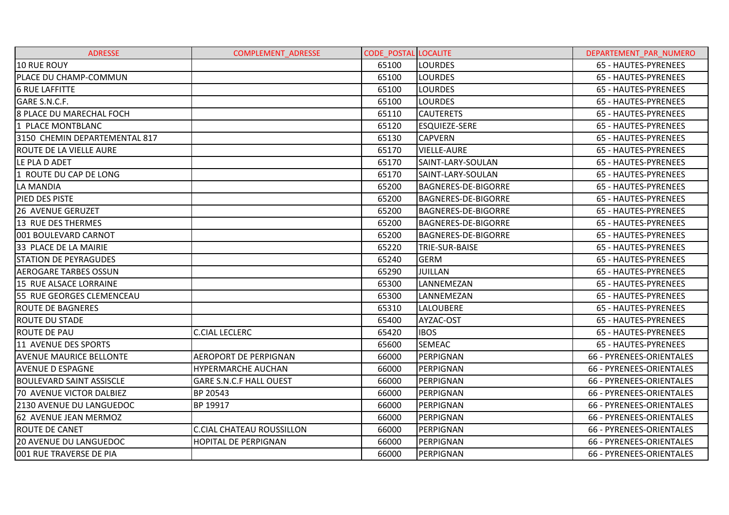| <b>ADRESSE</b>                  | <b>COMPLEMENT ADRESSE</b>        | <b>CODE POSTAL LOCALITE</b> |                            | DEPARTEMENT PAR NUMERO   |
|---------------------------------|----------------------------------|-----------------------------|----------------------------|--------------------------|
| 10 RUE ROUY                     |                                  | 65100                       | <b>LOURDES</b>             | 65 - HAUTES-PYRENEES     |
| PLACE DU CHAMP-COMMUN           |                                  | 65100                       | <b>LOURDES</b>             | 65 - HAUTES-PYRENEES     |
| <b>6 RUE LAFFITTE</b>           |                                  | 65100                       | <b>LOURDES</b>             | 65 - HAUTES-PYRENEES     |
| GARE S.N.C.F.                   |                                  | 65100                       | <b>LOURDES</b>             | 65 - HAUTES-PYRENEES     |
| 8 PLACE DU MARECHAL FOCH        |                                  | 65110                       | <b>CAUTERETS</b>           | 65 - HAUTES-PYRENEES     |
| 1 PLACE MONTBLANC               |                                  | 65120                       | <b>ESQUIEZE-SERE</b>       | 65 - HAUTES-PYRENEES     |
| 3150 CHEMIN DEPARTEMENTAL 817   |                                  | 65130                       | <b>CAPVERN</b>             | 65 - HAUTES-PYRENEES     |
| ROUTE DE LA VIELLE AURE         |                                  | 65170                       | <b>VIELLE-AURE</b>         | 65 - HAUTES-PYRENEES     |
| LE PLA D ADET                   |                                  | 65170                       | SAINT-LARY-SOULAN          | 65 - HAUTES-PYRENEES     |
| 1 ROUTE DU CAP DE LONG          |                                  | 65170                       | SAINT-LARY-SOULAN          | 65 - HAUTES-PYRENEES     |
| <b>LA MANDIA</b>                |                                  | 65200                       | <b>BAGNERES-DE-BIGORRE</b> | 65 - HAUTES-PYRENEES     |
| PIED DES PISTE                  |                                  | 65200                       | <b>BAGNERES-DE-BIGORRE</b> | 65 - HAUTES-PYRENEES     |
| <b>26 AVENUE GERUZET</b>        |                                  | 65200                       | <b>BAGNERES-DE-BIGORRE</b> | 65 - HAUTES-PYRENEES     |
| 13 RUE DES THERMES              |                                  | 65200                       | <b>BAGNERES-DE-BIGORRE</b> | 65 - HAUTES-PYRENEES     |
| 001 BOULEVARD CARNOT            |                                  | 65200                       | <b>BAGNERES-DE-BIGORRE</b> | 65 - HAUTES-PYRENEES     |
| 33 PLACE DE LA MAIRIE           |                                  | 65220                       | TRIE-SUR-BAISE             | 65 - HAUTES-PYRENEES     |
| <b>STATION DE PEYRAGUDES</b>    |                                  | 65240                       | <b>GERM</b>                | 65 - HAUTES-PYRENEES     |
| <b>AEROGARE TARBES OSSUN</b>    |                                  | 65290                       | <b>JUILLAN</b>             | 65 - HAUTES-PYRENEES     |
| 15 RUE ALSACE LORRAINE          |                                  | 65300                       | LANNEMEZAN                 | 65 - HAUTES-PYRENEES     |
| 55 RUE GEORGES CLEMENCEAU       |                                  | 65300                       | LANNEMEZAN                 | 65 - HAUTES-PYRENEES     |
| <b>ROUTE DE BAGNERES</b>        |                                  | 65310                       | <b>LALOUBERE</b>           | 65 - HAUTES-PYRENEES     |
| <b>ROUTE DU STADE</b>           |                                  | 65400                       | AYZAC-OST                  | 65 - HAUTES-PYRENEES     |
| <b>ROUTE DE PAU</b>             | <b>C.CIAL LECLERC</b>            | 65420                       | <b>IBOS</b>                | 65 - HAUTES-PYRENEES     |
| 11 AVENUE DES SPORTS            |                                  | 65600                       | <b>SEMEAC</b>              | 65 - HAUTES-PYRENEES     |
| <b>AVENUE MAURICE BELLONTE</b>  | <b>AEROPORT DE PERPIGNAN</b>     | 66000                       | PERPIGNAN                  | 66 - PYRENEES-ORIENTALES |
| <b>AVENUE D ESPAGNE</b>         | HYPERMARCHE AUCHAN               | 66000                       | PERPIGNAN                  | 66 - PYRENEES-ORIENTALES |
| <b>BOULEVARD SAINT ASSISCLE</b> | GARE S.N.C.F HALL OUEST          | 66000                       | PERPIGNAN                  | 66 - PYRENEES-ORIENTALES |
| 70 AVENUE VICTOR DALBIEZ        | BP 20543                         | 66000                       | PERPIGNAN                  | 66 - PYRENEES-ORIENTALES |
| <b>2130 AVENUE DU LANGUEDOC</b> | BP 19917                         | 66000                       | PERPIGNAN                  | 66 - PYRENEES-ORIENTALES |
| 62 AVENUE JEAN MERMOZ           |                                  | 66000                       | PERPIGNAN                  | 66 - PYRENEES-ORIENTALES |
| <b>ROUTE DE CANET</b>           | <b>C.CIAL CHATEAU ROUSSILLON</b> | 66000                       | PERPIGNAN                  | 66 - PYRENEES-ORIENTALES |
| <b>20 AVENUE DU LANGUEDOC</b>   | <b>HOPITAL DE PERPIGNAN</b>      | 66000                       | PERPIGNAN                  | 66 - PYRENEES-ORIENTALES |
| 001 RUE TRAVERSE DE PIA         |                                  | 66000                       | PERPIGNAN                  | 66 - PYRENEES-ORIENTALES |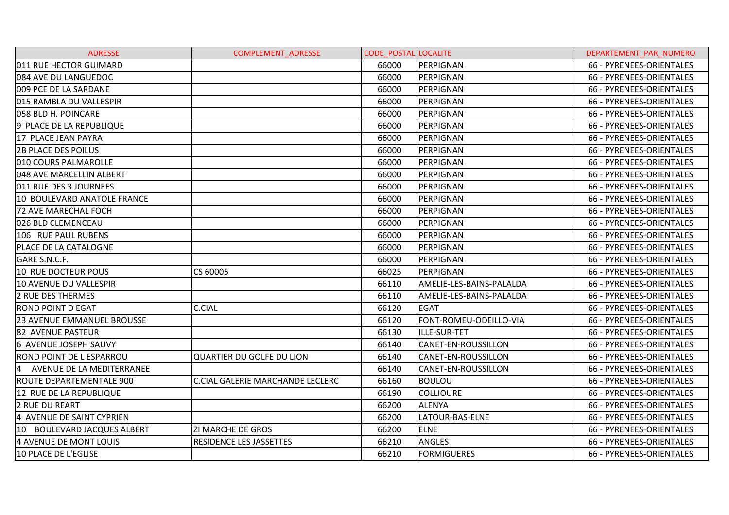| <b>ADRESSE</b>                  | <b>COMPLEMENT ADRESSE</b>               | <b>CODE POSTAL LOCALITE</b> |                            | DEPARTEMENT PAR NUMERO   |
|---------------------------------|-----------------------------------------|-----------------------------|----------------------------|--------------------------|
| 011 RUE HECTOR GUIMARD          |                                         | 66000                       | PERPIGNAN                  | 66 - PYRENEES-ORIENTALES |
| 084 AVE DU LANGUEDOC            |                                         | 66000                       | PERPIGNAN                  | 66 - PYRENEES-ORIENTALES |
| 009 PCE DE LA SARDANE           |                                         | 66000                       | PERPIGNAN                  | 66 - PYRENEES-ORIENTALES |
| 015 RAMBLA DU VALLESPIR         |                                         | 66000                       | PERPIGNAN                  | 66 - PYRENEES-ORIENTALES |
| 058 BLD H. POINCARE             |                                         | 66000                       | PERPIGNAN                  | 66 - PYRENEES-ORIENTALES |
| 9 PLACE DE LA REPUBLIQUE        |                                         | 66000                       | PERPIGNAN                  | 66 - PYRENEES-ORIENTALES |
| 17 PLACE JEAN PAYRA             |                                         | 66000                       | PERPIGNAN                  | 66 - PYRENEES-ORIENTALES |
| <b>2B PLACE DES POILUS</b>      |                                         | 66000                       | PERPIGNAN                  | 66 - PYRENEES-ORIENTALES |
| I010 COURS PALMAROLLE           |                                         | 66000                       | PERPIGNAN                  | 66 - PYRENEES-ORIENTALES |
| 048 AVE MARCELLIN ALBERT        |                                         | 66000                       | PERPIGNAN                  | 66 - PYRENEES-ORIENTALES |
| 011 RUE DES 3 JOURNEES          |                                         | 66000                       | PERPIGNAN                  | 66 - PYRENEES-ORIENTALES |
| 10 BOULEVARD ANATOLE FRANCE     |                                         | 66000                       | PERPIGNAN                  | 66 - PYRENEES-ORIENTALES |
| <b>72 AVE MARECHAL FOCH</b>     |                                         | 66000                       | PERPIGNAN                  | 66 - PYRENEES-ORIENTALES |
| 026 BLD CLEMENCEAU              |                                         | 66000                       | PERPIGNAN                  | 66 - PYRENEES-ORIENTALES |
| 106 RUE PAUL RUBENS             |                                         | 66000                       | PERPIGNAN                  | 66 - PYRENEES-ORIENTALES |
| PLACE DE LA CATALOGNE           |                                         | 66000                       | PERPIGNAN                  | 66 - PYRENEES-ORIENTALES |
| GARE S.N.C.F.                   |                                         | 66000                       | PERPIGNAN                  | 66 - PYRENEES-ORIENTALES |
| 10 RUE DOCTEUR POUS             | CS 60005                                | 66025                       | PERPIGNAN                  | 66 - PYRENEES-ORIENTALES |
| 10 AVENUE DU VALLESPIR          |                                         | 66110                       | AMELIE-LES-BAINS-PALALDA   | 66 - PYRENEES-ORIENTALES |
| <b>2 RUE DES THERMES</b>        |                                         | 66110                       | AMELIE-LES-BAINS-PALALDA   | 66 - PYRENEES-ORIENTALES |
| <b>ROND POINT D EGAT</b>        | <b>C.CIAL</b>                           | 66120                       | <b>EGAT</b>                | 66 - PYRENEES-ORIENTALES |
| 23 AVENUE EMMANUEL BROUSSE      |                                         | 66120                       | FONT-ROMEU-ODEILLO-VIA     | 66 - PYRENEES-ORIENTALES |
| <b>82 AVENUE PASTEUR</b>        |                                         | 66130                       | ILLE-SUR-TET               | 66 - PYRENEES-ORIENTALES |
| 6 AVENUE JOSEPH SAUVY           |                                         | 66140                       | CANET-EN-ROUSSILLON        | 66 - PYRENEES-ORIENTALES |
| <b>ROND POINT DE L ESPARROU</b> | <b>QUARTIER DU GOLFE DU LION</b>        | 66140                       | CANET-EN-ROUSSILLON        | 66 - PYRENEES-ORIENTALES |
| AVENUE DE LA MEDITERRANEE<br>4  |                                         | 66140                       | <b>CANET-EN-ROUSSILLON</b> | 66 - PYRENEES-ORIENTALES |
| ROUTE DEPARTEMENTALE 900        | <b>C.CIAL GALERIE MARCHANDE LECLERC</b> | 66160                       | <b>BOULOU</b>              | 66 - PYRENEES-ORIENTALES |
| 12 RUE DE LA REPUBLIQUE         |                                         | 66190                       | <b>COLLIOURE</b>           | 66 - PYRENEES-ORIENTALES |
| <b>2 RUE DU REART</b>           |                                         | 66200                       | <b>ALENYA</b>              | 66 - PYRENEES-ORIENTALES |
| 4 AVENUE DE SAINT CYPRIEN       |                                         | 66200                       | LATOUR-BAS-ELNE            | 66 - PYRENEES-ORIENTALES |
| 10 BOULEVARD JACQUES ALBERT     | <b>ZI MARCHE DE GROS</b>                | 66200                       | <b>ELNE</b>                | 66 - PYRENEES-ORIENTALES |
| 4 AVENUE DE MONT LOUIS          | RESIDENCE LES JASSETTES                 | 66210                       | <b>ANGLES</b>              | 66 - PYRENEES-ORIENTALES |
| 10 PLACE DE L'EGLISE            |                                         | 66210                       | <b>FORMIGUERES</b>         | 66 - PYRENEES-ORIENTALES |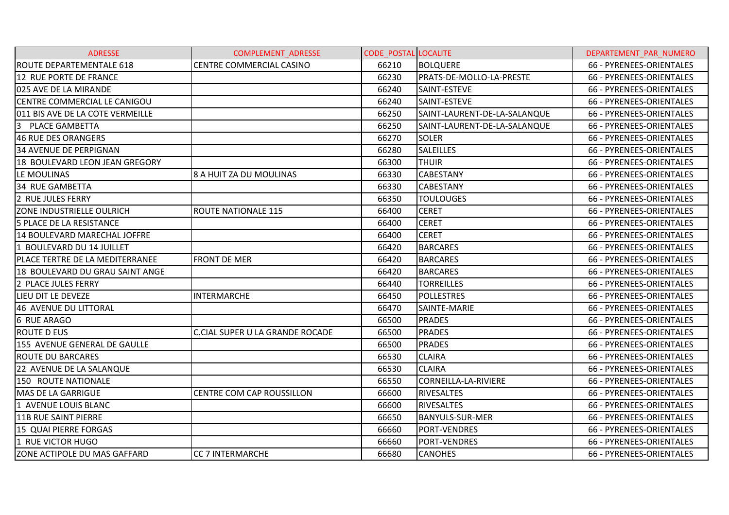| <b>ADRESSE</b>                      | COMPLEMENT_ADRESSE                     | <b>CODE_POSTAL LOCALITE</b> |                              | DEPARTEMENT_PAR_NUMERO   |
|-------------------------------------|----------------------------------------|-----------------------------|------------------------------|--------------------------|
| <b>ROUTE DEPARTEMENTALE 618</b>     | CENTRE COMMERCIAL CASINO               | 66210                       | <b>BOLQUERE</b>              | 66 - PYRENEES-ORIENTALES |
| 12 RUE PORTE DE FRANCE              |                                        | 66230                       | PRATS-DE-MOLLO-LA-PRESTE     | 66 - PYRENEES-ORIENTALES |
| 025 AVE DE LA MIRANDE               |                                        | 66240                       | SAINT-ESTEVE                 | 66 - PYRENEES-ORIENTALES |
| <b>CENTRE COMMERCIAL LE CANIGOU</b> |                                        | 66240                       | SAINT-ESTEVE                 | 66 - PYRENEES-ORIENTALES |
| 011 BIS AVE DE LA COTE VERMEILLE    |                                        | 66250                       | SAINT-LAURENT-DE-LA-SALANQUE | 66 - PYRENEES-ORIENTALES |
| 3<br><b>PLACE GAMBETTA</b>          |                                        | 66250                       | SAINT-LAURENT-DE-LA-SALANQUE | 66 - PYRENEES-ORIENTALES |
| 46 RUE DES ORANGERS                 |                                        | 66270                       | <b>SOLER</b>                 | 66 - PYRENEES-ORIENTALES |
| <b>34 AVENUE DE PERPIGNAN</b>       |                                        | 66280                       | <b>SALEILLES</b>             | 66 - PYRENEES-ORIENTALES |
| 18 BOULEVARD LEON JEAN GREGORY      |                                        | 66300                       | <b>THUIR</b>                 | 66 - PYRENEES-ORIENTALES |
| LE MOULINAS                         | 8 A HUIT ZA DU MOULINAS                | 66330                       | <b>CABESTANY</b>             | 66 - PYRENEES-ORIENTALES |
| <b>34 RUE GAMBETTA</b>              |                                        | 66330                       | <b>CABESTANY</b>             | 66 - PYRENEES-ORIENTALES |
| 2 RUE JULES FERRY                   |                                        | 66350                       | <b>TOULOUGES</b>             | 66 - PYRENEES-ORIENTALES |
| ZONE INDUSTRIELLE OULRICH           | <b>ROUTE NATIONALE 115</b>             | 66400                       | <b>CERET</b>                 | 66 - PYRENEES-ORIENTALES |
| 5 PLACE DE LA RESISTANCE            |                                        | 66400                       | <b>CERET</b>                 | 66 - PYRENEES-ORIENTALES |
| 14 BOULEVARD MARECHAL JOFFRE        |                                        | 66400                       | <b>CERET</b>                 | 66 - PYRENEES-ORIENTALES |
| 1 BOULEVARD DU 14 JUILLET           |                                        | 66420                       | <b>BARCARES</b>              | 66 - PYRENEES-ORIENTALES |
| PLACE TERTRE DE LA MEDITERRANEE     | FRONT DE MER                           | 66420                       | <b>BARCARES</b>              | 66 - PYRENEES-ORIENTALES |
| 18 BOULEVARD DU GRAU SAINT ANGE     |                                        | 66420                       | <b>BARCARES</b>              | 66 - PYRENEES-ORIENTALES |
| 2 PLACE JULES FERRY                 |                                        | 66440                       | <b>TORREILLES</b>            | 66 - PYRENEES-ORIENTALES |
| LIEU DIT LE DEVEZE                  | <b>INTERMARCHE</b>                     | 66450                       | <b>POLLESTRES</b>            | 66 - PYRENEES-ORIENTALES |
| 46 AVENUE DU LITTORAL               |                                        | 66470                       | SAINTE-MARIE                 | 66 - PYRENEES-ORIENTALES |
| 6 RUE ARAGO                         |                                        | 66500                       | <b>PRADES</b>                | 66 - PYRENEES-ORIENTALES |
| <b>ROUTE D EUS</b>                  | <b>C.CIAL SUPER U LA GRANDE ROCADE</b> | 66500                       | <b>PRADES</b>                | 66 - PYRENEES-ORIENTALES |
| 155 AVENUE GENERAL DE GAULLE        |                                        | 66500                       | <b>PRADES</b>                | 66 - PYRENEES-ORIENTALES |
| <b>ROUTE DU BARCARES</b>            |                                        | 66530                       | <b>CLAIRA</b>                | 66 - PYRENEES-ORIENTALES |
| 22 AVENUE DE LA SALANQUE            |                                        | 66530                       | <b>CLAIRA</b>                | 66 - PYRENEES-ORIENTALES |
| 150 ROUTE NATIONALE                 |                                        | 66550                       | <b>CORNEILLA-LA-RIVIERE</b>  | 66 - PYRENEES-ORIENTALES |
| <b>MAS DE LA GARRIGUE</b>           | CENTRE COM CAP ROUSSILLON              | 66600                       | <b>RIVESALTES</b>            | 66 - PYRENEES-ORIENTALES |
| 1 AVENUE LOUIS BLANC                |                                        | 66600                       | <b>RIVESALTES</b>            | 66 - PYRENEES-ORIENTALES |
| <b>11B RUE SAINT PIERRE</b>         |                                        | 66650                       | <b>BANYULS-SUR-MER</b>       | 66 - PYRENEES-ORIENTALES |
| 15 QUAI PIERRE FORGAS               |                                        | 66660                       | <b>PORT-VENDRES</b>          | 66 - PYRENEES-ORIENTALES |
| 1 RUE VICTOR HUGO                   |                                        | 66660                       | <b>PORT-VENDRES</b>          | 66 - PYRENEES-ORIENTALES |
| ZONE ACTIPOLE DU MAS GAFFARD        | <b>CC 7 INTERMARCHE</b>                | 66680                       | <b>CANOHES</b>               | 66 - PYRENEES-ORIENTALES |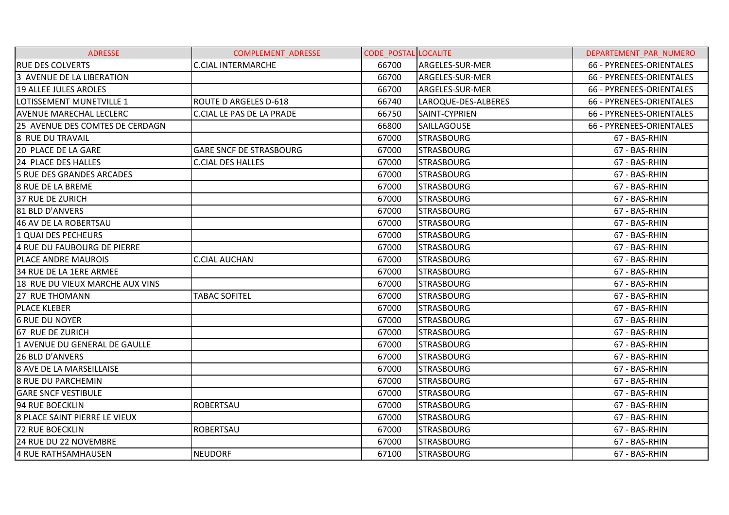| <b>ADRESSE</b>                  | <b>COMPLEMENT ADRESSE</b>        | <b>CODE POSTAL LOCALITE</b> |                     | DEPARTEMENT PAR NUMERO   |
|---------------------------------|----------------------------------|-----------------------------|---------------------|--------------------------|
| <b>RUE DES COLVERTS</b>         | <b>C.CIAL INTERMARCHE</b>        | 66700                       | ARGELES-SUR-MER     | 66 - PYRENEES-ORIENTALES |
| 3 AVENUE DE LA LIBERATION       |                                  | 66700                       | ARGELES-SUR-MER     | 66 - PYRENEES-ORIENTALES |
| 19 ALLEE JULES AROLES           |                                  | 66700                       | ARGELES-SUR-MER     | 66 - PYRENEES-ORIENTALES |
| LOTISSEMENT MUNETVILLE 1        | <b>ROUTE D ARGELES D-618</b>     | 66740                       | LAROQUE-DES-ALBERES | 66 - PYRENEES-ORIENTALES |
| <b>AVENUE MARECHAL LECLERC</b>  | <b>C.CIAL LE PAS DE LA PRADE</b> | 66750                       | SAINT-CYPRIEN       | 66 - PYRENEES-ORIENTALES |
| 25 AVENUE DES COMTES DE CERDAGN |                                  | 66800                       | SAILLAGOUSE         | 66 - PYRENEES-ORIENTALES |
| 8 RUE DU TRAVAIL                |                                  | 67000                       | <b>STRASBOURG</b>   | 67 - BAS-RHIN            |
| 20 PLACE DE LA GARE             | <b>GARE SNCF DE STRASBOURG</b>   | 67000                       | <b>STRASBOURG</b>   | 67 - BAS-RHIN            |
| 24 PLACE DES HALLES             | <b>C.CIAL DES HALLES</b>         | 67000                       | <b>STRASBOURG</b>   | 67 - BAS-RHIN            |
| 5 RUE DES GRANDES ARCADES       |                                  | 67000                       | <b>STRASBOURG</b>   | 67 - BAS-RHIN            |
| <b>8 RUE DE LA BREME</b>        |                                  | 67000                       | <b>STRASBOURG</b>   | 67 - BAS-RHIN            |
| <b>37 RUE DE ZURICH</b>         |                                  | 67000                       | <b>STRASBOURG</b>   | 67 - BAS-RHIN            |
| 81 BLD D'ANVERS                 |                                  | 67000                       | <b>STRASBOURG</b>   | 67 - BAS-RHIN            |
| 46 AV DE LA ROBERTSAU           |                                  | 67000                       | <b>STRASBOURG</b>   | 67 - BAS-RHIN            |
| 1 QUAI DES PECHEURS             |                                  | 67000                       | <b>STRASBOURG</b>   | 67 - BAS-RHIN            |
| 4 RUE DU FAUBOURG DE PIERRE     |                                  | 67000                       | <b>STRASBOURG</b>   | 67 - BAS-RHIN            |
| PLACE ANDRE MAUROIS             | <b>C.CIAL AUCHAN</b>             | 67000                       | <b>STRASBOURG</b>   | 67 - BAS-RHIN            |
| 34 RUE DE LA 1ERE ARMEE         |                                  | 67000                       | <b>STRASBOURG</b>   | 67 - BAS-RHIN            |
| 18 RUE DU VIEUX MARCHE AUX VINS |                                  | 67000                       | <b>STRASBOURG</b>   | 67 - BAS-RHIN            |
| 27 RUE THOMANN                  | <b>TABAC SOFITEL</b>             | 67000                       | <b>STRASBOURG</b>   | 67 - BAS-RHIN            |
| <b>PLACE KLEBER</b>             |                                  | 67000                       | <b>STRASBOURG</b>   | 67 - BAS-RHIN            |
| <b>6 RUE DU NOYER</b>           |                                  | 67000                       | <b>STRASBOURG</b>   | 67 - BAS-RHIN            |
| 67 RUE DE ZURICH                |                                  | 67000                       | <b>STRASBOURG</b>   | 67 - BAS-RHIN            |
| 1 AVENUE DU GENERAL DE GAULLE   |                                  | 67000                       | <b>STRASBOURG</b>   | 67 - BAS-RHIN            |
| <b>26 BLD D'ANVERS</b>          |                                  | 67000                       | <b>STRASBOURG</b>   | 67 - BAS-RHIN            |
| 8 AVE DE LA MARSEILLAISE        |                                  | 67000                       | <b>STRASBOURG</b>   | 67 - BAS-RHIN            |
| <b>8 RUE DU PARCHEMIN</b>       |                                  | 67000                       | <b>STRASBOURG</b>   | 67 - BAS-RHIN            |
| <b>GARE SNCF VESTIBULE</b>      |                                  | 67000                       | <b>STRASBOURG</b>   | 67 - BAS-RHIN            |
| 94 RUE BOECKLIN                 | <b>ROBERTSAU</b>                 | 67000                       | <b>STRASBOURG</b>   | 67 - BAS-RHIN            |
| 8 PLACE SAINT PIERRE LE VIEUX   |                                  | 67000                       | <b>STRASBOURG</b>   | 67 - BAS-RHIN            |
| 72 RUE BOECKLIN                 | <b>ROBERTSAU</b>                 | 67000                       | <b>STRASBOURG</b>   | 67 - BAS-RHIN            |
| 24 RUE DU 22 NOVEMBRE           |                                  | 67000                       | <b>STRASBOURG</b>   | 67 - BAS-RHIN            |
| 4 RUE RATHSAMHAUSEN             | <b>NEUDORF</b>                   | 67100                       | <b>STRASBOURG</b>   | 67 - BAS-RHIN            |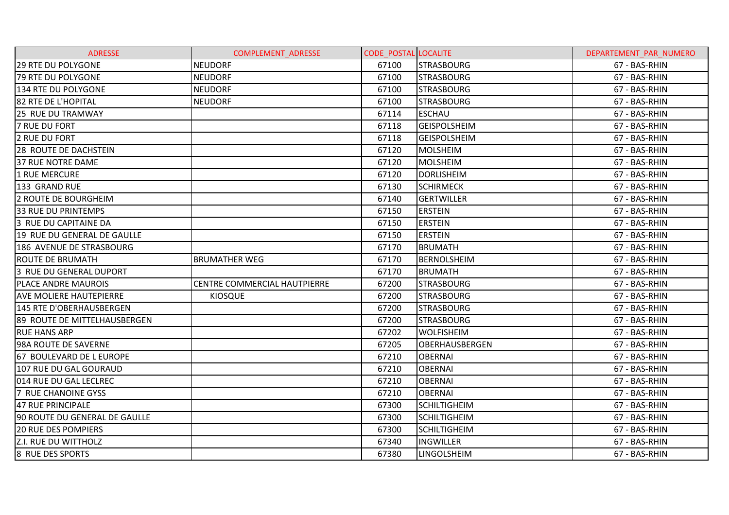| <b>ADRESSE</b>                      | COMPLEMENT_ADRESSE           | <b>CODE POSTAL LOCALITE</b> |                       | DEPARTEMENT PAR NUMERO |
|-------------------------------------|------------------------------|-----------------------------|-----------------------|------------------------|
| <b>29 RTE DU POLYGONE</b>           | <b>NEUDORF</b>               | 67100                       | <b>STRASBOURG</b>     | 67 - BAS-RHIN          |
| <b>79 RTE DU POLYGONE</b>           | <b>NEUDORF</b>               | 67100                       | <b>STRASBOURG</b>     | 67 - BAS-RHIN          |
| 134 RTE DU POLYGONE                 | <b>NEUDORF</b>               | 67100                       | <b>STRASBOURG</b>     | 67 - BAS-RHIN          |
| 82 RTE DE L'HOPITAL                 | <b>NEUDORF</b>               | 67100                       | <b>STRASBOURG</b>     | 67 - BAS-RHIN          |
| 25 RUE DU TRAMWAY                   |                              | 67114                       | <b>ESCHAU</b>         | 67 - BAS-RHIN          |
| <b>7 RUE DU FORT</b>                |                              | 67118                       | <b>GEISPOLSHEIM</b>   | 67 - BAS-RHIN          |
| 2 RUE DU FORT                       |                              | 67118                       | <b>GEISPOLSHEIM</b>   | 67 - BAS-RHIN          |
| <b>28 ROUTE DE DACHSTEIN</b>        |                              | 67120                       | <b>MOLSHEIM</b>       | 67 - BAS-RHIN          |
| 37 RUE NOTRE DAME                   |                              | 67120                       | MOLSHEIM              | 67 - BAS-RHIN          |
| 1 RUE MERCURE                       |                              | 67120                       | <b>DORLISHEIM</b>     | 67 - BAS-RHIN          |
| 133 GRAND RUE                       |                              | 67130                       | <b>SCHIRMECK</b>      | 67 - BAS-RHIN          |
| 2 ROUTE DE BOURGHEIM                |                              | 67140                       | <b>GERTWILLER</b>     | 67 - BAS-RHIN          |
| <b>33 RUE DU PRINTEMPS</b>          |                              | 67150                       | <b>ERSTEIN</b>        | 67 - BAS-RHIN          |
| 3 RUE DU CAPITAINE DA               |                              | 67150                       | <b>ERSTEIN</b>        | 67 - BAS-RHIN          |
| 19 RUE DU GENERAL DE GAULLE         |                              | 67150                       | <b>ERSTEIN</b>        | 67 - BAS-RHIN          |
| 186 AVENUE DE STRASBOURG            |                              | 67170                       | <b>BRUMATH</b>        | 67 - BAS-RHIN          |
| <b>ROUTE DE BRUMATH</b>             | <b>BRUMATHER WEG</b>         | 67170                       | <b>BERNOLSHEIM</b>    | 67 - BAS-RHIN          |
| 3 RUE DU GENERAL DUPORT             |                              | 67170                       | IBRUMATH              | 67 - BAS-RHIN          |
| <b>PLACE ANDRE MAUROIS</b>          | CENTRE COMMERCIAL HAUTPIERRE | 67200                       | <b>STRASBOURG</b>     | 67 - BAS-RHIN          |
| <b>AVE MOLIERE HAUTEPIERRE</b>      | <b>KIOSQUE</b>               | 67200                       | <b>STRASBOURG</b>     | 67 - BAS-RHIN          |
| 145 RTE D'OBERHAUSBERGEN            |                              | 67200                       | <b>STRASBOURG</b>     | 67 - BAS-RHIN          |
| <b>89 ROUTE DE MITTELHAUSBERGEN</b> |                              | 67200                       | <b>STRASBOURG</b>     | 67 - BAS-RHIN          |
| <b>RUE HANS ARP</b>                 |                              | 67202                       | <b>WOLFISHEIM</b>     | 67 - BAS-RHIN          |
| 98A ROUTE DE SAVERNE                |                              | 67205                       | <b>OBERHAUSBERGEN</b> | 67 - BAS-RHIN          |
| 67 BOULEVARD DE L EUROPE            |                              | 67210                       | <b>OBERNAI</b>        | 67 - BAS-RHIN          |
| 107 RUE DU GAL GOURAUD              |                              | 67210                       | <b>OBERNAI</b>        | 67 - BAS-RHIN          |
| 014 RUE DU GAL LECLREC              |                              | 67210                       | <b>OBERNAI</b>        | 67 - BAS-RHIN          |
| 7 RUE CHANOINE GYSS                 |                              | 67210                       | <b>OBERNAI</b>        | 67 - BAS-RHIN          |
| 47 RUE PRINCIPALE                   |                              | 67300                       | <b>SCHILTIGHEIM</b>   | 67 - BAS-RHIN          |
| 90 ROUTE DU GENERAL DE GAULLE       |                              | 67300                       | <b>SCHILTIGHEIM</b>   | 67 - BAS-RHIN          |
| <b>20 RUE DES POMPIERS</b>          |                              | 67300                       | <b>SCHILTIGHEIM</b>   | 67 - BAS-RHIN          |
| <b>Z.I. RUE DU WITTHOLZ</b>         |                              | 67340                       | <b>INGWILLER</b>      | 67 - BAS-RHIN          |
| 8 RUE DES SPORTS                    |                              | 67380                       | <b>LINGOLSHEIM</b>    | 67 - BAS-RHIN          |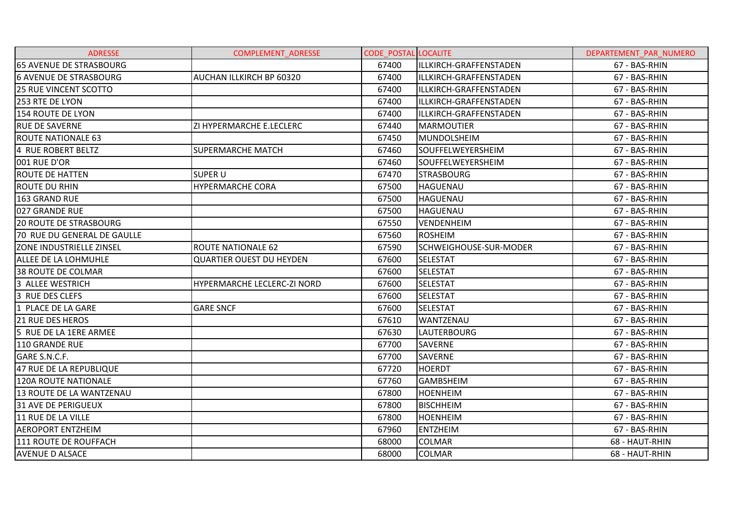| <b>ADRESSE</b>                  | <b>COMPLEMENT ADRESSE</b>       | <b>CODE POSTAL LOCALITE</b> |                        | DEPARTEMENT PAR NUMERO |
|---------------------------------|---------------------------------|-----------------------------|------------------------|------------------------|
| <b>65 AVENUE DE STRASBOURG</b>  |                                 | 67400                       | ILLKIRCH-GRAFFENSTADEN | 67 - BAS-RHIN          |
| <b>6 AVENUE DE STRASBOURG</b>   | AUCHAN ILLKIRCH BP 60320        | 67400                       | ILLKIRCH-GRAFFENSTADEN | 67 - BAS-RHIN          |
| 25 RUE VINCENT SCOTTO           |                                 | 67400                       | ILLKIRCH-GRAFFENSTADEN | 67 - BAS-RHIN          |
| 253 RTE DE LYON                 |                                 | 67400                       | ILLKIRCH-GRAFFENSTADEN | 67 - BAS-RHIN          |
| 154 ROUTE DE LYON               |                                 | 67400                       | ILLKIRCH-GRAFFENSTADEN | 67 - BAS-RHIN          |
| <b>RUE DE SAVERNE</b>           | ZI HYPERMARCHE E.LECLERC        | 67440                       | <b>MARMOUTIER</b>      | 67 - BAS-RHIN          |
| <b>ROUTE NATIONALE 63</b>       |                                 | 67450                       | <b>MUNDOLSHEIM</b>     | 67 - BAS-RHIN          |
| 4 RUE ROBERT BELTZ              | <b>SUPERMARCHE MATCH</b>        | 67460                       | SOUFFELWEYERSHEIM      | 67 - BAS-RHIN          |
| 001 RUE D'OR                    |                                 | 67460                       | SOUFFELWEYERSHEIM      | 67 - BAS-RHIN          |
| <b>ROUTE DE HATTEN</b>          | <b>SUPER U</b>                  | 67470                       | <b>STRASBOURG</b>      | 67 - BAS-RHIN          |
| <b>ROUTE DU RHIN</b>            | <b>HYPERMARCHE CORA</b>         | 67500                       | <b>HAGUENAU</b>        | 67 - BAS-RHIN          |
| 163 GRAND RUE                   |                                 | 67500                       | <b>HAGUENAU</b>        | 67 - BAS-RHIN          |
| 027 GRANDE RUE                  |                                 | 67500                       | <b>HAGUENAU</b>        | 67 - BAS-RHIN          |
| <b>20 ROUTE DE STRASBOURG</b>   |                                 | 67550                       | <b>VENDENHEIM</b>      | 67 - BAS-RHIN          |
| 70 RUE DU GENERAL DE GAULLE     |                                 | 67560                       | <b>ROSHEIM</b>         | 67 - BAS-RHIN          |
| <b>ZONE INDUSTRIELLE ZINSEL</b> | <b>ROUTE NATIONALE 62</b>       | 67590                       | SCHWEIGHOUSE-SUR-MODER | 67 - BAS-RHIN          |
| ALLEE DE LA LOHMUHLE            | <b>QUARTIER OUEST DU HEYDEN</b> | 67600                       | <b>SELESTAT</b>        | 67 - BAS-RHIN          |
| <b>38 ROUTE DE COLMAR</b>       |                                 | 67600                       | <b>SELESTAT</b>        | 67 - BAS-RHIN          |
| 3 ALLEE WESTRICH                | HYPERMARCHE LECLERC-ZI NORD     | 67600                       | <b>SELESTAT</b>        | 67 - BAS-RHIN          |
| 3 RUE DES CLEFS                 |                                 | 67600                       | <b>SELESTAT</b>        | 67 - BAS-RHIN          |
| 1 PLACE DE LA GARE              | <b>GARE SNCF</b>                | 67600                       | <b>SELESTAT</b>        | 67 - BAS-RHIN          |
| <b>21 RUE DES HEROS</b>         |                                 | 67610                       | <b>WANTZENAU</b>       | 67 - BAS-RHIN          |
| 5 RUE DE LA 1ERE ARMEE          |                                 | 67630                       | <b>LAUTERBOURG</b>     | 67 - BAS-RHIN          |
| 110 GRANDE RUE                  |                                 | 67700                       | <b>SAVERNE</b>         | 67 - BAS-RHIN          |
| GARE S.N.C.F.                   |                                 | 67700                       | SAVERNE                | 67 - BAS-RHIN          |
| 47 RUE DE LA REPUBLIQUE         |                                 | 67720                       | <b>HOERDT</b>          | 67 - BAS-RHIN          |
| 120A ROUTE NATIONALE            |                                 | 67760                       | <b>GAMBSHEIM</b>       | 67 - BAS-RHIN          |
| 13 ROUTE DE LA WANTZENAU        |                                 | 67800                       | <b>HOENHEIM</b>        | 67 - BAS-RHIN          |
| <b>31 AVE DE PERIGUEUX</b>      |                                 | 67800                       | <b>BISCHHEIM</b>       | 67 - BAS-RHIN          |
| 11 RUE DE LA VILLE              |                                 | 67800                       | <b>HOENHEIM</b>        | 67 - BAS-RHIN          |
| <b>AEROPORT ENTZHEIM</b>        |                                 | 67960                       | <b>ENTZHEIM</b>        | 67 - BAS-RHIN          |
| 111 ROUTE DE ROUFFACH           |                                 | 68000                       | <b>COLMAR</b>          | 68 - HAUT-RHIN         |
| <b>AVENUE D ALSACE</b>          |                                 | 68000                       | <b>COLMAR</b>          | 68 - HAUT-RHIN         |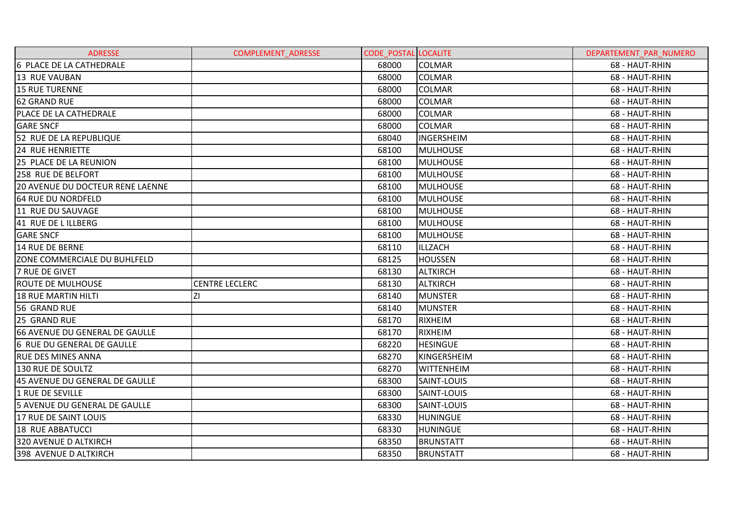| <b>ADRESSE</b>                          | <b>COMPLEMENT ADRESSE</b> | <b>CODE POSTAL LOCALITE</b> |                    | DEPARTEMENT PAR NUMERO |
|-----------------------------------------|---------------------------|-----------------------------|--------------------|------------------------|
| 6 PLACE DE LA CATHEDRALE                |                           | 68000                       | <b>COLMAR</b>      | 68 - HAUT-RHIN         |
| 13 RUE VAUBAN                           |                           | 68000                       | <b>COLMAR</b>      | 68 - HAUT-RHIN         |
| <b>15 RUE TURENNE</b>                   |                           | 68000                       | <b>COLMAR</b>      | 68 - HAUT-RHIN         |
| <b>62 GRAND RUE</b>                     |                           | 68000                       | <b>COLMAR</b>      | 68 - HAUT-RHIN         |
| <b>PLACE DE LA CATHEDRALE</b>           |                           | 68000                       | <b>COLMAR</b>      | 68 - HAUT-RHIN         |
| <b>GARE SNCF</b>                        |                           | 68000                       | <b>COLMAR</b>      | 68 - HAUT-RHIN         |
| 52 RUE DE LA REPUBLIQUE                 |                           | 68040                       | <b>INGERSHEIM</b>  | 68 - HAUT-RHIN         |
| <b>24 RUE HENRIETTE</b>                 |                           | 68100                       | <b>MULHOUSE</b>    | 68 - HAUT-RHIN         |
| 25 PLACE DE LA REUNION                  |                           | 68100                       | <b>MULHOUSE</b>    | 68 - HAUT-RHIN         |
| <b>258 RUE DE BELFORT</b>               |                           | 68100                       | <b>MULHOUSE</b>    | 68 - HAUT-RHIN         |
| <b>20 AVENUE DU DOCTEUR RENE LAENNE</b> |                           | 68100                       | <b>MULHOUSE</b>    | 68 - HAUT-RHIN         |
| <b>64 RUE DU NORDFELD</b>               |                           | 68100                       | <b>MULHOUSE</b>    | 68 - HAUT-RHIN         |
| 11 RUE DU SAUVAGE                       |                           | 68100                       | <b>MULHOUSE</b>    | 68 - HAUT-RHIN         |
| 41 RUE DE LILLBERG                      |                           | 68100                       | <b>MULHOUSE</b>    | 68 - HAUT-RHIN         |
| <b>GARE SNCF</b>                        |                           | 68100                       | <b>MULHOUSE</b>    | 68 - HAUT-RHIN         |
| 14 RUE DE BERNE                         |                           | 68110                       | ILLZACH            | 68 - HAUT-RHIN         |
| ZONE COMMERCIALE DU BUHLFELD            |                           | 68125                       | <b>HOUSSEN</b>     | 68 - HAUT-RHIN         |
| <b>7 RUE DE GIVET</b>                   |                           | 68130                       | <b>ALTKIRCH</b>    | 68 - HAUT-RHIN         |
| <b>ROUTE DE MULHOUSE</b>                | <b>CENTRE LECLERC</b>     | 68130                       | <b>ALTKIRCH</b>    | 68 - HAUT-RHIN         |
| 18 RUE MARTIN HILTI                     | ΖI                        | 68140                       | <b>MUNSTER</b>     | 68 - HAUT-RHIN         |
| 56 GRAND RUE                            |                           | 68140                       | <b>MUNSTER</b>     | 68 - HAUT-RHIN         |
| 25 GRAND RUE                            |                           | 68170                       | <b>RIXHEIM</b>     | 68 - HAUT-RHIN         |
| 66 AVENUE DU GENERAL DE GAULLE          |                           | 68170                       | RIXHEIM            | 68 - HAUT-RHIN         |
| 6 RUE DU GENERAL DE GAULLE              |                           | 68220                       | <b>HESINGUE</b>    | 68 - HAUT-RHIN         |
| <b>RUE DES MINES ANNA</b>               |                           | 68270                       | <b>KINGERSHEIM</b> | 68 - HAUT-RHIN         |
| 130 RUE DE SOULTZ                       |                           | 68270                       | <b>WITTENHEIM</b>  | 68 - HAUT-RHIN         |
| 45 AVENUE DU GENERAL DE GAULLE          |                           | 68300                       | SAINT-LOUIS        | 68 - HAUT-RHIN         |
| 1 RUE DE SEVILLE                        |                           | 68300                       | SAINT-LOUIS        | 68 - HAUT-RHIN         |
| 5 AVENUE DU GENERAL DE GAULLE           |                           | 68300                       | SAINT-LOUIS        | 68 - HAUT-RHIN         |
| 17 RUE DE SAINT LOUIS                   |                           | 68330                       | <b>HUNINGUE</b>    | 68 - HAUT-RHIN         |
| <b>18 RUE ABBATUCCI</b>                 |                           | 68330                       | <b>HUNINGUE</b>    | 68 - HAUT-RHIN         |
| 320 AVENUE D ALTKIRCH                   |                           | 68350                       | <b>BRUNSTATT</b>   | 68 - HAUT-RHIN         |
| 398 AVENUE D ALTKIRCH                   |                           | 68350                       | <b>BRUNSTATT</b>   | 68 - HAUT-RHIN         |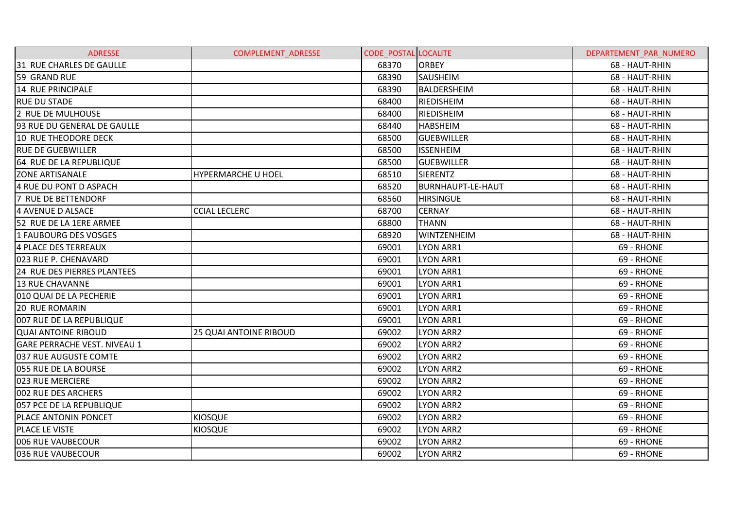| <b>ADRESSE</b>                      | <b>COMPLEMENT ADRESSE</b>     | <b>CODE POSTAL LOCALITE</b> |                          | DEPARTEMENT PAR NUMERO |
|-------------------------------------|-------------------------------|-----------------------------|--------------------------|------------------------|
| 31 RUE CHARLES DE GAULLE            |                               | 68370                       | <b>ORBEY</b>             | 68 - HAUT-RHIN         |
| 59 GRAND RUE                        |                               | 68390                       | <b>SAUSHEIM</b>          | 68 - HAUT-RHIN         |
| 14 RUE PRINCIPALE                   |                               | 68390                       | BALDERSHEIM              | 68 - HAUT-RHIN         |
| <b>RUE DU STADE</b>                 |                               | 68400                       | <b>RIEDISHEIM</b>        | 68 - HAUT-RHIN         |
| 2 RUE DE MULHOUSE                   |                               | 68400                       | <b>RIEDISHEIM</b>        | 68 - HAUT-RHIN         |
| 93 RUE DU GENERAL DE GAULLE         |                               | 68440                       | <b>HABSHEIM</b>          | 68 - HAUT-RHIN         |
| 10 RUE THEODORE DECK                |                               | 68500                       | <b>GUEBWILLER</b>        | 68 - HAUT-RHIN         |
| <b>RUE DE GUEBWILLER</b>            |                               | 68500                       | <b>ISSENHEIM</b>         | 68 - HAUT-RHIN         |
| 64 RUE DE LA REPUBLIQUE             |                               | 68500                       | <b>GUEBWILLER</b>        | 68 - HAUT-RHIN         |
| <b>ZONE ARTISANALE</b>              | <b>HYPERMARCHE U HOEL</b>     | 68510                       | <b>SIERENTZ</b>          | 68 - HAUT-RHIN         |
| 4 RUE DU PONT D ASPACH              |                               | 68520                       | <b>BURNHAUPT-LE-HAUT</b> | 68 - HAUT-RHIN         |
| 7 RUE DE BETTENDORF                 |                               | 68560                       | <b>HIRSINGUE</b>         | 68 - HAUT-RHIN         |
| <b>4 AVENUE D ALSACE</b>            | <b>CCIAL LECLERC</b>          | 68700                       | <b>CERNAY</b>            | 68 - HAUT-RHIN         |
| 52 RUE DE LA 1ERE ARMEE             |                               | 68800                       | <b>THANN</b>             | 68 - HAUT-RHIN         |
| 1 FAUBOURG DES VOSGES               |                               | 68920                       | WINTZENHEIM              | 68 - HAUT-RHIN         |
| 4 PLACE DES TERREAUX                |                               | 69001                       | <b>LYON ARR1</b>         | 69 - RHONE             |
| 023 RUE P. CHENAVARD                |                               | 69001                       | <b>LYON ARR1</b>         | 69 - RHONE             |
| 24 RUE DES PIERRES PLANTEES         |                               | 69001                       | LYON ARR1                | 69 - RHONE             |
| 13 RUE CHAVANNE                     |                               | 69001                       | <b>LYON ARR1</b>         | 69 - RHONE             |
| 010 QUAI DE LA PECHERIE             |                               | 69001                       | <b>LYON ARR1</b>         | 69 - RHONE             |
| <b>20 RUE ROMARIN</b>               |                               | 69001                       | LYON ARR1                | 69 - RHONE             |
| 007 RUE DE LA REPUBLIQUE            |                               | 69001                       | <b>LYON ARR1</b>         | 69 - RHONE             |
| <b>QUAI ANTOINE RIBOUD</b>          | <b>25 QUAI ANTOINE RIBOUD</b> | 69002                       | <b>LYON ARR2</b>         | 69 - RHONE             |
| <b>GARE PERRACHE VEST. NIVEAU 1</b> |                               | 69002                       | <b>LYON ARR2</b>         | 69 - RHONE             |
| 037 RUE AUGUSTE COMTE               |                               | 69002                       | <b>LYON ARR2</b>         | 69 - RHONE             |
| 055 RUE DE LA BOURSE                |                               | 69002                       | LYON ARR2                | 69 - RHONE             |
| 023 RUE MERCIERE                    |                               | 69002                       | <b>LYON ARR2</b>         | 69 - RHONE             |
| 002 RUE DES ARCHERS                 |                               | 69002                       | <b>LYON ARR2</b>         | 69 - RHONE             |
| 057 PCE DE LA REPUBLIQUE            |                               | 69002                       | <b>LYON ARR2</b>         | 69 - RHONE             |
| PLACE ANTONIN PONCET                | <b>KIOSQUE</b>                | 69002                       | LYON ARR2                | 69 - RHONE             |
| PLACE LE VISTE                      | KIOSQUE                       | 69002                       | LYON ARR2                | 69 - RHONE             |
| 006 RUE VAUBECOUR                   |                               | 69002                       | <b>LYON ARR2</b>         | 69 - RHONE             |
| 036 RUE VAUBECOUR                   |                               | 69002                       | <b>LYON ARR2</b>         | 69 - RHONE             |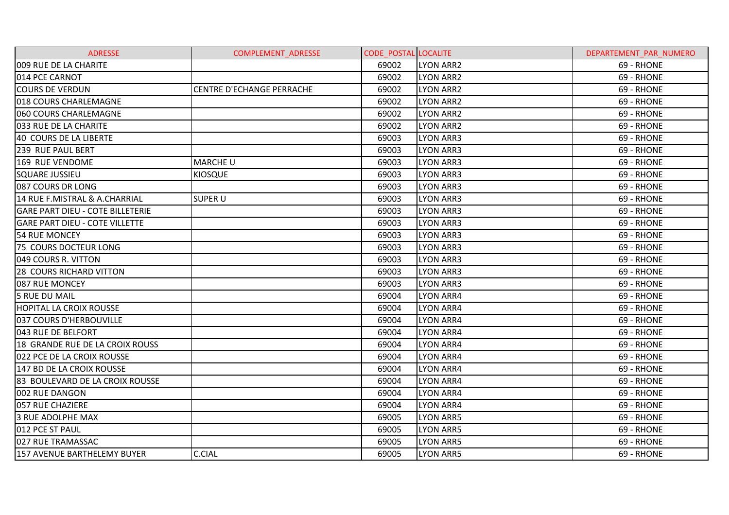| <b>ADRESSE</b>                          | <b>COMPLEMENT ADRESSE</b>        | <b>CODE POSTAL LOCALITE</b> |                  | DEPARTEMENT PAR NUMERO |
|-----------------------------------------|----------------------------------|-----------------------------|------------------|------------------------|
| 009 RUE DE LA CHARITE                   |                                  | 69002                       | <b>LYON ARR2</b> | 69 - RHONE             |
| 014 PCE CARNOT                          |                                  | 69002                       | <b>LYON ARR2</b> | 69 - RHONE             |
| <b>COURS DE VERDUN</b>                  | <b>CENTRE D'ECHANGE PERRACHE</b> | 69002                       | <b>LYON ARR2</b> | 69 - RHONE             |
| 018 COURS CHARLEMAGNE                   |                                  | 69002                       | <b>LYON ARR2</b> | 69 - RHONE             |
| 060 COURS CHARLEMAGNE                   |                                  | 69002                       | <b>LYON ARR2</b> | 69 - RHONE             |
| 033 RUE DE LA CHARITE                   |                                  | 69002                       | <b>LYON ARR2</b> | 69 - RHONE             |
| 40 COURS DE LA LIBERTE                  |                                  | 69003                       | LYON ARR3        | 69 - RHONE             |
| 239 RUE PAUL BERT                       |                                  | 69003                       | <b>LYON ARR3</b> | 69 - RHONE             |
| 169 RUE VENDOME                         | <b>MARCHE U</b>                  | 69003                       | <b>LYON ARR3</b> | 69 - RHONE             |
| <b>SQUARE JUSSIEU</b>                   | <b>KIOSQUE</b>                   | 69003                       | <b>LYON ARR3</b> | 69 - RHONE             |
| 087 COURS DR LONG                       |                                  | 69003                       | <b>LYON ARR3</b> | 69 - RHONE             |
| 14 RUE F.MISTRAL & A.CHARRIAL           | <b>SUPER U</b>                   | 69003                       | LYON ARR3        | 69 - RHONE             |
| <b>GARE PART DIEU - COTE BILLETERIE</b> |                                  | 69003                       | LYON ARR3        | 69 - RHONE             |
| <b>GARE PART DIEU - COTE VILLETTE</b>   |                                  | 69003                       | <b>LYON ARR3</b> | 69 - RHONE             |
| 54 RUE MONCEY                           |                                  | 69003                       | <b>LYON ARR3</b> | 69 - RHONE             |
| 75 COURS DOCTEUR LONG                   |                                  | 69003                       | <b>LYON ARR3</b> | 69 - RHONE             |
| 049 COURS R. VITTON                     |                                  | 69003                       | <b>LYON ARR3</b> | 69 - RHONE             |
| <b>28 COURS RICHARD VITTON</b>          |                                  | 69003                       | LYON ARR3        | 69 - RHONE             |
| 087 RUE MONCEY                          |                                  | 69003                       | <b>LYON ARR3</b> | 69 - RHONE             |
| <b>5 RUE DU MAIL</b>                    |                                  | 69004                       | <b>LYON ARR4</b> | 69 - RHONE             |
| <b>HOPITAL LA CROIX ROUSSE</b>          |                                  | 69004                       | <b>LYON ARR4</b> | 69 - RHONE             |
| 037 COURS D'HERBOUVILLE                 |                                  | 69004                       | LYON ARR4        | 69 - RHONE             |
| 043 RUE DE BELFORT                      |                                  | 69004                       | <b>LYON ARR4</b> | 69 - RHONE             |
| 18 GRANDE RUE DE LA CROIX ROUSS         |                                  | 69004                       | <b>LYON ARR4</b> | 69 - RHONE             |
| 022 PCE DE LA CROIX ROUSSE              |                                  | 69004                       | <b>LYON ARR4</b> | 69 - RHONE             |
| 147 BD DE LA CROIX ROUSSE               |                                  | 69004                       | <b>LYON ARR4</b> | 69 - RHONE             |
| 83 BOULEVARD DE LA CROIX ROUSSE         |                                  | 69004                       | <b>LYON ARR4</b> | 69 - RHONE             |
| 002 RUE DANGON                          |                                  | 69004                       | <b>LYON ARR4</b> | 69 - RHONE             |
| 057 RUE CHAZIERE                        |                                  | 69004                       | <b>LYON ARR4</b> | 69 - RHONE             |
| 3 RUE ADOLPHE MAX                       |                                  | 69005                       | <b>LYON ARR5</b> | 69 - RHONE             |
| 012 PCE ST PAUL                         |                                  | 69005                       | <b>LYON ARR5</b> | 69 - RHONE             |
| 027 RUE TRAMASSAC                       |                                  | 69005                       | <b>LYON ARR5</b> | 69 - RHONE             |
| 157 AVENUE BARTHELEMY BUYER             | C.CIAL                           | 69005                       | <b>LYON ARR5</b> | 69 - RHONE             |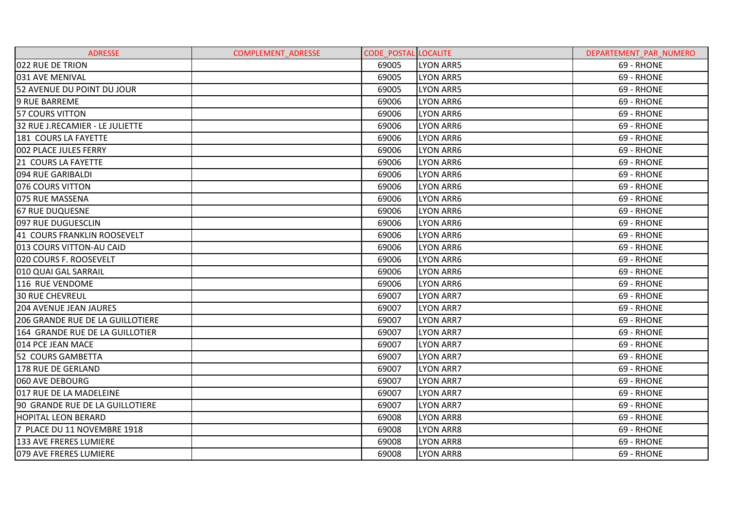| <b>ADRESSE</b>                   | <b>COMPLEMENT ADRESSE</b> | <b>CODE POSTAL LOCALITE</b> |                  | DEPARTEMENT PAR NUMERO |
|----------------------------------|---------------------------|-----------------------------|------------------|------------------------|
| 022 RUE DE TRION                 |                           | 69005                       | <b>LYON ARR5</b> | 69 - RHONE             |
| 031 AVE MENIVAL                  |                           | 69005                       | <b>LYON ARR5</b> | 69 - RHONE             |
| 52 AVENUE DU POINT DU JOUR       |                           | 69005                       | <b>LYON ARR5</b> | 69 - RHONE             |
| <b>9 RUE BARREME</b>             |                           | 69006                       | <b>LYON ARR6</b> | 69 - RHONE             |
| <b>57 COURS VITTON</b>           |                           | 69006                       | <b>LYON ARR6</b> | 69 - RHONE             |
| 32 RUE J.RECAMIER - LE JULIETTE  |                           | 69006                       | <b>LYON ARR6</b> | 69 - RHONE             |
| 181 COURS LA FAYETTE             |                           | 69006                       | LYON ARR6        | 69 - RHONE             |
| 002 PLACE JULES FERRY            |                           | 69006                       | <b>LYON ARR6</b> | 69 - RHONE             |
| 21 COURS LA FAYETTE              |                           | 69006                       | <b>LYON ARR6</b> | 69 - RHONE             |
| 094 RUE GARIBALDI                |                           | 69006                       | LYON ARR6        | 69 - RHONE             |
| 076 COURS VITTON                 |                           | 69006                       | <b>LYON ARR6</b> | 69 - RHONE             |
| 075 RUE MASSENA                  |                           | 69006                       | <b>LYON ARR6</b> | 69 - RHONE             |
| <b>67 RUE DUQUESNE</b>           |                           | 69006                       | <b>LYON ARR6</b> | 69 - RHONE             |
| 097 RUE DUGUESCLIN               |                           | 69006                       | LYON ARR6        | 69 - RHONE             |
| 41 COURS FRANKLIN ROOSEVELT      |                           | 69006                       | <b>LYON ARR6</b> | 69 - RHONE             |
| 013 COURS VITTON-AU CAID         |                           | 69006                       | <b>LYON ARR6</b> | 69 - RHONE             |
| 020 COURS F. ROOSEVELT           |                           | 69006                       | LYON ARR6        | 69 - RHONE             |
| 010 QUAI GAL SARRAIL             |                           | 69006                       | LYON ARR6        | 69 - RHONE             |
| 116 RUE VENDOME                  |                           | 69006                       | <b>LYON ARR6</b> | 69 - RHONE             |
| <b>30 RUE CHEVREUL</b>           |                           | 69007                       | LYON ARR7        | 69 - RHONE             |
| <b>204 AVENUE JEAN JAURES</b>    |                           | 69007                       | <b>LYON ARR7</b> | 69 - RHONE             |
| 206 GRANDE RUE DE LA GUILLOTIERE |                           | 69007                       | <b>LYON ARR7</b> | 69 - RHONE             |
| 164 GRANDE RUE DE LA GUILLOTIER  |                           | 69007                       | <b>LYON ARR7</b> | 69 - RHONE             |
| 014 PCE JEAN MACE                |                           | 69007                       | LYON ARR7        | 69 - RHONE             |
| 52 COURS GAMBETTA                |                           | 69007                       | <b>LYON ARR7</b> | 69 - RHONE             |
| 178 RUE DE GERLAND               |                           | 69007                       | <b>LYON ARR7</b> | 69 - RHONE             |
| 060 AVE DEBOURG                  |                           | 69007                       | <b>LYON ARR7</b> | 69 - RHONE             |
| 017 RUE DE LA MADELEINE          |                           | 69007                       | <b>LYON ARR7</b> | 69 - RHONE             |
| 90 GRANDE RUE DE LA GUILLOTIERE  |                           | 69007                       | <b>LYON ARR7</b> | 69 - RHONE             |
| <b>HOPITAL LEON BERARD</b>       |                           | 69008                       | <b>LYON ARR8</b> | 69 - RHONE             |
| 7 PLACE DU 11 NOVEMBRE 1918      |                           | 69008                       | <b>LYON ARR8</b> | 69 - RHONE             |
| 133 AVE FRERES LUMIERE           |                           | 69008                       | <b>LYON ARR8</b> | 69 - RHONE             |
| 079 AVE FRERES LUMIERE           |                           | 69008                       | <b>LYON ARR8</b> | 69 - RHONE             |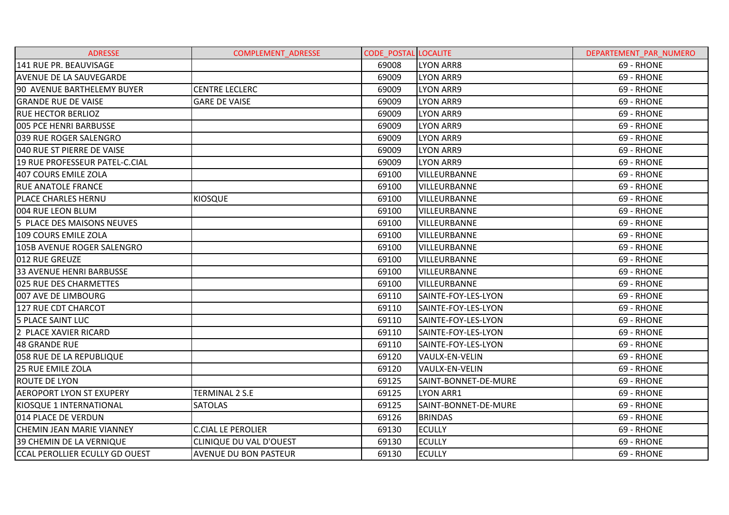| <b>ADRESSE</b>                        | <b>COMPLEMENT ADRESSE</b>    | <b>CODE POSTAL LOCALITE</b> |                      | DEPARTEMENT PAR NUMERO |
|---------------------------------------|------------------------------|-----------------------------|----------------------|------------------------|
| 141 RUE PR. BEAUVISAGE                |                              | 69008                       | <b>LYON ARR8</b>     | 69 - RHONE             |
| <b>AVENUE DE LA SAUVEGARDE</b>        |                              | 69009                       | <b>LYON ARR9</b>     | 69 - RHONE             |
| 90 AVENUE BARTHELEMY BUYER            | <b>CENTRE LECLERC</b>        | 69009                       | <b>LYON ARR9</b>     | 69 - RHONE             |
| <b>GRANDE RUE DE VAISE</b>            | <b>GARE DE VAISE</b>         | 69009                       | <b>LYON ARR9</b>     | 69 - RHONE             |
| <b>RUE HECTOR BERLIOZ</b>             |                              | 69009                       | <b>LYON ARR9</b>     | 69 - RHONE             |
| 005 PCE HENRI BARBUSSE                |                              | 69009                       | <b>LYON ARR9</b>     | 69 - RHONE             |
| 039 RUE ROGER SALENGRO                |                              | 69009                       | <b>LYON ARR9</b>     | 69 - RHONE             |
| 040 RUE ST PIERRE DE VAISE            |                              | 69009                       | <b>LYON ARR9</b>     | 69 - RHONE             |
| 19 RUE PROFESSEUR PATEL-C.CIAL        |                              | 69009                       | <b>LYON ARR9</b>     | 69 - RHONE             |
| 407 COURS EMILE ZOLA                  |                              | 69100                       | VILLEURBANNE         | 69 - RHONE             |
| <b>RUE ANATOLE FRANCE</b>             |                              | 69100                       | VILLEURBANNE         | 69 - RHONE             |
| PLACE CHARLES HERNU                   | <b>KIOSQUE</b>               | 69100                       | VILLEURBANNE         | 69 - RHONE             |
| 004 RUE LEON BLUM                     |                              | 69100                       | VILLEURBANNE         | 69 - RHONE             |
| 5 PLACE DES MAISONS NEUVES            |                              | 69100                       | VILLEURBANNE         | 69 - RHONE             |
| 109 COURS EMILE ZOLA                  |                              | 69100                       | VILLEURBANNE         | 69 - RHONE             |
| 105B AVENUE ROGER SALENGRO            |                              | 69100                       | VILLEURBANNE         | 69 - RHONE             |
| 012 RUE GREUZE                        |                              | 69100                       | VILLEURBANNE         | 69 - RHONE             |
| <b>33 AVENUE HENRI BARBUSSE</b>       |                              | 69100                       | VILLEURBANNE         | 69 - RHONE             |
| 025 RUE DES CHARMETTES                |                              | 69100                       | VILLEURBANNE         | 69 - RHONE             |
| 007 AVE DE LIMBOURG                   |                              | 69110                       | SAINTE-FOY-LES-LYON  | 69 - RHONE             |
| 127 RUE CDT CHARCOT                   |                              | 69110                       | SAINTE-FOY-LES-LYON  | 69 - RHONE             |
| <b>5 PLACE SAINT LUC</b>              |                              | 69110                       | SAINTE-FOY-LES-LYON  | 69 - RHONE             |
| 2 PLACE XAVIER RICARD                 |                              | 69110                       | SAINTE-FOY-LES-LYON  | 69 - RHONE             |
| 48 GRANDE RUE                         |                              | 69110                       | SAINTE-FOY-LES-LYON  | 69 - RHONE             |
| <b>058 RUE DE LA REPUBLIQUE</b>       |                              | 69120                       | VAULX-EN-VELIN       | 69 - RHONE             |
| <b>25 RUE EMILE ZOLA</b>              |                              | 69120                       | VAULX-EN-VELIN       | 69 - RHONE             |
| <b>ROUTE DE LYON</b>                  |                              | 69125                       | SAINT-BONNET-DE-MURE | 69 - RHONE             |
| <b>AEROPORT LYON ST EXUPERY</b>       | TERMINAL 2 S.E               | 69125                       | <b>LYON ARR1</b>     | 69 - RHONE             |
| KIOSQUE 1 INTERNATIONAL               | <b>SATOLAS</b>               | 69125                       | SAINT-BONNET-DE-MURE | 69 - RHONE             |
| 014 PLACE DE VERDUN                   |                              | 69126                       | <b>BRINDAS</b>       | 69 - RHONE             |
| <b>CHEMIN JEAN MARIE VIANNEY</b>      | <b>C.CIAL LE PEROLIER</b>    | 69130                       | <b>ECULLY</b>        | 69 - RHONE             |
| 39 CHEMIN DE LA VERNIQUE              | CLINIQUE DU VAL D'OUEST      | 69130                       | <b>ECULLY</b>        | 69 - RHONE             |
| <b>CCAL PEROLLIER ECULLY GD OUEST</b> | <b>AVENUE DU BON PASTEUR</b> | 69130                       | <b>ECULLY</b>        | 69 - RHONE             |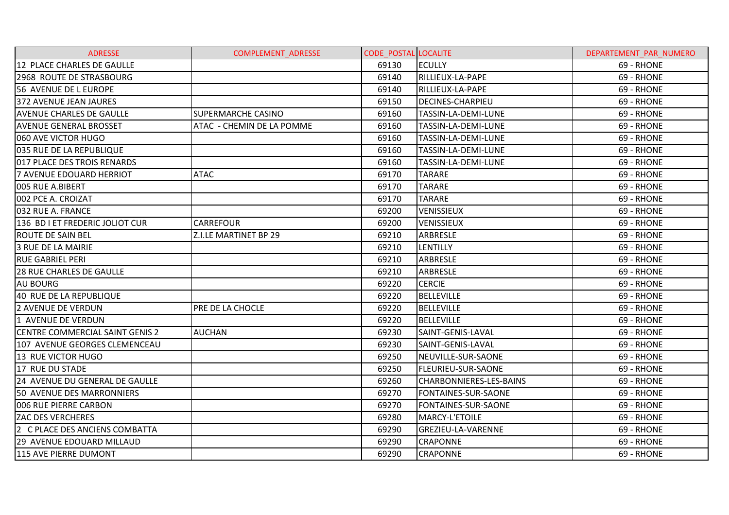| <b>ADRESSE</b>                  | <b>COMPLEMENT ADRESSE</b> | <b>CODE POSTAL LOCALITE</b> |                           | DEPARTEMENT PAR NUMERO |
|---------------------------------|---------------------------|-----------------------------|---------------------------|------------------------|
| 12 PLACE CHARLES DE GAULLE      |                           | 69130                       | <b>ECULLY</b>             | 69 - RHONE             |
| 2968 ROUTE DE STRASBOURG        |                           | 69140                       | RILLIEUX-LA-PAPE          | 69 - RHONE             |
| 56 AVENUE DE L EUROPE           |                           | 69140                       | RILLIEUX-LA-PAPE          | 69 - RHONE             |
| 372 AVENUE JEAN JAURES          |                           | 69150                       | <b>DECINES-CHARPIEU</b>   | 69 - RHONE             |
| <b>AVENUE CHARLES DE GAULLE</b> | <b>SUPERMARCHE CASINO</b> | 69160                       | TASSIN-LA-DEMI-LUNE       | 69 - RHONE             |
| <b>AVENUE GENERAL BROSSET</b>   | ATAC - CHEMIN DE LA POMME | 69160                       | TASSIN-LA-DEMI-LUNE       | 69 - RHONE             |
| 060 AVE VICTOR HUGO             |                           | 69160                       | TASSIN-LA-DEMI-LUNE       | 69 - RHONE             |
| 035 RUE DE LA REPUBLIQUE        |                           | 69160                       | TASSIN-LA-DEMI-LUNE       | 69 - RHONE             |
| 017 PLACE DES TROIS RENARDS     |                           | 69160                       | TASSIN-LA-DEMI-LUNE       | 69 - RHONE             |
| 7 AVENUE EDOUARD HERRIOT        | <b>ATAC</b>               | 69170                       | <b>TARARE</b>             | 69 - RHONE             |
| 005 RUE A.BIBERT                |                           | 69170                       | <b>TARARE</b>             | 69 - RHONE             |
| 002 PCE A. CROIZAT              |                           | 69170                       | <b>TARARE</b>             | 69 - RHONE             |
| 032 RUE A. FRANCE               |                           | 69200                       | <b>VENISSIEUX</b>         | 69 - RHONE             |
| 136 BD I ET FREDERIC JOLIOT CUR | <b>CARREFOUR</b>          | 69200                       | <b>VENISSIEUX</b>         | 69 - RHONE             |
| IROUTE DE SAIN BEL              | Z.I.LE MARTINET BP 29     | 69210                       | ARBRESLE                  | 69 - RHONE             |
| 3 RUE DE LA MAIRIE              |                           | 69210                       | <b>LENTILLY</b>           | 69 - RHONE             |
| <b>RUE GABRIEL PERI</b>         |                           | 69210                       | <b>ARBRESLE</b>           | 69 - RHONE             |
| <b>28 RUE CHARLES DE GAULLE</b> |                           | 69210                       | ARBRESLE                  | 69 - RHONE             |
| <b>AU BOURG</b>                 |                           | 69220                       | <b>CERCIE</b>             | 69 - RHONE             |
| 40 RUE DE LA REPUBLIQUE         |                           | 69220                       | <b>BELLEVILLE</b>         | 69 - RHONE             |
| 2 AVENUE DE VERDUN              | PRE DE LA CHOCLE          | 69220                       | <b>BELLEVILLE</b>         | 69 - RHONE             |
| 1 AVENUE DE VERDUN              |                           | 69220                       | <b>BELLEVILLE</b>         | 69 - RHONE             |
| CENTRE COMMERCIAL SAINT GENIS 2 | <b>AUCHAN</b>             | 69230                       | SAINT-GENIS-LAVAL         | 69 - RHONE             |
| 107 AVENUE GEORGES CLEMENCEAU   |                           | 69230                       | SAINT-GENIS-LAVAL         | 69 - RHONE             |
| 13 RUE VICTOR HUGO              |                           | 69250                       | NEUVILLE-SUR-SAONE        | 69 - RHONE             |
| 17 RUE DU STADE                 |                           | 69250                       | <b>FLEURIEU-SUR-SAONE</b> | 69 - RHONE             |
| 24 AVENUE DU GENERAL DE GAULLE  |                           | 69260                       | CHARBONNIERES-LES-BAINS   | 69 - RHONE             |
| 50 AVENUE DES MARRONNIERS       |                           | 69270                       | FONTAINES-SUR-SAONE       | 69 - RHONE             |
| 006 RUE PIERRE CARBON           |                           | 69270                       | FONTAINES-SUR-SAONE       | 69 - RHONE             |
| <b>ZAC DES VERCHERES</b>        |                           | 69280                       | MARCY-L'ETOILE            | 69 - RHONE             |
| 2 C PLACE DES ANCIENS COMBATTA  |                           | 69290                       | GREZIEU-LA-VARENNE        | 69 - RHONE             |
| 29 AVENUE EDOUARD MILLAUD       |                           | 69290                       | <b>CRAPONNE</b>           | 69 - RHONE             |
| 115 AVE PIERRE DUMONT           |                           | 69290                       | <b>CRAPONNE</b>           | 69 - RHONE             |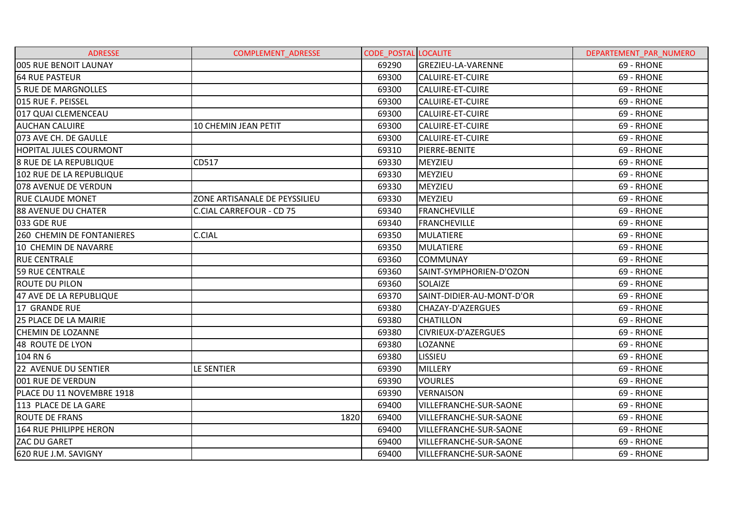| <b>ADRESSE</b>                | <b>COMPLEMENT ADRESSE</b>       | <b>CODE POSTAL LOCALITE</b> |                               | DEPARTEMENT PAR NUMERO |
|-------------------------------|---------------------------------|-----------------------------|-------------------------------|------------------------|
| 005 RUE BENOIT LAUNAY         |                                 | 69290                       | GREZIEU-LA-VARENNE            | 69 - RHONE             |
| <b>64 RUE PASTEUR</b>         |                                 | 69300                       | CALUIRE-ET-CUIRE              | 69 - RHONE             |
| 5 RUE DE MARGNOLLES           |                                 | 69300                       | CALUIRE-ET-CUIRE              | 69 - RHONE             |
| 015 RUE F. PEISSEL            |                                 | 69300                       | CALUIRE-ET-CUIRE              | 69 - RHONE             |
| 017 QUAI CLEMENCEAU           |                                 | 69300                       | <b>CALUIRE-ET-CUIRE</b>       | 69 - RHONE             |
| <b>AUCHAN CALUIRE</b>         | <b>10 CHEMIN JEAN PETIT</b>     | 69300                       | <b>CALUIRE-ET-CUIRE</b>       | 69 - RHONE             |
| 073 AVE CH. DE GAULLE         |                                 | 69300                       | <b>CALUIRE-ET-CUIRE</b>       | 69 - RHONE             |
| <b>HOPITAL JULES COURMONT</b> |                                 | 69310                       | PIERRE-BENITE                 | 69 - RHONE             |
| <b>8 RUE DE LA REPUBLIQUE</b> | CD517                           | 69330                       | <b>MEYZIEU</b>                | 69 - RHONE             |
| 102 RUE DE LA REPUBLIQUE      |                                 | 69330                       | <b>MEYZIEU</b>                | 69 - RHONE             |
| 078 AVENUE DE VERDUN          |                                 | 69330                       | MEYZIEU                       | 69 - RHONE             |
| <b>RUE CLAUDE MONET</b>       | ZONE ARTISANALE DE PEYSSILIEU   | 69330                       | MEYZIEU                       | 69 - RHONE             |
| 88 AVENUE DU CHATER           | <b>C.CIAL CARREFOUR - CD 75</b> | 69340                       | <b>FRANCHEVILLE</b>           | 69 - RHONE             |
| 033 GDE RUE                   |                                 | 69340                       | <b>FRANCHEVILLE</b>           | 69 - RHONE             |
| 260 CHEMIN DE FONTANIERES     | <b>C.CIAL</b>                   | 69350                       | <b>MULATIERE</b>              | 69 - RHONE             |
| 10 CHEMIN DE NAVARRE          |                                 | 69350                       | <b>MULATIERE</b>              | 69 - RHONE             |
| <b>RUE CENTRALE</b>           |                                 | 69360                       | <b>COMMUNAY</b>               | 69 - RHONE             |
| <b>59 RUE CENTRALE</b>        |                                 | 69360                       | SAINT-SYMPHORIEN-D'OZON       | 69 - RHONE             |
| <b>ROUTE DU PILON</b>         |                                 | 69360                       | <b>SOLAIZE</b>                | 69 - RHONE             |
| 47 AVE DE LA REPUBLIQUE       |                                 | 69370                       | SAINT-DIDIER-AU-MONT-D'OR     | 69 - RHONE             |
| 17 GRANDE RUE                 |                                 | 69380                       | CHAZAY-D'AZERGUES             | 69 - RHONE             |
| 25 PLACE DE LA MAIRIE         |                                 | 69380                       | <b>CHATILLON</b>              | 69 - RHONE             |
| <b>CHEMIN DE LOZANNE</b>      |                                 | 69380                       | CIVRIEUX-D'AZERGUES           | 69 - RHONE             |
| 48 ROUTE DE LYON              |                                 | 69380                       | LOZANNE                       | 69 - RHONE             |
| 104 RN 6                      |                                 | 69380                       | <b>LISSIEU</b>                | 69 - RHONE             |
| 22 AVENUE DU SENTIER          | LE SENTIER                      | 69390                       | <b>MILLERY</b>                | 69 - RHONE             |
| 001 RUE DE VERDUN             |                                 | 69390                       | <b>VOURLES</b>                | 69 - RHONE             |
| PLACE DU 11 NOVEMBRE 1918     |                                 | 69390                       | <b>VERNAISON</b>              | 69 - RHONE             |
| 113 PLACE DE LA GARE          |                                 | 69400                       | VILLEFRANCHE-SUR-SAONE        | 69 - RHONE             |
| <b>ROUTE DE FRANS</b>         | 1820                            | 69400                       | <b>VILLEFRANCHE-SUR-SAONE</b> | 69 - RHONE             |
| 164 RUE PHILIPPE HERON        |                                 | 69400                       | VILLEFRANCHE-SUR-SAONE        | 69 - RHONE             |
| <b>ZAC DU GARET</b>           |                                 | 69400                       | VILLEFRANCHE-SUR-SAONE        | 69 - RHONE             |
| 620 RUE J.M. SAVIGNY          |                                 | 69400                       | VILLEFRANCHE-SUR-SAONE        | 69 - RHONE             |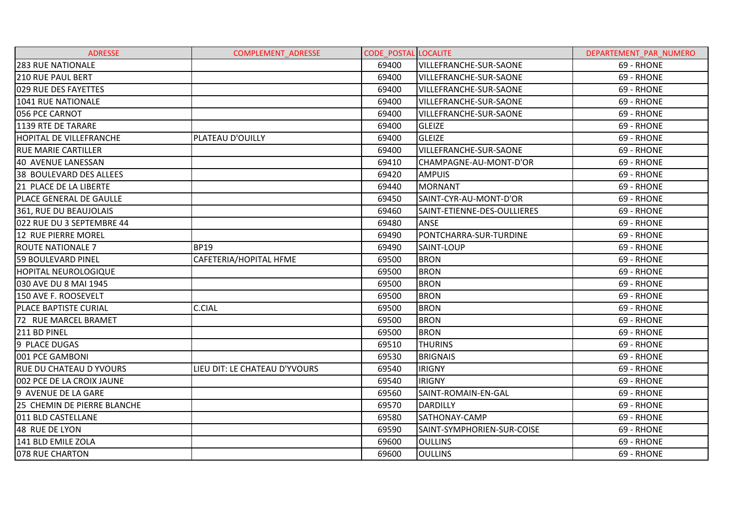| <b>ADRESSE</b>                 | <b>COMPLEMENT ADRESSE</b>     | <b>CODE POSTAL LOCALITE</b> |                               | DEPARTEMENT PAR NUMERO |
|--------------------------------|-------------------------------|-----------------------------|-------------------------------|------------------------|
| <b>283 RUE NATIONALE</b>       |                               | 69400                       | <b>VILLEFRANCHE-SUR-SAONE</b> | 69 - RHONE             |
| <b>210 RUE PAUL BERT</b>       |                               | 69400                       | VILLEFRANCHE-SUR-SAONE        | 69 - RHONE             |
| 029 RUE DES FAYETTES           |                               | 69400                       | VILLEFRANCHE-SUR-SAONE        | 69 - RHONE             |
| 1041 RUE NATIONALE             |                               | 69400                       | VILLEFRANCHE-SUR-SAONE        | 69 - RHONE             |
| 056 PCE CARNOT                 |                               | 69400                       | <b>VILLEFRANCHE-SUR-SAONE</b> | 69 - RHONE             |
| 1139 RTE DE TARARE             |                               | 69400                       | <b>GLEIZE</b>                 | 69 - RHONE             |
| <b>HOPITAL DE VILLEFRANCHE</b> | PLATEAU D'OUILLY              | 69400                       | <b>GLEIZE</b>                 | 69 - RHONE             |
| <b>RUE MARIE CARTILLER</b>     |                               | 69400                       | VILLEFRANCHE-SUR-SAONE        | 69 - RHONE             |
| 40 AVENUE LANESSAN             |                               | 69410                       | CHAMPAGNE-AU-MONT-D'OR        | 69 - RHONE             |
| 38 BOULEVARD DES ALLEES        |                               | 69420                       | <b>AMPUIS</b>                 | 69 - RHONE             |
| 21 PLACE DE LA LIBERTE         |                               | 69440                       | <b>MORNANT</b>                | 69 - RHONE             |
| PLACE GENERAL DE GAULLE        |                               | 69450                       | SAINT-CYR-AU-MONT-D'OR        | 69 - RHONE             |
| 361, RUE DU BEAUJOLAIS         |                               | 69460                       | SAINT-ETIENNE-DES-OULLIERES   | 69 - RHONE             |
| 022 RUE DU 3 SEPTEMBRE 44      |                               | 69480                       | <b>ANSE</b>                   | 69 - RHONE             |
| 12 RUE PIERRE MOREL            |                               | 69490                       | PONTCHARRA-SUR-TURDINE        | 69 - RHONE             |
| <b>ROUTE NATIONALE 7</b>       | <b>BP19</b>                   | 69490                       | SAINT-LOUP                    | 69 - RHONE             |
| <b>59 BOULEVARD PINEL</b>      | CAFETERIA/HOPITAL HFME        | 69500                       | <b>BRON</b>                   | 69 - RHONE             |
| <b>HOPITAL NEUROLOGIQUE</b>    |                               | 69500                       | <b>BRON</b>                   | 69 - RHONE             |
| 030 AVE DU 8 MAI 1945          |                               | 69500                       | <b>BRON</b>                   | 69 - RHONE             |
| 150 AVE F. ROOSEVELT           |                               | 69500                       | <b>BRON</b>                   | 69 - RHONE             |
| <b>PLACE BAPTISTE CURIAL</b>   | <b>C.CIAL</b>                 | 69500                       | <b>BRON</b>                   | 69 - RHONE             |
| 72 RUE MARCEL BRAMET           |                               | 69500                       | <b>BRON</b>                   | 69 - RHONE             |
| 211 BD PINEL                   |                               | 69500                       | <b>BRON</b>                   | 69 - RHONE             |
| 9 PLACE DUGAS                  |                               | 69510                       | <b>THURINS</b>                | 69 - RHONE             |
| 001 PCE GAMBONI                |                               | 69530                       | <b>BRIGNAIS</b>               | 69 - RHONE             |
| <b>RUE DU CHATEAU D YVOURS</b> | LIEU DIT: LE CHATEAU D'YVOURS | 69540                       | <b>IRIGNY</b>                 | 69 - RHONE             |
| 002 PCE DE LA CROIX JAUNE      |                               | 69540                       | <b>IRIGNY</b>                 | 69 - RHONE             |
| 9 AVENUE DE LA GARE            |                               | 69560                       | SAINT-ROMAIN-EN-GAL           | 69 - RHONE             |
| 25 CHEMIN DE PIERRE BLANCHE    |                               | 69570                       | <b>DARDILLY</b>               | 69 - RHONE             |
| 011 BLD CASTELLANE             |                               | 69580                       | SATHONAY-CAMP                 | 69 - RHONE             |
| 48 RUE DE LYON                 |                               | 69590                       | SAINT-SYMPHORIEN-SUR-COISE    | 69 - RHONE             |
| 141 BLD EMILE ZOLA             |                               | 69600                       | <b>OULLINS</b>                | 69 - RHONE             |
| 078 RUE CHARTON                |                               | 69600                       | <b>OULLINS</b>                | 69 - RHONE             |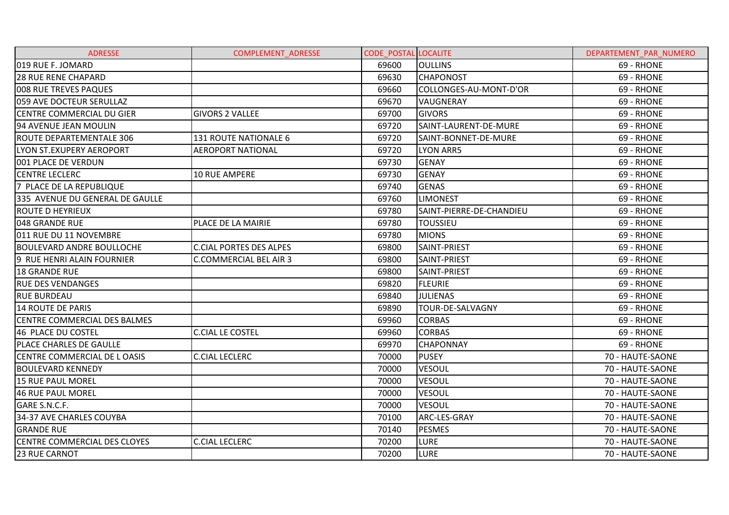| <b>ADRESSE</b>                      | <b>COMPLEMENT ADRESSE</b>      | <b>CODE POSTAL LOCALITE</b> |                          | DEPARTEMENT PAR NUMERO |
|-------------------------------------|--------------------------------|-----------------------------|--------------------------|------------------------|
| 019 RUE F. JOMARD                   |                                | 69600                       | <b>OULLINS</b>           | 69 - RHONE             |
| <b>28 RUE RENE CHAPARD</b>          |                                | 69630                       | <b>CHAPONOST</b>         | 69 - RHONE             |
| 008 RUE TREVES PAQUES               |                                | 69660                       | COLLONGES-AU-MONT-D'OR   | 69 - RHONE             |
| 059 AVE DOCTEUR SERULLAZ            |                                | 69670                       | <b>VAUGNERAY</b>         | 69 - RHONE             |
| <b>CENTRE COMMERCIAL DU GIER</b>    | <b>GIVORS 2 VALLEE</b>         | 69700                       | <b>GIVORS</b>            | 69 - RHONE             |
| 94 AVENUE JEAN MOULIN               |                                | 69720                       | SAINT-LAURENT-DE-MURE    | 69 - RHONE             |
| <b>ROUTE DEPARTEMENTALE 306</b>     | 131 ROUTE NATIONALE 6          | 69720                       | SAINT-BONNET-DE-MURE     | 69 - RHONE             |
| LYON ST.EXUPERY AEROPORT            | <b>AEROPORT NATIONAL</b>       | 69720                       | <b>LYON ARR5</b>         | 69 - RHONE             |
| 001 PLACE DE VERDUN                 |                                | 69730                       | <b>GENAY</b>             | 69 - RHONE             |
| <b>CENTRE LECLERC</b>               | <b>10 RUE AMPERE</b>           | 69730                       | <b>GENAY</b>             | 69 - RHONE             |
| 7 PLACE DE LA REPUBLIQUE            |                                | 69740                       | <b>GENAS</b>             | 69 - RHONE             |
| 335 AVENUE DU GENERAL DE GAULLE     |                                | 69760                       | <b>LIMONEST</b>          | 69 - RHONE             |
| <b>ROUTE D HEYRIEUX</b>             |                                | 69780                       | SAINT-PIERRE-DE-CHANDIEU | 69 - RHONE             |
| 048 GRANDE RUE                      | PLACE DE LA MAIRIE             | 69780                       | <b>TOUSSIEU</b>          | 69 - RHONE             |
| l011 RUE DU 11 NOVEMBRE             |                                | 69780                       | <b>MIONS</b>             | 69 - RHONE             |
| <b>BOULEVARD ANDRE BOULLOCHE</b>    | <b>C.CIAL PORTES DES ALPES</b> | 69800                       | SAINT-PRIEST             | 69 - RHONE             |
| 9 RUE HENRI ALAIN FOURNIER          | <b>C.COMMERCIAL BEL AIR 3</b>  | 69800                       | SAINT-PRIEST             | 69 - RHONE             |
| <b>18 GRANDE RUE</b>                |                                | 69800                       | SAINT-PRIEST             | 69 - RHONE             |
| <b>RUE DES VENDANGES</b>            |                                | 69820                       | <b>FLEURIE</b>           | 69 - RHONE             |
| <b>RUE BURDEAU</b>                  |                                | 69840                       | <b>JULIENAS</b>          | 69 - RHONE             |
| 14 ROUTE DE PARIS                   |                                | 69890                       | TOUR-DE-SALVAGNY         | 69 - RHONE             |
| CENTRE COMMERCIAL DES BALMES        |                                | 69960                       | <b>CORBAS</b>            | 69 - RHONE             |
| 46 PLACE DU COSTEL                  | <b>C.CIAL LE COSTEL</b>        | 69960                       | <b>CORBAS</b>            | 69 - RHONE             |
| <b>PLACE CHARLES DE GAULLE</b>      |                                | 69970                       | <b>CHAPONNAY</b>         | 69 - RHONE             |
| CENTRE COMMERCIAL DE L OASIS        | <b>C.CIAL LECLERC</b>          | 70000                       | <b>PUSEY</b>             | 70 - HAUTE-SAONE       |
| <b>BOULEVARD KENNEDY</b>            |                                | 70000                       | <b>VESOUL</b>            | 70 - HAUTE-SAONE       |
| <b>15 RUE PAUL MOREL</b>            |                                | 70000                       | <b>VESOUL</b>            | 70 - HAUTE-SAONE       |
| 46 RUE PAUL MOREL                   |                                | 70000                       | <b>VESOUL</b>            | 70 - HAUTE-SAONE       |
| GARE S.N.C.F.                       |                                | 70000                       | <b>VESOUL</b>            | 70 - HAUTE-SAONE       |
| 34-37 AVE CHARLES COUYBA            |                                | 70100                       | ARC-LES-GRAY             | 70 - HAUTE-SAONE       |
| <b>GRANDE RUE</b>                   |                                | 70140                       | <b>PESMES</b>            | 70 - HAUTE-SAONE       |
| <b>CENTRE COMMERCIAL DES CLOYES</b> | <b>C.CIAL LECLERC</b>          | 70200                       | <b>LURE</b>              | 70 - HAUTE-SAONE       |
| 23 RUE CARNOT                       |                                | 70200                       | <b>LURE</b>              | 70 - HAUTE-SAONE       |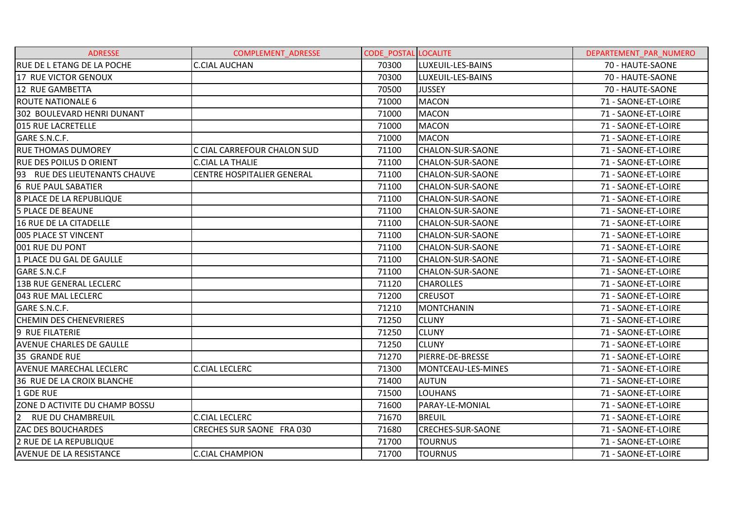| <b>ADRESSE</b>                             | <b>COMPLEMENT ADRESSE</b>         | <b>CODE POSTAL LOCALITE</b> |                          | DEPARTEMENT PAR NUMERO |
|--------------------------------------------|-----------------------------------|-----------------------------|--------------------------|------------------------|
| <b>RUE DE L ETANG DE LA POCHE</b>          | <b>C.CIAL AUCHAN</b>              | 70300                       | LUXEUIL-LES-BAINS        | 70 - HAUTE-SAONE       |
| 17 RUE VICTOR GENOUX                       |                                   | 70300                       | LUXEUIL-LES-BAINS        | 70 - HAUTE-SAONE       |
| 12 RUE GAMBETTA                            |                                   | 70500                       | <b>JUSSEY</b>            | 70 - HAUTE-SAONE       |
| <b>ROUTE NATIONALE 6</b>                   |                                   | 71000                       | <b>MACON</b>             | 71 - SAONE-ET-LOIRE    |
| 302 BOULEVARD HENRI DUNANT                 |                                   | 71000                       | <b>MACON</b>             | 71 - SAONE-ET-LOIRE    |
| 015 RUE LACRETELLE                         |                                   | 71000                       | <b>MACON</b>             | 71 - SAONE-ET-LOIRE    |
| GARE S.N.C.F.                              |                                   | 71000                       | <b>MACON</b>             | 71 - SAONE-ET-LOIRE    |
| <b>RUE THOMAS DUMOREY</b>                  | C CIAL CARREFOUR CHALON SUD       | 71100                       | CHALON-SUR-SAONE         | 71 - SAONE-ET-LOIRE    |
| <b>RUE DES POILUS D ORIENT</b>             | <b>C.CIAL LA THALIE</b>           | 71100                       | <b>CHALON-SUR-SAONE</b>  | 71 - SAONE-ET-LOIRE    |
| 193 RUE DES LIEUTENANTS CHAUVE             | <b>CENTRE HOSPITALIER GENERAL</b> | 71100                       | <b>CHALON-SUR-SAONE</b>  | 71 - SAONE-ET-LOIRE    |
| 6 RUE PAUL SABATIER                        |                                   | 71100                       | <b>CHALON-SUR-SAONE</b>  | 71 - SAONE-ET-LOIRE    |
| <b>8 PLACE DE LA REPUBLIQUE</b>            |                                   | 71100                       | CHALON-SUR-SAONE         | 71 - SAONE-ET-LOIRE    |
| <b>5 PLACE DE BEAUNE</b>                   |                                   | 71100                       | CHALON-SUR-SAONE         | 71 - SAONE-ET-LOIRE    |
| <b>16 RUE DE LA CITADELLE</b>              |                                   | 71100                       | CHALON-SUR-SAONE         | 71 - SAONE-ET-LOIRE    |
| 005 PLACE ST VINCENT                       |                                   | 71100                       | CHALON-SUR-SAONE         | 71 - SAONE-ET-LOIRE    |
| 001 RUE DU PONT                            |                                   | 71100                       | CHALON-SUR-SAONE         | 71 - SAONE-ET-LOIRE    |
| 1 PLACE DU GAL DE GAULLE                   |                                   | 71100                       | <b>CHALON-SUR-SAONE</b>  | 71 - SAONE-ET-LOIRE    |
| <b>GARE S.N.C.F</b>                        |                                   | 71100                       | CHALON-SUR-SAONE         | 71 - SAONE-ET-LOIRE    |
| <b>13B RUE GENERAL LECLERC</b>             |                                   | 71120                       | <b>CHAROLLES</b>         | 71 - SAONE-ET-LOIRE    |
| 043 RUE MAL LECLERC                        |                                   | 71200                       | <b>CREUSOT</b>           | 71 - SAONE-ET-LOIRE    |
| GARE S.N.C.F.                              |                                   | 71210                       | <b>MONTCHANIN</b>        | 71 - SAONE-ET-LOIRE    |
| <b>CHEMIN DES CHENEVRIERES</b>             |                                   | 71250                       | <b>CLUNY</b>             | 71 - SAONE-ET-LOIRE    |
| 9 RUE FILATERIE                            |                                   | 71250                       | <b>CLUNY</b>             | 71 - SAONE-ET-LOIRE    |
| <b>AVENUE CHARLES DE GAULLE</b>            |                                   | 71250                       | <b>CLUNY</b>             | 71 - SAONE-ET-LOIRE    |
| 35 GRANDE RUE                              |                                   | 71270                       | PIERRE-DE-BRESSE         | 71 - SAONE-ET-LOIRE    |
| <b>AVENUE MARECHAL LECLERC</b>             | <b>C.CIAL LECLERC</b>             | 71300                       | MONTCEAU-LES-MINES       | 71 - SAONE-ET-LOIRE    |
| 36 RUE DE LA CROIX BLANCHE                 |                                   | 71400                       | <b>AUTUN</b>             | 71 - SAONE-ET-LOIRE    |
| 1 GDE RUE                                  |                                   | 71500                       | <b>LOUHANS</b>           | 71 - SAONE-ET-LOIRE    |
| ZONE D ACTIVITE DU CHAMP BOSSU             |                                   | 71600                       | PARAY-LE-MONIAL          | 71 - SAONE-ET-LOIRE    |
| $\overline{2}$<br><b>RUE DU CHAMBREUIL</b> | <b>C.CIAL LECLERC</b>             | 71670                       | <b>BREUIL</b>            | 71 - SAONE-ET-LOIRE    |
| <b>ZAC DES BOUCHARDES</b>                  | CRECHES SUR SAONE FRA 030         | 71680                       | <b>CRECHES-SUR-SAONE</b> | 71 - SAONE-ET-LOIRE    |
| 2 RUE DE LA REPUBLIQUE                     |                                   | 71700                       | <b>TOURNUS</b>           | 71 - SAONE-ET-LOIRE    |
| <b>AVENUE DE LA RESISTANCE</b>             | <b>C.CIAL CHAMPION</b>            | 71700                       | <b>TOURNUS</b>           | 71 - SAONE-ET-LOIRE    |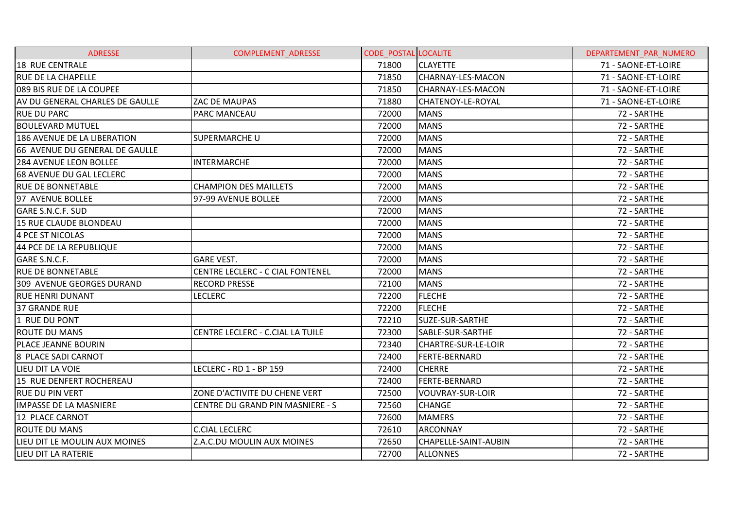| <b>ADRESSE</b>                  | <b>COMPLEMENT ADRESSE</b>        | <b>CODE POSTAL LOCALITE</b> |                         | DEPARTEMENT PAR NUMERO |
|---------------------------------|----------------------------------|-----------------------------|-------------------------|------------------------|
| <b>18 RUE CENTRALE</b>          |                                  | 71800                       | <b>CLAYETTE</b>         | 71 - SAONE-ET-LOIRE    |
| <b>RUE DE LA CHAPELLE</b>       |                                  | 71850                       | CHARNAY-LES-MACON       | 71 - SAONE-ET-LOIRE    |
| 089 BIS RUE DE LA COUPEE        |                                  | 71850                       | CHARNAY-LES-MACON       | 71 - SAONE-ET-LOIRE    |
| AV DU GENERAL CHARLES DE GAULLE | ZAC DE MAUPAS                    | 71880                       | CHATENOY-LE-ROYAL       | 71 - SAONE-ET-LOIRE    |
| <b>RUE DU PARC</b>              | <b>PARC MANCEAU</b>              | 72000                       | <b>MANS</b>             | 72 - SARTHE            |
| <b>BOULEVARD MUTUEL</b>         |                                  | 72000                       | <b>MANS</b>             | 72 - SARTHE            |
| 186 AVENUE DE LA LIBERATION     | <b>SUPERMARCHE U</b>             | 72000                       | <b>MANS</b>             | 72 - SARTHE            |
| 66 AVENUE DU GENERAL DE GAULLE  |                                  | 72000                       | <b>MANS</b>             | 72 - SARTHE            |
| <b>284 AVENUE LEON BOLLEE</b>   | <b>INTERMARCHE</b>               | 72000                       | <b>MANS</b>             | 72 - SARTHE            |
| <b>68 AVENUE DU GAL LECLERC</b> |                                  | 72000                       | <b>MANS</b>             | 72 - SARTHE            |
| <b>RUE DE BONNETABLE</b>        | <b>CHAMPION DES MAILLETS</b>     | 72000                       | <b>MANS</b>             | 72 - SARTHE            |
| 97 AVENUE BOLLEE                | 97-99 AVENUE BOLLEE              | 72000                       | <b>MANS</b>             | 72 - SARTHE            |
| GARE S.N.C.F. SUD               |                                  | 72000                       | <b>MANS</b>             | 72 - SARTHE            |
| 15 RUE CLAUDE BLONDEAU          |                                  | 72000                       | <b>MANS</b>             | 72 - SARTHE            |
| 4 PCE ST NICOLAS                |                                  | 72000                       | <b>MANS</b>             | 72 - SARTHE            |
| 44 PCE DE LA REPUBLIQUE         |                                  | 72000                       | <b>MANS</b>             | 72 - SARTHE            |
| GARE S.N.C.F.                   | <b>GARE VEST.</b>                | 72000                       | <b>MANS</b>             | 72 - SARTHE            |
| <b>RUE DE BONNETABLE</b>        | CENTRE LECLERC - C CIAL FONTENEL | 72000                       | <b>MANS</b>             | 72 - SARTHE            |
| 309 AVENUE GEORGES DURAND       | <b>RECORD PRESSE</b>             | 72100                       | <b>MANS</b>             | 72 - SARTHE            |
| <b>RUE HENRI DUNANT</b>         | <b>LECLERC</b>                   | 72200                       | <b>FLECHE</b>           | 72 - SARTHE            |
| <b>37 GRANDE RUE</b>            |                                  | 72200                       | <b>FLECHE</b>           | 72 - SARTHE            |
| 1 RUE DU PONT                   |                                  | 72210                       | SUZE-SUR-SARTHE         | 72 - SARTHE            |
| <b>ROUTE DU MANS</b>            | CENTRE LECLERC - C.CIAL LA TUILE | 72300                       | SABLE-SUR-SARTHE        | 72 - SARTHE            |
| PLACE JEANNE BOURIN             |                                  | 72340                       | CHARTRE-SUR-LE-LOIR     | 72 - SARTHE            |
| <b>8 PLACE SADI CARNOT</b>      |                                  | 72400                       | <b>FERTE-BERNARD</b>    | 72 - SARTHE            |
| LIEU DIT LA VOIE                | LECLERC - RD 1 - BP 159          | 72400                       | <b>CHERRE</b>           | 72 - SARTHE            |
| 15 RUE DENFERT ROCHEREAU        |                                  | 72400                       | <b>FERTE-BERNARD</b>    | 72 - SARTHE            |
| <b>RUE DU PIN VERT</b>          | ZONE D'ACTIVITE DU CHENE VERT    | 72500                       | <b>VOUVRAY-SUR-LOIR</b> | 72 - SARTHE            |
| <b>IMPASSE DE LA MASNIERE</b>   | CENTRE DU GRAND PIN MASNIERE - S | 72560                       | <b>CHANGE</b>           | 72 - SARTHE            |
| 12 PLACE CARNOT                 |                                  | 72600                       | <b>MAMERS</b>           | 72 - SARTHE            |
| <b>ROUTE DU MANS</b>            | <b>C.CIAL LECLERC</b>            | 72610                       | <b>ARCONNAY</b>         | 72 - SARTHE            |
| LIEU DIT LE MOULIN AUX MOINES   | Z.A.C.DU MOULIN AUX MOINES       | 72650                       | CHAPELLE-SAINT-AUBIN    | 72 - SARTHE            |
| LIEU DIT LA RATERIE             |                                  | 72700                       | <b>ALLONNES</b>         | 72 - SARTHE            |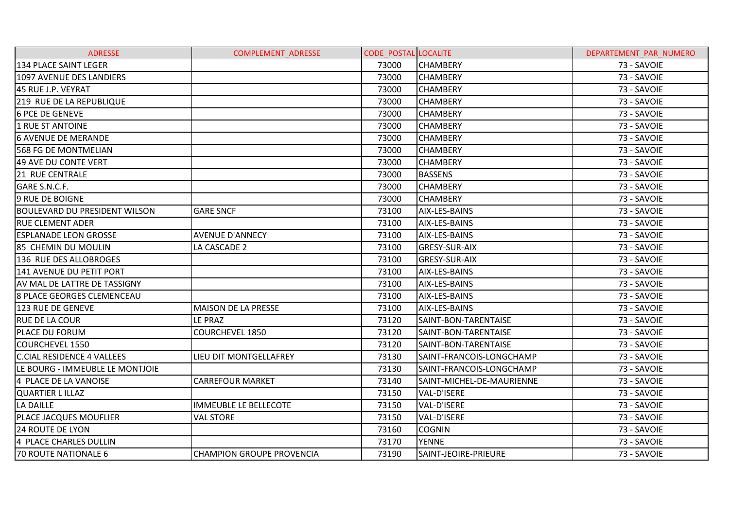| <b>ADRESSE</b>                       | <b>COMPLEMENT ADRESSE</b>        | <b>CODE POSTAL LOCALITE</b> |                           | DEPARTEMENT PAR NUMERO |
|--------------------------------------|----------------------------------|-----------------------------|---------------------------|------------------------|
| 134 PLACE SAINT LEGER                |                                  | 73000                       | <b>CHAMBERY</b>           | 73 - SAVOIE            |
| 1097 AVENUE DES LANDIERS             |                                  | 73000                       | <b>CHAMBERY</b>           | 73 - SAVOIE            |
| 45 RUE J.P. VEYRAT                   |                                  | 73000                       | <b>CHAMBERY</b>           | 73 - SAVOIE            |
| 219 RUE DE LA REPUBLIQUE             |                                  | 73000                       | <b>CHAMBERY</b>           | 73 - SAVOIE            |
| <b>6 PCE DE GENEVE</b>               |                                  | 73000                       | <b>CHAMBERY</b>           | 73 - SAVOIE            |
| 1 RUE ST ANTOINE                     |                                  | 73000                       | <b>CHAMBERY</b>           | 73 - SAVOIE            |
| <b>6 AVENUE DE MERANDE</b>           |                                  | 73000                       | <b>CHAMBERY</b>           | 73 - SAVOIE            |
| 568 FG DE MONTMELIAN                 |                                  | 73000                       | <b>CHAMBERY</b>           | 73 - SAVOIE            |
| 49 AVE DU CONTE VERT                 |                                  | 73000                       | <b>CHAMBERY</b>           | 73 - SAVOIE            |
| <b>21 RUE CENTRALE</b>               |                                  | 73000                       | <b>BASSENS</b>            | 73 - SAVOIE            |
| GARE S.N.C.F.                        |                                  | 73000                       | <b>CHAMBERY</b>           | 73 - SAVOIE            |
| <b>9 RUE DE BOIGNE</b>               |                                  | 73000                       | <b>CHAMBERY</b>           | 73 - SAVOIE            |
| <b>BOULEVARD DU PRESIDENT WILSON</b> | <b>GARE SNCF</b>                 | 73100                       | AIX-LES-BAINS             | 73 - SAVOIE            |
| <b>RUE CLEMENT ADER</b>              |                                  | 73100                       | AIX-LES-BAINS             | 73 - SAVOIE            |
| <b>ESPLANADE LEON GROSSE</b>         | <b>AVENUE D'ANNECY</b>           | 73100                       | <b>AIX-LES-BAINS</b>      | 73 - SAVOIE            |
| 85 CHEMIN DU MOULIN                  | LA CASCADE 2                     | 73100                       | <b>GRESY-SUR-AIX</b>      | 73 - SAVOIE            |
| 136 RUE DES ALLOBROGES               |                                  | 73100                       | <b>GRESY-SUR-AIX</b>      | 73 - SAVOIE            |
| 141 AVENUE DU PETIT PORT             |                                  | 73100                       | AIX-LES-BAINS             | 73 - SAVOIE            |
| AV MAL DE LATTRE DE TASSIGNY         |                                  | 73100                       | AIX-LES-BAINS             | 73 - SAVOIE            |
| 8 PLACE GEORGES CLEMENCEAU           |                                  | 73100                       | AIX-LES-BAINS             | 73 - SAVOIE            |
| 123 RUE DE GENEVE                    | <b>MAISON DE LA PRESSE</b>       | 73100                       | AIX-LES-BAINS             | 73 - SAVOIE            |
| <b>RUE DE LA COUR</b>                | LE PRAZ                          | 73120                       | SAINT-BON-TARENTAISE      | 73 - SAVOIE            |
| PLACE DU FORUM                       | <b>COURCHEVEL 1850</b>           | 73120                       | SAINT-BON-TARENTAISE      | 73 - SAVOIE            |
| <b>COURCHEVEL 1550</b>               |                                  | 73120                       | SAINT-BON-TARENTAISE      | 73 - SAVOIE            |
| <b>C.CIAL RESIDENCE 4 VALLEES</b>    | LIEU DIT MONTGELLAFREY           | 73130                       | SAINT-FRANCOIS-LONGCHAMP  | 73 - SAVOIE            |
| LE BOURG - IMMEUBLE LE MONTJOIE      |                                  | 73130                       | SAINT-FRANCOIS-LONGCHAMP  | 73 - SAVOIE            |
| 4 PLACE DE LA VANOISE                | <b>CARREFOUR MARKET</b>          | 73140                       | SAINT-MICHEL-DE-MAURIENNE | 73 - SAVOIE            |
| <b>QUARTIER LILLAZ</b>               |                                  | 73150                       | VAL-D'ISERE               | 73 - SAVOIE            |
| LA DAILLE                            | <b>IMMEUBLE LE BELLECOTE</b>     | 73150                       | <b>VAL-D'ISERE</b>        | 73 - SAVOIE            |
| PLACE JACQUES MOUFLIER               | <b>VAL STORE</b>                 | 73150                       | VAL-D'ISERE               | 73 - SAVOIE            |
| <b>24 ROUTE DE LYON</b>              |                                  | 73160                       | <b>COGNIN</b>             | 73 - SAVOIE            |
| 4 PLACE CHARLES DULLIN               |                                  | 73170                       | <b>YENNE</b>              | 73 - SAVOIE            |
| <b>70 ROUTE NATIONALE 6</b>          | <b>CHAMPION GROUPE PROVENCIA</b> | 73190                       | SAINT-JEOIRE-PRIEURE      | 73 - SAVOIE            |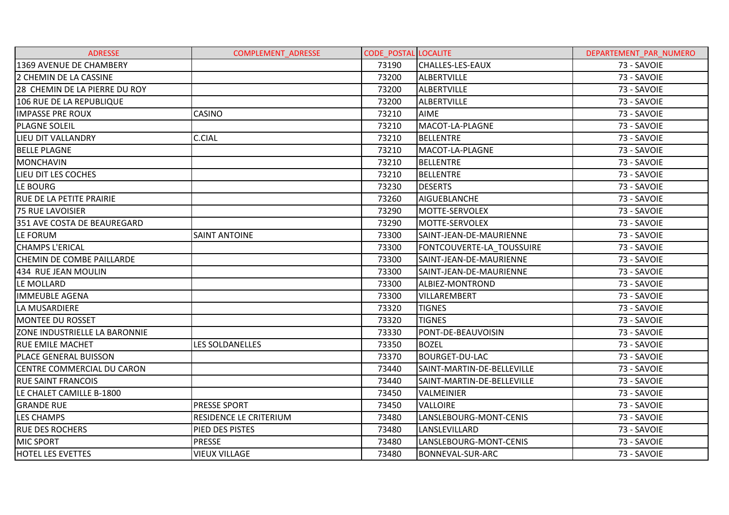| <b>ADRESSE</b>                       | <b>COMPLEMENT ADRESSE</b> | <b>CODE POSTAL LOCALITE</b> |                            | DEPARTEMENT PAR NUMERO |
|--------------------------------------|---------------------------|-----------------------------|----------------------------|------------------------|
| 1369 AVENUE DE CHAMBERY              |                           | 73190                       | CHALLES-LES-EAUX           | 73 - SAVOIE            |
| 2 CHEMIN DE LA CASSINE               |                           | 73200                       | <b>ALBERTVILLE</b>         | 73 - SAVOIE            |
| 28 CHEMIN DE LA PIERRE DU ROY        |                           | 73200                       | <b>ALBERTVILLE</b>         | 73 - SAVOIE            |
| 106 RUE DE LA REPUBLIQUE             |                           | 73200                       | ALBERTVILLE                | 73 - SAVOIE            |
| <b>IMPASSE PRE ROUX</b>              | <b>CASINO</b>             | 73210                       | <b>AIME</b>                | 73 - SAVOIE            |
| <b>PLAGNE SOLEIL</b>                 |                           | 73210                       | MACOT-LA-PLAGNE            | 73 - SAVOIE            |
| LIEU DIT VALLANDRY                   | <b>C.CIAL</b>             | 73210                       | <b>BELLENTRE</b>           | 73 - SAVOIE            |
| <b>BELLE PLAGNE</b>                  |                           | 73210                       | MACOT-LA-PLAGNE            | 73 - SAVOIE            |
| <b>MONCHAVIN</b>                     |                           | 73210                       | <b>BELLENTRE</b>           | 73 - SAVOIE            |
| <b>LIEU DIT LES COCHES</b>           |                           | 73210                       | <b>BELLENTRE</b>           | 73 - SAVOIE            |
| LE BOURG                             |                           | 73230                       | <b>DESERTS</b>             | 73 - SAVOIE            |
| <b>RUE DE LA PETITE PRAIRIE</b>      |                           | 73260                       | <b>AIGUEBLANCHE</b>        | 73 - SAVOIE            |
| 75 RUE LAVOISIER                     |                           | 73290                       | MOTTE-SERVOLEX             | 73 - SAVOIE            |
| 351 AVE COSTA DE BEAUREGARD          |                           | 73290                       | MOTTE-SERVOLEX             | 73 - SAVOIE            |
| LE FORUM                             | <b>SAINT ANTOINE</b>      | 73300                       | SAINT-JEAN-DE-MAURIENNE    | 73 - SAVOIE            |
| <b>CHAMPS L'ERICAL</b>               |                           | 73300                       | FONTCOUVERTE-LA TOUSSUIRE  | 73 - SAVOIE            |
| <b>CHEMIN DE COMBE PAILLARDE</b>     |                           | 73300                       | SAINT-JEAN-DE-MAURIENNE    | 73 - SAVOIE            |
| 434 RUE JEAN MOULIN                  |                           | 73300                       | SAINT-JEAN-DE-MAURIENNE    | 73 - SAVOIE            |
| LE MOLLARD                           |                           | 73300                       | ALBIEZ-MONTROND            | 73 - SAVOIE            |
| <b>IMMEUBLE AGENA</b>                |                           | 73300                       | VILLAREMBERT               | 73 - SAVOIE            |
| LA MUSARDIERE                        |                           | 73320                       | <b>TIGNES</b>              | 73 - SAVOIE            |
| <b>MONTEE DU ROSSET</b>              |                           | 73320                       | <b>TIGNES</b>              | 73 - SAVOIE            |
| <b>ZONE INDUSTRIELLE LA BARONNIE</b> |                           | 73330                       | PONT-DE-BEAUVOISIN         | 73 - SAVOIE            |
| <b>RUE EMILE MACHET</b>              | LES SOLDANELLES           | 73350                       | <b>BOZEL</b>               | 73 - SAVOIE            |
| <b>PLACE GENERAL BUISSON</b>         |                           | 73370                       | <b>BOURGET-DU-LAC</b>      | 73 - SAVOIE            |
| CENTRE COMMERCIAL DU CARON           |                           | 73440                       | SAINT-MARTIN-DE-BELLEVILLE | 73 - SAVOIE            |
| <b>RUE SAINT FRANCOIS</b>            |                           | 73440                       | SAINT-MARTIN-DE-BELLEVILLE | 73 - SAVOIE            |
| LE CHALET CAMILLE B-1800             |                           | 73450                       | VALMEINIER                 | 73 - SAVOIE            |
| <b>GRANDE RUE</b>                    | <b>PRESSE SPORT</b>       | 73450                       | <b>VALLOIRE</b>            | 73 - SAVOIE            |
| <b>LES CHAMPS</b>                    | RESIDENCE LE CRITERIUM    | 73480                       | LANSLEBOURG-MONT-CENIS     | 73 - SAVOIE            |
| <b>RUE DES ROCHERS</b>               | PIED DES PISTES           | 73480                       | LANSLEVILLARD              | 73 - SAVOIE            |
| <b>MIC SPORT</b>                     | <b>PRESSE</b>             | 73480                       | LANSLEBOURG-MONT-CENIS     | 73 - SAVOIE            |
| <b>HOTEL LES EVETTES</b>             | <b>VIEUX VILLAGE</b>      | 73480                       | <b>BONNEVAL-SUR-ARC</b>    | 73 - SAVOIE            |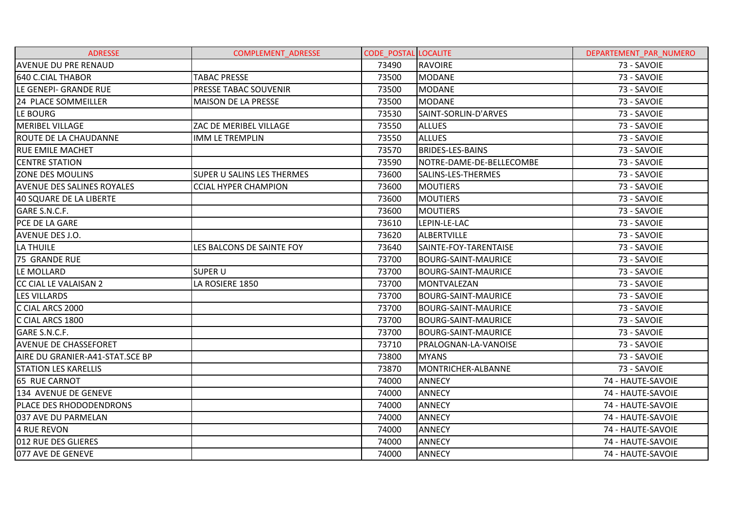| <b>ADRESSE</b>                    | <b>COMPLEMENT ADRESSE</b>         | <b>CODE POSTAL LOCALITE</b> |                            | DEPARTEMENT PAR NUMERO |
|-----------------------------------|-----------------------------------|-----------------------------|----------------------------|------------------------|
| <b>AVENUE DU PRE RENAUD</b>       |                                   | 73490                       | <b>RAVOIRE</b>             | 73 - SAVOIE            |
| 640 C.CIAL THABOR                 | <b>TABAC PRESSE</b>               | 73500                       | <b>MODANE</b>              | 73 - SAVOIE            |
| LE GENEPI- GRANDE RUE             | PRESSE TABAC SOUVENIR             | 73500                       | <b>MODANE</b>              | 73 - SAVOIE            |
| 24 PLACE SOMMEILLER               | <b>MAISON DE LA PRESSE</b>        | 73500                       | <b>MODANE</b>              | 73 - SAVOIE            |
| LE BOURG                          |                                   | 73530                       | SAINT-SORLIN-D'ARVES       | 73 - SAVOIE            |
| IMERIBEL VILLAGE                  | ZAC DE MERIBEL VILLAGE            | 73550                       | <b>ALLUES</b>              | 73 - SAVOIE            |
| <b>ROUTE DE LA CHAUDANNE</b>      | <b>IMM LE TREMPLIN</b>            | 73550                       | <b>ALLUES</b>              | 73 - SAVOIE            |
| <b>RUE EMILE MACHET</b>           |                                   | 73570                       | <b>BRIDES-LES-BAINS</b>    | 73 - SAVOIE            |
| <b>CENTRE STATION</b>             |                                   | 73590                       | NOTRE-DAME-DE-BELLECOMBE   | 73 - SAVOIE            |
| <b>ZONE DES MOULINS</b>           | <b>SUPER U SALINS LES THERMES</b> | 73600                       | SALINS-LES-THERMES         | 73 - SAVOIE            |
| <b>AVENUE DES SALINES ROYALES</b> | <b>CCIAL HYPER CHAMPION</b>       | 73600                       | <b>MOUTIERS</b>            | 73 - SAVOIE            |
| 40 SQUARE DE LA LIBERTE           |                                   | 73600                       | <b>MOUTIERS</b>            | 73 - SAVOIE            |
| GARE S.N.C.F.                     |                                   | 73600                       | <b>MOUTIERS</b>            | 73 - SAVOIE            |
| PCE DE LA GARE                    |                                   | 73610                       | LEPIN-LE-LAC               | 73 - SAVOIE            |
| AVENUE DES J.O.                   |                                   | 73620                       | <b>ALBERTVILLE</b>         | 73 - SAVOIE            |
| LA THUILE                         | LES BALCONS DE SAINTE FOY         | 73640                       | SAINTE-FOY-TARENTAISE      | 73 - SAVOIE            |
| 75 GRANDE RUE                     |                                   | 73700                       | <b>BOURG-SAINT-MAURICE</b> | 73 - SAVOIE            |
| LE MOLLARD                        | <b>SUPER U</b>                    | 73700                       | <b>BOURG-SAINT-MAURICE</b> | 73 - SAVOIE            |
| CC CIAL LE VALAISAN 2             | LA ROSIERE 1850                   | 73700                       | <b>MONTVALEZAN</b>         | 73 - SAVOIE            |
| <b>LES VILLARDS</b>               |                                   | 73700                       | <b>BOURG-SAINT-MAURICE</b> | 73 - SAVOIE            |
| C CIAL ARCS 2000                  |                                   | 73700                       | <b>BOURG-SAINT-MAURICE</b> | 73 - SAVOIE            |
| C CIAL ARCS 1800                  |                                   | 73700                       | <b>BOURG-SAINT-MAURICE</b> | 73 - SAVOIE            |
| GARE S.N.C.F.                     |                                   | 73700                       | <b>BOURG-SAINT-MAURICE</b> | 73 - SAVOIE            |
| <b>AVENUE DE CHASSEFORET</b>      |                                   | 73710                       | PRALOGNAN-LA-VANOISE       | 73 - SAVOIE            |
| AIRE DU GRANIER-A41-STAT.SCE BP   |                                   | 73800                       | <b>MYANS</b>               | 73 - SAVOIE            |
| <b>STATION LES KARELLIS</b>       |                                   | 73870                       | MONTRICHER-ALBANNE         | 73 - SAVOIE            |
| 65 RUE CARNOT                     |                                   | 74000                       | <b>ANNECY</b>              | 74 - HAUTE-SAVOIE      |
| 134 AVENUE DE GENEVE              |                                   | 74000                       | <b>ANNECY</b>              | 74 - HAUTE-SAVOIE      |
| <b>PLACE DES RHODODENDRONS</b>    |                                   | 74000                       | <b>ANNECY</b>              | 74 - HAUTE-SAVOIE      |
| 037 AVE DU PARMELAN               |                                   | 74000                       | <b>ANNECY</b>              | 74 - HAUTE-SAVOIE      |
| <b>4 RUE REVON</b>                |                                   | 74000                       | <b>ANNECY</b>              | 74 - HAUTE-SAVOIE      |
| 012 RUE DES GLIERES               |                                   | 74000                       | <b>ANNECY</b>              | 74 - HAUTE-SAVOIE      |
| 077 AVE DE GENEVE                 |                                   | 74000                       | <b>ANNECY</b>              | 74 - HAUTE-SAVOIE      |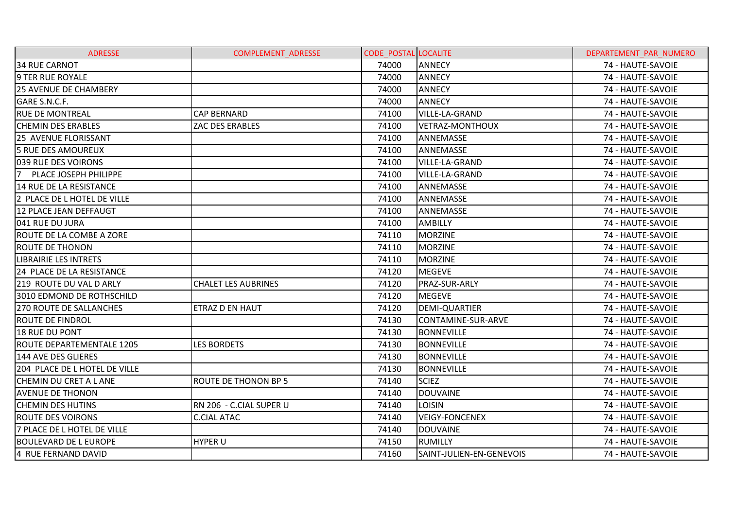| <b>ADRESSE</b>                 | <b>COMPLEMENT ADRESSE</b>  | <b>CODE POSTAL LOCALITE</b> |                          | DEPARTEMENT PAR NUMERO |
|--------------------------------|----------------------------|-----------------------------|--------------------------|------------------------|
| <b>34 RUE CARNOT</b>           |                            | 74000                       | <b>ANNECY</b>            | 74 - HAUTE-SAVOIE      |
| 9 TER RUE ROYALE               |                            | 74000                       | <b>ANNECY</b>            | 74 - HAUTE-SAVOIE      |
| <b>25 AVENUE DE CHAMBERY</b>   |                            | 74000                       | <b>ANNECY</b>            | 74 - HAUTE-SAVOIE      |
| GARE S.N.C.F.                  |                            | 74000                       | <b>ANNECY</b>            | 74 - HAUTE-SAVOIE      |
| <b>RUE DE MONTREAL</b>         | <b>CAP BERNARD</b>         | 74100                       | <b>VILLE-LA-GRAND</b>    | 74 - HAUTE-SAVOIE      |
| <b>CHEMIN DES ERABLES</b>      | ZAC DES ERABLES            | 74100                       | <b>VETRAZ-MONTHOUX</b>   | 74 - HAUTE-SAVOIE      |
| <b>25 AVENUE FLORISSANT</b>    |                            | 74100                       | ANNEMASSE                | 74 - HAUTE-SAVOIE      |
| 5 RUE DES AMOUREUX             |                            | 74100                       | ANNEMASSE                | 74 - HAUTE-SAVOIE      |
| 039 RUE DES VOIRONS            |                            | 74100                       | <b>VILLE-LA-GRAND</b>    | 74 - HAUTE-SAVOIE      |
| 7 PLACE JOSEPH PHILIPPE        |                            | 74100                       | <b>VILLE-LA-GRAND</b>    | 74 - HAUTE-SAVOIE      |
| 14 RUE DE LA RESISTANCE        |                            | 74100                       | ANNEMASSE                | 74 - HAUTE-SAVOIE      |
| 2 PLACE DE L HOTEL DE VILLE    |                            | 74100                       | ANNEMASSE                | 74 - HAUTE-SAVOIE      |
| 12 PLACE JEAN DEFFAUGT         |                            | 74100                       | ANNEMASSE                | 74 - HAUTE-SAVOIE      |
| 041 RUE DU JURA                |                            | 74100                       | <b>AMBILLY</b>           | 74 - HAUTE-SAVOIE      |
| ROUTE DE LA COMBE A ZORE       |                            | 74110                       | <b>MORZINE</b>           | 74 - HAUTE-SAVOIE      |
| <b>ROUTE DE THONON</b>         |                            | 74110                       | <b>MORZINE</b>           | 74 - HAUTE-SAVOIE      |
| LIBRAIRIE LES INTRETS          |                            | 74110                       | <b>MORZINE</b>           | 74 - HAUTE-SAVOIE      |
| 24 PLACE DE LA RESISTANCE      |                            | 74120                       | <b>MEGEVE</b>            | 74 - HAUTE-SAVOIE      |
| 219 ROUTE DU VAL D ARLY        | <b>CHALET LES AUBRINES</b> | 74120                       | PRAZ-SUR-ARLY            | 74 - HAUTE-SAVOIE      |
| 3010 EDMOND DE ROTHSCHILD      |                            | 74120                       | <b>MEGEVE</b>            | 74 - HAUTE-SAVOIE      |
| <b>270 ROUTE DE SALLANCHES</b> | ETRAZ D EN HAUT            | 74120                       | <b>DEMI-QUARTIER</b>     | 74 - HAUTE-SAVOIE      |
| <b>ROUTE DE FINDROL</b>        |                            | 74130                       | CONTAMINE-SUR-ARVE       | 74 - HAUTE-SAVOIE      |
| 18 RUE DU PONT                 |                            | 74130                       | <b>BONNEVILLE</b>        | 74 - HAUTE-SAVOIE      |
| ROUTE DEPARTEMENTALE 1205      | <b>LES BORDETS</b>         | 74130                       | <b>BONNEVILLE</b>        | 74 - HAUTE-SAVOIE      |
| 144 AVE DES GLIERES            |                            | 74130                       | <b>BONNEVILLE</b>        | 74 - HAUTE-SAVOIE      |
| 204 PLACE DE L HOTEL DE VILLE  |                            | 74130                       | <b>BONNEVILLE</b>        | 74 - HAUTE-SAVOIE      |
| CHEMIN DU CRET A L ANE         | ROUTE DE THONON BP 5       | 74140                       | <b>SCIEZ</b>             | 74 - HAUTE-SAVOIE      |
| <b>AVENUE DE THONON</b>        |                            | 74140                       | DOUVAINE                 | 74 - HAUTE-SAVOIE      |
| <b>CHEMIN DES HUTINS</b>       | RN 206 - C.CIAL SUPER U    | 74140                       | <b>LOISIN</b>            | 74 - HAUTE-SAVOIE      |
| <b>ROUTE DES VOIRONS</b>       | <b>C.CIAL ATAC</b>         | 74140                       | <b>VEIGY-FONCENEX</b>    | 74 - HAUTE-SAVOIE      |
| 7 PLACE DE L HOTEL DE VILLE    |                            | 74140                       | <b>DOUVAINE</b>          | 74 - HAUTE-SAVOIE      |
| <b>BOULEVARD DE L EUROPE</b>   | <b>HYPER U</b>             | 74150                       | <b>RUMILLY</b>           | 74 - HAUTE-SAVOIE      |
| 4 RUE FERNAND DAVID            |                            | 74160                       | SAINT-JULIEN-EN-GENEVOIS | 74 - HAUTE-SAVOIE      |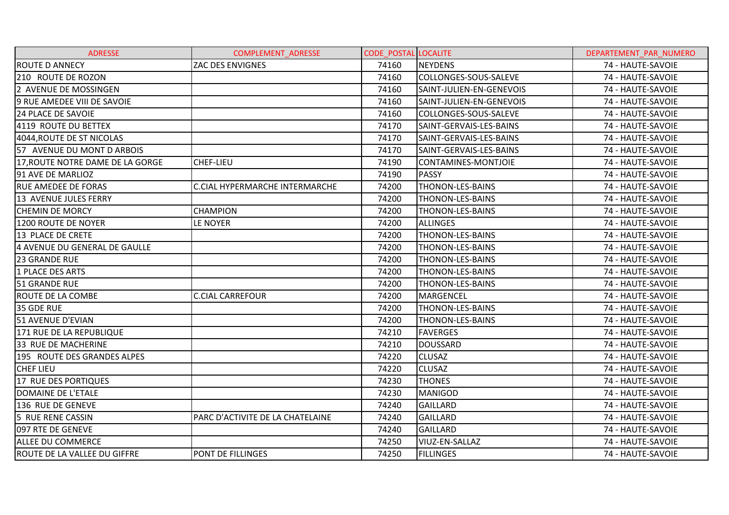| <b>ADRESSE</b>                      | <b>COMPLEMENT ADRESSE</b>        | <b>CODE_POSTAL LOCALITE</b> |                          | DEPARTEMENT PAR NUMERO |
|-------------------------------------|----------------------------------|-----------------------------|--------------------------|------------------------|
| <b>ROUTE D ANNECY</b>               | ZAC DES ENVIGNES                 | 74160                       | <b>NEYDENS</b>           | 74 - HAUTE-SAVOIE      |
| 210 ROUTE DE ROZON                  |                                  | 74160                       | COLLONGES-SOUS-SALEVE    | 74 - HAUTE-SAVOIE      |
| 2 AVENUE DE MOSSINGEN               |                                  | 74160                       | SAINT-JULIEN-EN-GENEVOIS | 74 - HAUTE-SAVOIE      |
| 9 RUE AMEDEE VIII DE SAVOIE         |                                  | 74160                       | SAINT-JULIEN-EN-GENEVOIS | 74 - HAUTE-SAVOIE      |
| <b>24 PLACE DE SAVOIE</b>           |                                  | 74160                       | COLLONGES-SOUS-SALEVE    | 74 - HAUTE-SAVOIE      |
| 4119 ROUTE DU BETTEX                |                                  | 74170                       | SAINT-GERVAIS-LES-BAINS  | 74 - HAUTE-SAVOIE      |
| 4044, ROUTE DE ST NICOLAS           |                                  | 74170                       | SAINT-GERVAIS-LES-BAINS  | 74 - HAUTE-SAVOIE      |
| 57 AVENUE DU MONT D ARBOIS          |                                  | 74170                       | SAINT-GERVAIS-LES-BAINS  | 74 - HAUTE-SAVOIE      |
| 17, ROUTE NOTRE DAME DE LA GORGE    | CHEF-LIEU                        | 74190                       | CONTAMINES-MONTJOIE      | 74 - HAUTE-SAVOIE      |
| 91 AVE DE MARLIOZ                   |                                  | 74190                       | <b>PASSY</b>             | 74 - HAUTE-SAVOIE      |
| <b>RUE AMEDEE DE FORAS</b>          | C.CIAL HYPERMARCHE INTERMARCHE   | 74200                       | THONON-LES-BAINS         | 74 - HAUTE-SAVOIE      |
| 13 AVENUE JULES FERRY               |                                  | 74200                       | THONON-LES-BAINS         | 74 - HAUTE-SAVOIE      |
| <b>CHEMIN DE MORCY</b>              | <b>CHAMPION</b>                  | 74200                       | THONON-LES-BAINS         | 74 - HAUTE-SAVOIE      |
| 1200 ROUTE DE NOYER                 | LE NOYER                         | 74200                       | <b>ALLINGES</b>          | 74 - HAUTE-SAVOIE      |
| 13 PLACE DE CRETE                   |                                  | 74200                       | THONON-LES-BAINS         | 74 - HAUTE-SAVOIE      |
| 4 AVENUE DU GENERAL DE GAULLE       |                                  | 74200                       | THONON-LES-BAINS         | 74 - HAUTE-SAVOIE      |
| 23 GRANDE RUE                       |                                  | 74200                       | THONON-LES-BAINS         | 74 - HAUTE-SAVOIE      |
| 1 PLACE DES ARTS                    |                                  | 74200                       | THONON-LES-BAINS         | 74 - HAUTE-SAVOIE      |
| 51 GRANDE RUE                       |                                  | 74200                       | THONON-LES-BAINS         | 74 - HAUTE-SAVOIE      |
| <b>ROUTE DE LA COMBE</b>            | <b>C.CIAL CARREFOUR</b>          | 74200                       | <b>MARGENCEL</b>         | 74 - HAUTE-SAVOIE      |
| 35 GDE RUE                          |                                  | 74200                       | THONON-LES-BAINS         | 74 - HAUTE-SAVOIE      |
| 51 AVENUE D'EVIAN                   |                                  | 74200                       | THONON-LES-BAINS         | 74 - HAUTE-SAVOIE      |
| 171 RUE DE LA REPUBLIQUE            |                                  | 74210                       | <b>FAVERGES</b>          | 74 - HAUTE-SAVOIE      |
| 33 RUE DE MACHERINE                 |                                  | 74210                       | <b>DOUSSARD</b>          | 74 - HAUTE-SAVOIE      |
| 195 ROUTE DES GRANDES ALPES         |                                  | 74220                       | <b>CLUSAZ</b>            | 74 - HAUTE-SAVOIE      |
| <b>CHEF LIEU</b>                    |                                  | 74220                       | <b>CLUSAZ</b>            | 74 - HAUTE-SAVOIE      |
| 17 RUE DES PORTIQUES                |                                  | 74230                       | THONES                   | 74 - HAUTE-SAVOIE      |
| DOMAINE DE L'ETALE                  |                                  | 74230                       | <b>MANIGOD</b>           | 74 - HAUTE-SAVOIE      |
| 136 RUE DE GENEVE                   |                                  | 74240                       | <b>GAILLARD</b>          | 74 - HAUTE-SAVOIE      |
| 5 RUE RENE CASSIN                   | PARC D'ACTIVITE DE LA CHATELAINE | 74240                       | <b>GAILLARD</b>          | 74 - HAUTE-SAVOIE      |
| 097 RTE DE GENEVE                   |                                  | 74240                       | <b>GAILLARD</b>          | 74 - HAUTE-SAVOIE      |
| <b>ALLEE DU COMMERCE</b>            |                                  | 74250                       | VIUZ-EN-SALLAZ           | 74 - HAUTE-SAVOIE      |
| <b>ROUTE DE LA VALLEE DU GIFFRE</b> | PONT DE FILLINGES                | 74250                       | <b>FILLINGES</b>         | 74 - HAUTE-SAVOIE      |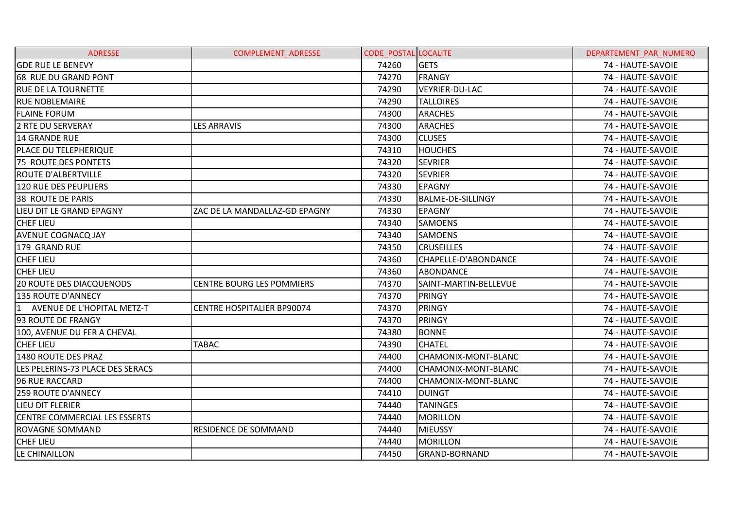| <b>ADRESSE</b>                       | <b>COMPLEMENT ADRESSE</b>         | <b>CODE POSTAL LOCALITE</b> |                          | DEPARTEMENT PAR NUMERO |
|--------------------------------------|-----------------------------------|-----------------------------|--------------------------|------------------------|
| <b>GDE RUE LE BENEVY</b>             |                                   | 74260                       | <b>GETS</b>              | 74 - HAUTE-SAVOIE      |
| 68 RUE DU GRAND PONT                 |                                   | 74270                       | <b>FRANGY</b>            | 74 - HAUTE-SAVOIE      |
| <b>RUE DE LA TOURNETTE</b>           |                                   | 74290                       | <b>VEYRIER-DU-LAC</b>    | 74 - HAUTE-SAVOIE      |
| <b>RUE NOBLEMAIRE</b>                |                                   | 74290                       | <b>TALLOIRES</b>         | 74 - HAUTE-SAVOIE      |
| <b>FLAINE FORUM</b>                  |                                   | 74300                       | <b>ARACHES</b>           | 74 - HAUTE-SAVOIE      |
| 2 RTE DU SERVERAY                    | <b>LES ARRAVIS</b>                | 74300                       | <b>ARACHES</b>           | 74 - HAUTE-SAVOIE      |
| 14 GRANDE RUE                        |                                   | 74300                       | <b>CLUSES</b>            | 74 - HAUTE-SAVOIE      |
| PLACE DU TELEPHERIQUE                |                                   | 74310                       | <b>HOUCHES</b>           | 74 - HAUTE-SAVOIE      |
| 75 ROUTE DES PONTETS                 |                                   | 74320                       | <b>SEVRIER</b>           | 74 - HAUTE-SAVOIE      |
| ROUTE D'ALBERTVILLE                  |                                   | 74320                       | <b>SEVRIER</b>           | 74 - HAUTE-SAVOIE      |
| <b>120 RUE DES PEUPLIERS</b>         |                                   | 74330                       | <b>EPAGNY</b>            | 74 - HAUTE-SAVOIE      |
| 38 ROUTE DE PARIS                    |                                   | 74330                       | <b>BALME-DE-SILLINGY</b> | 74 - HAUTE-SAVOIE      |
| LIEU DIT LE GRAND EPAGNY             | ZAC DE LA MANDALLAZ-GD EPAGNY     | 74330                       | <b>EPAGNY</b>            | 74 - HAUTE-SAVOIE      |
| <b>CHEF LIEU</b>                     |                                   | 74340                       | <b>SAMOENS</b>           | 74 - HAUTE-SAVOIE      |
| <b>AVENUE COGNACQ JAY</b>            |                                   | 74340                       | <b>SAMOENS</b>           | 74 - HAUTE-SAVOIE      |
| 179 GRAND RUE                        |                                   | 74350                       | <b>CRUSEILLES</b>        | 74 - HAUTE-SAVOIE      |
| <b>CHEF LIEU</b>                     |                                   | 74360                       | CHAPELLE-D'ABONDANCE     | 74 - HAUTE-SAVOIE      |
| <b>CHEF LIEU</b>                     |                                   | 74360                       | <b>ABONDANCE</b>         | 74 - HAUTE-SAVOIE      |
| <b>20 ROUTE DES DIACQUENODS</b>      | <b>CENTRE BOURG LES POMMIERS</b>  | 74370                       | SAINT-MARTIN-BELLEVUE    | 74 - HAUTE-SAVOIE      |
| 135 ROUTE D'ANNECY                   |                                   | 74370                       | <b>PRINGY</b>            | 74 - HAUTE-SAVOIE      |
| 1 AVENUE DE L'HOPITAL METZ-T         | <b>CENTRE HOSPITALIER BP90074</b> | 74370                       | PRINGY                   | 74 - HAUTE-SAVOIE      |
| 93 ROUTE DE FRANGY                   |                                   | 74370                       | <b>PRINGY</b>            | 74 - HAUTE-SAVOIE      |
| 100, AVENUE DU FER A CHEVAL          |                                   | 74380                       | <b>BONNE</b>             | 74 - HAUTE-SAVOIE      |
| <b>CHEF LIEU</b>                     | <b>TABAC</b>                      | 74390                       | <b>CHATEL</b>            | 74 - HAUTE-SAVOIE      |
| 1480 ROUTE DES PRAZ                  |                                   | 74400                       | CHAMONIX-MONT-BLANC      | 74 - HAUTE-SAVOIE      |
| LES PELERINS-73 PLACE DES SERACS     |                                   | 74400                       | CHAMONIX-MONT-BLANC      | 74 - HAUTE-SAVOIE      |
| 96 RUE RACCARD                       |                                   | 74400                       | CHAMONIX-MONT-BLANC      | 74 - HAUTE-SAVOIE      |
| <b>259 ROUTE D'ANNECY</b>            |                                   | 74410                       | <b>DUINGT</b>            | 74 - HAUTE-SAVOIE      |
| LIEU DIT FLERIER                     |                                   | 74440                       | <b>TANINGES</b>          | 74 - HAUTE-SAVOIE      |
| <b>CENTRE COMMERCIAL LES ESSERTS</b> |                                   | 74440                       | <b>MORILLON</b>          | 74 - HAUTE-SAVOIE      |
| <b>ROVAGNE SOMMAND</b>               | RESIDENCE DE SOMMAND              | 74440                       | <b>MIEUSSY</b>           | 74 - HAUTE-SAVOIE      |
| <b>CHEF LIEU</b>                     |                                   | 74440                       | <b>MORILLON</b>          | 74 - HAUTE-SAVOIE      |
| LE CHINAILLON                        |                                   | 74450                       | <b>GRAND-BORNAND</b>     | 74 - HAUTE-SAVOIE      |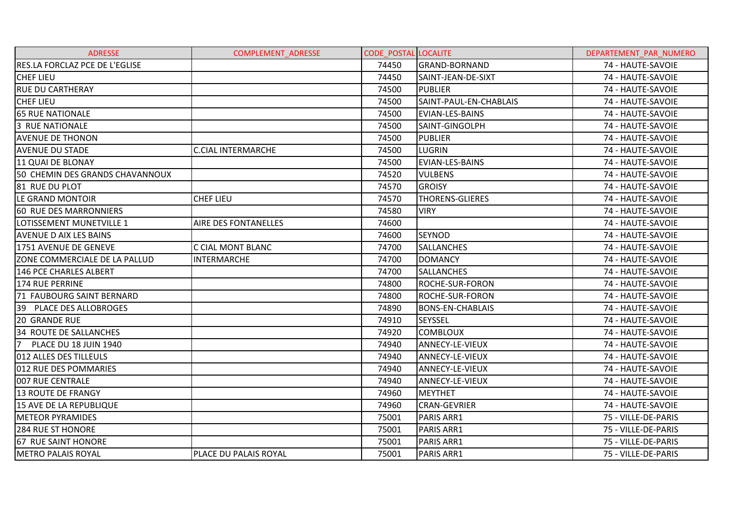| <b>ADRESSE</b>                  | <b>COMPLEMENT ADRESSE</b>   | <b>CODE POSTAL LOCALITE</b> |                         | DEPARTEMENT PAR NUMERO |
|---------------------------------|-----------------------------|-----------------------------|-------------------------|------------------------|
| RES.LA FORCLAZ PCE DE L'EGLISE  |                             | 74450                       | <b>GRAND-BORNAND</b>    | 74 - HAUTE-SAVOIE      |
| <b>CHEF LIEU</b>                |                             | 74450                       | SAINT-JEAN-DE-SIXT      | 74 - HAUTE-SAVOIE      |
| <b>RUE DU CARTHERAY</b>         |                             | 74500                       | <b>PUBLIER</b>          | 74 - HAUTE-SAVOIE      |
| <b>CHEF LIEU</b>                |                             | 74500                       | SAINT-PAUL-EN-CHABLAIS  | 74 - HAUTE-SAVOIE      |
| <b>65 RUE NATIONALE</b>         |                             | 74500                       | EVIAN-LES-BAINS         | 74 - HAUTE-SAVOIE      |
| 3 RUE NATIONALE                 |                             | 74500                       | SAINT-GINGOLPH          | 74 - HAUTE-SAVOIE      |
| <b>AVENUE DE THONON</b>         |                             | 74500                       | <b>PUBLIER</b>          | 74 - HAUTE-SAVOIE      |
| <b>AVENUE DU STADE</b>          | <b>C.CIAL INTERMARCHE</b>   | 74500                       | LUGRIN                  | 74 - HAUTE-SAVOIE      |
| 11 QUAI DE BLONAY               |                             | 74500                       | EVIAN-LES-BAINS         | 74 - HAUTE-SAVOIE      |
| 50 CHEMIN DES GRANDS CHAVANNOUX |                             | 74520                       | <b>VULBENS</b>          | 74 - HAUTE-SAVOIE      |
| 81 RUE DU PLOT                  |                             | 74570                       | <b>GROISY</b>           | 74 - HAUTE-SAVOIE      |
| LE GRAND MONTOIR                | <b>CHEF LIEU</b>            | 74570                       | <b>THORENS-GLIERES</b>  | 74 - HAUTE-SAVOIE      |
| 60 RUE DES MARRONNIERS          |                             | 74580                       | <b>VIRY</b>             | 74 - HAUTE-SAVOIE      |
| LOTISSEMENT MUNETVILLE 1        | <b>AIRE DES FONTANELLES</b> | 74600                       |                         | 74 - HAUTE-SAVOIE      |
| <b>AVENUE D AIX LES BAINS</b>   |                             | 74600                       | <b>SEYNOD</b>           | 74 - HAUTE-SAVOIE      |
| 1751 AVENUE DE GENEVE           | C CIAL MONT BLANC           | 74700                       | <b>SALLANCHES</b>       | 74 - HAUTE-SAVOIE      |
| ZONE COMMERCIALE DE LA PALLUD   | <b>INTERMARCHE</b>          | 74700                       | <b>DOMANCY</b>          | 74 - HAUTE-SAVOIE      |
| <b>146 PCE CHARLES ALBERT</b>   |                             | 74700                       | <b>SALLANCHES</b>       | 74 - HAUTE-SAVOIE      |
| 174 RUE PERRINE                 |                             | 74800                       | <b>ROCHE-SUR-FORON</b>  | 74 - HAUTE-SAVOIE      |
| 71 FAUBOURG SAINT BERNARD       |                             | 74800                       | <b>ROCHE-SUR-FORON</b>  | 74 - HAUTE-SAVOIE      |
| 39 PLACE DES ALLOBROGES         |                             | 74890                       | <b>BONS-EN-CHABLAIS</b> | 74 - HAUTE-SAVOIE      |
| <b>20 GRANDE RUE</b>            |                             | 74910                       | <b>SEYSSEL</b>          | 74 - HAUTE-SAVOIE      |
| 34 ROUTE DE SALLANCHES          |                             | 74920                       | <b>COMBLOUX</b>         | 74 - HAUTE-SAVOIE      |
| 7<br>PLACE DU 18 JUIN 1940      |                             | 74940                       | <b>ANNECY-LE-VIEUX</b>  | 74 - HAUTE-SAVOIE      |
| 012 ALLES DES TILLEULS          |                             | 74940                       | ANNECY-LE-VIEUX         | 74 - HAUTE-SAVOIE      |
| 012 RUE DES POMMARIES           |                             | 74940                       | ANNECY-LE-VIEUX         | 74 - HAUTE-SAVOIE      |
| 007 RUE CENTRALE                |                             | 74940                       | <b>ANNECY-LE-VIEUX</b>  | 74 - HAUTE-SAVOIE      |
| <b>13 ROUTE DE FRANGY</b>       |                             | 74960                       | <b>MEYTHET</b>          | 74 - HAUTE-SAVOIE      |
| 15 AVE DE LA REPUBLIQUE         |                             | 74960                       | <b>CRAN-GEVRIER</b>     | 74 - HAUTE-SAVOIE      |
| <b>METEOR PYRAMIDES</b>         |                             | 75001                       | PARIS ARR1              | 75 - VILLE-DE-PARIS    |
| 284 RUE ST HONORE               |                             | 75001                       | PARIS ARR1              | 75 - VILLE-DE-PARIS    |
| 67 RUE SAINT HONORE             |                             | 75001                       | PARIS ARR1              | 75 - VILLE-DE-PARIS    |
| <b>METRO PALAIS ROYAL</b>       | PLACE DU PALAIS ROYAL       | 75001                       | PARIS ARR1              | 75 - VILLE-DE-PARIS    |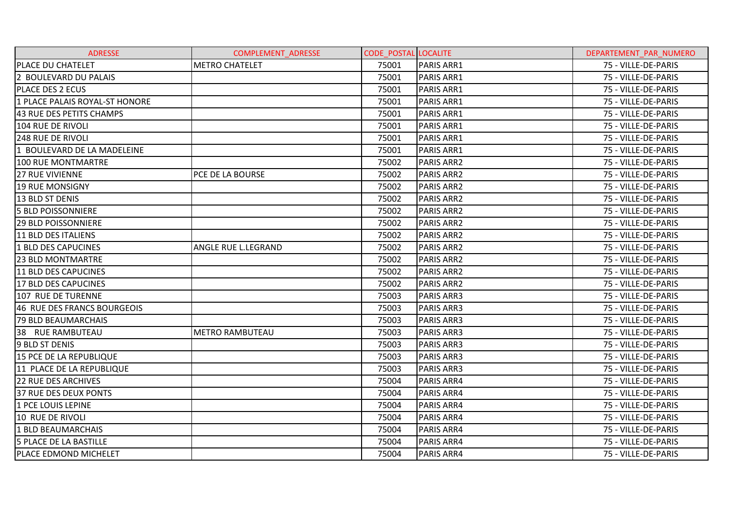| <b>ADRESSE</b>                 | <b>COMPLEMENT ADRESSE</b> | <b>CODE POSTAL LOCALITE</b> |                   | DEPARTEMENT PAR NUMERO |
|--------------------------------|---------------------------|-----------------------------|-------------------|------------------------|
| PLACE DU CHATELET              | <b>METRO CHATELET</b>     | 75001                       | PARIS ARR1        | 75 - VILLE-DE-PARIS    |
| 2 BOULEVARD DU PALAIS          |                           | 75001                       | PARIS ARR1        | 75 - VILLE-DE-PARIS    |
| PLACE DES 2 ECUS               |                           | 75001                       | <b>PARIS ARR1</b> | 75 - VILLE-DE-PARIS    |
| 1 PLACE PALAIS ROYAL-ST HONORE |                           | 75001                       | PARIS ARR1        | 75 - VILLE-DE-PARIS    |
| 43 RUE DES PETITS CHAMPS       |                           | 75001                       | PARIS ARR1        | 75 - VILLE-DE-PARIS    |
| 104 RUE DE RIVOLI              |                           | 75001                       | PARIS ARR1        | 75 - VILLE-DE-PARIS    |
| <b>248 RUE DE RIVOLI</b>       |                           | 75001                       | <b>PARIS ARR1</b> | 75 - VILLE-DE-PARIS    |
| 1 BOULEVARD DE LA MADELEINE    |                           | 75001                       | PARIS ARR1        | 75 - VILLE-DE-PARIS    |
| 100 RUE MONTMARTRE             |                           | 75002                       | <b>PARIS ARR2</b> | 75 - VILLE-DE-PARIS    |
| <b>27 RUE VIVIENNE</b>         | PCE DE LA BOURSE          | 75002                       | <b>PARIS ARR2</b> | 75 - VILLE-DE-PARIS    |
| <b>19 RUE MONSIGNY</b>         |                           | 75002                       | <b>PARIS ARR2</b> | 75 - VILLE-DE-PARIS    |
| 13 BLD ST DENIS                |                           | 75002                       | <b>PARIS ARR2</b> | 75 - VILLE-DE-PARIS    |
| <b>5 BLD POISSONNIERE</b>      |                           | 75002                       | <b>PARIS ARR2</b> | 75 - VILLE-DE-PARIS    |
| <b>29 BLD POISSONNIERE</b>     |                           | 75002                       | <b>PARIS ARR2</b> | 75 - VILLE-DE-PARIS    |
| l11 BLD DES ITALIENS           |                           | 75002                       | <b>PARIS ARR2</b> | 75 - VILLE-DE-PARIS    |
| 1 BLD DES CAPUCINES            | ANGLE RUE L.LEGRAND       | 75002                       | <b>PARIS ARR2</b> | 75 - VILLE-DE-PARIS    |
| <b>23 BLD MONTMARTRE</b>       |                           | 75002                       | <b>PARIS ARR2</b> | 75 - VILLE-DE-PARIS    |
| 11 BLD DES CAPUCINES           |                           | 75002                       | <b>PARIS ARR2</b> | 75 - VILLE-DE-PARIS    |
| 17 BLD DES CAPUCINES           |                           | 75002                       | <b>PARIS ARR2</b> | 75 - VILLE-DE-PARIS    |
| 107 RUE DE TURENNE             |                           | 75003                       | <b>PARIS ARR3</b> | 75 - VILLE-DE-PARIS    |
| 46 RUE DES FRANCS BOURGEOIS    |                           | 75003                       | <b>PARIS ARR3</b> | 75 - VILLE-DE-PARIS    |
| <b>79 BLD BEAUMARCHAIS</b>     |                           | 75003                       | <b>PARIS ARR3</b> | 75 - VILLE-DE-PARIS    |
| 38 RUE RAMBUTEAU               | <b>METRO RAMBUTEAU</b>    | 75003                       | <b>PARIS ARR3</b> | 75 - VILLE-DE-PARIS    |
| 9 BLD ST DENIS                 |                           | 75003                       | <b>PARIS ARR3</b> | 75 - VILLE-DE-PARIS    |
| 15 PCE DE LA REPUBLIQUE        |                           | 75003                       | <b>PARIS ARR3</b> | 75 - VILLE-DE-PARIS    |
| 11 PLACE DE LA REPUBLIQUE      |                           | 75003                       | <b>PARIS ARR3</b> | 75 - VILLE-DE-PARIS    |
| <b>22 RUE DES ARCHIVES</b>     |                           | 75004                       | <b>PARIS ARR4</b> | 75 - VILLE-DE-PARIS    |
| 37 RUE DES DEUX PONTS          |                           | 75004                       | <b>PARIS ARR4</b> | 75 - VILLE-DE-PARIS    |
| 1 PCE LOUIS LEPINE             |                           | 75004                       | <b>PARIS ARR4</b> | 75 - VILLE-DE-PARIS    |
| 10 RUE DE RIVOLI               |                           | 75004                       | <b>PARIS ARR4</b> | 75 - VILLE-DE-PARIS    |
| 1 BLD BEAUMARCHAIS             |                           | 75004                       | <b>PARIS ARR4</b> | 75 - VILLE-DE-PARIS    |
| <b>5 PLACE DE LA BASTILLE</b>  |                           | 75004                       | <b>PARIS ARR4</b> | 75 - VILLE-DE-PARIS    |
| PLACE EDMOND MICHELET          |                           | 75004                       | <b>PARIS ARR4</b> | 75 - VILLE-DE-PARIS    |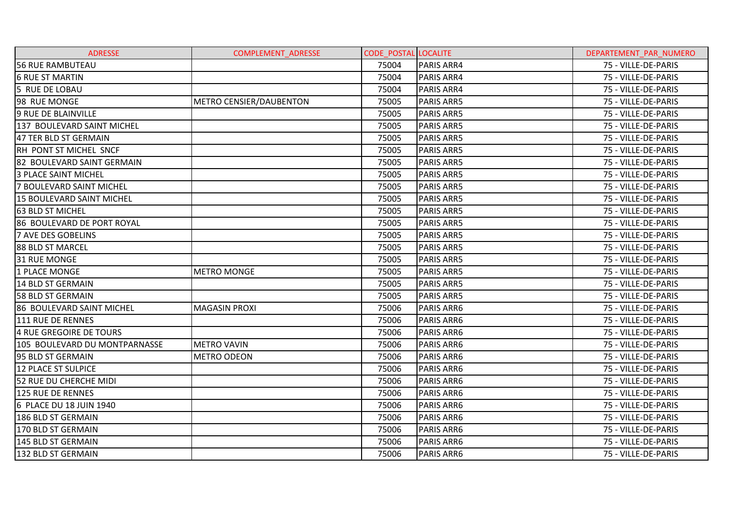| <b>ADRESSE</b>                   | <b>COMPLEMENT ADRESSE</b> | <b>CODE POSTAL LOCALITE</b> |                   | DEPARTEMENT PAR NUMERO |
|----------------------------------|---------------------------|-----------------------------|-------------------|------------------------|
| <b>56 RUE RAMBUTEAU</b>          |                           | 75004                       | <b>PARIS ARR4</b> | 75 - VILLE-DE-PARIS    |
| <b>6 RUE ST MARTIN</b>           |                           | 75004                       | <b>PARIS ARR4</b> | 75 - VILLE-DE-PARIS    |
| 5 RUE DE LOBAU                   |                           | 75004                       | <b>PARIS ARR4</b> | 75 - VILLE-DE-PARIS    |
| 98 RUE MONGE                     | METRO CENSIER/DAUBENTON   | 75005                       | <b>PARIS ARR5</b> | 75 - VILLE-DE-PARIS    |
| 9 RUE DE BLAINVILLE              |                           | 75005                       | <b>PARIS ARR5</b> | 75 - VILLE-DE-PARIS    |
| 137 BOULEVARD SAINT MICHEL       |                           | 75005                       | <b>PARIS ARR5</b> | 75 - VILLE-DE-PARIS    |
| 47 TER BLD ST GERMAIN            |                           | 75005                       | <b>PARIS ARR5</b> | 75 - VILLE-DE-PARIS    |
| RH PONT ST MICHEL SNCF           |                           | 75005                       | <b>PARIS ARR5</b> | 75 - VILLE-DE-PARIS    |
| 82 BOULEVARD SAINT GERMAIN       |                           | 75005                       | <b>PARIS ARR5</b> | 75 - VILLE-DE-PARIS    |
| <b>3 PLACE SAINT MICHEL</b>      |                           | 75005                       | <b>PARIS ARR5</b> | 75 - VILLE-DE-PARIS    |
| 7 BOULEVARD SAINT MICHEL         |                           | 75005                       | <b>PARIS ARR5</b> | 75 - VILLE-DE-PARIS    |
| <b>15 BOULEVARD SAINT MICHEL</b> |                           | 75005                       | <b>PARIS ARR5</b> | 75 - VILLE-DE-PARIS    |
| 63 BLD ST MICHEL                 |                           | 75005                       | <b>PARIS ARR5</b> | 75 - VILLE-DE-PARIS    |
| 86 BOULEVARD DE PORT ROYAL       |                           | 75005                       | <b>PARIS ARR5</b> | 75 - VILLE-DE-PARIS    |
| <b>7 AVE DES GOBELINS</b>        |                           | 75005                       | <b>PARIS ARR5</b> | 75 - VILLE-DE-PARIS    |
| 88 BLD ST MARCEL                 |                           | 75005                       | <b>PARIS ARR5</b> | 75 - VILLE-DE-PARIS    |
| 31 RUE MONGE                     |                           | 75005                       | <b>PARIS ARR5</b> | 75 - VILLE-DE-PARIS    |
| 1 PLACE MONGE                    | <b>METRO MONGE</b>        | 75005                       | <b>PARIS ARR5</b> | 75 - VILLE-DE-PARIS    |
| 14 BLD ST GERMAIN                |                           | 75005                       | <b>PARIS ARR5</b> | 75 - VILLE-DE-PARIS    |
| <b>58 BLD ST GERMAIN</b>         |                           | 75005                       | <b>PARIS ARR5</b> | 75 - VILLE-DE-PARIS    |
| 86 BOULEVARD SAINT MICHEL        | <b>MAGASIN PROXI</b>      | 75006                       | <b>PARIS ARR6</b> | 75 - VILLE-DE-PARIS    |
| 111 RUE DE RENNES                |                           | 75006                       | <b>PARIS ARR6</b> | 75 - VILLE-DE-PARIS    |
| 4 RUE GREGOIRE DE TOURS          |                           | 75006                       | <b>PARIS ARR6</b> | 75 - VILLE-DE-PARIS    |
| 105 BOULEVARD DU MONTPARNASSE    | <b>METRO VAVIN</b>        | 75006                       | <b>PARIS ARR6</b> | 75 - VILLE-DE-PARIS    |
| 95 BLD ST GERMAIN                | <b>METRO ODEON</b>        | 75006                       | <b>PARIS ARR6</b> | 75 - VILLE-DE-PARIS    |
| 12 PLACE ST SULPICE              |                           | 75006                       | <b>PARIS ARR6</b> | 75 - VILLE-DE-PARIS    |
| 52 RUE DU CHERCHE MIDI           |                           | 75006                       | <b>PARIS ARR6</b> | 75 - VILLE-DE-PARIS    |
| 125 RUE DE RENNES                |                           | 75006                       | <b>PARIS ARR6</b> | 75 - VILLE-DE-PARIS    |
| 6 PLACE DU 18 JUIN 1940          |                           | 75006                       | PARIS ARR6        | 75 - VILLE-DE-PARIS    |
| 186 BLD ST GERMAIN               |                           | 75006                       | <b>PARIS ARR6</b> | 75 - VILLE-DE-PARIS    |
| 170 BLD ST GERMAIN               |                           | 75006                       | <b>PARIS ARR6</b> | 75 - VILLE-DE-PARIS    |
| 145 BLD ST GERMAIN               |                           | 75006                       | <b>PARIS ARR6</b> | 75 - VILLE-DE-PARIS    |
| 132 BLD ST GERMAIN               |                           | 75006                       | PARIS ARR6        | 75 - VILLE-DE-PARIS    |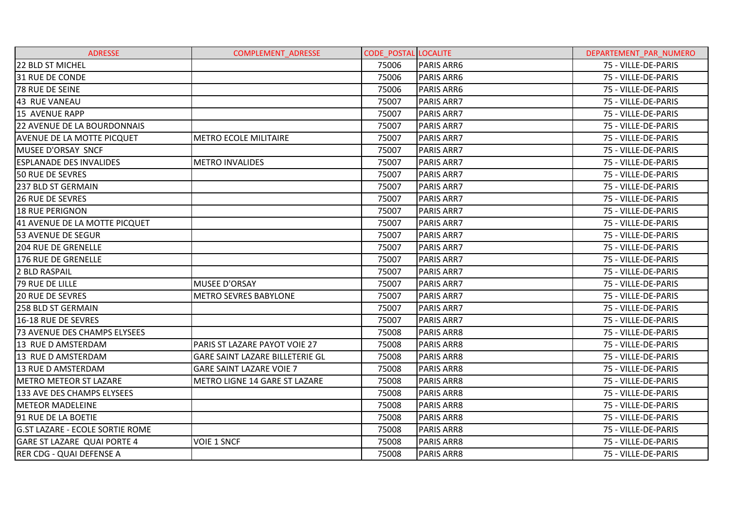| <b>ADRESSE</b>                         | <b>COMPLEMENT ADRESSE</b>       | <b>CODE POSTAL LOCALITE</b> |                   | DEPARTEMENT PAR NUMERO |
|----------------------------------------|---------------------------------|-----------------------------|-------------------|------------------------|
| 22 BLD ST MICHEL                       |                                 | 75006                       | <b>PARIS ARR6</b> | 75 - VILLE-DE-PARIS    |
| 31 RUE DE CONDE                        |                                 | 75006                       | <b>PARIS ARR6</b> | 75 - VILLE-DE-PARIS    |
| 78 RUE DE SEINE                        |                                 | 75006                       | <b>PARIS ARR6</b> | 75 - VILLE-DE-PARIS    |
| <b>43 RUE VANEAU</b>                   |                                 | 75007                       | <b>PARIS ARR7</b> | 75 - VILLE-DE-PARIS    |
| 15 AVENUE RAPP                         |                                 | 75007                       | <b>PARIS ARR7</b> | 75 - VILLE-DE-PARIS    |
| <b>22 AVENUE DE LA BOURDONNAIS</b>     |                                 | 75007                       | <b>PARIS ARR7</b> | 75 - VILLE-DE-PARIS    |
| <b>AVENUE DE LA MOTTE PICQUET</b>      | <b>METRO ECOLE MILITAIRE</b>    | 75007                       | <b>PARIS ARR7</b> | 75 - VILLE-DE-PARIS    |
| MUSEE D'ORSAY SNCF                     |                                 | 75007                       | <b>PARIS ARR7</b> | 75 - VILLE-DE-PARIS    |
| <b>ESPLANADE DES INVALIDES</b>         | <b>METRO INVALIDES</b>          | 75007                       | <b>PARIS ARR7</b> | 75 - VILLE-DE-PARIS    |
| 50 RUE DE SEVRES                       |                                 | 75007                       | <b>PARIS ARR7</b> | 75 - VILLE-DE-PARIS    |
| 237 BLD ST GERMAIN                     |                                 | 75007                       | <b>PARIS ARR7</b> | 75 - VILLE-DE-PARIS    |
| <b>26 RUE DE SEVRES</b>                |                                 | 75007                       | <b>PARIS ARR7</b> | 75 - VILLE-DE-PARIS    |
| <b>18 RUE PERIGNON</b>                 |                                 | 75007                       | <b>PARIS ARR7</b> | 75 - VILLE-DE-PARIS    |
| 41 AVENUE DE LA MOTTE PICQUET          |                                 | 75007                       | <b>PARIS ARR7</b> | 75 - VILLE-DE-PARIS    |
| <b>53 AVENUE DE SEGUR</b>              |                                 | 75007                       | <b>PARIS ARR7</b> | 75 - VILLE-DE-PARIS    |
| <b>204 RUE DE GRENELLE</b>             |                                 | 75007                       | <b>PARIS ARR7</b> | 75 - VILLE-DE-PARIS    |
| 176 RUE DE GRENELLE                    |                                 | 75007                       | <b>PARIS ARR7</b> | 75 - VILLE-DE-PARIS    |
| 2 BLD RASPAIL                          |                                 | 75007                       | <b>PARIS ARR7</b> | 75 - VILLE-DE-PARIS    |
| 79 RUE DE LILLE                        | <b>MUSEE D'ORSAY</b>            | 75007                       | <b>PARIS ARR7</b> | 75 - VILLE-DE-PARIS    |
| <b>20 RUE DE SEVRES</b>                | <b>METRO SEVRES BABYLONE</b>    | 75007                       | <b>PARIS ARR7</b> | 75 - VILLE-DE-PARIS    |
| 258 BLD ST GERMAIN                     |                                 | 75007                       | <b>PARIS ARR7</b> | 75 - VILLE-DE-PARIS    |
| 16-18 RUE DE SEVRES                    |                                 | 75007                       | IPARIS ARR7       | 75 - VILLE-DE-PARIS    |
| 73 AVENUE DES CHAMPS ELYSEES           |                                 | 75008                       | <b>PARIS ARR8</b> | 75 - VILLE-DE-PARIS    |
| 13 RUE D AMSTERDAM                     | PARIS ST LAZARE PAYOT VOIE 27   | 75008                       | <b>PARIS ARR8</b> | 75 - VILLE-DE-PARIS    |
| 13 RUE D AMSTERDAM                     | GARE SAINT LAZARE BILLETERIE GL | 75008                       | <b>PARIS ARR8</b> | 75 - VILLE-DE-PARIS    |
| 13 RUE D AMSTERDAM                     | <b>GARE SAINT LAZARE VOIE 7</b> | 75008                       | <b>PARIS ARR8</b> | 75 - VILLE-DE-PARIS    |
| <b>METRO METEOR ST LAZARE</b>          | METRO LIGNE 14 GARE ST LAZARE   | 75008                       | <b>PARIS ARR8</b> | 75 - VILLE-DE-PARIS    |
| 133 AVE DES CHAMPS ELYSEES             |                                 | 75008                       | <b>PARIS ARR8</b> | 75 - VILLE-DE-PARIS    |
| <b>METEOR MADELEINE</b>                |                                 | 75008                       | <b>PARIS ARR8</b> | 75 - VILLE-DE-PARIS    |
| 91 RUE DE LA BOETIE                    |                                 | 75008                       | <b>PARIS ARR8</b> | 75 - VILLE-DE-PARIS    |
| <b>G.ST LAZARE - ECOLE SORTIE ROME</b> |                                 | 75008                       | <b>PARIS ARR8</b> | 75 - VILLE-DE-PARIS    |
| <b>GARE ST LAZARE QUAI PORTE 4</b>     | <b>VOIE 1 SNCF</b>              | 75008                       | <b>PARIS ARR8</b> | 75 - VILLE-DE-PARIS    |
| <b>RER CDG - QUAI DEFENSE A</b>        |                                 | 75008                       | <b>PARIS ARR8</b> | 75 - VILLE-DE-PARIS    |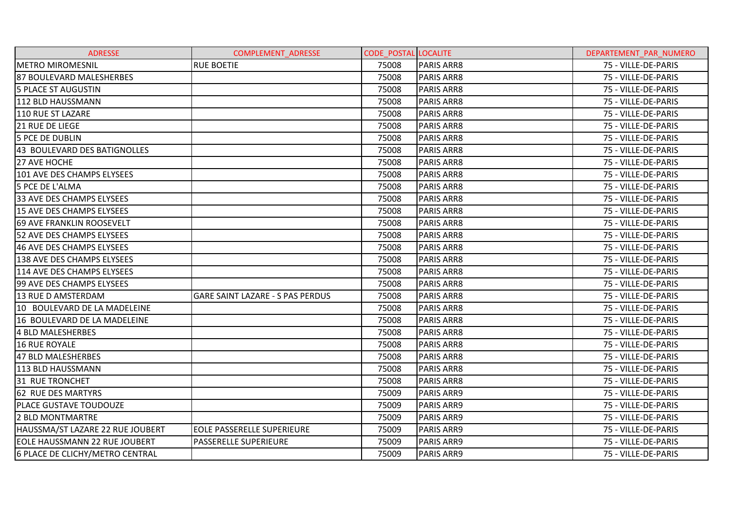| <b>ADRESSE</b>                   | <b>COMPLEMENT ADRESSE</b>               | <b>CODE POSTAL LOCALITE</b> |                   | DEPARTEMENT PAR NUMERO |
|----------------------------------|-----------------------------------------|-----------------------------|-------------------|------------------------|
| <b>METRO MIROMESNIL</b>          | <b>RUE BOETIE</b>                       | 75008                       | <b>PARIS ARR8</b> | 75 - VILLE-DE-PARIS    |
| 87 BOULEVARD MALESHERBES         |                                         | 75008                       | <b>PARIS ARR8</b> | 75 - VILLE-DE-PARIS    |
| 5 PLACE ST AUGUSTIN              |                                         | 75008                       | <b>PARIS ARR8</b> | 75 - VILLE-DE-PARIS    |
| 112 BLD HAUSSMANN                |                                         | 75008                       | <b>PARIS ARR8</b> | 75 - VILLE-DE-PARIS    |
| 110 RUE ST LAZARE                |                                         | 75008                       | <b>PARIS ARR8</b> | 75 - VILLE-DE-PARIS    |
| <b>21 RUE DE LIEGE</b>           |                                         | 75008                       | <b>PARIS ARR8</b> | 75 - VILLE-DE-PARIS    |
| <b>5 PCE DE DUBLIN</b>           |                                         | 75008                       | <b>PARIS ARR8</b> | 75 - VILLE-DE-PARIS    |
| 43 BOULEVARD DES BATIGNOLLES     |                                         | 75008                       | <b>PARIS ARR8</b> | 75 - VILLE-DE-PARIS    |
| 27 AVE HOCHE                     |                                         | 75008                       | <b>PARIS ARR8</b> | 75 - VILLE-DE-PARIS    |
| 101 AVE DES CHAMPS ELYSEES       |                                         | 75008                       | <b>PARIS ARR8</b> | 75 - VILLE-DE-PARIS    |
| 5 PCE DE L'ALMA                  |                                         | 75008                       | <b>PARIS ARR8</b> | 75 - VILLE-DE-PARIS    |
| 33 AVE DES CHAMPS ELYSEES        |                                         | 75008                       | <b>PARIS ARR8</b> | 75 - VILLE-DE-PARIS    |
| 15 AVE DES CHAMPS ELYSEES        |                                         | 75008                       | <b>PARIS ARR8</b> | 75 - VILLE-DE-PARIS    |
| <b>69 AVE FRANKLIN ROOSEVELT</b> |                                         | 75008                       | <b>PARIS ARR8</b> | 75 - VILLE-DE-PARIS    |
| <b>52 AVE DES CHAMPS ELYSEES</b> |                                         | 75008                       | <b>PARIS ARR8</b> | 75 - VILLE-DE-PARIS    |
| 46 AVE DES CHAMPS ELYSEES        |                                         | 75008                       | PARIS ARR8        | 75 - VILLE-DE-PARIS    |
| 138 AVE DES CHAMPS ELYSEES       |                                         | 75008                       | <b>PARIS ARR8</b> | 75 - VILLE-DE-PARIS    |
| 114 AVE DES CHAMPS ELYSEES       |                                         | 75008                       | <b>PARIS ARR8</b> | 75 - VILLE-DE-PARIS    |
| 99 AVE DES CHAMPS ELYSEES        |                                         | 75008                       | <b>PARIS ARR8</b> | 75 - VILLE-DE-PARIS    |
| 13 RUE D AMSTERDAM               | <b>GARE SAINT LAZARE - S PAS PERDUS</b> | 75008                       | <b>PARIS ARR8</b> | 75 - VILLE-DE-PARIS    |
| 10 BOULEVARD DE LA MADELEINE     |                                         | 75008                       | <b>PARIS ARR8</b> | 75 - VILLE-DE-PARIS    |
| 16 BOULEVARD DE LA MADELEINE     |                                         | 75008                       | <b>PARIS ARR8</b> | 75 - VILLE-DE-PARIS    |
| 4 BLD MALESHERBES                |                                         | 75008                       | PARIS ARR8        | 75 - VILLE-DE-PARIS    |
| 16 RUE ROYALE                    |                                         | 75008                       | <b>PARIS ARR8</b> | 75 - VILLE-DE-PARIS    |
| 47 BLD MALESHERBES               |                                         | 75008                       | <b>PARIS ARR8</b> | 75 - VILLE-DE-PARIS    |
| 113 BLD HAUSSMANN                |                                         | 75008                       | <b>PARIS ARR8</b> | 75 - VILLE-DE-PARIS    |
| <b>31 RUE TRONCHET</b>           |                                         | 75008                       | <b>PARIS ARR8</b> | 75 - VILLE-DE-PARIS    |
| 62 RUE DES MARTYRS               |                                         | 75009                       | <b>PARIS ARR9</b> | 75 - VILLE-DE-PARIS    |
| PLACE GUSTAVE TOUDOUZE           |                                         | 75009                       | <b>PARIS ARR9</b> | 75 - VILLE-DE-PARIS    |
| 2 BLD MONTMARTRE                 |                                         | 75009                       | <b>PARIS ARR9</b> | 75 - VILLE-DE-PARIS    |
| HAUSSMA/ST LAZARE 22 RUE JOUBERT | <b>EOLE PASSERELLE SUPERIEURE</b>       | 75009                       | <b>PARIS ARR9</b> | 75 - VILLE-DE-PARIS    |
| EOLE HAUSSMANN 22 RUE JOUBERT    | PASSERELLE SUPERIEURE                   | 75009                       | <b>PARIS ARR9</b> | 75 - VILLE-DE-PARIS    |
| 6 PLACE DE CLICHY/METRO CENTRAL  |                                         | 75009                       | PARIS ARR9        | 75 - VILLE-DE-PARIS    |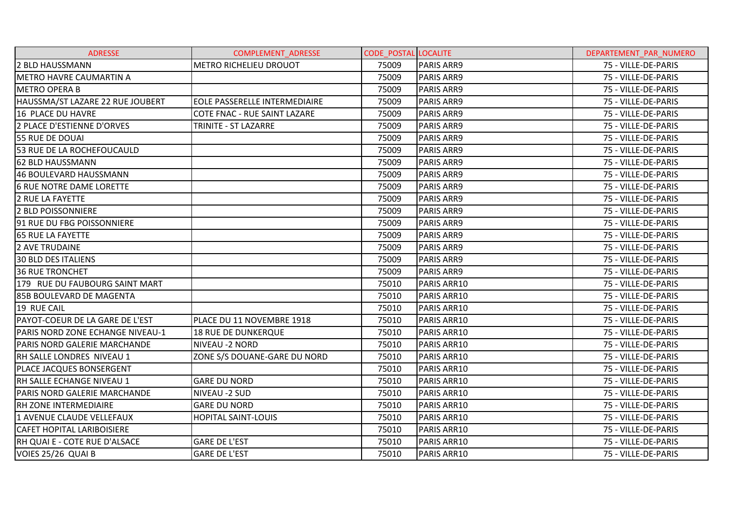| <b>ADRESSE</b>                   | <b>COMPLEMENT ADRESSE</b>     | <b>CODE POSTAL LOCALITE</b> |                   | DEPARTEMENT_PAR_NUMERO |
|----------------------------------|-------------------------------|-----------------------------|-------------------|------------------------|
| 2 BLD HAUSSMANN                  | METRO RICHELIEU DROUOT        | 75009                       | <b>PARIS ARR9</b> | 75 - VILLE-DE-PARIS    |
| <b>IMETRO HAVRE CAUMARTIN A</b>  |                               | 75009                       | <b>PARIS ARR9</b> | 75 - VILLE-DE-PARIS    |
| <b>METRO OPERA B</b>             |                               | 75009                       | PARIS ARR9        | 75 - VILLE-DE-PARIS    |
| HAUSSMA/ST LAZARE 22 RUE JOUBERT | EOLE PASSERELLE INTERMEDIAIRE | 75009                       | <b>PARIS ARR9</b> | 75 - VILLE-DE-PARIS    |
| 16 PLACE DU HAVRE                | COTE FNAC - RUE SAINT LAZARE  | 75009                       | <b>PARIS ARR9</b> | 75 - VILLE-DE-PARIS    |
| 2 PLACE D'ESTIENNE D'ORVES       | TRINITE - ST LAZARRE          | 75009                       | <b>PARIS ARR9</b> | 75 - VILLE-DE-PARIS    |
| 55 RUE DE DOUAI                  |                               | 75009                       | PARIS ARR9        | 75 - VILLE-DE-PARIS    |
| 53 RUE DE LA ROCHEFOUCAULD       |                               | 75009                       | <b>PARIS ARR9</b> | 75 - VILLE-DE-PARIS    |
| 62 BLD HAUSSMANN                 |                               | 75009                       | <b>PARIS ARR9</b> | 75 - VILLE-DE-PARIS    |
| 46 BOULEVARD HAUSSMANN           |                               | 75009                       | PARIS ARR9        | 75 - VILLE-DE-PARIS    |
| 6 RUE NOTRE DAME LORETTE         |                               | 75009                       | <b>PARIS ARR9</b> | 75 - VILLE-DE-PARIS    |
| <b>2 RUE LA FAYETTE</b>          |                               | 75009                       | <b>PARIS ARR9</b> | 75 - VILLE-DE-PARIS    |
| 2 BLD POISSONNIERE               |                               | 75009                       | PARIS ARR9        | 75 - VILLE-DE-PARIS    |
| 91 RUE DU FBG POISSONNIERE       |                               | 75009                       | <b>PARIS ARR9</b> | 75 - VILLE-DE-PARIS    |
| <b>65 RUE LA FAYETTE</b>         |                               | 75009                       | PARIS ARR9        | 75 - VILLE-DE-PARIS    |
| 2 AVE TRUDAINE                   |                               | 75009                       | PARIS ARR9        | 75 - VILLE-DE-PARIS    |
| <b>30 BLD DES ITALIENS</b>       |                               | 75009                       | <b>PARIS ARR9</b> | 75 - VILLE-DE-PARIS    |
| <b>36 RUE TRONCHET</b>           |                               | 75009                       | PARIS ARR9        | 75 - VILLE-DE-PARIS    |
| 179 RUE DU FAUBOURG SAINT MART   |                               | 75010                       | PARIS ARR10       | 75 - VILLE-DE-PARIS    |
| 85B BOULEVARD DE MAGENTA         |                               | 75010                       | PARIS ARR10       | 75 - VILLE-DE-PARIS    |
| 19 RUE CAIL                      |                               | 75010                       | PARIS ARR10       | 75 - VILLE-DE-PARIS    |
| PAYOT-COEUR DE LA GARE DE L'EST  | PLACE DU 11 NOVEMBRE 1918     | 75010                       | PARIS ARR10       | 75 - VILLE-DE-PARIS    |
| PARIS NORD ZONE ECHANGE NIVEAU-1 | <b>18 RUE DE DUNKERQUE</b>    | 75010                       | PARIS ARR10       | 75 - VILLE-DE-PARIS    |
| PARIS NORD GALERIE MARCHANDE     | NIVEAU - 2 NORD               | 75010                       | PARIS ARR10       | 75 - VILLE-DE-PARIS    |
| RH SALLE LONDRES NIVEAU 1        | ZONE S/S DOUANE-GARE DU NORD  | 75010                       | PARIS ARR10       | 75 - VILLE-DE-PARIS    |
| <b>PLACE JACQUES BONSERGENT</b>  |                               | 75010                       | PARIS ARR10       | 75 - VILLE-DE-PARIS    |
| RH SALLE ECHANGE NIVEAU 1        | <b>GARE DU NORD</b>           | 75010                       | PARIS ARR10       | 75 - VILLE-DE-PARIS    |
| PARIS NORD GALERIE MARCHANDE     | NIVEAU -2 SUD                 | 75010                       | PARIS ARR10       | 75 - VILLE-DE-PARIS    |
| <b>RH ZONE INTERMEDIAIRE</b>     | <b>GARE DU NORD</b>           | 75010                       | PARIS ARR10       | 75 - VILLE-DE-PARIS    |
| 1 AVENUE CLAUDE VELLEFAUX        | <b>HOPITAL SAINT-LOUIS</b>    | 75010                       | PARIS ARR10       | 75 - VILLE-DE-PARIS    |
| CAFET HOPITAL LARIBOISIERE       |                               | 75010                       | PARIS ARR10       | 75 - VILLE-DE-PARIS    |
| RH QUAI E - COTE RUE D'ALSACE    | <b>GARE DE L'EST</b>          | 75010                       | PARIS ARR10       | 75 - VILLE-DE-PARIS    |
| VOIES 25/26 QUAI B               | <b>GARE DE L'EST</b>          | 75010                       | PARIS ARR10       | 75 - VILLE-DE-PARIS    |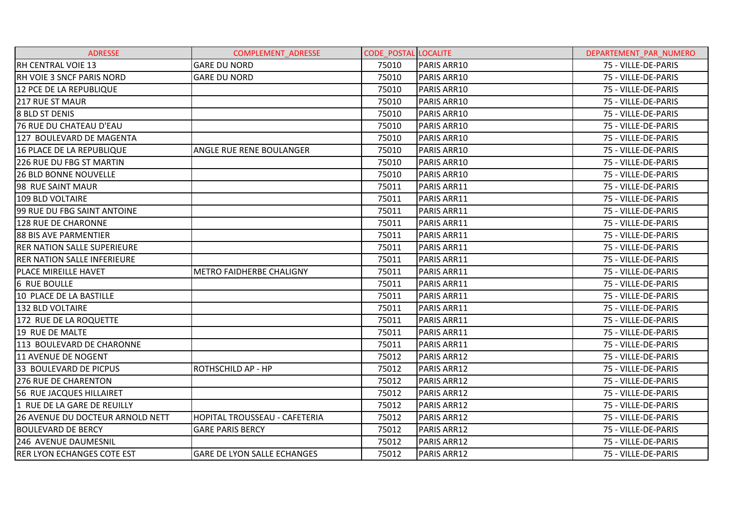| <b>ADRESSE</b>                          | <b>COMPLEMENT ADRESSE</b>            | <b>CODE POSTAL LOCALITE</b> |                    | DEPARTEMENT PAR NUMERO |
|-----------------------------------------|--------------------------------------|-----------------------------|--------------------|------------------------|
| <b>RH CENTRAL VOIE 13</b>               | <b>GARE DU NORD</b>                  | 75010                       | PARIS ARR10        | 75 - VILLE-DE-PARIS    |
| <b>RH VOIE 3 SNCF PARIS NORD</b>        | <b>GARE DU NORD</b>                  | 75010                       | PARIS ARR10        | 75 - VILLE-DE-PARIS    |
| 12 PCE DE LA REPUBLIQUE                 |                                      | 75010                       | PARIS ARR10        | 75 - VILLE-DE-PARIS    |
| <b>217 RUE ST MAUR</b>                  |                                      | 75010                       | PARIS ARR10        | 75 - VILLE-DE-PARIS    |
| <b>8 BLD ST DENIS</b>                   |                                      | 75010                       | PARIS ARR10        | 75 - VILLE-DE-PARIS    |
| 76 RUE DU CHATEAU D'EAU                 |                                      | 75010                       | PARIS ARR10        | 75 - VILLE-DE-PARIS    |
| 127 BOULEVARD DE MAGENTA                |                                      | 75010                       | PARIS ARR10        | 75 - VILLE-DE-PARIS    |
| 16 PLACE DE LA REPUBLIQUE               | ANGLE RUE RENE BOULANGER             | 75010                       | PARIS ARR10        | 75 - VILLE-DE-PARIS    |
| 226 RUE DU FBG ST MARTIN                |                                      | 75010                       | PARIS ARR10        | 75 - VILLE-DE-PARIS    |
| <b>26 BLD BONNE NOUVELLE</b>            |                                      | 75010                       | PARIS ARR10        | 75 - VILLE-DE-PARIS    |
| 98 RUE SAINT MAUR                       |                                      | 75011                       | PARIS ARR11        | 75 - VILLE-DE-PARIS    |
| 109 BLD VOLTAIRE                        |                                      | 75011                       | PARIS ARR11        | 75 - VILLE-DE-PARIS    |
| 99 RUE DU FBG SAINT ANTOINE             |                                      | 75011                       | PARIS ARR11        | 75 - VILLE-DE-PARIS    |
| <b>128 RUE DE CHARONNE</b>              |                                      | 75011                       | PARIS ARR11        | 75 - VILLE-DE-PARIS    |
| 88 BIS AVE PARMENTIER                   |                                      | 75011                       | PARIS ARR11        | 75 - VILLE-DE-PARIS    |
| <b>RER NATION SALLE SUPERIEURE</b>      |                                      | 75011                       | PARIS ARR11        | 75 - VILLE-DE-PARIS    |
| <b>RER NATION SALLE INFERIEURE</b>      |                                      | 75011                       | PARIS ARR11        | 75 - VILLE-DE-PARIS    |
| PLACE MIREILLE HAVET                    | METRO FAIDHERBE CHALIGNY             | 75011                       | PARIS ARR11        | 75 - VILLE-DE-PARIS    |
| <b>6 RUE BOULLE</b>                     |                                      | 75011                       | PARIS ARR11        | 75 - VILLE-DE-PARIS    |
| 10 PLACE DE LA BASTILLE                 |                                      | 75011                       | PARIS ARR11        | 75 - VILLE-DE-PARIS    |
| 132 BLD VOLTAIRE                        |                                      | 75011                       | PARIS ARR11        | 75 - VILLE-DE-PARIS    |
| 172 RUE DE LA ROQUETTE                  |                                      | 75011                       | PARIS ARR11        | 75 - VILLE-DE-PARIS    |
| 19 RUE DE MALTE                         |                                      | 75011                       | PARIS ARR11        | 75 - VILLE-DE-PARIS    |
| 113 BOULEVARD DE CHARONNE               |                                      | 75011                       | PARIS ARR11        | 75 - VILLE-DE-PARIS    |
| <b>11 AVENUE DE NOGENT</b>              |                                      | 75012                       | PARIS ARR12        | 75 - VILLE-DE-PARIS    |
| 33 BOULEVARD DE PICPUS                  | ROTHSCHILD AP - HP                   | 75012                       | PARIS ARR12        | 75 - VILLE-DE-PARIS    |
| <b>276 RUE DE CHARENTON</b>             |                                      | 75012                       | <b>PARIS ARR12</b> | 75 - VILLE-DE-PARIS    |
| 56 RUE JACQUES HILLAIRET                |                                      | 75012                       | PARIS ARR12        | 75 - VILLE-DE-PARIS    |
| 1 RUE DE LA GARE DE REUILLY             |                                      | 75012                       | PARIS ARR12        | 75 - VILLE-DE-PARIS    |
| <b>26 AVENUE DU DOCTEUR ARNOLD NETT</b> | <b>HOPITAL TROUSSEAU - CAFETERIA</b> | 75012                       | PARIS ARR12        | 75 - VILLE-DE-PARIS    |
| <b>BOULEVARD DE BERCY</b>               | <b>GARE PARIS BERCY</b>              | 75012                       | PARIS ARR12        | 75 - VILLE-DE-PARIS    |
| 246 AVENUE DAUMESNIL                    |                                      | 75012                       | <b>PARIS ARR12</b> | 75 - VILLE-DE-PARIS    |
| <b>RER LYON ECHANGES COTE EST</b>       | <b>GARE DE LYON SALLE ECHANGES</b>   | 75012                       | PARIS ARR12        | 75 - VILLE-DE-PARIS    |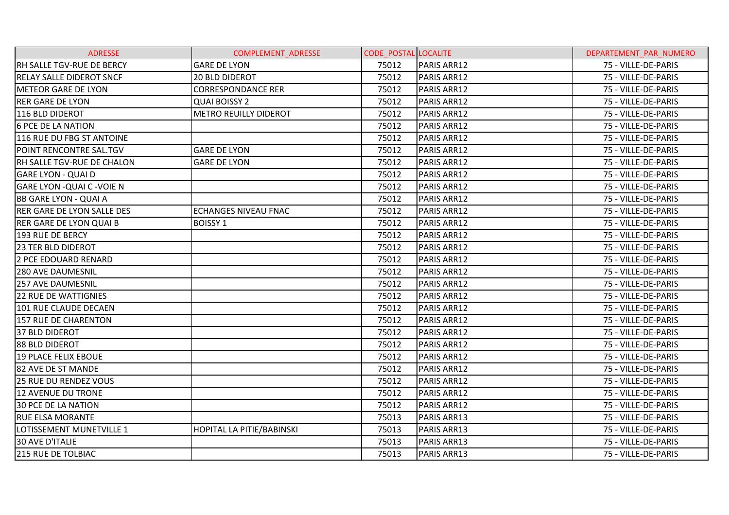| <b>ADRESSE</b>                     | <b>COMPLEMENT ADRESSE</b>    | <b>CODE POSTAL LOCALITE</b> |                    | DEPARTEMENT PAR NUMERO |
|------------------------------------|------------------------------|-----------------------------|--------------------|------------------------|
| RH SALLE TGV-RUE DE BERCY          | <b>GARE DE LYON</b>          | 75012                       | PARIS ARR12        | 75 - VILLE-DE-PARIS    |
| <b>RELAY SALLE DIDEROT SNCF</b>    | <b>20 BLD DIDEROT</b>        | 75012                       | PARIS ARR12        | 75 - VILLE-DE-PARIS    |
| <b>METEOR GARE DE LYON</b>         | <b>CORRESPONDANCE RER</b>    | 75012                       | PARIS ARR12        | 75 - VILLE-DE-PARIS    |
| <b>RER GARE DE LYON</b>            | <b>QUAI BOISSY 2</b>         | 75012                       | PARIS ARR12        | 75 - VILLE-DE-PARIS    |
| 116 BLD DIDEROT                    | <b>METRO REUILLY DIDEROT</b> | 75012                       | PARIS ARR12        | 75 - VILLE-DE-PARIS    |
| <b>6 PCE DE LA NATION</b>          |                              | 75012                       | PARIS ARR12        | 75 - VILLE-DE-PARIS    |
| 116 RUE DU FBG ST ANTOINE          |                              | 75012                       | <b>PARIS ARR12</b> | 75 - VILLE-DE-PARIS    |
| POINT RENCONTRE SAL.TGV            | <b>GARE DE LYON</b>          | 75012                       | PARIS ARR12        | 75 - VILLE-DE-PARIS    |
| RH SALLE TGV-RUE DE CHALON         | <b>GARE DE LYON</b>          | 75012                       | PARIS ARR12        | 75 - VILLE-DE-PARIS    |
| <b>GARE LYON - QUAI D</b>          |                              | 75012                       | PARIS ARR12        | 75 - VILLE-DE-PARIS    |
| <b>GARE LYON - QUAI C - VOIE N</b> |                              | 75012                       | PARIS ARR12        | 75 - VILLE-DE-PARIS    |
| <b>BB GARE LYON - QUAI A</b>       |                              | 75012                       | <b>PARIS ARR12</b> | 75 - VILLE-DE-PARIS    |
| <b>RER GARE DE LYON SALLE DES</b>  | <b>ECHANGES NIVEAU FNAC</b>  | 75012                       | PARIS ARR12        | 75 - VILLE-DE-PARIS    |
| <b>RER GARE DE LYON QUAI B</b>     | <b>BOISSY 1</b>              | 75012                       | PARIS ARR12        | 75 - VILLE-DE-PARIS    |
| <b>193 RUE DE BERCY</b>            |                              | 75012                       | <b>PARIS ARR12</b> | 75 - VILLE-DE-PARIS    |
| <b>23 TER BLD DIDEROT</b>          |                              | 75012                       | PARIS ARR12        | 75 - VILLE-DE-PARIS    |
| 2 PCE EDOUARD RENARD               |                              | 75012                       | PARIS ARR12        | 75 - VILLE-DE-PARIS    |
| <b>280 AVE DAUMESNIL</b>           |                              | 75012                       | PARIS ARR12        | 75 - VILLE-DE-PARIS    |
| <b>257 AVE DAUMESNIL</b>           |                              | 75012                       | PARIS ARR12        | 75 - VILLE-DE-PARIS    |
| 22 RUE DE WATTIGNIES               |                              | 75012                       | PARIS ARR12        | 75 - VILLE-DE-PARIS    |
| 101 RUE CLAUDE DECAEN              |                              | 75012                       | PARIS ARR12        | 75 - VILLE-DE-PARIS    |
| <b>157 RUE DE CHARENTON</b>        |                              | 75012                       | <b>PARIS ARR12</b> | 75 - VILLE-DE-PARIS    |
| <b>37 BLD DIDEROT</b>              |                              | 75012                       | PARIS ARR12        | 75 - VILLE-DE-PARIS    |
| 88 BLD DIDEROT                     |                              | 75012                       | PARIS ARR12        | 75 - VILLE-DE-PARIS    |
| <b>19 PLACE FELIX EBOUE</b>        |                              | 75012                       | PARIS ARR12        | 75 - VILLE-DE-PARIS    |
| 82 AVE DE ST MANDE                 |                              | 75012                       | PARIS ARR12        | 75 - VILLE-DE-PARIS    |
| <b>25 RUE DU RENDEZ VOUS</b>       |                              | 75012                       | PARIS ARR12        | 75 - VILLE-DE-PARIS    |
| <b>12 AVENUE DU TRONE</b>          |                              | 75012                       | PARIS ARR12        | 75 - VILLE-DE-PARIS    |
| <b>30 PCE DE LA NATION</b>         |                              | 75012                       | PARIS ARR12        | 75 - VILLE-DE-PARIS    |
| <b>RUE ELSA MORANTE</b>            |                              | 75013                       | PARIS ARR13        | 75 - VILLE-DE-PARIS    |
| LOTISSEMENT MUNETVILLE 1           | HOPITAL LA PITIE/BABINSKI    | 75013                       | PARIS ARR13        | 75 - VILLE-DE-PARIS    |
| <b>30 AVE D'ITALIE</b>             |                              | 75013                       | PARIS ARR13        | 75 - VILLE-DE-PARIS    |
| 215 RUE DE TOLBIAC                 |                              | 75013                       | PARIS ARR13        | 75 - VILLE-DE-PARIS    |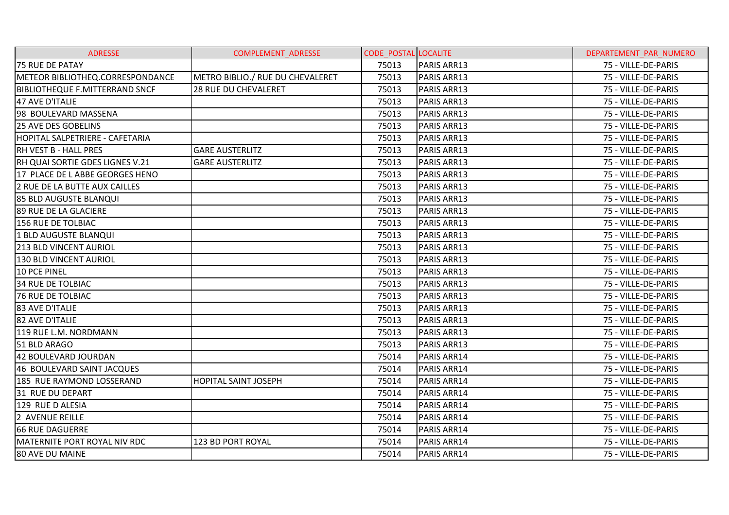| <b>ADRESSE</b>                        | <b>COMPLEMENT ADRESSE</b>        | <b>CODE POSTAL LOCALITE</b> |                    | DEPARTEMENT PAR NUMERO |
|---------------------------------------|----------------------------------|-----------------------------|--------------------|------------------------|
| 75 RUE DE PATAY                       |                                  | 75013                       | PARIS ARR13        | 75 - VILLE-DE-PARIS    |
| METEOR BIBLIOTHEQ.CORRESPONDANCE      | METRO BIBLIO./ RUE DU CHEVALERET | 75013                       | PARIS ARR13        | 75 - VILLE-DE-PARIS    |
| <b>BIBLIOTHEQUE F.MITTERRAND SNCF</b> | <b>28 RUE DU CHEVALERET</b>      | 75013                       | PARIS ARR13        | 75 - VILLE-DE-PARIS    |
| 47 AVE D'ITALIE                       |                                  | 75013                       | PARIS ARR13        | 75 - VILLE-DE-PARIS    |
| 98 BOULEVARD MASSENA                  |                                  | 75013                       | PARIS ARR13        | 75 - VILLE-DE-PARIS    |
| <b>25 AVE DES GOBELINS</b>            |                                  | 75013                       | PARIS ARR13        | 75 - VILLE-DE-PARIS    |
| HOPITAL SALPETRIERE - CAFETARIA       |                                  | 75013                       | PARIS ARR13        | 75 - VILLE-DE-PARIS    |
| RH VEST B - HALL PRES                 | <b>GARE AUSTERLITZ</b>           | 75013                       | PARIS ARR13        | 75 - VILLE-DE-PARIS    |
| RH QUAI SORTIE GDES LIGNES V.21       | <b>GARE AUSTERLITZ</b>           | 75013                       | PARIS ARR13        | 75 - VILLE-DE-PARIS    |
| 17 PLACE DE L ABBE GEORGES HENO       |                                  | 75013                       | PARIS ARR13        | 75 - VILLE-DE-PARIS    |
| 2 RUE DE LA BUTTE AUX CAILLES         |                                  | 75013                       | PARIS ARR13        | 75 - VILLE-DE-PARIS    |
| 85 BLD AUGUSTE BLANQUI                |                                  | 75013                       | PARIS ARR13        | 75 - VILLE-DE-PARIS    |
| 89 RUE DE LA GLACIERE                 |                                  | 75013                       | PARIS ARR13        | 75 - VILLE-DE-PARIS    |
| 156 RUE DE TOLBIAC                    |                                  | 75013                       | PARIS ARR13        | 75 - VILLE-DE-PARIS    |
| 1 BLD AUGUSTE BLANQUI                 |                                  | 75013                       | PARIS ARR13        | 75 - VILLE-DE-PARIS    |
| <b>213 BLD VINCENT AURIOL</b>         |                                  | 75013                       | PARIS ARR13        | 75 - VILLE-DE-PARIS    |
| 130 BLD VINCENT AURIOL                |                                  | 75013                       | PARIS ARR13        | 75 - VILLE-DE-PARIS    |
| 10 PCE PINEL                          |                                  | 75013                       | PARIS ARR13        | 75 - VILLE-DE-PARIS    |
| <b>34 RUE DE TOLBIAC</b>              |                                  | 75013                       | <b>PARIS ARR13</b> | 75 - VILLE-DE-PARIS    |
| <b>76 RUE DE TOLBIAC</b>              |                                  | 75013                       | PARIS ARR13        | 75 - VILLE-DE-PARIS    |
| 83 AVE D'ITALIE                       |                                  | 75013                       | PARIS ARR13        | 75 - VILLE-DE-PARIS    |
| 82 AVE D'ITALIE                       |                                  | 75013                       | PARIS ARR13        | 75 - VILLE-DE-PARIS    |
| 119 RUE L.M. NORDMANN                 |                                  | 75013                       | PARIS ARR13        | 75 - VILLE-DE-PARIS    |
| 51 BLD ARAGO                          |                                  | 75013                       | PARIS ARR13        | 75 - VILLE-DE-PARIS    |
| 42 BOULEVARD JOURDAN                  |                                  | 75014                       | PARIS ARR14        | 75 - VILLE-DE-PARIS    |
| 46 BOULEVARD SAINT JACQUES            |                                  | 75014                       | PARIS ARR14        | 75 - VILLE-DE-PARIS    |
| 185 RUE RAYMOND LOSSERAND             | <b>HOPITAL SAINT JOSEPH</b>      | 75014                       | PARIS ARR14        | 75 - VILLE-DE-PARIS    |
| 31 RUE DU DEPART                      |                                  | 75014                       | PARIS ARR14        | 75 - VILLE-DE-PARIS    |
| 129 RUE D ALESIA                      |                                  | 75014                       | PARIS ARR14        | 75 - VILLE-DE-PARIS    |
| 2 AVENUE REILLE                       |                                  | 75014                       | PARIS ARR14        | 75 - VILLE-DE-PARIS    |
| <b>66 RUE DAGUERRE</b>                |                                  | 75014                       | PARIS ARR14        | 75 - VILLE-DE-PARIS    |
| <b>MATERNITE PORT ROYAL NIV RDC</b>   | 123 BD PORT ROYAL                | 75014                       | PARIS ARR14        | 75 - VILLE-DE-PARIS    |
| 80 AVE DU MAINE                       |                                  | 75014                       | PARIS ARR14        | 75 - VILLE-DE-PARIS    |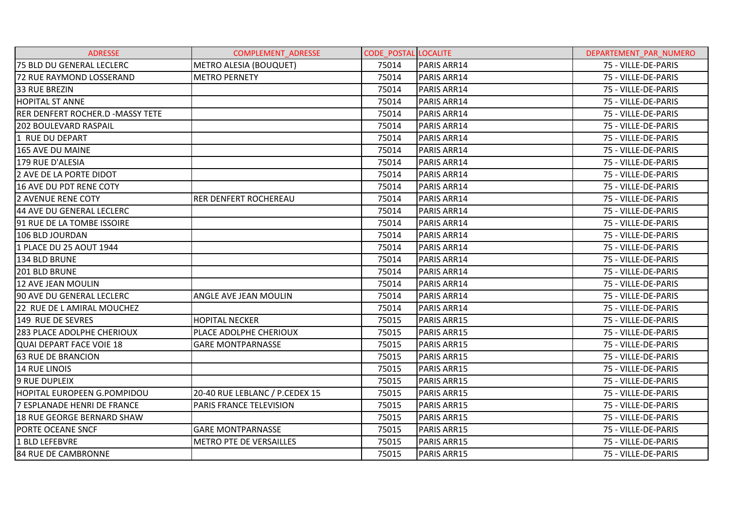| <b>ADRESSE</b>                     | <b>COMPLEMENT ADRESSE</b>      | <b>CODE POSTAL LOCALITE</b> |                    | DEPARTEMENT PAR NUMERO |
|------------------------------------|--------------------------------|-----------------------------|--------------------|------------------------|
| 75 BLD DU GENERAL LECLERC          | <b>METRO ALESIA (BOUQUET)</b>  | 75014                       | PARIS ARR14        | 75 - VILLE-DE-PARIS    |
| 72 RUE RAYMOND LOSSERAND           | <b>METRO PERNETY</b>           | 75014                       | PARIS ARR14        | 75 - VILLE-DE-PARIS    |
| <b>33 RUE BREZIN</b>               |                                | 75014                       | PARIS ARR14        | 75 - VILLE-DE-PARIS    |
| <b>HOPITAL ST ANNE</b>             |                                | 75014                       | PARIS ARR14        | 75 - VILLE-DE-PARIS    |
| RER DENFERT ROCHER.D - MASSY TETE  |                                | 75014                       | PARIS ARR14        | 75 - VILLE-DE-PARIS    |
| <b>202 BOULEVARD RASPAIL</b>       |                                | 75014                       | PARIS ARR14        | 75 - VILLE-DE-PARIS    |
| 1 RUE DU DEPART                    |                                | 75014                       | PARIS ARR14        | 75 - VILLE-DE-PARIS    |
| 165 AVE DU MAINE                   |                                | 75014                       | PARIS ARR14        | 75 - VILLE-DE-PARIS    |
| 179 RUE D'ALESIA                   |                                | 75014                       | <b>PARIS ARR14</b> | 75 - VILLE-DE-PARIS    |
| 2 AVE DE LA PORTE DIDOT            |                                | 75014                       | PARIS ARR14        | 75 - VILLE-DE-PARIS    |
| 16 AVE DU PDT RENE COTY            |                                | 75014                       | PARIS ARR14        | 75 - VILLE-DE-PARIS    |
| <b>2 AVENUE RENE COTY</b>          | <b>RER DENFERT ROCHEREAU</b>   | 75014                       | PARIS ARR14        | 75 - VILLE-DE-PARIS    |
| 44 AVE DU GENERAL LECLERC          |                                | 75014                       | PARIS ARR14        | 75 - VILLE-DE-PARIS    |
| 91 RUE DE LA TOMBE ISSOIRE         |                                | 75014                       | PARIS ARR14        | 75 - VILLE-DE-PARIS    |
| 106 BLD JOURDAN                    |                                | 75014                       | PARIS ARR14        | 75 - VILLE-DE-PARIS    |
| 1 PLACE DU 25 AOUT 1944            |                                | 75014                       | PARIS ARR14        | 75 - VILLE-DE-PARIS    |
| 134 BLD BRUNE                      |                                | 75014                       | PARIS ARR14        | 75 - VILLE-DE-PARIS    |
| 201 BLD BRUNE                      |                                | 75014                       | PARIS ARR14        | 75 - VILLE-DE-PARIS    |
| <b>12 AVE JEAN MOULIN</b>          |                                | 75014                       | PARIS ARR14        | 75 - VILLE-DE-PARIS    |
| 90 AVE DU GENERAL LECLERC          | ANGLE AVE JEAN MOULIN          | 75014                       | PARIS ARR14        | 75 - VILLE-DE-PARIS    |
| 22 RUE DE L AMIRAL MOUCHEZ         |                                | 75014                       | PARIS ARR14        | 75 - VILLE-DE-PARIS    |
| 149 RUE DE SEVRES                  | <b>HOPITAL NECKER</b>          | 75015                       | PARIS ARR15        | 75 - VILLE-DE-PARIS    |
| 283 PLACE ADOLPHE CHERIOUX         | PLACE ADOLPHE CHERIOUX         | 75015                       | PARIS ARR15        | 75 - VILLE-DE-PARIS    |
| QUAI DEPART FACE VOIE 18           | <b>GARE MONTPARNASSE</b>       | 75015                       | PARIS ARR15        | 75 - VILLE-DE-PARIS    |
| <b>63 RUE DE BRANCION</b>          |                                | 75015                       | PARIS ARR15        | 75 - VILLE-DE-PARIS    |
| <b>14 RUE LINOIS</b>               |                                | 75015                       | PARIS ARR15        | 75 - VILLE-DE-PARIS    |
| <b>9 RUE DUPLEIX</b>               |                                | 75015                       | PARIS ARR15        | 75 - VILLE-DE-PARIS    |
| <b>HOPITAL EUROPEEN G.POMPIDOU</b> | 20-40 RUE LEBLANC / P.CEDEX 15 | 75015                       | PARIS ARR15        | 75 - VILLE-DE-PARIS    |
| 7 ESPLANADE HENRI DE FRANCE        | PARIS FRANCE TELEVISION        | 75015                       | PARIS ARR15        | 75 - VILLE-DE-PARIS    |
| <b>18 RUE GEORGE BERNARD SHAW</b>  |                                | 75015                       | PARIS ARR15        | 75 - VILLE-DE-PARIS    |
| PORTE OCEANE SNCF                  | <b>GARE MONTPARNASSE</b>       | 75015                       | PARIS ARR15        | 75 - VILLE-DE-PARIS    |
| 1 BLD LEFEBVRE                     | <b>METRO PTE DE VERSAILLES</b> | 75015                       | PARIS ARR15        | 75 - VILLE-DE-PARIS    |
| 84 RUE DE CAMBRONNE                |                                | 75015                       | PARIS ARR15        | 75 - VILLE-DE-PARIS    |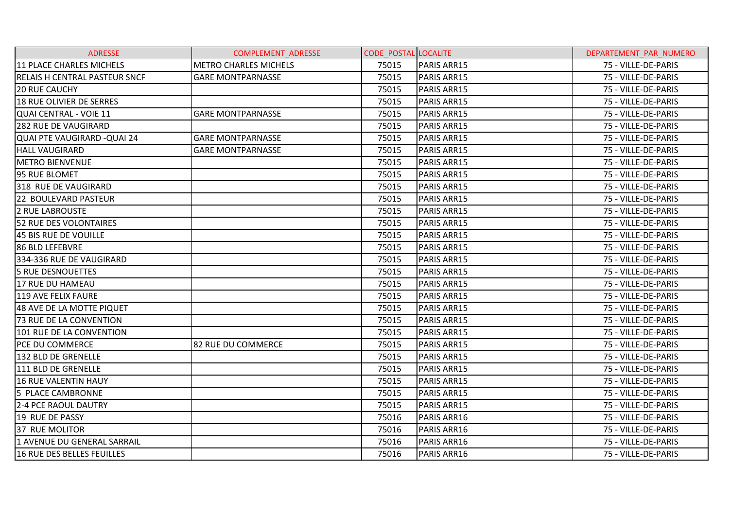| <b>ADRESSE</b>                       | <b>COMPLEMENT ADRESSE</b>    | <b>CODE POSTAL LOCALITE</b> |                    | DEPARTEMENT PAR NUMERO |
|--------------------------------------|------------------------------|-----------------------------|--------------------|------------------------|
| 11 PLACE CHARLES MICHELS             | <b>METRO CHARLES MICHELS</b> | 75015                       | PARIS ARR15        | 75 - VILLE-DE-PARIS    |
| <b>RELAIS H CENTRAL PASTEUR SNCF</b> | <b>GARE MONTPARNASSE</b>     | 75015                       | PARIS ARR15        | 75 - VILLE-DE-PARIS    |
| <b>20 RUE CAUCHY</b>                 |                              | 75015                       | PARIS ARR15        | 75 - VILLE-DE-PARIS    |
| <b>18 RUE OLIVIER DE SERRES</b>      |                              | 75015                       | PARIS ARR15        | 75 - VILLE-DE-PARIS    |
| QUAI CENTRAL - VOIE 11               | <b>GARE MONTPARNASSE</b>     | 75015                       | PARIS ARR15        | 75 - VILLE-DE-PARIS    |
| <b>282 RUE DE VAUGIRARD</b>          |                              | 75015                       | <b>PARIS ARR15</b> | 75 - VILLE-DE-PARIS    |
| QUAI PTE VAUGIRARD - QUAI 24         | <b>GARE MONTPARNASSE</b>     | 75015                       | PARIS ARR15        | 75 - VILLE-DE-PARIS    |
| <b>HALL VAUGIRARD</b>                | <b>GARE MONTPARNASSE</b>     | 75015                       | PARIS ARR15        | 75 - VILLE-DE-PARIS    |
| <b>METRO BIENVENUE</b>               |                              | 75015                       | <b>PARIS ARR15</b> | 75 - VILLE-DE-PARIS    |
| 95 RUE BLOMET                        |                              | 75015                       | PARIS ARR15        | 75 - VILLE-DE-PARIS    |
| 318 RUE DE VAUGIRARD                 |                              | 75015                       | PARIS ARR15        | 75 - VILLE-DE-PARIS    |
| 22 BOULEVARD PASTEUR                 |                              | 75015                       | PARIS ARR15        | 75 - VILLE-DE-PARIS    |
| 2 RUE LABROUSTE                      |                              | 75015                       | PARIS ARR15        | 75 - VILLE-DE-PARIS    |
| 52 RUE DES VOLONTAIRES               |                              | 75015                       | PARIS ARR15        | 75 - VILLE-DE-PARIS    |
| 45 BIS RUE DE VOUILLE                |                              | 75015                       | <b>PARIS ARR15</b> | 75 - VILLE-DE-PARIS    |
| 86 BLD LEFEBVRE                      |                              | 75015                       | PARIS ARR15        | 75 - VILLE-DE-PARIS    |
| 334-336 RUE DE VAUGIRARD             |                              | 75015                       | PARIS ARR15        | 75 - VILLE-DE-PARIS    |
| 5 RUE DESNOUETTES                    |                              | 75015                       | PARIS ARR15        | 75 - VILLE-DE-PARIS    |
| 17 RUE DU HAMEAU                     |                              | 75015                       | <b>PARIS ARR15</b> | 75 - VILLE-DE-PARIS    |
| <b>119 AVE FELIX FAURE</b>           |                              | 75015                       | PARIS ARR15        | 75 - VILLE-DE-PARIS    |
| 48 AVE DE LA MOTTE PIQUET            |                              | 75015                       | PARIS ARR15        | 75 - VILLE-DE-PARIS    |
| <b>73 RUE DE LA CONVENTION</b>       |                              | 75015                       | <b>PARIS ARR15</b> | 75 - VILLE-DE-PARIS    |
| 101 RUE DE LA CONVENTION             |                              | 75015                       | PARIS ARR15        | 75 - VILLE-DE-PARIS    |
| <b>PCE DU COMMERCE</b>               | <b>82 RUE DU COMMERCE</b>    | 75015                       | PARIS ARR15        | 75 - VILLE-DE-PARIS    |
| 132 BLD DE GRENELLE                  |                              | 75015                       | PARIS ARR15        | 75 - VILLE-DE-PARIS    |
| 111 BLD DE GRENELLE                  |                              | 75015                       | PARIS ARR15        | 75 - VILLE-DE-PARIS    |
| <b>16 RUE VALENTIN HAUY</b>          |                              | 75015                       | PARIS ARR15        | 75 - VILLE-DE-PARIS    |
| 5 PLACE CAMBRONNE                    |                              | 75015                       | PARIS ARR15        | 75 - VILLE-DE-PARIS    |
| <b>2-4 PCE RAOUL DAUTRY</b>          |                              | 75015                       | PARIS ARR15        | 75 - VILLE-DE-PARIS    |
| 19 RUE DE PASSY                      |                              | 75016                       | PARIS ARR16        | 75 - VILLE-DE-PARIS    |
| <b>37 RUE MOLITOR</b>                |                              | 75016                       | PARIS ARR16        | 75 - VILLE-DE-PARIS    |
| 1 AVENUE DU GENERAL SARRAIL          |                              | 75016                       | PARIS ARR16        | 75 - VILLE-DE-PARIS    |
| 16 RUE DES BELLES FEUILLES           |                              | 75016                       | PARIS ARR16        | 75 - VILLE-DE-PARIS    |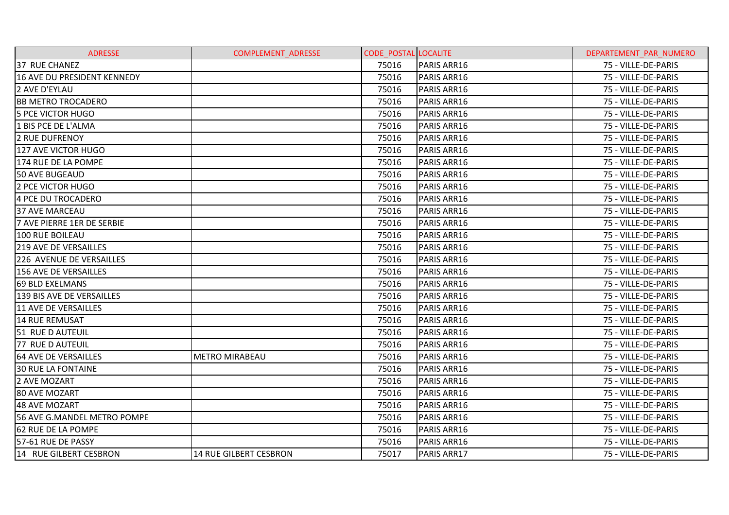| <b>ADRESSE</b>               | <b>COMPLEMENT ADRESSE</b> | <b>CODE POSTAL LOCALITE</b> |             | DEPARTEMENT PAR NUMERO |
|------------------------------|---------------------------|-----------------------------|-------------|------------------------|
| 37 RUE CHANEZ                |                           | 75016                       | PARIS ARR16 | 75 - VILLE-DE-PARIS    |
| 16 AVE DU PRESIDENT KENNEDY  |                           | 75016                       | PARIS ARR16 | 75 - VILLE-DE-PARIS    |
| 2 AVE D'EYLAU                |                           | 75016                       | PARIS ARR16 | 75 - VILLE-DE-PARIS    |
| <b>BB METRO TROCADERO</b>    |                           | 75016                       | PARIS ARR16 | 75 - VILLE-DE-PARIS    |
| <b>5 PCE VICTOR HUGO</b>     |                           | 75016                       | PARIS ARR16 | 75 - VILLE-DE-PARIS    |
| 1 BIS PCE DE L'ALMA          |                           | 75016                       | PARIS ARR16 | 75 - VILLE-DE-PARIS    |
| <b>2 RUE DUFRENOY</b>        |                           | 75016                       | PARIS ARR16 | 75 - VILLE-DE-PARIS    |
| 127 AVE VICTOR HUGO          |                           | 75016                       | PARIS ARR16 | 75 - VILLE-DE-PARIS    |
| 174 RUE DE LA POMPE          |                           | 75016                       | PARIS ARR16 | 75 - VILLE-DE-PARIS    |
| <b>50 AVE BUGEAUD</b>        |                           | 75016                       | PARIS ARR16 | 75 - VILLE-DE-PARIS    |
| 2 PCE VICTOR HUGO            |                           | 75016                       | PARIS ARR16 | 75 - VILLE-DE-PARIS    |
| 4 PCE DU TROCADERO           |                           | 75016                       | PARIS ARR16 | 75 - VILLE-DE-PARIS    |
| <b>37 AVE MARCEAU</b>        |                           | 75016                       | PARIS ARR16 | 75 - VILLE-DE-PARIS    |
| 7 AVE PIERRE 1ER DE SERBIE   |                           | 75016                       | PARIS ARR16 | 75 - VILLE-DE-PARIS    |
| 100 RUE BOILEAU              |                           | 75016                       | PARIS ARR16 | 75 - VILLE-DE-PARIS    |
| 219 AVE DE VERSAILLES        |                           | 75016                       | PARIS ARR16 | 75 - VILLE-DE-PARIS    |
| 226 AVENUE DE VERSAILLES     |                           | 75016                       | PARIS ARR16 | 75 - VILLE-DE-PARIS    |
| <b>156 AVE DE VERSAILLES</b> |                           | 75016                       | PARIS ARR16 | 75 - VILLE-DE-PARIS    |
| 69 BLD EXELMANS              |                           | 75016                       | PARIS ARR16 | 75 - VILLE-DE-PARIS    |
| 139 BIS AVE DE VERSAILLES    |                           | 75016                       | PARIS ARR16 | 75 - VILLE-DE-PARIS    |
| 11 AVE DE VERSAILLES         |                           | 75016                       | PARIS ARR16 | 75 - VILLE-DE-PARIS    |
| 14 RUE REMUSAT               |                           | 75016                       | PARIS ARR16 | 75 - VILLE-DE-PARIS    |
| 51 RUE D AUTEUIL             |                           | 75016                       | PARIS ARR16 | 75 - VILLE-DE-PARIS    |
| 77 RUE D AUTEUIL             |                           | 75016                       | PARIS ARR16 | 75 - VILLE-DE-PARIS    |
| 64 AVE DE VERSAILLES         | <b>METRO MIRABEAU</b>     | 75016                       | PARIS ARR16 | 75 - VILLE-DE-PARIS    |
| <b>30 RUE LA FONTAINE</b>    |                           | 75016                       | PARIS ARR16 | 75 - VILLE-DE-PARIS    |
| 2 AVE MOZART                 |                           | 75016                       | PARIS ARR16 | 75 - VILLE-DE-PARIS    |
| <b>80 AVE MOZART</b>         |                           | 75016                       | PARIS ARR16 | 75 - VILLE-DE-PARIS    |
| 48 AVE MOZART                |                           | 75016                       | PARIS ARR16 | 75 - VILLE-DE-PARIS    |
| 56 AVE G.MANDEL METRO POMPE  |                           | 75016                       | PARIS ARR16 | 75 - VILLE-DE-PARIS    |
| 62 RUE DE LA POMPE           |                           | 75016                       | PARIS ARR16 | 75 - VILLE-DE-PARIS    |
| 57-61 RUE DE PASSY           |                           | 75016                       | PARIS ARR16 | 75 - VILLE-DE-PARIS    |
| 14 RUE GILBERT CESBRON       | 14 RUE GILBERT CESBRON    | 75017                       | PARIS ARR17 | 75 - VILLE-DE-PARIS    |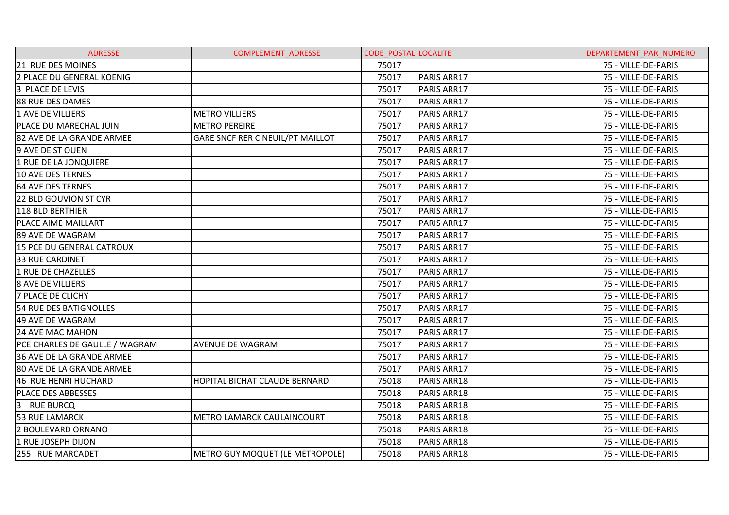| <b>ADRESSE</b>                     | <b>COMPLEMENT ADRESSE</b>         | <b>CODE_POSTAL LOCALITE</b> |             | DEPARTEMENT PAR NUMERO |
|------------------------------------|-----------------------------------|-----------------------------|-------------|------------------------|
| 21 RUE DES MOINES                  |                                   | 75017                       |             | 75 - VILLE-DE-PARIS    |
| 2 PLACE DU GENERAL KOENIG          |                                   | 75017                       | PARIS ARR17 | 75 - VILLE-DE-PARIS    |
| 3 PLACE DE LEVIS                   |                                   | 75017                       | PARIS ARR17 | 75 - VILLE-DE-PARIS    |
| 88 RUE DES DAMES                   |                                   | 75017                       | PARIS ARR17 | 75 - VILLE-DE-PARIS    |
| 1 AVE DE VILLIERS                  | <b>METRO VILLIERS</b>             | 75017                       | PARIS ARR17 | 75 - VILLE-DE-PARIS    |
| PLACE DU MARECHAL JUIN             | <b>METRO PEREIRE</b>              | 75017                       | PARIS ARR17 | 75 - VILLE-DE-PARIS    |
| 82 AVE DE LA GRANDE ARMEE          | GARE SNCF RER C NEUIL/PT MAILLOT  | 75017                       | PARIS ARR17 | 75 - VILLE-DE-PARIS    |
| 9 AVE DE ST OUEN                   |                                   | 75017                       | PARIS ARR17 | 75 - VILLE-DE-PARIS    |
| 1 RUE DE LA JONQUIERE              |                                   | 75017                       | PARIS ARR17 | 75 - VILLE-DE-PARIS    |
| <b>10 AVE DES TERNES</b>           |                                   | 75017                       | PARIS ARR17 | 75 - VILLE-DE-PARIS    |
| 64 AVE DES TERNES                  |                                   | 75017                       | PARIS ARR17 | 75 - VILLE-DE-PARIS    |
| <b>22 BLD GOUVION ST CYR</b>       |                                   | 75017                       | PARIS ARR17 | 75 - VILLE-DE-PARIS    |
| 118 BLD BERTHIER                   |                                   | 75017                       | PARIS ARR17 | 75 - VILLE-DE-PARIS    |
| PLACE AIME MAILLART                |                                   | 75017                       | PARIS ARR17 | 75 - VILLE-DE-PARIS    |
| 89 AVE DE WAGRAM                   |                                   | 75017                       | PARIS ARR17 | 75 - VILLE-DE-PARIS    |
| 15 PCE DU GENERAL CATROUX          |                                   | 75017                       | PARIS ARR17 | 75 - VILLE-DE-PARIS    |
| <b>33 RUE CARDINET</b>             |                                   | 75017                       | PARIS ARR17 | 75 - VILLE-DE-PARIS    |
| 1 RUE DE CHAZELLES                 |                                   | 75017                       | PARIS ARR17 | 75 - VILLE-DE-PARIS    |
| 8 AVE DE VILLIERS                  |                                   | 75017                       | PARIS ARR17 | 75 - VILLE-DE-PARIS    |
| <b>7 PLACE DE CLICHY</b>           |                                   | 75017                       | PARIS ARR17 | 75 - VILLE-DE-PARIS    |
| <b>54 RUE DES BATIGNOLLES</b>      |                                   | 75017                       | PARIS ARR17 | 75 - VILLE-DE-PARIS    |
| 49 AVE DE WAGRAM                   |                                   | 75017                       | PARIS ARR17 | 75 - VILLE-DE-PARIS    |
| 24 AVE MAC MAHON                   |                                   | 75017                       | PARIS ARR17 | 75 - VILLE-DE-PARIS    |
| PCE CHARLES DE GAULLE / WAGRAM     | AVENUE DE WAGRAM                  | 75017                       | PARIS ARR17 | 75 - VILLE-DE-PARIS    |
| 36 AVE DE LA GRANDE ARMEE          |                                   | 75017                       | PARIS ARR17 | 75 - VILLE-DE-PARIS    |
| 80 AVE DE LA GRANDE ARMEE          |                                   | 75017                       | PARIS ARR17 | 75 - VILLE-DE-PARIS    |
| 46 RUE HENRI HUCHARD               | HOPITAL BICHAT CLAUDE BERNARD     | 75018                       | PARIS ARR18 | 75 - VILLE-DE-PARIS    |
| PLACE DES ABBESSES                 |                                   | 75018                       | PARIS ARR18 | 75 - VILLE-DE-PARIS    |
| 3 <sup>1</sup><br><b>RUE BURCQ</b> |                                   | 75018                       | PARIS ARR18 | 75 - VILLE-DE-PARIS    |
| <b>53 RUE LAMARCK</b>              | <b>METRO LAMARCK CAULAINCOURT</b> | 75018                       | PARIS ARR18 | 75 - VILLE-DE-PARIS    |
| 2 BOULEVARD ORNANO                 |                                   | 75018                       | PARIS ARR18 | 75 - VILLE-DE-PARIS    |
| 1 RUE JOSEPH DIJON                 |                                   | 75018                       | PARIS ARR18 | 75 - VILLE-DE-PARIS    |
| 255 RUE MARCADET                   | METRO GUY MOQUET (LE METROPOLE)   | 75018                       | PARIS ARR18 | 75 - VILLE-DE-PARIS    |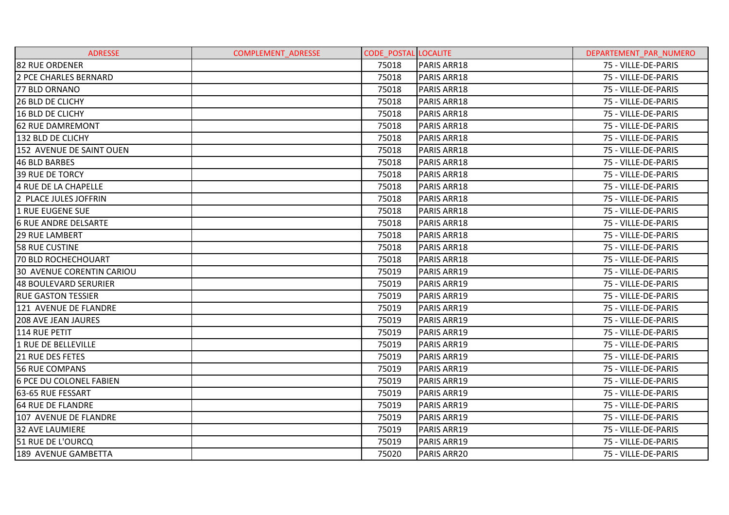| <b>ADRESSE</b>                   | <b>COMPLEMENT ADRESSE</b> | <b>CODE_POSTAL LOCALITE</b> |                    | DEPARTEMENT PAR NUMERO |
|----------------------------------|---------------------------|-----------------------------|--------------------|------------------------|
| <b>82 RUE ORDENER</b>            |                           | 75018                       | PARIS ARR18        | 75 - VILLE-DE-PARIS    |
| <b>2 PCE CHARLES BERNARD</b>     |                           | 75018                       | PARIS ARR18        | 75 - VILLE-DE-PARIS    |
| 77 BLD ORNANO                    |                           | 75018                       | PARIS ARR18        | 75 - VILLE-DE-PARIS    |
| 26 BLD DE CLICHY                 |                           | 75018                       | PARIS ARR18        | 75 - VILLE-DE-PARIS    |
| 16 BLD DE CLICHY                 |                           | 75018                       | <b>PARIS ARR18</b> | 75 - VILLE-DE-PARIS    |
| <b>62 RUE DAMREMONT</b>          |                           | 75018                       | <b>PARIS ARR18</b> | 75 - VILLE-DE-PARIS    |
| 132 BLD DE CLICHY                |                           | 75018                       | PARIS ARR18        | 75 - VILLE-DE-PARIS    |
| 152 AVENUE DE SAINT OUEN         |                           | 75018                       | PARIS ARR18        | 75 - VILLE-DE-PARIS    |
| 46 BLD BARBES                    |                           | 75018                       | PARIS ARR18        | 75 - VILLE-DE-PARIS    |
| <b>39 RUE DE TORCY</b>           |                           | 75018                       | PARIS ARR18        | 75 - VILLE-DE-PARIS    |
| 4 RUE DE LA CHAPELLE             |                           | 75018                       | PARIS ARR18        | 75 - VILLE-DE-PARIS    |
| 2 PLACE JULES JOFFRIN            |                           | 75018                       | <b>PARIS ARR18</b> | 75 - VILLE-DE-PARIS    |
| 1 RUE EUGENE SUE                 |                           | 75018                       | PARIS ARR18        | 75 - VILLE-DE-PARIS    |
| <b>6 RUE ANDRE DELSARTE</b>      |                           | 75018                       | <b>PARIS ARR18</b> | 75 - VILLE-DE-PARIS    |
| <b>29 RUE LAMBERT</b>            |                           | 75018                       | <b>PARIS ARR18</b> | 75 - VILLE-DE-PARIS    |
| <b>58 RUE CUSTINE</b>            |                           | 75018                       | PARIS ARR18        | 75 - VILLE-DE-PARIS    |
| <b>70 BLD ROCHECHOUART</b>       |                           | 75018                       | <b>PARIS ARR18</b> | 75 - VILLE-DE-PARIS    |
| <b>30 AVENUE CORENTIN CARIOU</b> |                           | 75019                       | PARIS ARR19        | 75 - VILLE-DE-PARIS    |
| 48 BOULEVARD SERURIER            |                           | 75019                       | PARIS ARR19        | 75 - VILLE-DE-PARIS    |
| <b>RUE GASTON TESSIER</b>        |                           | 75019                       | PARIS ARR19        | 75 - VILLE-DE-PARIS    |
| 121 AVENUE DE FLANDRE            |                           | 75019                       | PARIS ARR19        | 75 - VILLE-DE-PARIS    |
| <b>208 AVE JEAN JAURES</b>       |                           | 75019                       | <b>PARIS ARR19</b> | 75 - VILLE-DE-PARIS    |
| 114 RUE PETIT                    |                           | 75019                       | PARIS ARR19        | 75 - VILLE-DE-PARIS    |
| 1 RUE DE BELLEVILLE              |                           | 75019                       | PARIS ARR19        | 75 - VILLE-DE-PARIS    |
| <b>21 RUE DES FETES</b>          |                           | 75019                       | PARIS ARR19        | 75 - VILLE-DE-PARIS    |
| <b>56 RUE COMPANS</b>            |                           | 75019                       | <b>PARIS ARR19</b> | 75 - VILLE-DE-PARIS    |
| <b>6 PCE DU COLONEL FABIEN</b>   |                           | 75019                       | PARIS ARR19        | 75 - VILLE-DE-PARIS    |
| 63-65 RUE FESSART                |                           | 75019                       | PARIS ARR19        | 75 - VILLE-DE-PARIS    |
| 64 RUE DE FLANDRE                |                           | 75019                       | PARIS ARR19        | 75 - VILLE-DE-PARIS    |
| 107 AVENUE DE FLANDRE            |                           | 75019                       | PARIS ARR19        | 75 - VILLE-DE-PARIS    |
| <b>32 AVE LAUMIERE</b>           |                           | 75019                       | PARIS ARR19        | 75 - VILLE-DE-PARIS    |
| 51 RUE DE L'OURCQ                |                           | 75019                       | PARIS ARR19        | 75 - VILLE-DE-PARIS    |
| 189 AVENUE GAMBETTA              |                           | 75020                       | PARIS ARR20        | 75 - VILLE-DE-PARIS    |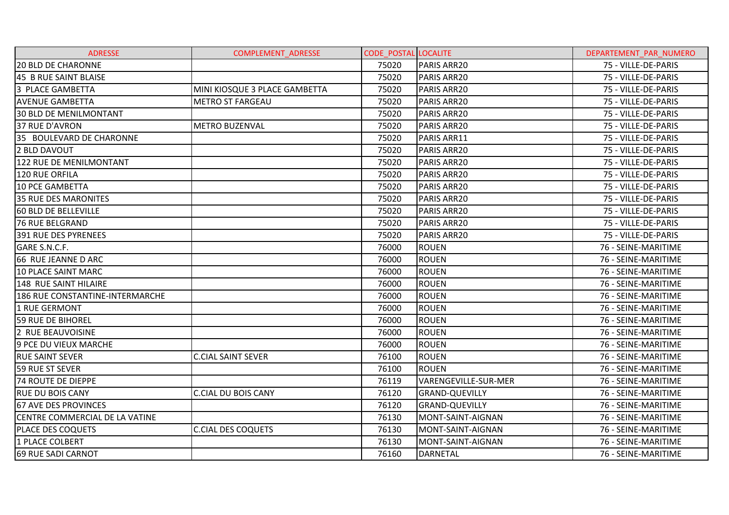| <b>ADRESSE</b>                         | <b>COMPLEMENT ADRESSE</b>     | <b>CODE POSTAL LOCALITE</b> |                       | DEPARTEMENT PAR NUMERO |
|----------------------------------------|-------------------------------|-----------------------------|-----------------------|------------------------|
| <b>20 BLD DE CHARONNE</b>              |                               | 75020                       | PARIS ARR20           | 75 - VILLE-DE-PARIS    |
| 45 B RUE SAINT BLAISE                  |                               | 75020                       | PARIS ARR20           | 75 - VILLE-DE-PARIS    |
| 3 PLACE GAMBETTA                       | MINI KIOSQUE 3 PLACE GAMBETTA | 75020                       | PARIS ARR20           | 75 - VILLE-DE-PARIS    |
| <b>AVENUE GAMBETTA</b>                 | <b>METRO ST FARGEAU</b>       | 75020                       | PARIS ARR20           | 75 - VILLE-DE-PARIS    |
| <b>30 BLD DE MENILMONTANT</b>          |                               | 75020                       | <b>PARIS ARR20</b>    | 75 - VILLE-DE-PARIS    |
| 37 RUE D'AVRON                         | <b>METRO BUZENVAL</b>         | 75020                       | PARIS ARR20           | 75 - VILLE-DE-PARIS    |
| 35 BOULEVARD DE CHARONNE               |                               | 75020                       | PARIS ARR11           | 75 - VILLE-DE-PARIS    |
| 2 BLD DAVOUT                           |                               | 75020                       | PARIS ARR20           | 75 - VILLE-DE-PARIS    |
| 122 RUE DE MENILMONTANT                |                               | 75020                       | PARIS ARR20           | 75 - VILLE-DE-PARIS    |
| 120 RUE ORFILA                         |                               | 75020                       | PARIS ARR20           | 75 - VILLE-DE-PARIS    |
| <b>10 PCE GAMBETTA</b>                 |                               | 75020                       | <b>PARIS ARR20</b>    | 75 - VILLE-DE-PARIS    |
| <b>35 RUE DES MARONITES</b>            |                               | 75020                       | PARIS ARR20           | 75 - VILLE-DE-PARIS    |
| 60 BLD DE BELLEVILLE                   |                               | 75020                       | PARIS ARR20           | 75 - VILLE-DE-PARIS    |
| <b>76 RUE BELGRAND</b>                 |                               | 75020                       | PARIS ARR20           | 75 - VILLE-DE-PARIS    |
| 391 RUE DES PYRENEES                   |                               | 75020                       | PARIS ARR20           | 75 - VILLE-DE-PARIS    |
| GARE S.N.C.F.                          |                               | 76000                       | IROUEN                | 76 - SEINE-MARITIME    |
| 66 RUE JEANNE D ARC                    |                               | 76000                       | <b>ROUEN</b>          | 76 - SEINE-MARITIME    |
| 10 PLACE SAINT MARC                    |                               | 76000                       | <b>ROUEN</b>          | 76 - SEINE-MARITIME    |
| 148 RUE SAINT HILAIRE                  |                               | 76000                       | <b>ROUEN</b>          | 76 - SEINE-MARITIME    |
| <b>186 RUE CONSTANTINE-INTERMARCHE</b> |                               | 76000                       | <b>ROUEN</b>          | 76 - SEINE-MARITIME    |
| 1 RUE GERMONT                          |                               | 76000                       | <b>ROUEN</b>          | 76 - SEINE-MARITIME    |
| <b>59 RUE DE BIHOREL</b>               |                               | 76000                       | <b>ROUEN</b>          | 76 - SEINE-MARITIME    |
| 2 RUE BEAUVOISINE                      |                               | 76000                       | <b>ROUEN</b>          | 76 - SEINE-MARITIME    |
| 9 PCE DU VIEUX MARCHE                  |                               | 76000                       | <b>ROUEN</b>          | 76 - SEINE-MARITIME    |
| <b>RUE SAINT SEVER</b>                 | <b>C.CIAL SAINT SEVER</b>     | 76100                       | <b>ROUEN</b>          | 76 - SEINE-MARITIME    |
| 59 RUE ST SEVER                        |                               | 76100                       | <b>ROUEN</b>          | 76 - SEINE-MARITIME    |
| <b>74 ROUTE DE DIEPPE</b>              |                               | 76119                       | VARENGEVILLE-SUR-MER  | 76 - SEINE-MARITIME    |
| <b>RUE DU BOIS CANY</b>                | <b>C.CIAL DU BOIS CANY</b>    | 76120                       | <b>GRAND-QUEVILLY</b> | 76 - SEINE-MARITIME    |
| 67 AVE DES PROVINCES                   |                               | 76120                       | <b>GRAND-QUEVILLY</b> | 76 - SEINE-MARITIME    |
| CENTRE COMMERCIAL DE LA VATINE         |                               | 76130                       | MONT-SAINT-AIGNAN     | 76 - SEINE-MARITIME    |
| <b>PLACE DES COQUETS</b>               | <b>C.CIAL DES COQUETS</b>     | 76130                       | MONT-SAINT-AIGNAN     | 76 - SEINE-MARITIME    |
| 1 PLACE COLBERT                        |                               | 76130                       | MONT-SAINT-AIGNAN     | 76 - SEINE-MARITIME    |
| 69 RUE SADI CARNOT                     |                               | 76160                       | <b>DARNETAL</b>       | 76 - SEINE-MARITIME    |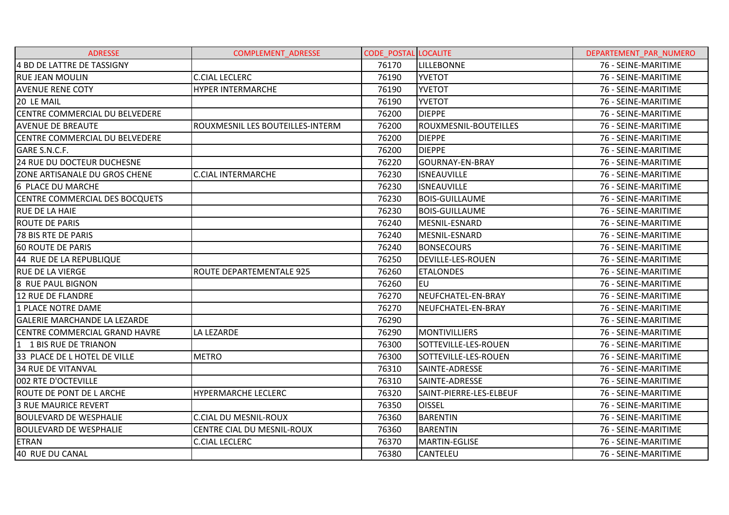| <b>ADRESSE</b>                       | COMPLEMENT_ADRESSE               | <b>CODE POSTAL LOCALITE</b> |                          | DEPARTEMENT_PAR_NUMERO |
|--------------------------------------|----------------------------------|-----------------------------|--------------------------|------------------------|
| 4 BD DE LATTRE DE TASSIGNY           |                                  | 76170                       | <b>LILLEBONNE</b>        | 76 - SEINE-MARITIME    |
| <b>RUE JEAN MOULIN</b>               | <b>C.CIAL LECLERC</b>            | 76190                       | <b>YVETOT</b>            | 76 - SEINE-MARITIME    |
| <b>AVENUE RENE COTY</b>              | <b>HYPER INTERMARCHE</b>         | 76190                       | <b>YVETOT</b>            | 76 - SEINE-MARITIME    |
| 20 LE MAIL                           |                                  | 76190                       | <b>YVETOT</b>            | 76 - SEINE-MARITIME    |
| CENTRE COMMERCIAL DU BELVEDERE       |                                  | 76200                       | <b>DIEPPE</b>            | 76 - SEINE-MARITIME    |
| <b>AVENUE DE BREAUTE</b>             | ROUXMESNIL LES BOUTEILLES-INTERM | 76200                       | ROUXMESNIL-BOUTEILLES    | 76 - SEINE-MARITIME    |
| CENTRE COMMERCIAL DU BELVEDERE       |                                  | 76200                       | <b>DIEPPE</b>            | 76 - SEINE-MARITIME    |
| GARE S.N.C.F.                        |                                  | 76200                       | <b>DIEPPE</b>            | 76 - SEINE-MARITIME    |
| 24 RUE DU DOCTEUR DUCHESNE           |                                  | 76220                       | <b>GOURNAY-EN-BRAY</b>   | 76 - SEINE-MARITIME    |
| ZONE ARTISANALE DU GROS CHENE        | <b>C.CIAL INTERMARCHE</b>        | 76230                       | <b>ISNEAUVILLE</b>       | 76 - SEINE-MARITIME    |
| 6 PLACE DU MARCHE                    |                                  | 76230                       | <b>ISNEAUVILLE</b>       | 76 - SEINE-MARITIME    |
| CENTRE COMMERCIAL DES BOCQUETS       |                                  | 76230                       | <b>BOIS-GUILLAUME</b>    | 76 - SEINE-MARITIME    |
| <b>RUE DE LA HAIE</b>                |                                  | 76230                       | <b>BOIS-GUILLAUME</b>    | 76 - SEINE-MARITIME    |
| <b>ROUTE DE PARIS</b>                |                                  | 76240                       | MESNIL-ESNARD            | 76 - SEINE-MARITIME    |
| 78 BIS RTE DE PARIS                  |                                  | 76240                       | MESNIL-ESNARD            | 76 - SEINE-MARITIME    |
| 60 ROUTE DE PARIS                    |                                  | 76240                       | <b>BONSECOURS</b>        | 76 - SEINE-MARITIME    |
| 44 RUE DE LA REPUBLIQUE              |                                  | 76250                       | <b>DEVILLE-LES-ROUEN</b> | 76 - SEINE-MARITIME    |
| <b>RUE DE LA VIERGE</b>              | ROUTE DEPARTEMENTALE 925         | 76260                       | <b>ETALONDES</b>         | 76 - SEINE-MARITIME    |
| 8 RUE PAUL BIGNON                    |                                  | 76260                       | leu                      | 76 - SEINE-MARITIME    |
| 12 RUE DE FLANDRE                    |                                  | 76270                       | NEUFCHATEL-EN-BRAY       | 76 - SEINE-MARITIME    |
| 1 PLACE NOTRE DAME                   |                                  | 76270                       | NEUFCHATEL-EN-BRAY       | 76 - SEINE-MARITIME    |
| <b>GALERIE MARCHANDE LA LEZARDE</b>  |                                  | 76290                       |                          | 76 - SEINE-MARITIME    |
| <b>CENTRE COMMERCIAL GRAND HAVRE</b> | LA LEZARDE                       | 76290                       | <b>MONTIVILLIERS</b>     | 76 - SEINE-MARITIME    |
| 1 1 BIS RUE DE TRIANON               |                                  | 76300                       | SOTTEVILLE-LES-ROUEN     | 76 - SEINE-MARITIME    |
| 33 PLACE DE L HOTEL DE VILLE         | <b>METRO</b>                     | 76300                       | SOTTEVILLE-LES-ROUEN     | 76 - SEINE-MARITIME    |
| <b>34 RUE DE VITANVAL</b>            |                                  | 76310                       | SAINTE-ADRESSE           | 76 - SEINE-MARITIME    |
| 002 RTE D'OCTEVILLE                  |                                  | 76310                       | SAINTE-ADRESSE           | 76 - SEINE-MARITIME    |
| <b>ROUTE DE PONT DE LARCHE</b>       | HYPERMARCHE LECLERC              | 76320                       | SAINT-PIERRE-LES-ELBEUF  | 76 - SEINE-MARITIME    |
| <b>3 RUE MAURICE REVERT</b>          |                                  | 76350                       | <b>OISSEL</b>            | 76 - SEINE-MARITIME    |
| <b>BOULEVARD DE WESPHALIE</b>        | <b>C.CIAL DU MESNIL-ROUX</b>     | 76360                       | <b>BARENTIN</b>          | 76 - SEINE-MARITIME    |
| <b>BOULEVARD DE WESPHALIE</b>        | CENTRE CIAL DU MESNIL-ROUX       | 76360                       | <b>BARENTIN</b>          | 76 - SEINE-MARITIME    |
| <b>ETRAN</b>                         | <b>C.CIAL LECLERC</b>            | 76370                       | MARTIN-EGLISE            | 76 - SEINE-MARITIME    |
| 40 RUE DU CANAL                      |                                  | 76380                       | <b>CANTELEU</b>          | 76 - SEINE-MARITIME    |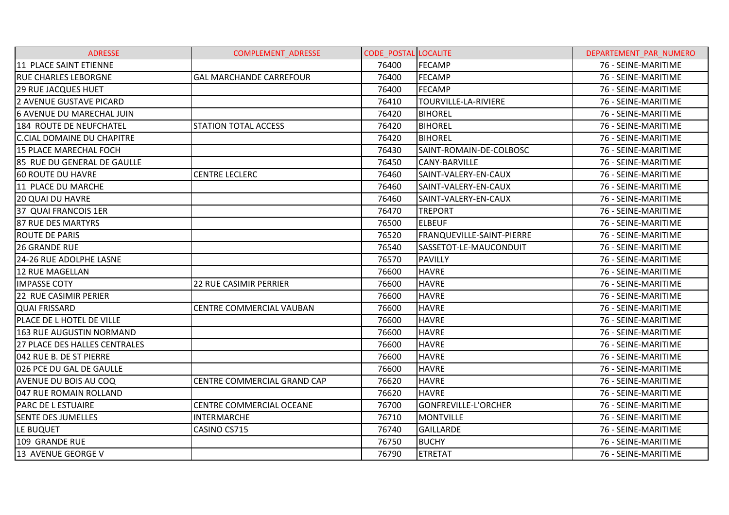| <b>ADRESSE</b>                    | <b>COMPLEMENT ADRESSE</b>      | <b>CODE POSTAL LOCALITE</b> |                           | DEPARTEMENT PAR NUMERO |
|-----------------------------------|--------------------------------|-----------------------------|---------------------------|------------------------|
| 11 PLACE SAINT ETIENNE            |                                | 76400                       | FECAMP                    | 76 - SEINE-MARITIME    |
| <b>RUE CHARLES LEBORGNE</b>       | <b>GAL MARCHANDE CARREFOUR</b> | 76400                       | <b>FECAMP</b>             | 76 - SEINE-MARITIME    |
| <b>29 RUE JACQUES HUET</b>        |                                | 76400                       | <b>FECAMP</b>             | 76 - SEINE-MARITIME    |
| 2 AVENUE GUSTAVE PICARD           |                                | 76410                       | TOURVILLE-LA-RIVIERE      | 76 - SEINE-MARITIME    |
| 6 AVENUE DU MARECHAL JUIN         |                                | 76420                       | <b>BIHOREL</b>            | 76 - SEINE-MARITIME    |
| 184 ROUTE DE NEUFCHATEL           | STATION TOTAL ACCESS           | 76420                       | <b>BIHOREL</b>            | 76 - SEINE-MARITIME    |
| <b>C.CIAL DOMAINE DU CHAPITRE</b> |                                | 76420                       | <b>BIHOREL</b>            | 76 - SEINE-MARITIME    |
| 15 PLACE MARECHAL FOCH            |                                | 76430                       | SAINT-ROMAIN-DE-COLBOSC   | 76 - SEINE-MARITIME    |
| 85 RUE DU GENERAL DE GAULLE       |                                | 76450                       | <b>CANY-BARVILLE</b>      | 76 - SEINE-MARITIME    |
| 60 ROUTE DU HAVRE                 | <b>CENTRE LECLERC</b>          | 76460                       | SAINT-VALERY-EN-CAUX      | 76 - SEINE-MARITIME    |
| 11 PLACE DU MARCHE                |                                | 76460                       | SAINT-VALERY-EN-CAUX      | 76 - SEINE-MARITIME    |
| <b>20 QUAI DU HAVRE</b>           |                                | 76460                       | SAINT-VALERY-EN-CAUX      | 76 - SEINE-MARITIME    |
| 37 QUAI FRANCOIS 1ER              |                                | 76470                       | <b>TREPORT</b>            | 76 - SEINE-MARITIME    |
| 87 RUE DES MARTYRS                |                                | 76500                       | <b>ELBEUF</b>             | 76 - SEINE-MARITIME    |
| <b>ROUTE DE PARIS</b>             |                                | 76520                       | FRANQUEVILLE-SAINT-PIERRE | 76 - SEINE-MARITIME    |
| 26 GRANDE RUE                     |                                | 76540                       | SASSETOT-LE-MAUCONDUIT    | 76 - SEINE-MARITIME    |
| 24-26 RUE ADOLPHE LASNE           |                                | 76570                       | <b>PAVILLY</b>            | 76 - SEINE-MARITIME    |
| 12 RUE MAGELLAN                   |                                | 76600                       | <b>HAVRE</b>              | 76 - SEINE-MARITIME    |
| <b>IMPASSE COTY</b>               | <b>22 RUE CASIMIR PERRIER</b>  | 76600                       | <b>HAVRE</b>              | 76 - SEINE-MARITIME    |
| 22 RUE CASIMIR PERIER             |                                | 76600                       | <b>HAVRE</b>              | 76 - SEINE-MARITIME    |
| <b>QUAI FRISSARD</b>              | CENTRE COMMERCIAL VAUBAN       | 76600                       | <b>HAVRE</b>              | 76 - SEINE-MARITIME    |
| PLACE DE L HOTEL DE VILLE         |                                | 76600                       | <b>HAVRE</b>              | 76 - SEINE-MARITIME    |
| 163 RUE AUGUSTIN NORMAND          |                                | 76600                       | <b>HAVRE</b>              | 76 - SEINE-MARITIME    |
| 27 PLACE DES HALLES CENTRALES     |                                | 76600                       | <b>HAVRE</b>              | 76 - SEINE-MARITIME    |
| 042 RUE B. DE ST PIERRE           |                                | 76600                       | <b>HAVRE</b>              | 76 - SEINE-MARITIME    |
| 026 PCE DU GAL DE GAULLE          |                                | 76600                       | <b>HAVRE</b>              | 76 - SEINE-MARITIME    |
| AVENUE DU BOIS AU COQ             | CENTRE COMMERCIAL GRAND CAP    | 76620                       | <b>HAVRE</b>              | 76 - SEINE-MARITIME    |
| 047 RUE ROMAIN ROLLAND            |                                | 76620                       | <b>HAVRE</b>              | 76 - SEINE-MARITIME    |
| <b>PARC DE L ESTUAIRE</b>         | CENTRE COMMERCIAL OCEANE       | 76700                       | GONFREVILLE-L'ORCHER      | 76 - SEINE-MARITIME    |
| <b>SENTE DES JUMELLES</b>         | <b>INTERMARCHE</b>             | 76710                       | <b>MONTVILLE</b>          | 76 - SEINE-MARITIME    |
| LE BUQUET                         | CASINO CS715                   | 76740                       | <b>GAILLARDE</b>          | 76 - SEINE-MARITIME    |
| 109 GRANDE RUE                    |                                | 76750                       | <b>BUCHY</b>              | 76 - SEINE-MARITIME    |
| 13 AVENUE GEORGE V                |                                | 76790                       | <b>ETRETAT</b>            | 76 - SEINE-MARITIME    |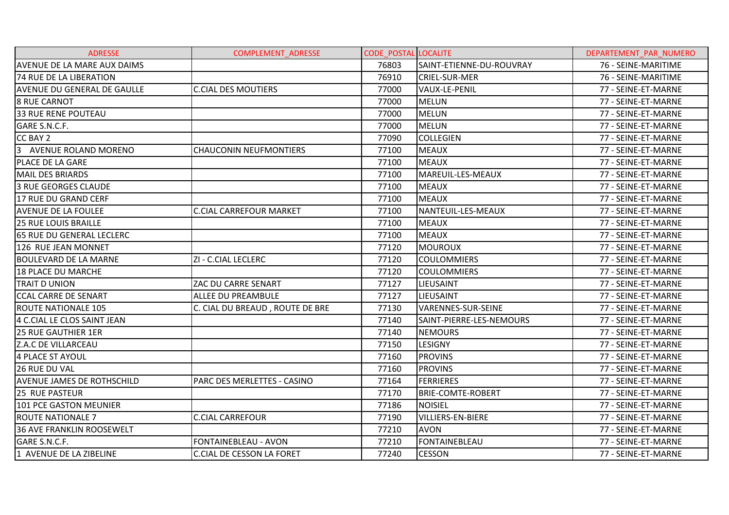| <b>ADRESSE</b>                     | <b>COMPLEMENT ADRESSE</b>        | <b>CODE POSTAL LOCALITE</b> |                          | DEPARTEMENT PAR NUMERO |
|------------------------------------|----------------------------------|-----------------------------|--------------------------|------------------------|
| <b>AVENUE DE LA MARE AUX DAIMS</b> |                                  | 76803                       | SAINT-ETIENNE-DU-ROUVRAY | 76 - SEINE-MARITIME    |
| <b>74 RUE DE LA LIBERATION</b>     |                                  | 76910                       | <b>CRIEL-SUR-MER</b>     | 76 - SEINE-MARITIME    |
| <b>AVENUE DU GENERAL DE GAULLE</b> | <b>C.CIAL DES MOUTIERS</b>       | 77000                       | VAUX-LE-PENIL            | 77 - SEINE-ET-MARNE    |
| <b>8 RUE CARNOT</b>                |                                  | 77000                       | <b>MELUN</b>             | 77 - SEINE-ET-MARNE    |
| <b>33 RUE RENE POUTEAU</b>         |                                  | 77000                       | <b>MELUN</b>             | 77 - SEINE-ET-MARNE    |
| GARE S.N.C.F.                      |                                  | 77000                       | MELUN                    | 77 - SEINE-ET-MARNE    |
| CC BAY 2                           |                                  | 77090                       | <b>COLLEGIEN</b>         | 77 - SEINE-ET-MARNE    |
| 3 AVENUE ROLAND MORENO             | <b>CHAUCONIN NEUFMONTIERS</b>    | 77100                       | <b>MEAUX</b>             | 77 - SEINE-ET-MARNE    |
| PLACE DE LA GARE                   |                                  | 77100                       | <b>MEAUX</b>             | 77 - SEINE-ET-MARNE    |
| MAIL DES BRIARDS                   |                                  | 77100                       | MAREUIL-LES-MEAUX        | 77 - SEINE-ET-MARNE    |
| <b>3 RUE GEORGES CLAUDE</b>        |                                  | 77100                       | <b>MEAUX</b>             | 77 - SEINE-ET-MARNE    |
| 17 RUE DU GRAND CERF               |                                  | 77100                       | <b>MEAUX</b>             | 77 - SEINE-ET-MARNE    |
| <b>AVENUE DE LA FOULEE</b>         | <b>C.CIAL CARREFOUR MARKET</b>   | 77100                       | NANTEUIL-LES-MEAUX       | 77 - SEINE-ET-MARNE    |
| <b>25 RUE LOUIS BRAILLE</b>        |                                  | 77100                       | <b>MEAUX</b>             | 77 - SEINE-ET-MARNE    |
| <b>165 RUE DU GENERAL LECLERC</b>  |                                  | 77100                       | <b>MEAUX</b>             | 77 - SEINE-ET-MARNE    |
| 126 RUE JEAN MONNET                |                                  | 77120                       | <b>MOUROUX</b>           | 77 - SEINE-ET-MARNE    |
| <b>BOULEVARD DE LA MARNE</b>       | ZI - C.CIAL LECLERC              | 77120                       | <b>COULOMMIERS</b>       | 77 - SEINE-ET-MARNE    |
| <b>18 PLACE DU MARCHE</b>          |                                  | 77120                       | <b>COULOMMIERS</b>       | 77 - SEINE-ET-MARNE    |
| <b>TRAIT D UNION</b>               | ZAC DU CARRE SENART              | 77127                       | <b>LIEUSAINT</b>         | 77 - SEINE-ET-MARNE    |
| <b>CCAL CARRE DE SENART</b>        | <b>ALLEE DU PREAMBULE</b>        | 77127                       | LIEUSAINT                | 77 - SEINE-ET-MARNE    |
| <b>ROUTE NATIONALE 105</b>         | C. CIAL DU BREAUD, ROUTE DE BRE  | 77130                       | VARENNES-SUR-SEINE       | 77 - SEINE-ET-MARNE    |
| 4 C.CIAL LE CLOS SAINT JEAN        |                                  | 77140                       | SAINT-PIERRE-LES-NEMOURS | 77 - SEINE-ET-MARNE    |
| <b>25 RUE GAUTHIER 1ER</b>         |                                  | 77140                       | <b>NEMOURS</b>           | 77 - SEINE-ET-MARNE    |
| Z.A.C DE VILLARCEAU                |                                  | 77150                       | <b>LESIGNY</b>           | 77 - SEINE-ET-MARNE    |
| 4 PLACE ST AYOUL                   |                                  | 77160                       | <b>PROVINS</b>           | 77 - SEINE-ET-MARNE    |
| <b>26 RUE DU VAL</b>               |                                  | 77160                       | <b>PROVINS</b>           | 77 - SEINE-ET-MARNE    |
| AVENUE JAMES DE ROTHSCHILD         | PARC DES MERLETTES - CASINO      | 77164                       | <b>FERRIERES</b>         | 77 - SEINE-ET-MARNE    |
| <b>25 RUE PASTEUR</b>              |                                  | 77170                       | <b>BRIE-COMTE-ROBERT</b> | 77 - SEINE-ET-MARNE    |
| 101 PCE GASTON MEUNIER             |                                  | 77186                       | <b>NOISIEL</b>           | 77 - SEINE-ET-MARNE    |
| <b>ROUTE NATIONALE 7</b>           | <b>C.CIAL CARREFOUR</b>          | 77190                       | <b>VILLIERS-EN-BIERE</b> | 77 - SEINE-ET-MARNE    |
| <b>36 AVE FRANKLIN ROOSEWELT</b>   |                                  | 77210                       | <b>AVON</b>              | 77 - SEINE-ET-MARNE    |
| GARE S.N.C.F.                      | FONTAINEBLEAU - AVON             | 77210                       | FONTAINEBLEAU            | 77 - SEINE-ET-MARNE    |
| 1 AVENUE DE LA ZIBELINE            | <b>C.CIAL DE CESSON LA FORET</b> | 77240                       | <b>CESSON</b>            | 77 - SEINE-ET-MARNE    |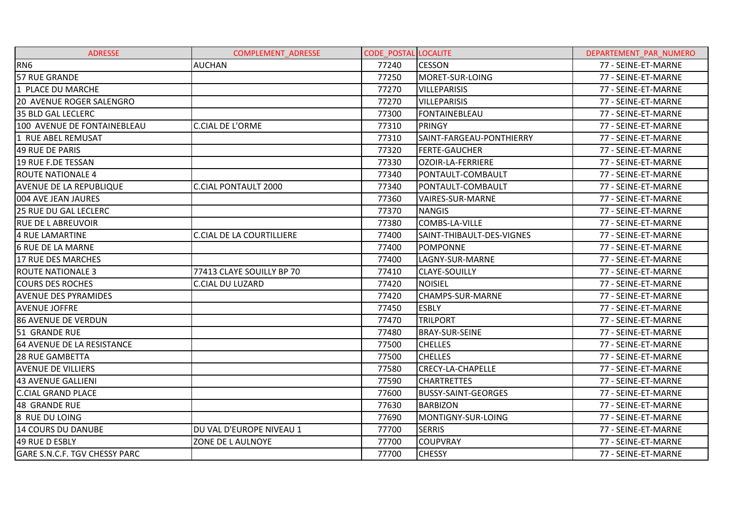| <b>ADRESSE</b>                 | <b>COMPLEMENT ADRESSE</b>        | <b>CODE POSTAL LOCALITE</b> |                            | DEPARTEMENT PAR NUMERO |
|--------------------------------|----------------------------------|-----------------------------|----------------------------|------------------------|
| RN <sub>6</sub>                | <b>AUCHAN</b>                    | 77240                       | <b>CESSON</b>              | 77 - SEINE-ET-MARNE    |
| 57 RUE GRANDE                  |                                  | 77250                       | MORET-SUR-LOING            | 77 - SEINE-ET-MARNE    |
| 1 PLACE DU MARCHE              |                                  | 77270                       | <b>VILLEPARISIS</b>        | 77 - SEINE-ET-MARNE    |
| 20 AVENUE ROGER SALENGRO       |                                  | 77270                       | <b>VILLEPARISIS</b>        | 77 - SEINE-ET-MARNE    |
| <b>35 BLD GAL LECLERC</b>      |                                  | 77300                       | FONTAINEBLEAU              | 77 - SEINE-ET-MARNE    |
| 100 AVENUE DE FONTAINEBLEAU    | <b>C.CIAL DE L'ORME</b>          | 77310                       | <b>PRINGY</b>              | 77 - SEINE-ET-MARNE    |
| 1 RUE ABEL REMUSAT             |                                  | 77310                       | SAINT-FARGEAU-PONTHIERRY   | 77 - SEINE-ET-MARNE    |
| 49 RUE DE PARIS                |                                  | 77320                       | <b>FERTE-GAUCHER</b>       | 77 - SEINE-ET-MARNE    |
| 19 RUE F.DE TESSAN             |                                  | 77330                       | OZOIR-LA-FERRIERE          | 77 - SEINE-ET-MARNE    |
| <b>ROUTE NATIONALE 4</b>       |                                  | 77340                       | PONTAULT-COMBAULT          | 77 - SEINE-ET-MARNE    |
| <b>AVENUE DE LA REPUBLIQUE</b> | <b>C.CIAL PONTAULT 2000</b>      | 77340                       | PONTAULT-COMBAULT          | 77 - SEINE-ET-MARNE    |
| 004 AVE JEAN JAURES            |                                  | 77360                       | <b>VAIRES-SUR-MARNE</b>    | 77 - SEINE-ET-MARNE    |
| <b>25 RUE DU GAL LECLERC</b>   |                                  | 77370                       | <b>NANGIS</b>              | 77 - SEINE-ET-MARNE    |
| <b>RUE DE LABREUVOIR</b>       |                                  | 77380                       | COMBS-LA-VILLE             | 77 - SEINE-ET-MARNE    |
| 4 RUE LAMARTINE                | <b>C.CIAL DE LA COURTILLIERE</b> | 77400                       | SAINT-THIBAULT-DES-VIGNES  | 77 - SEINE-ET-MARNE    |
| <b>6 RUE DE LA MARNE</b>       |                                  | 77400                       | POMPONNE                   | 77 - SEINE-ET-MARNE    |
| 17 RUE DES MARCHES             |                                  | 77400                       | LAGNY-SUR-MARNE            | 77 - SEINE-ET-MARNE    |
| <b>ROUTE NATIONALE 3</b>       | 77413 CLAYE SOUILLY BP 70        | 77410                       | <b>CLAYE-SOUILLY</b>       | 77 - SEINE-ET-MARNE    |
| <b>COURS DES ROCHES</b>        | <b>C.CIAL DU LUZARD</b>          | 77420                       | <b>NOISIEL</b>             | 77 - SEINE-ET-MARNE    |
| <b>AVENUE DES PYRAMIDES</b>    |                                  | 77420                       | <b>CHAMPS-SUR-MARNE</b>    | 77 - SEINE-ET-MARNE    |
| <b>AVENUE JOFFRE</b>           |                                  | 77450                       | <b>ESBLY</b>               | 77 - SEINE-ET-MARNE    |
| <b>86 AVENUE DE VERDUN</b>     |                                  | 77470                       | <b>TRILPORT</b>            | 77 - SEINE-ET-MARNE    |
| 51 GRANDE RUE                  |                                  | 77480                       | <b>BRAY-SUR-SEINE</b>      | 77 - SEINE-ET-MARNE    |
| 64 AVENUE DE LA RESISTANCE     |                                  | 77500                       | <b>CHELLES</b>             | 77 - SEINE-ET-MARNE    |
| <b>28 RUE GAMBETTA</b>         |                                  | 77500                       | <b>CHELLES</b>             | 77 - SEINE-ET-MARNE    |
| <b>AVENUE DE VILLIERS</b>      |                                  | 77580                       | <b>CRECY-LA-CHAPELLE</b>   | 77 - SEINE-ET-MARNE    |
| 43 AVENUE GALLIENI             |                                  | 77590                       | <b>CHARTRETTES</b>         | 77 - SEINE-ET-MARNE    |
| <b>C.CIAL GRAND PLACE</b>      |                                  | 77600                       | <b>BUSSY-SAINT-GEORGES</b> | 77 - SEINE-ET-MARNE    |
| 48 GRANDE RUE                  |                                  | 77630                       | <b>BARBIZON</b>            | 77 - SEINE-ET-MARNE    |
| 8 RUE DU LOING                 |                                  | 77690                       | MONTIGNY-SUR-LOING         | 77 - SEINE-ET-MARNE    |
| 14 COURS DU DANUBE             | DU VAL D'EUROPE NIVEAU 1         | 77700                       | <b>SERRIS</b>              | 77 - SEINE-ET-MARNE    |
| 49 RUE D ESBLY                 | ZONE DE L AULNOYE                | 77700                       | <b>COUPVRAY</b>            | 77 - SEINE-ET-MARNE    |
| GARE S.N.C.F. TGV CHESSY PARC  |                                  | 77700                       | <b>CHESSY</b>              | 77 - SEINE-ET-MARNE    |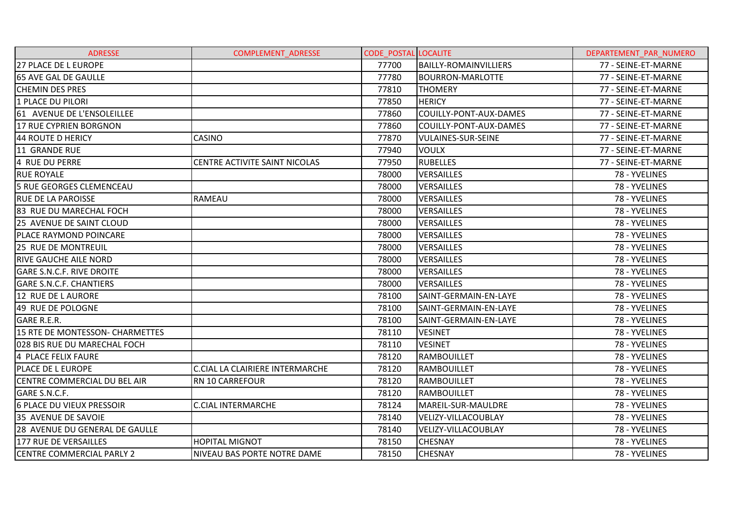| <b>ADRESSE</b>                   | <b>COMPLEMENT ADRESSE</b>       | <b>CODE POSTAL LOCALITE</b> |                              | DEPARTEMENT PAR NUMERO |
|----------------------------------|---------------------------------|-----------------------------|------------------------------|------------------------|
| 27 PLACE DE L EUROPE             |                                 | 77700                       | <b>BAILLY-ROMAINVILLIERS</b> | 77 - SEINE-ET-MARNE    |
| <b>65 AVE GAL DE GAULLE</b>      |                                 | 77780                       | <b>BOURRON-MARLOTTE</b>      | 77 - SEINE-ET-MARNE    |
| <b>CHEMIN DES PRES</b>           |                                 | 77810                       | <b>THOMERY</b>               | 77 - SEINE-ET-MARNE    |
| 1 PLACE DU PILORI                |                                 | 77850                       | <b>HERICY</b>                | 77 - SEINE-ET-MARNE    |
| 61 AVENUE DE L'ENSOLEILLEE       |                                 | 77860                       | COUILLY-PONT-AUX-DAMES       | 77 - SEINE-ET-MARNE    |
| 17 RUE CYPRIEN BORGNON           |                                 | 77860                       | COUILLY-PONT-AUX-DAMES       | 77 - SEINE-ET-MARNE    |
| 44 ROUTE D HERICY                | <b>CASINO</b>                   | 77870                       | <b>VULAINES-SUR-SEINE</b>    | 77 - SEINE-ET-MARNE    |
| 11 GRANDE RUE                    |                                 | 77940                       | <b>VOULX</b>                 | 77 - SEINE-ET-MARNE    |
| 4 RUE DU PERRE                   | CENTRE ACTIVITE SAINT NICOLAS   | 77950                       | <b>RUBELLES</b>              | 77 - SEINE-ET-MARNE    |
| <b>RUE ROYALE</b>                |                                 | 78000                       | <b>VERSAILLES</b>            | 78 - YVELINES          |
| 5 RUE GEORGES CLEMENCEAU         |                                 | 78000                       | <b>VERSAILLES</b>            | 78 - YVELINES          |
| <b>RUE DE LA PAROISSE</b>        | RAMEAU                          | 78000                       | <b>VERSAILLES</b>            | 78 - YVELINES          |
| 83 RUE DU MARECHAL FOCH          |                                 | 78000                       | <b>VERSAILLES</b>            | 78 - YVELINES          |
| 25 AVENUE DE SAINT CLOUD         |                                 | 78000                       | <b>VERSAILLES</b>            | 78 - YVELINES          |
| PLACE RAYMOND POINCARE           |                                 | 78000                       | <b>VERSAILLES</b>            | 78 - YVELINES          |
| 25 RUE DE MONTREUIL              |                                 | 78000                       | <b>VERSAILLES</b>            | 78 - YVELINES          |
| <b>RIVE GAUCHE AILE NORD</b>     |                                 | 78000                       | <b>VERSAILLES</b>            | 78 - YVELINES          |
| <b>GARE S.N.C.F. RIVE DROITE</b> |                                 | 78000                       | <b>VERSAILLES</b>            | 78 - YVELINES          |
| <b>GARE S.N.C.F. CHANTIERS</b>   |                                 | 78000                       | <b>VERSAILLES</b>            | 78 - YVELINES          |
| 12 RUE DE LAURORE                |                                 | 78100                       | SAINT-GERMAIN-EN-LAYE        | 78 - YVELINES          |
| 49 RUE DE POLOGNE                |                                 | 78100                       | SAINT-GERMAIN-EN-LAYE        | 78 - YVELINES          |
| <b>GARE R.E.R.</b>               |                                 | 78100                       | SAINT-GERMAIN-EN-LAYE        | 78 - YVELINES          |
| 15 RTE DE MONTESSON- CHARMETTES  |                                 | 78110                       | <b>VESINET</b>               | 78 - YVELINES          |
| 028 BIS RUE DU MARECHAL FOCH     |                                 | 78110                       | <b>VESINET</b>               | 78 - YVELINES          |
| 4 PLACE FELIX FAURE              |                                 | 78120                       | <b>RAMBOUILLET</b>           | 78 - YVELINES          |
| PLACE DE L EUROPE                | C.CIAL LA CLAIRIERE INTERMARCHE | 78120                       | <b>RAMBOUILLET</b>           | 78 - YVELINES          |
| CENTRE COMMERCIAL DU BEL AIR     | RN 10 CARREFOUR                 | 78120                       | <b>RAMBOUILLET</b>           | 78 - YVELINES          |
| GARE S.N.C.F.                    |                                 | 78120                       | <b>RAMBOUILLET</b>           | 78 - YVELINES          |
| 6 PLACE DU VIEUX PRESSOIR        | <b>C.CIAL INTERMARCHE</b>       | 78124                       | MAREIL-SUR-MAULDRE           | 78 - YVELINES          |
| 35 AVENUE DE SAVOIE              |                                 | 78140                       | VELIZY-VILLACOUBLAY          | 78 - YVELINES          |
| 28 AVENUE DU GENERAL DE GAULLE   |                                 | 78140                       | VELIZY-VILLACOUBLAY          | 78 - YVELINES          |
| 177 RUE DE VERSAILLES            | <b>HOPITAL MIGNOT</b>           | 78150                       | <b>CHESNAY</b>               | 78 - YVELINES          |
| <b>CENTRE COMMERCIAL PARLY 2</b> | NIVEAU BAS PORTE NOTRE DAME     | 78150                       | <b>CHESNAY</b>               | 78 - YVELINES          |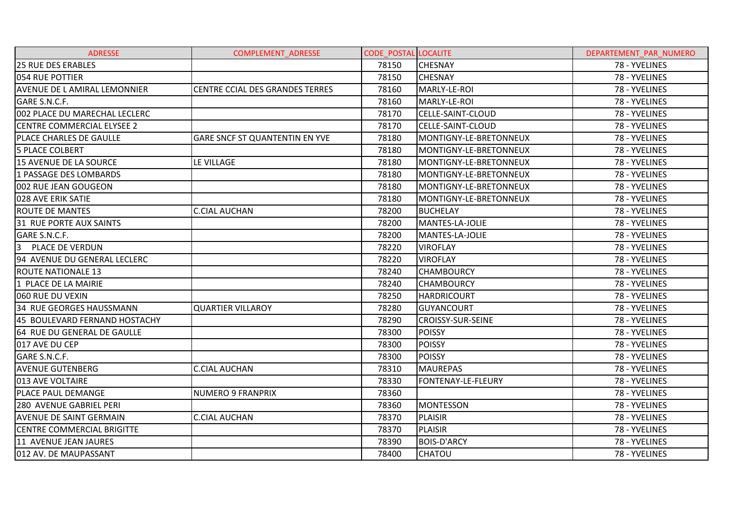| <b>ADRESSE</b>                    | COMPLEMENT_ADRESSE              | <b>CODE POSTAL LOCALITE</b> |                          | DEPARTEMENT_PAR_NUMERO |
|-----------------------------------|---------------------------------|-----------------------------|--------------------------|------------------------|
| <b>25 RUE DES ERABLES</b>         |                                 | 78150                       | <b>CHESNAY</b>           | 78 - YVELINES          |
| 054 RUE POTTIER                   |                                 | 78150                       | <b>CHESNAY</b>           | 78 - YVELINES          |
| AVENUE DE L AMIRAL LEMONNIER      | CENTRE CCIAL DES GRANDES TERRES | 78160                       | MARLY-LE-ROI             | 78 - YVELINES          |
| GARE S.N.C.F.                     |                                 | 78160                       | MARLY-LE-ROI             | 78 - YVELINES          |
| 002 PLACE DU MARECHAL LECLERC     |                                 | 78170                       | CELLE-SAINT-CLOUD        | 78 - YVELINES          |
| <b>CENTRE COMMERCIAL ELYSEE 2</b> |                                 | 78170                       | CELLE-SAINT-CLOUD        | 78 - YVELINES          |
| PLACE CHARLES DE GAULLE           | GARE SNCF ST QUANTENTIN EN YVE  | 78180                       | MONTIGNY-LE-BRETONNEUX   | 78 - YVELINES          |
| <b>5 PLACE COLBERT</b>            |                                 | 78180                       | MONTIGNY-LE-BRETONNEUX   | 78 - YVELINES          |
| 15 AVENUE DE LA SOURCE            | LE VILLAGE                      | 78180                       | MONTIGNY-LE-BRETONNEUX   | 78 - YVELINES          |
| 1 PASSAGE DES LOMBARDS            |                                 | 78180                       | MONTIGNY-LE-BRETONNEUX   | 78 - YVELINES          |
| 002 RUE JEAN GOUGEON              |                                 | 78180                       | MONTIGNY-LE-BRETONNEUX   | 78 - YVELINES          |
| 028 AVE ERIK SATIE                |                                 | 78180                       | MONTIGNY-LE-BRETONNEUX   | 78 - YVELINES          |
| <b>ROUTE DE MANTES</b>            | <b>C.CIAL AUCHAN</b>            | 78200                       | <b>BUCHELAY</b>          | 78 - YVELINES          |
| 31 RUE PORTE AUX SAINTS           |                                 | 78200                       | MANTES-LA-JOLIE          | 78 - YVELINES          |
| GARE S.N.C.F.                     |                                 | 78200                       | MANTES-LA-JOLIE          | 78 - YVELINES          |
| 3<br>PLACE DE VERDUN              |                                 | 78220                       | <b>VIROFLAY</b>          | 78 - YVELINES          |
| 94 AVENUE DU GENERAL LECLERC      |                                 | 78220                       | <b>VIROFLAY</b>          | 78 - YVELINES          |
| <b>ROUTE NATIONALE 13</b>         |                                 | 78240                       | <b>CHAMBOURCY</b>        | 78 - YVELINES          |
| 1 PLACE DE LA MAIRIE              |                                 | 78240                       | <b>CHAMBOURCY</b>        | 78 - YVELINES          |
| 060 RUE DU VEXIN                  |                                 | 78250                       | <b>HARDRICOURT</b>       | 78 - YVELINES          |
| 34 RUE GEORGES HAUSSMANN          | <b>QUARTIER VILLAROY</b>        | 78280                       | <b>GUYANCOURT</b>        | 78 - YVELINES          |
| 45 BOULEVARD FERNAND HOSTACHY     |                                 | 78290                       | <b>CROISSY-SUR-SEINE</b> | 78 - YVELINES          |
| 64 RUE DU GENERAL DE GAULLE       |                                 | 78300                       | <b>POISSY</b>            | 78 - YVELINES          |
| 017 AVE DU CEP                    |                                 | 78300                       | <b>POISSY</b>            | 78 - YVELINES          |
| GARE S.N.C.F.                     |                                 | 78300                       | <b>POISSY</b>            | 78 - YVELINES          |
| <b>AVENUE GUTENBERG</b>           | <b>C.CIAL AUCHAN</b>            | 78310                       | <b>MAUREPAS</b>          | 78 - YVELINES          |
| 013 AVE VOLTAIRE                  |                                 | 78330                       | FONTENAY-LE-FLEURY       | 78 - YVELINES          |
| PLACE PAUL DEMANGE                | <b>NUMERO 9 FRANPRIX</b>        | 78360                       |                          | 78 - YVELINES          |
| 280 AVENUE GABRIEL PERI           |                                 | 78360                       | <b>MONTESSON</b>         | 78 - YVELINES          |
| <b>AVENUE DE SAINT GERMAIN</b>    | <b>C.CIAL AUCHAN</b>            | 78370                       | <b>PLAISIR</b>           | 78 - YVELINES          |
| CENTRE COMMERCIAL BRIGITTE        |                                 | 78370                       | PLAISIR                  | 78 - YVELINES          |
| 11 AVENUE JEAN JAURES             |                                 | 78390                       | <b>BOIS-D'ARCY</b>       | 78 - YVELINES          |
| 012 AV. DE MAUPASSANT             |                                 | 78400                       | <b>CHATOU</b>            | 78 - YVELINES          |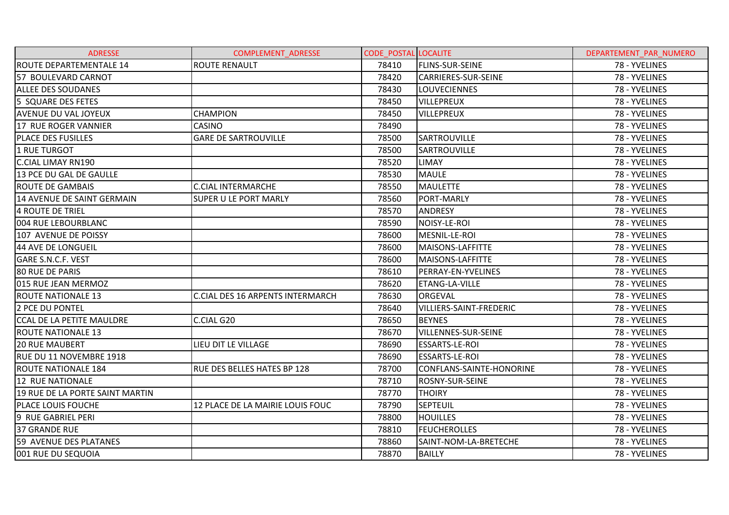| <b>ADRESSE</b>                   | <b>COMPLEMENT ADRESSE</b>               | <b>CODE POSTAL LOCALITE</b> |                                | DEPARTEMENT PAR NUMERO |
|----------------------------------|-----------------------------------------|-----------------------------|--------------------------------|------------------------|
| <b>ROUTE DEPARTEMENTALE 14</b>   | <b>ROUTE RENAULT</b>                    | 78410                       | <b>FLINS-SUR-SEINE</b>         | 78 - YVELINES          |
| 57 BOULEVARD CARNOT              |                                         | 78420                       | CARRIERES-SUR-SEINE            | 78 - YVELINES          |
| <b>ALLEE DES SOUDANES</b>        |                                         | 78430                       | <b>LOUVECIENNES</b>            | 78 - YVELINES          |
| 5 SQUARE DES FETES               |                                         | 78450                       | <b>VILLEPREUX</b>              | 78 - YVELINES          |
| <b>AVENUE DU VAL JOYEUX</b>      | <b>CHAMPION</b>                         | 78450                       | <b>VILLEPREUX</b>              | 78 - YVELINES          |
| 17 RUE ROGER VANNIER             | <b>CASINO</b>                           | 78490                       |                                | 78 - YVELINES          |
| <b>PLACE DES FUSILLES</b>        | <b>GARE DE SARTROUVILLE</b>             | 78500                       | <b>SARTROUVILLE</b>            | 78 - YVELINES          |
| 1 RUE TURGOT                     |                                         | 78500                       | <b>SARTROUVILLE</b>            | 78 - YVELINES          |
| <b>C.CIAL LIMAY RN190</b>        |                                         | 78520                       | LIMAY                          | 78 - YVELINES          |
| 13 PCE DU GAL DE GAULLE          |                                         | 78530                       | <b>MAULE</b>                   | 78 - YVELINES          |
| <b>ROUTE DE GAMBAIS</b>          | <b>C.CIAL INTERMARCHE</b>               | 78550                       | IMAULETTE                      | 78 - YVELINES          |
| 14 AVENUE DE SAINT GERMAIN       | SUPER U LE PORT MARLY                   | 78560                       | <b>PORT-MARLY</b>              | 78 - YVELINES          |
| 4 ROUTE DE TRIEL                 |                                         | 78570                       | <b>ANDRESY</b>                 | 78 - YVELINES          |
| 004 RUE LEBOURBLANC              |                                         | 78590                       | NOISY-LE-ROI                   | 78 - YVELINES          |
| 107 AVENUE DE POISSY             |                                         | 78600                       | MESNIL-LE-ROI                  | 78 - YVELINES          |
| 44 AVE DE LONGUEIL               |                                         | 78600                       | MAISONS-LAFFITTE               | 78 - YVELINES          |
| <b>GARE S.N.C.F. VEST</b>        |                                         | 78600                       | MAISONS-LAFFITTE               | 78 - YVELINES          |
| <b>80 RUE DE PARIS</b>           |                                         | 78610                       | PERRAY-EN-YVELINES             | 78 - YVELINES          |
| 015 RUE JEAN MERMOZ              |                                         | 78620                       | <b>ETANG-LA-VILLE</b>          | 78 - YVELINES          |
| <b>ROUTE NATIONALE 13</b>        | <b>C.CIAL DES 16 ARPENTS INTERMARCH</b> | 78630                       | <b>ORGEVAL</b>                 | 78 - YVELINES          |
| 2 PCE DU PONTEL                  |                                         | 78640                       | <b>VILLIERS-SAINT-FREDERIC</b> | 78 - YVELINES          |
| <b>CCAL DE LA PETITE MAULDRE</b> | C.CIAL G20                              | 78650                       | <b>BEYNES</b>                  | 78 - YVELINES          |
| <b>ROUTE NATIONALE 13</b>        |                                         | 78670                       | VILLENNES-SUR-SEINE            | 78 - YVELINES          |
| <b>20 RUE MAUBERT</b>            | LIEU DIT LE VILLAGE                     | 78690                       | <b>ESSARTS-LE-ROI</b>          | 78 - YVELINES          |
| RUE DU 11 NOVEMBRE 1918          |                                         | 78690                       | <b>ESSARTS-LE-ROI</b>          | 78 - YVELINES          |
| <b>ROUTE NATIONALE 184</b>       | RUE DES BELLES HATES BP 128             | 78700                       | CONFLANS-SAINTE-HONORINE       | 78 - YVELINES          |
| <b>12 RUE NATIONALE</b>          |                                         | 78710                       | <b>ROSNY-SUR-SEINE</b>         | 78 - YVELINES          |
| 19 RUE DE LA PORTE SAINT MARTIN  |                                         | 78770                       | <b>THOIRY</b>                  | 78 - YVELINES          |
| PLACE LOUIS FOUCHE               | 12 PLACE DE LA MAIRIE LOUIS FOUC        | 78790                       | <b>SEPTEUIL</b>                | 78 - YVELINES          |
| 9 RUE GABRIEL PERI               |                                         | 78800                       | <b>HOUILLES</b>                | 78 - YVELINES          |
| <b>37 GRANDE RUE</b>             |                                         | 78810                       | <b>FEUCHEROLLES</b>            | 78 - YVELINES          |
| 59 AVENUE DES PLATANES           |                                         | 78860                       | SAINT-NOM-LA-BRETECHE          | 78 - YVELINES          |
| 001 RUE DU SEQUOIA               |                                         | 78870                       | <b>BAILLY</b>                  | 78 - YVELINES          |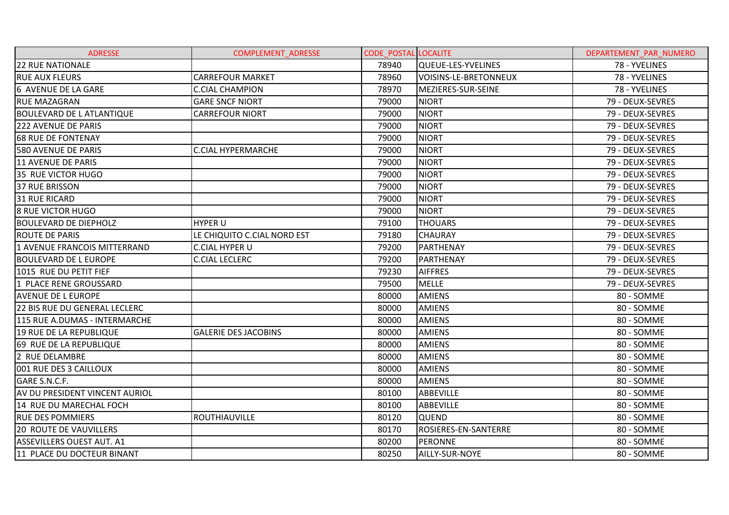| <b>ADRESSE</b>                   | <b>COMPLEMENT ADRESSE</b>   | <b>CODE POSTAL LOCALITE</b> |                       | DEPARTEMENT PAR NUMERO |
|----------------------------------|-----------------------------|-----------------------------|-----------------------|------------------------|
| <b>22 RUE NATIONALE</b>          |                             | 78940                       | QUEUE-LES-YVELINES    | 78 - YVELINES          |
| <b>RUE AUX FLEURS</b>            | <b>CARREFOUR MARKET</b>     | 78960                       | VOISINS-LE-BRETONNEUX | 78 - YVELINES          |
| 6 AVENUE DE LA GARE              | <b>C.CIAL CHAMPION</b>      | 78970                       | MEZIERES-SUR-SEINE    | 78 - YVELINES          |
| <b>RUE MAZAGRAN</b>              | <b>GARE SNCF NIORT</b>      | 79000                       | <b>NIORT</b>          | 79 - DEUX-SEVRES       |
| <b>BOULEVARD DE L ATLANTIQUE</b> | <b>CARREFOUR NIORT</b>      | 79000                       | <b>NIORT</b>          | 79 - DEUX-SEVRES       |
| 222 AVENUE DE PARIS              |                             | 79000                       | <b>NIORT</b>          | 79 - DEUX-SEVRES       |
| <b>68 RUE DE FONTENAY</b>        |                             | 79000                       | <b>NIORT</b>          | 79 - DEUX-SEVRES       |
| 580 AVENUE DE PARIS              | <b>C.CIAL HYPERMARCHE</b>   | 79000                       | <b>NIORT</b>          | 79 - DEUX-SEVRES       |
| 11 AVENUE DE PARIS               |                             | 79000                       | <b>NIORT</b>          | 79 - DEUX-SEVRES       |
| 35 RUE VICTOR HUGO               |                             | 79000                       | <b>NIORT</b>          | 79 - DEUX-SEVRES       |
| <b>37 RUE BRISSON</b>            |                             | 79000                       | <b>NIORT</b>          | 79 - DEUX-SEVRES       |
| <b>31 RUE RICARD</b>             |                             | 79000                       | <b>NIORT</b>          | 79 - DEUX-SEVRES       |
| 8 RUE VICTOR HUGO                |                             | 79000                       | <b>NIORT</b>          | 79 - DEUX-SEVRES       |
| <b>BOULEVARD DE DIEPHOLZ</b>     | <b>HYPER U</b>              | 79100                       | <b>THOUARS</b>        | 79 - DEUX-SEVRES       |
| <b>ROUTE DE PARIS</b>            | LE CHIQUITO C.CIAL NORD EST | 79180                       | <b>CHAURAY</b>        | 79 - DEUX-SEVRES       |
| 1 AVENUE FRANCOIS MITTERRAND     | <b>C.CIAL HYPER U</b>       | 79200                       | <b>PARTHENAY</b>      | 79 - DEUX-SEVRES       |
| <b>BOULEVARD DE L EUROPE</b>     | <b>C.CIAL LECLERC</b>       | 79200                       | PARTHENAY             | 79 - DEUX-SEVRES       |
| 1015 RUE DU PETIT FIEF           |                             | 79230                       | <b>AIFFRES</b>        | 79 - DEUX-SEVRES       |
| 1 PLACE RENE GROUSSARD           |                             | 79500                       | <b>MELLE</b>          | 79 - DEUX-SEVRES       |
| <b>AVENUE DE L EUROPE</b>        |                             | 80000                       | <b>AMIENS</b>         | 80 - SOMME             |
| 22 BIS RUE DU GENERAL LECLERC    |                             | 80000                       | <b>AMIENS</b>         | 80 - SOMME             |
| 115 RUE A.DUMAS - INTERMARCHE    |                             | 80000                       | <b>AMIENS</b>         | 80 - SOMME             |
| 19 RUE DE LA REPUBLIQUE          | <b>GALERIE DES JACOBINS</b> | 80000                       | <b>AMIENS</b>         | 80 - SOMME             |
| 69 RUE DE LA REPUBLIQUE          |                             | 80000                       | <b>AMIENS</b>         | 80 - SOMME             |
| 2 RUE DELAMBRE                   |                             | 80000                       | <b>AMIENS</b>         | 80 - SOMME             |
| 001 RUE DES 3 CAILLOUX           |                             | 80000                       | <b>AMIENS</b>         | 80 - SOMME             |
| GARE S.N.C.F.                    |                             | 80000                       | <b>AMIENS</b>         | 80 - SOMME             |
| AV DU PRESIDENT VINCENT AURIOL   |                             | 80100                       | ABBEVILLE             | 80 - SOMME             |
| 14 RUE DU MARECHAL FOCH          |                             | 80100                       | ABBEVILLE             | 80 - SOMME             |
| <b>RUE DES POMMIERS</b>          | ROUTHIAUVILLE               | 80120                       | <b>QUEND</b>          | 80 - SOMME             |
| <b>20 ROUTE DE VAUVILLERS</b>    |                             | 80170                       | ROSIERES-EN-SANTERRE  | 80 - SOMME             |
| <b>ASSEVILLERS OUEST AUT. A1</b> |                             | 80200                       | <b>PERONNE</b>        | 80 - SOMME             |
| 11 PLACE DU DOCTEUR BINANT       |                             | 80250                       | AILLY-SUR-NOYE        | 80 - SOMME             |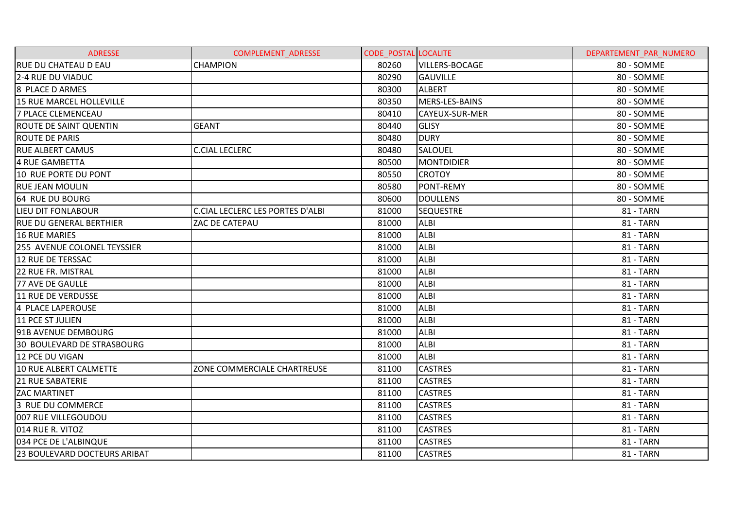| <b>ADRESSE</b>                    | <b>COMPLEMENT ADRESSE</b>               | <b>CODE POSTAL LOCALITE</b> |                       | DEPARTEMENT PAR NUMERO |
|-----------------------------------|-----------------------------------------|-----------------------------|-----------------------|------------------------|
| <b>RUE DU CHATEAU D EAU</b>       | <b>CHAMPION</b>                         | 80260                       | <b>VILLERS-BOCAGE</b> | 80 - SOMME             |
| 2-4 RUE DU VIADUC                 |                                         | 80290                       | <b>GAUVILLE</b>       | 80 - SOMME             |
| 8 PLACE D ARMES                   |                                         | 80300                       | <b>ALBERT</b>         | 80 - SOMME             |
| 15 RUE MARCEL HOLLEVILLE          |                                         | 80350                       | MERS-LES-BAINS        | 80 - SOMME             |
| <b>7 PLACE CLEMENCEAU</b>         |                                         | 80410                       | CAYEUX-SUR-MER        | 80 - SOMME             |
| <b>ROUTE DE SAINT QUENTIN</b>     | <b>GEANT</b>                            | 80440                       | <b>GLISY</b>          | 80 - SOMME             |
| <b>ROUTE DE PARIS</b>             |                                         | 80480                       | <b>DURY</b>           | 80 - SOMME             |
| <b>RUE ALBERT CAMUS</b>           | <b>C.CIAL LECLERC</b>                   | 80480                       | <b>SALOUEL</b>        | 80 - SOMME             |
| 4 RUE GAMBETTA                    |                                         | 80500                       | <b>MONTDIDIER</b>     | 80 - SOMME             |
| 10 RUE PORTE DU PONT              |                                         | 80550                       | <b>CROTOY</b>         | 80 - SOMME             |
| <b>RUE JEAN MOULIN</b>            |                                         | 80580                       | PONT-REMY             | 80 - SOMME             |
| 64 RUE DU BOURG                   |                                         | 80600                       | <b>DOULLENS</b>       | 80 - SOMME             |
| LIEU DIT FONLABOUR                | <b>C.CIAL LECLERC LES PORTES D'ALBI</b> | 81000                       | <b>SEQUESTRE</b>      | 81 - TARN              |
| <b>RUE DU GENERAL BERTHIER</b>    | ZAC DE CATEPAU                          | 81000                       | <b>ALBI</b>           | 81 - TARN              |
| <b>16 RUE MARIES</b>              |                                         | 81000                       | <b>ALBI</b>           | <b>81 - TARN</b>       |
| 255 AVENUE COLONEL TEYSSIER       |                                         | 81000                       | <b>ALBI</b>           | 81 - TARN              |
| 12 RUE DE TERSSAC                 |                                         | 81000                       | <b>ALBI</b>           | 81 - TARN              |
| 22 RUE FR. MISTRAL                |                                         | 81000                       | <b>ALBI</b>           | 81 - TARN              |
| 77 AVE DE GAULLE                  |                                         | 81000                       | <b>ALBI</b>           | 81 - TARN              |
| 11 RUE DE VERDUSSE                |                                         | 81000                       | <b>ALBI</b>           | 81 - TARN              |
| 4 PLACE LAPEROUSE                 |                                         | 81000                       | <b>ALBI</b>           | 81 - TARN              |
| 11 PCE ST JULIEN                  |                                         | 81000                       | <b>ALBI</b>           | 81 - TARN              |
| 91B AVENUE DEMBOURG               |                                         | 81000                       | <b>ALBI</b>           | 81 - TARN              |
| <b>30 BOULEVARD DE STRASBOURG</b> |                                         | 81000                       | <b>ALBI</b>           | 81 - TARN              |
| 12 PCE DU VIGAN                   |                                         | 81000                       | <b>ALBI</b>           | 81 - TARN              |
| 10 RUE ALBERT CALMETTE            | ZONE COMMERCIALE CHARTREUSE             | 81100                       | <b>CASTRES</b>        | 81 - TARN              |
| <b>21 RUE SABATERIE</b>           |                                         | 81100                       | <b>CASTRES</b>        | <b>81 - TARN</b>       |
| <b>ZAC MARTINET</b>               |                                         | 81100                       | <b>CASTRES</b>        | 81 - TARN              |
| 3 RUE DU COMMERCE                 |                                         | 81100                       | <b>CASTRES</b>        | 81 - TARN              |
| 007 RUE VILLEGOUDOU               |                                         | 81100                       | <b>CASTRES</b>        | <b>81 - TARN</b>       |
| 014 RUE R. VITOZ                  |                                         | 81100                       | <b>CASTRES</b>        | 81 - TARN              |
| 034 PCE DE L'ALBINQUE             |                                         | 81100                       | <b>CASTRES</b>        | <b>81 - TARN</b>       |
| 23 BOULEVARD DOCTEURS ARIBAT      |                                         | 81100                       | <b>CASTRES</b>        | 81 - TARN              |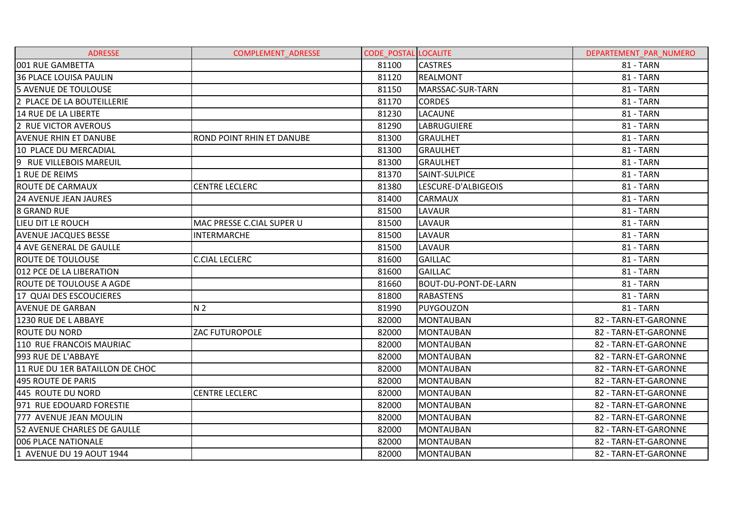| <b>ADRESSE</b>                  | <b>COMPLEMENT ADRESSE</b> | <b>CODE POSTAL LOCALITE</b> |                      | DEPARTEMENT PAR NUMERO |
|---------------------------------|---------------------------|-----------------------------|----------------------|------------------------|
| 001 RUE GAMBETTA                |                           | 81100                       | <b>CASTRES</b>       | 81 - TARN              |
| <b>36 PLACE LOUISA PAULIN</b>   |                           | 81120                       | <b>REALMONT</b>      | 81 - TARN              |
| <b>5 AVENUE DE TOULOUSE</b>     |                           | 81150                       | MARSSAC-SUR-TARN     | 81 - TARN              |
| 2 PLACE DE LA BOUTEILLERIE      |                           | 81170                       | <b>CORDES</b>        | 81 - TARN              |
| 14 RUE DE LA LIBERTE            |                           | 81230                       | <b>LACAUNE</b>       | 81 - TARN              |
| 2 RUE VICTOR AVEROUS            |                           | 81290                       | LABRUGUIERE          | 81 - TARN              |
| <b>AVENUE RHIN ET DANUBE</b>    | ROND POINT RHIN ET DANUBE | 81300                       | <b>GRAULHET</b>      | 81 - TARN              |
| 10 PLACE DU MERCADIAL           |                           | 81300                       | <b>GRAULHET</b>      | <b>81 - TARN</b>       |
| 9 RUE VILLEBOIS MAREUIL         |                           | 81300                       | <b>GRAULHET</b>      | 81 - TARN              |
| 1 RUE DE REIMS                  |                           | 81370                       | <b>SAINT-SULPICE</b> | <b>81 - TARN</b>       |
| <b>ROUTE DE CARMAUX</b>         | <b>CENTRE LECLERC</b>     | 81380                       | LESCURE-D'ALBIGEOIS  | 81 - TARN              |
| <b>24 AVENUE JEAN JAURES</b>    |                           | 81400                       | CARMAUX              | 81 - TARN              |
| <b>8 GRAND RUE</b>              |                           | 81500                       | <b>LAVAUR</b>        | 81 - TARN              |
| LIEU DIT LE ROUCH               | MAC PRESSE C.CIAL SUPER U | 81500                       | <b>LAVAUR</b>        | 81 - TARN              |
| <b>AVENUE JACQUES BESSE</b>     | <b>INTERMARCHE</b>        | 81500                       | <b>LAVAUR</b>        | 81 - TARN              |
| 4 AVE GENERAL DE GAULLE         |                           | 81500                       | LAVAUR               | 81 - TARN              |
| <b>ROUTE DE TOULOUSE</b>        | <b>C.CIAL LECLERC</b>     | 81600                       | <b>GAILLAC</b>       | 81 - TARN              |
| 012 PCE DE LA LIBERATION        |                           | 81600                       | <b>GAILLAC</b>       | <b>81 - TARN</b>       |
| <b>ROUTE DE TOULOUSE A AGDE</b> |                           | 81660                       | BOUT-DU-PONT-DE-LARN | 81 - TARN              |
| 17 QUAI DES ESCOUCIERES         |                           | 81800                       | <b>RABASTENS</b>     | 81 - TARN              |
| <b>AVENUE DE GARBAN</b>         | N <sub>2</sub>            | 81990                       | PUYGOUZON            | <b>81 - TARN</b>       |
| 1230 RUE DE L ABBAYE            |                           | 82000                       | MONTAUBAN            | 82 - TARN-ET-GARONNE   |
| <b>ROUTE DU NORD</b>            | <b>ZAC FUTUROPOLE</b>     | 82000                       | <b>MONTAUBAN</b>     | 82 - TARN-ET-GARONNE   |
| 110 RUE FRANCOIS MAURIAC        |                           | 82000                       | <b>MONTAUBAN</b>     | 82 - TARN-ET-GARONNE   |
| 993 RUE DE L'ABBAYE             |                           | 82000                       | <b>MONTAUBAN</b>     | 82 - TARN-ET-GARONNE   |
| 11 RUE DU 1ER BATAILLON DE CHOC |                           | 82000                       | <b>MONTAUBAN</b>     | 82 - TARN-ET-GARONNE   |
| 495 ROUTE DE PARIS              |                           | 82000                       | <b>MONTAUBAN</b>     | 82 - TARN-ET-GARONNE   |
| 445 ROUTE DU NORD               | <b>CENTRE LECLERC</b>     | 82000                       | <b>MONTAUBAN</b>     | 82 - TARN-ET-GARONNE   |
| 971 RUE EDOUARD FORESTIE        |                           | 82000                       | <b>MONTAUBAN</b>     | 82 - TARN-ET-GARONNE   |
| 777 AVENUE JEAN MOULIN          |                           | 82000                       | <b>MONTAUBAN</b>     | 82 - TARN-ET-GARONNE   |
| 52 AVENUE CHARLES DE GAULLE     |                           | 82000                       | <b>MONTAUBAN</b>     | 82 - TARN-ET-GARONNE   |
| 006 PLACE NATIONALE             |                           | 82000                       | <b>MONTAUBAN</b>     | 82 - TARN-ET-GARONNE   |
| 1 AVENUE DU 19 AOUT 1944        |                           | 82000                       | <b>MONTAUBAN</b>     | 82 - TARN-ET-GARONNE   |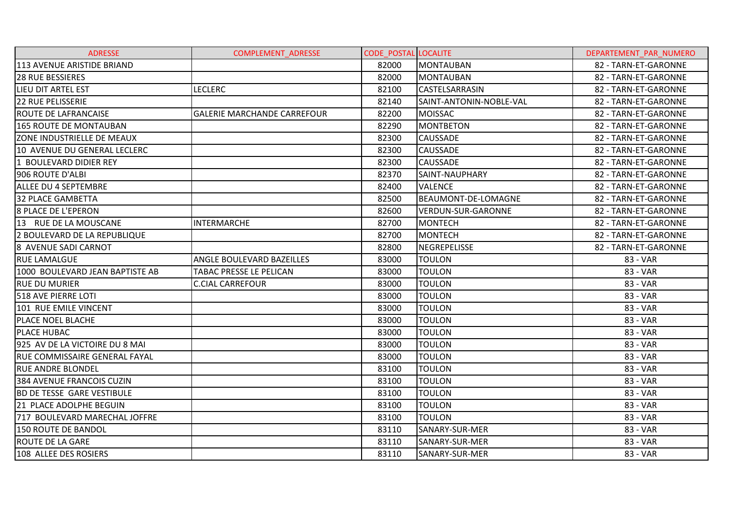| <b>ADRESSE</b>                       | <b>COMPLEMENT ADRESSE</b>          | <b>CODE POSTAL LOCALITE</b> |                           | DEPARTEMENT PAR NUMERO |
|--------------------------------------|------------------------------------|-----------------------------|---------------------------|------------------------|
| 113 AVENUE ARISTIDE BRIAND           |                                    | 82000                       | <b>MONTAUBAN</b>          | 82 - TARN-ET-GARONNE   |
| <b>28 RUE BESSIERES</b>              |                                    | 82000                       | <b>MONTAUBAN</b>          | 82 - TARN-ET-GARONNE   |
| <b>LIEU DIT ARTEL EST</b>            | <b>LECLERC</b>                     | 82100                       | CASTELSARRASIN            | 82 - TARN-ET-GARONNE   |
| <b>22 RUE PELISSERIE</b>             |                                    | 82140                       | SAINT-ANTONIN-NOBLE-VAL   | 82 - TARN-ET-GARONNE   |
| <b>ROUTE DE LAFRANCAISE</b>          | <b>GALERIE MARCHANDE CARREFOUR</b> | 82200                       | <b>MOISSAC</b>            | 82 - TARN-ET-GARONNE   |
| 165 ROUTE DE MONTAUBAN               |                                    | 82290                       | <b>MONTBETON</b>          | 82 - TARN-ET-GARONNE   |
| ZONE INDUSTRIELLE DE MEAUX           |                                    | 82300                       | <b>CAUSSADE</b>           | 82 - TARN-ET-GARONNE   |
| 10 AVENUE DU GENERAL LECLERC         |                                    | 82300                       | <b>CAUSSADE</b>           | 82 - TARN-ET-GARONNE   |
| 1 BOULEVARD DIDIER REY               |                                    | 82300                       | <b>CAUSSADE</b>           | 82 - TARN-ET-GARONNE   |
| 906 ROUTE D'ALBI                     |                                    | 82370                       | SAINT-NAUPHARY            | 82 - TARN-ET-GARONNE   |
| <b>ALLEE DU 4 SEPTEMBRE</b>          |                                    | 82400                       | <b>VALENCE</b>            | 82 - TARN-ET-GARONNE   |
| <b>32 PLACE GAMBETTA</b>             |                                    | 82500                       | BEAUMONT-DE-LOMAGNE       | 82 - TARN-ET-GARONNE   |
| <b>8 PLACE DE L'EPERON</b>           |                                    | 82600                       | <b>VERDUN-SUR-GARONNE</b> | 82 - TARN-ET-GARONNE   |
| 13 RUE DE LA MOUSCANE                | <b>INTERMARCHE</b>                 | 82700                       | <b>MONTECH</b>            | 82 - TARN-ET-GARONNE   |
| I2 BOULEVARD DE LA REPUBLIQUE        |                                    | 82700                       | <b>MONTECH</b>            | 82 - TARN-ET-GARONNE   |
| 8 AVENUE SADI CARNOT                 |                                    | 82800                       | NEGREPELISSE              | 82 - TARN-ET-GARONNE   |
| <b>RUE LAMALGUE</b>                  | ANGLE BOULEVARD BAZEILLES          | 83000                       | <b>TOULON</b>             | 83 - VAR               |
| 1000 BOULEVARD JEAN BAPTISTE AB      | TABAC PRESSE LE PELICAN            | 83000                       | <b>TOULON</b>             | 83 - VAR               |
| <b>RUE DU MURIER</b>                 | <b>C.CIAL CARREFOUR</b>            | 83000                       | <b>TOULON</b>             | 83 - VAR               |
| 518 AVE PIERRE LOTI                  |                                    | 83000                       | <b>TOULON</b>             | 83 - VAR               |
| 101 RUE EMILE VINCENT                |                                    | 83000                       | <b>TOULON</b>             | 83 - VAR               |
| <b>PLACE NOEL BLACHE</b>             |                                    | 83000                       | <b>TOULON</b>             | 83 - VAR               |
| <b>PLACE HUBAC</b>                   |                                    | 83000                       | <b>TOULON</b>             | 83 - VAR               |
| 925 AV DE LA VICTOIRE DU 8 MAI       |                                    | 83000                       | <b>TOULON</b>             | 83 - VAR               |
| <b>RUE COMMISSAIRE GENERAL FAYAL</b> |                                    | 83000                       | <b>TOULON</b>             | 83 - VAR               |
| <b>RUE ANDRE BLONDEL</b>             |                                    | 83100                       | <b>TOULON</b>             | 83 - VAR               |
| 384 AVENUE FRANCOIS CUZIN            |                                    | 83100                       | <b>TOULON</b>             | 83 - VAR               |
| <b>BD DE TESSE GARE VESTIBULE</b>    |                                    | 83100                       | <b>TOULON</b>             | 83 - VAR               |
| 21 PLACE ADOLPHE BEGUIN              |                                    | 83100                       | <b>TOULON</b>             | 83 - VAR               |
| 717 BOULEVARD MARECHAL JOFFRE        |                                    | 83100                       | <b>TOULON</b>             | 83 - VAR               |
| 150 ROUTE DE BANDOL                  |                                    | 83110                       | SANARY-SUR-MER            | 83 - VAR               |
| <b>ROUTE DE LA GARE</b>              |                                    | 83110                       | SANARY-SUR-MER            | 83 - VAR               |
| 108 ALLEE DES ROSIERS                |                                    | 83110                       | SANARY-SUR-MER            | 83 - VAR               |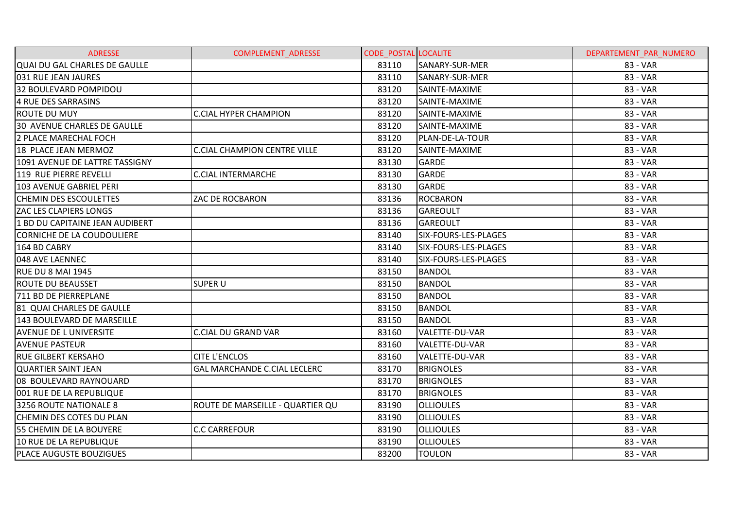| <b>ADRESSE</b>                       | <b>COMPLEMENT ADRESSE</b>           | <b>CODE POSTAL LOCALITE</b> |                       | DEPARTEMENT PAR NUMERO |
|--------------------------------------|-------------------------------------|-----------------------------|-----------------------|------------------------|
| <b>QUAI DU GAL CHARLES DE GAULLE</b> |                                     | 83110                       | SANARY-SUR-MER        | 83 - VAR               |
| 031 RUE JEAN JAURES                  |                                     | 83110                       | SANARY-SUR-MER        | 83 - VAR               |
| 32 BOULEVARD POMPIDOU                |                                     | 83120                       | SAINTE-MAXIME         | 83 - VAR               |
| 4 RUE DES SARRASINS                  |                                     | 83120                       | SAINTE-MAXIME         | 83 - VAR               |
| ROUTE DU MUY                         | <b>C.CIAL HYPER CHAMPION</b>        | 83120                       | SAINTE-MAXIME         | 83 - VAR               |
| <b>30 AVENUE CHARLES DE GAULLE</b>   |                                     | 83120                       | SAINTE-MAXIME         | 83 - VAR               |
| 2 PLACE MARECHAL FOCH                |                                     | 83120                       | PLAN-DE-LA-TOUR       | 83 - VAR               |
| 18 PLACE JEAN MERMOZ                 | <b>C.CIAL CHAMPION CENTRE VILLE</b> | 83120                       | SAINTE-MAXIME         | 83 - VAR               |
| 1091 AVENUE DE LATTRE TASSIGNY       |                                     | 83130                       | <b>GARDE</b>          | 83 - VAR               |
| 119 RUE PIERRE REVELLI               | <b>C.CIAL INTERMARCHE</b>           | 83130                       | <b>GARDE</b>          | 83 - VAR               |
| 103 AVENUE GABRIEL PERI              |                                     | 83130                       | <b>GARDE</b>          | 83 - VAR               |
| <b>CHEMIN DES ESCOULETTES</b>        | ZAC DE ROCBARON                     | 83136                       | <b>ROCBARON</b>       | 83 - VAR               |
| <b>ZAC LES CLAPIERS LONGS</b>        |                                     | 83136                       | <b>GAREOULT</b>       | 83 - VAR               |
| 1 BD DU CAPITAINE JEAN AUDIBERT      |                                     | 83136                       | <b>GAREOULT</b>       | 83 - VAR               |
| CORNICHE DE LA COUDOULIERE           |                                     | 83140                       | SIX-FOURS-LES-PLAGES  | 83 - VAR               |
| 164 BD CABRY                         |                                     | 83140                       | SIX-FOURS-LES-PLAGES  | 83 - VAR               |
| 048 AVE LAENNEC                      |                                     | 83140                       | SIX-FOURS-LES-PLAGES  | 83 - VAR               |
| <b>RUE DU 8 MAI 1945</b>             |                                     | 83150                       | <b>BANDOL</b>         | 83 - VAR               |
| <b>ROUTE DU BEAUSSET</b>             | <b>SUPER U</b>                      | 83150                       | <b>BANDOL</b>         | 83 - VAR               |
| 711 BD DE PIERREPLANE                |                                     | 83150                       | <b>BANDOL</b>         | 83 - VAR               |
| 81 QUAI CHARLES DE GAULLE            |                                     | 83150                       | <b>BANDOL</b>         | 83 - VAR               |
| 143 BOULEVARD DE MARSEILLE           |                                     | 83150                       | <b>BANDOL</b>         | 83 - VAR               |
| <b>AVENUE DE L UNIVERSITE</b>        | <b>C.CIAL DU GRAND VAR</b>          | 83160                       | <b>VALETTE-DU-VAR</b> | 83 - VAR               |
| <b>AVENUE PASTEUR</b>                |                                     | 83160                       | VALETTE-DU-VAR        | 83 - VAR               |
| <b>RUE GILBERT KERSAHO</b>           | <b>CITE L'ENCLOS</b>                | 83160                       | VALETTE-DU-VAR        | 83 - VAR               |
| <b>QUARTIER SAINT JEAN</b>           | <b>GAL MARCHANDE C.CIAL LECLERC</b> | 83170                       | <b>BRIGNOLES</b>      | 83 - VAR               |
| 08 BOULEVARD RAYNOUARD               |                                     | 83170                       | <b>BRIGNOLES</b>      | 83 - VAR               |
| 001 RUE DE LA REPUBLIQUE             |                                     | 83170                       | <b>BRIGNOLES</b>      | 83 - VAR               |
| 3256 ROUTE NATIONALE 8               | ROUTE DE MARSEILLE - QUARTIER QU    | 83190                       | <b>OLLIOULES</b>      | 83 - VAR               |
| <b>CHEMIN DES COTES DU PLAN</b>      |                                     | 83190                       | <b>OLLIOULES</b>      | 83 - VAR               |
| 55 CHEMIN DE LA BOUYERE              | <b>C.C CARREFOUR</b>                | 83190                       | <b>OLLIOULES</b>      | 83 - VAR               |
| 10 RUE DE LA REPUBLIQUE              |                                     | 83190                       | <b>OLLIOULES</b>      | 83 - VAR               |
| PLACE AUGUSTE BOUZIGUES              |                                     | 83200                       | <b>TOULON</b>         | 83 - VAR               |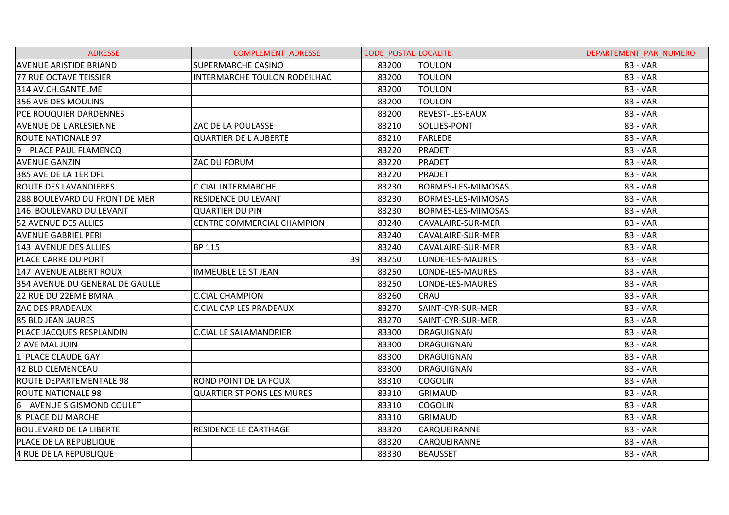| <b>ADRESSE</b>                  | <b>COMPLEMENT ADRESSE</b>         | <b>CODE POSTAL LOCALITE</b> |                        | DEPARTEMENT PAR NUMERO |
|---------------------------------|-----------------------------------|-----------------------------|------------------------|------------------------|
| <b>AVENUE ARISTIDE BRIAND</b>   | <b>SUPERMARCHE CASINO</b>         | 83200                       | TOULON                 | 83 - VAR               |
| <b>77 RUE OCTAVE TEISSIER</b>   | INTERMARCHE TOULON RODEILHAC      | 83200                       | <b>TOULON</b>          | 83 - VAR               |
| 314 AV.CH.GANTELME              |                                   | 83200                       | <b>TOULON</b>          | 83 - VAR               |
| 356 AVE DES MOULINS             |                                   | 83200                       | <b>TOULON</b>          | 83 - VAR               |
| PCE ROUQUIER DARDENNES          |                                   | 83200                       | <b>REVEST-LES-EAUX</b> | 83 - VAR               |
| <b>AVENUE DE L ARLESIENNE</b>   | ZAC DE LA POULASSE                | 83210                       | SOLLIES-PONT           | 83 - VAR               |
| <b>ROUTE NATIONALE 97</b>       | <b>QUARTIER DE L AUBERTE</b>      | 83210                       | <b>FARLEDE</b>         | 83 - VAR               |
| 9<br>PLACE PAUL FLAMENCQ        |                                   | 83220                       | <b>PRADET</b>          | 83 - VAR               |
| <b>AVENUE GANZIN</b>            | ZAC DU FORUM                      | 83220                       | <b>PRADET</b>          | 83 - VAR               |
| 385 AVE DE LA 1ER DFL           |                                   | 83220                       | PRADET                 | 83 - VAR               |
| <b>ROUTE DES LAVANDIERES</b>    | <b>C.CIAL INTERMARCHE</b>         | 83230                       | BORMES-LES-MIMOSAS     | 83 - VAR               |
| 288 BOULEVARD DU FRONT DE MER   | <b>RESIDENCE DU LEVANT</b>        | 83230                       | BORMES-LES-MIMOSAS     | 83 - VAR               |
| 146 BOULEVARD DU LEVANT         | <b>QUARTIER DU PIN</b>            | 83230                       | BORMES-LES-MIMOSAS     | 83 - VAR               |
| <b>52 AVENUE DES ALLIES</b>     | <b>CENTRE COMMERCIAL CHAMPION</b> | 83240                       | CAVALAIRE-SUR-MER      | 83 - VAR               |
| <b>AVENUE GABRIEL PERI</b>      |                                   | 83240                       | CAVALAIRE-SUR-MER      | 83 - VAR               |
| 143 AVENUE DES ALLIES           | <b>BP 115</b>                     | 83240                       | CAVALAIRE-SUR-MER      | 83 - VAR               |
| PLACE CARRE DU PORT             | 39                                | 83250                       | LONDE-LES-MAURES       | 83 - VAR               |
| 147 AVENUE ALBERT ROUX          | <b>IMMEUBLE LE ST JEAN</b>        | 83250                       | LONDE-LES-MAURES       | 83 - VAR               |
| 354 AVENUE DU GENERAL DE GAULLE |                                   | 83250                       | LONDE-LES-MAURES       | 83 - VAR               |
| 22 RUE DU 22EME BMNA            | <b>C.CIAL CHAMPION</b>            | 83260                       | <b>CRAU</b>            | 83 - VAR               |
| <b>ZAC DES PRADEAUX</b>         | <b>C.CIAL CAP LES PRADEAUX</b>    | 83270                       | SAINT-CYR-SUR-MER      | 83 - VAR               |
| 85 BLD JEAN JAURES              |                                   | 83270                       | SAINT-CYR-SUR-MER      | 83 - VAR               |
| PLACE JACQUES RESPLANDIN        | <b>C.CIAL LE SALAMANDRIER</b>     | 83300                       | DRAGUIGNAN             | 83 - VAR               |
| 2 AVE MAL JUIN                  |                                   | 83300                       | DRAGUIGNAN             | 83 - VAR               |
| 1 PLACE CLAUDE GAY              |                                   | 83300                       | <b>DRAGUIGNAN</b>      | 83 - VAR               |
| 42 BLD CLEMENCEAU               |                                   | 83300                       | <b>DRAGUIGNAN</b>      | 83 - VAR               |
| ROUTE DEPARTEMENTALE 98         | ROND POINT DE LA FOUX             | 83310                       | <b>COGOLIN</b>         | 83 - VAR               |
| <b>ROUTE NATIONALE 98</b>       | <b>QUARTIER ST PONS LES MURES</b> | 83310                       | <b>GRIMAUD</b>         | 83 - VAR               |
| 6 AVENUE SIGISMOND COULET       |                                   | 83310                       | <b>COGOLIN</b>         | 83 - VAR               |
| 8 PLACE DU MARCHE               |                                   | 83310                       | <b>GRIMAUD</b>         | 83 - VAR               |
| <b>BOULEVARD DE LA LIBERTE</b>  | RESIDENCE LE CARTHAGE             | 83320                       | <b>CARQUEIRANNE</b>    | 83 - VAR               |
| PLACE DE LA REPUBLIQUE          |                                   | 83320                       | CARQUEIRANNE           | 83 - VAR               |
| 4 RUE DE LA REPUBLIQUE          |                                   | 83330                       | <b>BEAUSSET</b>        | 83 - VAR               |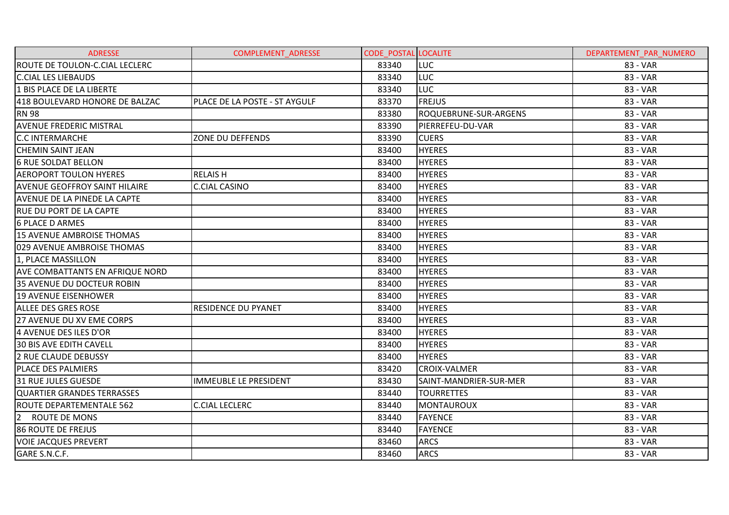| <b>ADRESSE</b>                         | <b>COMPLEMENT ADRESSE</b>     | <b>CODE POSTAL LOCALITE</b> |                        | DEPARTEMENT PAR NUMERO |
|----------------------------------------|-------------------------------|-----------------------------|------------------------|------------------------|
| ROUTE DE TOULON-C.CIAL LECLERC         |                               | 83340                       | LUC                    | 83 - VAR               |
| <b>C.CIAL LES LIEBAUDS</b>             |                               | 83340                       | <b>LUC</b>             | 83 - VAR               |
| 1 BIS PLACE DE LA LIBERTE              |                               | 83340                       | <b>LUC</b>             | 83 - VAR               |
| 418 BOULEVARD HONORE DE BALZAC         | PLACE DE LA POSTE - ST AYGULF | 83370                       | <b>FREJUS</b>          | 83 - VAR               |
| <b>RN 98</b>                           |                               | 83380                       | ROQUEBRUNE-SUR-ARGENS  | 83 - VAR               |
| <b>AVENUE FREDERIC MISTRAL</b>         |                               | 83390                       | PIERREFEU-DU-VAR       | 83 - VAR               |
| <b>C.C INTERMARCHE</b>                 | ZONE DU DEFFENDS              | 83390                       | <b>CUERS</b>           | 83 - VAR               |
| <b>CHEMIN SAINT JEAN</b>               |                               | 83400                       | <b>HYERES</b>          | 83 - VAR               |
| <b>6 RUE SOLDAT BELLON</b>             |                               | 83400                       | <b>HYERES</b>          | 83 - VAR               |
| <b>AEROPORT TOULON HYERES</b>          | <b>RELAISH</b>                | 83400                       | <b>HYERES</b>          | 83 - VAR               |
| <b>AVENUE GEOFFROY SAINT HILAIRE</b>   | C.CIAL CASINO                 | 83400                       | <b>HYERES</b>          | 83 - VAR               |
| <b>AVENUE DE LA PINEDE LA CAPTE</b>    |                               | 83400                       | <b>HYERES</b>          | 83 - VAR               |
| <b>RUE DU PORT DE LA CAPTE</b>         |                               | 83400                       | <b>HYERES</b>          | 83 - VAR               |
| <b>6 PLACE D ARMES</b>                 |                               | 83400                       | <b>HYERES</b>          | 83 - VAR               |
| 15 AVENUE AMBROISE THOMAS              |                               | 83400                       | <b>HYERES</b>          | 83 - VAR               |
| 029 AVENUE AMBROISE THOMAS             |                               | 83400                       | <b>HYERES</b>          | 83 - VAR               |
| 1, PLACE MASSILLON                     |                               | 83400                       | <b>HYERES</b>          | 83 - VAR               |
| <b>AVE COMBATTANTS EN AFRIQUE NORD</b> |                               | 83400                       | <b>HYERES</b>          | 83 - VAR               |
| 35 AVENUE DU DOCTEUR ROBIN             |                               | 83400                       | <b>HYERES</b>          | 83 - VAR               |
| 19 AVENUE EISENHOWER                   |                               | 83400                       | <b>HYERES</b>          | 83 - VAR               |
| <b>ALLEE DES GRES ROSE</b>             | <b>RESIDENCE DU PYANET</b>    | 83400                       | <b>HYERES</b>          | 83 - VAR               |
| 27 AVENUE DU XV EME CORPS              |                               | 83400                       | <b>HYERES</b>          | 83 - VAR               |
| 4 AVENUE DES ILES D'OR                 |                               | 83400                       | <b>HYERES</b>          | 83 - VAR               |
| <b>30 BIS AVE EDITH CAVELL</b>         |                               | 83400                       | <b>HYERES</b>          | 83 - VAR               |
| <b>2 RUE CLAUDE DEBUSSY</b>            |                               | 83400                       | <b>HYERES</b>          | 83 - VAR               |
| PLACE DES PALMIERS                     |                               | 83420                       | <b>CROIX-VALMER</b>    | 83 - VAR               |
| 31 RUE JULES GUESDE                    | <b>IMMEUBLE LE PRESIDENT</b>  | 83430                       | SAINT-MANDRIER-SUR-MER | 83 - VAR               |
| <b>QUARTIER GRANDES TERRASSES</b>      |                               | 83440                       | <b>TOURRETTES</b>      | 83 - VAR               |
| ROUTE DEPARTEMENTALE 562               | <b>C.CIAL LECLERC</b>         | 83440                       | <b>MONTAUROUX</b>      | 83 - VAR               |
| $\overline{2}$<br><b>ROUTE DE MONS</b> |                               | 83440                       | <b>FAYENCE</b>         | 83 - VAR               |
| 86 ROUTE DE FREJUS                     |                               | 83440                       | FAYENCE                | 83 - VAR               |
| <b>VOIE JACQUES PREVERT</b>            |                               | 83460                       | <b>ARCS</b>            | 83 - VAR               |
| GARE S.N.C.F.                          |                               | 83460                       | <b>ARCS</b>            | 83 - VAR               |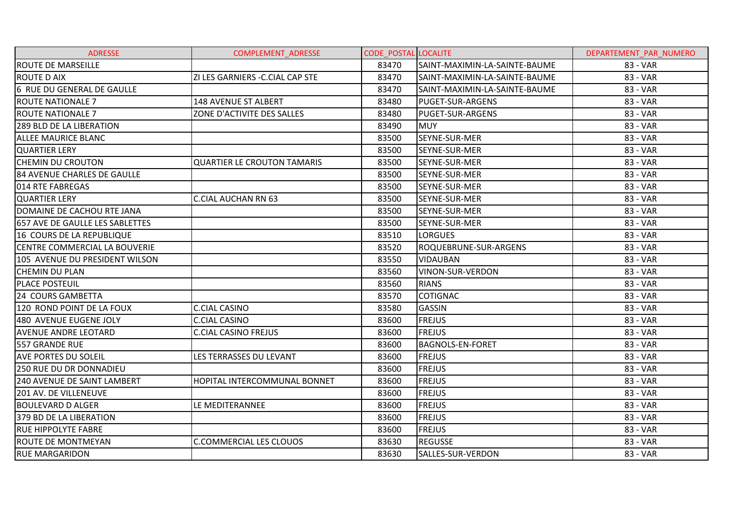| <b>ADRESSE</b>                  | COMPLEMENT_ADRESSE                 | <b>CODE POSTAL LOCALITE</b> |                               | DEPARTEMENT_PAR_NUMERO |
|---------------------------------|------------------------------------|-----------------------------|-------------------------------|------------------------|
| <b>ROUTE DE MARSEILLE</b>       |                                    | 83470                       | SAINT-MAXIMIN-LA-SAINTE-BAUME | 83 - VAR               |
| <b>ROUTE D AIX</b>              | ZI LES GARNIERS - C. CIAL CAP STE  | 83470                       | SAINT-MAXIMIN-LA-SAINTE-BAUME | 83 - VAR               |
| 6 RUE DU GENERAL DE GAULLE      |                                    | 83470                       | SAINT-MAXIMIN-LA-SAINTE-BAUME | 83 - VAR               |
| <b>ROUTE NATIONALE 7</b>        | 148 AVENUE ST ALBERT               | 83480                       | <b>PUGET-SUR-ARGENS</b>       | 83 - VAR               |
| <b>ROUTE NATIONALE 7</b>        | ZONE D'ACTIVITE DES SALLES         | 83480                       | <b>PUGET-SUR-ARGENS</b>       | 83 - VAR               |
| 289 BLD DE LA LIBERATION        |                                    | 83490                       | <b>MUY</b>                    | 83 - VAR               |
| <b>ALLEE MAURICE BLANC</b>      |                                    | 83500                       | SEYNE-SUR-MER                 | 83 - VAR               |
| <b>QUARTIER LERY</b>            |                                    | 83500                       | SEYNE-SUR-MER                 | 83 - VAR               |
| <b>CHEMIN DU CROUTON</b>        | <b>QUARTIER LE CROUTON TAMARIS</b> | 83500                       | SEYNE-SUR-MER                 | 83 - VAR               |
| 84 AVENUE CHARLES DE GAULLE     |                                    | 83500                       | SEYNE-SUR-MER                 | 83 - VAR               |
| 014 RTE FABREGAS                |                                    | 83500                       | SEYNE-SUR-MER                 | 83 - VAR               |
| <b>QUARTIER LERY</b>            | <b>C.CIAL AUCHAN RN 63</b>         | 83500                       | SEYNE-SUR-MER                 | 83 - VAR               |
| DOMAINE DE CACHOU RTE JANA      |                                    | 83500                       | SEYNE-SUR-MER                 | 83 - VAR               |
| 657 AVE DE GAULLE LES SABLETTES |                                    | 83500                       | SEYNE-SUR-MER                 | 83 - VAR               |
| 16 COURS DE LA REPUBLIQUE       |                                    | 83510                       | <b>LORGUES</b>                | 83 - VAR               |
| CENTRE COMMERCIAL LA BOUVERIE   |                                    | 83520                       | ROQUEBRUNE-SUR-ARGENS         | 83 - VAR               |
| 105 AVENUE DU PRESIDENT WILSON  |                                    | 83550                       | <b>VIDAUBAN</b>               | 83 - VAR               |
| <b>CHEMIN DU PLAN</b>           |                                    | 83560                       | VINON-SUR-VERDON              | 83 - VAR               |
| <b>PLACE POSTEUIL</b>           |                                    | 83560                       | <b>RIANS</b>                  | 83 - VAR               |
| 24 COURS GAMBETTA               |                                    | 83570                       | <b>COTIGNAC</b>               | 83 - VAR               |
| 120 ROND POINT DE LA FOUX       | <b>C.CIAL CASINO</b>               | 83580                       | <b>GASSIN</b>                 | 83 - VAR               |
| 480 AVENUE EUGENE JOLY          | C.CIAL CASINO                      | 83600                       | <b>FREJUS</b>                 | 83 - VAR               |
| <b>AVENUE ANDRE LEOTARD</b>     | <b>C.CIAL CASINO FREJUS</b>        | 83600                       | <b>FREJUS</b>                 | 83 - VAR               |
| 557 GRANDE RUE                  |                                    | 83600                       | <b>BAGNOLS-EN-FORET</b>       | 83 - VAR               |
| <b>AVE PORTES DU SOLEIL</b>     | LES TERRASSES DU LEVANT            | 83600                       | <b>FREJUS</b>                 | 83 - VAR               |
| <b>250 RUE DU DR DONNADIEU</b>  |                                    | 83600                       | <b>FREJUS</b>                 | 83 - VAR               |
| 240 AVENUE DE SAINT LAMBERT     | HOPITAL INTERCOMMUNAL BONNET       | 83600                       | <b>FREJUS</b>                 | 83 - VAR               |
| 201 AV. DE VILLENEUVE           |                                    | 83600                       | <b>FREJUS</b>                 | 83 - VAR               |
| <b>BOULEVARD D ALGER</b>        | LE MEDITERANNEE                    | 83600                       | <b>FREJUS</b>                 | 83 - VAR               |
| 379 BD DE LA LIBERATION         |                                    | 83600                       | <b>FREJUS</b>                 | 83 - VAR               |
| <b>RUE HIPPOLYTE FABRE</b>      |                                    | 83600                       | <b>FREJUS</b>                 | 83 - VAR               |
| ROUTE DE MONTMEYAN              | <b>C.COMMERCIAL LES CLOUOS</b>     | 83630                       | <b>REGUSSE</b>                | 83 - VAR               |
| <b>RUE MARGARIDON</b>           |                                    | 83630                       | SALLES-SUR-VERDON             | 83 - VAR               |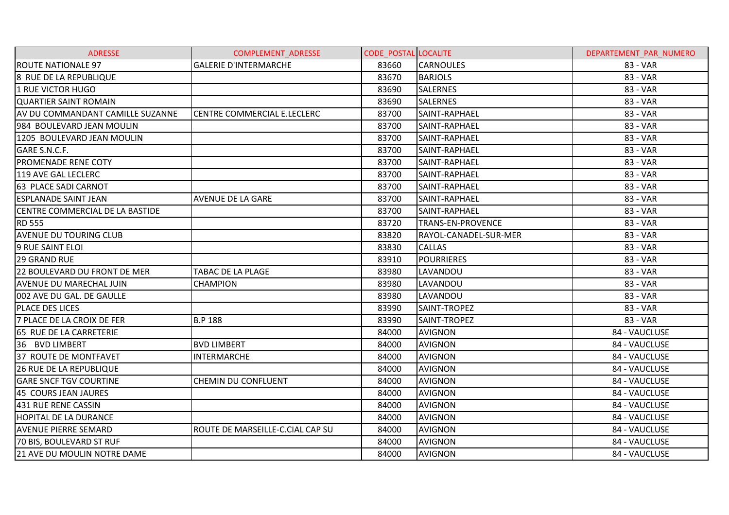| <b>ADRESSE</b>                   | COMPLEMENT_ADRESSE               | <b>CODE POSTAL LOCALITE</b> |                          | DEPARTEMENT PAR NUMERO |
|----------------------------------|----------------------------------|-----------------------------|--------------------------|------------------------|
| <b>ROUTE NATIONALE 97</b>        | <b>GALERIE D'INTERMARCHE</b>     | 83660                       | <b>CARNOULES</b>         | 83 - VAR               |
| 8 RUE DE LA REPUBLIQUE           |                                  | 83670                       | <b>BARJOLS</b>           | 83 - VAR               |
| 1 RUE VICTOR HUGO                |                                  | 83690                       | <b>SALERNES</b>          | 83 - VAR               |
| <b>QUARTIER SAINT ROMAIN</b>     |                                  | 83690                       | <b>SALERNES</b>          | 83 - VAR               |
| AV DU COMMANDANT CAMILLE SUZANNE | ICENTRE COMMERCIAL E.LECLERC     | 83700                       | SAINT-RAPHAEL            | 83 - VAR               |
| 984 BOULEVARD JEAN MOULIN        |                                  | 83700                       | SAINT-RAPHAEL            | 83 - VAR               |
| 1205 BOULEVARD JEAN MOULIN       |                                  | 83700                       | SAINT-RAPHAEL            | 83 - VAR               |
| GARE S.N.C.F.                    |                                  | 83700                       | SAINT-RAPHAEL            | 83 - VAR               |
| PROMENADE RENE COTY              |                                  | 83700                       | SAINT-RAPHAEL            | 83 - VAR               |
| 119 AVE GAL LECLERC              |                                  | 83700                       | SAINT-RAPHAEL            | 83 - VAR               |
| 63 PLACE SADI CARNOT             |                                  | 83700                       | SAINT-RAPHAEL            | 83 - VAR               |
| <b>ESPLANADE SAINT JEAN</b>      | <b>AVENUE DE LA GARE</b>         | 83700                       | SAINT-RAPHAEL            | 83 - VAR               |
| CENTRE COMMERCIAL DE LA BASTIDE  |                                  | 83700                       | SAINT-RAPHAEL            | 83 - VAR               |
| <b>RD 555</b>                    |                                  | 83720                       | <b>TRANS-EN-PROVENCE</b> | 83 - VAR               |
| <b>AVENUE DU TOURING CLUB</b>    |                                  | 83820                       | RAYOL-CANADEL-SUR-MER    | 83 - VAR               |
| 9 RUE SAINT ELOI                 |                                  | 83830                       | <b>CALLAS</b>            | 83 - VAR               |
| <b>29 GRAND RUE</b>              |                                  | 83910                       | <b>POURRIERES</b>        | 83 - VAR               |
| 22 BOULEVARD DU FRONT DE MER     | TABAC DE LA PLAGE                | 83980                       | LAVANDOU                 | 83 - VAR               |
| AVENUE DU MARECHAL JUIN          | <b>CHAMPION</b>                  | 83980                       | LAVANDOU                 | 83 - VAR               |
| 002 AVE DU GAL. DE GAULLE        |                                  | 83980                       | LAVANDOU                 | 83 - VAR               |
| PLACE DES LICES                  |                                  | 83990                       | SAINT-TROPEZ             | 83 - VAR               |
| 7 PLACE DE LA CROIX DE FER       | <b>B.P 188</b>                   | 83990                       | SAINT-TROPEZ             | 83 - VAR               |
| 65 RUE DE LA CARRETERIE          |                                  | 84000                       | <b>AVIGNON</b>           | 84 - VAUCLUSE          |
| 36 BVD LIMBERT                   | <b>BVD LIMBERT</b>               | 84000                       | <b>AVIGNON</b>           | 84 - VAUCLUSE          |
| 37 ROUTE DE MONTFAVET            | <b>INTERMARCHE</b>               | 84000                       | <b>AVIGNON</b>           | 84 - VAUCLUSE          |
| <b>26 RUE DE LA REPUBLIQUE</b>   |                                  | 84000                       | <b>AVIGNON</b>           | 84 - VAUCLUSE          |
| <b>GARE SNCF TGV COURTINE</b>    | <b>CHEMIN DU CONFLUENT</b>       | 84000                       | <b>AVIGNON</b>           | 84 - VAUCLUSE          |
| 45 COURS JEAN JAURES             |                                  | 84000                       | <b>AVIGNON</b>           | 84 - VAUCLUSE          |
| 431 RUE RENE CASSIN              |                                  | 84000                       | <b>AVIGNON</b>           | 84 - VAUCLUSE          |
| <b>HOPITAL DE LA DURANCE</b>     |                                  | 84000                       | <b>AVIGNON</b>           | 84 - VAUCLUSE          |
| <b>AVENUE PIERRE SEMARD</b>      | ROUTE DE MARSEILLE-C.CIAL CAP SU | 84000                       | <b>AVIGNON</b>           | 84 - VAUCLUSE          |
| 70 BIS, BOULEVARD ST RUF         |                                  | 84000                       | <b>AVIGNON</b>           | 84 - VAUCLUSE          |
| 21 AVE DU MOULIN NOTRE DAME      |                                  | 84000                       | <b>AVIGNON</b>           | 84 - VAUCLUSE          |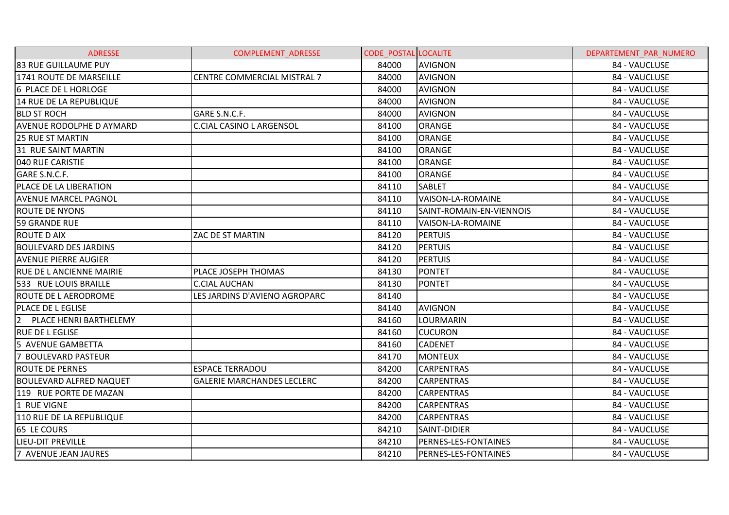| <b>ADRESSE</b>                  | <b>COMPLEMENT ADRESSE</b>          | <b>CODE POSTAL LOCALITE</b> |                          | DEPARTEMENT PAR NUMERO |
|---------------------------------|------------------------------------|-----------------------------|--------------------------|------------------------|
| 83 RUE GUILLAUME PUY            |                                    | 84000                       | <b>AVIGNON</b>           | 84 - VAUCLUSE          |
| 1741 ROUTE DE MARSEILLE         | <b>CENTRE COMMERCIAL MISTRAL 7</b> | 84000                       | <b>AVIGNON</b>           | 84 - VAUCLUSE          |
| 6 PLACE DE L HORLOGE            |                                    | 84000                       | <b>AVIGNON</b>           | 84 - VAUCLUSE          |
| 14 RUE DE LA REPUBLIQUE         |                                    | 84000                       | <b>AVIGNON</b>           | 84 - VAUCLUSE          |
| <b>BLD ST ROCH</b>              | GARE S.N.C.F.                      | 84000                       | <b>AVIGNON</b>           | 84 - VAUCLUSE          |
| <b>AVENUE RODOLPHE D AYMARD</b> | C.CIAL CASINO L ARGENSOL           | 84100                       | <b>ORANGE</b>            | 84 - VAUCLUSE          |
| <b>25 RUE ST MARTIN</b>         |                                    | 84100                       | <b>ORANGE</b>            | 84 - VAUCLUSE          |
| 31 RUE SAINT MARTIN             |                                    | 84100                       | <b>ORANGE</b>            | 84 - VAUCLUSE          |
| 040 RUE CARISTIE                |                                    | 84100                       | ORANGE                   | 84 - VAUCLUSE          |
| GARE S.N.C.F.                   |                                    | 84100                       | <b>ORANGE</b>            | 84 - VAUCLUSE          |
| PLACE DE LA LIBERATION          |                                    | 84110                       | <b>SABLET</b>            | 84 - VAUCLUSE          |
| <b>AVENUE MARCEL PAGNOL</b>     |                                    | 84110                       | VAISON-LA-ROMAINE        | 84 - VAUCLUSE          |
| <b>ROUTE DE NYONS</b>           |                                    | 84110                       | SAINT-ROMAIN-EN-VIENNOIS | 84 - VAUCLUSE          |
| <b>59 GRANDE RUE</b>            |                                    | 84110                       | VAISON-LA-ROMAINE        | 84 - VAUCLUSE          |
| <b>ROUTE D AIX</b>              | ZAC DE ST MARTIN                   | 84120                       | <b>PERTUIS</b>           | 84 - VAUCLUSE          |
| <b>BOULEVARD DES JARDINS</b>    |                                    | 84120                       | <b>PERTUIS</b>           | 84 - VAUCLUSE          |
| <b>AVENUE PIERRE AUGIER</b>     |                                    | 84120                       | <b>PERTUIS</b>           | 84 - VAUCLUSE          |
| <b>RUE DE LANCIENNE MAIRIE</b>  | PLACE JOSEPH THOMAS                | 84130                       | <b>PONTET</b>            | 84 - VAUCLUSE          |
| 533 RUE LOUIS BRAILLE           | C.CIAL AUCHAN                      | 84130                       | <b>PONTET</b>            | 84 - VAUCLUSE          |
| ROUTE DE LAERODROME             | LES JARDINS D'AVIENO AGROPARC      | 84140                       |                          | 84 - VAUCLUSE          |
| <b>PLACE DE L EGLISE</b>        |                                    | 84140                       | <b>AVIGNON</b>           | 84 - VAUCLUSE          |
| 2 PLACE HENRI BARTHELEMY        |                                    | 84160                       | LOURMARIN                | 84 - VAUCLUSE          |
| <b>RUE DE L EGLISE</b>          |                                    | 84160                       | <b>CUCURON</b>           | 84 - VAUCLUSE          |
| 5 AVENUE GAMBETTA               |                                    | 84160                       | <b>CADENET</b>           | 84 - VAUCLUSE          |
| 7 BOULEVARD PASTEUR             |                                    | 84170                       | <b>MONTEUX</b>           | 84 - VAUCLUSE          |
| <b>ROUTE DE PERNES</b>          | <b>ESPACE TERRADOU</b>             | 84200                       | <b>CARPENTRAS</b>        | 84 - VAUCLUSE          |
| BOULEVARD ALFRED NAQUET         | <b>GALERIE MARCHANDES LECLERC</b>  | 84200                       | <b>CARPENTRAS</b>        | 84 - VAUCLUSE          |
| 119 RUE PORTE DE MAZAN          |                                    | 84200                       | <b>CARPENTRAS</b>        | 84 - VAUCLUSE          |
| 1 RUE VIGNE                     |                                    | 84200                       | <b>CARPENTRAS</b>        | 84 - VAUCLUSE          |
| 110 RUE DE LA REPUBLIQUE        |                                    | 84200                       | <b>CARPENTRAS</b>        | 84 - VAUCLUSE          |
| 65 LE COURS                     |                                    | 84210                       | SAINT-DIDIER             | 84 - VAUCLUSE          |
| LIEU-DIT PREVILLE               |                                    | 84210                       | PERNES-LES-FONTAINES     | 84 - VAUCLUSE          |
| 7 AVENUE JEAN JAURES            |                                    | 84210                       | PERNES-LES-FONTAINES     | 84 - VAUCLUSE          |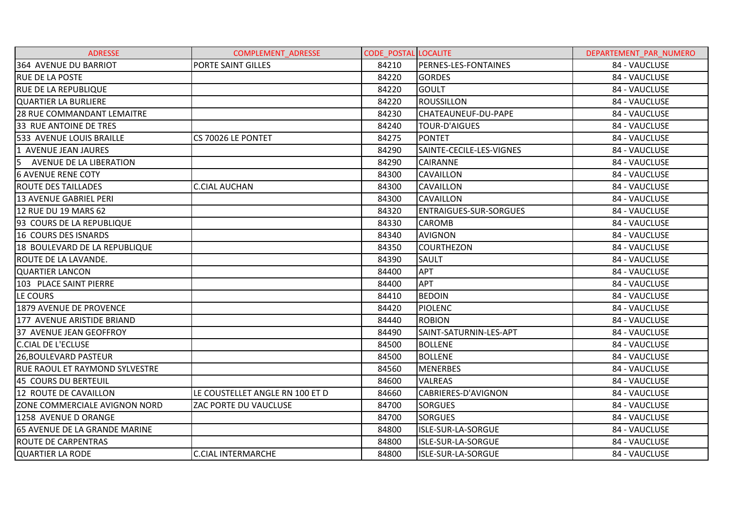| <b>ADRESSE</b>                        | <b>COMPLEMENT ADRESSE</b>       | <b>CODE POSTAL LOCALITE</b> |                               | DEPARTEMENT PAR NUMERO |
|---------------------------------------|---------------------------------|-----------------------------|-------------------------------|------------------------|
| 364 AVENUE DU BARRIOT                 | PORTE SAINT GILLES              | 84210                       | PERNES-LES-FONTAINES          | 84 - VAUCLUSE          |
| <b>RUE DE LA POSTE</b>                |                                 | 84220                       | <b>GORDES</b>                 | 84 - VAUCLUSE          |
| <b>RUE DE LA REPUBLIQUE</b>           |                                 | 84220                       | <b>GOULT</b>                  | 84 - VAUCLUSE          |
| QUARTIER LA BURLIERE                  |                                 | 84220                       | <b>ROUSSILLON</b>             | 84 - VAUCLUSE          |
| <b>28 RUE COMMANDANT LEMAITRE</b>     |                                 | 84230                       | CHATEAUNEUF-DU-PAPE           | 84 - VAUCLUSE          |
| 33 RUE ANTOINE DE TRES                |                                 | 84240                       | TOUR-D'AIGUES                 | 84 - VAUCLUSE          |
| 533 AVENUE LOUIS BRAILLE              | CS 70026 LE PONTET              | 84275                       | <b>PONTET</b>                 | 84 - VAUCLUSE          |
| 1 AVENUE JEAN JAURES                  |                                 | 84290                       | SAINTE-CECILE-LES-VIGNES      | 84 - VAUCLUSE          |
| 5 AVENUE DE LA LIBERATION             |                                 | 84290                       | <b>CAIRANNE</b>               | 84 - VAUCLUSE          |
| <b>6 AVENUE RENE COTY</b>             |                                 | 84300                       | <b>CAVAILLON</b>              | 84 - VAUCLUSE          |
| <b>ROUTE DES TAILLADES</b>            | <b>C.CIAL AUCHAN</b>            | 84300                       | <b>CAVAILLON</b>              | 84 - VAUCLUSE          |
| 13 AVENUE GABRIEL PERI                |                                 | 84300                       | <b>CAVAILLON</b>              | 84 - VAUCLUSE          |
| 12 RUE DU 19 MARS 62                  |                                 | 84320                       | <b>ENTRAIGUES-SUR-SORGUES</b> | 84 - VAUCLUSE          |
| 93 COURS DE LA REPUBLIQUE             |                                 | 84330                       | <b>CAROMB</b>                 | 84 - VAUCLUSE          |
| 16 COURS DES ISNARDS                  |                                 | 84340                       | <b>AVIGNON</b>                | 84 - VAUCLUSE          |
| 18 BOULEVARD DE LA REPUBLIQUE         |                                 | 84350                       | <b>COURTHEZON</b>             | 84 - VAUCLUSE          |
| ROUTE DE LA LAVANDE.                  |                                 | 84390                       | <b>SAULT</b>                  | 84 - VAUCLUSE          |
| <b>QUARTIER LANCON</b>                |                                 | 84400                       | <b>APT</b>                    | 84 - VAUCLUSE          |
| 103 PLACE SAINT PIERRE                |                                 | 84400                       | <b>APT</b>                    | 84 - VAUCLUSE          |
| LE COURS                              |                                 | 84410                       | <b>BEDOIN</b>                 | 84 - VAUCLUSE          |
| 1879 AVENUE DE PROVENCE               |                                 | 84420                       | <b>PIOLENC</b>                | 84 - VAUCLUSE          |
| 177 AVENUE ARISTIDE BRIAND            |                                 | 84440                       | <b>ROBION</b>                 | 84 - VAUCLUSE          |
| 37 AVENUE JEAN GEOFFROY               |                                 | 84490                       | SAINT-SATURNIN-LES-APT        | 84 - VAUCLUSE          |
| <b>C.CIAL DE L'ECLUSE</b>             |                                 | 84500                       | <b>BOLLENE</b>                | 84 - VAUCLUSE          |
| 26, BOULEVARD PASTEUR                 |                                 | 84500                       | <b>BOLLENE</b>                | 84 - VAUCLUSE          |
| <b>RUE RAOUL ET RAYMOND SYLVESTRE</b> |                                 | 84560                       | <b>MENERBES</b>               | 84 - VAUCLUSE          |
| 45 COURS DU BERTEUIL                  |                                 | 84600                       | <b>VALREAS</b>                | 84 - VAUCLUSE          |
| 12 ROUTE DE CAVAILLON                 | LE COUSTELLET ANGLE RN 100 ET D | 84660                       | CABRIERES-D'AVIGNON           | 84 - VAUCLUSE          |
| ZONE COMMERCIALE AVIGNON NORD         | ZAC PORTE DU VAUCLUSE           | 84700                       | <b>SORGUES</b>                | 84 - VAUCLUSE          |
| 1258 AVENUE D ORANGE                  |                                 | 84700                       | <b>SORGUES</b>                | 84 - VAUCLUSE          |
| 65 AVENUE DE LA GRANDE MARINE         |                                 | 84800                       | ISLE-SUR-LA-SORGUE            | 84 - VAUCLUSE          |
| <b>ROUTE DE CARPENTRAS</b>            |                                 | 84800                       | ISLE-SUR-LA-SORGUE            | 84 - VAUCLUSE          |
| <b>QUARTIER LA RODE</b>               | IC.CIAL INTERMARCHE             | 84800                       | ISLE-SUR-LA-SORGUE            | 84 - VAUCLUSE          |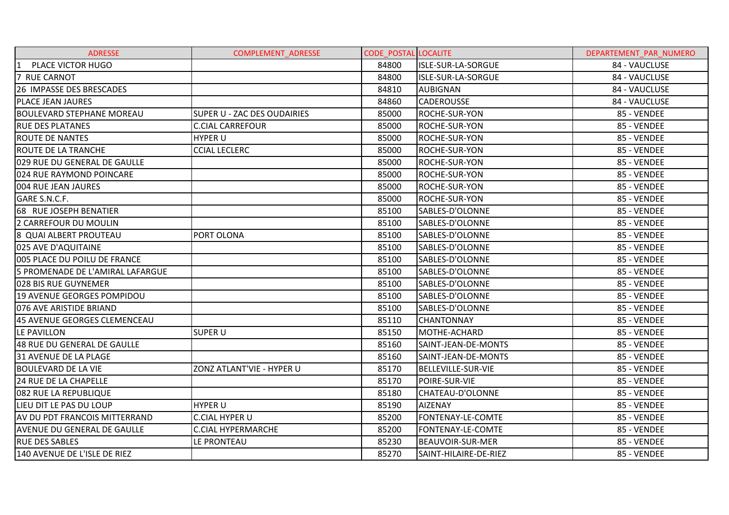| <b>ADRESSE</b>                      | <b>COMPLEMENT ADRESSE</b>   | <b>CODE POSTAL LOCALITE</b> |                           | DEPARTEMENT PAR NUMERO |
|-------------------------------------|-----------------------------|-----------------------------|---------------------------|------------------------|
| PLACE VICTOR HUGO<br> 1             |                             | 84800                       | <b>ISLE-SUR-LA-SORGUE</b> | 84 - VAUCLUSE          |
| 7 RUE CARNOT                        |                             | 84800                       | ISLE-SUR-LA-SORGUE        | 84 - VAUCLUSE          |
| 26 IMPASSE DES BRESCADES            |                             | 84810                       | AUBIGNAN                  | 84 - VAUCLUSE          |
| <b>PLACE JEAN JAURES</b>            |                             | 84860                       | <b>CADEROUSSE</b>         | 84 - VAUCLUSE          |
| <b>BOULEVARD STEPHANE MOREAU</b>    | SUPER U - ZAC DES OUDAIRIES | 85000                       | <b>ROCHE-SUR-YON</b>      | 85 - VENDEE            |
| <b>RUE DES PLATANES</b>             | <b>C.CIAL CARREFOUR</b>     | 85000                       | ROCHE-SUR-YON             | 85 - VENDEE            |
| <b>ROUTE DE NANTES</b>              | <b>HYPER U</b>              | 85000                       | <b>ROCHE-SUR-YON</b>      | 85 - VENDEE            |
| <b>ROUTE DE LA TRANCHE</b>          | <b>CCIAL LECLERC</b>        | 85000                       | <b>ROCHE-SUR-YON</b>      | 85 - VENDEE            |
| <b>029 RUE DU GENERAL DE GAULLE</b> |                             | 85000                       | ROCHE-SUR-YON             | 85 - VENDEE            |
| 024 RUE RAYMOND POINCARE            |                             | 85000                       | <b>ROCHE-SUR-YON</b>      | 85 - VENDEE            |
| 004 RUE JEAN JAURES                 |                             | 85000                       | <b>ROCHE-SUR-YON</b>      | 85 - VENDEE            |
| GARE S.N.C.F.                       |                             | 85000                       | ROCHE-SUR-YON             | 85 - VENDEE            |
| 68 RUE JOSEPH BENATIER              |                             | 85100                       | SABLES-D'OLONNE           | 85 - VENDEE            |
| 2 CARREFOUR DU MOULIN               |                             | 85100                       | SABLES-D'OLONNE           | 85 - VENDEE            |
| 8 QUAI ALBERT PROUTEAU              | PORT OLONA                  | 85100                       | SABLES-D'OLONNE           | 85 - VENDEE            |
| 025 AVE D'AQUITAINE                 |                             | 85100                       | SABLES-D'OLONNE           | 85 - VENDEE            |
| 1005 PLACE DU POILU DE FRANCE       |                             | 85100                       | SABLES-D'OLONNE           | 85 - VENDEE            |
| 5 PROMENADE DE L'AMIRAL LAFARGUE    |                             | 85100                       | SABLES-D'OLONNE           | 85 - VENDEE            |
| l028 BIS RUE GUYNEMER               |                             | 85100                       | SABLES-D'OLONNE           | 85 - VENDEE            |
| 19 AVENUE GEORGES POMPIDOU          |                             | 85100                       | SABLES-D'OLONNE           | 85 - VENDEE            |
| 076 AVE ARISTIDE BRIAND             |                             | 85100                       | SABLES-D'OLONNE           | 85 - VENDEE            |
| 45 AVENUE GEORGES CLEMENCEAU        |                             | 85110                       | <b>CHANTONNAY</b>         | 85 - VENDEE            |
| LE PAVILLON                         | <b>SUPER U</b>              | 85150                       | MOTHE-ACHARD              | 85 - VENDEE            |
| 48 RUE DU GENERAL DE GAULLE         |                             | 85160                       | SAINT-JEAN-DE-MONTS       | 85 - VENDEE            |
| 31 AVENUE DE LA PLAGE               |                             | 85160                       | SAINT-JEAN-DE-MONTS       | 85 - VENDEE            |
| <b>BOULEVARD DE LA VIE</b>          | ZONZ ATLANT'VIE - HYPER U   | 85170                       | <b>BELLEVILLE-SUR-VIE</b> | 85 - VENDEE            |
| <b>24 RUE DE LA CHAPELLE</b>        |                             | 85170                       | POIRE-SUR-VIE             | 85 - VENDEE            |
| 082 RUE LA REPUBLIQUE               |                             | 85180                       | CHATEAU-D'OLONNE          | 85 - VENDEE            |
| LIEU DIT LE PAS DU LOUP             | <b>HYPER U</b>              | 85190                       | <b>AIZENAY</b>            | 85 - VENDEE            |
| AV DU PDT FRANCOIS MITTERRAND       | <b>C.CIAL HYPER U</b>       | 85200                       | FONTENAY-LE-COMTE         | 85 - VENDEE            |
| AVENUE DU GENERAL DE GAULLE         | <b>C.CIAL HYPERMARCHE</b>   | 85200                       | FONTENAY-LE-COMTE         | 85 - VENDEE            |
| <b>RUE DES SABLES</b>               | LE PRONTEAU                 | 85230                       | <b>BEAUVOIR-SUR-MER</b>   | 85 - VENDEE            |
| 140 AVENUE DE L'ISLE DE RIEZ        |                             | 85270                       | SAINT-HILAIRE-DE-RIEZ     | 85 - VENDEE            |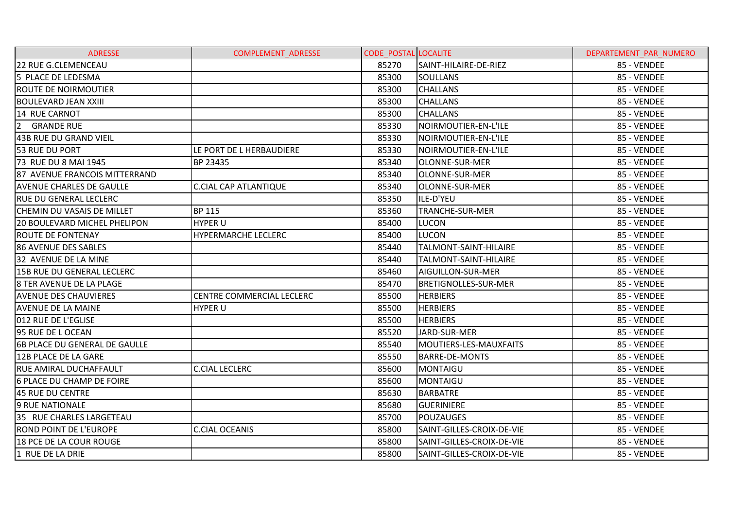| <b>ADRESSE</b>                       | <b>COMPLEMENT ADRESSE</b>    | <b>CODE POSTAL LOCALITE</b> |                           | DEPARTEMENT PAR NUMERO |
|--------------------------------------|------------------------------|-----------------------------|---------------------------|------------------------|
| 22 RUE G.CLEMENCEAU                  |                              | 85270                       | SAINT-HILAIRE-DE-RIEZ     | 85 - VENDEE            |
| 5 PLACE DE LEDESMA                   |                              | 85300                       | <b>SOULLANS</b>           | 85 - VENDEE            |
| <b>ROUTE DE NOIRMOUTIER</b>          |                              | 85300                       | <b>CHALLANS</b>           | 85 - VENDEE            |
| <b>BOULEVARD JEAN XXIII</b>          |                              | 85300                       | <b>CHALLANS</b>           | 85 - VENDEE            |
| 14 RUE CARNOT                        |                              | 85300                       | <b>CHALLANS</b>           | 85 - VENDEE            |
| $\overline{2}$<br><b>GRANDE RUE</b>  |                              | 85330                       | NOIRMOUTIER-EN-L'ILE      | 85 - VENDEE            |
| 43B RUE DU GRAND VIEIL               |                              | 85330                       | NOIRMOUTIER-EN-L'ILE      | 85 - VENDEE            |
| 53 RUE DU PORT                       | LE PORT DE L HERBAUDIERE     | 85330                       | NOIRMOUTIER-EN-L'ILE      | 85 - VENDEE            |
| 73 RUE DU 8 MAI 1945                 | BP 23435                     | 85340                       | OLONNE-SUR-MER            | 85 - VENDEE            |
| 87 AVENUE FRANCOIS MITTERRAND        |                              | 85340                       | OLONNE-SUR-MER            | 85 - VENDEE            |
| <b>AVENUE CHARLES DE GAULLE</b>      | <b>C.CIAL CAP ATLANTIQUE</b> | 85340                       | OLONNE-SUR-MER            | 85 - VENDEE            |
| <b>RUE DU GENERAL LECLERC</b>        |                              | 85350                       | ILE-D'YEU                 | 85 - VENDEE            |
| <b>CHEMIN DU VASAIS DE MILLET</b>    | <b>BP 115</b>                | 85360                       | <b>TRANCHE-SUR-MER</b>    | 85 - VENDEE            |
| <b>20 BOULEVARD MICHEL PHELIPON</b>  | <b>HYPER U</b>               | 85400                       | <b>LUCON</b>              | 85 - VENDEE            |
| IROUTE DE FONTENAY                   | <b>HYPERMARCHE LECLERC</b>   | 85400                       | LUCON                     | 85 - VENDEE            |
| 86 AVENUE DES SABLES                 |                              | 85440                       | TALMONT-SAINT-HILAIRE     | 85 - VENDEE            |
| 32 AVENUE DE LA MINE                 |                              | 85440                       | TALMONT-SAINT-HILAIRE     | 85 - VENDEE            |
| 15B RUE DU GENERAL LECLERC           |                              | 85460                       | AIGUILLON-SUR-MER         | 85 - VENDEE            |
| 8 TER AVENUE DE LA PLAGE             |                              | 85470                       | BRETIGNOLLES-SUR-MER      | 85 - VENDEE            |
| <b>AVENUE DES CHAUVIERES</b>         | CENTRE COMMERCIAL LECLERC    | 85500                       | <b>HERBIERS</b>           | 85 - VENDEE            |
| <b>AVENUE DE LA MAINE</b>            | <b>HYPER U</b>               | 85500                       | <b>HERBIERS</b>           | 85 - VENDEE            |
| 012 RUE DE L'EGLISE                  |                              | 85500                       | <b>HERBIERS</b>           | 85 - VENDEE            |
| 95 RUE DE L OCEAN                    |                              | 85520                       | JARD-SUR-MER              | 85 - VENDEE            |
| <b>6B PLACE DU GENERAL DE GAULLE</b> |                              | 85540                       | MOUTIERS-LES-MAUXFAITS    | 85 - VENDEE            |
| 12B PLACE DE LA GARE                 |                              | 85550                       | <b>BARRE-DE-MONTS</b>     | 85 - VENDEE            |
| <b>RUE AMIRAL DUCHAFFAULT</b>        | <b>C.CIAL LECLERC</b>        | 85600                       | <b>MONTAIGU</b>           | 85 - VENDEE            |
| 6 PLACE DU CHAMP DE FOIRE            |                              | 85600                       | <b>MONTAIGU</b>           | 85 - VENDEE            |
| 45 RUE DU CENTRE                     |                              | 85630                       | <b>BARBATRE</b>           | 85 - VENDEE            |
| 9 RUE NATIONALE                      |                              | 85680                       | <b>GUERINIERE</b>         | 85 - VENDEE            |
| 35 RUE CHARLES LARGETEAU             |                              | 85700                       | POUZAUGES                 | 85 - VENDEE            |
| <b>ROND POINT DE L'EUROPE</b>        | <b>C.CIAL OCEANIS</b>        | 85800                       | SAINT-GILLES-CROIX-DE-VIE | 85 - VENDEE            |
| <b>18 PCE DE LA COUR ROUGE</b>       |                              | 85800                       | SAINT-GILLES-CROIX-DE-VIE | 85 - VENDEE            |
| 1 RUE DE LA DRIE                     |                              | 85800                       | SAINT-GILLES-CROIX-DE-VIE | 85 - VENDEE            |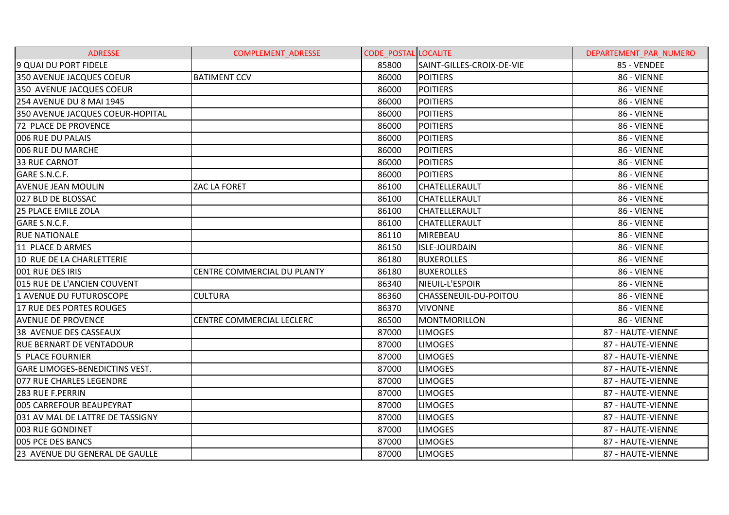| <b>ADRESSE</b>                        | <b>COMPLEMENT ADRESSE</b>   | <b>CODE POSTAL LOCALITE</b> |                           | DEPARTEMENT PAR NUMERO |
|---------------------------------------|-----------------------------|-----------------------------|---------------------------|------------------------|
| 9 QUAI DU PORT FIDELE                 |                             | 85800                       | SAINT-GILLES-CROIX-DE-VIE | 85 - VENDEE            |
| 350 AVENUE JACQUES COEUR              | <b>BATIMENT CCV</b>         | 86000                       | <b>POITIERS</b>           | 86 - VIENNE            |
| 350 AVENUE JACQUES COEUR              |                             | 86000                       | <b>POITIERS</b>           | 86 - VIENNE            |
| 254 AVENUE DU 8 MAI 1945              |                             | 86000                       | <b>POITIERS</b>           | 86 - VIENNE            |
| 350 AVENUE JACQUES COEUR-HOPITAL      |                             | 86000                       | <b>POITIERS</b>           | 86 - VIENNE            |
| 72 PLACE DE PROVENCE                  |                             | 86000                       | <b>POITIERS</b>           | 86 - VIENNE            |
| 006 RUE DU PALAIS                     |                             | 86000                       | <b>POITIERS</b>           | 86 - VIENNE            |
| 006 RUE DU MARCHE                     |                             | 86000                       | <b>POITIERS</b>           | 86 - VIENNE            |
| <b>33 RUE CARNOT</b>                  |                             | 86000                       | <b>POITIERS</b>           | 86 - VIENNE            |
| GARE S.N.C.F.                         |                             | 86000                       | <b>POITIERS</b>           | 86 - VIENNE            |
| <b>AVENUE JEAN MOULIN</b>             | ZAC LA FORET                | 86100                       | <b>CHATELLERAULT</b>      | 86 - VIENNE            |
| 027 BLD DE BLOSSAC                    |                             | 86100                       | <b>CHATELLERAULT</b>      | 86 - VIENNE            |
| 25 PLACE EMILE ZOLA                   |                             | 86100                       | <b>CHATELLERAULT</b>      | 86 - VIENNE            |
| GARE S.N.C.F.                         |                             | 86100                       | <b>CHATELLERAULT</b>      | 86 - VIENNE            |
| <b>RUE NATIONALE</b>                  |                             | 86110                       | <b>MIREBEAU</b>           | 86 - VIENNE            |
| 11 PLACE D ARMES                      |                             | 86150                       | <b>ISLE-JOURDAIN</b>      | 86 - VIENNE            |
| 10 RUE DE LA CHARLETTERIE             |                             | 86180                       | <b>BUXEROLLES</b>         | 86 - VIENNE            |
| 001 RUE DES IRIS                      | CENTRE COMMERCIAL DU PLANTY | 86180                       | <b>BUXEROLLES</b>         | 86 - VIENNE            |
| 015 RUE DE L'ANCIEN COUVENT           |                             | 86340                       | NIEUIL-L'ESPOIR           | 86 - VIENNE            |
| 1 AVENUE DU FUTUROSCOPE               | <b>CULTURA</b>              | 86360                       | CHASSENEUIL-DU-POITOU     | 86 - VIENNE            |
| 17 RUE DES PORTES ROUGES              |                             | 86370                       | <b>VIVONNE</b>            | 86 - VIENNE            |
| <b>AVENUE DE PROVENCE</b>             | CENTRE COMMERCIAL LECLERC   | 86500                       | MONTMORILLON              | 86 - VIENNE            |
| 38 AVENUE DES CASSEAUX                |                             | 87000                       | <b>LIMOGES</b>            | 87 - HAUTE-VIENNE      |
| <b>RUE BERNART DE VENTADOUR</b>       |                             | 87000                       | <b>LIMOGES</b>            | 87 - HAUTE-VIENNE      |
| <b>5 PLACE FOURNIER</b>               |                             | 87000                       | <b>LIMOGES</b>            | 87 - HAUTE-VIENNE      |
| <b>GARE LIMOGES-BENEDICTINS VEST.</b> |                             | 87000                       | <b>LIMOGES</b>            | 87 - HAUTE-VIENNE      |
| 077 RUE CHARLES LEGENDRE              |                             | 87000                       | <b>LIMOGES</b>            | 87 - HAUTE-VIENNE      |
| 283 RUE F.PERRIN                      |                             | 87000                       | <b>LIMOGES</b>            | 87 - HAUTE-VIENNE      |
| 005 CARREFOUR BEAUPEYRAT              |                             | 87000                       | <b>LIMOGES</b>            | 87 - HAUTE-VIENNE      |
| 031 AV MAL DE LATTRE DE TASSIGNY      |                             | 87000                       | <b>LIMOGES</b>            | 87 - HAUTE-VIENNE      |
| 003 RUE GONDINET                      |                             | 87000                       | <b>LIMOGES</b>            | 87 - HAUTE-VIENNE      |
| 005 PCE DES BANCS                     |                             | 87000                       | <b>LIMOGES</b>            | 87 - HAUTE-VIENNE      |
| 23 AVENUE DU GENERAL DE GAULLE        |                             | 87000                       | <b>LIMOGES</b>            | 87 - HAUTE-VIENNE      |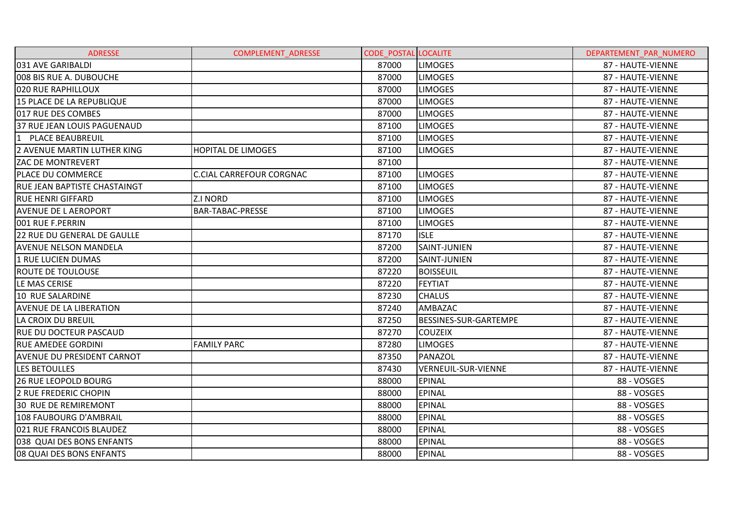| <b>ADRESSE</b>                      | <b>COMPLEMENT ADRESSE</b>       | <b>CODE POSTAL LOCALITE</b> |                              | DEPARTEMENT PAR NUMERO |
|-------------------------------------|---------------------------------|-----------------------------|------------------------------|------------------------|
| 031 AVE GARIBALDI                   |                                 | 87000                       | <b>LIMOGES</b>               | 87 - HAUTE-VIENNE      |
| 008 BIS RUE A. DUBOUCHE             |                                 | 87000                       | <b>LIMOGES</b>               | 87 - HAUTE-VIENNE      |
| 020 RUE RAPHILLOUX                  |                                 | 87000                       | <b>LIMOGES</b>               | 87 - HAUTE-VIENNE      |
| 15 PLACE DE LA REPUBLIQUE           |                                 | 87000                       | <b>LIMOGES</b>               | 87 - HAUTE-VIENNE      |
| 017 RUE DES COMBES                  |                                 | 87000                       | <b>LIMOGES</b>               | 87 - HAUTE-VIENNE      |
| 37 RUE JEAN LOUIS PAGUENAUD         |                                 | 87100                       | <b>LIMOGES</b>               | 87 - HAUTE-VIENNE      |
| 1 PLACE BEAUBREUIL                  |                                 | 87100                       | <b>LIMOGES</b>               | 87 - HAUTE-VIENNE      |
| 2 AVENUE MARTIN LUTHER KING         | <b>HOPITAL DE LIMOGES</b>       | 87100                       | <b>LIMOGES</b>               | 87 - HAUTE-VIENNE      |
| <b>ZAC DE MONTREVERT</b>            |                                 | 87100                       |                              | 87 - HAUTE-VIENNE      |
| <b>PLACE DU COMMERCE</b>            | <b>C.CIAL CARREFOUR CORGNAC</b> | 87100                       | <b>LIMOGES</b>               | 87 - HAUTE-VIENNE      |
| <b>RUE JEAN BAPTISTE CHASTAINGT</b> |                                 | 87100                       | <b>LIMOGES</b>               | 87 - HAUTE-VIENNE      |
| <b>RUE HENRI GIFFARD</b>            | Z.I NORD                        | 87100                       | <b>LIMOGES</b>               | 87 - HAUTE-VIENNE      |
| <b>AVENUE DE L AEROPORT</b>         | <b>BAR-TABAC-PRESSE</b>         | 87100                       | <b>LIMOGES</b>               | 87 - HAUTE-VIENNE      |
| 001 RUE F.PERRIN                    |                                 | 87100                       | <b>LIMOGES</b>               | 87 - HAUTE-VIENNE      |
| 22 RUE DU GENERAL DE GAULLE         |                                 | 87170                       | <b>ISLE</b>                  | 87 - HAUTE-VIENNE      |
| <b>AVENUE NELSON MANDELA</b>        |                                 | 87200                       | SAINT-JUNIEN                 | 87 - HAUTE-VIENNE      |
| 1 RUE LUCIEN DUMAS                  |                                 | 87200                       | SAINT-JUNIEN                 | 87 - HAUTE-VIENNE      |
| <b>ROUTE DE TOULOUSE</b>            |                                 | 87220                       | <b>BOISSEUIL</b>             | 87 - HAUTE-VIENNE      |
| LE MAS CERISE                       |                                 | 87220                       | <b>FEYTIAT</b>               | 87 - HAUTE-VIENNE      |
| 10 RUE SALARDINE                    |                                 | 87230                       | <b>CHALUS</b>                | 87 - HAUTE-VIENNE      |
| <b>AVENUE DE LA LIBERATION</b>      |                                 | 87240                       | AMBAZAC                      | 87 - HAUTE-VIENNE      |
| LA CROIX DU BREUIL                  |                                 | 87250                       | <b>BESSINES-SUR-GARTEMPE</b> | 87 - HAUTE-VIENNE      |
| <b>RUE DU DOCTEUR PASCAUD</b>       |                                 | 87270                       | <b>COUZEIX</b>               | 87 - HAUTE-VIENNE      |
| <b>RUE AMEDEE GORDINI</b>           | <b>FAMILY PARC</b>              | 87280                       | <b>LIMOGES</b>               | 87 - HAUTE-VIENNE      |
| <b>AVENUE DU PRESIDENT CARNOT</b>   |                                 | 87350                       | PANAZOL                      | 87 - HAUTE-VIENNE      |
| LES BETOULLES                       |                                 | 87430                       | VERNEUIL-SUR-VIENNE          | 87 - HAUTE-VIENNE      |
| <b>26 RUE LEOPOLD BOURG</b>         |                                 | 88000                       | <b>EPINAL</b>                | 88 - VOSGES            |
| 2 RUE FREDERIC CHOPIN               |                                 | 88000                       | <b>EPINAL</b>                | 88 - VOSGES            |
| <b>30 RUE DE REMIREMONT</b>         |                                 | 88000                       | <b>EPINAL</b>                | 88 - VOSGES            |
| 108 FAUBOURG D'AMBRAIL              |                                 | 88000                       | <b>EPINAL</b>                | 88 - VOSGES            |
| 021 RUE FRANCOIS BLAUDEZ            |                                 | 88000                       | <b>EPINAL</b>                | 88 - VOSGES            |
| 038 QUAI DES BONS ENFANTS           |                                 | 88000                       | <b>EPINAL</b>                | 88 - VOSGES            |
| 08 QUAI DES BONS ENFANTS            |                                 | 88000                       | <b>EPINAL</b>                | 88 - VOSGES            |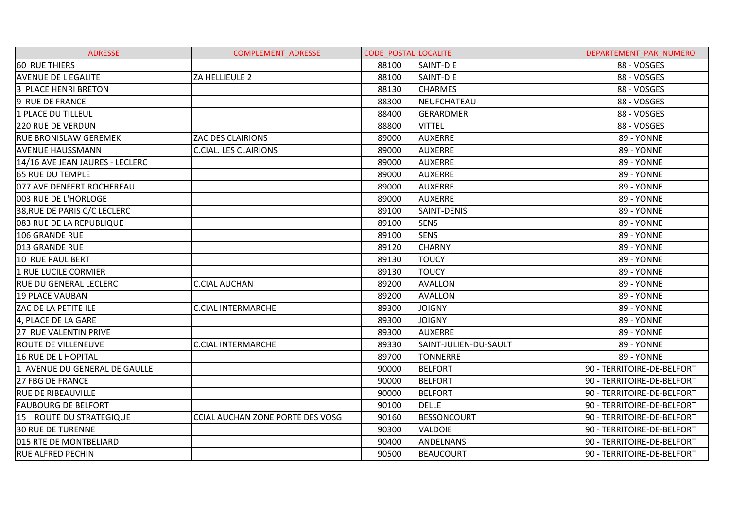| <b>ADRESSE</b>                  | COMPLEMENT_ADRESSE               | <b>CODE POSTAL LOCALITE</b> |                       | DEPARTEMENT_PAR_NUMERO     |
|---------------------------------|----------------------------------|-----------------------------|-----------------------|----------------------------|
| <b>60 RUE THIERS</b>            |                                  | 88100                       | SAINT-DIE             | 88 - VOSGES                |
| <b>AVENUE DE L EGALITE</b>      | ZA HELLIEULE 2                   | 88100                       | SAINT-DIE             | 88 - VOSGES                |
| 3 PLACE HENRI BRETON            |                                  | 88130                       | <b>CHARMES</b>        | 88 - VOSGES                |
| 9 RUE DE FRANCE                 |                                  | 88300                       | NEUFCHATEAU           | 88 - VOSGES                |
| <b>1 PLACE DU TILLEUL</b>       |                                  | 88400                       | <b>GERARDMER</b>      | 88 - VOSGES                |
| <b>220 RUE DE VERDUN</b>        |                                  | 88800                       | <b>VITTEL</b>         | 88 - VOSGES                |
| RUE BRONISLAW GEREMEK           | <b>ZAC DES CLAIRIONS</b>         | 89000                       | <b>AUXERRE</b>        | 89 - YONNE                 |
| <b>AVENUE HAUSSMANN</b>         | <b>C.CIAL. LES CLAIRIONS</b>     | 89000                       | <b>AUXERRE</b>        | 89 - YONNE                 |
| 14/16 AVE JEAN JAURES - LECLERC |                                  | 89000                       | <b>AUXERRE</b>        | 89 - YONNE                 |
| <b>65 RUE DU TEMPLE</b>         |                                  | 89000                       | <b>AUXERRE</b>        | 89 - YONNE                 |
| 077 AVE DENFERT ROCHEREAU       |                                  | 89000                       | <b>AUXERRE</b>        | 89 - YONNE                 |
| 003 RUE DE L'HORLOGE            |                                  | 89000                       | <b>AUXERRE</b>        | 89 - YONNE                 |
| 38, RUE DE PARIS C/C LECLERC    |                                  | 89100                       | SAINT-DENIS           | 89 - YONNE                 |
| 083 RUE DE LA REPUBLIQUE        |                                  | 89100                       | <b>SENS</b>           | 89 - YONNE                 |
| 106 GRANDE RUE                  |                                  | 89100                       | <b>SENS</b>           | 89 - YONNE                 |
| 013 GRANDE RUE                  |                                  | 89120                       | <b>CHARNY</b>         | 89 - YONNE                 |
| 10 RUE PAUL BERT                |                                  | 89130                       | <b>TOUCY</b>          | 89 - YONNE                 |
| 1 RUE LUCILE CORMIER            |                                  | 89130                       | <b>TOUCY</b>          | 89 - YONNE                 |
| <b>RUE DU GENERAL LECLERC</b>   | <b>C.CIAL AUCHAN</b>             | 89200                       | <b>AVALLON</b>        | 89 - YONNE                 |
| <b>19 PLACE VAUBAN</b>          |                                  | 89200                       | <b>AVALLON</b>        | 89 - YONNE                 |
| <b>ZAC DE LA PETITE ILE</b>     | <b>C.CIAL INTERMARCHE</b>        | 89300                       | <b>JOIGNY</b>         | 89 - YONNE                 |
| 4, PLACE DE LA GARE             |                                  | 89300                       | <b>JOIGNY</b>         | 89 - YONNE                 |
| 27 RUE VALENTIN PRIVE           |                                  | 89300                       | <b>AUXERRE</b>        | 89 - YONNE                 |
| <b>ROUTE DE VILLENEUVE</b>      | <b>C.CIAL INTERMARCHE</b>        | 89330                       | SAINT-JULIEN-DU-SAULT | 89 - YONNE                 |
| <b>16 RUE DE L HOPITAL</b>      |                                  | 89700                       | <b>TONNERRE</b>       | 89 - YONNE                 |
| 1 AVENUE DU GENERAL DE GAULLE   |                                  | 90000                       | <b>BELFORT</b>        | 90 - TERRITOIRE-DE-BELFORT |
| <b>27 FBG DE FRANCE</b>         |                                  | 90000                       | <b>BELFORT</b>        | 90 - TERRITOIRE-DE-BELFORT |
| <b>RUE DE RIBEAUVILLE</b>       |                                  | 90000                       | <b>BELFORT</b>        | 90 - TERRITOIRE-DE-BELFORT |
| <b>FAUBOURG DE BELFORT</b>      |                                  | 90100                       | <b>DELLE</b>          | 90 - TERRITOIRE-DE-BELFORT |
| 15 ROUTE DU STRATEGIQUE         | CCIAL AUCHAN ZONE PORTE DES VOSG | 90160                       | <b>BESSONCOURT</b>    | 90 - TERRITOIRE-DE-BELFORT |
| <b>30 RUE DE TURENNE</b>        |                                  | 90300                       | <b>VALDOIE</b>        | 90 - TERRITOIRE-DE-BELFORT |
| 015 RTE DE MONTBELIARD          |                                  | 90400                       | ANDELNANS             | 90 - TERRITOIRE-DE-BELFORT |
| <b>RUE ALFRED PECHIN</b>        |                                  | 90500                       | <b>BEAUCOURT</b>      | 90 - TERRITOIRE-DE-BELFORT |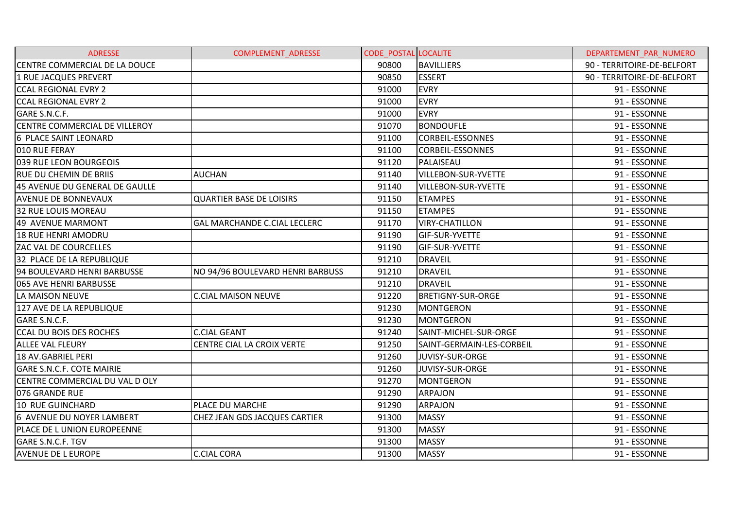| <b>ADRESSE</b>                   | <b>COMPLEMENT ADRESSE</b>           | <b>CODE POSTAL LOCALITE</b> |                            | DEPARTEMENT PAR NUMERO     |
|----------------------------------|-------------------------------------|-----------------------------|----------------------------|----------------------------|
| CENTRE COMMERCIAL DE LA DOUCE    |                                     | 90800                       | <b>BAVILLIERS</b>          | 90 - TERRITOIRE-DE-BELFORT |
| 1 RUE JACQUES PREVERT            |                                     | 90850                       | <b>ESSERT</b>              | 90 - TERRITOIRE-DE-BELFORT |
| <b>CCAL REGIONAL EVRY 2</b>      |                                     | 91000                       | <b>EVRY</b>                | 91 - ESSONNE               |
| <b>CCAL REGIONAL EVRY 2</b>      |                                     | 91000                       | <b>EVRY</b>                | 91 - ESSONNE               |
| GARE S.N.C.F.                    |                                     | 91000                       | <b>EVRY</b>                | 91 - ESSONNE               |
| CENTRE COMMERCIAL DE VILLEROY    |                                     | 91070                       | <b>BONDOUFLE</b>           | 91 - ESSONNE               |
| 6 PLACE SAINT LEONARD            |                                     | 91100                       | <b>CORBEIL-ESSONNES</b>    | 91 - ESSONNE               |
| 010 RUE FERAY                    |                                     | 91100                       | <b>CORBEIL-ESSONNES</b>    | 91 - ESSONNE               |
| 039 RUE LEON BOURGEOIS           |                                     | 91120                       | PALAISEAU                  | 91 - ESSONNE               |
| <b>RUE DU CHEMIN DE BRIIS</b>    | <b>AUCHAN</b>                       | 91140                       | <b>VILLEBON-SUR-YVETTE</b> | 91 - ESSONNE               |
| 45 AVENUE DU GENERAL DE GAULLE   |                                     | 91140                       | <b>VILLEBON-SUR-YVETTE</b> | 91 - ESSONNE               |
| <b>AVENUE DE BONNEVAUX</b>       | <b>QUARTIER BASE DE LOISIRS</b>     | 91150                       | <b>ETAMPES</b>             | 91 - ESSONNE               |
| <b>32 RUE LOUIS MOREAU</b>       |                                     | 91150                       | <b>ETAMPES</b>             | 91 - ESSONNE               |
| 49 AVENUE MARMONT                | <b>GAL MARCHANDE C.CIAL LECLERC</b> | 91170                       | <b>VIRY-CHATILLON</b>      | 91 - ESSONNE               |
| <b>18 RUE HENRI AMODRU</b>       |                                     | 91190                       | <b>GIF-SUR-YVETTE</b>      | 91 - ESSONNE               |
| <b>ZAC VAL DE COURCELLES</b>     |                                     | 91190                       | <b>GIF-SUR-YVETTE</b>      | 91 - ESSONNE               |
| 32 PLACE DE LA REPUBLIQUE        |                                     | 91210                       | <b>DRAVEIL</b>             | 91 - ESSONNE               |
| 94 BOULEVARD HENRI BARBUSSE      | NO 94/96 BOULEVARD HENRI BARBUSS    | 91210                       | <b>DRAVEIL</b>             | 91 - ESSONNE               |
| 065 AVE HENRI BARBUSSE           |                                     | 91210                       | <b>DRAVEIL</b>             | 91 - ESSONNE               |
| LA MAISON NEUVE                  | <b>C.CIAL MAISON NEUVE</b>          | 91220                       | <b>BRETIGNY-SUR-ORGE</b>   | 91 - ESSONNE               |
| 127 AVE DE LA REPUBLIQUE         |                                     | 91230                       | MONTGERON                  | 91 - ESSONNE               |
| GARE S.N.C.F.                    |                                     | 91230                       | MONTGERON                  | 91 - ESSONNE               |
| <b>CCAL DU BOIS DES ROCHES</b>   | <b>C.CIAL GEANT</b>                 | 91240                       | SAINT-MICHEL-SUR-ORGE      | 91 - ESSONNE               |
| <b>ALLEE VAL FLEURY</b>          | CENTRE CIAL LA CROIX VERTE          | 91250                       | SAINT-GERMAIN-LES-CORBEIL  | 91 - ESSONNE               |
| 18 AV.GABRIEL PERI               |                                     | 91260                       | JUVISY-SUR-ORGE            | 91 - ESSONNE               |
| <b>GARE S.N.C.F. COTE MAIRIE</b> |                                     | 91260                       | JUVISY-SUR-ORGE            | 91 - ESSONNE               |
| CENTRE COMMERCIAL DU VAL D OLY   |                                     | 91270                       | <b>MONTGERON</b>           | 91 - ESSONNE               |
| 076 GRANDE RUE                   |                                     | 91290                       | <b>ARPAJON</b>             | 91 - ESSONNE               |
| <b>10 RUE GUINCHARD</b>          | PLACE DU MARCHE                     | 91290                       | <b>ARPAJON</b>             | 91 - ESSONNE               |
| 6 AVENUE DU NOYER LAMBERT        | CHEZ JEAN GDS JACQUES CARTIER       | 91300                       | <b>MASSY</b>               | 91 - ESSONNE               |
| PLACE DE L UNION EUROPEENNE      |                                     | 91300                       | <b>MASSY</b>               | 91 - ESSONNE               |
| GARE S.N.C.F. TGV                |                                     | 91300                       | <b>MASSY</b>               | 91 - ESSONNE               |
| <b>AVENUE DE L EUROPE</b>        | <b>C.CIAL CORA</b>                  | 91300                       | <b>MASSY</b>               | 91 - ESSONNE               |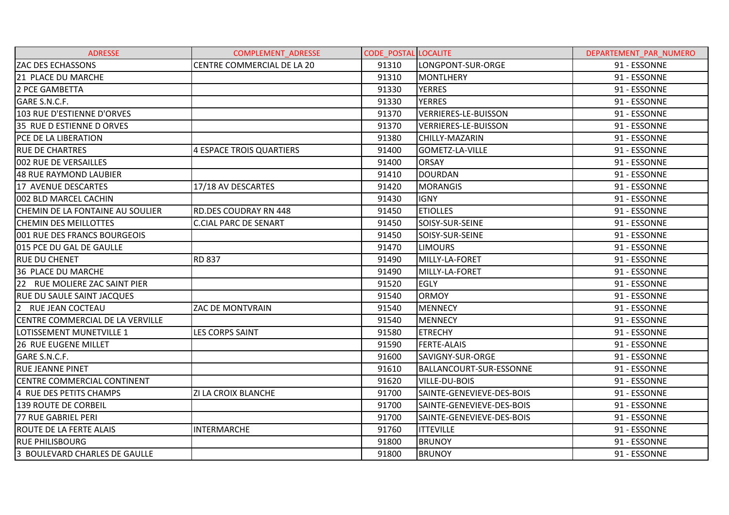| <b>ADRESSE</b>                    | <b>COMPLEMENT ADRESSE</b>    | <b>CODE POSTAL LOCALITE</b> |                           | DEPARTEMENT PAR NUMERO |
|-----------------------------------|------------------------------|-----------------------------|---------------------------|------------------------|
| <b>ZAC DES ECHASSONS</b>          | CENTRE COMMERCIAL DE LA 20   | 91310                       | LONGPONT-SUR-ORGE         | 91 - ESSONNE           |
| 21 PLACE DU MARCHE                |                              | 91310                       | <b>MONTLHERY</b>          | 91 - ESSONNE           |
| 2 PCE GAMBETTA                    |                              | 91330                       | <b>YERRES</b>             | 91 - ESSONNE           |
| GARE S.N.C.F.                     |                              | 91330                       | <b>YERRES</b>             | 91 - ESSONNE           |
| 103 RUE D'ESTIENNE D'ORVES        |                              | 91370                       | VERRIERES-LE-BUISSON      | 91 - ESSONNE           |
| 35 RUE D ESTIENNE D ORVES         |                              | 91370                       | VERRIERES-LE-BUISSON      | 91 - ESSONNE           |
| <b>PCE DE LA LIBERATION</b>       |                              | 91380                       | CHILLY-MAZARIN            | 91 - ESSONNE           |
| <b>RUE DE CHARTRES</b>            | 4 ESPACE TROIS QUARTIERS     | 91400                       | GOMETZ-LA-VILLE           | 91 - ESSONNE           |
| 002 RUE DE VERSAILLES             |                              | 91400                       | <b>ORSAY</b>              | 91 - ESSONNE           |
| 48 RUE RAYMOND LAUBIER            |                              | 91410                       | <b>DOURDAN</b>            | 91 - ESSONNE           |
| 17 AVENUE DESCARTES               | 17/18 AV DESCARTES           | 91420                       | <b>MORANGIS</b>           | 91 - ESSONNE           |
| 002 BLD MARCEL CACHIN             |                              | 91430                       | <b>IGNY</b>               | 91 - ESSONNE           |
| CHEMIN DE LA FONTAINE AU SOULIER  | <b>RD.DES COUDRAY RN 448</b> | 91450                       | <b>ETIOLLES</b>           | 91 - ESSONNE           |
| <b>CHEMIN DES MEILLOTTES</b>      | <b>C.CIAL PARC DE SENART</b> | 91450                       | SOISY-SUR-SEINE           | 91 - ESSONNE           |
| 001 RUE DES FRANCS BOURGEOIS      |                              | 91450                       | SOISY-SUR-SEINE           | 91 - ESSONNE           |
| 015 PCE DU GAL DE GAULLE          |                              | 91470                       | <b>LIMOURS</b>            | 91 - ESSONNE           |
| <b>RUE DU CHENET</b>              | <b>RD 837</b>                | 91490                       | MILLY-LA-FORET            | 91 - ESSONNE           |
| <b>36 PLACE DU MARCHE</b>         |                              | 91490                       | MILLY-LA-FORET            | 91 - ESSONNE           |
| 22 RUE MOLIERE ZAC SAINT PIER     |                              | 91520                       | <b>EGLY</b>               | 91 - ESSONNE           |
| <b>RUE DU SAULE SAINT JACQUES</b> |                              | 91540                       | <b>ORMOY</b>              | 91 - ESSONNE           |
| 2 RUE JEAN COCTEAU                | ZAC DE MONTVRAIN             | 91540                       | <b>MENNECY</b>            | 91 - ESSONNE           |
| CENTRE COMMERCIAL DE LA VERVILLE  |                              | 91540                       | <b>MENNECY</b>            | 91 - ESSONNE           |
| LOTISSEMENT MUNETVILLE 1          | <b>LES CORPS SAINT</b>       | 91580                       | <b>ETRECHY</b>            | 91 - ESSONNE           |
| <b>26 RUE EUGENE MILLET</b>       |                              | 91590                       | <b>FERTE-ALAIS</b>        | 91 - ESSONNE           |
| GARE S.N.C.F.                     |                              | 91600                       | SAVIGNY-SUR-ORGE          | 91 - ESSONNE           |
| <b>RUE JEANNE PINET</b>           |                              | 91610                       | BALLANCOURT-SUR-ESSONNE   | 91 - ESSONNE           |
| CENTRE COMMERCIAL CONTINENT       |                              | 91620                       | <b>VILLE-DU-BOIS</b>      | 91 - ESSONNE           |
| 4 RUE DES PETITS CHAMPS           | <b>ZI LA CROIX BLANCHE</b>   | 91700                       | SAINTE-GENEVIEVE-DES-BOIS | 91 - ESSONNE           |
| <b>139 ROUTE DE CORBEIL</b>       |                              | 91700                       | SAINTE-GENEVIEVE-DES-BOIS | 91 - ESSONNE           |
| 77 RUE GABRIEL PERI               |                              | 91700                       | SAINTE-GENEVIEVE-DES-BOIS | 91 - ESSONNE           |
| <b>ROUTE DE LA FERTE ALAIS</b>    | <b>INTERMARCHE</b>           | 91760                       | <b>ITTEVILLE</b>          | 91 - ESSONNE           |
| <b>RUE PHILISBOURG</b>            |                              | 91800                       | <b>BRUNOY</b>             | 91 - ESSONNE           |
| 3 BOULEVARD CHARLES DE GAULLE     |                              | 91800                       | <b>BRUNOY</b>             | 91 - ESSONNE           |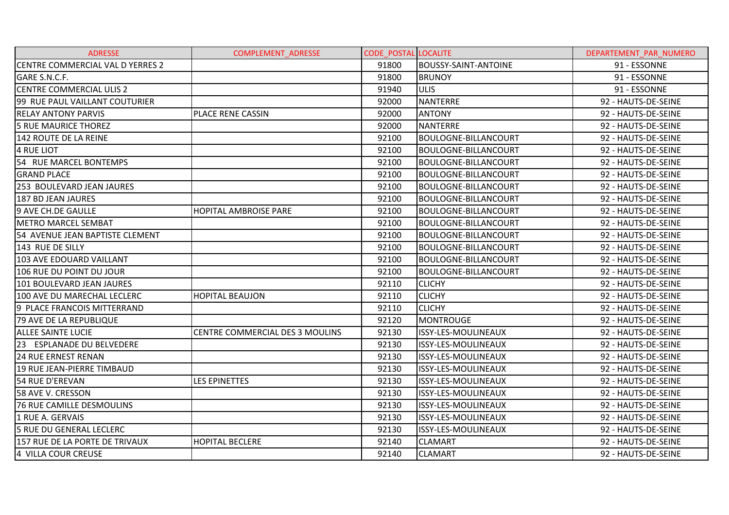| <b>ADRESSE</b>                   | <b>COMPLEMENT ADRESSE</b>       | <b>CODE POSTAL LOCALITE</b> |                             | DEPARTEMENT PAR NUMERO |
|----------------------------------|---------------------------------|-----------------------------|-----------------------------|------------------------|
| CENTRE COMMERCIAL VAL D YERRES 2 |                                 | 91800                       | <b>BOUSSY-SAINT-ANTOINE</b> | 91 - ESSONNE           |
| GARE S.N.C.F.                    |                                 | 91800                       | <b>BRUNOY</b>               | 91 - ESSONNE           |
| <b>CENTRE COMMERCIAL ULIS 2</b>  |                                 | 91940                       | <b>ULIS</b>                 | 91 - ESSONNE           |
| 99 RUE PAUL VAILLANT COUTURIER   |                                 | 92000                       | <b>NANTERRE</b>             | 92 - HAUTS-DE-SEINE    |
| <b>RELAY ANTONY PARVIS</b>       | PLACE RENE CASSIN               | 92000                       | <b>ANTONY</b>               | 92 - HAUTS-DE-SEINE    |
| <b>5 RUE MAURICE THOREZ</b>      |                                 | 92000                       | <b>NANTERRE</b>             | 92 - HAUTS-DE-SEINE    |
| 142 ROUTE DE LA REINE            |                                 | 92100                       | BOULOGNE-BILLANCOURT        | 92 - HAUTS-DE-SEINE    |
| <b>4 RUE LIOT</b>                |                                 | 92100                       | <b>BOULOGNE-BILLANCOURT</b> | 92 - HAUTS-DE-SEINE    |
| 54 RUE MARCEL BONTEMPS           |                                 | 92100                       | <b>BOULOGNE-BILLANCOURT</b> | 92 - HAUTS-DE-SEINE    |
| <b>GRAND PLACE</b>               |                                 | 92100                       | BOULOGNE-BILLANCOURT        | 92 - HAUTS-DE-SEINE    |
| 253 BOULEVARD JEAN JAURES        |                                 | 92100                       | <b>BOULOGNE-BILLANCOURT</b> | 92 - HAUTS-DE-SEINE    |
| <b>187 BD JEAN JAURES</b>        |                                 | 92100                       | <b>BOULOGNE-BILLANCOURT</b> | 92 - HAUTS-DE-SEINE    |
| 9 AVE CH.DE GAULLE               | <b>HOPITAL AMBROISE PARE</b>    | 92100                       | <b>BOULOGNE-BILLANCOURT</b> | 92 - HAUTS-DE-SEINE    |
| <b>METRO MARCEL SEMBAT</b>       |                                 | 92100                       | <b>BOULOGNE-BILLANCOURT</b> | 92 - HAUTS-DE-SEINE    |
| 54 AVENUE JEAN BAPTISTE CLEMENT  |                                 | 92100                       | <b>BOULOGNE-BILLANCOURT</b> | 92 - HAUTS-DE-SEINE    |
| 143 RUE DE SILLY                 |                                 | 92100                       | <b>BOULOGNE-BILLANCOURT</b> | 92 - HAUTS-DE-SEINE    |
| 103 AVE EDOUARD VAILLANT         |                                 | 92100                       | BOULOGNE-BILLANCOURT        | 92 - HAUTS-DE-SEINE    |
| 106 RUE DU POINT DU JOUR         |                                 | 92100                       | <b>BOULOGNE-BILLANCOURT</b> | 92 - HAUTS-DE-SEINE    |
| 101 BOULEVARD JEAN JAURES        |                                 | 92110                       | <b>CLICHY</b>               | 92 - HAUTS-DE-SEINE    |
| 100 AVE DU MARECHAL LECLERC      | <b>HOPITAL BEAUJON</b>          | 92110                       | <b>CLICHY</b>               | 92 - HAUTS-DE-SEINE    |
| 9 PLACE FRANCOIS MITTERRAND      |                                 | 92110                       | <b>CLICHY</b>               | 92 - HAUTS-DE-SEINE    |
| <b>79 AVE DE LA REPUBLIQUE</b>   |                                 | 92120                       | <b>MONTROUGE</b>            | 92 - HAUTS-DE-SEINE    |
| <b>ALLEE SAINTE LUCIE</b>        | CENTRE COMMERCIAL DES 3 MOULINS | 92130                       | ISSY-LES-MOULINEAUX         | 92 - HAUTS-DE-SEINE    |
| 23 ESPLANADE DU BELVEDERE        |                                 | 92130                       | ISSY-LES-MOULINEAUX         | 92 - HAUTS-DE-SEINE    |
| <b>24 RUE ERNEST RENAN</b>       |                                 | 92130                       | ISSY-LES-MOULINEAUX         | 92 - HAUTS-DE-SEINE    |
| 19 RUE JEAN-PIERRE TIMBAUD       |                                 | 92130                       | ISSY-LES-MOULINEAUX         | 92 - HAUTS-DE-SEINE    |
| 54 RUE D'EREVAN                  | <b>LES EPINETTES</b>            | 92130                       | ISSY-LES-MOULINEAUX         | 92 - HAUTS-DE-SEINE    |
| 58 AVE V. CRESSON                |                                 | 92130                       | ISSY-LES-MOULINEAUX         | 92 - HAUTS-DE-SEINE    |
| <b>76 RUE CAMILLE DESMOULINS</b> |                                 | 92130                       | ISSY-LES-MOULINEAUX         | 92 - HAUTS-DE-SEINE    |
| 1 RUE A. GERVAIS                 |                                 | 92130                       | ISSY-LES-MOULINEAUX         | 92 - HAUTS-DE-SEINE    |
| 5 RUE DU GENERAL LECLERC         |                                 | 92130                       | ISSY-LES-MOULINEAUX         | 92 - HAUTS-DE-SEINE    |
| 157 RUE DE LA PORTE DE TRIVAUX   | <b>HOPITAL BECLERE</b>          | 92140                       | <b>CLAMART</b>              | 92 - HAUTS-DE-SEINE    |
| 4 VILLA COUR CREUSE              |                                 | 92140                       | <b>CLAMART</b>              | 92 - HAUTS-DE-SEINE    |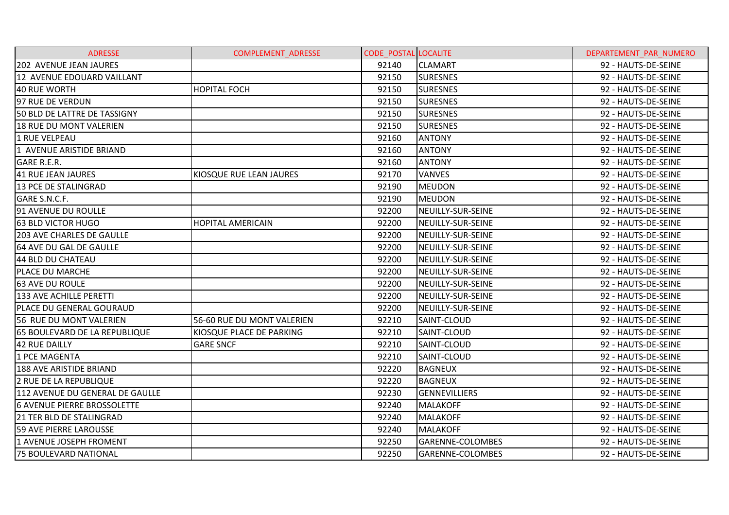| <b>ADRESSE</b>                     | <b>COMPLEMENT ADRESSE</b>  | <b>CODE POSTAL LOCALITE</b> |                      | DEPARTEMENT PAR NUMERO |
|------------------------------------|----------------------------|-----------------------------|----------------------|------------------------|
| 202 AVENUE JEAN JAURES             |                            | 92140                       | <b>CLAMART</b>       | 92 - HAUTS-DE-SEINE    |
| 12 AVENUE EDOUARD VAILLANT         |                            | 92150                       | <b>SURESNES</b>      | 92 - HAUTS-DE-SEINE    |
| 40 RUE WORTH                       | <b>HOPITAL FOCH</b>        | 92150                       | <b>SURESNES</b>      | 92 - HAUTS-DE-SEINE    |
| 97 RUE DE VERDUN                   |                            | 92150                       | <b>SURESNES</b>      | 92 - HAUTS-DE-SEINE    |
| 50 BLD DE LATTRE DE TASSIGNY       |                            | 92150                       | <b>SURESNES</b>      | 92 - HAUTS-DE-SEINE    |
| <b>18 RUE DU MONT VALERIEN</b>     |                            | 92150                       | <b>SURESNES</b>      | 92 - HAUTS-DE-SEINE    |
| 1 RUE VELPEAU                      |                            | 92160                       | <b>ANTONY</b>        | 92 - HAUTS-DE-SEINE    |
| 1 AVENUE ARISTIDE BRIAND           |                            | 92160                       | <b>ANTONY</b>        | 92 - HAUTS-DE-SEINE    |
| GARE R.E.R.                        |                            | 92160                       | <b>ANTONY</b>        | 92 - HAUTS-DE-SEINE    |
| 41 RUE JEAN JAURES                 | KIOSQUE RUE LEAN JAURES    | 92170                       | <b>VANVES</b>        | 92 - HAUTS-DE-SEINE    |
| <b>13 PCE DE STALINGRAD</b>        |                            | 92190                       | <b>MEUDON</b>        | 92 - HAUTS-DE-SEINE    |
| GARE S.N.C.F.                      |                            | 92190                       | <b>MEUDON</b>        | 92 - HAUTS-DE-SEINE    |
| 91 AVENUE DU ROULLE                |                            | 92200                       | NEUILLY-SUR-SEINE    | 92 - HAUTS-DE-SEINE    |
| <b>63 BLD VICTOR HUGO</b>          | <b>HOPITAL AMERICAIN</b>   | 92200                       | NEUILLY-SUR-SEINE    | 92 - HAUTS-DE-SEINE    |
| <b>203 AVE CHARLES DE GAULLE</b>   |                            | 92200                       | NEUILLY-SUR-SEINE    | 92 - HAUTS-DE-SEINE    |
| 64 AVE DU GAL DE GAULLE            |                            | 92200                       | NEUILLY-SUR-SEINE    | 92 - HAUTS-DE-SEINE    |
| 44 BLD DU CHATEAU                  |                            | 92200                       | NEUILLY-SUR-SEINE    | 92 - HAUTS-DE-SEINE    |
| PLACE DU MARCHE                    |                            | 92200                       | NEUILLY-SUR-SEINE    | 92 - HAUTS-DE-SEINE    |
| <b>63 AVE DU ROULE</b>             |                            | 92200                       | NEUILLY-SUR-SEINE    | 92 - HAUTS-DE-SEINE    |
| <b>133 AVE ACHILLE PERETTI</b>     |                            | 92200                       | NEUILLY-SUR-SEINE    | 92 - HAUTS-DE-SEINE    |
| <b>PLACE DU GENERAL GOURAUD</b>    |                            | 92200                       | NEUILLY-SUR-SEINE    | 92 - HAUTS-DE-SEINE    |
| 56 RUE DU MONT VALERIEN            | 56-60 RUE DU MONT VALERIEN | 92210                       | SAINT-CLOUD          | 92 - HAUTS-DE-SEINE    |
| 65 BOULEVARD DE LA REPUBLIQUE      | KIOSQUE PLACE DE PARKING   | 92210                       | SAINT-CLOUD          | 92 - HAUTS-DE-SEINE    |
| 42 RUE DAILLY                      | <b>GARE SNCF</b>           | 92210                       | SAINT-CLOUD          | 92 - HAUTS-DE-SEINE    |
| 1 PCE MAGENTA                      |                            | 92210                       | SAINT-CLOUD          | 92 - HAUTS-DE-SEINE    |
| 188 AVE ARISTIDE BRIAND            |                            | 92220                       | <b>BAGNEUX</b>       | 92 - HAUTS-DE-SEINE    |
| 2 RUE DE LA REPUBLIQUE             |                            | 92220                       | <b>BAGNEUX</b>       | 92 - HAUTS-DE-SEINE    |
| 112 AVENUE DU GENERAL DE GAULLE    |                            | 92230                       | <b>GENNEVILLIERS</b> | 92 - HAUTS-DE-SEINE    |
| <b>6 AVENUE PIERRE BROSSOLETTE</b> |                            | 92240                       | <b>MALAKOFF</b>      | 92 - HAUTS-DE-SEINE    |
| <b>21 TER BLD DE STALINGRAD</b>    |                            | 92240                       | <b>MALAKOFF</b>      | 92 - HAUTS-DE-SEINE    |
| 59 AVE PIERRE LAROUSSE             |                            | 92240                       | <b>MALAKOFF</b>      | 92 - HAUTS-DE-SEINE    |
| 1 AVENUE JOSEPH FROMENT            |                            | 92250                       | GARENNE-COLOMBES     | 92 - HAUTS-DE-SEINE    |
| <b>75 BOULEVARD NATIONAL</b>       |                            | 92250                       | GARENNE-COLOMBES     | 92 - HAUTS-DE-SEINE    |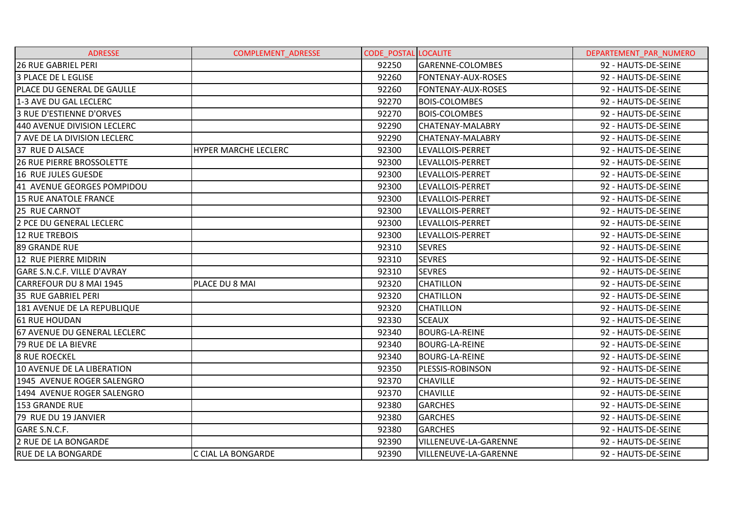| <b>ADRESSE</b>                    | <b>COMPLEMENT ADRESSE</b>   | <b>CODE POSTAL LOCALITE</b> |                              | DEPARTEMENT PAR NUMERO |
|-----------------------------------|-----------------------------|-----------------------------|------------------------------|------------------------|
| <b>26 RUE GABRIEL PERI</b>        |                             | 92250                       | GARENNE-COLOMBES             | 92 - HAUTS-DE-SEINE    |
| <b>3 PLACE DE L EGLISE</b>        |                             | 92260                       | FONTENAY-AUX-ROSES           | 92 - HAUTS-DE-SEINE    |
| <b>PLACE DU GENERAL DE GAULLE</b> |                             | 92260                       | FONTENAY-AUX-ROSES           | 92 - HAUTS-DE-SEINE    |
| 1-3 AVE DU GAL LECLERC            |                             | 92270                       | <b>BOIS-COLOMBES</b>         | 92 - HAUTS-DE-SEINE    |
| I3 RUE D'ESTIENNE D'ORVES         |                             | 92270                       | <b>BOIS-COLOMBES</b>         | 92 - HAUTS-DE-SEINE    |
| 440 AVENUE DIVISION LECLERC       |                             | 92290                       | CHATENAY-MALABRY             | 92 - HAUTS-DE-SEINE    |
| 7 AVE DE LA DIVISION LECLERC      |                             | 92290                       | <b>CHATENAY-MALABRY</b>      | 92 - HAUTS-DE-SEINE    |
| 37 RUE D ALSACE                   | <b>HYPER MARCHE LECLERC</b> | 92300                       | LEVALLOIS-PERRET             | 92 - HAUTS-DE-SEINE    |
| <b>26 RUE PIERRE BROSSOLETTE</b>  |                             | 92300                       | LEVALLOIS-PERRET             | 92 - HAUTS-DE-SEINE    |
| 16 RUE JULES GUESDE               |                             | 92300                       | LEVALLOIS-PERRET             | 92 - HAUTS-DE-SEINE    |
| 41 AVENUE GEORGES POMPIDOU        |                             | 92300                       | LEVALLOIS-PERRET             | 92 - HAUTS-DE-SEINE    |
| <b>15 RUE ANATOLE FRANCE</b>      |                             | 92300                       | LEVALLOIS-PERRET             | 92 - HAUTS-DE-SEINE    |
| 25 RUE CARNOT                     |                             | 92300                       | LEVALLOIS-PERRET             | 92 - HAUTS-DE-SEINE    |
| 2 PCE DU GENERAL LECLERC          |                             | 92300                       | LEVALLOIS-PERRET             | 92 - HAUTS-DE-SEINE    |
| <b>12 RUE TREBOIS</b>             |                             | 92300                       | LEVALLOIS-PERRET             | 92 - HAUTS-DE-SEINE    |
| <b>89 GRANDE RUE</b>              |                             | 92310                       | <b>SEVRES</b>                | 92 - HAUTS-DE-SEINE    |
| 12 RUE PIERRE MIDRIN              |                             | 92310                       | <b>SEVRES</b>                | 92 - HAUTS-DE-SEINE    |
| GARE S.N.C.F. VILLE D'AVRAY       |                             | 92310                       | <b>SEVRES</b>                | 92 - HAUTS-DE-SEINE    |
| CARREFOUR DU 8 MAI 1945           | PLACE DU 8 MAI              | 92320                       | <b>CHATILLON</b>             | 92 - HAUTS-DE-SEINE    |
| 35 RUE GABRIEL PERI               |                             | 92320                       | <b>CHATILLON</b>             | 92 - HAUTS-DE-SEINE    |
| 181 AVENUE DE LA REPUBLIQUE       |                             | 92320                       | <b>CHATILLON</b>             | 92 - HAUTS-DE-SEINE    |
| 61 RUE HOUDAN                     |                             | 92330                       | <b>SCEAUX</b>                | 92 - HAUTS-DE-SEINE    |
| 67 AVENUE DU GENERAL LECLERC      |                             | 92340                       | <b>BOURG-LA-REINE</b>        | 92 - HAUTS-DE-SEINE    |
| 79 RUE DE LA BIEVRE               |                             | 92340                       | <b>BOURG-LA-REINE</b>        | 92 - HAUTS-DE-SEINE    |
| <b>8 RUE ROECKEL</b>              |                             | 92340                       | <b>BOURG-LA-REINE</b>        | 92 - HAUTS-DE-SEINE    |
| 10 AVENUE DE LA LIBERATION        |                             | 92350                       | PLESSIS-ROBINSON             | 92 - HAUTS-DE-SEINE    |
| 1945 AVENUE ROGER SALENGRO        |                             | 92370                       | <b>CHAVILLE</b>              | 92 - HAUTS-DE-SEINE    |
| 1494 AVENUE ROGER SALENGRO        |                             | 92370                       | <b>CHAVILLE</b>              | 92 - HAUTS-DE-SEINE    |
| 153 GRANDE RUE                    |                             | 92380                       | <b>GARCHES</b>               | 92 - HAUTS-DE-SEINE    |
| 79 RUE DU 19 JANVIER              |                             | 92380                       | <b>GARCHES</b>               | 92 - HAUTS-DE-SEINE    |
| GARE S.N.C.F.                     |                             | 92380                       | <b>GARCHES</b>               | 92 - HAUTS-DE-SEINE    |
| 2 RUE DE LA BONGARDE              |                             | 92390                       | VILLENEUVE-LA-GARENNE        | 92 - HAUTS-DE-SEINE    |
| <b>RUE DE LA BONGARDE</b>         | C CIAL LA BONGARDE          | 92390                       | <b>VILLENEUVE-LA-GARENNE</b> | 92 - HAUTS-DE-SEINE    |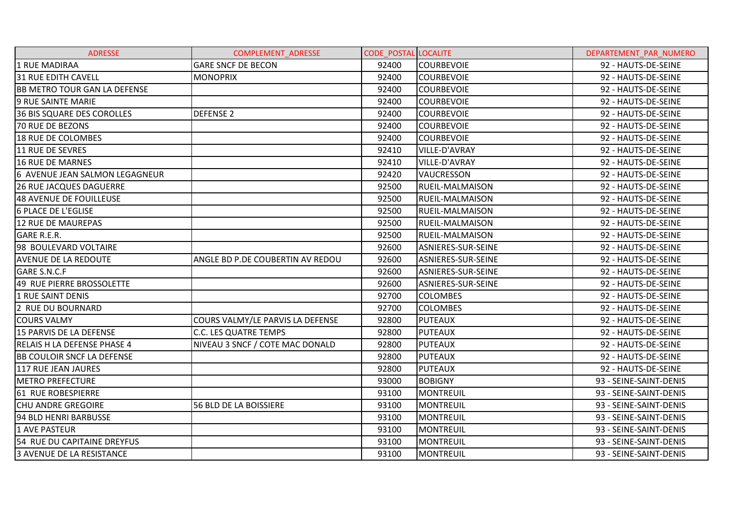| <b>ADRESSE</b>                      | COMPLEMENT_ADRESSE               | <b>CODE POSTAL LOCALITE</b> |                           | DEPARTEMENT PAR NUMERO |
|-------------------------------------|----------------------------------|-----------------------------|---------------------------|------------------------|
| 1 RUE MADIRAA                       | <b>GARE SNCF DE BECON</b>        | 92400                       | <b>COURBEVOIE</b>         | 92 - HAUTS-DE-SEINE    |
| <b>31 RUE EDITH CAVELL</b>          | <b>MONOPRIX</b>                  | 92400                       | <b>COURBEVOIE</b>         | 92 - HAUTS-DE-SEINE    |
| <b>BB METRO TOUR GAN LA DEFENSE</b> |                                  | 92400                       | <b>COURBEVOIE</b>         | 92 - HAUTS-DE-SEINE    |
| <b>9 RUE SAINTE MARIE</b>           |                                  | 92400                       | <b>COURBEVOIE</b>         | 92 - HAUTS-DE-SEINE    |
| <b>36 BIS SQUARE DES COROLLES</b>   | <b>DEFENSE 2</b>                 | 92400                       | <b>COURBEVOIE</b>         | 92 - HAUTS-DE-SEINE    |
| <b>70 RUE DE BEZONS</b>             |                                  | 92400                       | <b>COURBEVOIE</b>         | 92 - HAUTS-DE-SEINE    |
| 18 RUE DE COLOMBES                  |                                  | 92400                       | <b>COURBEVOIE</b>         | 92 - HAUTS-DE-SEINE    |
| 11 RUE DE SEVRES                    |                                  | 92410                       | VILLE-D'AVRAY             | 92 - HAUTS-DE-SEINE    |
| 16 RUE DE MARNES                    |                                  | 92410                       | VILLE-D'AVRAY             | 92 - HAUTS-DE-SEINE    |
| 6 AVENUE JEAN SALMON LEGAGNEUR      |                                  | 92420                       | VAUCRESSON                | 92 - HAUTS-DE-SEINE    |
| <b>26 RUE JACQUES DAGUERRE</b>      |                                  | 92500                       | <b>RUEIL-MALMAISON</b>    | 92 - HAUTS-DE-SEINE    |
| 48 AVENUE DE FOUILLEUSE             |                                  | 92500                       | <b>RUEIL-MALMAISON</b>    | 92 - HAUTS-DE-SEINE    |
| <b>6 PLACE DE L'EGLISE</b>          |                                  | 92500                       | <b>RUEIL-MALMAISON</b>    | 92 - HAUTS-DE-SEINE    |
| 12 RUE DE MAUREPAS                  |                                  | 92500                       | <b>RUEIL-MALMAISON</b>    | 92 - HAUTS-DE-SEINE    |
| <b>GARE R.E.R.</b>                  |                                  | 92500                       | <b>RUEIL-MALMAISON</b>    | 92 - HAUTS-DE-SEINE    |
| 98 BOULEVARD VOLTAIRE               |                                  | 92600                       | ASNIERES-SUR-SEINE        | 92 - HAUTS-DE-SEINE    |
| <b>AVENUE DE LA REDOUTE</b>         | ANGLE BD P.DE COUBERTIN AV REDOU | 92600                       | <b>ASNIERES-SUR-SEINE</b> | 92 - HAUTS-DE-SEINE    |
| <b>GARE S.N.C.F</b>                 |                                  | 92600                       | ASNIERES-SUR-SEINE        | 92 - HAUTS-DE-SEINE    |
| 49 RUE PIERRE BROSSOLETTE           |                                  | 92600                       | ASNIERES-SUR-SEINE        | 92 - HAUTS-DE-SEINE    |
| 1 RUE SAINT DENIS                   |                                  | 92700                       | <b>COLOMBES</b>           | 92 - HAUTS-DE-SEINE    |
| 2 RUE DU BOURNARD                   |                                  | 92700                       | <b>COLOMBES</b>           | 92 - HAUTS-DE-SEINE    |
| <b>COURS VALMY</b>                  | COURS VALMY/LE PARVIS LA DEFENSE | 92800                       | <b>PUTEAUX</b>            | 92 - HAUTS-DE-SEINE    |
| 15 PARVIS DE LA DEFENSE             | C.C. LES QUATRE TEMPS            | 92800                       | <b>PUTEAUX</b>            | 92 - HAUTS-DE-SEINE    |
| <b>RELAIS H LA DEFENSE PHASE 4</b>  | NIVEAU 3 SNCF / COTE MAC DONALD  | 92800                       | <b>PUTEAUX</b>            | 92 - HAUTS-DE-SEINE    |
| <b>BB COULOIR SNCF LA DEFENSE</b>   |                                  | 92800                       | <b>PUTEAUX</b>            | 92 - HAUTS-DE-SEINE    |
| 117 RUE JEAN JAURES                 |                                  | 92800                       | <b>PUTEAUX</b>            | 92 - HAUTS-DE-SEINE    |
| <b>METRO PREFECTURE</b>             |                                  | 93000                       | <b>BOBIGNY</b>            | 93 - SEINE-SAINT-DENIS |
| 61 RUE ROBESPIERRE                  |                                  | 93100                       | <b>MONTREUIL</b>          | 93 - SEINE-SAINT-DENIS |
| <b>CHU ANDRE GREGOIRE</b>           | 56 BLD DE LA BOISSIERE           | 93100                       | <b>MONTREUIL</b>          | 93 - SEINE-SAINT-DENIS |
| 94 BLD HENRI BARBUSSE               |                                  | 93100                       | <b>MONTREUIL</b>          | 93 - SEINE-SAINT-DENIS |
| <b>1 AVE PASTEUR</b>                |                                  | 93100                       | <b>MONTREUIL</b>          | 93 - SEINE-SAINT-DENIS |
| 54 RUE DU CAPITAINE DREYFUS         |                                  | 93100                       | <b>MONTREUIL</b>          | 93 - SEINE-SAINT-DENIS |
| 3 AVENUE DE LA RESISTANCE           |                                  | 93100                       | MONTREUIL                 | 93 - SEINE-SAINT-DENIS |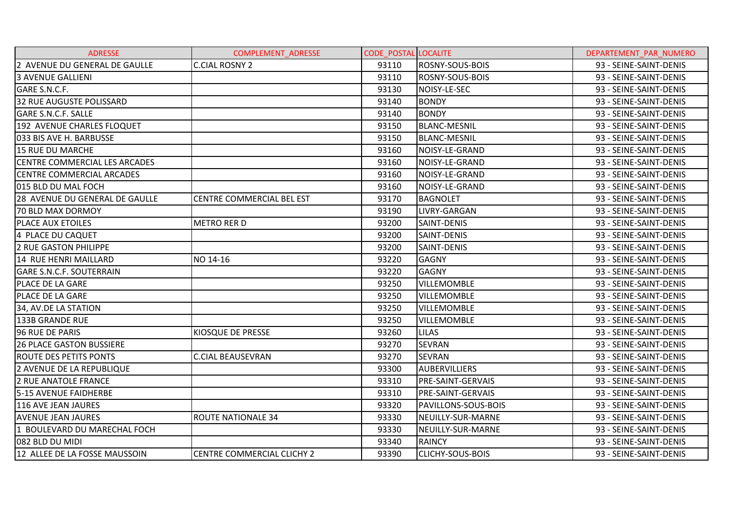| <b>ADRESSE</b>                       | <b>COMPLEMENT ADRESSE</b>         | <b>CODE_POSTAL LOCALITE</b> |                          | DEPARTEMENT PAR NUMERO |
|--------------------------------------|-----------------------------------|-----------------------------|--------------------------|------------------------|
| 2 AVENUE DU GENERAL DE GAULLE        | <b>C.CIAL ROSNY 2</b>             | 93110                       | <b>ROSNY-SOUS-BOIS</b>   | 93 - SEINE-SAINT-DENIS |
| <b>3 AVENUE GALLIENI</b>             |                                   | 93110                       | ROSNY-SOUS-BOIS          | 93 - SEINE-SAINT-DENIS |
| GARE S.N.C.F.                        |                                   | 93130                       | NOISY-LE-SEC             | 93 - SEINE-SAINT-DENIS |
| 32 RUE AUGUSTE POLISSARD             |                                   | 93140                       | <b>BONDY</b>             | 93 - SEINE-SAINT-DENIS |
| <b>GARE S.N.C.F. SALLE</b>           |                                   | 93140                       | <b>BONDY</b>             | 93 - SEINE-SAINT-DENIS |
| 192 AVENUE CHARLES FLOQUET           |                                   | 93150                       | <b>BLANC-MESNIL</b>      | 93 - SEINE-SAINT-DENIS |
| 033 BIS AVE H. BARBUSSE              |                                   | 93150                       | <b>BLANC-MESNIL</b>      | 93 - SEINE-SAINT-DENIS |
| <b>15 RUE DU MARCHE</b>              |                                   | 93160                       | NOISY-LE-GRAND           | 93 - SEINE-SAINT-DENIS |
| <b>CENTRE COMMERCIAL LES ARCADES</b> |                                   | 93160                       | NOISY-LE-GRAND           | 93 - SEINE-SAINT-DENIS |
| <b>CENTRE COMMERCIAL ARCADES</b>     |                                   | 93160                       | NOISY-LE-GRAND           | 93 - SEINE-SAINT-DENIS |
| 015 BLD DU MAL FOCH                  |                                   | 93160                       | NOISY-LE-GRAND           | 93 - SEINE-SAINT-DENIS |
| 28 AVENUE DU GENERAL DE GAULLE       | <b>CENTRE COMMERCIAL BEL EST</b>  | 93170                       | BAGNOLET                 | 93 - SEINE-SAINT-DENIS |
| <b>70 BLD MAX DORMOY</b>             |                                   | 93190                       | LIVRY-GARGAN             | 93 - SEINE-SAINT-DENIS |
| <b>PLACE AUX ETOILES</b>             | <b>METRO RER D</b>                | 93200                       | SAINT-DENIS              | 93 - SEINE-SAINT-DENIS |
| 4 PLACE DU CAQUET                    |                                   | 93200                       | SAINT-DENIS              | 93 - SEINE-SAINT-DENIS |
| 2 RUE GASTON PHILIPPE                |                                   | 93200                       | SAINT-DENIS              | 93 - SEINE-SAINT-DENIS |
| 14 RUE HENRI MAILLARD                | NO 14-16                          | 93220                       | <b>GAGNY</b>             | 93 - SEINE-SAINT-DENIS |
| <b>GARE S.N.C.F. SOUTERRAIN</b>      |                                   | 93220                       | <b>GAGNY</b>             | 93 - SEINE-SAINT-DENIS |
| PLACE DE LA GARE                     |                                   | 93250                       | <b>VILLEMOMBLE</b>       | 93 - SEINE-SAINT-DENIS |
| <b>PLACE DE LA GARE</b>              |                                   | 93250                       | <b>VILLEMOMBLE</b>       | 93 - SEINE-SAINT-DENIS |
| 34, AV.DE LA STATION                 |                                   | 93250                       | <b>VILLEMOMBLE</b>       | 93 - SEINE-SAINT-DENIS |
| 133B GRANDE RUE                      |                                   | 93250                       | <b>VILLEMOMBLE</b>       | 93 - SEINE-SAINT-DENIS |
| 96 RUE DE PARIS                      | KIOSQUE DE PRESSE                 | 93260                       | <b>LILAS</b>             | 93 - SEINE-SAINT-DENIS |
| <b>26 PLACE GASTON BUSSIERE</b>      |                                   | 93270                       | <b>SEVRAN</b>            | 93 - SEINE-SAINT-DENIS |
| <b>ROUTE DES PETITS PONTS</b>        | <b>C.CIAL BEAUSEVRAN</b>          | 93270                       | <b>SEVRAN</b>            | 93 - SEINE-SAINT-DENIS |
| 2 AVENUE DE LA REPUBLIQUE            |                                   | 93300                       | <b>AUBERVILLIERS</b>     | 93 - SEINE-SAINT-DENIS |
| 2 RUE ANATOLE FRANCE                 |                                   | 93310                       | <b>PRE-SAINT-GERVAIS</b> | 93 - SEINE-SAINT-DENIS |
| 5-15 AVENUE FAIDHERBE                |                                   | 93310                       | <b>PRE-SAINT-GERVAIS</b> | 93 - SEINE-SAINT-DENIS |
| 116 AVE JEAN JAURES                  |                                   | 93320                       | PAVILLONS-SOUS-BOIS      | 93 - SEINE-SAINT-DENIS |
| <b>AVENUE JEAN JAURES</b>            | <b>ROUTE NATIONALE 34</b>         | 93330                       | NEUILLY-SUR-MARNE        | 93 - SEINE-SAINT-DENIS |
| 1 BOULEVARD DU MARECHAL FOCH         |                                   | 93330                       | NEUILLY-SUR-MARNE        | 93 - SEINE-SAINT-DENIS |
| 082 BLD DU MIDI                      |                                   | 93340                       | <b>RAINCY</b>            | 93 - SEINE-SAINT-DENIS |
| 12 ALLEE DE LA FOSSE MAUSSOIN        | <b>CENTRE COMMERCIAL CLICHY 2</b> | 93390                       | <b>CLICHY-SOUS-BOIS</b>  | 93 - SEINE-SAINT-DENIS |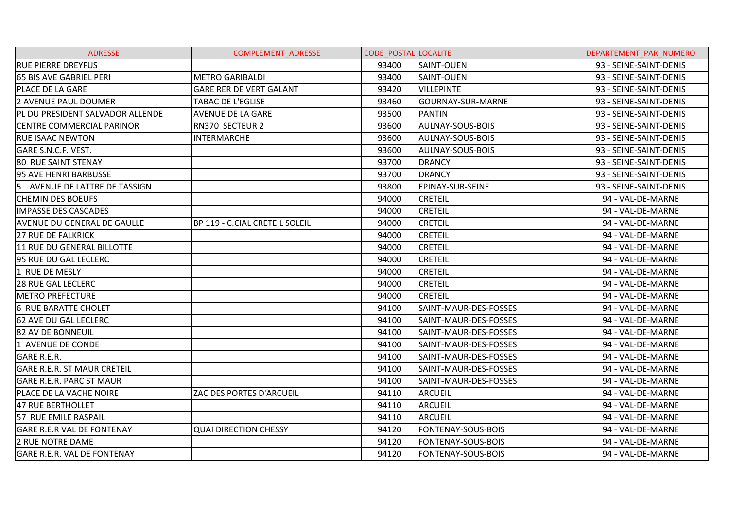| <b>ADRESSE</b>                          | <b>COMPLEMENT ADRESSE</b>      | <b>CODE POSTAL LOCALITE</b> |                           | DEPARTEMENT PAR NUMERO |
|-----------------------------------------|--------------------------------|-----------------------------|---------------------------|------------------------|
| <b>RUE PIERRE DREYFUS</b>               |                                | 93400                       | <b>SAINT-OUEN</b>         | 93 - SEINE-SAINT-DENIS |
| <b>65 BIS AVE GABRIEL PERI</b>          | <b>METRO GARIBALDI</b>         | 93400                       | <b>SAINT-OUEN</b>         | 93 - SEINE-SAINT-DENIS |
| <b>PLACE DE LA GARE</b>                 | <b>GARE RER DE VERT GALANT</b> | 93420                       | <b>VILLEPINTE</b>         | 93 - SEINE-SAINT-DENIS |
| l2 AVENUE PAUL DOUMER                   | <b>TABAC DE L'EGLISE</b>       | 93460                       | GOURNAY-SUR-MARNE         | 93 - SEINE-SAINT-DENIS |
| <b>PL DU PRESIDENT SALVADOR ALLENDE</b> | AVENUE DE LA GARE              | 93500                       | <b>PANTIN</b>             | 93 - SEINE-SAINT-DENIS |
| <b>CENTRE COMMERCIAL PARINOR</b>        | RN370 SECTEUR 2                | 93600                       | <b>AULNAY-SOUS-BOIS</b>   | 93 - SEINE-SAINT-DENIS |
| <b>RUE ISAAC NEWTON</b>                 | <b>INTERMARCHE</b>             | 93600                       | <b>AULNAY-SOUS-BOIS</b>   | 93 - SEINE-SAINT-DENIS |
| GARE S.N.C.F. VEST.                     |                                | 93600                       | AULNAY-SOUS-BOIS          | 93 - SEINE-SAINT-DENIS |
| <b>80 RUE SAINT STENAY</b>              |                                | 93700                       | <b>DRANCY</b>             | 93 - SEINE-SAINT-DENIS |
| 95 AVE HENRI BARBUSSE                   |                                | 93700                       | <b>DRANCY</b>             | 93 - SEINE-SAINT-DENIS |
| 5 AVENUE DE LATTRE DE TASSIGN           |                                | 93800                       | <b>EPINAY-SUR-SEINE</b>   | 93 - SEINE-SAINT-DENIS |
| <b>CHEMIN DES BOEUFS</b>                |                                | 94000                       | <b>CRETEIL</b>            | 94 - VAL-DE-MARNE      |
| <b>IMPASSE DES CASCADES</b>             |                                | 94000                       | <b>CRETEIL</b>            | 94 - VAL-DE-MARNE      |
| <b>AVENUE DU GENERAL DE GAULLE</b>      | BP 119 - C.CIAL CRETEIL SOLEIL | 94000                       | <b>CRETEIL</b>            | 94 - VAL-DE-MARNE      |
| <b>27 RUE DE FALKRICK</b>               |                                | 94000                       | <b>CRETEIL</b>            | 94 - VAL-DE-MARNE      |
| 11 RUE DU GENERAL BILLOTTE              |                                | 94000                       | <b>CRETEIL</b>            | 94 - VAL-DE-MARNE      |
| 95 RUE DU GAL LECLERC                   |                                | 94000                       | <b>CRETEIL</b>            | 94 - VAL-DE-MARNE      |
| 1 RUE DE MESLY                          |                                | 94000                       | <b>CRETEIL</b>            | 94 - VAL-DE-MARNE      |
| <b>28 RUE GAL LECLERC</b>               |                                | 94000                       | <b>CRETEIL</b>            | 94 - VAL-DE-MARNE      |
| <b>METRO PREFECTURE</b>                 |                                | 94000                       | <b>CRETEIL</b>            | 94 - VAL-DE-MARNE      |
| <b>6 RUE BARATTE CHOLET</b>             |                                | 94100                       | SAINT-MAUR-DES-FOSSES     | 94 - VAL-DE-MARNE      |
| <b>62 AVE DU GAL LECLERC</b>            |                                | 94100                       | SAINT-MAUR-DES-FOSSES     | 94 - VAL-DE-MARNE      |
| 82 AV DE BONNEUIL                       |                                | 94100                       | SAINT-MAUR-DES-FOSSES     | 94 - VAL-DE-MARNE      |
| 1 AVENUE DE CONDE                       |                                | 94100                       | SAINT-MAUR-DES-FOSSES     | 94 - VAL-DE-MARNE      |
| GARE R.E.R.                             |                                | 94100                       | SAINT-MAUR-DES-FOSSES     | 94 - VAL-DE-MARNE      |
| <b>GARE R.E.R. ST MAUR CRETEIL</b>      |                                | 94100                       | SAINT-MAUR-DES-FOSSES     | 94 - VAL-DE-MARNE      |
| <b>GARE R.E.R. PARC ST MAUR</b>         |                                | 94100                       | SAINT-MAUR-DES-FOSSES     | 94 - VAL-DE-MARNE      |
| <b>PLACE DE LA VACHE NOIRE</b>          | ZAC DES PORTES D'ARCUEIL       | 94110                       | <b>ARCUEIL</b>            | 94 - VAL-DE-MARNE      |
| 47 RUE BERTHOLLET                       |                                | 94110                       | <b>ARCUEIL</b>            | 94 - VAL-DE-MARNE      |
| 57 RUE EMILE RASPAIL                    |                                | 94110                       | <b>ARCUEIL</b>            | 94 - VAL-DE-MARNE      |
| <b>GARE R.E.R VAL DE FONTENAY</b>       | <b>QUAI DIRECTION CHESSY</b>   | 94120                       | <b>FONTENAY-SOUS-BOIS</b> | 94 - VAL-DE-MARNE      |
| 2 RUE NOTRE DAME                        |                                | 94120                       | <b>FONTENAY-SOUS-BOIS</b> | 94 - VAL-DE-MARNE      |
| <b>GARE R.E.R. VAL DE FONTENAY</b>      |                                | 94120                       | FONTENAY-SOUS-BOIS        | 94 - VAL-DE-MARNE      |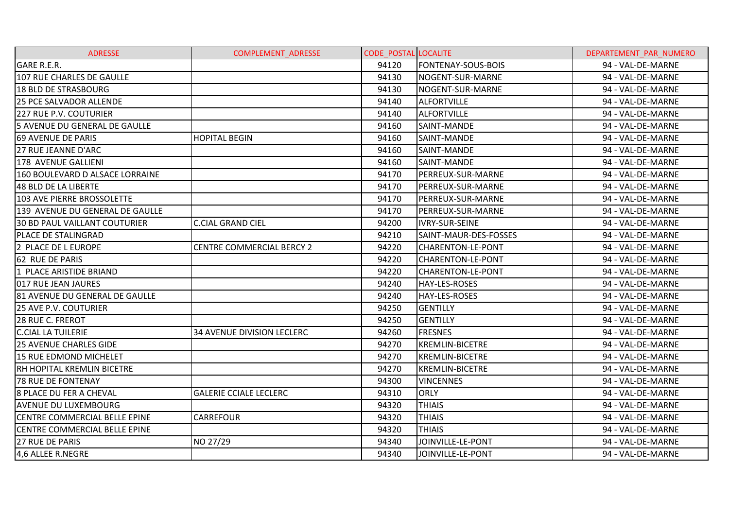| <b>ADRESSE</b>                  | <b>COMPLEMENT ADRESSE</b>         | <b>CODE POSTAL LOCALITE</b> |                           | DEPARTEMENT PAR NUMERO |
|---------------------------------|-----------------------------------|-----------------------------|---------------------------|------------------------|
| <b>GARE R.E.R.</b>              |                                   | 94120                       | <b>FONTENAY-SOUS-BOIS</b> | 94 - VAL-DE-MARNE      |
| 107 RUE CHARLES DE GAULLE       |                                   | 94130                       | NOGENT-SUR-MARNE          | 94 - VAL-DE-MARNE      |
| 18 BLD DE STRASBOURG            |                                   | 94130                       | NOGENT-SUR-MARNE          | 94 - VAL-DE-MARNE      |
| <b>25 PCE SALVADOR ALLENDE</b>  |                                   | 94140                       | <b>ALFORTVILLE</b>        | 94 - VAL-DE-MARNE      |
| 227 RUE P.V. COUTURIER          |                                   | 94140                       | <b>ALFORTVILLE</b>        | 94 - VAL-DE-MARNE      |
| 5 AVENUE DU GENERAL DE GAULLE   |                                   | 94160                       | SAINT-MANDE               | 94 - VAL-DE-MARNE      |
| <b>69 AVENUE DE PARIS</b>       | <b>HOPITAL BEGIN</b>              | 94160                       | SAINT-MANDE               | 94 - VAL-DE-MARNE      |
| 27 RUE JEANNE D'ARC             |                                   | 94160                       | SAINT-MANDE               | 94 - VAL-DE-MARNE      |
| 1178 AVENUE GALLIENI            |                                   | 94160                       | SAINT-MANDE               | 94 - VAL-DE-MARNE      |
| 160 BOULEVARD D ALSACE LORRAINE |                                   | 94170                       | PERREUX-SUR-MARNE         | 94 - VAL-DE-MARNE      |
| 48 BLD DE LA LIBERTE            |                                   | 94170                       | PERREUX-SUR-MARNE         | 94 - VAL-DE-MARNE      |
| 103 AVE PIERRE BROSSOLETTE      |                                   | 94170                       | PERREUX-SUR-MARNE         | 94 - VAL-DE-MARNE      |
| 139 AVENUE DU GENERAL DE GAULLE |                                   | 94170                       | PERREUX-SUR-MARNE         | 94 - VAL-DE-MARNE      |
| 30 BD PAUL VAILLANT COUTURIER   | <b>C.CIAL GRAND CIEL</b>          | 94200                       | <b>IVRY-SUR-SEINE</b>     | 94 - VAL-DE-MARNE      |
| <b>PLACE DE STALINGRAD</b>      |                                   | 94210                       | SAINT-MAUR-DES-FOSSES     | 94 - VAL-DE-MARNE      |
| 2 PLACE DE L EUROPE             | <b>CENTRE COMMERCIAL BERCY 2</b>  | 94220                       | <b>CHARENTON-LE-PONT</b>  | 94 - VAL-DE-MARNE      |
| 62 RUE DE PARIS                 |                                   | 94220                       | <b>CHARENTON-LE-PONT</b>  | 94 - VAL-DE-MARNE      |
| 1 PLACE ARISTIDE BRIAND         |                                   | 94220                       | <b>CHARENTON-LE-PONT</b>  | 94 - VAL-DE-MARNE      |
| 017 RUE JEAN JAURES             |                                   | 94240                       | HAY-LES-ROSES             | 94 - VAL-DE-MARNE      |
| 81 AVENUE DU GENERAL DE GAULLE  |                                   | 94240                       | <b>HAY-LES-ROSES</b>      | 94 - VAL-DE-MARNE      |
| 25 AVE P.V. COUTURIER           |                                   | 94250                       | <b>GENTILLY</b>           | 94 - VAL-DE-MARNE      |
| 28 RUE C. FREROT                |                                   | 94250                       | IGENTILLY                 | 94 - VAL-DE-MARNE      |
| <b>C.CIAL LA TUILERIE</b>       | <b>34 AVENUE DIVISION LECLERC</b> | 94260                       | <b>FRESNES</b>            | 94 - VAL-DE-MARNE      |
| <b>25 AVENUE CHARLES GIDE</b>   |                                   | 94270                       | <b>KREMLIN-BICETRE</b>    | 94 - VAL-DE-MARNE      |
| 15 RUE EDMOND MICHELET          |                                   | 94270                       | <b>KREMLIN-BICETRE</b>    | 94 - VAL-DE-MARNE      |
| RH HOPITAL KREMLIN BICETRE      |                                   | 94270                       | <b>KREMLIN-BICETRE</b>    | 94 - VAL-DE-MARNE      |
| <b>78 RUE DE FONTENAY</b>       |                                   | 94300                       | <b>VINCENNES</b>          | 94 - VAL-DE-MARNE      |
| 8 PLACE DU FER A CHEVAL         | <b>GALERIE CCIALE LECLERC</b>     | 94310                       | <b>ORLY</b>               | 94 - VAL-DE-MARNE      |
| <b>AVENUE DU LUXEMBOURG</b>     |                                   | 94320                       | <b>THIAIS</b>             | 94 - VAL-DE-MARNE      |
| CENTRE COMMERCIAL BELLE EPINE   | CARREFOUR                         | 94320                       | <b>THIAIS</b>             | 94 - VAL-DE-MARNE      |
| CENTRE COMMERCIAL BELLE EPINE   |                                   | 94320                       | <b>THIAIS</b>             | 94 - VAL-DE-MARNE      |
| <b>27 RUE DE PARIS</b>          | NO 27/29                          | 94340                       | JOINVILLE-LE-PONT         | 94 - VAL-DE-MARNE      |
| 4,6 ALLEE R.NEGRE               |                                   | 94340                       | JOINVILLE-LE-PONT         | 94 - VAL-DE-MARNE      |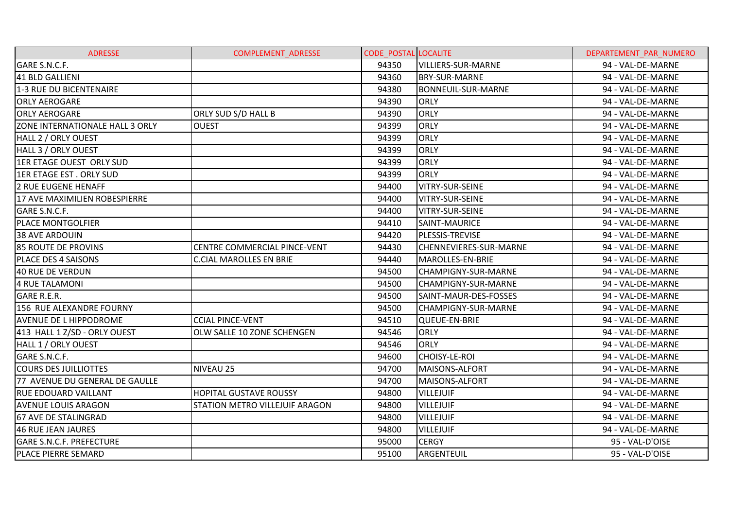| <b>ADRESSE</b>                  | <b>COMPLEMENT ADRESSE</b>      | <b>CODE POSTAL LOCALITE</b> |                               | DEPARTEMENT PAR NUMERO |
|---------------------------------|--------------------------------|-----------------------------|-------------------------------|------------------------|
| GARE S.N.C.F.                   |                                | 94350                       | <b>VILLIERS-SUR-MARNE</b>     | 94 - VAL-DE-MARNE      |
| 41 BLD GALLIENI                 |                                | 94360                       | <b>BRY-SUR-MARNE</b>          | 94 - VAL-DE-MARNE      |
| 1-3 RUE DU BICENTENAIRE         |                                | 94380                       | <b>BONNEUIL-SUR-MARNE</b>     | 94 - VAL-DE-MARNE      |
| <b>ORLY AEROGARE</b>            |                                | 94390                       | <b>ORLY</b>                   | 94 - VAL-DE-MARNE      |
| <b>ORLY AEROGARE</b>            | ORLY SUD S/D HALL B            | 94390                       | <b>ORLY</b>                   | 94 - VAL-DE-MARNE      |
| ZONE INTERNATIONALE HALL 3 ORLY | <b>OUEST</b>                   | 94399                       | <b>ORLY</b>                   | 94 - VAL-DE-MARNE      |
| HALL 2 / ORLY OUEST             |                                | 94399                       | <b>ORLY</b>                   | 94 - VAL-DE-MARNE      |
| HALL 3 / ORLY OUEST             |                                | 94399                       | <b>ORLY</b>                   | 94 - VAL-DE-MARNE      |
| 1ER ETAGE OUEST ORLY SUD        |                                | 94399                       | <b>ORLY</b>                   | 94 - VAL-DE-MARNE      |
| <b>1ER ETAGE EST. ORLY SUD</b>  |                                | 94399                       | <b>ORLY</b>                   | 94 - VAL-DE-MARNE      |
| 2 RUE EUGENE HENAFF             |                                | 94400                       | VITRY-SUR-SEINE               | 94 - VAL-DE-MARNE      |
| 17 AVE MAXIMILIEN ROBESPIERRE   |                                | 94400                       | VITRY-SUR-SEINE               | 94 - VAL-DE-MARNE      |
| GARE S.N.C.F.                   |                                | 94400                       | VITRY-SUR-SEINE               | 94 - VAL-DE-MARNE      |
| <b>PLACE MONTGOLFIER</b>        |                                | 94410                       | SAINT-MAURICE                 | 94 - VAL-DE-MARNE      |
| 38 AVE ARDOUIN                  |                                | 94420                       | PLESSIS-TREVISE               | 94 - VAL-DE-MARNE      |
| <b>85 ROUTE DE PROVINS</b>      | CENTRE COMMERCIAL PINCE-VENT   | 94430                       | <b>CHENNEVIERES-SUR-MARNE</b> | 94 - VAL-DE-MARNE      |
| PLACE DES 4 SAISONS             | <b>C.CIAL MAROLLES EN BRIE</b> | 94440                       | MAROLLES-EN-BRIE              | 94 - VAL-DE-MARNE      |
| 40 RUE DE VERDUN                |                                | 94500                       | <b>CHAMPIGNY-SUR-MARNE</b>    | 94 - VAL-DE-MARNE      |
| 4 RUE TALAMONI                  |                                | 94500                       | CHAMPIGNY-SUR-MARNE           | 94 - VAL-DE-MARNE      |
| <b>GARE R.E.R.</b>              |                                | 94500                       | SAINT-MAUR-DES-FOSSES         | 94 - VAL-DE-MARNE      |
| 156 RUE ALEXANDRE FOURNY        |                                | 94500                       | <b>CHAMPIGNY-SUR-MARNE</b>    | 94 - VAL-DE-MARNE      |
| <b>AVENUE DE L HIPPODROME</b>   | <b>CCIAL PINCE-VENT</b>        | 94510                       | QUEUE-EN-BRIE                 | 94 - VAL-DE-MARNE      |
| 413 HALL 1 Z/SD - ORLY OUEST    | OLW SALLE 10 ZONE SCHENGEN     | 94546                       | <b>ORLY</b>                   | 94 - VAL-DE-MARNE      |
| HALL 1 / ORLY OUEST             |                                | 94546                       | <b>ORLY</b>                   | 94 - VAL-DE-MARNE      |
| GARE S.N.C.F.                   |                                | 94600                       | <b>CHOISY-LE-ROI</b>          | 94 - VAL-DE-MARNE      |
| <b>COURS DES JUILLIOTTES</b>    | NIVEAU 25                      | 94700                       | MAISONS-ALFORT                | 94 - VAL-DE-MARNE      |
| 77 AVENUE DU GENERAL DE GAULLE  |                                | 94700                       | MAISONS-ALFORT                | 94 - VAL-DE-MARNE      |
| <b>RUE EDOUARD VAILLANT</b>     | <b>HOPITAL GUSTAVE ROUSSY</b>  | 94800                       | <b>VILLEJUIF</b>              | 94 - VAL-DE-MARNE      |
| <b>AVENUE LOUIS ARAGON</b>      | STATION METRO VILLEJUIF ARAGON | 94800                       | <b>VILLEJUIF</b>              | 94 - VAL-DE-MARNE      |
| <b>67 AVE DE STALINGRAD</b>     |                                | 94800                       | <b>VILLEJUIF</b>              | 94 - VAL-DE-MARNE      |
| 46 RUE JEAN JAURES              |                                | 94800                       | <b>VILLEJUIF</b>              | 94 - VAL-DE-MARNE      |
| <b>GARE S.N.C.F. PREFECTURE</b> |                                | 95000                       | <b>CERGY</b>                  | 95 - VAL-D'OISE        |
| PLACE PIERRE SEMARD             |                                | 95100                       | ARGENTEUIL                    | 95 - VAL-D'OISE        |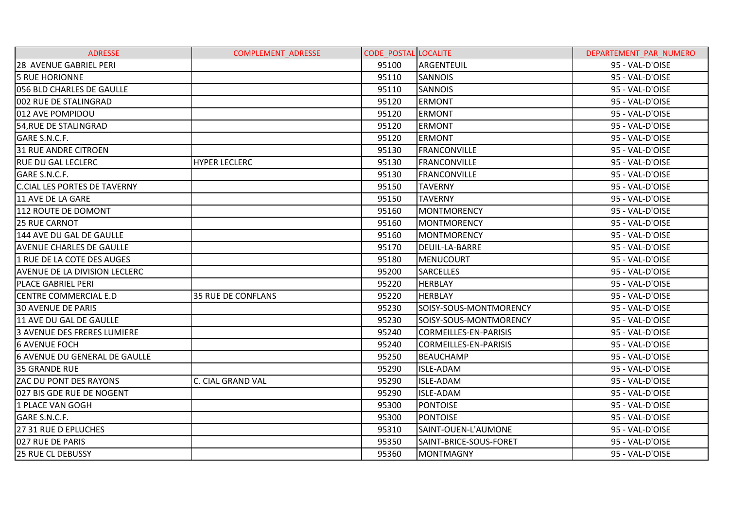| <b>ADRESSE</b>                       | <b>COMPLEMENT ADRESSE</b> | <b>CODE POSTAL LOCALITE</b> |                              | DEPARTEMENT PAR NUMERO |
|--------------------------------------|---------------------------|-----------------------------|------------------------------|------------------------|
| 28 AVENUE GABRIEL PERI               |                           | 95100                       | ARGENTEUIL                   | 95 - VAL-D'OISE        |
| <b>5 RUE HORIONNE</b>                |                           | 95110                       | <b>SANNOIS</b>               | 95 - VAL-D'OISE        |
| 056 BLD CHARLES DE GAULLE            |                           | 95110                       | <b>SANNOIS</b>               | 95 - VAL-D'OISE        |
| 002 RUE DE STALINGRAD                |                           | 95120                       | <b>ERMONT</b>                | 95 - VAL-D'OISE        |
| 012 AVE POMPIDOU                     |                           | 95120                       | <b>ERMONT</b>                | 95 - VAL-D'OISE        |
| 54, RUE DE STALINGRAD                |                           | 95120                       | <b>ERMONT</b>                | 95 - VAL-D'OISE        |
| GARE S.N.C.F.                        |                           | 95120                       | <b>ERMONT</b>                | 95 - VAL-D'OISE        |
| <b>31 RUE ANDRE CITROEN</b>          |                           | 95130                       | <b>FRANCONVILLE</b>          | 95 - VAL-D'OISE        |
| IRUE DU GAL LECLERC                  | <b>HYPER LECLERC</b>      | 95130                       | <b>FRANCONVILLE</b>          | 95 - VAL-D'OISE        |
| GARE S.N.C.F.                        |                           | 95130                       | <b>FRANCONVILLE</b>          | 95 - VAL-D'OISE        |
| <b>C.CIAL LES PORTES DE TAVERNY</b>  |                           | 95150                       | <b>TAVERNY</b>               | 95 - VAL-D'OISE        |
| 11 AVE DE LA GARE                    |                           | 95150                       | <b>TAVERNY</b>               | 95 - VAL-D'OISE        |
| 112 ROUTE DE DOMONT                  |                           | 95160                       | <b>MONTMORENCY</b>           | 95 - VAL-D'OISE        |
| <b>25 RUE CARNOT</b>                 |                           | 95160                       | <b>MONTMORENCY</b>           | 95 - VAL-D'OISE        |
| 144 AVE DU GAL DE GAULLE             |                           | 95160                       | <b>MONTMORENCY</b>           | 95 - VAL-D'OISE        |
| <b>AVENUE CHARLES DE GAULLE</b>      |                           | 95170                       | DEUIL-LA-BARRE               | 95 - VAL-D'OISE        |
| 1 RUE DE LA COTE DES AUGES           |                           | 95180                       | <b>MENUCOURT</b>             | 95 - VAL-D'OISE        |
| AVENUE DE LA DIVISION LECLERC        |                           | 95200                       | <b>SARCELLES</b>             | 95 - VAL-D'OISE        |
| <b>PLACE GABRIEL PERI</b>            |                           | 95220                       | <b>HERBLAY</b>               | 95 - VAL-D'OISE        |
| <b>CENTRE COMMERCIAL E.D</b>         | 35 RUE DE CONFLANS        | 95220                       | <b>HERBLAY</b>               | 95 - VAL-D'OISE        |
| <b>30 AVENUE DE PARIS</b>            |                           | 95230                       | SOISY-SOUS-MONTMORENCY       | 95 - VAL-D'OISE        |
| 11 AVE DU GAL DE GAULLE              |                           | 95230                       | SOISY-SOUS-MONTMORENCY       | 95 - VAL-D'OISE        |
| 3 AVENUE DES FRERES LUMIERE          |                           | 95240                       | <b>CORMEILLES-EN-PARISIS</b> | 95 - VAL-D'OISE        |
| <b>6 AVENUE FOCH</b>                 |                           | 95240                       | CORMEILLES-EN-PARISIS        | 95 - VAL-D'OISE        |
| <b>6 AVENUE DU GENERAL DE GAULLE</b> |                           | 95250                       | <b>BEAUCHAMP</b>             | 95 - VAL-D'OISE        |
| <b>35 GRANDE RUE</b>                 |                           | 95290                       | <b>ISLE-ADAM</b>             | 95 - VAL-D'OISE        |
| <b>ZAC DU PONT DES RAYONS</b>        | C. CIAL GRAND VAL         | 95290                       | <b>ISLE-ADAM</b>             | 95 - VAL-D'OISE        |
| 027 BIS GDE RUE DE NOGENT            |                           | 95290                       | <b>ISLE-ADAM</b>             | 95 - VAL-D'OISE        |
| 1 PLACE VAN GOGH                     |                           | 95300                       | <b>PONTOISE</b>              | 95 - VAL-D'OISE        |
| GARE S.N.C.F.                        |                           | 95300                       | <b>PONTOISE</b>              | 95 - VAL-D'OISE        |
| 27 31 RUE D EPLUCHES                 |                           | 95310                       | SAINT-OUEN-L'AUMONE          | 95 - VAL-D'OISE        |
| 027 RUE DE PARIS                     |                           | 95350                       | SAINT-BRICE-SOUS-FORET       | 95 - VAL-D'OISE        |
| 25 RUE CL DEBUSSY                    |                           | 95360                       | <b>MONTMAGNY</b>             | 95 - VAL-D'OISE        |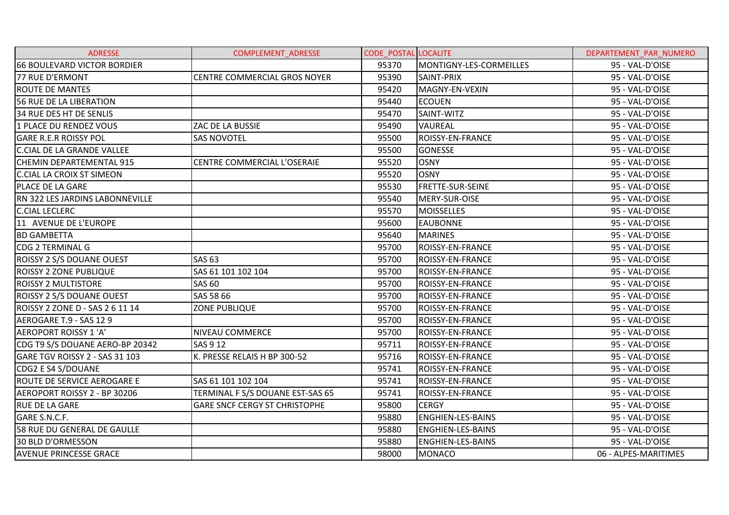| <b>ADRESSE</b>                     | COMPLEMENT_ADRESSE                   | <b>CODE POSTAL LOCALITE</b> |                          | DEPARTEMENT_PAR_NUMERO |
|------------------------------------|--------------------------------------|-----------------------------|--------------------------|------------------------|
| <b>66 BOULEVARD VICTOR BORDIER</b> |                                      | 95370                       | MONTIGNY-LES-CORMEILLES  | 95 - VAL-D'OISE        |
| 77 RUE D'ERMONT                    | <b>CENTRE COMMERCIAL GROS NOYER</b>  | 95390                       | SAINT-PRIX               | 95 - VAL-D'OISE        |
| <b>ROUTE DE MANTES</b>             |                                      | 95420                       | MAGNY-EN-VEXIN           | 95 - VAL-D'OISE        |
| <b>56 RUE DE LA LIBERATION</b>     |                                      | 95440                       | <b>ECOUEN</b>            | 95 - VAL-D'OISE        |
| 34 RUE DES HT DE SENLIS            |                                      | 95470                       | SAINT-WITZ               | 95 - VAL-D'OISE        |
| 1 PLACE DU RENDEZ VOUS             | ZAC DE LA BUSSIE                     | 95490                       | <b>VAUREAL</b>           | 95 - VAL-D'OISE        |
| <b>GARE R.E.R ROISSY POL</b>       | <b>SAS NOVOTEL</b>                   | 95500                       | ROISSY-EN-FRANCE         | 95 - VAL-D'OISE        |
| <b>C.CIAL DE LA GRANDE VALLEE</b>  |                                      | 95500                       | <b>GONESSE</b>           | 95 - VAL-D'OISE        |
| <b>CHEMIN DEPARTEMENTAL 915</b>    | CENTRE COMMERCIAL L'OSERAIE          | 95520                       | <b>OSNY</b>              | 95 - VAL-D'OISE        |
| C.CIAL LA CROIX ST SIMEON          |                                      | 95520                       | <b>OSNY</b>              | 95 - VAL-D'OISE        |
| PLACE DE LA GARE                   |                                      | 95530                       | <b>FRETTE-SUR-SEINE</b>  | 95 - VAL-D'OISE        |
| RN 322 LES JARDINS LABONNEVILLE    |                                      | 95540                       | MERY-SUR-OISE            | 95 - VAL-D'OISE        |
| <b>C.CIAL LECLERC</b>              |                                      | 95570                       | <b>MOISSELLES</b>        | 95 - VAL-D'OISE        |
| 11 AVENUE DE L'EUROPE              |                                      | 95600                       | <b>EAUBONNE</b>          | 95 - VAL-D'OISE        |
| <b>BD GAMBETTA</b>                 |                                      | 95640                       | <b>MARINES</b>           | 95 - VAL-D'OISE        |
| CDG 2 TERMINAL G                   |                                      | 95700                       | <b>ROISSY-EN-FRANCE</b>  | 95 - VAL-D'OISE        |
| ROISSY 2 S/S DOUANE OUEST          | <b>SAS 63</b>                        | 95700                       | <b>ROISSY-EN-FRANCE</b>  | 95 - VAL-D'OISE        |
| ROISSY 2 ZONE PUBLIQUE             | SAS 61 101 102 104                   | 95700                       | <b>ROISSY-EN-FRANCE</b>  | 95 - VAL-D'OISE        |
| <b>ROISSY 2 MULTISTORE</b>         | <b>SAS 60</b>                        | 95700                       | ROISSY-EN-FRANCE         | 95 - VAL-D'OISE        |
| ROISSY 2 S/S DOUANE OUEST          | SAS 58 66                            | 95700                       | <b>ROISSY-EN-FRANCE</b>  | 95 - VAL-D'OISE        |
| ROISSY 2 ZONE D - SAS 2 6 11 14    | <b>ZONE PUBLIQUE</b>                 | 95700                       | <b>ROISSY-EN-FRANCE</b>  | 95 - VAL-D'OISE        |
| AEROGARE T.9 - SAS 12 9            |                                      | 95700                       | <b>ROISSY-EN-FRANCE</b>  | 95 - VAL-D'OISE        |
| <b>AEROPORT ROISSY 1 'A'</b>       | <b>NIVEAU COMMERCE</b>               | 95700                       | ROISSY-EN-FRANCE         | 95 - VAL-D'OISE        |
| CDG T9 S/S DOUANE AERO-BP 20342    | <b>SAS 9 12</b>                      | 95711                       | <b>ROISSY-EN-FRANCE</b>  | 95 - VAL-D'OISE        |
| GARE TGV ROISSY 2 - SAS 31 103     | K. PRESSE RELAIS H BP 300-52         | 95716                       | <b>ROISSY-EN-FRANCE</b>  | 95 - VAL-D'OISE        |
| CDG2 E S4 S/DOUANE                 |                                      | 95741                       | <b>ROISSY-EN-FRANCE</b>  | 95 - VAL-D'OISE        |
| ROUTE DE SERVICE AEROGARE E        | SAS 61 101 102 104                   | 95741                       | <b>ROISSY-EN-FRANCE</b>  | 95 - VAL-D'OISE        |
| AEROPORT ROISSY 2 - BP 30206       | TERMINAL F S/S DOUANE EST-SAS 65     | 95741                       | ROISSY-EN-FRANCE         | 95 - VAL-D'OISE        |
| <b>RUE DE LA GARE</b>              | <b>GARE SNCF CERGY ST CHRISTOPHE</b> | 95800                       | <b>CERGY</b>             | 95 - VAL-D'OISE        |
| GARE S.N.C.F.                      |                                      | 95880                       | <b>ENGHIEN-LES-BAINS</b> | 95 - VAL-D'OISE        |
| 58 RUE DU GENERAL DE GAULLE        |                                      | 95880                       | <b>ENGHIEN-LES-BAINS</b> | 95 - VAL-D'OISE        |
| <b>30 BLD D'ORMESSON</b>           |                                      | 95880                       | <b>ENGHIEN-LES-BAINS</b> | 95 - VAL-D'OISE        |
| <b>AVENUE PRINCESSE GRACE</b>      |                                      | 98000                       | <b>MONACO</b>            | 06 - ALPES-MARITIMES   |